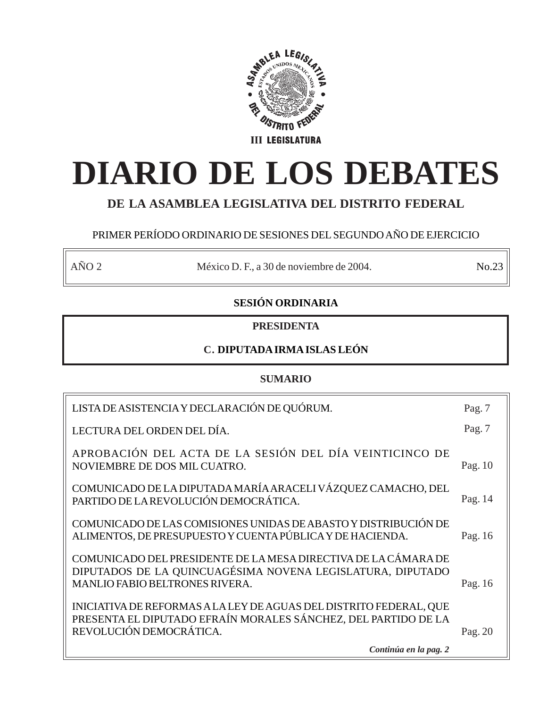

# **DIARIO DE LOS DEBATES**

# **DE LA ASAMBLEA LEGISLATIVA DEL DISTRITO FEDERAL**

# PRIMER PERÍODO ORDINARIO DE SESIONES DEL SEGUNDO AÑO DE EJERCICIO

AÑO 2 México D. F., a 30 de noviembre de 2004. No.23

# **SESIÓN ORDINARIA**

# **PRESIDENTA**

# **C. DIPUTADA IRMA ISLAS LEÓN**

# **SUMARIO**

| LISTA DE ASISTENCIA Y DECLARACIÓN DE QUÓRUM.                                                                                                                          | Pag. $7$  |
|-----------------------------------------------------------------------------------------------------------------------------------------------------------------------|-----------|
| LECTURA DEL ORDEN DEL DÍA.                                                                                                                                            | Pag. 7    |
| APROBACIÓN DEL ACTA DE LA SESIÓN DEL DÍA VEINTICINCO DE<br>NOVIEMBRE DE DOS MIL CUATRO.                                                                               | Pag. $10$ |
| COMUNICADO DE LA DIPUTADA MARÍA ARACELI VÁZQUEZ CAMACHO, DEL<br>PARTIDO DE LA REVOLUCIÓN DEMOCRÁTICA.                                                                 | Pag. 14   |
| COMUNICADO DE LAS COMISIONES UNIDAS DE ABASTO Y DISTRIBUCIÓN DE<br>ALIMENTOS, DE PRESUPUESTO Y CUENTA PÚBLICA Y DE HACIENDA.                                          | Pag. 16   |
| COMUNICADO DEL PRESIDENTE DE LA MESA DIRECTIVA DE LA CÁMARA DE<br>DIPUTADOS DE LA QUINCUAGÉSIMA NOVENA LEGISLATURA, DIPUTADO<br><b>MANLIO FABIO BELTRONES RIVERA.</b> | Pag. 16   |
| INICIATIVA DE REFORMAS A LA LEY DE AGUAS DEL DISTRITO FEDERAL, QUE<br>PRESENTA EL DIPUTADO EFRAÍN MORALES SÁNCHEZ, DEL PARTIDO DE LA<br>REVOLUCIÓN DEMOCRÁTICA.       | Pag. $20$ |
| Continúa en la pag. 2                                                                                                                                                 |           |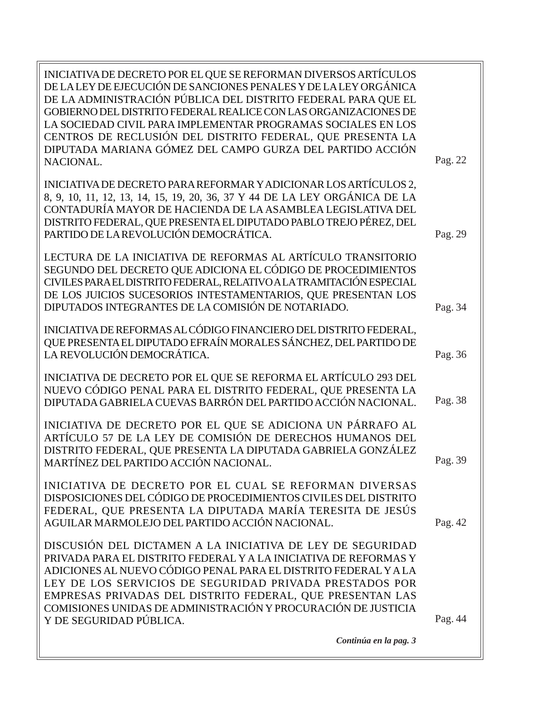*Continúa en la pag. 3* INICIATIVA DE DECRETO POR EL QUE SE REFORMAN DIVERSOS ARTÍCULOS DE LA LEY DE EJECUCIÓN DE SANCIONES PENALES Y DE LA LEY ORGÁNICA DE LA ADMINISTRACIÓN PÚBLICA DEL DISTRITO FEDERAL PARA QUE EL GOBIERNO DEL DISTRITO FEDERAL REALICE CON LAS ORGANIZACIONES DE LA SOCIEDAD CIVIL PARA IMPLEMENTAR PROGRAMAS SOCIALES EN LOS CENTROS DE RECLUSIÓN DEL DISTRITO FEDERAL, QUE PRESENTA LA DIPUTADA MARIANA GÓMEZ DEL CAMPO GURZA DEL PARTIDO ACCIÓN NACIONAL. INICIATIVA DE DECRETO PARA REFORMAR Y ADICIONAR LOS ARTÍCULOS 2, 8, 9, 10, 11, 12, 13, 14, 15, 19, 20, 36, 37 Y 44 DE LA LEY ORGÁNICA DE LA CONTADURÍA MAYOR DE HACIENDA DE LA ASAMBLEA LEGISLATIVA DEL DISTRITO FEDERAL, QUE PRESENTA EL DIPUTADO PABLO TREJO PÉREZ, DEL PARTIDO DE LA REVOLUCIÓN DEMOCRÁTICA. LECTURA DE LA INICIATIVA DE REFORMAS AL ARTÍCULO TRANSITORIO SEGUNDO DEL DECRETO QUE ADICIONA EL CÓDIGO DE PROCEDIMIENTOS CIVILES PARA EL DISTRITO FEDERAL, RELATIVO A LA TRAMITACIÓN ESPECIAL DE LOS JUICIOS SUCESORIOS INTESTAMENTARIOS, QUE PRESENTAN LOS DIPUTADOS INTEGRANTES DE LA COMISIÓN DE NOTARIADO. INICIATIVA DE REFORMAS AL CÓDIGO FINANCIERO DEL DISTRITO FEDERAL, QUE PRESENTA EL DIPUTADO EFRAÍN MORALES SÁNCHEZ, DEL PARTIDO DE LA REVOLUCIÓN DEMOCRÁTICA. INICIATIVA DE DECRETO POR EL QUE SE REFORMA EL ARTÍCULO 293 DEL NUEVO CÓDIGO PENAL PARA EL DISTRITO FEDERAL, QUE PRESENTA LA DIPUTADA GABRIELA CUEVAS BARRÓN DEL PARTIDO ACCIÓN NACIONAL. INICIATIVA DE DECRETO POR EL QUE SE ADICIONA UN PÁRRAFO AL ARTÍCULO 57 DE LA LEY DE COMISIÓN DE DERECHOS HUMANOS DEL DISTRITO FEDERAL, QUE PRESENTA LA DIPUTADA GABRIELA GONZÁLEZ MARTÍNEZ DEL PARTIDO ACCIÓN NACIONAL. INICIATIVA DE DECRETO POR EL CUAL SE REFORMAN DIVERSAS DISPOSICIONES DEL CÓDIGO DE PROCEDIMIENTOS CIVILES DEL DISTRITO FEDERAL, QUE PRESENTA LA DIPUTADA MARÍA TERESITA DE JESÚS AGUILAR MARMOLEJO DEL PARTIDO ACCIÓN NACIONAL. DISCUSIÓN DEL DICTAMEN A LA INICIATIVA DE LEY DE SEGURIDAD PRIVADA PARA EL DISTRITO FEDERAL Y A LA INICIATIVA DE REFORMAS Y ADICIONES AL NUEVO CÓDIGO PENAL PARA EL DISTRITO FEDERAL Y A LA LEY DE LOS SERVICIOS DE SEGURIDAD PRIVADA PRESTADOS POR EMPRESAS PRIVADAS DEL DISTRITO FEDERAL, QUE PRESENTAN LAS COMISIONES UNIDAS DE ADMINISTRACIÓN Y PROCURACIÓN DE JUSTICIA Y DE SEGURIDAD PÚBLICA. Pag. 39 Pag. 34 Pag. 38 Pag. 22 Pag. 29 Pag. 36 Pag. 42 Pag. 44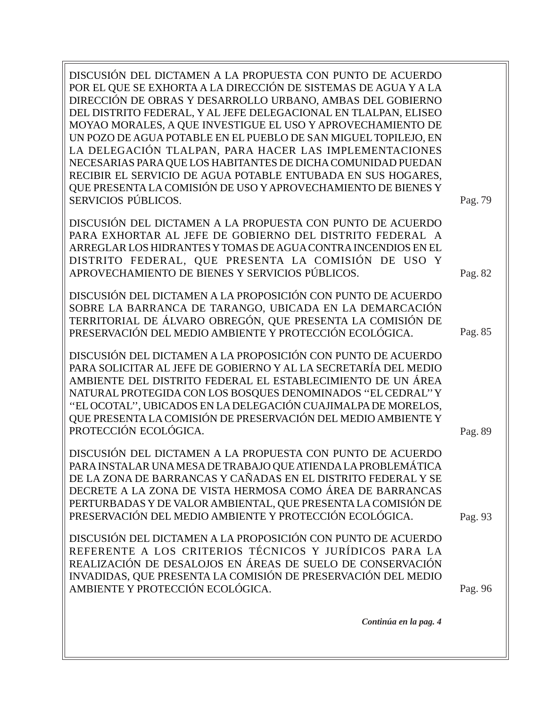| DISCUSIÓN DEL DICTAMEN A LA PROPUESTA CON PUNTO DE ACUERDO<br>POR EL QUE SE EXHORTA A LA DIRECCIÓN DE SISTEMAS DE AGUA Y A LA<br>DIRECCIÓN DE OBRAS Y DESARROLLO URBANO, AMBAS DEL GOBIERNO<br>DEL DISTRITO FEDERAL, Y AL JEFE DELEGACIONAL EN TLALPAN, ELISEO<br>MOYAO MORALES, A QUE INVESTIGUE EL USO Y APROVECHAMIENTO DE<br>UN POZO DE AGUA POTABLE EN EL PUEBLO DE SAN MIGUEL TOPILEJO, EN<br>LA DELEGACIÓN TLALPAN, PARA HACER LAS IMPLEMENTACIONES<br>NECESARIAS PARA QUE LOS HABITANTES DE DICHA COMUNIDAD PUEDAN<br>RECIBIR EL SERVICIO DE AGUA POTABLE ENTUBADA EN SUS HOGARES,<br>QUE PRESENTA LA COMISIÓN DE USO Y APROVECHAMIENTO DE BIENES Y<br>SERVICIOS PÚBLICOS. |                    |
|------------------------------------------------------------------------------------------------------------------------------------------------------------------------------------------------------------------------------------------------------------------------------------------------------------------------------------------------------------------------------------------------------------------------------------------------------------------------------------------------------------------------------------------------------------------------------------------------------------------------------------------------------------------------------------|--------------------|
| DISCUSIÓN DEL DICTAMEN A LA PROPUESTA CON PUNTO DE ACUERDO<br>PARA EXHORTAR AL JEFE DE GOBIERNO DEL DISTRITO FEDERAL A<br>ARREGLAR LOS HIDRANTES Y TOMAS DE AGUA CONTRA INCENDIOS EN EL<br>DISTRITO FEDERAL, QUE PRESENTA LA COMISIÓN DE USO Y<br>APROVECHAMIENTO DE BIENES Y SERVICIOS PÚBLICOS.                                                                                                                                                                                                                                                                                                                                                                                  | Pag. 79<br>Pag. 82 |
| DISCUSIÓN DEL DICTAMEN A LA PROPOSICIÓN CON PUNTO DE ACUERDO<br>SOBRE LA BARRANCA DE TARANGO, UBICADA EN LA DEMARCACIÓN<br>TERRITORIAL DE ÁLVARO OBREGÓN, QUE PRESENTA LA COMISIÓN DE<br>PRESERVACIÓN DEL MEDIO AMBIENTE Y PROTECCIÓN ECOLÓGICA.                                                                                                                                                                                                                                                                                                                                                                                                                                   | Pag. 85            |
| DISCUSIÓN DEL DICTAMEN A LA PROPOSICIÓN CON PUNTO DE ACUERDO<br>PARA SOLICITAR AL JEFE DE GOBIERNO Y AL LA SECRETARÍA DEL MEDIO<br>AMBIENTE DEL DISTRITO FEDERAL EL ESTABLECIMIENTO DE UN ÁREA<br>NATURAL PROTEGIDA CON LOS BOSQUES DENOMINADOS "EL CEDRAL" Y<br>"EL OCOTAL", UBICADOS EN LA DELEGACIÓN CUAJIMALPA DE MORELOS,<br>QUE PRESENTA LA COMISIÓN DE PRESERVACIÓN DEL MEDIO AMBIENTE Y<br>PROTECCIÓN ECOLÓGICA.                                                                                                                                                                                                                                                           | Pag. 89            |
| DISCUSIÓN DEL DICTAMEN A LA PROPUESTA CON PUNTO DE ACUERDO<br>PARA INSTALAR UNA MESA DE TRABAJO QUE ATIENDA LA PROBLEMÁTICA<br>DE LA ZONA DE BARRANCAS Y CAÑADAS EN EL DISTRITO FEDERAL Y SE<br>DECRETE A LA ZONA DE VISTA HERMOSA COMO ÁREA DE BARRANCAS<br>PERTURBADAS Y DE VALOR AMBIENTAL, QUE PRESENTA LA COMISIÓN DE<br>PRESERVACIÓN DEL MEDIO AMBIENTE Y PROTECCIÓN ECOLÓGICA.                                                                                                                                                                                                                                                                                              | Pag. 93            |
| DISCUSIÓN DEL DICTAMEN A LA PROPOSICIÓN CON PUNTO DE ACUERDO<br>REFERENTE A LOS CRITERIOS TÉCNICOS Y JURÍDICOS PARA LA<br>REALIZACIÓN DE DESALOJOS EN ÁREAS DE SUELO DE CONSERVACIÓN<br>INVADIDAS, QUE PRESENTA LA COMISIÓN DE PRESERVACIÓN DEL MEDIO<br>AMBIENTE Y PROTECCIÓN ECOLÓGICA.                                                                                                                                                                                                                                                                                                                                                                                          | Pag. 96            |
| Continúa en la pag. 4                                                                                                                                                                                                                                                                                                                                                                                                                                                                                                                                                                                                                                                              |                    |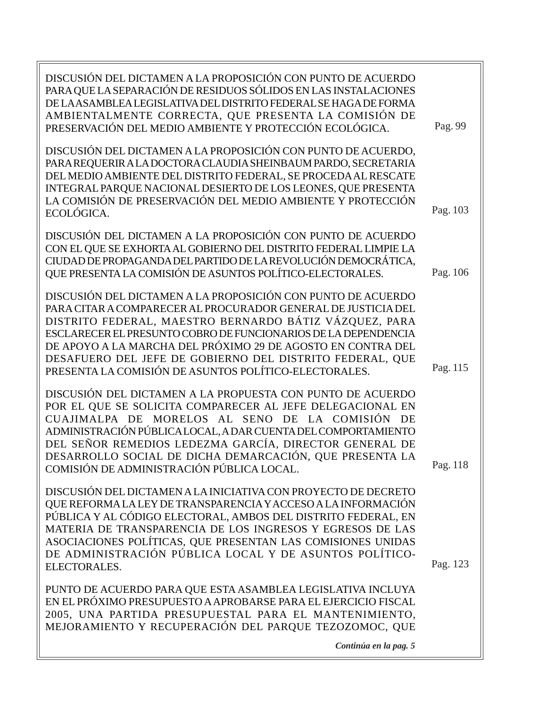| DISCUSIÓN DEL DICTAMEN A LA PROPOSICIÓN CON PUNTO DE ACUERDO<br>PARA QUE LA SEPARACIÓN DE RESIDUOS SÓLIDOS EN LAS INSTALACIONES<br>DE LA ASAMBLEA LEGISLATIVA DEL DISTRITO FEDERAL SE HAGA DE FORMA<br>AMBIENTALMENTE CORRECTA, QUE PRESENTA LA COMISIÓN DE<br>PRESERVACIÓN DEL MEDIO AMBIENTE Y PROTECCIÓN ECOLÓGICA.                                                                                                                        | Pag. 99  |
|-----------------------------------------------------------------------------------------------------------------------------------------------------------------------------------------------------------------------------------------------------------------------------------------------------------------------------------------------------------------------------------------------------------------------------------------------|----------|
| DISCUSIÓN DEL DICTAMEN A LA PROPOSICIÓN CON PUNTO DE ACUERDO,<br>PARA REQUERIR A LA DOCTORA CLAUDIA SHEINBAUM PARDO, SECRETARIA<br>DEL MEDIO AMBIENTE DEL DISTRITO FEDERAL, SE PROCEDA AL RESCATE<br>INTEGRAL PARQUE NACIONAL DESIERTO DE LOS LEONES, QUE PRESENTA<br>LA COMISIÓN DE PRESERVACIÓN DEL MEDIO AMBIENTE Y PROTECCIÓN<br>ECOLÓGICA.                                                                                               | Pag. 103 |
| DISCUSIÓN DEL DICTAMEN A LA PROPOSICIÓN CON PUNTO DE ACUERDO<br>CON EL QUE SE EXHORTA AL GOBIERNO DEL DISTRITO FEDERAL LIMPIE LA<br>CIUDAD DE PROPAGANDA DEL PARTIDO DE LA REVOLUCIÓN DEMOCRÁTICA,<br>QUE PRESENTA LA COMISIÓN DE ASUNTOS POLÍTICO-ELECTORALES.                                                                                                                                                                               | Pag. 106 |
| DISCUSIÓN DEL DICTAMEN A LA PROPOSICIÓN CON PUNTO DE ACUERDO<br>PARA CITAR A COMPARECER AL PROCURADOR GENERAL DE JUSTICIA DEL<br>DISTRITO FEDERAL, MAESTRO BERNARDO BÁTIZ VÁZQUEZ, PARA<br>ESCLARECER EL PRESUNTO COBRO DE FUNCIONARIOS DE LA DEPENDENCIA<br>DE APOYO A LA MARCHA DEL PRÓXIMO 29 DE AGOSTO EN CONTRA DEL<br>DESAFUERO DEL JEFE DE GOBIERNO DEL DISTRITO FEDERAL, QUE<br>PRESENTA LA COMISIÓN DE ASUNTOS POLÍTICO-ELECTORALES. | Pag. 115 |
| DISCUSIÓN DEL DICTAMEN A LA PROPUESTA CON PUNTO DE ACUERDO<br>POR EL QUE SE SOLICITA COMPARECER AL JEFE DELEGACIONAL EN<br>CUAJIMALPA DE MORELOS AL SENO DE LA COMISIÓN<br>DE<br>ADMINISTRACIÓN PÚBLICA LOCAL, A DAR CUENTA DEL COMPORTAMIENTO<br>DEL SEÑOR REMEDIOS LEDEZMA GARCÍA, DIRECTOR GENERAL DE<br>DESARROLLO SOCIAL DE DICHA DEMARCACIÓN, QUE PRESENTA LA<br>COMISIÓN DE ADMINISTRACIÓN PÚBLICA LOCAL.                              | Pag. 118 |
| DISCUSIÓN DEL DICTAMEN A LA INICIATIVA CON PROYECTO DE DECRETO<br>QUE REFORMA LA LEY DE TRANSPARENCIA Y ACCESO A LA INFORMACIÓN<br>PÚBLICA Y AL CÓDIGO ELECTORAL, AMBOS DEL DISTRITO FEDERAL, EN<br>MATERIA DE TRANSPARENCIA DE LOS INGRESOS Y EGRESOS DE LAS<br>ASOCIACIONES POLÍTICAS, QUE PRESENTAN LAS COMISIONES UNIDAS<br>DE ADMINISTRACIÓN PÚBLICA LOCAL Y DE ASUNTOS POLÍTICO-<br>ELECTORALES.                                        | Pag. 123 |
| PUNTO DE ACUERDO PARA QUE ESTA ASAMBLEA LEGISLATIVA INCLUYA<br>EN EL PRÓXIMO PRESUPUESTO A APROBARSE PARA EL EJERCICIO FISCAL<br>2005, UNA PARTIDA PRESUPUESTAL PARA EL MANTENIMIENTO,<br>MEJORAMIENTO Y RECUPERACIÓN DEL PARQUE TEZOZOMOC, QUE<br>Continúa en la pag. 5                                                                                                                                                                      |          |
|                                                                                                                                                                                                                                                                                                                                                                                                                                               |          |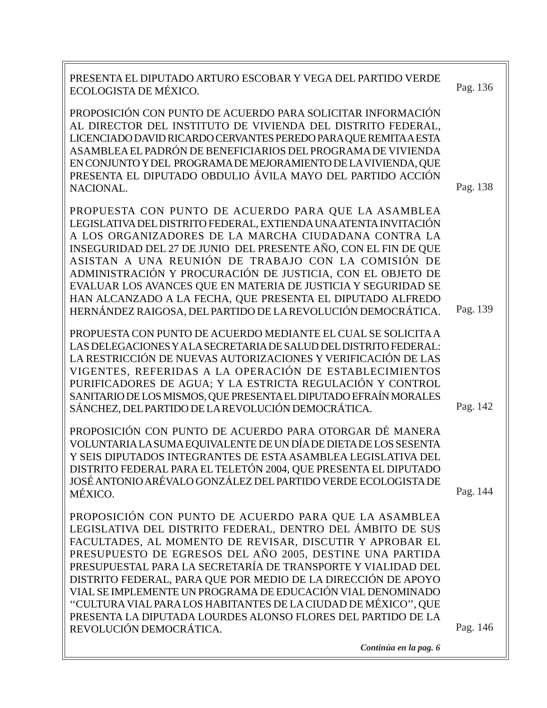| PRESENTA EL DIPUTADO ARTURO ESCOBAR Y VEGA DEL PARTIDO VERDE<br>ECOLOGISTA DE MÉXICO.                                                                                                                                                                                                                                                                                                                                                                                                                                                                                                                    | Pag. 136 |
|----------------------------------------------------------------------------------------------------------------------------------------------------------------------------------------------------------------------------------------------------------------------------------------------------------------------------------------------------------------------------------------------------------------------------------------------------------------------------------------------------------------------------------------------------------------------------------------------------------|----------|
| PROPOSICIÓN CON PUNTO DE ACUERDO PARA SOLICITAR INFORMACIÓN<br>AL DIRECTOR DEL INSTITUTO DE VIVIENDA DEL DISTRITO FEDERAL,<br>LICENCIADO DAVID RICARDO CERVANTES PEREDO PARA QUE REMITA A ESTA<br>ASAMBLEA EL PADRÓN DE BENEFICIARIOS DEL PROGRAMA DE VIVIENDA<br>EN CONJUNTO Y DEL PROGRAMA DE MEJORAMIENTO DE LA VIVIENDA, QUE<br>PRESENTA EL DIPUTADO OBDULIO ÁVILA MAYO DEL PARTIDO ACCIÓN<br>NACIONAL.                                                                                                                                                                                              | Pag. 138 |
| PROPUESTA CON PUNTO DE ACUERDO PARA QUE LA ASAMBLEA<br>LEGISLATIVA DEL DISTRITO FEDERAL, EXTIENDA UNA ATENTA INVITACIÓN<br>A LOS ORGANIZADORES DE LA MARCHA CIUDADANA CONTRA LA<br>INSEGURIDAD DEL 27 DE JUNIO DEL PRESENTE AÑO, CON EL FIN DE QUE<br>ASISTAN A UNA REUNIÓN DE TRABAJO CON LA COMISIÓN DE<br>ADMINISTRACIÓN Y PROCURACIÓN DE JUSTICIA, CON EL OBJETO DE<br>EVALUAR LOS AVANCES QUE EN MATERIA DE JUSTICIA Y SEGURIDAD SE<br>HAN ALCANZADO A LA FECHA, QUE PRESENTA EL DIPUTADO ALFREDO<br>HERNÁNDEZ RAIGOSA, DEL PARTIDO DE LA REVOLUCIÓN DEMOCRÁTICA.                                   | Pag. 139 |
| PROPUESTA CON PUNTO DE ACUERDO MEDIANTE EL CUAL SE SOLICITA A<br>LAS DELEGACIONES Y A LA SECRETARIA DE SALUD DEL DISTRITO FEDERAL:<br>LA RESTRICCIÓN DE NUEVAS AUTORIZACIONES Y VERIFICACIÓN DE LAS<br>VIGENTES, REFERIDAS A LA OPERACIÓN DE ESTABLECIMIENTOS<br>PURIFICADORES DE AGUA; Y LA ESTRICTA REGULACIÓN Y CONTROL<br>SANITARIO DE LOS MISMOS, QUE PRESENTA EL DIPUTADO EFRAÍN MORALES<br>SÁNCHEZ, DEL PARTIDO DE LA REVOLUCIÓN DEMOCRÁTICA.                                                                                                                                                     | Pag. 142 |
| PROPOSICIÓN CON PUNTO DE ACUERDO PARA OTORGAR DÉ MANERA<br>VOLUNTARIA LA SUMA EQUIVALENTE DE UN DÍA DE DIETA DE LOS SESENTA<br>Y SEIS DIPUTADOS INTEGRANTES DE ESTA ASAMBLEA LEGISLATIVA DEL<br>DISTRITO FEDERAL PARA EL TELETÓN 2004, QUE PRESENTA EL DIPUTADO<br>JOSÉ ANTONIO ARÉVALO GONZÁLEZ DEL PARTIDO VERDE ECOLOGISTA DE<br>MÉXICO.                                                                                                                                                                                                                                                              | Pag. 144 |
| PROPOSICIÓN CON PUNTO DE ACUERDO PARA QUE LA ASAMBLEA<br>LEGISLATIVA DEL DISTRITO FEDERAL, DENTRO DEL ÁMBITO DE SUS<br>FACULTADES, AL MOMENTO DE REVISAR, DISCUTIR Y APROBAR EL<br>PRESUPUESTO DE EGRESOS DEL AÑO 2005, DESTINE UNA PARTIDA<br>PRESUPUESTAL PARA LA SECRETARÍA DE TRANSPORTE Y VIALIDAD DEL<br>DISTRITO FEDERAL, PARA QUE POR MEDIO DE LA DIRECCIÓN DE APOYO<br>VIAL SE IMPLEMENTE UN PROGRAMA DE EDUCACIÓN VIAL DENOMINADO<br>"CULTURA VIAL PARA LOS HABITANTES DE LA CIUDAD DE MÉXICO", QUE<br>PRESENTA LA DIPUTADA LOURDES ALONSO FLORES DEL PARTIDO DE LA<br>REVOLUCIÓN DEMOCRÁTICA. | Pag. 146 |

*Continúa en la pag. 6*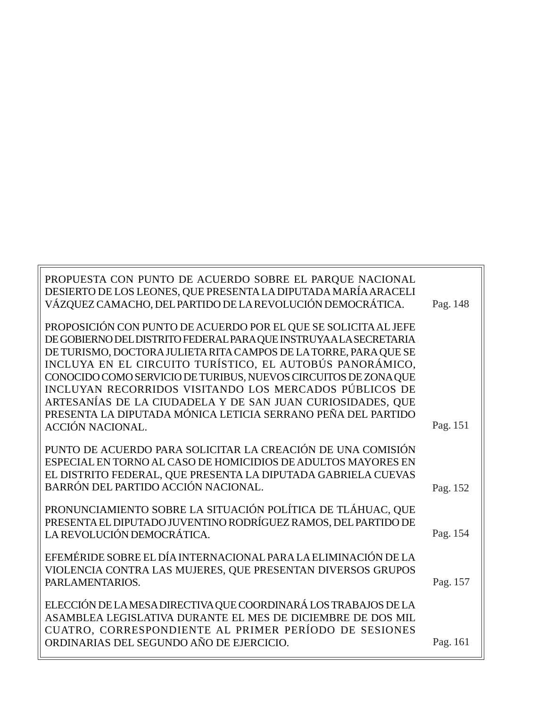| PROPUESTA CON PUNTO DE ACUERDO SOBRE EL PARQUE NACIONAL<br>DESIERTO DE LOS LEONES, QUE PRESENTA LA DIPUTADA MARÍA ARACELI              |          |
|----------------------------------------------------------------------------------------------------------------------------------------|----------|
| VÁZQUEZ CAMACHO, DEL PARTIDO DE LA REVOLUCIÓN DEMOCRÁTICA.                                                                             | Pag. 148 |
| PROPOSICIÓN CON PUNTO DE ACUERDO POR EL QUE SE SOLICITA AL JEFE                                                                        |          |
| DE GOBIERNO DEL DISTRITO FEDERAL PARA QUE INSTRUYA A LA SECRETARIA<br>DE TURISMO, DOCTORA JULIETA RITA CAMPOS DE LA TORRE, PARA QUE SE |          |
| INCLUYA EN EL CIRCUITO TURÍSTICO, EL AUTOBÚS PANORÁMICO,                                                                               |          |
| CONOCIDO COMO SERVICIO DE TURIBUS, NUEVOS CIRCUITOS DE ZONA QUE                                                                        |          |
| INCLUYAN RECORRIDOS VISITANDO LOS MERCADOS PÚBLICOS DE                                                                                 |          |
| ARTESANÍAS DE LA CIUDADELA Y DE SAN JUAN CURIOSIDADES, QUE                                                                             |          |
| PRESENTA LA DIPUTADA MÓNICA LETICIA SERRANO PEÑA DEL PARTIDO                                                                           |          |
| <b>ACCIÓN NACIONAL.</b>                                                                                                                | Pag. 151 |
|                                                                                                                                        |          |
| PUNTO DE ACUERDO PARA SOLICITAR LA CREACIÓN DE UNA COMISIÓN<br>ESPECIAL EN TORNO AL CASO DE HOMICIDIOS DE ADULTOS MAYORES EN           |          |
| EL DISTRITO FEDERAL, QUE PRESENTA LA DIPUTADA GABRIELA CUEVAS                                                                          |          |
| BARRÓN DEL PARTIDO ACCIÓN NACIONAL.                                                                                                    | Pag. 152 |
|                                                                                                                                        |          |
| PRONUNCIAMIENTO SOBRE LA SITUACIÓN POLÍTICA DE TLÁHUAC, QUE                                                                            |          |
| PRESENTA EL DIPUTADO JUVENTINO RODRÍGUEZ RAMOS, DEL PARTIDO DE                                                                         |          |
| LA REVOLUCIÓN DEMOCRÁTICA.                                                                                                             | Pag. 154 |
| EFEMÉRIDE SOBRE EL DÍA INTERNACIONAL PARA LA ELIMINACIÓN DE LA                                                                         |          |
| VIOLENCIA CONTRA LAS MUJERES, QUE PRESENTAN DIVERSOS GRUPOS                                                                            |          |
| PARLAMENTARIOS.                                                                                                                        | Pag. 157 |
|                                                                                                                                        |          |
| ELECCIÓN DE LA MESA DIRECTIVA QUE COORDINARÁ LOS TRABAJOS DE LA                                                                        |          |
| ASAMBLEA LEGISLATIVA DURANTE EL MES DE DICIEMBRE DE DOS MIL                                                                            |          |
| CUATRO, CORRESPONDIENTE AL PRIMER PERÍODO DE SESIONES                                                                                  |          |
| ORDINARIAS DEL SEGUNDO AÑO DE EJERCICIO.                                                                                               | Pag. 161 |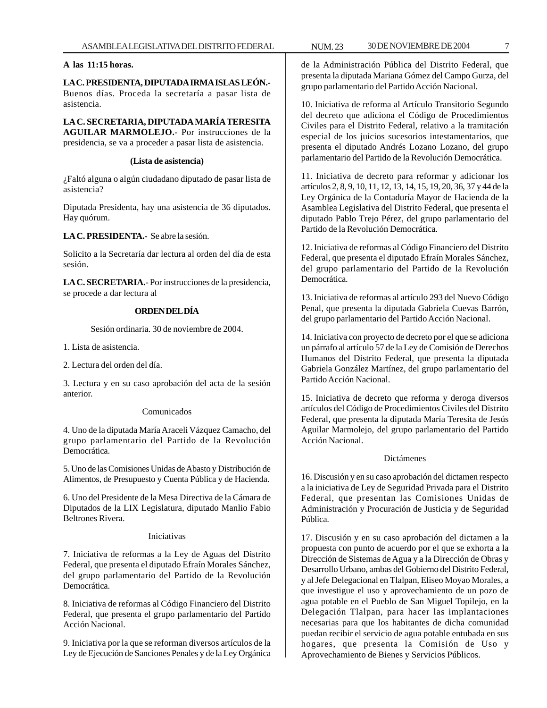## **A las 11:15 horas.**

**LA C. PRESIDENTA, DIPUTADA IRMA ISLAS LEÓN.-** Buenos días. Proceda la secretaría a pasar lista de asistencia.

**LA C. SECRETARIA, DIPUTADA MARÍA TERESITA AGUILAR MARMOLEJO.-** Por instrucciones de la presidencia, se va a proceder a pasar lista de asistencia.

#### **(Lista de asistencia)**

¿Faltó alguna o algún ciudadano diputado de pasar lista de asistencia?

Diputada Presidenta, hay una asistencia de 36 diputados. Hay quórum.

**LA C. PRESIDENTA.-** Se abre la sesión.

Solicito a la Secretaría dar lectura al orden del día de esta sesión.

**LA C. SECRETARIA.-** Por instrucciones de la presidencia, se procede a dar lectura al

# **ORDEN DEL DÍA**

Sesión ordinaria. 30 de noviembre de 2004.

1. Lista de asistencia.

2. Lectura del orden del día.

3. Lectura y en su caso aprobación del acta de la sesión anterior.

# Comunicados

4. Uno de la diputada María Araceli Vázquez Camacho, del grupo parlamentario del Partido de la Revolución Democrática.

5. Uno de las Comisiones Unidas de Abasto y Distribución de Alimentos, de Presupuesto y Cuenta Pública y de Hacienda.

6. Uno del Presidente de la Mesa Directiva de la Cámara de Diputados de la LIX Legislatura, diputado Manlio Fabio Beltrones Rivera.

# Iniciativas

7. Iniciativa de reformas a la Ley de Aguas del Distrito Federal, que presenta el diputado Efraín Morales Sánchez, del grupo parlamentario del Partido de la Revolución Democrática.

8. Iniciativa de reformas al Código Financiero del Distrito Federal, que presenta el grupo parlamentario del Partido Acción Nacional.

9. Iniciativa por la que se reforman diversos artículos de la Ley de Ejecución de Sanciones Penales y de la Ley Orgánica

de la Administración Pública del Distrito Federal, que presenta la diputada Mariana Gómez del Campo Gurza, del grupo parlamentario del Partido Acción Nacional.

10. Iniciativa de reforma al Artículo Transitorio Segundo del decreto que adiciona el Código de Procedimientos Civiles para el Distrito Federal, relativo a la tramitación especial de los juicios sucesorios intestamentarios, que presenta el diputado Andrés Lozano Lozano, del grupo parlamentario del Partido de la Revolución Democrática.

11. Iniciativa de decreto para reformar y adicionar los artículos 2, 8, 9, 10, 11, 12, 13, 14, 15, 19, 20, 36, 37 y 44 de la Ley Orgánica de la Contaduría Mayor de Hacienda de la Asamblea Legislativa del Distrito Federal, que presenta el diputado Pablo Trejo Pérez, del grupo parlamentario del Partido de la Revolución Democrática.

12. Iniciativa de reformas al Código Financiero del Distrito Federal, que presenta el diputado Efraín Morales Sánchez, del grupo parlamentario del Partido de la Revolución Democrática.

13. Iniciativa de reformas al artículo 293 del Nuevo Código Penal, que presenta la diputada Gabriela Cuevas Barrón, del grupo parlamentario del Partido Acción Nacional.

14. Iniciativa con proyecto de decreto por el que se adiciona un párrafo al artículo 57 de la Ley de Comisión de Derechos Humanos del Distrito Federal, que presenta la diputada Gabriela González Martínez, del grupo parlamentario del Partido Acción Nacional.

15. Iniciativa de decreto que reforma y deroga diversos artículos del Código de Procedimientos Civiles del Distrito Federal, que presenta la diputada María Teresita de Jesús Aguilar Marmolejo, del grupo parlamentario del Partido Acción Nacional.

#### Dictámenes

16. Discusión y en su caso aprobación del dictamen respecto a la iniciativa de Ley de Seguridad Privada para el Distrito Federal, que presentan las Comisiones Unidas de Administración y Procuración de Justicia y de Seguridad Pública.

17. Discusión y en su caso aprobación del dictamen a la propuesta con punto de acuerdo por el que se exhorta a la Dirección de Sistemas de Agua y a la Dirección de Obras y Desarrollo Urbano, ambas del Gobierno del Distrito Federal, y al Jefe Delegacional en Tlalpan, Eliseo Moyao Morales, a que investigue el uso y aprovechamiento de un pozo de agua potable en el Pueblo de San Miguel Topilejo, en la Delegación Tlalpan, para hacer las implantaciones necesarias para que los habitantes de dicha comunidad puedan recibir el servicio de agua potable entubada en sus hogares, que presenta la Comisión de Uso y Aprovechamiento de Bienes y Servicios Públicos.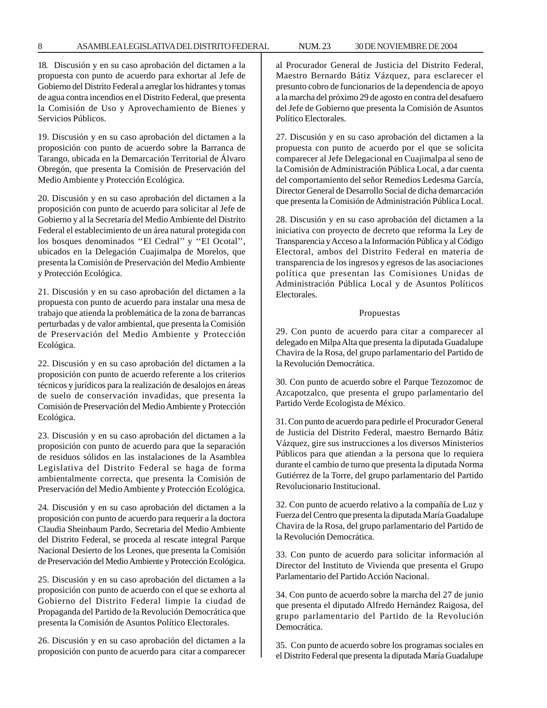#### 8 ASAMBLEA LEGISLATIVA DEL DISTRITO FEDERAL NUM. 23 30 DE NOVIEMBRE DE 2004

18. Discusión y en su caso aprobación del dictamen a la propuesta con punto de acuerdo para exhortar al Jefe de Gobierno del Distrito Federal a arreglar los hidrantes y tomas de agua contra incendios en el Distrito Federal, que presenta la Comisión de Uso y Aprovechamiento de Bienes y Servicios Públicos.

19. Discusión y en su caso aprobación del dictamen a la proposición con punto de acuerdo sobre la Barranca de Tarango, ubicada en la Demarcación Territorial de Álvaro Obregón, que presenta la Comisión de Preservación del Medio Ambiente y Protección Ecológica.

20. Discusión y en su caso aprobación del dictamen a la proposición con punto de acuerdo para solicitar al Jefe de Gobierno y al la Secretaría del Medio Ambiente del Distrito Federal el establecimiento de un área natural protegida con los bosques denominados ''El Cedral'' y ''El Ocotal'', ubicados en la Delegación Cuajimalpa de Morelos, que presenta la Comisión de Preservación del Medio Ambiente y Protección Ecológica.

21. Discusión y en su caso aprobación del dictamen a la propuesta con punto de acuerdo para instalar una mesa de trabajo que atienda la problemática de la zona de barrancas perturbadas y de valor ambiental, que presenta la Comisión de Preservación del Medio Ambiente y Protección Ecológica.

22. Discusión y en su caso aprobación del dictamen a la proposición con punto de acuerdo referente a los criterios técnicos y jurídicos para la realización de desalojos en áreas de suelo de conservación invadidas, que presenta la Comisión de Preservación del Medio Ambiente y Protección Ecológica.

23. Discusión y en su caso aprobación del dictamen a la proposición con punto de acuerdo para que la separación de residuos sólidos en las instalaciones de la Asamblea Legislativa del Distrito Federal se haga de forma ambientalmente correcta, que presenta la Comisión de Preservación del Medio Ambiente y Protección Ecológica.

24. Discusión y en su caso aprobación del dictamen a la proposición con punto de acuerdo para requerir a la doctora Claudia Sheinbaum Pardo, Secretaria del Medio Ambiente del Distrito Federal, se proceda al rescate integral Parque Nacional Desierto de los Leones, que presenta la Comisión de Preservación del Medio Ambiente y Protección Ecológica.

25. Discusión y en su caso aprobación del dictamen a la proposición con punto de acuerdo con el que se exhorta al Gobierno del Distrito Federal limpie la ciudad de Propaganda del Partido de la Revolución Democrática que presenta la Comisión de Asuntos Político Electorales.

26. Discusión y en su caso aprobación del dictamen a la proposición con punto de acuerdo para citar a comparecer al Procurador General de Justicia del Distrito Federal, Maestro Bernardo Bátiz Vázquez, para esclarecer el presunto cobro de funcionarios de la dependencia de apoyo a la marcha del próximo 29 de agosto en contra del desafuero del Jefe de Gobierno que presenta la Comisión de Asuntos Político Electorales.

27. Discusión y en su caso aprobación del dictamen a la propuesta con punto de acuerdo por el que se solicita comparecer al Jefe Delegacional en Cuajimalpa al seno de la Comisión de Administración Pública Local, a dar cuenta del comportamiento del señor Remedios Ledesma García, Director General de Desarrollo Social de dicha demarcación que presenta la Comisión de Administración Pública Local.

28. Discusión y en su caso aprobación del dictamen a la iniciativa con proyecto de decreto que reforma la Ley de Transparencia y Acceso a la Información Pública y al Código Electoral, ambos del Distrito Federal en materia de transparencia de los ingresos y egresos de las asociaciones política que presentan las Comisiones Unidas de Administración Pública Local y de Asuntos Políticos Electorales.

#### Propuestas

29. Con punto de acuerdo para citar a comparecer al delegado en Milpa Alta que presenta la diputada Guadalupe Chavira de la Rosa, del grupo parlamentario del Partido de la Revolución Democrática.

30. Con punto de acuerdo sobre el Parque Tezozomoc de Azcapotzalco, que presenta el grupo parlamentario del Partido Verde Ecologista de México.

31. Con punto de acuerdo para pedirle el Procurador General de Justicia del Distrito Federal, maestro Bernardo Bátiz Vázquez, gire sus instrucciones a los diversos Ministerios Públicos para que atiendan a la persona que lo requiera durante el cambio de turno que presenta la diputada Norma Gutiérrez de la Torre, del grupo parlamentario del Partido Revolucionario Institucional.

32. Con punto de acuerdo relativo a la compañía de Luz y Fuerza del Centro que presenta la diputada María Guadalupe Chavira de la Rosa, del grupo parlamentario del Partido de la Revolución Democrática.

33. Con punto de acuerdo para solicitar información al Director del Instituto de Vivienda que presenta el Grupo Parlamentario del Partido Acción Nacional.

34. Con punto de acuerdo sobre la marcha del 27 de junio que presenta el diputado Alfredo Hernández Raigosa, del grupo parlamentario del Partido de la Revolución **Democrática** 

35. Con punto de acuerdo sobre los programas sociales en el Distrito Federal que presenta la diputada María Guadalupe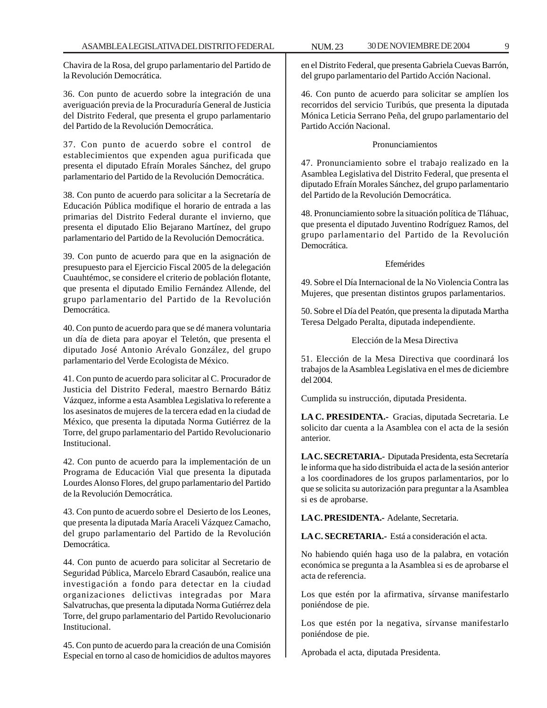Chavira de la Rosa, del grupo parlamentario del Partido de la Revolución Democrática.

36. Con punto de acuerdo sobre la integración de una averiguación previa de la Procuraduría General de Justicia del Distrito Federal, que presenta el grupo parlamentario del Partido de la Revolución Democrática.

37. Con punto de acuerdo sobre el control de establecimientos que expenden agua purificada que presenta el diputado Efraín Morales Sánchez, del grupo parlamentario del Partido de la Revolución Democrática.

38. Con punto de acuerdo para solicitar a la Secretaría de Educación Pública modifique el horario de entrada a las primarias del Distrito Federal durante el invierno, que presenta el diputado Elio Bejarano Martínez, del grupo parlamentario del Partido de la Revolución Democrática.

39. Con punto de acuerdo para que en la asignación de presupuesto para el Ejercicio Fiscal 2005 de la delegación Cuauhtémoc, se considere el criterio de población flotante, que presenta el diputado Emilio Fernández Allende, del grupo parlamentario del Partido de la Revolución Democrática.

40. Con punto de acuerdo para que se dé manera voluntaria un día de dieta para apoyar el Teletón, que presenta el diputado José Antonio Arévalo González, del grupo parlamentario del Verde Ecologista de México.

41. Con punto de acuerdo para solicitar al C. Procurador de Justicia del Distrito Federal, maestro Bernardo Bátiz Vázquez, informe a esta Asamblea Legislativa lo referente a los asesinatos de mujeres de la tercera edad en la ciudad de México, que presenta la diputada Norma Gutiérrez de la Torre, del grupo parlamentario del Partido Revolucionario Institucional.

42. Con punto de acuerdo para la implementación de un Programa de Educación Vial que presenta la diputada Lourdes Alonso Flores, del grupo parlamentario del Partido de la Revolución Democrática.

43. Con punto de acuerdo sobre el Desierto de los Leones, que presenta la diputada María Araceli Vázquez Camacho, del grupo parlamentario del Partido de la Revolución Democrática.

44. Con punto de acuerdo para solicitar al Secretario de Seguridad Pública, Marcelo Ebrard Casaubón, realice una investigación a fondo para detectar en la ciudad organizaciones delictivas integradas por Mara Salvatruchas, que presenta la diputada Norma Gutiérrez dela Torre, del grupo parlamentario del Partido Revolucionario Institucional.

45. Con punto de acuerdo para la creación de una Comisión Especial en torno al caso de homicidios de adultos mayores

en el Distrito Federal, que presenta Gabriela Cuevas Barrón, del grupo parlamentario del Partido Acción Nacional.

46. Con punto de acuerdo para solicitar se amplíen los recorridos del servicio Turibús, que presenta la diputada Mónica Leticia Serrano Peña, del grupo parlamentario del Partido Acción Nacional.

# Pronunciamientos

47. Pronunciamiento sobre el trabajo realizado en la Asamblea Legislativa del Distrito Federal, que presenta el diputado Efraín Morales Sánchez, del grupo parlamentario del Partido de la Revolución Democrática.

48. Pronunciamiento sobre la situación política de Tláhuac, que presenta el diputado Juventino Rodríguez Ramos, del grupo parlamentario del Partido de la Revolución Democrática.

## Efemérides

49. Sobre el Día Internacional de la No Violencia Contra las Mujeres, que presentan distintos grupos parlamentarios.

50. Sobre el Día del Peatón, que presenta la diputada Martha Teresa Delgado Peralta, diputada independiente.

# Elección de la Mesa Directiva

51. Elección de la Mesa Directiva que coordinará los trabajos de la Asamblea Legislativa en el mes de diciembre del 2004.

Cumplida su instrucción, diputada Presidenta.

**LA C. PRESIDENTA.-** Gracias, diputada Secretaria. Le solicito dar cuenta a la Asamblea con el acta de la sesión anterior.

**LA C. SECRETARIA.-** Diputada Presidenta, esta Secretaría le informa que ha sido distribuida el acta de la sesión anterior a los coordinadores de los grupos parlamentarios, por lo que se solicita su autorización para preguntar a la Asamblea si es de aprobarse.

**LA C. PRESIDENTA.-** Adelante, Secretaria.

**LA C. SECRETARIA.-** Está a consideración el acta.

No habiendo quién haga uso de la palabra, en votación económica se pregunta a la Asamblea si es de aprobarse el acta de referencia.

Los que estén por la afirmativa, sírvanse manifestarlo poniéndose de pie.

Los que estén por la negativa, sírvanse manifestarlo poniéndose de pie.

Aprobada el acta, diputada Presidenta.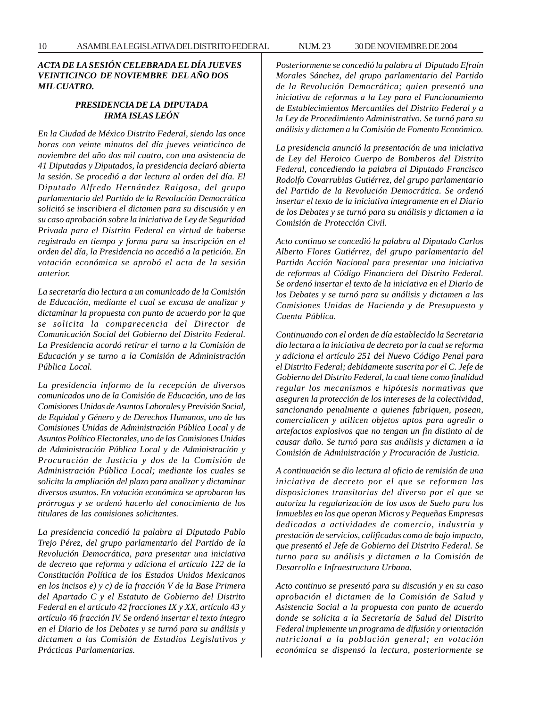# *ACTA DE LA SESIÓN CELEBRADA EL DÍA JUEVES VEINTICINCO DE NOVIEMBRE DEL AÑO DOS MIL CUATRO.*

# *PRESIDENCIA DE LA DIPUTADA IRMA ISLAS LEÓN*

*En la Ciudad de México Distrito Federal, siendo las once horas con veinte minutos del día jueves veinticinco de noviembre del año dos mil cuatro, con una asistencia de 41 Diputadas y Diputados, la presidencia declaró abierta la sesión. Se procedió a dar lectura al orden del día. El Diputado Alfredo Hernández Raigosa, del grupo parlamentario del Partido de la Revolución Democrática solicitó se inscribiera el dictamen para su discusión y en su caso aprobación sobre la iniciativa de Ley de Seguridad Privada para el Distrito Federal en virtud de haberse registrado en tiempo y forma para su inscripción en el orden del día, la Presidencia no accedió a la petición. En votación económica se aprobó el acta de la sesión anterior.*

*La secretaría dio lectura a un comunicado de la Comisión de Educación, mediante el cual se excusa de analizar y dictaminar la propuesta con punto de acuerdo por la que se solicita la comparecencia del Director de Comunicación Social del Gobierno del Distrito Federal. La Presidencia acordó retirar el turno a la Comisión de Educación y se turno a la Comisión de Administración Pública Local.*

*La presidencia informo de la recepción de diversos comunicados uno de la Comisión de Educación, uno de las Comisiones Unidas de Asuntos Laborales y Previsión Social, de Equidad y Género y de Derechos Humanos, uno de las Comisiones Unidas de Administración Pública Local y de Asuntos Político Electorales, uno de las Comisiones Unidas de Administración Pública Local y de Administración y Procuración de Justicia y dos de la Comisión de Administración Pública Local; mediante los cuales se solicita la ampliación del plazo para analizar y dictaminar diversos asuntos. En votación económica se aprobaron las prórrogas y se ordenó hacerlo del conocimiento de los titulares de las comisiones solicitantes.*

*La presidencia concedió la palabra al Diputado Pablo Trejo Pérez, del grupo parlamentario del Partido de la Revolución Democrática, para presentar una iniciativa de decreto que reforma y adiciona el artículo 122 de la Constitución Política de los Estados Unidos Mexicanos en los incisos e) y c) de la fracción V de la Base Primera del Apartado C y el Estatuto de Gobierno del Distrito Federal en el artículo 42 fracciones IX y XX, artículo 43 y artículo 46 fracción IV. Se ordenó insertar el texto íntegro en el Diario de los Debates y se turnó para su análisis y dictamen a las Comisión de Estudios Legislativos y Prácticas Parlamentarias.*

*Posteriormente se concedió la palabra al Diputado Efraín Morales Sánchez, del grupo parlamentario del Partido de la Revolución Democrática; quien presentó una iniciativa de reformas a la Ley para el Funcionamiento de Establecimientos Mercantiles del Distrito Federal y a la Ley de Procedimiento Administrativo. Se turnó para su análisis y dictamen a la Comisión de Fomento Económico.*

*La presidencia anunció la presentación de una iniciativa de Ley del Heroico Cuerpo de Bomberos del Distrito Federal, concediendo la palabra al Diputado Francisco Rodolfo Covarrubias Gutiérrez, del grupo parlamentario del Partido de la Revolución Democrática. Se ordenó insertar el texto de la iniciativa íntegramente en el Diario de los Debates y se turnó para su análisis y dictamen a la Comisión de Protección Civil.*

*Acto continuo se concedió la palabra al Diputado Carlos Alberto Flores Gutiérrez, del grupo parlamentario del Partido Acción Nacional para presentar una iniciativa de reformas al Código Financiero del Distrito Federal. Se ordenó insertar el texto de la iniciativa en el Diario de los Debates y se turnó para su análisis y dictamen a las Comisiones Unidas de Hacienda y de Presupuesto y Cuenta Pública.*

*Continuando con el orden de día establecido la Secretaria dio lectura a la iniciativa de decreto por la cual se reforma y adiciona el artículo 251 del Nuevo Código Penal para el Distrito Federal; debidamente suscrita por el C. Jefe de Gobierno del Distrito Federal, la cual tiene como finalidad regular los mecanismos e hipótesis normativas que aseguren la protección de los intereses de la colectividad, sancionando penalmente a quienes fabriquen, posean, comercialicen y utilicen objetos aptos para agredir o artefactos explosivos que no tengan un fin distinto al de causar daño. Se turnó para sus análisis y dictamen a la Comisión de Administración y Procuración de Justicia.*

*A continuación se dio lectura al oficio de remisión de una iniciativa de decreto por el que se reforman las disposiciones transitorias del diverso por el que se autoriza la regularización de los usos de Suelo para los Inmuebles en los que operan Micros y Pequeñas Empresas dedicadas a actividades de comercio, industria y prestación de servicios, calificadas como de bajo impacto, que presentó el Jefe de Gobierno del Distrito Federal. Se turno para su análisis y dictamen a la Comisión de Desarrollo e Infraestructura Urbana.*

*Acto continuo se presentó para su discusión y en su caso aprobación el dictamen de la Comisión de Salud y Asistencia Social a la propuesta con punto de acuerdo donde se solicita a la Secretaría de Salud del Distrito Federal implemente un programa de difusión y orientación nutricional a la población general; en votación económica se dispensó la lectura, posteriormente se*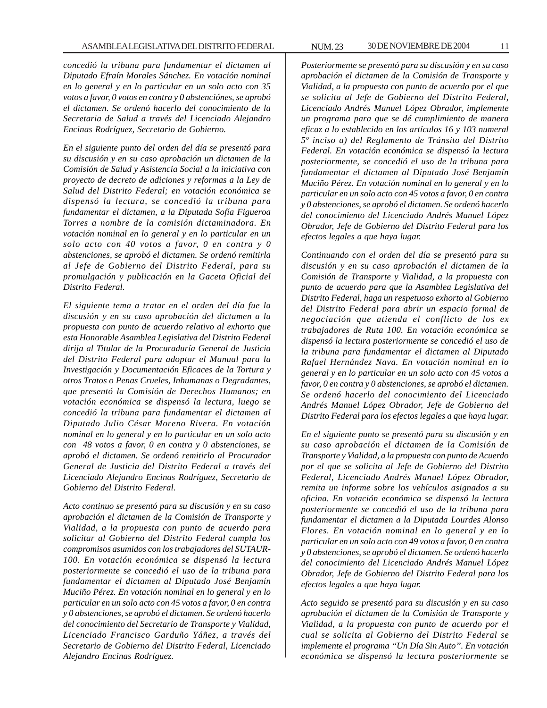*concedió la tribuna para fundamentar el dictamen al Diputado Efraín Morales Sánchez. En votación nominal en lo general y en lo particular en un solo acto con 35 votos a favor, 0 votos en contra y 0 abstenciónes, se aprobó el dictamen. Se ordenó hacerlo del conocimiento de la Secretaria de Salud a través del Licenciado Alejandro Encinas Rodríguez, Secretario de Gobierno.*

*En el siguiente punto del orden del día se presentó para su discusión y en su caso aprobación un dictamen de la Comisión de Salud y Asistencia Social a la iniciativa con proyecto de decreto de adiciones y reformas a la Ley de Salud del Distrito Federal; en votación económica se dispensó la lectura, se concedió la tribuna para fundamentar el dictamen, a la Diputada Sofía Figueroa Torres a nombre de la comisión dictaminadora. En votación nominal en lo general y en lo particular en un solo acto con 40 votos a favor, 0 en contra y 0 abstenciones, se aprobó el dictamen. Se ordenó remitirla al Jefe de Gobierno del Distrito Federal, para su promulgación y publicación en la Gaceta Oficial del Distrito Federal.*

*El siguiente tema a tratar en el orden del día fue la discusión y en su caso aprobación del dictamen a la propuesta con punto de acuerdo relativo al exhorto que esta Honorable Asamblea Legislativa del Distrito Federal dirija al Titular de la Procuraduría General de Justicia del Distrito Federal para adoptar el Manual para la Investigación y Documentación Eficaces de la Tortura y otros Tratos o Penas Crueles, Inhumanas o Degradantes, que presentó la Comisión de Derechos Humanos; en votación económica se dispensó la lectura, luego se concedió la tribuna para fundamentar el dictamen al Diputado Julio César Moreno Rivera. En votación nominal en lo general y en lo particular en un solo acto con 48 votos a favor, 0 en contra y 0 abstenciones, se aprobó el dictamen. Se ordenó remitirlo al Procurador General de Justicia del Distrito Federal a través del Licenciado Alejandro Encinas Rodríguez, Secretario de Gobierno del Distrito Federal.*

*Acto continuo se presentó para su discusión y en su caso aprobación el dictamen de la Comisión de Transporte y Vialidad, a la propuesta con punto de acuerdo para solicitar al Gobierno del Distrito Federal cumpla los compromisos asumidos con los trabajadores del SUTAUR-100. En votación económica se dispensó la lectura posteriormente se concedió el uso de la tribuna para fundamentar el dictamen al Diputado José Benjamín Muciño Pérez. En votación nominal en lo general y en lo particular en un solo acto con 45 votos a favor, 0 en contra y 0 abstenciones, se aprobó el dictamen. Se ordenó hacerlo del conocimiento del Secretario de Transporte y Vialidad, Licenciado Francisco Garduño Yáñez, a través del Secretario de Gobierno del Distrito Federal, Licenciado Alejandro Encinas Rodríguez.*

*Posteriormente se presentó para su discusión y en su caso aprobación el dictamen de la Comisión de Transporte y Vialidad, a la propuesta con punto de acuerdo por el que se solicita al Jefe de Gobierno del Distrito Federal, Licenciado Andrés Manuel López Obrador, implemente un programa para que se dé cumplimiento de manera eficaz a lo establecido en los artículos 16 y 103 numeral 5º inciso a) del Reglamento de Tránsito del Distrito Federal. En votación económica se dispensó la lectura posteriormente, se concedió el uso de la tribuna para fundamentar el dictamen al Diputado José Benjamín Muciño Pérez. En votación nominal en lo general y en lo particular en un solo acto con 45 votos a favor, 0 en contra y 0 abstenciones, se aprobó el dictamen. Se ordenó hacerlo del conocimiento del Licenciado Andrés Manuel López Obrador, Jefe de Gobierno del Distrito Federal para los efectos legales a que haya lugar.*

*Continuando con el orden del día se presentó para su discusión y en su caso aprobación el dictamen de la Comisión de Transporte y Vialidad, a la propuesta con punto de acuerdo para que la Asamblea Legislativa del Distrito Federal, haga un respetuoso exhorto al Gobierno del Distrito Federal para abrir un espacio formal de negociación que atienda el conflicto de los ex trabajadores de Ruta 100. En votación económica se dispensó la lectura posteriormente se concedió el uso de la tribuna para fundamentar el dictamen al Diputado Rafael Hernández Nava. En votación nominal en lo general y en lo particular en un solo acto con 45 votos a favor, 0 en contra y 0 abstenciones, se aprobó el dictamen. Se ordenó hacerlo del conocimiento del Licenciado Andrés Manuel López Obrador, Jefe de Gobierno del Distrito Federal para los efectos legales a que haya lugar.*

*En el siguiente punto se presentó para su discusión y en su caso aprobación el dictamen de la Comisión de Transporte y Vialidad, a la propuesta con punto de Acuerdo por el que se solicita al Jefe de Gobierno del Distrito Federal, Licenciado Andrés Manuel López Obrador, remita un informe sobre los vehículos asignados a su oficina. En votación económica se dispensó la lectura posteriormente se concedió el uso de la tribuna para fundamentar el dictamen a la Diputada Lourdes Alonso Flores. En votación nominal en lo general y en lo particular en un solo acto con 49 votos a favor, 0 en contra y 0 abstenciones, se aprobó el dictamen. Se ordenó hacerlo del conocimiento del Licenciado Andrés Manuel López Obrador, Jefe de Gobierno del Distrito Federal para los efectos legales a que haya lugar.*

*Acto seguido se presentó para su discusión y en su caso aprobación el dictamen de la Comisión de Transporte y Vialidad, a la propuesta con punto de acuerdo por el cual se solicita al Gobierno del Distrito Federal se implemente el programa ''Un Día Sin Auto''. En votación económica se dispensó la lectura posteriormente se*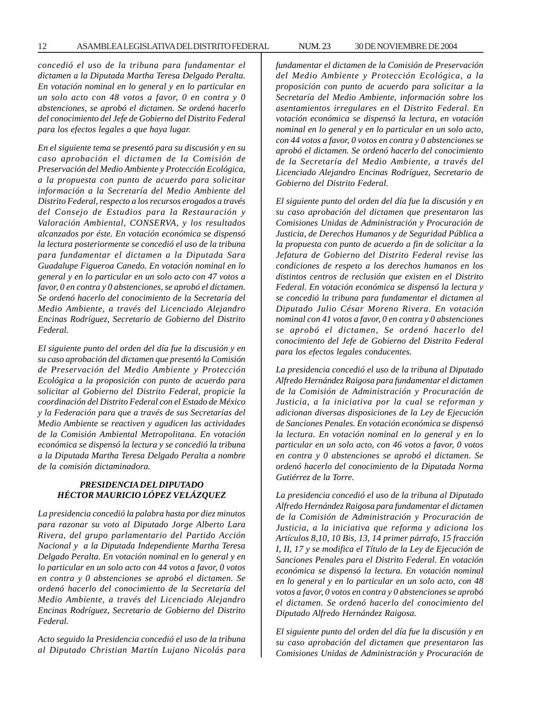*concedió el uso de la tribuna para fundamentar el dictamen a la Diputada Martha Teresa Delgado Peralta. En votación nominal en lo general y en lo particular en un solo acto con 48 votos a favor, 0 en contra y 0 abstenciones, se aprobó el dictamen. Se ordenó hacerlo del conocimiento del Jefe de Gobierno del Distrito Federal para los efectos legales a que haya lugar.*

*En el siguiente tema se presentó para su discusión y en su caso aprobación el dictamen de la Comisión de Preservación del Medio Ambiente y Protección Ecológica, a la propuesta con punto de acuerdo para solicitar información a la Secretaría del Medio Ambiente del Distrito Federal, respecto a los recursos erogados a través del Consejo de Estudios para la Restauración y Valoración Ambiental, CONSERVA, y los resultados alcanzados por éste. En votación económica se dispensó la lectura posteriormente se concedió el uso de la tribuna para fundamentar el dictamen a la Diputada Sara Guadalupe Figueroa Canedo. En votación nominal en lo general y en lo particular en un solo acto con 47 votos a favor, 0 en contra y 0 abstenciones, se aprobó el dictamen. Se ordenó hacerlo del conocimiento de la Secretaría del Medio Ambiente, a través del Licenciado Alejandro Encinas Rodríguez, Secretario de Gobierno del Distrito Federal.*

*El siguiente punto del orden del día fue la discusión y en su caso aprobación del dictamen que presentó la Comisión de Preservación del Medio Ambiente y Protección Ecológica a la proposición con punto de acuerdo para solicitar al Gobierno del Distrito Federal, propicie la coordinación del Distrito Federal con el Estado de México y la Federación para que a través de sus Secretarías del Medio Ambiente se reactiven y agudicen las actividades de la Comisión Ambiental Metropolitana. En votación económica se dispensó la lectura y se concedió la tribuna a la Diputada Martha Teresa Delgado Peralta a nombre de la comisión dictaminadora.*

# *PRESIDENCIA DEL DIPUTADO HÉCTOR MAURICIO LÓPEZ VELÁZQUEZ*

*La presidencia concedió la palabra hasta por diez minutos para razonar su voto al Diputado Jorge Alberto Lara Rivera, del grupo parlamentario del Partido Acción Nacional y a la Diputada Independiente Martha Teresa Delgado Peralta. En votación nominal en lo general y en lo particular en un solo acto con 44 votos a favor, 0 votos en contra y 0 abstenciones se aprobó el dictamen. Se ordenó hacerlo del conocimiento de la Secretaría del Medio Ambiente, a través del Licenciado Alejandro Encinas Rodríguez, Secretario de Gobierno del Distrito Federal.*

*Acto seguido la Presidencia concedió el uso de la tribuna al Diputado Christian Martín Lujano Nicolás para* *fundamentar el dictamen de la Comisión de Preservación del Medio Ambiente y Protección Ecológica, a la proposición con punto de acuerdo para solicitar a la Secretaría del Medio Ambiente, información sobre los asentamientos irregulares en el Distrito Federal. En votación económica se dispensó la lectura, en votación nominal en lo general y en lo particular en un solo acto, con 44 votos a favor, 0 votos en contra y 0 abstenciones se aprobó el dictamen. Se ordenó hacerlo del conocimiento de la Secretaría del Medio Ambiente, a través del Licenciado Alejandro Encinas Rodríguez, Secretario de Gobierno del Distrito Federal.*

*El siguiente punto del orden del día fue la discusión y en su caso aprobación del dictamen que presentaron las Comisiones Unidas de Administración y Procuración de Justicia, de Derechos Humanos y de Seguridad Pública a la propuesta con punto de acuerdo a fin de solicitar a la Jefatura de Gobierno del Distrito Federal revise las condiciones de respeto a los derechos humanos en los distintos centros de reclusión que existen en el Distrito Federal. En votación económica se dispensó la lectura y se concedió la tribuna para fundamentar el dictamen al Diputado Julio César Moreno Rivera. En votación nominal con 41 votos a favor, 0 en contra y 0 abstenciones se aprobó el dictamen, Se ordenó hacerlo del conocimiento del Jefe de Gobierno del Distrito Federal para los efectos legales conducentes.*

*La presidencia concedió el uso de la tribuna al Diputado Alfredo Hernández Raigosa para fundamentar el dictamen de la Comisión de Administración y Procuración de Justicia, a la iniciativa por la cual se reforman y adicionan diversas disposiciones de la Ley de Ejecución de Sanciones Penales. En votación económica se dispensó la lectura. En votación nominal en lo general y en lo particular en un solo acto, con 46 votos a favor, 0 votos en contra y 0 abstenciones se aprobó el dictamen. Se ordenó hacerlo del conocimiento de la Diputada Norma Gutiérrez de la Torre.*

*La presidencia concedió el uso de la tribuna al Diputado Alfredo Hernández Raigosa para fundamentar el dictamen de la Comisión de Administración y Procuración de Justicia, a la iniciativa que reforma y adiciona los Artículos 8,10, 10 Bis, 13, 14 primer párrafo, 15 fracción I, II, 17 y se modifica el Título de la Ley de Ejecución de Sanciones Penales para el Distrito Federal. En votación económica se dispensó la lectura. En votación nominal en lo general y en lo particular en un solo acto, con 48 votos a favor, 0 votos en contra y 0 abstenciones se aprobó el dictamen. Se ordenó hacerlo del conocimiento del Diputado Alfredo Hernández Raigosa.*

*El siguiente punto del orden del día fue la discusión y en su caso aprobación del dictamen que presentaron las Comisiones Unidas de Administración y Procuración de*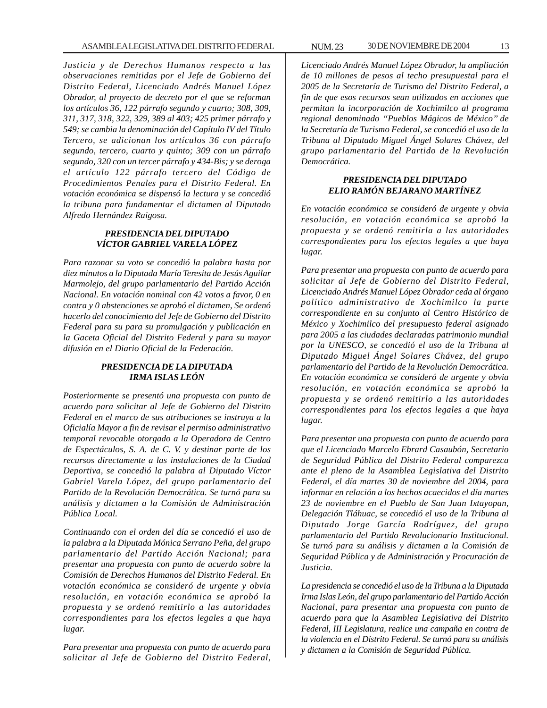*Justicia y de Derechos Humanos respecto a las observaciones remitidas por el Jefe de Gobierno del Distrito Federal, Licenciado Andrés Manuel López Obrador, al proyecto de decreto por el que se reforman los artículos 36, 122 párrafo segundo y cuarto; 308, 309, 311, 317, 318, 322, 329, 389 al 403; 425 primer párrafo y 549; se cambia la denominación del Capítulo IV del Título Tercero, se adicionan los artículos 36 con párrafo segundo, tercero, cuarto y quinto; 309 con un párrafo segundo, 320 con un tercer párrafo y 434-Bis; y se deroga el artículo 122 párrafo tercero del Código de Procedimientos Penales para el Distrito Federal. En votación económica se dispensó la lectura y se concedió la tribuna para fundamentar el dictamen al Diputado Alfredo Hernández Raigosa.*

## *PRESIDENCIA DEL DIPUTADO VÍCTOR GABRIEL VARELA LÓPEZ*

*Para razonar su voto se concedió la palabra hasta por diez minutos a la Diputada María Teresita de Jesús Aguilar Marmolejo, del grupo parlamentario del Partido Acción Nacional. En votación nominal con 42 votos a favor, 0 en contra y 0 abstenciones se aprobó el dictamen, Se ordenó hacerlo del conocimiento del Jefe de Gobierno del Distrito Federal para su para su promulgación y publicación en la Gaceta Oficial del Distrito Federal y para su mayor difusión en el Diario Oficial de la Federación.*

# *PRESIDENCIA DE LA DIPUTADA IRMA ISLAS LEÓN*

*Posteriormente se presentó una propuesta con punto de acuerdo para solicitar al Jefe de Gobierno del Distrito Federal en el marco de sus atribuciones se instruya a la Oficialía Mayor a fin de revisar el permiso administrativo temporal revocable otorgado a la Operadora de Centro de Espectáculos, S. A. de C. V. y destinar parte de los recursos directamente a las instalaciones de la Ciudad Deportiva, se concedió la palabra al Diputado Víctor Gabriel Varela López, del grupo parlamentario del Partido de la Revolución Democrática. Se turnó para su análisis y dictamen a la Comisión de Administración Pública Local.*

*Continuando con el orden del día se concedió el uso de la palabra a la Diputada Mónica Serrano Peña, del grupo parlamentario del Partido Acción Nacional; para presentar una propuesta con punto de acuerdo sobre la Comisión de Derechos Humanos del Distrito Federal. En votación económica se consideró de urgente y obvia resolución, en votación económica se aprobó la propuesta y se ordenó remitirlo a las autoridades correspondientes para los efectos legales a que haya lugar.*

*Para presentar una propuesta con punto de acuerdo para solicitar al Jefe de Gobierno del Distrito Federal,*

*Licenciado Andrés Manuel López Obrador, la ampliación de 10 millones de pesos al techo presupuestal para el 2005 de la Secretaría de Turismo del Distrito Federal, a fin de que esos recursos sean utilizados en acciones que permitan la incorporación de Xochimilco al programa regional denominado ''Pueblos Mágicos de México'' de la Secretaría de Turismo Federal, se concedió el uso de la Tribuna al Diputado Miguel Ángel Solares Chávez, del grupo parlamentario del Partido de la Revolución Democrática.*

#### *PRESIDENCIA DEL DIPUTADO ELIO RAMÓN BEJARANO MARTÍNEZ*

*En votación económica se consideró de urgente y obvia resolución, en votación económica se aprobó la propuesta y se ordenó remitirla a las autoridades correspondientes para los efectos legales a que haya lugar.*

*Para presentar una propuesta con punto de acuerdo para solicitar al Jefe de Gobierno del Distrito Federal, Licenciado Andrés Manuel López Obrador ceda al órgano político administrativo de Xochimilco la parte correspondiente en su conjunto al Centro Histórico de México y Xochimilco del presupuesto federal asignado para 2005 a las ciudades declaradas patrimonio mundial por la UNESCO, se concedió el uso de la Tribuna al Diputado Miguel Ángel Solares Chávez, del grupo parlamentario del Partido de la Revolución Democrática. En votación económica se consideró de urgente y obvia resolución, en votación económica se aprobó la propuesta y se ordenó remitirlo a las autoridades correspondientes para los efectos legales a que haya lugar.*

*Para presentar una propuesta con punto de acuerdo para que el Licenciado Marcelo Ebrard Casaubón, Secretario de Seguridad Pública del Distrito Federal comparezca ante el pleno de la Asamblea Legislativa del Distrito Federal, el día martes 30 de noviembre del 2004, para informar en relación a los hechos acaecidos el día martes 23 de noviembre en el Pueblo de San Juan Ixtayopan, Delegación Tláhuac, se concedió el uso de la Tribuna al Diputado Jorge García Rodríguez, del grupo parlamentario del Partido Revolucionario Institucional. Se turnó para su análisis y dictamen a la Comisión de Seguridad Pública y de Administración y Procuración de Justicia.*

*La presidencia se concedió el uso de la Tribuna a la Diputada Irma Islas León, del grupo parlamentario del Partido Acción Nacional, para presentar una propuesta con punto de acuerdo para que la Asamblea Legislativa del Distrito Federal, III Legislatura, realice una campaña en contra de la violencia en el Distrito Federal. Se turnó para su análisis y dictamen a la Comisión de Seguridad Pública.*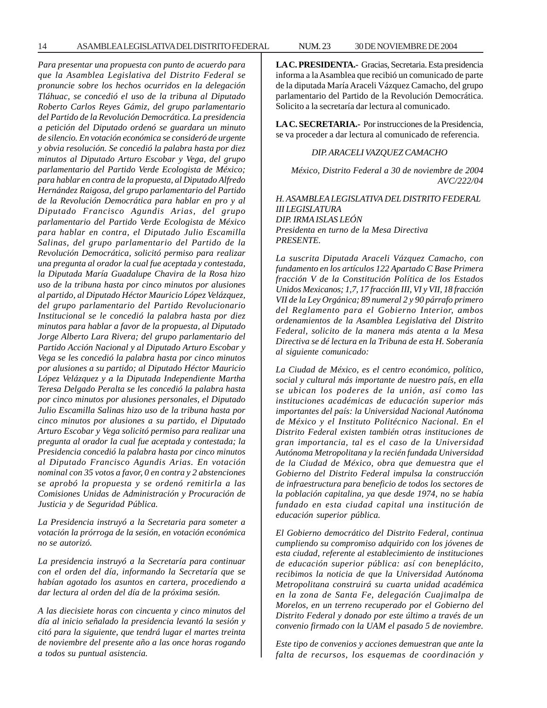14 ASAMBLEA LEGISLATIVA DEL DISTRITO FEDERAL NUM. 23 30 DE NOVIEMBRE DE 2004

*Para presentar una propuesta con punto de acuerdo para que la Asamblea Legislativa del Distrito Federal se pronuncie sobre los hechos ocurridos en la delegación Tláhuac, se concedió el uso de la tribuna al Diputado Roberto Carlos Reyes Gámiz, del grupo parlamentario del Partido de la Revolución Democrática. La presidencia a petición del Diputado ordenó se guardara un minuto de silencio. En votación económica se consideró de urgente y obvia resolución. Se concedió la palabra hasta por diez minutos al Diputado Arturo Escobar y Vega, del grupo parlamentario del Partido Verde Ecologista de México; para hablar en contra de la propuesta, al Diputado Alfredo Hernández Raigosa, del grupo parlamentario del Partido de la Revolución Democrática para hablar en pro y al Diputado Francisco Agundis Arias, del grupo parlamentario del Partido Verde Ecologista de México para hablar en contra, el Diputado Julio Escamilla Salinas, del grupo parlamentario del Partido de la Revolución Democrática, solicitó permiso para realizar una pregunta al orador la cual fue aceptada y contestada, la Diputada María Guadalupe Chavira de la Rosa hizo uso de la tribuna hasta por cinco minutos por alusiones al partido, al Diputado Héctor Mauricio López Velázquez, del grupo parlamentario del Partido Revolucionario Institucional se le concedió la palabra hasta por diez minutos para hablar a favor de la propuesta, al Diputado Jorge Alberto Lara Rivera; del grupo parlamentario del Partido Acción Nacional y al Diputado Arturo Escobar y Vega se les concedió la palabra hasta por cinco minutos por alusiones a su partido; al Diputado Héctor Mauricio López Velázquez y a la Diputada Independiente Martha Teresa Delgado Peralta se les concedió la palabra hasta por cinco minutos por alusiones personales, el Diputado Julio Escamilla Salinas hizo uso de la tribuna hasta por cinco minutos por alusiones a su partido, el Diputado Arturo Escobar y Vega solicitó permiso para realizar una pregunta al orador la cual fue aceptada y contestada; la Presidencia concedió la palabra hasta por cinco minutos al Diputado Francisco Agundis Arias. En votación nominal con 35 votos a favor, 0 en contra y 2 abstenciones se aprobó la propuesta y se ordenó remitirla a las Comisiones Unidas de Administración y Procuración de Justicia y de Seguridad Pública.*

*La Presidencia instruyó a la Secretaria para someter a votación la prórroga de la sesión, en votación económica no se autorizó.*

*La presidencia instruyó a la Secretaría para continuar con el orden del día, informando la Secretaría que se habían agotado los asuntos en cartera, procediendo a dar lectura al orden del día de la próxima sesión.*

*A las diecisiete horas con cincuenta y cinco minutos del día al inicio señalado la presidencia levantó la sesión y citó para la siguiente, que tendrá lugar el martes treinta de noviembre del presente año a las once horas rogando a todos su puntual asistencia.*

**LA C. PRESIDENTA.-** Gracias, Secretaria. Esta presidencia informa a la Asamblea que recibió un comunicado de parte de la diputada María Araceli Vázquez Camacho, del grupo parlamentario del Partido de la Revolución Democrática. Solicito a la secretaría dar lectura al comunicado.

**LA C. SECRETARIA.-** Por instrucciones de la Presidencia, se va proceder a dar lectura al comunicado de referencia.

#### *DIP. ARACELI VAZQUEZ CAMACHO*

*México, Distrito Federal a 30 de noviembre de 2004 AVC/222/04*

*H. ASAMBLEA LEGISLATIVA DEL DISTRITO FEDERAL III LEGISLATURA DIP. IRMA ISLAS LEÓN Presidenta en turno de la Mesa Directiva PRESENTE.*

*La suscrita Diputada Araceli Vázquez Camacho, con fundamento en los artículos 122 Apartado C Base Primera fracción V de la Constitución Política de los Estados Unidos Mexicanos; 1,7, 17 fracción III, VI y VII, 18 fracción VII de la Ley Orgánica; 89 numeral 2 y 90 párrafo primero del Reglamento para el Gobierno Interior, ambos ordenamientos de la Asamblea Legislativa del Distrito Federal, solicito de la manera más atenta a la Mesa Directiva se dé lectura en la Tribuna de esta H. Soberanía al siguiente comunicado:*

*La Ciudad de México, es el centro económico, político, social y cultural más importante de nuestro país, en ella se ubican los poderes de la unión, así como las instituciones académicas de educación superior más importantes del país: la Universidad Nacional Autónoma de México y el Instituto Politécnico Nacional. En el Distrito Federal existen también otras instituciones de gran importancia, tal es el caso de la Universidad Autónoma Metropolitana y la recién fundada Universidad de la Ciudad de México, obra que demuestra que el Gobierno del Distrito Federal impulsa la construcción de infraestructura para beneficio de todos los sectores de la población capitalina, ya que desde 1974, no se había fundado en esta ciudad capital una institución de educación superior pública.*

*El Gobierno democrático del Distrito Federal, continua cumpliendo su compromiso adquirido con los jóvenes de esta ciudad, referente al establecimiento de instituciones de educación superior pública: así con beneplácito, recibimos la noticia de que la Universidad Autónoma Metropolitana construirá su cuarta unidad académica en la zona de Santa Fe, delegación Cuajimalpa de Morelos, en un terreno recuperado por el Gobierno del Distrito Federal y donado por este último a través de un convenio firmado con la UAM el pasado 5 de noviembre.*

*Este tipo de convenios y acciones demuestran que ante la falta de recursos, los esquemas de coordinación y*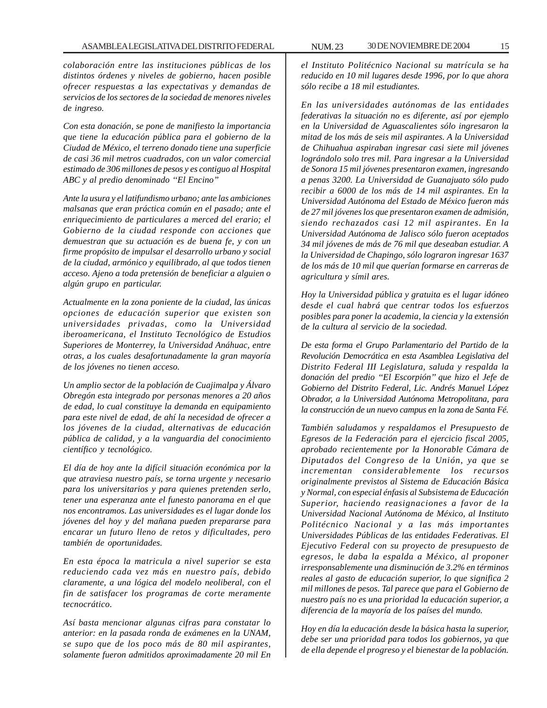*colaboración entre las instituciones públicas de los distintos órdenes y niveles de gobierno, hacen posible ofrecer respuestas a las expectativas y demandas de servicios de los sectores de la sociedad de menores niveles de ingreso.*

*Con esta donación, se pone de manifiesto la importancia que tiene la educación pública para el gobierno de la Ciudad de México, el terreno donado tiene una superficie de casi 36 mil metros cuadrados, con un valor comercial estimado de 306 millones de pesos y es contiguo al Hospital ABC y al predio denominado ''El Encino''*

*Ante la usura y el latifundismo urbano; ante las ambiciones malsanas que eran práctica común en el pasado; ante el enriquecimiento de particulares a merced del erario; el Gobierno de la ciudad responde con acciones que demuestran que su actuación es de buena fe, y con un firme propósito de impulsar el desarrollo urbano y social de la ciudad, armónico y equilibrado, al que todos tienen acceso. Ajeno a toda pretensión de beneficiar a alguien o algún grupo en particular.*

*Actualmente en la zona poniente de la ciudad, las únicas opciones de educación superior que existen son universidades privadas, como la Universidad iberoamericana, el Instituto Tecnológico de Estudios Superiores de Monterrey, la Universidad Anáhuac, entre otras, a los cuales desafortunadamente la gran mayoría de los jóvenes no tienen acceso.*

*Un amplio sector de la población de Cuajimalpa y Álvaro Obregón esta integrado por personas menores a 20 años de edad, lo cual constituye la demanda en equipamiento para este nivel de edad, de ahí la necesidad de ofrecer a los jóvenes de la ciudad, alternativas de educación pública de calidad, y a la vanguardia del conocimiento científico y tecnológico.*

*El día de hoy ante la difícil situación económica por la que atraviesa nuestro país, se torna urgente y necesario para los universitarios y para quienes pretenden serlo, tener una esperanza ante el funesto panorama en el que nos encontramos. Las universidades es el lugar donde los jóvenes del hoy y del mañana pueden prepararse para encarar un futuro lleno de retos y dificultades, pero también de oportunidades.*

*En esta época la matricula a nivel superior se esta reduciendo cada vez más en nuestro país, debido claramente, a una lógica del modelo neoliberal, con el fin de satisfacer los programas de corte meramente tecnocrático.*

*Así basta mencionar algunas cifras para constatar lo anterior: en la pasada ronda de exámenes en la UNAM, se supo que de los poco más de 80 mil aspirantes, solamente fueron admitidos aproximadamente 20 mil En*

*el Instituto Politécnico Nacional su matrícula se ha reducido en 10 mil lugares desde 1996, por lo que ahora sólo recibe a 18 mil estudiantes.*

*En las universidades autónomas de las entidades federativas la situación no es diferente, así por ejemplo en la Universidad de Aguascalientes sólo ingresaron la mitad de los más de seis mil aspirantes. A la Universidad de Chihuahua aspiraban ingresar casi siete mil jóvenes lográndolo solo tres mil. Para ingresar a la Universidad de Sonora 15 mil jóvenes presentaron examen, ingresando a penas 3200. La Universidad de Guanajuato sólo pudo recibir a 6000 de los más de 14 mil aspirantes. En la Universidad Autónoma del Estado de México fueron más de 27 mil jóvenes los que presentaron examen de admisión, siendo rechazados casi 12 mil aspirantes. En la Universidad Autónoma de Jalisco sólo fueron aceptados 34 mil jóvenes de más de 76 mil que deseaban estudiar. A la Universidad de Chapingo, sólo lograron ingresar 1637 de los más de 10 mil que querían formarse en carreras de agricultura y símil ares.*

*Hoy la Universidad pública y gratuita es el lugar idóneo desde el cual habrá que centrar todos los esfuerzos posibles para poner la academia, la ciencia y la extensión de la cultura al servicio de la sociedad.*

*De esta forma el Grupo Parlamentario del Partido de la Revolución Democrática en esta Asamblea Legislativa del Distrito Federal III Legislatura, saluda y respalda la donación del predio ''El Escorpión'' que hizo el Jefe de Gobierno del Distrito Federal, Lic. Andrés Manuel López Obrador, a la Universidad Autónoma Metropolitana, para la construcción de un nuevo campus en la zona de Santa Fé.*

*También saludamos y respaldamos el Presupuesto de Egresos de la Federación para el ejercicio fiscal 2005, aprobado recientemente por la Honorable Cámara de Diputados del Congreso de la Unión, ya que se incrementan considerablemente los recursos originalmente previstos al Sistema de Educación Básica y Normal, con especial énfasis al Subsistema de Educación Superior, haciendo reasignaciones a favor de la Universidad Nacional Autónoma de México, al Instituto Politécnico Nacional y a las más importantes Universidades Públicas de las entidades Federativas. El Ejecutivo Federal con su proyecto de presupuesto de egresos, le daba la espalda a México, al proponer irresponsablemente una disminución de 3.2% en términos reales al gasto de educación superior, lo que significa 2 mil millones de pesos. Tal parece que para el Gobierno de nuestro país no es una prioridad la educación superior, a diferencia de la mayoría de los países del mundo.*

*Hoy en día la educación desde la básica hasta la superior, debe ser una prioridad para todos los gobiernos, ya que de ella depende el progreso y el bienestar de la población.*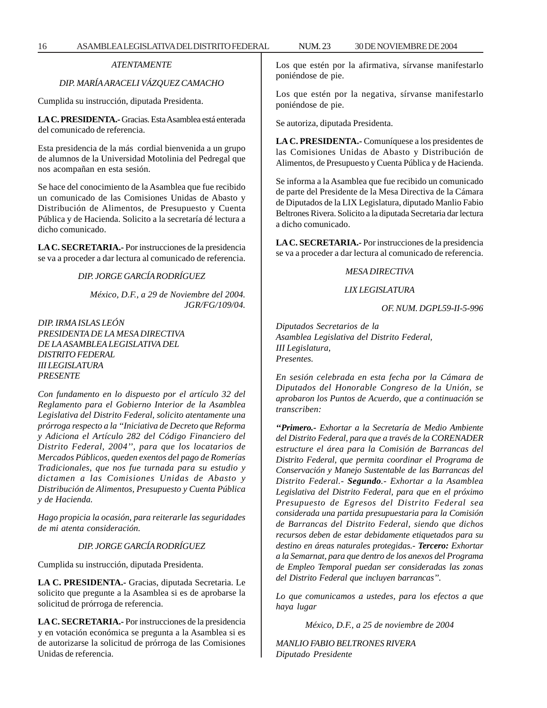# *ATENTAMENTE*

# *DIP. MARÍA ARACELI VÁZQUEZ CAMACHO*

Cumplida su instrucción, diputada Presidenta.

**LA C. PRESIDENTA.-** Gracias. Esta Asamblea está enterada del comunicado de referencia.

Esta presidencia de la más cordial bienvenida a un grupo de alumnos de la Universidad Motolinia del Pedregal que nos acompañan en esta sesión.

Se hace del conocimiento de la Asamblea que fue recibido un comunicado de las Comisiones Unidas de Abasto y Distribución de Alimentos, de Presupuesto y Cuenta Pública y de Hacienda. Solicito a la secretaría dé lectura a dicho comunicado.

**LA C. SECRETARIA.-** Por instrucciones de la presidencia se va a proceder a dar lectura al comunicado de referencia.

#### *DIP. JORGE GARCÍA RODRÍGUEZ*

*México, D.F., a 29 de Noviembre del 2004. JGR/FG/109/04.*

*DIP. IRMA ISLAS LEÓN PRESIDENTA DE LA MESA DIRECTIVA DE LA ASAMBLEA LEGISLATIVA DEL DISTRITO FEDERAL III LEGISLATURA PRESENTE*

*Con fundamento en lo dispuesto por el artículo 32 del Reglamento para el Gobierno Interior de la Asamblea Legislativa del Distrito Federal, solicito atentamente una prórroga respecto a la ''Iniciativa de Decreto que Reforma y Adiciona el Artículo 282 del Código Financiero del Distrito Federal, 2004'', para que los locatarios de Mercados Públicos, queden exentos del pago de Romerías Tradicionales, que nos fue turnada para su estudio y dictamen a las Comisiones Unidas de Abasto y Distribución de Alimentos, Presupuesto y Cuenta Pública y de Hacienda.*

*Hago propicia la ocasión, para reiterarle las seguridades de mi atenta consideración.*

#### *DIP. JORGE GARCÍA RODRÍGUEZ*

Cumplida su instrucción, diputada Presidenta.

**LA C. PRESIDENTA.-** Gracias, diputada Secretaria. Le solicito que pregunte a la Asamblea si es de aprobarse la solicitud de prórroga de referencia.

**LA C. SECRETARIA.-** Por instrucciones de la presidencia y en votación económica se pregunta a la Asamblea si es de autorizarse la solicitud de prórroga de las Comisiones Unidas de referencia.

Los que estén por la afirmativa, sírvanse manifestarlo poniéndose de pie.

Los que estén por la negativa, sírvanse manifestarlo poniéndose de pie.

Se autoriza, diputada Presidenta.

**LA C. PRESIDENTA.-** Comuníquese a los presidentes de las Comisiones Unidas de Abasto y Distribución de Alimentos, de Presupuesto y Cuenta Pública y de Hacienda.

Se informa a la Asamblea que fue recibido un comunicado de parte del Presidente de la Mesa Directiva de la Cámara de Diputados de la LIX Legislatura, diputado Manlio Fabio Beltrones Rivera. Solicito a la diputada Secretaria dar lectura a dicho comunicado.

**LA C. SECRETARIA.-** Por instrucciones de la presidencia se va a proceder a dar lectura al comunicado de referencia.

# *MESA DIRECTIVA*

#### *LIX LEGISLATURA*

*OF. NUM. DGPL59-II-5-996*

*Diputados Secretarios de la Asamblea Legislativa del Distrito Federal, III Legislatura, Presentes.*

*En sesión celebrada en esta fecha por la Cámara de Diputados del Honorable Congreso de la Unión, se aprobaron los Puntos de Acuerdo, que a continuación se transcriben:*

*''Primero.- Exhortar a la Secretaría de Medio Ambiente del Distrito Federal, para que a través de la CORENADER estructure el área para la Comisión de Barrancas del Distrito Federal, que permita coordinar el Programa de Conservación y Manejo Sustentable de las Barrancas del Distrito Federal.- Segundo.- Exhortar a la Asamblea Legislativa del Distrito Federal, para que en el próximo Presupuesto de Egresos del Distrito Federal sea considerada una partida presupuestaria para la Comisión de Barrancas del Distrito Federal, siendo que dichos recursos deben de estar debidamente etiquetados para su destino en áreas naturales protegidas.- Tercero: Exhortar a la Semarnat, para que dentro de los anexos del Programa de Empleo Temporal puedan ser consideradas las zonas del Distrito Federal que incluyen barrancas''.*

*Lo que comunicamos a ustedes, para los efectos a que haya lugar*

*México, D.F., a 25 de noviembre de 2004*

*MANLIO FABIO BELTRONES RIVERA Diputado Presidente*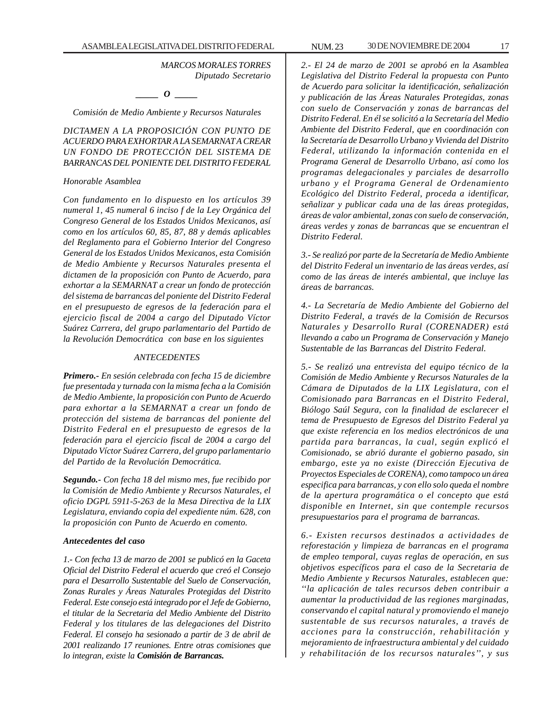*MARCOS MORALES TORRES Diputado Secretario*

*\_\_\_\_\_ O \_\_\_\_\_*

*Comisión de Medio Ambiente y Recursos Naturales*

*DICTAMEN A LA PROPOSICIÓN CON PUNTO DE ACUERDO PARA EXHORTAR A LA SEMARNAT A CREAR UN FONDO DE PROTECCIÓN DEL SISTEMA DE BARRANCAS DEL PONIENTE DEL DISTRITO FEDERAL*

#### *Honorable Asamblea*

*Con fundamento en lo dispuesto en los artículos 39 numeral 1, 45 numeral 6 inciso f de la Ley Orgánica del Congreso General de los Estados Unidos Mexicanos, así como en los artículos 60, 85, 87, 88 y demás aplicables del Reglamento para el Gobierno Interior del Congreso General de los Estados Unidos Mexicanos, esta Comisión de Medio Ambiente y Recursos Naturales presenta el dictamen de la proposición con Punto de Acuerdo, para exhortar a la SEMARNAT a crear un fondo de protección del sistema de barrancas del poniente del Distrito Federal en el presupuesto de egresos de la federación para el ejercicio fiscal de 2004 a cargo del Diputado Víctor Suárez Carrera, del grupo parlamentario del Partido de la Revolución Democrática con base en los siguientes*

#### *ANTECEDENTES*

*Primero.- En sesión celebrada con fecha 15 de diciembre fue presentada y turnada con la misma fecha a la Comisión de Medio Ambiente, la proposición con Punto de Acuerdo para exhortar a la SEMARNAT a crear un fondo de protección del sistema de barrancas del poniente del Distrito Federal en el presupuesto de egresos de la federación para el ejercicio fiscal de 2004 a cargo del Diputado Víctor Suárez Carrera, del grupo parlamentario del Partido de la Revolución Democrática.*

*Segundo.- Con fecha 18 del mismo mes, fue recibido por la Comisión de Medio Ambiente y Recursos Naturales, el oficio DGPL 5911-5-263 de la Mesa Directiva de la LIX Legislatura, enviando copia del expediente núm. 628, con la proposición con Punto de Acuerdo en comento.*

#### *Antecedentes del caso*

*1.- Con fecha 13 de marzo de 2001 se publicó en la Gaceta Oficial del Distrito Federal el acuerdo que creó el Consejo para el Desarrollo Sustentable del Suelo de Conservación, Zonas Rurales y Áreas Naturales Protegidas del Distrito Federal. Este consejo está integrado por el Jefe de Gobierno, el titular de la Secretaria del Medio Ambiente del Distrito Federal y los titulares de las delegaciones del Distrito Federal. El consejo ha sesionado a partir de 3 de abril de 2001 realizando 17 reuniones. Entre otras comisiones que lo integran, existe la Comisión de Barrancas.*

*2.- El 24 de marzo de 2001 se aprobó en la Asamblea Legislativa del Distrito Federal la propuesta con Punto de Acuerdo para solicitar la identificación, señalización y publicación de las Áreas Naturales Protegidas, zonas con suelo de Conservación y zonas de barrancas del Distrito Federal. En él se solicitó a la Secretaría del Medio Ambiente del Distrito Federal, que en coordinación con la Secretaría de Desarrollo Urbano y Vivienda del Distrito Federal, utilizando la información contenida en el Programa General de Desarrollo Urbano, así como los programas delegacionales y parciales de desarrollo urbano y el Programa General de Ordenamiento Ecológico del Distrito Federal, proceda a identificar, señalizar y publicar cada una de las áreas protegidas, áreas de valor ambiental, zonas con suelo de conservación, áreas verdes y zonas de barrancas que se encuentran el Distrito Federal.*

*3.- Se realizó por parte de la Secretaría de Medio Ambiente del Distrito Federal un inventario de las áreas verdes, así como de las áreas de interés ambiental, que incluye las áreas de barrancas.*

*4.- La Secretaría de Medio Ambiente del Gobierno del Distrito Federal, a través de la Comisión de Recursos Naturales y Desarrollo Rural (CORENADER) está llevando a cabo un Programa de Conservación y Manejo Sustentable de las Barrancas del Distrito Federal.*

*5.- Se realizó una entrevista del equipo técnico de la Comisión de Medio Ambiente y Recursos Naturales de la Cámara de Diputados de la LIX Legislatura, con el Comisionado para Barrancas en el Distrito Federal, Biólogo Saúl Segura, con la finalidad de esclarecer el tema de Presupuesto de Egresos del Distrito Federal ya que existe referencia en los medios electrónicos de una partida para barrancas, la cual, según explicó el Comisionado, se abrió durante el gobierno pasado, sin embargo, este ya no existe (Dirección Ejecutiva de Proyectos Especiales de CORENA), como tampoco un área especifica para barrancas, y con ello solo queda el nombre de la apertura programática o el concepto que está disponible en Internet, sin que contemple recursos presupuestarios para el programa de barrancas.*

*6.- Existen recursos destinados a actividades de reforestación y limpieza de barrancas en el programa de empleo temporal, cuyas reglas de operación, en sus objetivos específicos para el caso de la Secretaria de Medio Ambiente y Recursos Naturales, establecen que: ''la aplicación de tales recursos deben contribuir a aumentar la productividad de las regiones marginadas, conservando el capital natural y promoviendo el manejo sustentable de sus recursos naturales, a través de acciones para la construcción, rehabilitación y mejoramiento de infraestructura ambiental y del cuidado y rehabilitación de los recursos naturales'', y sus*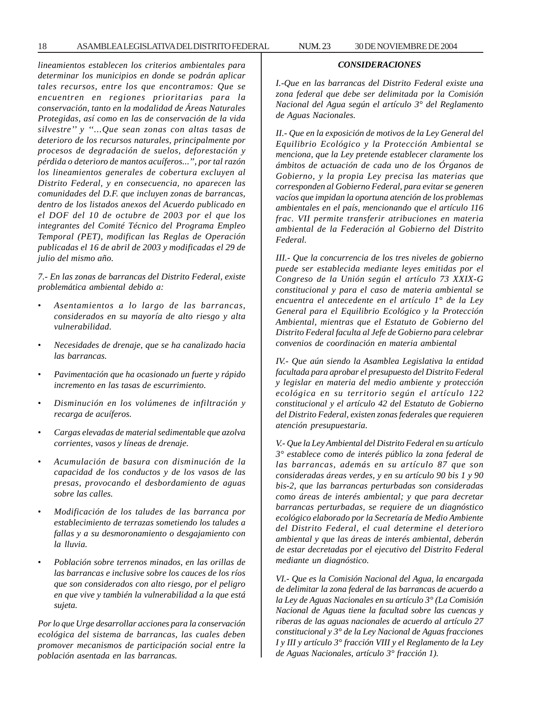18 ASAMBLEA LEGISLATIVA DEL DISTRITO FEDERAL NUM. 23 30 DE NOVIEMBRE DE 2004

*lineamientos establecen los criterios ambientales para determinar los municipios en donde se podrán aplicar tales recursos, entre los que encontramos: Que se encuentren en regiones prioritarias para la conservación, tanto en la modalidad de Áreas Naturales Protegidas, así como en las de conservación de la vida silvestre'' y ''...Que sean zonas con altas tasas de deterioro de los recursos naturales, principalmente por procesos de degradación de suelos, deforestación y pérdida o deterioro de mantos acuíferos...'', por tal razón los lineamientos generales de cobertura excluyen al Distrito Federal, y en consecuencia, no aparecen las comunidades del D.F. que incluyen zonas de barrancas, dentro de los listados anexos del Acuerdo publicado en el DOF del 10 de octubre de 2003 por el que los integrantes del Comité Técnico del Programa Empleo Temporal (PET), modifican las Reglas de Operación*

*7.- En las zonas de barrancas del Distrito Federal, existe problemática ambiental debido a:*

*publicadas el 16 de abril de 2003 y modificadas el 29 de*

*julio del mismo año.*

- *Asentamientos a lo largo de las barrancas, considerados en su mayoría de alto riesgo y alta vulnerabilidad.*
- *Necesidades de drenaje, que se ha canalizado hacia las barrancas.*
- *Pavimentación que ha ocasionado un fuerte y rápido incremento en las tasas de escurrimiento.*
- *Disminución en los volúmenes de infiltración y recarga de acuíferos.*
- *Cargas elevadas de material sedimentable que azolva corrientes, vasos y líneas de drenaje.*
- *Acumulación de basura con disminución de la capacidad de los conductos y de los vasos de las presas, provocando el desbordamiento de aguas sobre las calles.*
- *Modificación de los taludes de las barranca por establecimiento de terrazas sometiendo los taludes a fallas y a su desmoronamiento o desgajamiento con la lluvia.*
- *Población sobre terrenos minados, en las orillas de las barrancas e inclusive sobre los cauces de los ríos que son considerados con alto riesgo, por el peligro en que vive y también la vulnerabilidad a la que está sujeta.*

*Por lo que Urge desarrollar acciones para la conservación ecológica del sistema de barrancas, las cuales deben promover mecanismos de participación social entre la población asentada en las barrancas.*

# *CONSIDERACIONES*

*I.-Que en las barrancas del Distrito Federal existe una zona federal que debe ser delimitada por la Comisión Nacional del Agua según el artículo 3° del Reglamento de Aguas Nacionales.*

*II.- Que en la exposición de motivos de la Ley General del Equilibrio Ecológico y la Protección Ambiental se menciona, que la Ley pretende establecer claramente los ámbitos de actuación de cada uno de los Órganos de Gobierno, y la propia Ley precisa las materias que corresponden al Gobierno Federal, para evitar se generen vacíos que impidan la oportuna atención de los problemas ambientales en el país, mencionando que el artículo 116 frac. VII permite transferir atribuciones en materia ambiental de la Federación al Gobierno del Distrito Federal.*

*III.- Que la concurrencia de los tres niveles de gobierno puede ser establecida mediante leyes emitidas por el Congreso de la Unión según el artículo 73 XXIX-G constitucional y para el caso de materia ambiental se encuentra el antecedente en el artículo 1° de la Ley General para el Equilibrio Ecológico y la Protección Ambiental, mientras que el Estatuto de Gobierno del Distrito Federal faculta al Jefe de Gobierno para celebrar convenios de coordinación en materia ambiental*

*IV.- Que aún siendo la Asamblea Legislativa la entidad facultada para aprobar el presupuesto del Distrito Federal y legislar en materia del medio ambiente y protección ecológica en su territorio según el artículo 122 constitucional y el artículo 42 del Estatuto de Gobierno del Distrito Federal, existen zonas federales que requieren atención presupuestaria.*

*V.- Que la Ley Ambiental del Distrito Federal en su artículo 3° establece como de interés público la zona federal de las barrancas, además en su artículo 87 que son consideradas áreas verdes, y en su artículo 90 bis 1 y 90 bis-2, que las barrancas perturbadas son consideradas como áreas de interés ambiental; y que para decretar barrancas perturbadas, se requiere de un diagnóstico ecológico elaborado por la Secretaría de Medio Ambiente del Distrito Federal, el cual determine el deterioro ambiental y que las áreas de interés ambiental, deberán de estar decretadas por el ejecutivo del Distrito Federal mediante un diagnóstico.*

*VI.- Que es la Comisión Nacional del Agua, la encargada de delimitar la zona federal de las barrancas de acuerdo a la Ley de Aguas Nacionales en su artículo 3° (La Comisión Nacional de Aguas tiene la facultad sobre las cuencas y riberas de las aguas nacionales de acuerdo al artículo 27 constitucional y 3° de la Ley Nacional de Aguas fracciones I y III y artículo 3° fracción VIII y el Reglamento de la Ley de Aguas Nacionales, artículo 3° fracción 1).*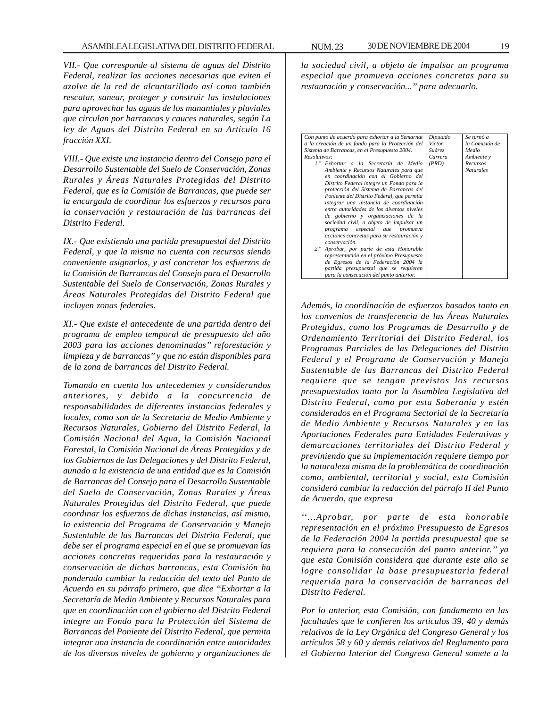*VII.- Que corresponde al sistema de aguas del Distrito Federal, realizar las acciones necesarias que eviten el azolve de la red de alcantarillado así como también rescatar, sanear, proteger y construir las instalaciones para aprovechar las aguas de los manantiales y pluviales que circulan por barrancas y cauces naturales, según La ley de Aguas del Distrito Federal en su Artículo 16 fracción XXI.*

*VIII.- Que existe una instancia dentro del Consejo para el Desarrollo Sustentable del Suelo de Conservación, Zonas Rurales y Áreas Naturales Protegidas del Distrito Federal, que es la Comisión de Barrancas, que puede ser la encargada de coordinar los esfuerzos y recursos para la conservación y restauración de las barrancas del Distrito Federal.*

*IX.- Que existiendo una partida presupuestal del Distrito Federal, y que la misma no cuenta con recursos siendo conveniente asignarlos, y así concretar los esfuerzos de la Comisión de Barrancas del Consejo para el Desarrollo Sustentable del Suelo de Conservación, Zonas Rurales y Áreas Naturales Protegidas del Distrito Federal que incluyen zonas federales.*

*XI.- Que existe el antecedente de una partida dentro del programa de empleo temporal de presupuesto del año 2003 para las acciones denominadas'' reforestación y limpieza y de barrancas'' y que no están disponibles para de la zona de barrancas del Distrito Federal.*

*Tomando en cuenta los antecedentes y considerandos anteriores, y debido a la concurrencia de responsabilidades de diferentes instancias federales y locales, como son de la Secretaria de Medio Ambiente y Recursos Naturales, Gobierno del Distrito Federal, la Comisión Nacional del Agua, la Comisión Nacional Forestal, la Comisión Nacional de Áreas Protegidas y de los Gobiernos de las Delegaciones y del Distrito Federal, aunado a la existencia de una entidad que es la Comisión de Barrancas del Consejo para el Desarrollo Sustentable del Suelo de Conservación, Zonas Rurales y Áreas Naturales Protegidas del Distrito Federal, que puede coordinar los esfuerzos de dichas instancias, así mismo, la existencia del Programa de Conservación y Manejo Sustentable de las Barrancas del Distrito Federal, que debe ser el programa especial en el que se promuevan las acciones concretas requeridas para la restauración y conservación de dichas barrancas, esta Comisión ha ponderado cambiar la redacción del texto del Punto de Acuerdo en su párrafo primero, que dice ''Exhortar a la Secretaría de Medio Ambiente y Recursos Naturales para que en coordinación con el gobierno del Distrito Federal integre un Fondo para la Protección del Sistema de Barrancas del Poniente del Distrito Federal, que permita integrar una instancia de coordinación entre autoridades de los diversos niveles de gobierno y organizaciones de*

*la sociedad civil, a objeto de impulsar un programa especial que promueva acciones concretas para su restauración y conservación...'' para adecuarlo.*

| Con punto de acuerdo para exhortar a la Semarnat | Diputado      | Se turnó a       |
|--------------------------------------------------|---------------|------------------|
| a la creación de un fondo para la Protección del | Víctor        | la Comisión de   |
| Sistema de Barrancas, en el Presupuesto 2004.    | <i>Suárez</i> | Medio            |
| Resolutivos:                                     | Carrera       | Ambiente y       |
| 1." Exhortar a la Secretaría de Medio            | (PRD)         | Recursos         |
| Ambiente y Recursos Naturales para que           |               | <b>Naturales</b> |
| en coordinación con el Gobierno del              |               |                  |
| Distrito Federal integre un Fondo para la        |               |                  |
| protección del Sistema de Barrancas del          |               |                  |
| Poniente del Distrito Federal, que permita       |               |                  |
| integrar una instancia de coordinación           |               |                  |
| entre autoridades de los diversos niveles        |               |                  |
| de gobierno y organizaciones de la               |               |                  |
| sociedad civil, a objeto de impulsar un          |               |                  |
| programa especial que promueva                   |               |                  |
| acciones concretas para su restauración y        |               |                  |
| conservación.                                    |               |                  |
| 2." Aprobar, por parte de esta Honorable         |               |                  |
| representación en el próximo Presupuesto         |               |                  |
| de Egresos de la Federación 2004 la              |               |                  |
| partida presupuestal que se requieren            |               |                  |
| para la consecución del punto anterior.          |               |                  |
|                                                  |               |                  |

*Además, la coordinación de esfuerzos basados tanto en los convenios de transferencia de las Áreas Naturales Protegidas, como los Programas de Desarrollo y de Ordenamiento Territorial del Distrito Federal, los Programas Parciales de las Delegaciones del Distrito Federal y el Programa de Conservación y Manejo Sustentable de las Barrancas del Distrito Federal requiere que se tengan previstos los recursos presupuestados tanto por la Asamblea Legislativa del Distrito Federal, como por esta Soberanía y estén considerados en el Programa Sectorial de la Secretaría de Medio Ambiente y Recursos Naturales y en las Aportaciones Federales para Entidades Federativas y demarcaciones territoriales del Distrito Federal y previniendo que su implementación requiere tiempo por la naturaleza misma de la problemática de coordinación como, ambiental, territorial y social, esta Comisión consideró cambiar la redacción del párrafo II del Punto de Acuerdo, que expresa*

*''…Aprobar, por parte de esta honorable representación en el próximo Presupuesto de Egresos de la Federación 2004 la partida presupuestal que se requiera para la consecución del punto anterior.'' ya que esta Comisión considera que durante este año se logre consolidar la base presupuestaria federal requerida para la conservación de barrancas del Distrito Federal.*

*Por lo anterior, esta Comisión, con fundamento en las facultades que le confieren los artículos 39, 40 y demás relativos de la Ley Orgánica del Congreso General y los artículos 58 y 60 y demás relativos del Reglamento para el Gobierno Interior del Congreso General somete a la*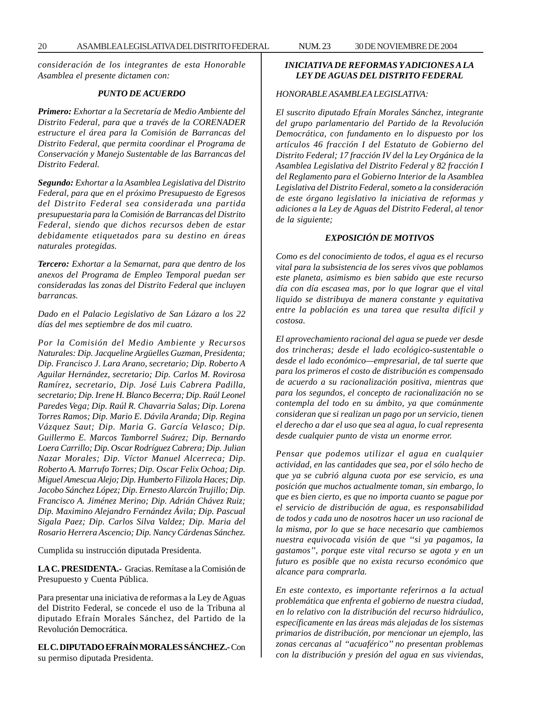*consideración de los integrantes de esta Honorable Asamblea el presente dictamen con:*

#### *PUNTO DE ACUERDO*

*Primero: Exhortar a la Secretaría de Medio Ambiente del Distrito Federal, para que a través de la CORENADER estructure el área para la Comisión de Barrancas del Distrito Federal, que permita coordinar el Programa de Conservación y Manejo Sustentable de las Barrancas del Distrito Federal.*

*Segundo: Exhortar a la Asamblea Legislativa del Distrito Federal, para que en el próximo Presupuesto de Egresos del Distrito Federal sea considerada una partida presupuestaria para la Comisión de Barrancas del Distrito Federal, siendo que dichos recursos deben de estar debidamente etiquetados para su destino en áreas naturales protegidas.*

*Tercero: Exhortar a la Semarnat, para que dentro de los anexos del Programa de Empleo Temporal puedan ser consideradas las zonas del Distrito Federal que incluyen barrancas.*

*Dado en el Palacio Legislativo de San Lázaro a los 22 días del mes septiembre de dos mil cuatro.*

*Por la Comisión del Medio Ambiente y Recursos Naturales: Dip. Jacqueline Argüelles Guzman, Presidenta; Dip. Francisco J. Lara Arano, secretario; Dip. Roberto A Aguilar Hernández, secretario; Dip. Carlos M. Rovirosa Ramírez, secretario, Dip. José Luis Cabrera Padilla, secretario; Dip. Irene H. Blanco Becerra; Dip. Raúl Leonel Paredes Vega; Dip. Raúl R. Chavarria Salas; Dip. Lorena Torres Ramos; Dip. Mario E. Dávila Aranda; Dip. Regina Vázquez Saut; Dip. Maria G. García Velasco; Dip. Guillermo E. Marcos Tamborrel Suárez; Dip. Bernardo Loera Carrillo; Dip. Oscar Rodríguez Cabrera; Dip. Julian Nazar Morales; Dip. Víctor Manuel Alcerreca; Dip. Roberto A. Marrufo Torres; Dip. Oscar Felix Ochoa; Dip. Miguel Amescua Alejo; Dip. Humberto Filizola Haces; Dip. Jacobo Sánchez López; Dip. Ernesto Alarcón Trujillo; Dip. Francisco A. Jiménez Merino; Dip. Adrián Chávez Ruiz; Dip. Maximino Alejandro Fernández Ávila; Dip. Pascual Sigala Paez; Dip. Carlos Silva Valdez; Dip. Maria del Rosario Herrera Ascencio; Dip. Nancy Cárdenas Sánchez.*

Cumplida su instrucción diputada Presidenta.

**LA C. PRESIDENTA.-** Gracias. Remítase a la Comisión de Presupuesto y Cuenta Pública.

Para presentar una iniciativa de reformas a la Ley de Aguas del Distrito Federal, se concede el uso de la Tribuna al diputado Efraín Morales Sánchez, del Partido de la Revolución Democrática.

**EL C. DIPUTADO EFRAÍN MORALES SÁNCHEZ.-** Con su permiso diputada Presidenta.

# *INICIATIVA DE REFORMAS Y ADICIONES A LA LEY DE AGUAS DEL DISTRITO FEDERAL*

#### *HONORABLE ASAMBLEA LEGISLATIVA:*

*El suscrito diputado Efraín Morales Sánchez, integrante del grupo parlamentario del Partido de la Revolución Democrática, con fundamento en lo dispuesto por los artículos 46 fracción I del Estatuto de Gobierno del Distrito Federal; 17 fracción IV del la Ley Orgánica de la Asamblea Legislativa del Distrito Federal y 82 fracción I del Reglamento para el Gobierno Interior de la Asamblea Legislativa del Distrito Federal, someto a la consideración de este órgano legislativo la iniciativa de reformas y adiciones a la Ley de Aguas del Distrito Federal, al tenor de la siguiente;*

#### *EXPOSICIÓN DE MOTIVOS*

*Como es del conocimiento de todos, el agua es el recurso vital para la subsistencia de los seres vivos que poblamos este planeta, asimismo es bien sabido que este recurso día con día escasea mas, por lo que lograr que el vital liquido se distribuya de manera constante y equitativa entre la población es una tarea que resulta difícil y costosa.*

*El aprovechamiento racional del agua se puede ver desde dos trincheras; desde el lado ecológico-sustentable o desde el lado económico—empresarial, de tal suerte que para los primeros el costo de distribución es compensado de acuerdo a su racionalización positiva, mientras que para los segundos, el concepto de racionalización no se contempla del todo en su ámbito, ya que comúnmente consideran que si realizan un pago por un servicio, tienen el derecho a dar el uso que sea al agua, lo cual representa desde cualquier punto de vista un enorme error.*

*Pensar que podemos utilizar el agua en cualquier actividad, en las cantidades que sea, por el sólo hecho de que ya se cubrió alguna cuota por ese servicio, es una posición que muchos actualmente toman, sin embargo, lo que es bien cierto, es que no importa cuanto se pague por el servicio de distribución de agua, es responsabilidad de todos y cada uno de nosotros hacer un uso racional de la misma, por lo que se hace necesario que cambiemos nuestra equivocada visión de que ''si ya pagamos, la gastamos'', porque este vital recurso se agota y en un futuro es posible que no exista recurso económico que alcance para comprarla.*

*En este contexto, es importante referirnos a la actual problemática que enfrenta el gobierno de nuestra ciudad, en lo relativo con la distribución del recurso hidráulico, específicamente en las áreas más alejadas de los sistemas primarios de distribución, por mencionar un ejemplo, las zonas cercanas al ''acuaférico'' no presentan problemas con la distribución y presión del agua en sus viviendas,*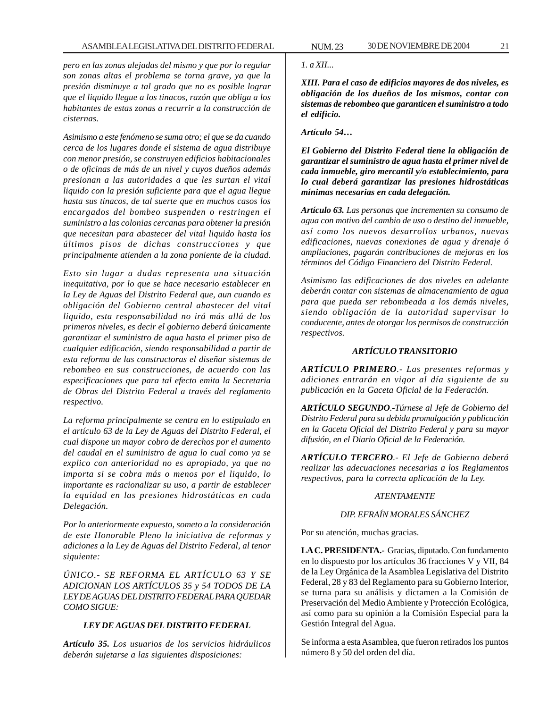*pero en las zonas alejadas del mismo y que por lo regular son zonas altas el problema se torna grave, ya que la presión disminuye a tal grado que no es posible lograr que el liquido llegue a los tinacos, razón que obliga a los habitantes de estas zonas a recurrir a la construcción de cisternas.*

*Asimismo a este fenómeno se suma otro; el que se da cuando cerca de los lugares donde el sistema de agua distribuye con menor presión, se construyen edificios habitacionales o de oficinas de más de un nivel y cuyos dueños además presionan a las autoridades a que les surtan el vital liquido con la presión suficiente para que el agua llegue hasta sus tinacos, de tal suerte que en muchos casos los encargados del bombeo suspenden o restringen el suministro a las colonias cercanas para obtener la presión que necesitan para abastecer del vital liquido hasta los últimos pisos de dichas construcciones y que principalmente atienden a la zona poniente de la ciudad.*

*Esto sin lugar a dudas representa una situación inequitativa, por lo que se hace necesario establecer en la Ley de Aguas del Distrito Federal que, aun cuando es obligación del Gobierno central abastecer del vital liquido, esta responsabilidad no irá más allá de los primeros niveles, es decir el gobierno deberá únicamente garantizar el suministro de agua hasta el primer piso de cualquier edificación, siendo responsabilidad a partir de esta reforma de las constructoras el diseñar sistemas de rebombeo en sus construcciones, de acuerdo con las especificaciones que para tal efecto emita la Secretaria de Obras del Distrito Federal a través del reglamento respectivo.*

*La reforma principalmente se centra en lo estipulado en el artículo 63 de la Ley de Aguas del Distrito Federal, el cual dispone un mayor cobro de derechos por el aumento del caudal en el suministro de agua lo cual como ya se explico con anterioridad no es apropiado, ya que no importa si se cobra más o menos por el liquido, lo importante es racionalizar su uso, a partir de establecer la equidad en las presiones hidrostáticas en cada Delegación.*

*Por lo anteriormente expuesto, someto a la consideración de este Honorable Pleno la iniciativa de reformas y adiciones a la Ley de Aguas del Distrito Federal, al tenor siguiente:*

*ÚNICO.- SE REFORMA EL ARTÍCULO 63 Y SE ADICIONAN LOS ARTÍCULOS 35 y 54 TODOS DE LA LEY DE AGUAS DEL DISTRITO FEDERAL PARA QUEDAR COMO SIGUE:*

# *LEY DE AGUAS DEL DISTRITO FEDERAL*

*Artículo 35. Los usuarios de los servicios hidráulicos deberán sujetarse a las siguientes disposiciones:*

#### *1. a XII...*

*XIII. Para el caso de edificios mayores de dos niveles, es obligación de los dueños de los mismos, contar con sistemas de rebombeo que garanticen el suministro a todo el edificio.*

*Artículo 54…*

*El Gobierno del Distrito Federal tiene la obligación de garantizar el suministro de agua hasta el primer nivel de cada inmueble, giro mercantil y/o establecimiento, para lo cual deberá garantizar las presiones hidrostáticas mínimas necesarias en cada delegación.*

*Artículo 63. Las personas que incrementen su consumo de agua con motivo del cambio de uso o destino del inmueble, así como los nuevos desarrollos urbanos, nuevas edificaciones, nuevas conexiones de agua y drenaje ó ampliaciones, pagarán contribuciones de mejoras en los términos del Código Financiero del Distrito Federal.*

*Asimismo las edificaciones de dos niveles en adelante deberán contar con sistemas de almacenamiento de agua para que pueda ser rebombeada a los demás niveles, siendo obligación de la autoridad supervisar lo conducente, antes de otorgar los permisos de construcción respectivos.*

#### *ARTÍCULO TRANSITORIO*

*ARTÍCULO PRIMERO.- Las presentes reformas y adiciones entrarán en vigor al día siguiente de su publicación en la Gaceta Oficial de la Federación.*

*ARTÍCULO SEGUNDO.-Túrnese al Jefe de Gobierno del Distrito Federal para su debida promulgación y publicación en la Gaceta Oficial del Distrito Federal y para su mayor difusión, en el Diario Oficial de la Federación.*

*ARTÍCULO TERCERO.- El Jefe de Gobierno deberá realizar las adecuaciones necesarias a los Reglamentos respectivos, para la correcta aplicación de la Ley.*

# *ATENTAMENTE*

## *DIP. EFRAÍN MORALES SÁNCHEZ*

Por su atención, muchas gracias.

**LA C. PRESIDENTA.-** Gracias, diputado. Con fundamento en lo dispuesto por los artículos 36 fracciones V y VII, 84 de la Ley Orgánica de la Asamblea Legislativa del Distrito Federal, 28 y 83 del Reglamento para su Gobierno Interior, se turna para su análisis y dictamen a la Comisión de Preservación del Medio Ambiente y Protección Ecológica, así como para su opinión a la Comisión Especial para la Gestión Integral del Agua.

Se informa a esta Asamblea, que fueron retirados los puntos número 8 y 50 del orden del día.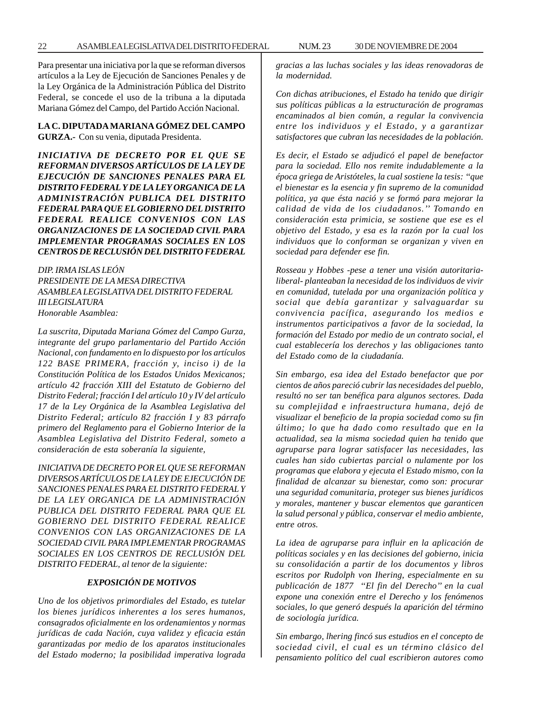#### **LA C. DIPUTADA MARIANA GÓMEZ DEL CAMPO GURZA.-** Con su venia, diputada Presidenta.

*INICIATIVA DE DECRETO POR EL QUE SE REFORMAN DIVERSOS ARTÍCULOS DE LA LEY DE EJECUCIÓN DE SANCIONES PENALES PARA EL DISTRITO FEDERAL Y DE LA LEY ORGANICA DE LA ADMINISTRACIÓN PUBLICA DEL DISTRITO FEDERAL PARA QUE EL GOBIERNO DEL DISTRITO FEDERAL REALICE CONVENIOS CON LAS ORGANIZACIONES DE LA SOCIEDAD CIVIL PARA IMPLEMENTAR PROGRAMAS SOCIALES EN LOS CENTROS DE RECLUSIÓN DEL DISTRITO FEDERAL*

*DIP. IRMA ISLAS LEÓN PRESIDENTE DE LA MESA DIRECTIVA ASAMBLEA LEGISLATIVA DEL DISTRITO FEDERAL III LEGISLATURA Honorable Asamblea:*

*La suscrita, Diputada Mariana Gómez del Campo Gurza, integrante del grupo parlamentario del Partido Acción Nacional, con fundamento en lo dispuesto por los artículos 122 BASE PRIMERA, fracción y, inciso i) de la Constitución Política de los Estados Unidos Mexicanos; artículo 42 fracción XIII del Estatuto de Gobierno del Distrito Federal; fracción I del artículo 10 y IV del artículo 17 de la Ley Orgánica de la Asamblea Legislativa del Distrito Federal; artículo 82 fracción I y 83 párrafo primero del Reglamento para el Gobierno Interior de la Asamblea Legislativa del Distrito Federal, someto a consideración de esta soberanía la siguiente,*

*INICIATIVA DE DECRETO POR EL QUE SE REFORMAN DIVERSOS ARTÍCULOS DE LA LEY DE EJECUCIÓN DE SANCIONES PENALES PARA EL DISTRITO FEDERAL Y DE LA LEY ORGANICA DE LA ADMINISTRACIÓN PUBLICA DEL DISTRITO FEDERAL PARA QUE EL GOBIERNO DEL DISTRITO FEDERAL REALICE CONVENIOS CON LAS ORGANIZACIONES DE LA SOCIEDAD CIVIL PARA IMPLEMENTAR PROGRAMAS SOCIALES EN LOS CENTROS DE RECLUSIÓN DEL DISTRITO FEDERAL, al tenor de la siguiente:*

#### *EXPOSICIÓN DE MOTIVOS*

*Uno de los objetivos primordiales del Estado, es tutelar los bienes jurídicos inherentes a los seres humanos, consagrados oficialmente en los ordenamientos y normas jurídicas de cada Nación, cuya validez y eficacia están garantizadas por medio de los aparatos institucionales del Estado moderno; la posibilidad imperativa lograda* *gracias a las luchas sociales y las ideas renovadoras de la modernidad.*

*Con dichas atribuciones, el Estado ha tenido que dirigir sus políticas públicas a la estructuración de programas encaminados al bien común, a regular la convivencia entre los individuos y el Estado, y a garantizar satisfactores que cubran las necesidades de la población.*

*Es decir, el Estado se adjudicó el papel de benefactor para la sociedad. Ello nos remite indudablemente a la época griega de Aristóteles, la cual sostiene la tesis: ''que el bienestar es la esencia y fin supremo de la comunidad política, ya que ésta nació y se formó para mejorar la calidad de vida de los ciudadanos.'' Tomando en consideración esta primicia, se sostiene que ese es el objetivo del Estado, y esa es la razón por la cual los individuos que lo conforman se organizan y viven en sociedad para defender ese fin.*

*Rosseau y Hobbes -pese a tener una visión autoritarialiberal- planteaban la necesidad de los individuos de vivir en comunidad, tutelada por una organización política y social que debía garantizar y salvaguardar su convivencia pacífica, asegurando los medios e instrumentos participativos a favor de la sociedad, la formación del Estado por medio de un contrato social, el cual establecería los derechos y las obligaciones tanto del Estado como de la ciudadanía.*

*Sin embargo, esa idea del Estado benefactor que por cientos de años pareció cubrir las necesidades del pueblo, resultó no ser tan benéfica para algunos sectores. Dada su complejidad e infraestructura humana, dejó de visualizar el beneficio de la propia sociedad como su fin último; lo que ha dado como resultado que en la actualidad, sea la misma sociedad quien ha tenido que agruparse para lograr satisfacer las necesidades, las cuales han sido cubiertas parcial o nulamente por los programas que elabora y ejecuta el Estado mismo, con la finalidad de alcanzar su bienestar, como son: procurar una seguridad comunitaria, proteger sus bienes jurídicos y morales, mantener y buscar elementos que garanticen la salud personal y pública, conservar el medio ambiente, entre otros.*

*La idea de agruparse para influir en la aplicación de políticas sociales y en las decisiones del gobierno, inicia su consolidación a partir de los documentos y libros escritos por Rudolph von Ihering, especialmente en su publicación de 1877 ''El fin del Derecho'' en la cual expone una conexión entre el Derecho y los fenómenos sociales, lo que generó después la aparición del término de sociología jurídica.*

*Sin embargo, lhering fincó sus estudios en el concepto de sociedad civil, el cual es un término clásico del pensamiento político del cual escribieron autores como*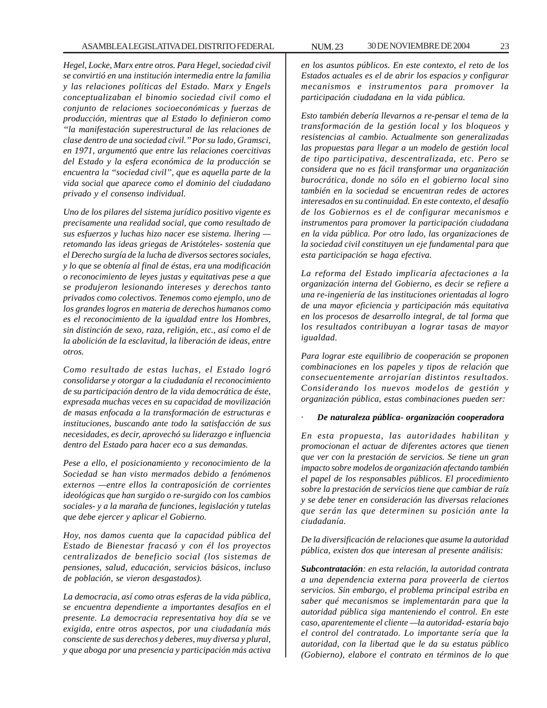# ASAMBLEA LEGISLATIVA DEL DISTRITO FEDERAL NUM. 23 30 DE NOVIEMBRE DE 2004 23

*Hegel, Locke, Marx entre otros. Para Hegel, sociedad civil se convirtió en una institución intermedia entre la familia y las relaciones políticas del Estado. Marx y Engels conceptualizaban el binomio sociedad civil como el conjunto de relaciones socioeconómicas y fuerzas de producción, mientras que al Estado lo definieron como ''la manifestación superestructural de las relaciones de clase dentro de una sociedad civil.'' Por su lado, Gramsci, en 1971, argumentó que entre las relaciones coercitivas del Estado y la esfera económica de la producción se encuentra la ''sociedad civil'', que es aquella parte de la vida social que aparece como el dominio del ciudadano privado y el consenso individual.*

*Uno de los pilares del sistema jurídico positivo vigente es precisamente una realidad social, que como resultado de sus esfuerzos y luchas hizo nacer ese sistema. lhering retomando las ideas griegas de Aristóteles- sostenía que el Derecho surgía de la lucha de diversos sectores sociales, y lo que se obtenía al final de éstas, era una modificación o reconocimiento de leyes justas y equitativas pese a que se produjeron lesionando intereses y derechos tanto privados como colectivos. Tenemos como ejemplo, uno de los grandes logros en materia de derechos humanos como es el reconocimiento de la igualdad entre los Hombres, sin distinción de sexo, raza, religión, etc., así como el de la abolición de la esclavitud, la liberación de ideas, entre otros.*

*Como resultado de estas luchas, el Estado logró consolidarse y otorgar a la ciudadanía el reconocimiento de su participación dentro de la vida democrática de éste, expresada muchas veces en su capacidad de movilización de masas enfocada a la transformación de estructuras e instituciones, buscando ante todo la satisfacción de sus necesidades, es decir, aprovechó su liderazgo e influencia dentro del Estado para hacer eco a sus demandas.*

*Pese a ello, el posicionamiento y reconocimiento de la Sociedad se han visto mermados debido a fenómenos externos —entre ellos la contraposición de corrientes ideológicas que han surgido o re-surgido con los cambios sociales- y a la maraña de funciones, legislación y tutelas que debe ejercer y aplicar el Gobierno.*

*Hoy, nos damos cuenta que la capacidad pública del Estado de Bienestar fracasó y con él los proyectos centralizados de beneficio social (los sistemas de pensiones, salud, educación, servicios básicos, incluso de población, se vieron desgastados).*

*La democracia, así como otras esferas de la vida pública, se encuentra dependiente a importantes desafíos en el presente. La democracia representativa hoy día se ve exigida, entre otros aspectos, por una ciudadanía más consciente de sus derechos y deberes, muy diversa y plural, y que aboga por una presencia y participación más activa* *en los asuntos públicos. En este contexto, el reto de los Estados actuales es el de abrir los espacios y configurar mecanismos e instrumentos para promover la participación ciudadana en la vida pública.*

*Esto también debería llevarnos a re-pensar el tema de la transformación de la gestión local y los bloqueos y resistencias al cambio. Actualmente son generalizadas las propuestas para llegar a un modelo de gestión local de tipo participativa, descentralizada, etc. Pero se considera que no es fácil transformar una organización burocrática, donde no sólo en el gobierno local sino también en la sociedad se encuentran redes de actores interesados en su continuidad. En este contexto, el desafío de los Gobiernos es el de configurar mecanismos e instrumentos para promover la participación ciudadana en la vida pública. Por otro lado, las organizaciones de la sociedad civil constituyen un eje fundamental para que esta participación se haga efectiva.*

*La reforma del Estado implicaría afectaciones a la organización interna del Gobierno, es decir se refiere a una re-ingeniería de las instituciones orientadas al logro de una mayor eficiencia y participación más equitativa en los procesos de desarrollo integral, de tal forma que los resultados contribuyan a lograr tasas de mayor igualdad.*

*Para lograr este equilibrio de cooperación se proponen combinaciones en los papeles y tipos de relación que consecuentemente arrojarían distintos resultados. Considerando los nuevos modelos de gestión y organización pública, estas combinaciones pueden ser:*

· *De naturaleza pública- organización cooperadora*

*En esta propuesta, las autoridades habilitan y promocionan el actuar de diferentes actores que tienen que ver con la prestación de servicios. Se tiene un gran impacto sobre modelos de organización afectando también el papel de los responsables públicos. El procedimiento sobre la prestación de servicios tiene que cambiar de raíz y se debe tener en consideración las diversas relaciones que serán las que determinen su posición ante la ciudadanía.*

*De la diversificación de relaciones que asume la autoridad pública, existen dos que interesan al presente análisis:*

*Subcontratación: en esta relación, la autoridad contrata a una dependencia externa para proveerla de ciertos servicios. Sin embargo, el problema principal estriba en saber qué mecanismos se implementarán para que la autoridad pública siga manteniendo el control. En este caso, aparentemente el cliente —la autoridad- estaría bajo el control del contratado. Lo importante sería que la autoridad, con la libertad que le da su estatus público (Gobierno), elabore el contrato en términos de lo que*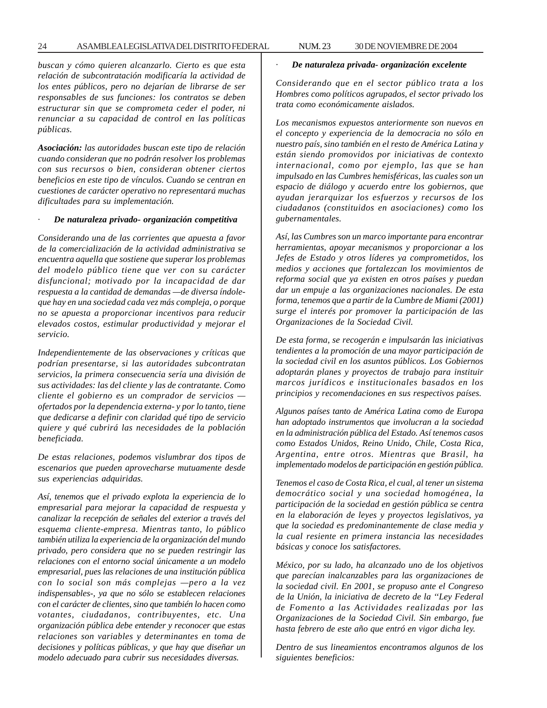*buscan y cómo quieren alcanzarlo. Cierto es que esta relación de subcontratación modificaría la actividad de los entes públicos, pero no dejarían de librarse de ser responsables de sus funciones: los contratos se deben estructurar sin que se comprometa ceder el poder, ni renunciar a su capacidad de control en las políticas públicas.*

*Asociación: las autoridades buscan este tipo de relación cuando consideran que no podrán resolver los problemas con sus recursos o bien, consideran obtener ciertos beneficios en este tipo de vínculos. Cuando se centran en cuestiones de carácter operativo no representará muchas dificultades para su implementación.*

#### · *De naturaleza privado- organización competitiva*

*Considerando una de las corrientes que apuesta a favor de la comercialización de la actividad administrativa se encuentra aquella que sostiene que superar los problemas del modelo público tiene que ver con su carácter disfuncional; motivado por la incapacidad de dar respuesta a la cantidad de demandas —de diversa índoleque hay en una sociedad cada vez más compleja, o porque no se apuesta a proporcionar incentivos para reducir elevados costos, estimular productividad y mejorar el servicio.*

*Independientemente de las observaciones y críticas que podrían presentarse, si las autoridades subcontratan servicios, la primera consecuencia sería una división de sus actividades: las del cliente y las de contratante. Como cliente el gobierno es un comprador de servicios ofertados por la dependencia externa- y por lo tanto, tiene que dedicarse a definir con claridad qué tipo de servicio quiere y qué cubrirá las necesidades de la población beneficiada.*

*De estas relaciones, podemos vislumbrar dos tipos de escenarios que pueden aprovecharse mutuamente desde sus experiencias adquiridas.*

*Así, tenemos que el privado explota la experiencia de lo empresarial para mejorar la capacidad de respuesta y canalizar la recepción de señales del exterior a través del esquema cliente-empresa. Mientras tanto, lo público también utiliza la experiencia de la organización del mundo privado, pero considera que no se pueden restringir las relaciones con el entorno social únicamente a un modelo empresarial, pues las relaciones de una institución pública con lo social son más complejas —pero a la vez indispensables-, ya que no sólo se establecen relaciones con el carácter de clientes, sino que también lo hacen como votantes, ciudadanos, contribuyentes, etc. Una organización pública debe entender y reconocer que estas relaciones son variables y determinantes en toma de decisiones y políticas públicas, y que hay que diseñar un modelo adecuado para cubrir sus necesidades diversas.*

#### · *De naturaleza privada- organización excelente*

*Considerando que en el sector público trata a los Hombres como políticos agrupados, el sector privado los trata como económicamente aislados.*

*Los mecanismos expuestos anteriormente son nuevos en el concepto y experiencia de la democracia no sólo en nuestro país, sino también en el resto de América Latina y están siendo promovidos por iniciativas de contexto internacional, como por ejemplo, las que se han impulsado en las Cumbres hemisféricas, las cuales son un espacio de diálogo y acuerdo entre los gobiernos, que ayudan jerarquizar los esfuerzos y recursos de los ciudadanos (constituidos en asociaciones) como los gubernamentales.*

*Así, las Cumbres son un marco importante para encontrar herramientas, apoyar mecanismos y proporcionar a los Jefes de Estado y otros líderes ya comprometidos, los medios y acciones que fortalezcan los movimientos de reforma social que ya existen en otros países y puedan dar un empuje a las organizaciones nacionales. De esta forma, tenemos que a partir de la Cumbre de Miami (2001) surge el interés por promover la participación de las Organizaciones de la Sociedad Civil.*

*De esta forma, se recogerán e impulsarán las iniciativas tendientes a la promoción de una mayor participación de la sociedad civil en los asuntos públicos. Los Gobiernos adoptarán planes y proyectos de trabajo para instituir marcos jurídicos e institucionales basados en los principios y recomendaciones en sus respectivos países.*

*Algunos países tanto de América Latina como de Europa han adoptado instrumentos que involucran a la sociedad en la administración pública del Estado. Así tenemos casos como Estados Unidos, Reino Unido, Chile, Costa Rica, Argentina, entre otros. Mientras que Brasil, ha implementado modelos de participación en gestión pública.*

*Tenemos el caso de Costa Rica, el cual, al tener un sistema democrático social y una sociedad homogénea, la participación de la sociedad en gestión pública se centra en la elaboración de leyes y proyectos legislativos, ya que la sociedad es predominantemente de clase media y la cual resiente en primera instancia las necesidades básicas y conoce los satisfactores.*

*México, por su lado, ha alcanzado uno de los objetivos que parecían inalcanzables para las organizaciones de la sociedad civil. En 2001, se propuso ante el Congreso de la Unión, la iniciativa de decreto de la ''Ley Federal de Fomento a las Actividades realizadas por las Organizaciones de la Sociedad Civil. Sin embargo, fue hasta febrero de este año que entró en vigor dicha ley.*

*Dentro de sus lineamientos encontramos algunos de los siguientes beneficios:*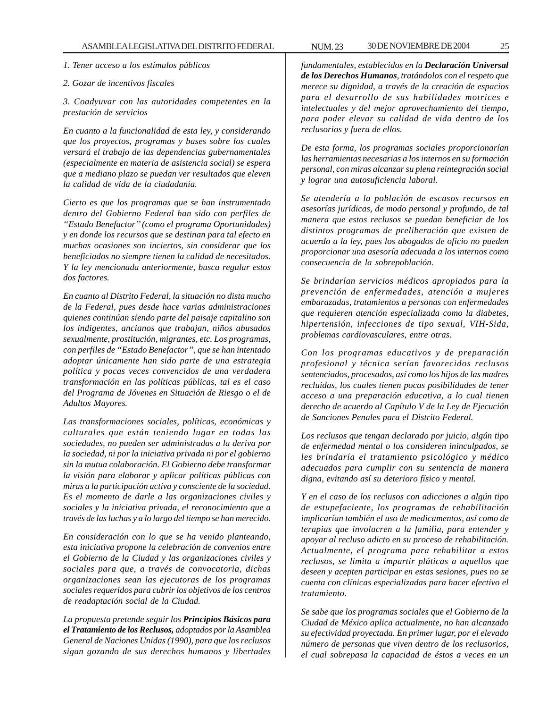*1. Tener acceso a los estímulos públicos*

#### *2. Gozar de incentivos fiscales*

*3. Coadyuvar con las autoridades competentes en la prestación de servicios*

*En cuanto a la funcionalidad de esta ley, y considerando que los proyectos, programas y bases sobre los cuales versará el trabajo de las dependencias gubernamentales (especialmente en materia de asistencia social) se espera que a mediano plazo se puedan ver resultados que eleven la calidad de vida de la ciudadanía.*

*Cierto es que los programas que se han instrumentado dentro del Gobierno Federal han sido con perfiles de ''Estado Benefactor'' (como el programa Oportunidades) y en donde los recursos que se destinan para tal efecto en muchas ocasiones son inciertos, sin considerar que los beneficiados no siempre tienen la calidad de necesitados. Y la ley mencionada anteriormente, busca regular estos dos factores.*

*En cuanto al Distrito Federal, la situación no dista mucho de la Federal, pues desde hace varias administraciones quienes continúan siendo parte del paisaje capitalino son los indigentes, ancianos que trabajan, niños abusados sexualmente, prostitución, migrantes, etc. Los programas, con perfiles de ''Estado Benefactor'', que se han intentado adoptar únicamente han sido parte de una estrategia política y pocas veces convencidos de una verdadera transformación en las políticas públicas, tal es el caso del Programa de Jóvenes en Situación de Riesgo o el de Adultos Mayores.*

*Las transformaciones sociales, políticas, económicas y culturales que están teniendo lugar en todas las sociedades, no pueden ser administradas a la deriva por la sociedad, ni por la iniciativa privada ni por el gobierno sin la mutua colaboración. El Gobierno debe transformar la visión para elaborar y aplicar políticas públicas con miras a la participación activa y consciente de la sociedad. Es el momento de darle a las organizaciones civiles y sociales y la iniciativa privada, el reconocimiento que a través de las luchas y a lo largo del tiempo se han merecido.*

*En consideración con lo que se ha venido planteando, esta iniciativa propone la celebración de convenios entre el Gobierno de la Ciudad y las organizaciones civiles y sociales para que, a través de convocatoria, dichas organizaciones sean las ejecutoras de los programas sociales requeridos para cubrir los objetivos de los centros de readaptación social de la Ciudad.*

*La propuesta pretende seguir los Principios Básicos para el Tratamiento de los Reclusos, adoptados por la Asamblea General de Naciones Unidas (1990), para que los reclusos sigan gozando de sus derechos humanos y libertades*

*fundamentales, establecidos en la Declaración Universal de los Derechos Humanos, tratándolos con el respeto que merece su dignidad, a través de la creación de espacios para el desarrollo de sus habilidades motrices e intelectuales y del mejor aprovechamiento del tiempo, para poder elevar su calidad de vida dentro de los reclusorios y fuera de ellos.*

*De esta forma, los programas sociales proporcionarían las herramientas necesarias a los internos en su formación personal, con miras alcanzar su plena reintegración social y lograr una autosuficiencia laboral.*

*Se atendería a la población de escasos recursos en asesorías jurídicas, de modo personal y profundo, de tal manera que estos reclusos se puedan beneficiar de los distintos programas de preliberación que existen de acuerdo a la ley, pues los abogados de oficio no pueden proporcionar una asesoría adecuada a los internos como consecuencia de la sobrepoblación.*

*Se brindarían servicios médicos apropiados para la prevención de enfermedades, atención a mujeres embarazadas, tratamientos a personas con enfermedades que requieren atención especializada como la diabetes, hipertensión, infecciones de tipo sexual, VIH-Sida, problemas cardiovasculares, entre otras.*

*Con los programas educativos y de preparación profesional y técnica serían favorecidos reclusos sentenciados, procesados, así como los hijos de las madres recluidas, los cuales tienen pocas posibilidades de tener acceso a una preparación educativa, a lo cual tienen derecho de acuerdo al Capítulo V de la Ley de Ejecución de Sanciones Penales para el Distrito Federal.*

*Los reclusos que tengan declarado por juicio, algún tipo de enfermedad mental o los consideren ininculpados, se les brindaría el tratamiento psicológico y médico adecuados para cumplir con su sentencia de manera digna, evitando así su deterioro físico y mental.*

*Y en el caso de los reclusos con adicciones a algún tipo de estupefaciente, los programas de rehabilitación implicarían también el uso de medicamentos, así como de terapias que involucren a la familia, para entender y apoyar al recluso adicto en su proceso de rehabilitación. Actualmente, el programa para rehabilitar a estos reclusos, se limita a impartir pláticas a aquellos que deseen y acepten participar en estas sesiones, pues no se cuenta con clínicas especializadas para hacer efectivo el tratamiento.*

*Se sabe que los programas sociales que el Gobierno de la Ciudad de México aplica actualmente, no han alcanzado su efectividad proyectada. En primer lugar, por el elevado número de personas que viven dentro de los reclusorios, el cual sobrepasa la capacidad de éstos a veces en un*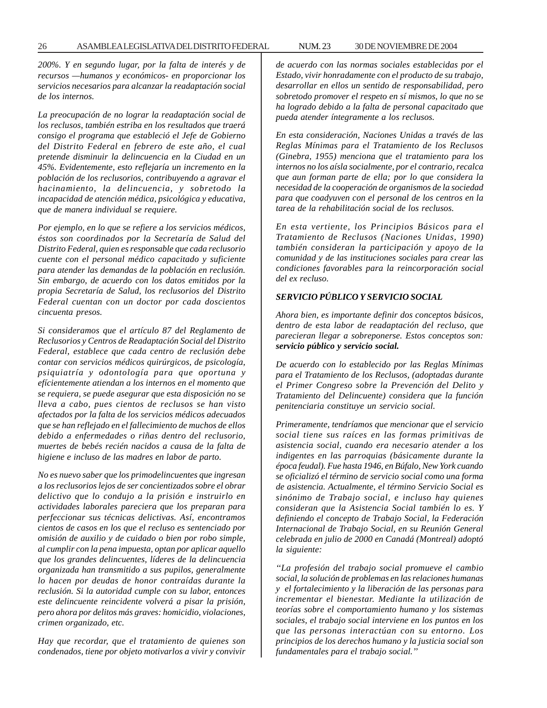*200%. Y en segundo lugar, por la falta de interés y de recursos —humanos y económicos- en proporcionar los servicios necesarios para alcanzar la readaptación social de los internos.*

*La preocupación de no lograr la readaptación social de los reclusos, también estriba en los resultados que traerá consigo el programa que estableció el Jefe de Gobierno del Distrito Federal en febrero de este año, el cual pretende disminuir la delincuencia en la Ciudad en un 45%. Evidentemente, esto reflejaría un incremento en la población de los reclusorios, contribuyendo a agravar el hacinamiento, la delincuencia, y sobretodo la incapacidad de atención médica, psicológica y educativa, que de manera individual se requiere.*

*Por ejemplo, en lo que se refiere a los servicios médicos, éstos son coordinados por la Secretaría de Salud del Distrito Federal, quien es responsable que cada reclusorio cuente con el personal médico capacitado y suficiente para atender las demandas de la población en reclusión. Sin embargo, de acuerdo con los datos emitidos por la propia Secretaría de Salud, los reclusorios del Distrito Federal cuentan con un doctor por cada doscientos cincuenta presos.*

*Si consideramos que el artículo 87 del Reglamento de Reclusorios y Centros de Readaptación Social del Distrito Federal, establece que cada centro de reclusión debe contar con servicios médicos quirúrgicos, de psicología, psiquiatría y odontología para que oportuna y efícientemente atiendan a los internos en el momento que se requiera, se puede asegurar que esta disposición no se lleva a cabo, pues cientos de reclusos se han visto afectados por la falta de los servicios médicos adecuados que se han reflejado en el fallecimiento de muchos de ellos debido a enfermedades o riñas dentro del reclusorio, muertes de bebés recién nacidos a causa de la falta de higiene e incluso de las madres en labor de parto.*

*No es nuevo saber que los primodelincuentes que ingresan a los reclusorios lejos de ser concientizados sobre el obrar delictivo que lo condujo a la prisión e instruirlo en actividades laborales pareciera que los preparan para perfeccionar sus técnicas delictivas. Así, encontramos cientos de casos en los que el recluso es sentenciado por omisión de auxilio y de cuidado o bien por robo simple, al cumplir con la pena impuesta, optan por aplicar aquello que los grandes delincuentes, líderes de la delincuencia organizada han transmitido a sus pupilos, generalmente lo hacen por deudas de honor contraídas durante la reclusión. Si la autoridad cumple con su labor, entonces este delincuente reincidente volverá a pisar la prisión, pero ahora por delitos más graves: homicidio, violaciones, crimen organizado, etc.*

*Hay que recordar, que el tratamiento de quienes son condenados, tiene por objeto motivarlos a vivir y convivir* *de acuerdo con las normas sociales establecidas por el Estado, vivir honradamente con el producto de su trabajo, desarrollar en ellos un sentido de responsabilidad, pero sobretodo promover el respeto en sí mismos, lo que no se ha logrado debido a la falta de personal capacitado que pueda atender íntegramente a los reclusos.*

*En esta consideración, Naciones Unidas a través de las Reglas Mínimas para el Tratamiento de los Reclusos (Ginebra, 1955) menciona que el tratamiento para los internos no los aísla socialmente, por el contrario, recalca que aun forman parte de ella; por lo que considera la necesidad de la cooperación de organismos de la sociedad para que coadyuven con el personal de los centros en la tarea de la rehabilitación social de los reclusos.*

*En esta vertiente, los Principios Básicos para el Tratamiento de Reclusos (Naciones Unidas, 1990) también consideran la participación y apoyo de la comunidad y de las instituciones sociales para crear las condiciones favorables para la reincorporación social del ex recluso.*

# *SERVICIO PÚBLICO Y SERVICIO SOCIAL*

*Ahora bien, es importante definir dos conceptos básicos, dentro de esta labor de readaptación del recluso, que parecieran llegar a sobreponerse. Estos conceptos son: servicio público y servicio social.*

*De acuerdo con lo establecido por las Reglas Mínimas para el Tratamiento de los Reclusos, (adoptadas durante el Primer Congreso sobre la Prevención del Delito y Tratamiento del Delincuente) considera que la función penitenciaria constituye un servicio social.*

*Primeramente, tendríamos que mencionar que el servicio social tiene sus raíces en las formas primitivas de asistencia social, cuando era necesario atender a los indigentes en las parroquias (básicamente durante la época feudal). Fue hasta 1946, en Búfalo, New York cuando se oficializó el término de servicio social como una forma de asistencia. Actualmente, el término Servicio Social es sinónimo de Trabajo social, e incluso hay quienes consideran que la Asistencia Social también lo es. Y definiendo el concepto de Trabajo Social, la Federación Internacional de Trabajo Social, en su Reunión General celebrada en julio de 2000 en Canadá (Montreal) adoptó la siguiente:*

*''La profesión del trabajo social promueve el cambio social, la solución de problemas en las relaciones humanas y el fortalecimiento y la liberación de las personas para incrementar el bienestar. Mediante la utilización de teorías sobre el comportamiento humano y los sistemas sociales, el trabajo social interviene en los puntos en los que las personas interactúan con su entorno. Los principios de los derechos humano y la justicia social son fundamentales para el trabajo social.''*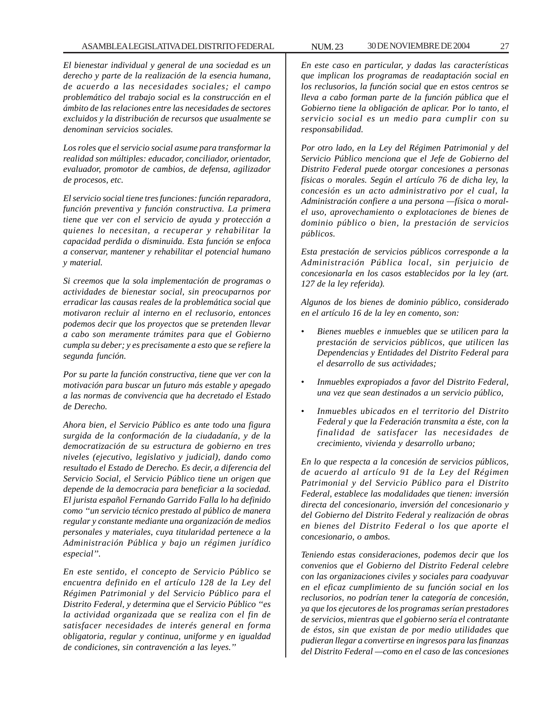# ASAMBLEA LEGISLATIVA DEL DISTRITO FEDERAL NUM. 23 30 DE NOVIEMBRE DE 2004 27

*El bienestar individual y general de una sociedad es un derecho y parte de la realización de la esencia humana, de acuerdo a las necesidades sociales; el campo problemático del trabajo social es la construcción en el ámbito de las relaciones entre las necesidades de sectores excluidos y la distribución de recursos que usualmente se denominan servicios sociales.*

*Los roles que el servicio social asume para transformar la realidad son múltiples: educador, conciliador, orientador, evaluador, promotor de cambios, de defensa, agilizador de procesos, etc.*

*El servicio social tiene tres funciones: función reparadora, función preventiva y función constructiva. La primera tiene que ver con el servicio de ayuda y protección a quienes lo necesitan, a recuperar y rehabilitar la capacidad perdida o disminuida. Esta función se enfoca a conservar, mantener y rehabilitar el potencial humano y material.*

*Si creemos que la sola implementación de programas o actividades de bienestar social, sin preocuparnos por erradicar las causas reales de la problemática social que motivaron recluir al interno en el reclusorio, entonces podemos decir que los proyectos que se pretenden llevar a cabo son meramente trámites para que el Gobierno cumpla su deber; y es precisamente a esto que se refiere la segunda función.*

*Por su parte la función constructiva, tiene que ver con la motivación para buscar un futuro más estable y apegado a las normas de convivencia que ha decretado el Estado de Derecho.*

*Ahora bien, el Servicio Público es ante todo una figura surgida de la conformación de la ciudadanía, y de la democratización de su estructura de gobierno en tres niveles (ejecutivo, legislativo y judicial), dando como resultado el Estado de Derecho. Es decir, a diferencia del Servicio Social, el Servicio Público tiene un origen que depende de la democracia para beneficiar a la sociedad. El jurista español Fernando Garrido Falla lo ha definido como ''un servicio técnico prestado al público de manera regular y constante mediante una organización de medios personales y materiales, cuya titularidad pertenece a la Administración Pública y bajo un régimen jurídico especial''.*

*En este sentido, el concepto de Servicio Público se encuentra definido en el artículo 128 de la Ley del Régimen Patrimonial y del Servicio Público para el Distrito Federal, y determina que el Servicio Público ''es la actividad organizada que se realiza con el fin de satisfacer necesidades de interés general en forma obligatoria, regular y continua, uniforme y en igualdad de condiciones, sin contravención a las leyes.''*

*En este caso en particular, y dadas las características que implican los programas de readaptación social en los reclusorios, la función social que en estos centros se lleva a cabo forman parte de la función pública que el Gobierno tiene la obligación de aplicar. Por lo tanto, el servicio social es un medio para cumplir con su responsabilidad.*

*Por otro lado, en la Ley del Régimen Patrimonial y del Servicio Público menciona que el Jefe de Gobierno del Distrito Federal puede otorgar concesiones a personas físicas o morales. Según el artículo 76 de dicha ley, la concesión es un acto administrativo por el cual, la Administración confiere a una persona —física o moralel uso, aprovechamiento o explotaciones de bienes de dominio público o bien, la prestación de servicios públicos.*

*Esta prestación de servicios públicos corresponde a la Administración Pública local, sin perjuicio de concesionarla en los casos establecidos por la ley (art. 127 de la ley referida).*

*Algunos de los bienes de dominio público, considerado en el artículo 16 de la ley en comento, son:*

- *Bienes muebles e inmuebles que se utilicen para la prestación de servicios públicos, que utilicen las Dependencias y Entidades del Distrito Federal para el desarrollo de sus actividades;*
- *Inmuebles expropiados a favor del Distrito Federal, una vez que sean destinados a un servicio público,*
- *Inmuebles ubicados en el territorio del Distrito Federal y que la Federación transmita a éste, con la finalidad de satisfacer las necesidades de crecimiento, vivienda y desarrollo urbano;*

*En lo que respecta a la concesión de servicios públicos, de acuerdo al artículo 91 de la Ley del Régimen Patrimonial y del Servicio Público para el Distrito Federal, establece las modalidades que tienen: inversión directa del concesionario, inversión del concesionario y del Gobierno del Distrito Federal y realización de obras en bienes del Distrito Federal o los que aporte el concesionario, o ambos.*

*Teniendo estas consideraciones, podemos decir que los convenios que el Gobierno del Distrito Federal celebre con las organizaciones civiles y sociales para coadyuvar en el eficaz cumplimiento de su función social en los reclusorios, no podrían tener la categoría de concesión, ya que los ejecutores de los programas serían prestadores de servicios, mientras que el gobierno sería el contratante de éstos, sin que existan de por medio utilidades que pudieran llegar a convertirse en ingresos para las finanzas del Distrito Federal —como en el caso de las concesiones*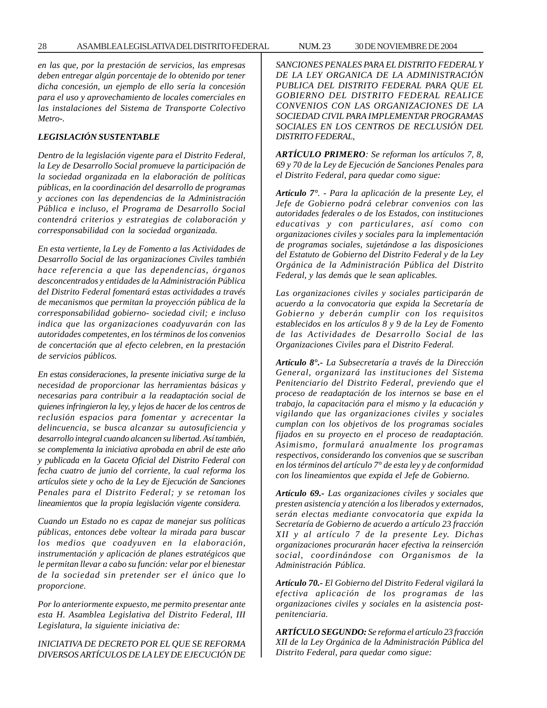*en las que, por la prestación de servicios, las empresas deben entregar algún porcentaje de lo obtenido por tener dicha concesión, un ejemplo de ello sería la concesión para el uso y aprovechamiento de locales comerciales en las instalaciones del Sistema de Transporte Colectivo Metro-.*

# *LEGISLACIÓN SUSTENTABLE*

*Dentro de la legislación vigente para el Distrito Federal, la Ley de Desarrollo Social promueve la participación de la sociedad organizada en la elaboración de políticas públicas, en la coordinación del desarrollo de programas y acciones con las dependencias de la Administración Pública e incluso, el Programa de Desarrollo Social contendrá criterios y estrategias de colaboración y corresponsabilidad con la sociedad organizada.*

*En esta vertiente, la Ley de Fomento a las Actividades de Desarrollo Social de las organizaciones Civiles también hace referencia a que las dependencias, órganos desconcentrados y entidades de la Administración Pública del Distrito Federal fomentará estas actividades a través de mecanismos que permitan la proyección pública de la corresponsabilidad gobierno- sociedad civil; e incluso indica que las organizaciones coadyuvarán con las autoridades competentes, en los términos de los convenios de concertación que al efecto celebren, en la prestación de servicios públicos.*

*En estas consideraciones, la presente iniciativa surge de la necesidad de proporcionar las herramientas básicas y necesarias para contribuir a la readaptación social de quienes infringieron la ley, y lejos de hacer de los centros de reclusión espacios para fomentar y acrecentar la delincuencia, se busca alcanzar su autosuficiencia y desarrollo integral cuando alcancen su libertad. Así también, se complementa la iniciativa aprobada en abril de este año y publicada en la Gaceta Oficial del Distrito Federal con fecha cuatro de junio del corriente, la cual reforma los artículos siete y ocho de la Ley de Ejecución de Sanciones Penales para el Distrito Federal; y se retoman los lineamientos que la propia legislación vigente considera.*

*Cuando un Estado no es capaz de manejar sus políticas públicas, entonces debe voltear la mirada para buscar los medios que coadyuven en la elaboración, instrumentación y aplicación de planes estratégicos que le permitan llevar a cabo su función: velar por el bienestar de la sociedad sin pretender ser el único que lo proporcione.*

*Por lo anteriormente expuesto, me permito presentar ante esta H. Asamblea Legislativa del Distrito Federal, III Legislatura, la siguiente iniciativa de:*

*INICIATIVA DE DECRETO POR EL QUE SE REFORMA DIVERSOS ARTÍCULOS DE LA LEY DE EJECUCIÓN DE* *SANCIONES PENALES PARA EL DISTRITO FEDERAL Y DE LA LEY ORGANICA DE LA ADMINISTRACIÓN PUBLICA DEL DISTRITO FEDERAL PARA QUE EL GOBIERNO DEL DISTRITO FEDERAL REALICE CONVENIOS CON LAS ORGANIZACIONES DE LA SOCIEDAD CIVIL PARA IMPLEMENTAR PROGRAMAS SOCIALES EN LOS CENTROS DE RECLUSIÓN DEL DISTRITO FEDERAL,*

*ARTÍCULO PRIMERO: Se reforman los artículos 7, 8, 69 y 70 de la Ley de Ejecución de Sanciones Penales para el Distrito Federal, para quedar como sigue:*

*Artículo 7°. - Para la aplicación de la presente Ley, el Jefe de Gobierno podrá celebrar convenios con las autoridades federales o de los Estados, con instituciones educativas y con particulares, así como con organizaciones civiles y sociales para la implementación de programas sociales, sujetándose a las disposiciones del Estatuto de Gobierno del Distrito Federal y de la Ley Orgánica de la Administración Pública del Distrito Federal, y las demás que le sean aplicables.*

*Las organizaciones civiles y sociales participarán de acuerdo a la convocatoria que expida la Secretaría de Gobierno y deberán cumplir con los requisitos establecidos en los artículos 8 y 9 de la Ley de Fomento de las Actividades de Desarrollo Social de las Organizaciones Civiles para el Distrito Federal.*

*Artículo 8°.- La Subsecretaría a través de la Dirección General, organizará las instituciones del Sistema Penitenciario del Distrito Federal, previendo que el proceso de readaptación de los internos se base en el trabajo, la capacitación para el mismo y la educación y vigilando que las organizaciones civiles y sociales cumplan con los objetivos de los programas sociales fijados en su proyecto en el proceso de readaptación. Asimismo, formulará anualmente los programas respectivos, considerando los convenios que se suscriban en los términos del artículo 7° de esta ley y de conformidad con los lineamientos que expida el Jefe de Gobierno.*

*Artículo 69.- Las organizaciones civiles y sociales que presten asistencia y atención a los liberados y externados, serán electas mediante convocatoria que expida la Secretaría de Gobierno de acuerdo a artículo 23 fracción XII y al artículo 7 de la presente Ley. Dichas organizaciones procurarán hacer efectiva la reinserción social, coordinándose con Organismos de la Administración Pública.*

*Artículo 70.- El Gobierno del Distrito Federal vigilará la efectiva aplicación de los programas de las organizaciones civiles y sociales en la asistencia postpenitenciaria.*

*ARTÍCULO SEGUNDO: Se reforma el artículo 23 fracción XII de la Ley Orgánica de la Administración Pública del Distrito Federal, para quedar como sigue:*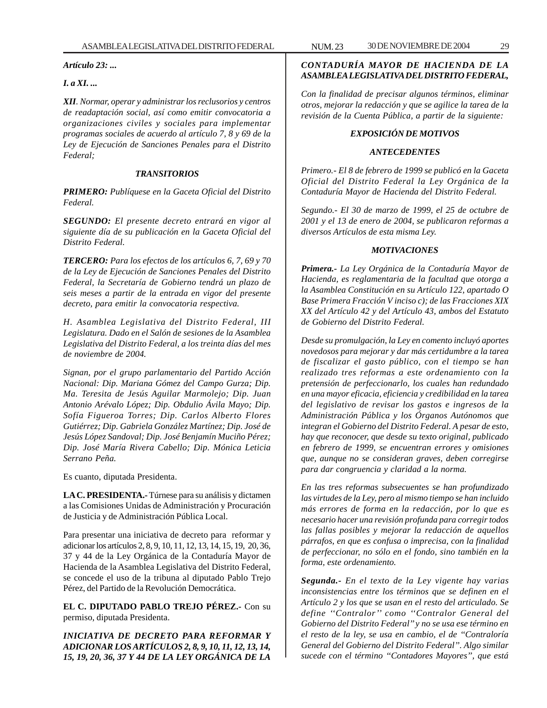*Artículo 23: ...*

# *I. a XI. ...*

*XII. Normar, operar y administrar los reclusorios y centros de readaptación social, así como emitir convocatoria a organizaciones civiles y sociales para implementar programas sociales de acuerdo al artículo 7, 8 y 69 de la Ley de Ejecución de Sanciones Penales para el Distrito Federal;*

# *TRANSITORIOS*

*PRIMERO: Publíquese en la Gaceta Oficial del Distrito Federal.*

*SEGUNDO: El presente decreto entrará en vigor al siguiente día de su publicación en la Gaceta Oficial del Distrito Federal.*

*TERCERO: Para los efectos de los artículos 6, 7, 69 y 70 de la Ley de Ejecución de Sanciones Penales del Distrito Federal, la Secretaría de Gobierno tendrá un plazo de seis meses a partir de la entrada en vigor del presente decreto, para emitir la convocatoria respectiva.*

*H. Asamblea Legislativa del Distrito Federal, III Legislatura. Dado en el Salón de sesiones de la Asamblea Legislativa del Distrito Federal, a los treinta días del mes de noviembre de 2004.*

*Signan, por el grupo parlamentario del Partido Acción Nacional: Dip. Mariana Gómez del Campo Gurza; Dip. Ma. Teresita de Jesús Aguilar Marmolejo; Dip. Juan Antonio Arévalo López; Dip. Obdulio Ávila Mayo; Dip. Sofía Figueroa Torres; Dip. Carlos Alberto Flores Gutiérrez; Dip. Gabriela González Martínez; Dip. José de Jesús López Sandoval; Dip. José Benjamín Muciño Pérez; Dip. José María Rivera Cabello; Dip. Mónica Leticia Serrano Peña.*

Es cuanto, diputada Presidenta.

**LA C. PRESIDENTA.-** Túrnese para su análisis y dictamen a las Comisiones Unidas de Administración y Procuración de Justicia y de Administración Pública Local.

Para presentar una iniciativa de decreto para reformar y adicionar los artículos 2, 8, 9, 10, 11, 12, 13, 14, 15, 19, 20, 36, 37 y 44 de la Ley Orgánica de la Contaduría Mayor de Hacienda de la Asamblea Legislativa del Distrito Federal, se concede el uso de la tribuna al diputado Pablo Trejo Pérez, del Partido de la Revolución Democrática.

**EL C. DIPUTADO PABLO TREJO PÉREZ.-** Con su permiso, diputada Presidenta.

*INICIATIVA DE DECRETO PARA REFORMAR Y ADICIONAR LOS ARTÍCULOS 2, 8, 9, 10, 11, 12, 13, 14, 15, 19, 20, 36, 37 Y 44 DE LA LEY ORGÁNICA DE LA*

# *CONTADURÍA MAYOR DE HACIENDA DE LA ASAMBLEA LEGISLATIVA DEL DISTRITO FEDERAL,*

*Con la finalidad de precisar algunos términos, eliminar otros, mejorar la redacción y que se agilice la tarea de la revisión de la Cuenta Pública, a partir de la siguiente:*

# *EXPOSICIÓN DE MOTIVOS*

# *ANTECEDENTES*

*Primero.- El 8 de febrero de 1999 se publicó en la Gaceta Oficial del Distrito Federal la Ley Orgánica de la Contaduría Mayor de Hacienda del Distrito Federal.*

*Segundo.- El 30 de marzo de 1999, el 25 de octubre de 2001 y el 13 de enero de 2004, se publicaron reformas a diversos Artículos de esta misma Ley.*

# *MOTIVACIONES*

*Primera.- La Ley Orgánica de la Contaduría Mayor de Hacienda, es reglamentaria de la facultad que otorga a la Asamblea Constitución en su Artículo 122, apartado O Base Primera Fracción V inciso c); de las Fracciones XIX XX del Artículo 42 y del Artículo 43, ambos del Estatuto de Gobierno del Distrito Federal.*

*Desde su promulgación, la Ley en comento incluyó aportes novedosos para mejorar y dar más certidumbre a la tarea de fiscalizar el gasto público, con el tiempo se han realizado tres reformas a este ordenamiento con la pretensión de perfeccionarlo, los cuales han redundado en una mayor eficacia, eficiencia y credibilidad en la tarea del legislativo de revisar los gastos e ingresos de la Administración Pública y los Órganos Autónomos que integran el Gobierno del Distrito Federal. A pesar de esto, hay que reconocer, que desde su texto original, publicado en febrero de 1999, se encuentran errores y omisiones que, aunque no se consideran graves, deben corregirse para dar congruencia y claridad a la norma.*

*En las tres reformas subsecuentes se han profundizado las virtudes de la Ley, pero al mismo tiempo se han incluido más errores de forma en la redacción, por lo que es necesario hacer una revisión profunda para corregir todos las fallas posibles y mejorar la redacción de aquellos párrafos, en que es confusa o imprecisa, con la finalidad de perfeccionar, no sólo en el fondo, sino también en la forma, este ordenamiento.*

*Segunda.- En el texto de la Ley vigente hay varias inconsistencias entre los términos que se definen en el Artículo 2 y los que se usan en el resto del articulado. Se define ''Contralor'' como ''Contralor General del Gobierno del Distrito Federal'' y no se usa ese término en el resto de la ley, se usa en cambio, el de ''Contraloría General del Gobierno del Distrito Federal''. Algo similar sucede con el término ''Contadores Mayores'', que está*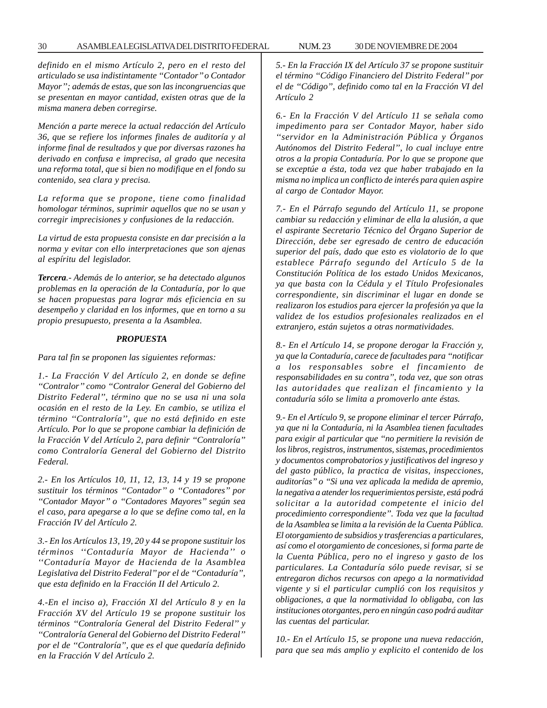*definido en el mismo Artículo 2, pero en el resto del articulado se usa indistintamente ''Contador'' o Contador Mayor''; además de estas, que son las incongruencias que se presentan en mayor cantidad, existen otras que de la misma manera deben corregirse.*

*Mención a parte merece la actual redacción del Artículo 36, que se refiere los informes finales de auditoría y al informe final de resultados y que por diversas razones ha derivado en confusa e imprecisa, al grado que necesita una reforma total, que si bien no modifique en el fondo su contenido, sea clara y precisa.*

*La reforma que se propone, tiene como finalidad homologar términos, suprimir aquellos que no se usan y corregir imprecisiones y confusiones de la redacción.*

*La virtud de esta propuesta consiste en dar precisión a la norma y evitar con ello interpretaciones que son ajenas al espíritu del legislador.*

*Tercera.- Además de lo anterior, se ha detectado algunos problemas en la operación de la Contaduría, por lo que se hacen propuestas para lograr más eficiencia en su desempeño y claridad en los informes, que en torno a su propio presupuesto, presenta a la Asamblea.*

#### *PROPUESTA*

*Para tal fin se proponen las siguientes reformas:*

*1.- La Fracción V del Artículo 2, en donde se define ''Contralor'' como ''Contralor General del Gobierno del Distrito Federal'', término que no se usa ni una sola ocasión en el resto de la Ley. En cambio, se utiliza el término ''Contraloría'', que no está definido en este Artículo. Por lo que se propone cambiar la definición de la Fracción V del Artículo 2, para definir ''Contraloría'' como Contraloría General del Gobierno del Distrito Federal.*

*2.- En los Artículos 10, 11, 12, 13, 14 y 19 se propone sustituir los términos ''Contador'' o ''Contadores'' por ''Contador Mayor'' o ''Contadores Mayores'' según sea el caso, para apegarse a lo que se define como tal, en la Fracción IV del Artículo 2.*

*3.- En los Artículos 13, 19, 20 y 44 se propone sustituir los términos ''Contaduría Mayor de Hacienda'' o ''Contaduría Mayor de Hacienda de la Asamblea Legislativa del Distrito Federal'' por el de ''Contaduría'', que esta definido en la Fracción II del Articulo 2.*

*4.-En el inciso a), Fracción Xl del Artículo 8 y en la Fracción XV del Artículo 19 se propone sustituir los términos ''Contraloría General del Distrito Federal'' y ''Contraloría General del Gobierno del Distrito Federal'' por el de ''Contraloría'', que es el que quedaría definido en la Fracción V del Artículo 2.*

*5.- En la Fracción IX del Artículo 37 se propone sustituir el término ''Código Financiero del Distrito Federal'' por el de ''Código'', definido como tal en la Fracción VI del Artículo 2*

*6.- En la Fracción V del Artículo 11 se señala como impedimento para ser Contador Mayor, haber sido ''servidor en la Administración Pública y Órganos Autónomos del Distrito Federal'', lo cual incluye entre otros a la propia Contaduría. Por lo que se propone que se exceptúe a ésta, toda vez que haber trabajado en la misma no implica un conflicto de interés para quien aspire al cargo de Contador Mayor.*

*7.- En el Párrafo segundo del Artículo 11, se propone cambiar su redacción y eliminar de ella la alusión, a que el aspirante Secretario Técnico del Órgano Superior de Dirección, debe ser egresado de centro de educación superior del país, dado que esto es violatorio de lo que establece Párrafo segundo del Artículo 5 de la Constitución Política de los estado Unidos Mexicanos, ya que basta con la Cédula y el Título Profesionales correspondiente, sin discriminar el lugar en donde se realizaron los estudios para ejercer la profesión ya que la validez de los estudios profesionales realizados en el extranjero, están sujetos a otras normatividades.*

*8.- En el Artículo 14, se propone derogar la Fracción y, ya que la Contaduría, carece de facultades para ''notificar a los responsables sobre el fincamiento de responsabilidades en su contra'', toda vez, que son otras las autoridades que realizan el fincamiento y la contaduría sólo se limita a promoverlo ante éstas.*

*9.- En el Artículo 9, se propone eliminar el tercer Párrafo, ya que ni la Contaduría, ni la Asamblea tienen facultades para exigir al particular que ''no permitiere la revisión de los libros, registros, instrumentos, sistemas, procedimientos y documentos comprobatorios y justificativos del ingreso y del gasto público, la practica de visitas, inspecciones, auditorías'' o ''Si una vez aplicada la medida de apremio, la negativa a atender los requerimientos persiste, está podrá solicitar a la autoridad competente el inicio del procedimiento correspondiente''. Toda vez que la facultad de la Asamblea se limita a la revisión de la Cuenta Pública. El otorgamiento de subsidios y trasferencias a particulares, así como el otorgamiento de concesiones, si forma parte de la Cuenta Pública, pero no el ingreso y gasto de los particulares. La Contaduría sólo puede revisar, si se entregaron dichos recursos con apego a la normatividad vigente y si el particular cumplió con los requisitos y obligaciones, a que la normatividad lo obligaba, con las instituciones otorgantes, pero en ningún caso podrá auditar las cuentas del particular.*

*10.- En el Artículo 15, se propone una nueva redacción, para que sea más amplio y explicito el contenido de los*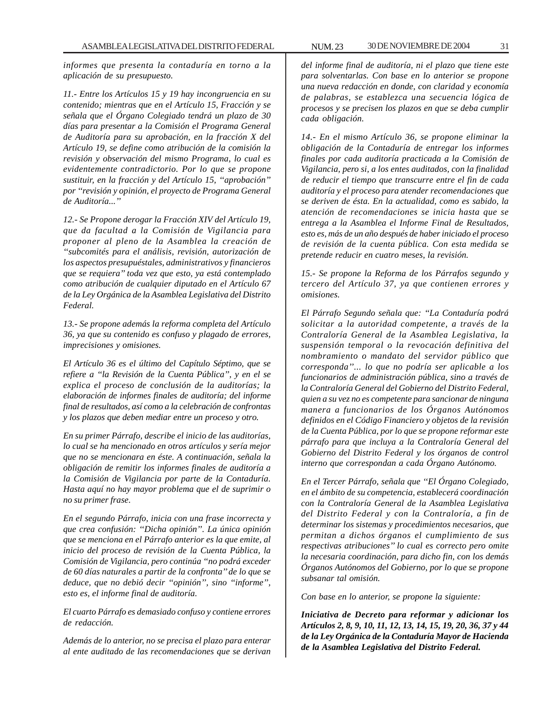*informes que presenta la contaduría en torno a la aplicación de su presupuesto.*

*11.- Entre los Artículos 15 y 19 hay incongruencia en su contenido; mientras que en el Artículo 15, Fracción y se señala que el Órgano Colegiado tendrá un plazo de 30 días para presentar a la Comisión el Programa General de Auditoría para su aprobación, en la fracción X del Artículo 19, se define como atribución de la comisión la revisión y observación del mismo Programa, lo cual es evidentemente contradictorio. Por lo que se propone sustituir, en la fracción y del Artículo 15, ''aprobación'' por ''revisión y opinión, el proyecto de Programa General de Auditoría...''*

*12.- Se Propone derogar la Fracción XIV del Artículo 19, que da facultad a la Comisión de Vigilancia para proponer al pleno de la Asamblea la creación de ''subcomités para el análisis, revisión, autorización de los aspectos presupuéstales, administrativos y financieros que se requiera'' toda vez que esto, ya está contemplado como atribución de cualquier diputado en el Artículo 67 de la Ley Orgánica de la Asamblea Legislativa del Distrito Federal.*

*13.- Se propone además la reforma completa del Artículo 36, ya que su contenido es confuso y plagado de errores, imprecisiones y omisiones.*

*El Artículo 36 es el último del Capítulo Séptimo, que se refiere a ''la Revisión de la Cuenta Pública'', y en el se explica el proceso de conclusión de la auditorías; la elaboración de informes finales de auditoría; del informe final de resultados, así como a la celebración de confrontas y los plazos que deben mediar entre un proceso y otro.*

*En su primer Párrafo, describe el inicio de las auditorías, lo cual se ha mencionado en otros artículos y sería mejor que no se mencionara en éste. A continuación, señala la obligación de remitir los informes finales de auditoría a la Comisión de Vigilancia por parte de la Contaduría. Hasta aquí no hay mayor problema que el de suprimir o no su primer frase.*

*En el segundo Párrafo, inicia con una frase incorrecta y que crea confusión: ''Dicha opinión''. La única opinión que se menciona en el Párrafo anterior es la que emite, al inicio del proceso de revisión de la Cuenta Pública, la Comisión de Vigilancia, pero continúa ''no podrá exceder de 60 días naturales a partir de la confronta'' de lo que se deduce, que no debió decir ''opinión'', sino ''informe'', esto es, el informe final de auditoría.*

*El cuarto Párrafo es demasiado confuso y contiene errores de redacción.*

*Además de lo anterior, no se precisa el plazo para enterar al ente auditado de las recomendaciones que se derivan* *del informe final de auditoría, ni el plazo que tiene este para solventarlas. Con base en lo anterior se propone una nueva redacción en donde, con claridad y economía de palabras, se establezca una secuencia lógica de procesos y se precisen los plazos en que se deba cumplir cada obligación.*

*14.- En el mismo Artículo 36, se propone eliminar la obligación de la Contaduría de entregar los informes finales por cada auditoría practicada a la Comisión de Vigilancia, pero si, a los entes auditados, con la finalidad de reducir el tiempo que transcurre entre el fin de cada auditoría y el proceso para atender recomendaciones que se deriven de ésta. En la actualidad, como es sabido, la atención de recomendaciones se inicia hasta que se entrega a la Asamblea el Informe Final de Resultados, esto es, más de un año después de haber iniciado el proceso de revisión de la cuenta pública. Con esta medida se pretende reducir en cuatro meses, la revisión.*

*15.- Se propone la Reforma de los Párrafos segundo y tercero del Artículo 37, ya que contienen errores y omisiones.*

*El Párrafo Segundo señala que: ''La Contaduría podrá solicitar a la autoridad competente, a través de la Contraloría General de la Asamblea Legislativa, la suspensión temporal o la revocación definitiva del nombramiento o mandato del servidor público que corresponda''... lo que no podría ser aplicable a los funcionarios de administración pública, sino a través de la Contraloría General del Gobierno del Distrito Federal, quien a su vez no es competente para sancionar de ninguna manera a funcionarios de los Órganos Autónomos definidos en el Código Financiero y objetos de la revisión de la Cuenta Pública, por lo que se propone reformar este párrafo para que incluya a la Contraloría General del Gobierno del Distrito Federal y los órganos de control interno que correspondan a cada Órgano Autónomo.*

*En el Tercer Párrafo, señala que ''El Órgano Colegiado, en el ámbito de su competencia, establecerá coordinación con la Contraloría General de la Asamblea Legislativa del Distrito Federal y con la Contraloría, a fin de determinar los sistemas y procedimientos necesarios, que permitan a dichos órganos el cumplimiento de sus respectivas atribuciones'' lo cual es correcto pero omite la necesaria coordinación, para dicho fin, con los demás Órganos Autónomos del Gobierno, por lo que se propone subsanar tal omisión.*

*Con base en lo anterior, se propone la siguiente:*

*Iniciativa de Decreto para reformar y adicionar los Artículos 2, 8, 9, 10, 11, 12, 13, 14, 15, 19, 20, 36, 37 y 44 de la Ley Orgánica de la Contaduría Mayor de Hacienda de la Asamblea Legislativa del Distrito Federal.*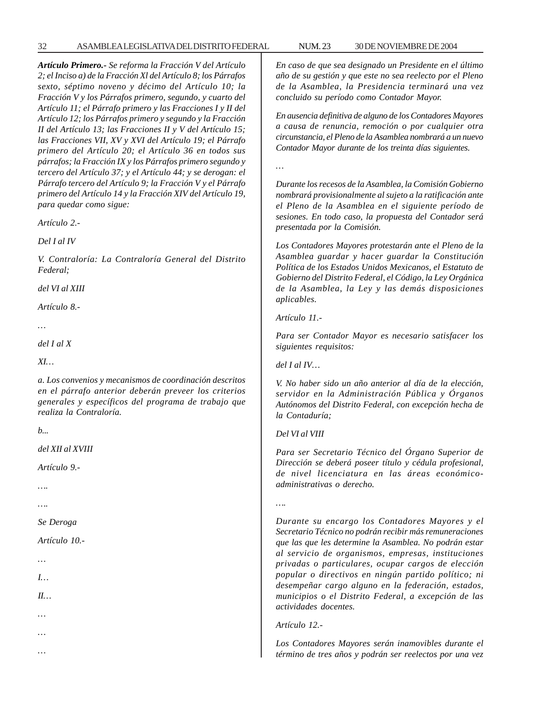*Artículo Primero.- Se reforma la Fracción V del Artículo 2; el Inciso a) de la Fracción Xl del Artículo 8; los Párrafos sexto, séptimo noveno y décimo del Artículo 10; la Fracción V y los Párrafos primero, segundo, y cuarto del Artículo 11; el Párrafo primero y las Fracciones I y II del Artículo 12; los Párrafos primero y segundo y la Fracción II del Artículo 13; las Fracciones II y V del Artículo 15; las Fracciones VII, XV y XVI del Artículo 19; el Párrafo primero del Artículo 20; el Artículo 36 en todos sus párrafos; la Fracción IX y los Párrafos primero segundo y tercero del Artículo 37; y el Artículo 44; y se derogan: el Párrafo tercero del Artículo 9; la Fracción V y el Párrafo primero del Artículo 14 y la Fracción XIV del Artículo 19, para quedar como sigue:*

*Artículo 2.-*

*Del I al IV*

*V. Contraloría: La Contraloría General del Distrito Federal;*

*del VI al XIII*

*Artículo 8.-*

*…*

*del I al X*

*XI…*

*a. Los convenios y mecanismos de coordinación descritos en el párrafo anterior deberán preveer los criterios generales y específicos del programa de trabajo que realiza la Contraloría.*

*b...*

*del XII al XVIII*

*Artículo 9.-*

*….*

*….*

*Se Deroga*

*Artículo 10.-*

*…*

*I…*

*II…*

*…*

*…*

*…*

*En caso de que sea designado un Presidente en el último año de su gestión y que este no sea reelecto por el Pleno de la Asamblea, la Presidencia terminará una vez concluido su período como Contador Mayor.*

*En ausencia definitiva de alguno de los Contadores Mayores a causa de renuncia, remoción o por cualquier otra circunstancia, el Pleno de la Asamblea nombrará a un nuevo Contador Mayor durante de los treinta días siguientes.*

*…*

*Durante los recesos de la Asamblea, la Comisión Gobierno nombrará provisionalmente al sujeto a la ratificación ante el Pleno de la Asamblea en el siguiente período de sesiones. En todo caso, la propuesta del Contador será presentada por la Comisión.*

*Los Contadores Mayores protestarán ante el Pleno de la Asamblea guardar y hacer guardar la Constitución Política de los Estados Unidos Mexicanos, el Estatuto de Gobierno del Distrito Federal, el Código, la Ley Orgánica de la Asamblea, la Ley y las demás disposiciones aplicables.*

*Artículo 11.-*

*Para ser Contador Mayor es necesario satisfacer los siguientes requisitos:*

*del I al IV…*

*V. No haber sido un año anterior al día de la elección, servidor en la Administración Pública y Órganos Autónomos del Distrito Federal, con excepción hecha de la Contaduría;*

#### *Del VI al VIII*

*Para ser Secretario Técnico del Órgano Superior de Dirección se deberá poseer título y cédula profesional, de nivel licenciatura en las áreas económicoadministrativas o derecho.*

*….*

*Durante su encargo los Contadores Mayores y el Secretario Técnico no podrán recibir más remuneraciones que las que les determine la Asamblea. No podrán estar al servicio de organismos, empresas, instituciones privadas o particulares, ocupar cargos de elección popular o directivos en ningún partido político; ni desempeñar cargo alguno en la federación, estados, municipios o el Distrito Federal, a excepción de las actividades docentes.*

*Artículo 12.-*

*Los Contadores Mayores serán inamovibles durante el término de tres años y podrán ser reelectos por una vez*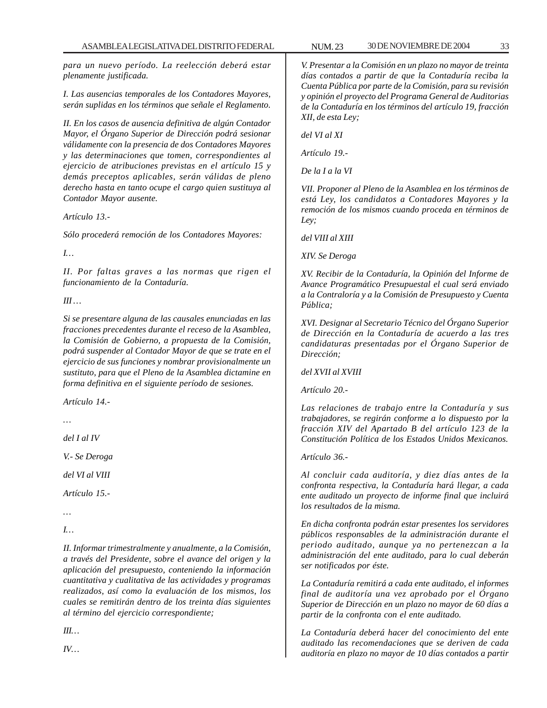*para un nuevo período. La reelección deberá estar plenamente justificada.*

*I. Las ausencias temporales de los Contadores Mayores, serán suplidas en los términos que señale el Reglamento.*

*II. En los casos de ausencia definitiva de algún Contador Mayor, el Órgano Superior de Dirección podrá sesionar válidamente con la presencia de dos Contadores Mayores y las determinaciones que tomen, correspondientes al ejercicio de atribuciones previstas en el artículo 15 y demás preceptos aplicables, serán válidas de pleno derecho hasta en tanto ocupe el cargo quien sustituya al Contador Mayor ausente.*

*Artículo 13.-*

*Sólo procederá remoción de los Contadores Mayores:*

*I…*

*II. Por faltas graves a las normas que rigen el funcionamiento de la Contaduría.*

*III …*

*Si se presentare alguna de las causales enunciadas en las fracciones precedentes durante el receso de la Asamblea, la Comisión de Gobierno, a propuesta de la Comisión, podrá suspender al Contador Mayor de que se trate en el ejercicio de sus funciones y nombrar provisionalmente un sustituto, para que el Pleno de la Asamblea dictamine en forma definitiva en el siguiente período de sesiones.*

*Artículo 14.-*

*del I al IV*

*V.- Se Deroga*

*del VI al VIII*

*Artículo 15.-*

*…*

*I…*

*II. Informar trimestralmente y anualmente, a la Comisión, a través del Presidente, sobre el avance del origen y la aplicación del presupuesto, conteniendo la información cuantitativa y cualitativa de las actividades y programas realizados, así como la evaluación de los mismos, los cuales se remitirán dentro de los treinta días siguientes al término del ejercicio correspondiente;*

*III… IV…* *V. Presentar a la Comisión en un plazo no mayor de treinta*

*días contados a partir de que la Contaduría reciba la Cuenta Pública por parte de la Comisión, para su revisión y opinión el proyecto del Programa General de Auditorias de la Contaduría en los términos del artículo 19, fracción XII, de esta Ley;*

*del VI al XI*

*Artículo 19.-*

*De la I a la VI*

*VII. Proponer al Pleno de la Asamblea en los términos de está Ley, los candidatos a Contadores Mayores y la remoción de los mismos cuando proceda en términos de Ley;*

*del VIII al XIII*

*XIV. Se Deroga*

*XV. Recibir de la Contaduría, la Opinión del Informe de Avance Programático Presupuestal el cual será enviado a la Contraloría y a la Comisión de Presupuesto y Cuenta Pública;*

*XVI. Designar al Secretario Técnico del Órgano Superior de Dirección en la Contaduría de acuerdo a las tres candidaturas presentadas por el Órgano Superior de Dirección;*

*del XVII al XVIII*

*Artículo 20.-*

*Las relaciones de trabajo entre la Contaduría y sus trabajadores, se regirán conforme a lo dispuesto por la fracción XIV del Apartado B del artículo 123 de la Constitución Política de los Estados Unidos Mexicanos.*

*Artículo 36.-*

*Al concluir cada auditoría, y diez días antes de la confronta respectiva, la Contaduría hará llegar, a cada ente auditado un proyecto de informe final que incluirá los resultados de la misma.*

*En dicha confronta podrán estar presentes los servidores públicos responsables de la administración durante el periodo auditado, aunque ya no pertenezcan a la administración del ente auditado, para lo cual deberán ser notificados por éste.*

*La Contaduría remitirá a cada ente auditado, el informes final de auditoría una vez aprobado por el Órgano Superior de Dirección en un plazo no mayor de 60 días a partir de la confronta con el ente auditado.*

*La Contaduría deberá hacer del conocimiento del ente auditado las recomendaciones que se deriven de cada auditoría en plazo no mayor de 10 días contados a partir*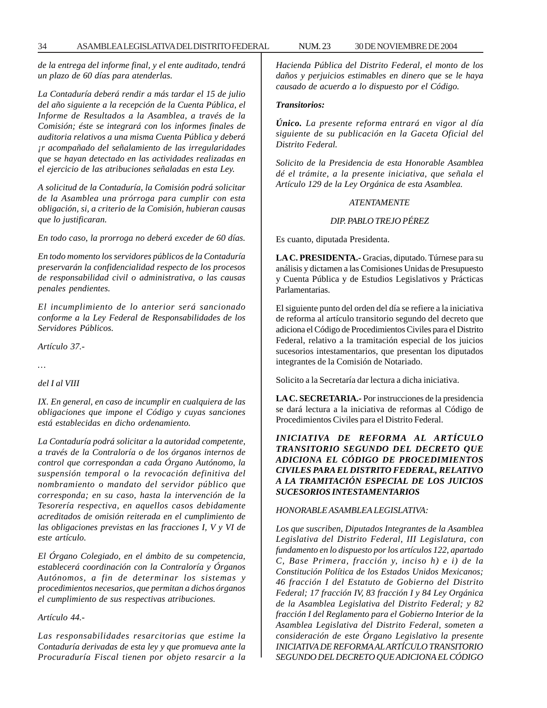*de la entrega del informe final, y el ente auditado, tendrá un plazo de 60 días para atenderlas.*

*La Contaduría deberá rendir a más tardar el 15 de julio del año siguiente a la recepción de la Cuenta Pública, el Informe de Resultados a la Asamblea, a través de la Comisión; éste se integrará con los informes finales de auditoria relativos a una misma Cuenta Pública y deberá ¡r acompañado del señalamiento de las irregularidades que se hayan detectado en las actividades realizadas en el ejercicio de las atribuciones señaladas en esta Ley.*

*A solicitud de la Contaduría, la Comisión podrá solicitar de la Asamblea una prórroga para cumplir con esta obligación, si, a criterio de la Comisión, hubieran causas que lo justificaran.*

*En todo caso, la prorroga no deberá exceder de 60 días.*

*En todo momento los servidores públicos de la Contaduría preservarán la confidencialidad respecto de los procesos de responsabilidad civil o administrativa, o las causas penales pendientes.*

*El incumplimiento de lo anterior será sancionado conforme a la Ley Federal de Responsabilidades de los Servidores Públicos.*

*Artículo 37.-*

*…*

#### *del I al VIII*

*IX. En general, en caso de incumplir en cualquiera de las obligaciones que impone el Código y cuyas sanciones está establecidas en dicho ordenamiento.*

*La Contaduría podrá solicitar a la autoridad competente, a través de la Contraloría o de los órganos internos de control que correspondan a cada Órgano Autónomo, la suspensión temporal o la revocación definitiva del nombramiento o mandato del servidor público que corresponda; en su caso, hasta la intervención de la Tesorería respectiva, en aquellos casos debidamente acreditados de omisión reiterada en el cumplimiento de las obligaciones previstas en las fracciones I, V y VI de este artículo.*

*El Órgano Colegiado, en el ámbito de su competencia, establecerá coordinación con la Contraloría y Órganos Autónomos, a fin de determinar los sistemas y procedimientos necesarios, que permitan a dichos órganos el cumplimiento de sus respectivas atribuciones.*

*Artículo 44.-*

*Las responsabilidades resarcitorias que estime la Contaduría derivadas de esta ley y que promueva ante la Procuraduría Fiscal tienen por objeto resarcir a la* *Hacienda Pública del Distrito Federal, el monto de los daños y perjuicios estimables en dinero que se le haya causado de acuerdo a lo dispuesto por el Código.*

# *Transitorios:*

*Único. La presente reforma entrará en vigor al día siguiente de su publicación en la Gaceta Oficial del Distrito Federal.*

*Solicito de la Presidencia de esta Honorable Asamblea dé el trámite, a la presente iniciativa, que señala el Artículo 129 de la Ley Orgánica de esta Asamblea.*

## *ATENTAMENTE*

#### *DIP. PABLO TREJO PÉREZ*

Es cuanto, diputada Presidenta.

**LA C. PRESIDENTA.-** Gracias, diputado. Túrnese para su análisis y dictamen a las Comisiones Unidas de Presupuesto y Cuenta Pública y de Estudios Legislativos y Prácticas Parlamentarias.

El siguiente punto del orden del día se refiere a la iniciativa de reforma al artículo transitorio segundo del decreto que adiciona el Código de Procedimientos Civiles para el Distrito Federal, relativo a la tramitación especial de los juicios sucesorios intestamentarios, que presentan los diputados integrantes de la Comisión de Notariado.

Solicito a la Secretaría dar lectura a dicha iniciativa.

**LA C. SECRETARIA.-** Por instrucciones de la presidencia se dará lectura a la iniciativa de reformas al Código de Procedimientos Civiles para el Distrito Federal.

*INICIATIVA DE REFORMA AL ARTÍCULO TRANSITORIO SEGUNDO DEL DECRETO QUE ADICIONA EL CÓDIGO DE PROCEDIMIENTOS CIVILES PARA EL DISTRITO FEDERAL, RELATIVO A LA TRAMITACIÓN ESPECIAL DE LOS JUICIOS SUCESORIOS INTESTAMENTARIOS*

#### *HONORABLE ASAMBLEA LEGISLATIVA:*

*Los que suscriben, Diputados Integrantes de la Asamblea Legislativa del Distrito Federal, III Legislatura, con fundamento en lo dispuesto por los artículos 122, apartado C, Base Primera, fracción y, inciso h) e i) de la Constitución Política de los Estados Unidos Mexicanos; 46 fracción I del Estatuto de Gobierno del Distrito Federal; 17 fracción IV, 83 fracción I y 84 Ley Orgánica de la Asamblea Legislativa del Distrito Federal; y 82 fracción I del Reglamento para el Gobierno Interior de la Asamblea Legislativa del Distrito Federal, someten a consideración de este Órgano Legislativo la presente INICIATIVA DE REFORMA AL ARTÍCULO TRANSITORIO SEGUNDO DEL DECRETO QUE ADICIONA EL CÓDIGO*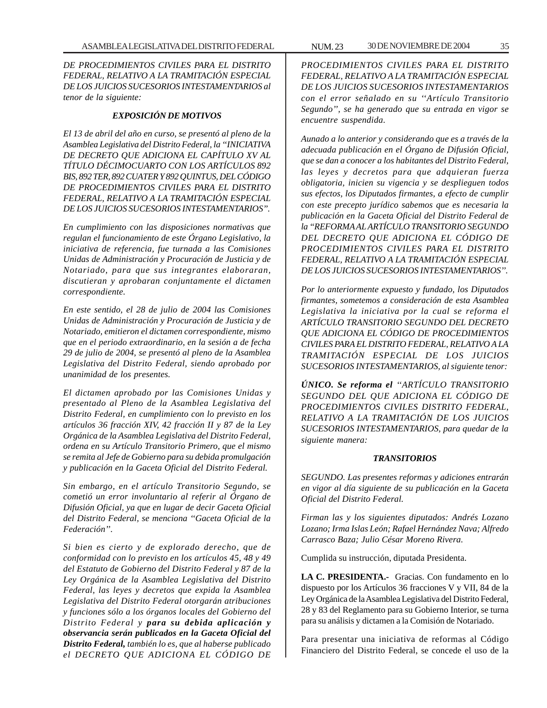*DE PROCEDIMIENTOS CIVILES PARA EL DISTRITO FEDERAL, RELATIVO A LA TRAMITACIÓN ESPECIAL DE LOS JUICIOS SUCESORIOS INTESTAMENTARIOS al tenor de la siguiente:*

## *EXPOSICIÓN DE MOTIVOS*

*El 13 de abril del año en curso, se presentó al pleno de la Asamblea Legislativa del Distrito Federal, la ''INICIATIVA DE DECRETO QUE ADICIONA EL CAPÍTULO XV AL TÍTULO DÉCIMOCUARTO CON LOS ARTÍCULOS 892 BIS, 892 TER, 892 CUATER Y 892 QUINTUS, DEL CÓDIGO DE PROCEDIMIENTOS CIVILES PARA EL DISTRITO FEDERAL, RELATIVO A LA TRAMITACIÓN ESPECIAL DE LOS JUICIOS SUCESORIOS INTESTAMENTARIOS''.*

*En cumplimiento con las disposiciones normativas que regulan el funcionamiento de este Órgano Legislativo, la iniciativa de referencia, fue turnada a las Comisiones Unidas de Administración y Procuración de Justicia y de Notariado, para que sus integrantes elaboraran, discutieran y aprobaran conjuntamente el dictamen correspondiente.*

*En este sentido, el 28 de julio de 2004 las Comisiones Unidas de Administración y Procuración de Justicia y de Notariado, emitieron el dictamen correspondiente, mismo que en el periodo extraordinario, en la sesión a de fecha 29 de julio de 2004, se presentó al pleno de la Asamblea Legislativa del Distrito Federal, siendo aprobado por unanimidad de los presentes.*

*El dictamen aprobado por las Comisiones Unidas y presentado al Pleno de la Asamblea Legislativa del Distrito Federal, en cumplimiento con lo previsto en los artículos 36 fracción XIV, 42 fracción II y 87 de la Ley Orgánica de la Asamblea Legislativa del Distrito Federal, ordena en su Artículo Transitorio Primero, que el mismo se remita al Jefe de Gobierno para su debida promulgación y publicación en la Gaceta Oficial del Distrito Federal.*

*Sin embargo, en el artículo Transitorio Segundo, se cometió un error involuntario al referir al Órgano de Difusión Oficial, ya que en lugar de decir Gaceta Oficial del Distrito Federal, se menciona ''Gaceta Oficial de la Federación''.*

*Si bien es cierto y de explorado derecho, que de conformidad con lo previsto en los artículos 45, 48 y 49 del Estatuto de Gobierno del Distrito Federal y 87 de la Ley Orgánica de la Asamblea Legislativa del Distrito Federal, las leyes y decretos que expida la Asamblea Legislativa del Distrito Federal otorgarán atribuciones y funciones sólo a los órganos locales del Gobierno del Distrito Federal y para su debida aplicación y observancia serán publicados en la Gaceta Oficial del Distrito Federal, también lo es, que al haberse publicado el DECRETO QUE ADICIONA EL CÓDIGO DE*

*PROCEDIMIENTOS CIVILES PARA EL DISTRITO FEDERAL, RELATIVO A LA TRAMITACIÓN ESPECIAL DE LOS JUICIOS SUCESORIOS INTESTAMENTARIOS con el error señalado en su ''Artículo Transitorio Segundo'', se ha generado que su entrada en vigor se encuentre suspendida.*

*Aunado a lo anterior y considerando que es a través de la adecuada publicación en el Órgano de Difusión Oficial, que se dan a conocer a los habitantes del Distrito Federal, las leyes y decretos para que adquieran fuerza obligatoria, inicien su vigencia y se desplieguen todos sus efectos, los Diputados firmantes, a efecto de cumplir con este precepto jurídico sabemos que es necesaria la publicación en la Gaceta Oficial del Distrito Federal de la ''REFORMA AL ARTÍCULO TRANSITORIO SEGUNDO DEL DECRETO QUE ADICIONA EL CÓDIGO DE PROCEDIMIENTOS CIVILES PARA EL DISTRITO FEDERAL, RELATIVO A LA TRAMITACIÓN ESPECIAL DE LOS JUICIOS SUCESORIOS INTESTAMENTARIOS''.*

*Por lo anteriormente expuesto y fundado, los Diputados firmantes, sometemos a consideración de esta Asamblea Legislativa la iniciativa por la cual se reforma el ARTÍCULO TRANSITORIO SEGUNDO DEL DECRETO QUE ADICIONA EL CÓDIGO DE PROCEDIMIENTOS CIVILES PARA EL DISTRITO FEDERAL, RELATIVO A LA TRAMITACIÓN ESPECIAL DE LOS JUICIOS SUCESORIOS INTESTAMENTARIOS, al siguiente tenor:*

*ÚNICO. Se reforma el ''ARTÍCULO TRANSITORIO SEGUNDO DEL QUE ADICIONA EL CÓDIGO DE PROCEDIMIENTOS CIVILES DISTRITO FEDERAL, RELATIVO A LA TRAMITACIÓN DE LOS JUICIOS SUCESORIOS INTESTAMENTARIOS, para quedar de la siguiente manera:*

#### *TRANSITORIOS*

*SEGUNDO. Las presentes reformas y adiciones entrarán en vigor al día siguiente de su publicación en la Gaceta Oficial del Distrito Federal.*

*Firman las y los siguientes diputados: Andrés Lozano Lozano; Irma Islas León; Rafael Hernández Nava; Alfredo Carrasco Baza; Julio César Moreno Rivera.*

Cumplida su instrucción, diputada Presidenta.

**LA C. PRESIDENTA.-** Gracias. Con fundamento en lo dispuesto por los Artículos 36 fracciones V y VII, 84 de la Ley Orgánica de la Asamblea Legislativa del Distrito Federal, 28 y 83 del Reglamento para su Gobierno Interior, se turna para su análisis y dictamen a la Comisión de Notariado.

Para presentar una iniciativa de reformas al Código Financiero del Distrito Federal, se concede el uso de la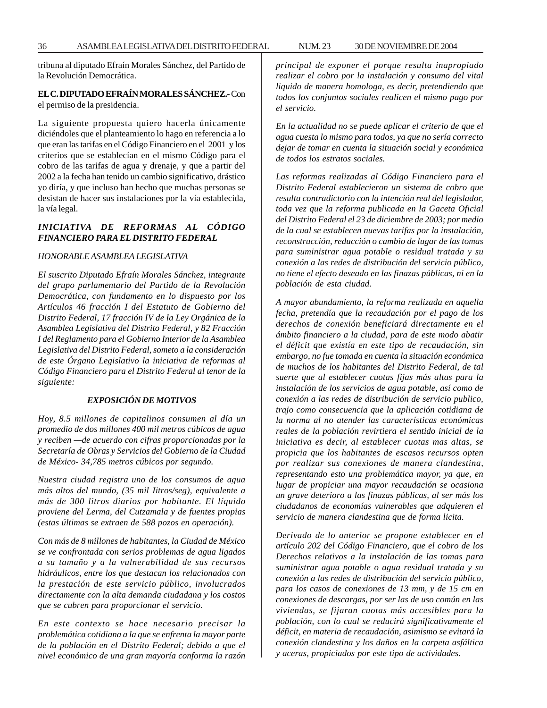tribuna al diputado Efraín Morales Sánchez, del Partido de la Revolución Democrática.

# **EL C. DIPUTADO EFRAÍN MORALES SÁNCHEZ.-** Con el permiso de la presidencia.

La siguiente propuesta quiero hacerla únicamente diciéndoles que el planteamiento lo hago en referencia a lo que eran las tarifas en el Código Financiero en el 2001 y los criterios que se establecían en el mismo Código para el cobro de las tarifas de agua y drenaje, y que a partir del 2002 a la fecha han tenido un cambio significativo, drástico yo diría, y que incluso han hecho que muchas personas se desistan de hacer sus instalaciones por la vía establecida, la vía legal.

# *INICIATIVA DE REFORMAS AL CÓDIGO FINANCIERO PARA EL DISTRITO FEDERAL*

#### *HONORABLE ASAMBLEA LEGISLATIVA*

*El suscrito Diputado Efraín Morales Sánchez, integrante del grupo parlamentario del Partido de la Revolución Democrática, con fundamento en lo dispuesto por los Artículos 46 fracción I del Estatuto de Gobierno del Distrito Federal, 17 fracción IV de la Ley Orgánica de la Asamblea Legislativa del Distrito Federal, y 82 Fracción I del Reglamento para el Gobierno Interior de la Asamblea Legislativa del Distrito Federal, someto a la consideración de este Órgano Legislativo la iniciativa de reformas al Código Financiero para el Distrito Federal al tenor de la siguiente:*

#### *EXPOSICIÓN DE MOTIVOS*

*Hoy, 8.5 millones de capitalinos consumen al día un promedio de dos millones 400 mil metros cúbicos de agua y reciben —de acuerdo con cifras proporcionadas por la Secretaría de Obras y Servicios del Gobierno de la Ciudad de México- 34,785 metros cúbicos por segundo.*

*Nuestra ciudad registra uno de los consumos de agua más altos del mundo, (35 mil Iitros/seg), equivalente a más de 300 litros diarios por habitante. El líquido proviene del Lerma, del Cutzamala y de fuentes propias (estas últimas se extraen de 588 pozos en operación).*

*Con más de 8 millones de habitantes, la Ciudad de México se ve confrontada con serios problemas de agua ligados a su tamaño y a la vulnerabilidad de sus recursos hidráulicos, entre los que destacan los relacionados con la prestación de este servicio público, involucrados directamente con la alta demanda ciudadana y los costos que se cubren para proporcionar el servicio.*

*En este contexto se hace necesario precisar la problemática cotidiana a la que se enfrenta la mayor parte de la población en el Distrito Federal; debido a que el nivel económico de una gran mayoría conforma la razón* *principal de exponer el porque resulta inapropiado realizar el cobro por la instalación y consumo del vital liquido de manera homologa, es decir, pretendiendo que todos los conjuntos sociales realicen el mismo pago por el servicio.*

*En la actualidad no se puede aplicar el criterio de que el agua cuesta lo mismo para todos, ya que no sería correcto dejar de tomar en cuenta la situación social y económica de todos los estratos sociales.*

*Las reformas realizadas al Código Financiero para el Distrito Federal establecieron un sistema de cobro que resulta contradictorio con la intención real del legislador, toda vez que la reforma publicada en la Gaceta Oficial del Distrito Federal el 23 de diciembre de 2003; por medio de la cual se establecen nuevas tarifas por la instalación, reconstrucción, reducción o cambio de lugar de las tomas para suministrar agua potable o residual tratada y su conexión a las redes de distribución del servicio público, no tiene el efecto deseado en las finazas públicas, ni en la población de esta ciudad.*

*A mayor abundamiento, la reforma realizada en aquella fecha, pretendía que la recaudación por el pago de los derechos de conexión beneficiará directamente en el ámbito financiero a la ciudad, para de este modo abatir el déficit que existía en este tipo de recaudación, sin embargo, no fue tomada en cuenta la situación económica de muchos de los habitantes del Distrito Federal, de tal suerte que al establecer cuotas fijas más altas para la instalación de los servicios de agua potable, así como de conexión a las redes de distribución de servicio publico, trajo como consecuencia que la aplicación cotidiana de la norma al no atender las características económicas reales de la población revirtiera el sentido inicial de la iniciativa es decir, al establecer cuotas mas altas, se propicia que los habitantes de escasos recursos opten por realizar sus conexiones de manera clandestina, representando esto una problemática mayor, ya que, en lugar de propiciar una mayor recaudación se ocasiona un grave deterioro a las finazas públicas, al ser más los ciudadanos de economías vulnerables que adquieren el servicio de manera clandestina que de forma licita.*

*Derivado de lo anterior se propone establecer en el artículo 202 del Código Financiero, que el cobro de los Derechos relativos a la instalación de las tomas para suministrar agua potable o agua residual tratada y su conexión a las redes de distribución del servicio público, para los casos de conexiones de 13 mm, y de 15 cm en conexiones de descargas, por ser las de uso común en las viviendas, se fijaran cuotas más accesibles para la población, con lo cual se reducirá significativamente el déficit, en materia de recaudación, asimismo se evitará la conexión clandestina y los daños en la carpeta asfáltica y aceras, propiciados por este tipo de actividades.*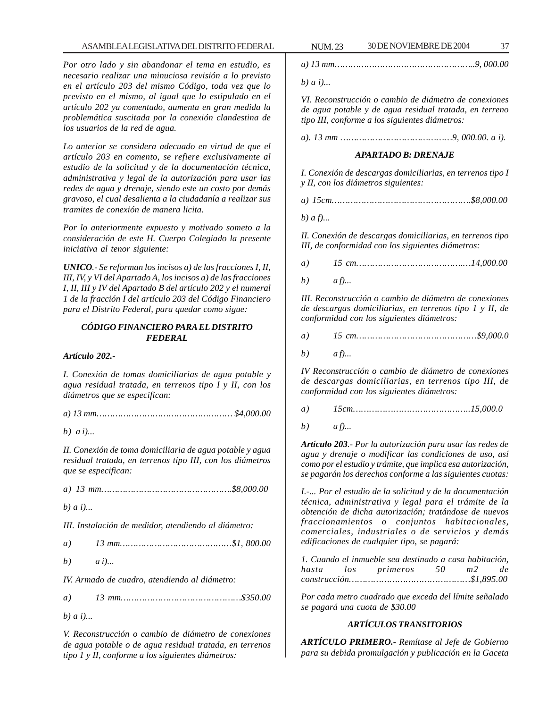# ASAMBLEA LEGISLATIVA DEL DISTRITO FEDERAL NUM. 23 30 DE NOVIEMBRE DE 2004 37

*Por otro lado y sin abandonar el tema en estudio, es necesario realizar una minuciosa revisión a lo previsto en el artículo 203 del mismo Código, toda vez que lo previsto en el mismo, al igual que lo estipulado en el artículo 202 ya comentado, aumenta en gran medida la problemática suscitada por la conexión clandestina de los usuarios de la red de agua.*

*Lo anterior se considera adecuado en virtud de que el artículo 203 en comento, se refiere exclusivamente al estudio de la solicitud y de la documentación técnica, administrativa y legal de la autorización para usar las redes de agua y drenaje, siendo este un costo por demás gravoso, el cual desalienta a la ciudadanía a realizar sus tramites de conexión de manera licita.*

*Por lo anteriormente expuesto y motivado someto a la consideración de este H. Cuerpo Colegiado la presente iniciativa al tenor siguiente:*

*UNICO.- Se reforman los incisos a) de las fracciones I, II, III, IV, y VI del Apartado A, los incisos a) de las fracciones I, II, III y IV del Apartado B del artículo 202 y el numeral 1 de la fracción I del artículo 203 del Código Financiero para el Distrito Federal, para quedar como sigue:*

#### *CÓDIGO FINANCIERO PARA EL DISTRITO FEDERAL*

#### *Artículo 202.-*

*I. Conexión de tomas domiciliarias de agua potable y agua residual tratada, en terrenos tipo I y II, con los diámetros que se especifican:*

*b) a i)...*

*II. Conexión de toma domiciliaria de agua potable y agua residual tratada, en terrenos tipo III, con los diámetros que se especifican:*

|--|--|--|--|

*b) a i)...*

*III. Instalación de medidor, atendiendo al diámetro:*

| a) |  |  |
|----|--|--|
|    |  |  |

*b) a i)...*

*IV. Armado de cuadro, atendiendo al diámetro:*

*a) 13 mm………………………………………\$350.00*

*b) a i)...*

*V. Reconstrucción o cambio de diámetro de conexiones de agua potable o de agua residual tratada, en terrenos tipo 1 y II, conforme a los siguientes diámetros:*

*a) 13 mm……………………………………………..9, 000.00*

*b) a i)...*

*VI. Reconstrucción o cambio de diámetro de conexiones de agua potable y de agua residual tratada, en terreno tipo III, conforme a los siguientes diámetros:*

*a). 13 mm ……………………………………9, 000.00. a i).*

#### *APARTADO B: DRENAJE*

*I. Conexión de descargas domiciliarias, en terrenos tipo I y II, con los diámetros siguientes:*

*a) 15cm…………………………………………….\$8,000.00*

*b) a f)...*

*II. Conexión de descargas domiciliarias, en terrenos tipo III, de conformidad con los siguientes diámetros:*

| b) | $a f$ |  |
|----|-------|--|

*III. Reconstrucción o cambio de diámetro de conexiones de descargas domiciliarias, en terrenos tipo 1 y II, de conformidad con los siguientes diámetros:*

*a) 15 cm………………………………………\$9,000.0*

*b) a f)...*

*IV Reconstrucción o cambio de diámetro de conexiones de descargas domiciliarias, en terrenos tipo III, de conformidad con los siguientes diámetros:*

*a) 15cm……………………………………..15,000.0*

*b) a f)...*

*Artículo 203.- Por la autorización para usar las redes de agua y drenaje o modificar las condiciones de uso, así como por el estudio y trámite, que implica esa autorización, se pagarán los derechos conforme a las siguientes cuotas:*

*I.-... Por el estudio de la solicitud y de la documentación técnica, administrativa y legal para el trámite de la obtención de dicha autorización; tratándose de nuevos fraccionamientos o conjuntos habitacionales, comerciales, industriales o de servicios y demás edificaciones de cualquier tipo, se pagará:*

|  | 1. Cuando el inmueble sea destinado a casa habitación. |       |  |
|--|--------------------------------------------------------|-------|--|
|  | hasta los primeros 50                                  | m2 de |  |
|  |                                                        |       |  |

*Por cada metro cuadrado que exceda del límite señalado se pagará una cuota de \$30.00*

# *ARTÍCULOS TRANSITORIOS*

*ARTÍCULO PRIMERO.- Remítase al Jefe de Gobierno para su debida promulgación y publicación en la Gaceta*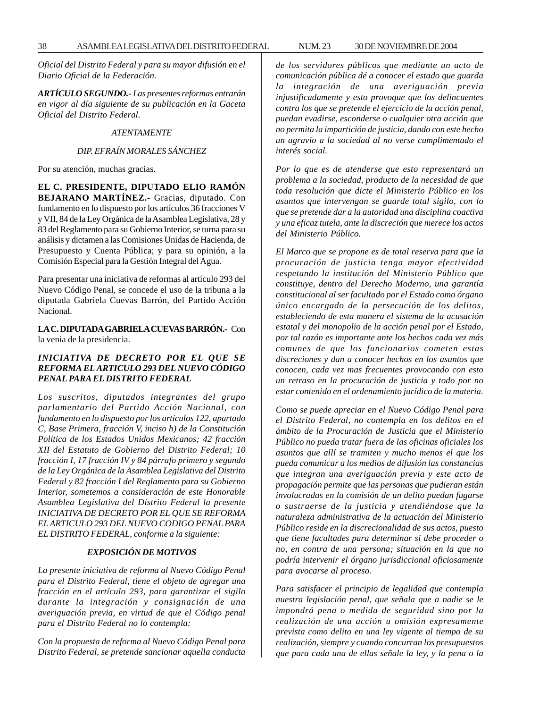*Oficial del Distrito Federal y para su mayor difusión en el Diario Oficial de la Federación.*

*ARTÍCULO SEGUNDO.- Las presentes reformas entrarán en vigor al día siguiente de su publicación en la Gaceta Oficial del Distrito Federal.*

# *ATENTAMENTE*

#### *DIP. EFRAÍN MORALES SÁNCHEZ*

Por su atención, muchas gracias.

# **EL C. PRESIDENTE, DIPUTADO ELIO RAMÓN**

**BEJARANO MARTÍNEZ.-** Gracias, diputado. Con fundamento en lo dispuesto por los artículos 36 fracciones V y VII, 84 de la Ley Orgánica de la Asamblea Legislativa, 28 y 83 del Reglamento para su Gobierno Interior, se turna para su análisis y dictamen a las Comisiones Unidas de Hacienda, de Presupuesto y Cuenta Pública; y para su opinión, a la Comisión Especial para la Gestión Integral del Agua.

Para presentar una iniciativa de reformas al artículo 293 del Nuevo Código Penal, se concede el uso de la tribuna a la diputada Gabriela Cuevas Barrón, del Partido Acción Nacional.

# **LA C. DIPUTADA GABRIELA CUEVAS BARRÓN.-** Con la venia de la presidencia.

## *INICIATIVA DE DECRETO POR EL QUE SE REFORMA EL ARTICULO 293 DEL NUEVO CÓDIGO PENAL PARA EL DISTRITO FEDERAL*

*Los suscritos, diputados integrantes del grupo parlamentario del Partido Acción Nacional, con fundamento en lo dispuesto por los artículos 122, apartado C, Base Primera, fracción V, inciso h) de la Constitución Política de los Estados Unidos Mexicanos; 42 fracción XII del Estatuto de Gobierno del Distrito Federal; 10 fracción I, 17 fracción IV y 84 párrafo primero y segundo de la Ley Orgánica de la Asamblea Legislativa del Distrito Federal y 82 fracción I del Reglamento para su Gobierno Interior, sometemos a consideración de este Honorable Asamblea Legislativa del Distrito Federal la presente INICIATIVA DE DECRETO POR EL QUE SE REFORMA EL ARTICULO 293 DEL NUEVO CODIGO PENAL PARA EL DISTRITO FEDERAL, conforme a la siguiente:*

### *EXPOSICIÓN DE MOTIVOS*

*La presente iniciativa de reforma al Nuevo Código Penal para el Distrito Federal, tiene el objeto de agregar una fracción en el artículo 293, para garantizar el sigilo durante la integración y consignación de una averiguación previa, en virtud de que el Código penal para el Distrito Federal no lo contempla:*

*Con la propuesta de reforma al Nuevo Código Penal para Distrito Federal, se pretende sancionar aquella conducta* *de los servidores públicos que mediante un acto de comunicación pública dé a conocer el estado que guarda la integración de una averiguación previa injustificadamente y esto provoque que los delincuentes contra los que se pretende el ejercicio de la acción penal, puedan evadirse, esconderse o cualquier otra acción que no permita la impartición de justicia, dando con este hecho un agravio a la sociedad al no verse cumplimentado el interés social.*

*Por lo que es de atenderse que esto representará un problema a la sociedad, producto de la necesidad de que toda resolución que dicte el Ministerio Público en los asuntos que intervengan se guarde total sigilo, con lo que se pretende dar a la autoridad una disciplina coactiva y una eficaz tutela, ante la discreción que merece los actos del Ministerio Público.*

*El Marco que se propone es de total reserva para que la procuración de justicia tenga mayor efectividad respetando la institución del Ministerio Público que constituye, dentro del Derecho Moderno, una garantía constitucional al ser facultado por el Estado como órgano único encargado de la persecución de los delitos, estableciendo de esta manera el sistema de la acusación estatal y del monopolio de la acción penal por el Estado, por tal razón es importante ante los hechos cada vez más comunes de que los funcionarios cometen estas discreciones y dan a conocer hechos en los asuntos que conocen, cada vez mas frecuentes provocando con esto un retraso en la procuración de justicia y todo por no estar contenido en el ordenamiento jurídico de la materia.*

*Como se puede apreciar en el Nuevo Código Penal para el Distrito Federal, no contempla en los delitos en el ámbito de la Procuración de Justicia que el Ministerio Público no pueda tratar fuera de las oficinas oficiales los asuntos que allí se tramiten y mucho menos el que los pueda comunicar a los medios de difusión las constancias que integran una averiguación previa y este acto de propagación permite que las personas que pudieran están involucradas en la comisión de un delito puedan fugarse o sustraerse de la justicia y atendiéndose que la naturaleza administrativa de la actuación del Ministerio Público reside en la discrecionalidad de sus actos, puesto que tiene facultades para determinar si debe proceder o no, en contra de una persona; situación en la que no podría intervenir el órgano jurisdiccional oficiosamente para avocarse al proceso.*

*Para satisfacer el principio de legalidad que contempla nuestra legislación penal, que señala que a nadie se le impondrá pena o medida de seguridad sino por la realización de una acción u omisión expresamente prevista como delito en una ley vigente al tiempo de su realización, siempre y cuando concurran los presupuestos que para cada una de ellas señale la ley, y la pena o la*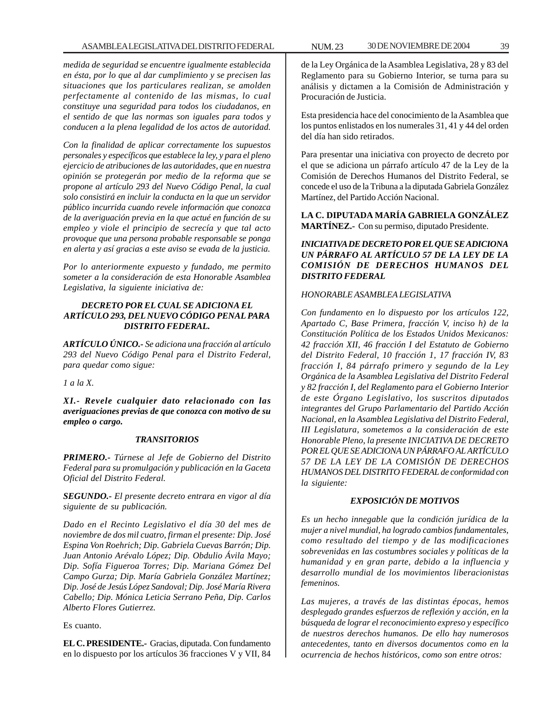*medida de seguridad se encuentre igualmente establecida en ésta, por lo que al dar cumplimiento y se precisen las situaciones que los particulares realizan, se amolden perfectamente al contenido de las mismas, lo cual constituye una seguridad para todos los ciudadanos, en el sentido de que las normas son iguales para todos y conducen a la plena legalidad de los actos de autoridad.*

*Con la finalidad de aplicar correctamente los supuestos personales y específicos que establece la ley, y para el pleno ejercicio de atribuciones de las autoridades, que en nuestra opinión se protegerán por medio de la reforma que se propone al artículo 293 del Nuevo Código Penal, la cual solo consistirá en incluir la conducta en la que un servidor público incurrida cuando revele información que conozca de la averiguación previa en la que actué en función de su empleo y viole el principio de secrecía y que tal acto provoque que una persona probable responsable se ponga en alerta y así gracias a este aviso se evada de la justicia.*

*Por lo anteriormente expuesto y fundado, me permito someter a la consideración de esta Honorable Asamblea Legislativa, la siguiente iniciativa de:*

## *DECRETO POR EL CUAL SE ADICIONA EL ARTÍCULO 293, DEL NUEVO CÓDIGO PENAL PARA DISTRITO FEDERAL.*

*ARTÍCULO ÚNICO.- Se adiciona una fracción al artículo 293 del Nuevo Código Penal para el Distrito Federal, para quedar como sigue:*

*1 a la X.*

*XI.- Revele cualquier dato relacionado con las averiguaciones previas de que conozca con motivo de su empleo o cargo.*

# *TRANSITORIOS*

*PRIMERO.- Túrnese al Jefe de Gobierno del Distrito Federal para su promulgación y publicación en la Gaceta Oficial del Distrito Federal.*

*SEGUNDO.- El presente decreto entrara en vigor al día siguiente de su publicación.*

*Dado en el Recinto Legislativo el día 30 del mes de noviembre de dos mil cuatro, firman el presente: Dip. José Espina Von Roehrich; Dip. Gabriela Cuevas Barrón; Dip. Juan Antonio Arévalo López; Dip. Obdulio Ávila Mayo; Dip. Sofía Figueroa Torres; Dip. Mariana Gómez Del Campo Gurza; Dip. María Gabriela González Martínez; Dip. José de Jesús López Sandoval; Dip. José María Rivera Cabello; Dip. Mónica Leticia Serrano Peña, Dip. Carlos Alberto Flores Gutierrez.*

Es cuanto.

**EL C. PRESIDENTE.-** Gracias, diputada. Con fundamento en lo dispuesto por los artículos 36 fracciones V y VII, 84 de la Ley Orgánica de la Asamblea Legislativa, 28 y 83 del Reglamento para su Gobierno Interior, se turna para su análisis y dictamen a la Comisión de Administración y Procuración de Justicia.

Esta presidencia hace del conocimiento de la Asamblea que los puntos enlistados en los numerales 31, 41 y 44 del orden del día han sido retirados.

Para presentar una iniciativa con proyecto de decreto por el que se adiciona un párrafo artículo 47 de la Ley de la Comisión de Derechos Humanos del Distrito Federal, se concede el uso de la Tribuna a la diputada Gabriela González Martínez, del Partido Acción Nacional.

**LA C. DIPUTADA MARÍA GABRIELA GONZÁLEZ MARTÍNEZ.-** Con su permiso, diputado Presidente.

# *INICIATIVA DE DECRETO POR EL QUE SE ADICIONA UN PÁRRAFO AL ARTÍCULO 57 DE LA LEY DE LA COMISIÓN DE DERECHOS HUMANOS DEL DISTRITO FEDERAL*

# *HONORABLE ASAMBLEA LEGISLATIVA*

*Con fundamento en lo dispuesto por los artículos 122, Apartado C, Base Primera, fracción V, inciso h) de la Constitución Política de los Estados Unidos Mexicanos: 42 fracción XII, 46 fracción I del Estatuto de Gobierno del Distrito Federal, 10 fracción 1, 17 fracción IV, 83 fracción I, 84 párrafo primero y segundo de la Ley Orgánica de la Asamblea Legislativa del Distrito Federal y 82 fracción I, del Reglamento para el Gobierno Interior de este Órgano Legislativo, los suscritos diputados integrantes del Grupo Parlamentario del Partido Acción Nacional, en la Asamblea Legislativa del Distrito Federal, III Legislatura, sometemos a la consideración de este Honorable Pleno, la presente INICIATIVA DE DECRETO POR EL QUE SE ADICIONA UN PÁRRAFO AL ARTÍCULO 57 DE LA LEY DE LA COMISIÓN DE DERECHOS HUMANOS DEL DISTRITO FEDERAL de conformidad con la siguiente:*

# *EXPOSICIÓN DE MOTIVOS*

*Es un hecho innegable que la condición jurídica de la mujer a nivel mundial, ha logrado cambios fundamentales, como resultado del tiempo y de las modificaciones sobrevenidas en las costumbres sociales y políticas de la humanidad y en gran parte, debido a la influencia y desarrollo mundial de los movimientos liberacionistas femeninos.*

*Las mujeres, a través de las distintas épocas, hemos desplegado grandes esfuerzos de reflexión y acción, en la búsqueda de lograr el reconocimiento expreso y específico de nuestros derechos humanos. De ello hay numerosos antecedentes, tanto en diversos documentos como en la ocurrencia de hechos históricos, como son entre otros:*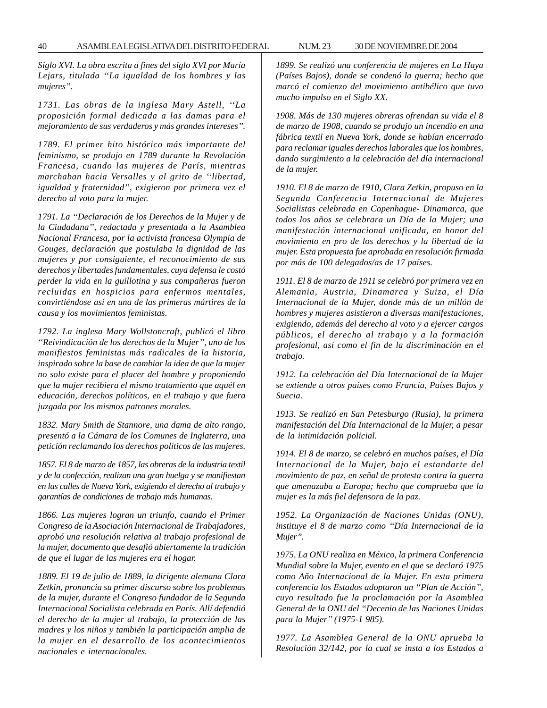*Siglo XVI. La obra escrita a fines del siglo XVI por María Lejars, titulada ''La igualdad de los hombres y las mujeres''.*

*1731. Las obras de la inglesa Mary Astell, ''La proposición formal dedicada a las damas para el mejoramiento de sus verdaderos y más grandes intereses''.*

*1789. El primer hito histórico más importante del feminismo, se produjo en 1789 durante la Revolución Francesa, cuando las mujeres de París, mientras marchaban hacia Versalles y al grito de ''libertad, igualdad y fraternidad'', exigieron por primera vez el derecho al voto para la mujer.*

*1791. La ''Declaración de los Derechos de la Mujer y de la Ciudadana'', redactada y presentada a la Asamblea Nacional Francesa, por la activista francesa Olympia de Gouges, declaración que postulaba la dignidad de las mujeres y por consiguiente, el reconocimiento de sus derechos y libertades fundamentales, cuya defensa le costó perder la vida en la guillotina y sus compañeras fueron recluidas en hospicios para enfermos mentales, convirtiéndose así en una de las primeras mártires de la causa y los movimientos feministas.*

*1792. La inglesa Mary Wollstoncraft, publicó el libro ''Reivindicación de los derechos de la Mujer'', uno de los manifiestos feministas más radicales de la historia, inspirado sobre la base de cambiar la idea de que la mujer no solo existe para el placer del hombre y proponiendo que la mujer recibiera el mismo tratamiento que aquél en educación, derechos políticos, en el trabajo y que fuera juzgada por los mismos patrones morales.*

*1832. Mary Smith de Stannore, una dama de alto rango, presentó a la Cámara de los Comunes de Inglaterra, una petición reclamando los derechos políticos de las mujeres.*

*1857. El 8 de marzo de 1857, las obreras de la industria textil y de la confección, realizan una gran huelga y se manifiestan en las calles de Nueva York, exigiendo el derecho al trabajo y garantías de condiciones de trabajo más humanas.*

*1866. Las mujeres logran un triunfo, cuando el Primer Congreso de la Asociación Internacional de Trabajadores, aprobó una resolución relativa al trabajo profesional de la mujer, documento que desafió abiertamente la tradición de que el lugar de las mujeres era el hogar.*

*1889. El 19 de julio de 1889, la dirigente alemana Clara Zetkin, pronuncia su primer discurso sobre los problemas de la mujer, durante el Congreso fundador de la Segunda Internacional Socialista celebrada en París. Allí defendió el derecho de la mujer al trabajo, la protección de las madres y los niños y también la participación amplia de la mujer en el desarrollo de los acontecimientos nacionales e internacionales.*

*1899. Se realizó una conferencia de mujeres en La Haya (Países Bajos), donde se condenó la guerra; hecho que marcó el comienzo del movimiento antibélico que tuvo mucho impulso en el Siglo XX.*

*1908. Más de 130 mujeres obreras ofrendan su vida el 8 de marzo de 1908, cuando se produjo un incendio en una fábrica textil en Nueva York, donde se habían encerrado para reclamar iguales derechos laborales que los hombres, dando surgimiento a la celebración del día internacional de la mujer.*

*1910. El 8 de marzo de 1910, Clara Zetkin, propuso en la Segunda Conferencia Internacional de Mujeres Socialistas celebrada en Copenhague- Dinamarca, que todos los años se celebrara un Día de la Mujer; una manifestación internacional unificada, en honor del movimiento en pro de los derechos y la libertad de la mujer. Esta propuesta fue aprobada en resolución firmada por más de 100 delegados/as de 17 países.*

*1911. El 8 de marzo de 1911 se celebró por primera vez en Alemania, Austria, Dinamarca y Suiza, el Día Internacional de la Mujer, donde más de un millón de hombres y mujeres asistieron a diversas manifestaciones, exigiendo, además del derecho al voto y a ejercer cargos públicos, el derecho al trabajo y a la formación profesional, así como el fin de la discriminación en el trabajo.*

*1912. La celebración del Día Internacional de la Mujer se extiende a otros países como Francia, Países Bajos y Suecia.*

*1913. Se realizó en San Petesburgo (Rusia), la primera manifestación del Día Internacional de la Mujer, a pesar de la intimidación policial.*

*1914. El 8 de marzo, se celebró en muchos países, el Día Internacional de la Mujer, bajo el estandarte del movimiento de paz, en señal de protesta contra la guerra que amenazaba a Europa; hecho que comprueba que la mujer es la más fiel defensora de la paz.*

*1952. La Organización de Naciones Unidas (ONU), instituye el 8 de marzo como ''Día Internacional de la Mujer''.*

*1975. La ONU realiza en México, la primera Conferencia Mundial sobre la Mujer, evento en el que se declaró 1975 como Año Internacional de la Mujer. En esta primera conferencia los Estados adoptaron un ''Plan de Acción'', cuyo resultado fue la proclamación por la Asamblea General de la ONU del ''Decenio de las Naciones Unidas para la Mujer'' (1975-1 985).*

*1977. La Asamblea General de la ONU aprueba la Resolución 32/142, por la cual se insta a los Estados a*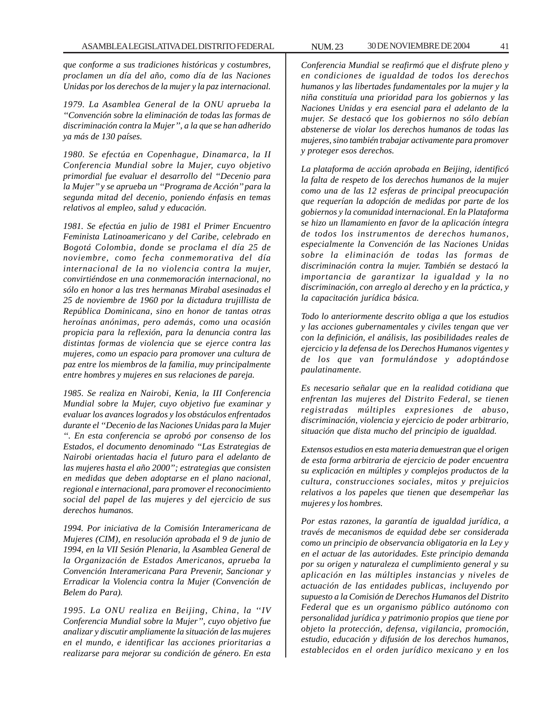*que conforme a sus tradiciones históricas y costumbres, proclamen un día del año, como día de las Naciones Unidas por los derechos de la mujer y la paz internacional.*

*1979. La Asamblea General de la ONU aprueba la ''Convención sobre la eliminación de todas las formas de discriminación contra la Mujer'', a la que se han adherido ya más de 130 países.*

*1980. Se efectúa en Copenhague, Dinamarca, la II Conferencia Mundial sobre la Mujer, cuyo objetivo primordial fue evaluar el desarrollo del ''Decenio para la Mujer'' y se aprueba un ''Programa de Acción'' para la segunda mitad del decenio, poniendo énfasis en temas relativos al empleo, salud y educación.*

*1981. Se efectúa en julio de 1981 el Primer Encuentro Feminista Latinoamericano y del Caribe, celebrado en Bogotá Colombia, donde se proclama el día 25 de noviembre, como fecha conmemorativa del día internacional de la no violencia contra la mujer, convirtiéndose en una conmemoración internacional, no sólo en honor a las tres hermanas Mirabal asesinadas el 25 de noviembre de 1960 por la dictadura trujillista de República Dominicana, sino en honor de tantas otras heroínas anónimas, pero además, como una ocasión propicia para la reflexión, para la denuncia contra las distintas formas de violencia que se ejerce contra las mujeres, como un espacio para promover una cultura de paz entre los miembros de la familia, muy principalmente entre hombres y mujeres en sus relaciones de pareja.*

*1985. Se realiza en Nairobi, Kenia, la III Conferencia Mundial sobre la Mujer, cuyo objetivo fue examinar y evaluar los avances logrados y los obstáculos enfrentados durante el ''Decenio de las Naciones Unidas para la Mujer ''. En esta conferencia se aprobó por consenso de los Estados, el documento denominado ''Las Estrategias de Nairobi orientadas hacia el futuro para el adelanto de las mujeres hasta el año 2000''; estrategias que consisten en medidas que deben adoptarse en el plano nacional, regional e internacional, para promover el reconocimiento social del papel de las mujeres y del ejercicio de sus derechos humanos.*

*1994. Por iniciativa de la Comisión Interamericana de Mujeres (CIM), en resolución aprobada el 9 de junio de 1994, en la VII Sesión Plenaria, la Asamblea General de la Organización de Estados Americanos, aprueba la Convención Interamericana Para Prevenir, Sancionar y Erradicar la Violencia contra la Mujer (Convención de Belem do Para).*

*1995. La ONU realiza en Beijing, China, la ''IV Conferencia Mundial sobre la Mujer'', cuyo objetivo fue analizar y discutir ampliamente la situación de las mujeres en el mundo, e identificar las acciones prioritarias a realizarse para mejorar su condición de género. En esta*

*Conferencia Mundial se reafirmó que el disfrute pleno y en condiciones de igualdad de todos los derechos humanos y las libertades fundamentales por la mujer y la niña constituía una prioridad para los gobiernos y las Naciones Unidas y era esencial para el adelanto de la mujer. Se destacó que los gobiernos no sólo debían abstenerse de violar los derechos humanos de todas las mujeres, sino también trabajar activamente para promover y proteger esos derechos.*

*La plataforma de acción aprobada en Beijing, identificó la falta de respeto de los derechos humanos de la mujer como una de las 12 esferas de principal preocupación que requerían la adopción de medidas por parte de los gobiernos y la comunidad internacional. En la Plataforma se hizo un llamamiento en favor de la aplicación íntegra de todos los instrumentos de derechos humanos, especialmente la Convención de las Naciones Unidas sobre la eliminación de todas las formas de discriminación contra la mujer. También se destacó la importancia de garantizar la igualdad y la no discriminación, con arreglo al derecho y en la práctica, y la capacitación jurídica básica.*

*Todo lo anteriormente descrito obliga a que los estudios y las acciones gubernamentales y civiles tengan que ver con la definición, el análisis, las posibilidades reales de ejercicio y la defensa de los Derechos Humanos vigentes y de los que van formulándose y adoptándose paulatinamente.*

*Es necesario señalar que en la realidad cotidiana que enfrentan las mujeres del Distrito Federal, se tienen registradas múltiples expresiones de abuso, discriminación, violencia y ejercicio de poder arbitrario, situación que dista mucho del principio de igualdad.*

*Extensos estudios en esta materia demuestran que el origen de esta forma arbitraria de ejercicio de poder encuentra su explicación en múltiples y complejos productos de la cultura, construcciones sociales, mitos y prejuicios relativos a los papeles que tienen que desempeñar las mujeres y los hombres.*

*Por estas razones, la garantía de igualdad jurídica, a través de mecanismos de equidad debe ser considerada como un principio de observancia obligatoria en la Ley y en el actuar de las autoridades. Este principio demanda por su origen y naturaleza el cumplimiento general y su aplicación en las múltiples instancias y niveles de actuación de las entidades publicas, incluyendo por supuesto a la Comisión de Derechos Humanos del Distrito Federal que es un organismo público autónomo con personalidad jurídica y patrimonio propios que tiene por objeto la protección, defensa, vigilancia, promoción, estudio, educación y difusión de los derechos humanos, establecidos en el orden jurídico mexicano y en los*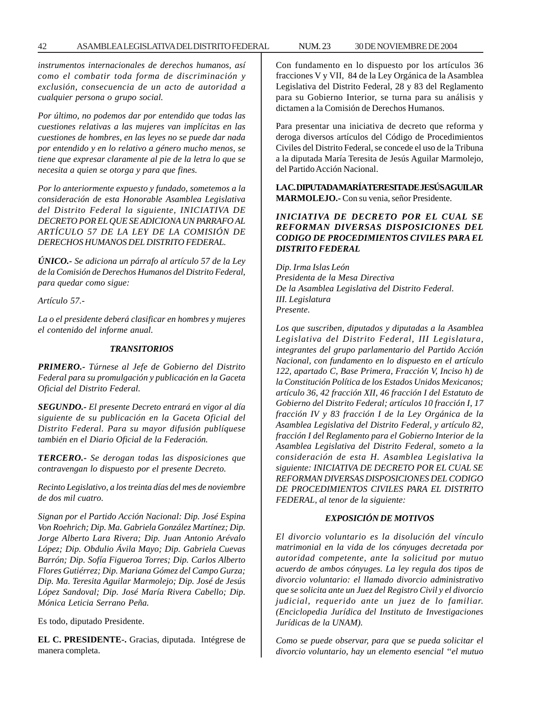*instrumentos internacionales de derechos humanos, así como el combatir toda forma de discriminación y exclusión, consecuencia de un acto de autoridad a cualquier persona o grupo social.*

*Por último, no podemos dar por entendido que todas las cuestiones relativas a las mujeres van implícitas en las cuestiones de hombres, en las leyes no se puede dar nada por entendido y en lo relativo a género mucho menos, se tiene que expresar claramente al pie de la letra lo que se necesita a quien se otorga y para que fines.*

*Por lo anteriormente expuesto y fundado, sometemos a la consideración de esta Honorable Asamblea Legislativa del Distrito Federal la siguiente, INICIATIVA DE DECRETO POR EL QUE SE ADICIONA UN PARRAFO AL ARTÍCULO 57 DE LA LEY DE LA COMISIÓN DE DERECHOS HUMANOS DEL DISTRITO FEDERAL.*

*ÚNICO.- Se adiciona un párrafo al artículo 57 de la Ley de la Comisión de Derechos Humanos del Distrito Federal, para quedar como sigue:*

*Artículo 57.-*

*La o el presidente deberá clasificar en hombres y mujeres el contenido del informe anual.*

## *TRANSITORIOS*

*PRIMERO.- Túrnese al Jefe de Gobierno del Distrito Federal para su promulgación y publicación en la Gaceta Oficial del Distrito Federal.*

*SEGUNDO.- El presente Decreto entrará en vigor al día siguiente de su publicación en la Gaceta Oficial del Distrito Federal. Para su mayor difusión publíquese también en el Diario Oficial de la Federación.*

*TERCERO.- Se derogan todas las disposiciones que contravengan lo dispuesto por el presente Decreto.*

*Recinto Legislativo, a los treinta días del mes de noviembre de dos mil cuatro.*

*Signan por el Partido Acción Nacional: Dip. José Espina Von Roehrich; Dip. Ma. Gabriela González Martínez; Dip. Jorge Alberto Lara Rivera; Dip. Juan Antonio Arévalo López; Dip. Obdulio Ávila Mayo; Dip. Gabriela Cuevas Barrón; Dip. Sofía Figueroa Torres; Dip. Carlos Alberto Flores Gutiérrez; Dip. Mariana Gómez del Campo Gurza; Dip. Ma. Teresita Aguilar Marmolejo; Dip. José de Jesús López Sandoval; Dip. José María Rivera Cabello; Dip. Mónica Leticia Serrano Peña.*

Es todo, diputado Presidente.

**EL C. PRESIDENTE-.** Gracias, diputada. Intégrese de manera completa.

Con fundamento en lo dispuesto por los artículos 36 fracciones V y VII, 84 de la Ley Orgánica de la Asamblea Legislativa del Distrito Federal, 28 y 83 del Reglamento para su Gobierno Interior, se turna para su análisis y dictamen a la Comisión de Derechos Humanos.

Para presentar una iniciativa de decreto que reforma y deroga diversos artículos del Código de Procedimientos Civiles del Distrito Federal, se concede el uso de la Tribuna a la diputada María Teresita de Jesús Aguilar Marmolejo, del Partido Acción Nacional.

**LA C. DIPUTADA MARÍA TERESITA DE JESÚS AGUILAR MARMOLEJO.-** Con su venia, señor Presidente.

# *INICIATIVA DE DECRETO POR EL CUAL SE REFORMAN DIVERSAS DISPOSICIONES DEL CODIGO DE PROCEDIMIENTOS CIVILES PARA EL DISTRITO FEDERAL*

*Dip. Irma Islas León Presidenta de la Mesa Directiva De la Asamblea Legislativa del Distrito Federal. III. Legislatura Presente.*

*Los que suscriben, diputados y diputadas a la Asamblea Legislativa del Distrito Federal, III Legislatura, integrantes del grupo parlamentario del Partido Acción Nacional, con fundamento en lo dispuesto en el artículo 122, apartado C, Base Primera, Fracción V, Inciso h) de la Constitución Política de los Estados Unidos Mexicanos; artículo 36, 42 fracción XII, 46 fracción I del Estatuto de Gobierno del Distrito Federal; artículos 10 fracción I, 17 fracción IV y 83 fracción I de la Ley Orgánica de la Asamblea Legislativa del Distrito Federal, y artículo 82, fracción I del Reglamento para el Gobierno Interior de la Asamblea Legislativa del Distrito Federal, someto a la consideración de esta H. Asamblea Legislativa la siguiente: INICIATIVA DE DECRETO POR EL CUAL SE REFORMAN DIVERSAS DISPOSICIONES DEL CODIGO DE PROCEDIMIENTOS CIVILES PARA EL DISTRITO FEDERAL, al tenor de la siguiente:*

# *EXPOSICIÓN DE MOTIVOS*

*El divorcio voluntario es la disolución del vínculo matrimonial en la vida de los cónyuges decretada por autoridad competente, ante la solicitud por mutuo acuerdo de ambos cónyuges. La ley regula dos tipos de divorcio voluntario: el llamado divorcio administrativo que se solicita ante un Juez del Registro Civil y el divorcio judicial, requerido ante un juez de lo familiar. (Enciclopedia Jurídica del Instituto de Investigaciones Jurídicas de la UNAM).*

*Como se puede observar, para que se pueda solicitar el divorcio voluntario, hay un elemento esencial ''el mutuo*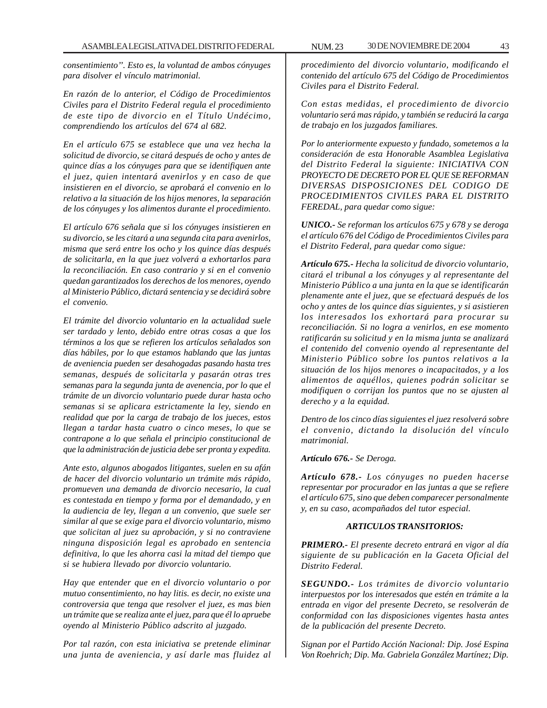*consentimiento''. Esto es, la voluntad de ambos cónyuges para disolver el vínculo matrimonial.*

*En razón de lo anterior, el Código de Procedimientos Civiles para el Distrito Federal regula el procedimiento de este tipo de divorcio en el Título Undécimo, comprendiendo los artículos del 674 al 682.*

*En el artículo 675 se establece que una vez hecha la solicitud de divorcio, se citará después de ocho y antes de quince días a los cónyuges para que se identifiquen ante el juez, quien intentará avenirlos y en caso de que insistieren en el divorcio, se aprobará el convenio en lo relativo a la situación de los hijos menores, la separación de los cónyuges y los alimentos durante el procedimiento.*

*El artículo 676 señala que si los cónyuges insistieren en su divorcio, se les citará a una segunda cita para avenirlos, misma que será entre los ocho y los quince días después de solicitarla, en la que juez volverá a exhortarlos para la reconciliación. En caso contrario y si en el convenio quedan garantizados los derechos de los menores, oyendo al Ministerio Público, dictará sentencia y se decidirá sobre el convenio.*

*El trámite del divorcio voluntario en la actualidad suele ser tardado y lento, debido entre otras cosas a que los términos a los que se refieren los artículos señalados son días hábiles, por lo que estamos hablando que las juntas de aveniencia pueden ser desahogadas pasando hasta tres semanas, después de solicitarla y pasarán otras tres semanas para la segunda junta de avenencia, por lo que el trámite de un divorcio voluntario puede durar hasta ocho semanas si se aplicara estrictamente la ley, siendo en realidad que por la carga de trabajo de los jueces, estos llegan a tardar hasta cuatro o cinco meses, lo que se contrapone a lo que señala el principio constitucional de que la administración de justicia debe ser pronta y expedita.*

*Ante esto, algunos abogados litigantes, suelen en su afán de hacer del divorcio voluntario un trámite más rápido, promueven una demanda de divorcio necesario, la cual es contestada en tiempo y forma por el demandado, y en la audiencia de ley, llegan a un convenio, que suele ser similar al que se exige para el divorcio voluntario, mismo que solicitan al juez su aprobación, y si no contraviene ninguna disposición legal es aprobado en sentencia definitiva, lo que les ahorra casi la mitad del tiempo que si se hubiera llevado por divorcio voluntario.*

*Hay que entender que en el divorcio voluntario o por mutuo consentimiento, no hay litis. es decir, no existe una controversia que tenga que resolver el juez, es mas bien un trámite que se realiza ante el juez, para que él lo apruebe oyendo al Ministerio Público adscrito al juzgado.*

*Por tal razón, con esta iniciativa se pretende eliminar una junta de aveniencia, y así darle mas fluidez al*

*procedimiento del divorcio voluntario, modificando el contenido del artículo 675 del Código de Procedimientos Civiles para el Distrito Federal.*

*Con estas medidas, el procedimiento de divorcio voluntario será mas rápido, y también se reducirá la carga de trabajo en los juzgados familiares.*

*Por lo anteriormente expuesto y fundado, sometemos a la consideración de esta Honorable Asamblea Legislativa del Distrito Federal la siguiente: INICIATIVA CON PROYECTO DE DECRETO POR EL QUE SE REFORMAN DIVERSAS DISPOSICIONES DEL CODIGO DE PROCEDIMIENTOS CIVILES PARA EL DISTRITO FEREDAL, para quedar como sigue:*

*UNICO.- Se reforman los artículos 675 y 678 y se deroga el artículo 676 del Código de Procedimientos Civiles para el Distrito Federal, para quedar como sigue:*

*Artículo 675.- Hecha la solicitud de divorcio voluntario, citará el tribunal a los cónyuges y al representante del Ministerio Público a una junta en la que se identificarán plenamente ante el juez, que se efectuará después de los ocho y antes de los quince días siguientes, y si asistieren los interesados los exhortará para procurar su reconciliación. Si no logra a venirlos, en ese momento ratificarán su solicitud y en la misma junta se analizará el contenido del convenio oyendo al representante del Ministerio Público sobre los puntos relativos a la situación de los hijos menores o incapacitados, y a los alimentos de aquéllos, quienes podrán solicitar se modifiquen o corrijan los puntos que no se ajusten al derecho y a la equidad.*

*Dentro de los cinco días siguientes el juez resolverá sobre el convenio, dictando la disolución del vínculo matrimonial.*

*Artículo 676.- Se Deroga.*

*Artículo 678.- Los cónyuges no pueden hacerse representar por procurador en las juntas a que se refiere el artículo 675, sino que deben comparecer personalmente y, en su caso, acompañados del tutor especial.*

# *ARTICULOS TRANSITORIOS:*

*PRIMERO.- El presente decreto entrará en vigor al día siguiente de su publicación en la Gaceta Oficial del Distrito Federal.*

*SEGUNDO.- Los trámites de divorcio voluntario interpuestos por los interesados que estén en trámite a la entrada en vigor del presente Decreto, se resolverán de conformidad con las disposiciones vigentes hasta antes de la publicación del presente Decreto.*

*Signan por el Partido Acción Nacional: Dip. José Espina Von Roehrich; Dip. Ma. Gabriela González Martínez; Dip.*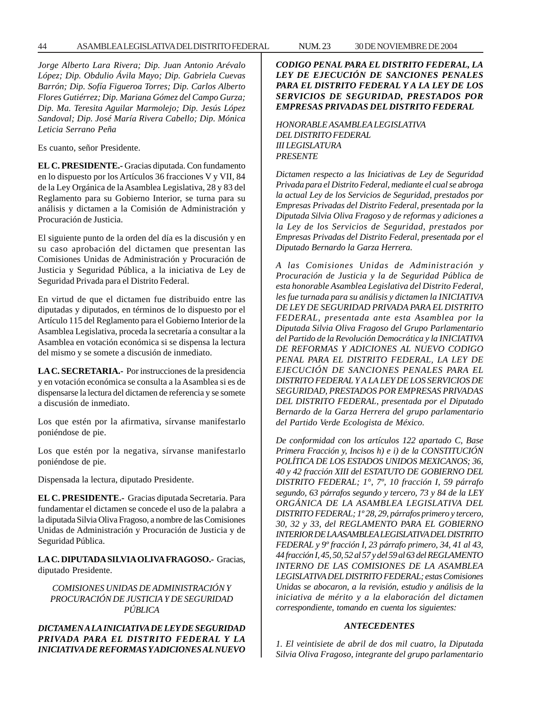*Jorge Alberto Lara Rivera; Dip. Juan Antonio Arévalo López; Dip. Obdulio Ávila Mayo; Dip. Gabriela Cuevas Barrón; Dip. Sofía Figueroa Torres; Dip. Carlos Alberto Flores Gutiérrez; Dip. Mariana Gómez del Campo Gurza; Dip. Ma. Teresita Aguilar Marmolejo; Dip. Jesús López Sandoval; Dip. José María Rivera Cabello; Dip. Mónica Leticia Serrano Peña*

Es cuanto, señor Presidente.

**EL C. PRESIDENTE.-** Gracias diputada. Con fundamento en lo dispuesto por los Artículos 36 fracciones V y VII, 84 de la Ley Orgánica de la Asamblea Legislativa, 28 y 83 del Reglamento para su Gobierno Interior, se turna para su análisis y dictamen a la Comisión de Administración y Procuración de Justicia.

El siguiente punto de la orden del día es la discusión y en su caso aprobación del dictamen que presentan las Comisiones Unidas de Administración y Procuración de Justicia y Seguridad Pública, a la iniciativa de Ley de Seguridad Privada para el Distrito Federal.

En virtud de que el dictamen fue distribuido entre las diputadas y diputados, en términos de lo dispuesto por el Artículo 115 del Reglamento para el Gobierno Interior de la Asamblea Legislativa, proceda la secretaría a consultar a la Asamblea en votación económica si se dispensa la lectura del mismo y se somete a discusión de inmediato.

**LA C. SECRETARIA.-** Por instrucciones de la presidencia y en votación económica se consulta a la Asamblea si es de dispensarse la lectura del dictamen de referencia y se somete a discusión de inmediato.

Los que estén por la afirmativa, sírvanse manifestarlo poniéndose de pie.

Los que estén por la negativa, sírvanse manifestarlo poniéndose de pie.

Dispensada la lectura, diputado Presidente.

**EL C. PRESIDENTE.-** Gracias diputada Secretaria. Para fundamentar el dictamen se concede el uso de la palabra a la diputada Silvia Oliva Fragoso, a nombre de las Comisiones Unidas de Administración y Procuración de Justicia y de Seguridad Pública.

**LA C. DIPUTADA SILVIA OLIVA FRAGOSO.-** Gracias, diputado Presidente.

*COMISIONES UNIDAS DE ADMINISTRACIÓN Y PROCURACIÓN DE JUSTICIA Y DE SEGURIDAD PÚBLICA*

*DICTAMEN A LA INICIATIVA DE LEY DE SEGURIDAD PRIVADA PARA EL DISTRITO FEDERAL Y LA INICIATIVA DE REFORMAS Y ADICIONES AL NUEVO*

*CODIGO PENAL PARA EL DISTRITO FEDERAL, LA LEY DE EJECUCIÓN DE SANCIONES PENALES PARA EL DISTRITO FEDERAL Y A LA LEY DE LOS SERVICIOS DE SEGURIDAD, PRESTADOS POR EMPRESAS PRIVADAS DEL DISTRITO FEDERAL*

*HONORABLE ASAMBLEA LEGISLATIVA DEL DISTRITO FEDERAL III LEGISLATURA PRESENTE*

*Dictamen respecto a las Iniciativas de Ley de Seguridad Privada para el Distrito Federal, mediante el cual se abroga la actual Ley de los Servicios de Seguridad, prestados por Empresas Privadas del Distrito Federal, presentada por la Diputada Silvia Oliva Fragoso y de reformas y adiciones a la Ley de los Servicios de Seguridad, prestados por Empresas Privadas del Distrito Federal, presentada por el Diputado Bernardo la Garza Herrera.*

*A las Comisiones Unidas de Administración y Procuración de Justicia y la de Seguridad Pública de esta honorable Asamblea Legislativa del Distrito Federal, les fue turnada para su análisis y dictamen la INICIATIVA DE LEY DE SEGURIDAD PRIVADA PARA EL DISTRITO FEDERAL, presentada ante esta Asamblea por la Diputada Silvia Oliva Fragoso del Grupo Parlamentario del Partido de la Revolución Democrática y la INICIATIVA DE REFORMAS Y ADICIONES AL NUEVO CODIGO PENAL PARA EL DISTRITO FEDERAL, LA LEY DE EJECUCIÓN DE SANCIONES PENALES PARA EL DISTRITO FEDERAL Y A LA LEY DE LOS SERVICIOS DE SEGURIDAD, PRESTADOS POR EMPRESAS PRIVADAS DEL DISTRITO FEDERAL, presentada por el Diputado Bernardo de la Garza Herrera del grupo parlamentario del Partido Verde Ecologista de México.*

*De conformidad con los artículos 122 apartado C, Base Primera Fracción y, Incisos h) e i) de la CONSTITUCIÓN POLÍTICA DE LOS ESTADOS UNIDOS MEXICANOS; 36, 40 y 42 fracción XIII del ESTATUTO DE GOBIERNO DEL DISTRITO FEDERAL; 1°, 7º, 10 fracción I, 59 párrafo segundo, 63 párrafos segundo y tercero, 73 y 84 de la LEY ORGÁNICA DE LA ASAMBLEA LEGISLATIVA DEL DISTRITO FEDERAL; 1º 28, 29, párrafos primero y tercero, 30, 32 y 33, del REGLAMENTO PARA EL GOBIERNO INTERIOR DE LA ASAMBLEA LEGISLATIVA DEL DISTRITO FEDERAL y 9º fracción I, 23 párrafo primero, 34, 41 al 43, 44 fracción I, 45, 50, 52 al 57 y del 59 al 63 del REGLAMENTO INTERNO DE LAS COMISIONES DE LA ASAMBLEA LEGISLATIVA DEL DISTRITO FEDERAL; estas Comisiones Unidas se abocaron, a la revisión, estudio y análisis de la iniciativa de mérito y a la elaboración del dictamen correspondiente, tomando en cuenta los siguientes:*

#### *ANTECEDENTES*

*1. El veintisiete de abril de dos mil cuatro, la Diputada Silvia Oliva Fragoso, integrante del grupo parlamentario*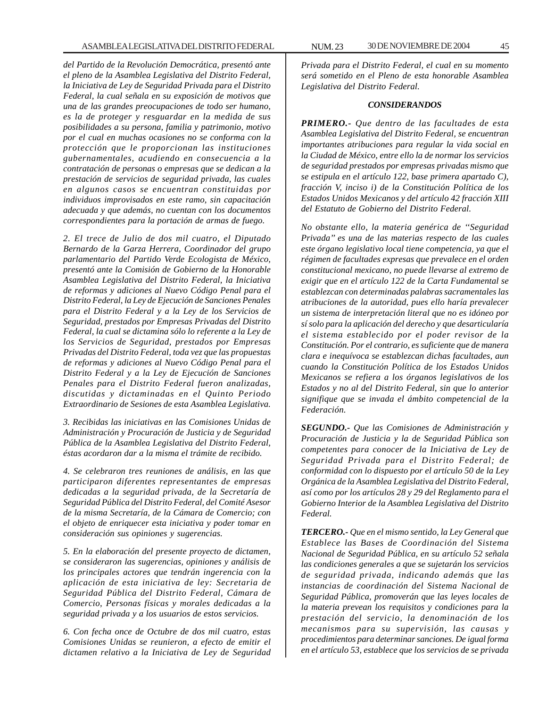*del Partido de la Revolución Democrática, presentó ante el pleno de la Asamblea Legislativa del Distrito Federal, la Iniciativa de Ley de Seguridad Privada para el Distrito Federal, la cual señala en su exposición de motivos que una de las grandes preocupaciones de todo ser humano, es la de proteger y resguardar en la medida de sus posibilidades a su persona, familia y patrimonio, motivo por el cual en muchas ocasiones no se conforma con la protección que le proporcionan las instituciones gubernamentales, acudiendo en consecuencia a la contratación de personas o empresas que se dedican a la prestación de servicios de seguridad privada, las cuales en algunos casos se encuentran constituidas por individuos improvisados en este ramo, sin capacitación adecuada y que además, no cuentan con los documentos correspondientes para la portación de armas de fuego.*

*2. El trece de Julio de dos mil cuatro, el Diputado Bernardo de la Garza Herrera, Coordinador del grupo parlamentario del Partido Verde Ecologista de México, presentó ante la Comisión de Gobierno de la Honorable Asamblea Legislativa del Distrito Federal, la Iniciativa de reformas y adiciones al Nuevo Código Penal para el Distrito Federal, la Ley de Ejecución de Sanciones Penales para el Distrito Federal y a la Ley de los Servicios de Seguridad, prestados por Empresas Privadas del Distrito Federal, la cual se dictamina sólo lo referente a la Ley de los Servicios de Seguridad, prestados por Empresas Privadas del Distrito Federal, toda vez que las propuestas de reformas y adiciones al Nuevo Código Penal para el Distrito Federal y a la Ley de Ejecución de Sanciones Penales para el Distrito Federal fueron analizadas, discutidas y dictaminadas en el Quinto Periodo Extraordinario de Sesiones de esta Asamblea Legislativa.*

*3. Recibidas las iniciativas en las Comisiones Unidas de Administración y Procuración de Justicia y de Seguridad Pública de la Asamblea Legislativa del Distrito Federal, éstas acordaron dar a la misma el trámite de recibido.*

*4. Se celebraron tres reuniones de análisis, en las que participaron diferentes representantes de empresas dedicadas a la seguridad privada, de la Secretaría de Seguridad Pública del Distrito Federal, del Comité Asesor de la misma Secretaría, de la Cámara de Comercio; con el objeto de enriquecer esta iniciativa y poder tomar en consideración sus opiniones y sugerencias.*

*5. En la elaboración del presente proyecto de dictamen, se consideraron las sugerencias, opiniones y análisis de los principales actores que tendrán ingerencia con la aplicación de esta iniciativa de ley: Secretaria de Seguridad Pública del Distrito Federal, Cámara de Comercio, Personas físicas y morales dedicadas a la seguridad privada y a los usuarios de estos servicios.*

*6. Con fecha once de Octubre de dos mil cuatro, estas Comisiones Unidas se reunieron, a efecto de emitir el dictamen relativo a la Iniciativa de Ley de Seguridad*

*Privada para el Distrito Federal, el cual en su momento será sometido en el Pleno de esta honorable Asamblea Legislativa del Distrito Federal.*

#### *CONSIDERANDOS*

*PRIMERO.- Que dentro de las facultades de esta Asamblea Legislativa del Distrito Federal, se encuentran importantes atribuciones para regular la vida social en la Ciudad de México, entre ello la de normar los servicios de seguridad prestados por empresas privadas mismo que se estipula en el artículo 122, base primera apartado C), fracción V, inciso i) de la Constitución Política de los Estados Unidos Mexicanos y del artículo 42 fracción XIII del Estatuto de Gobierno del Distrito Federal.*

*No obstante ello, la materia genérica de ''Seguridad Privada'' es una de las materias respecto de las cuales este órgano legislativo local tiene competencia, ya que el régimen de facultades expresas que prevalece en el orden constitucional mexicano, no puede llevarse al extremo de exigir que en el artículo 122 de la Carta Fundamental se establezcan con determinadas palabras sacramentales las atribuciones de la autoridad, pues ello haría prevalecer un sistema de interpretación literal que no es idóneo por sí solo para la aplicación del derecho y que desarticularía el sistema establecido por el poder revisor de la Constitución. Por el contrario, es suficiente que de manera clara e inequívoca se establezcan dichas facultades, aun cuando la Constitución Política de los Estados Unidos Mexicanos se refiera a los órganos legislativos de los Estados y no al del Distrito Federal, sin que lo anterior signifique que se invada el ámbito competencial de la Federación.*

*SEGUNDO.- Que las Comisiones de Administración y Procuración de Justicia y la de Seguridad Pública son competentes para conocer de la Iniciativa de Ley de Seguridad Privada para el Distrito Federal; de conformidad con lo dispuesto por el artículo 50 de la Ley Orgánica de la Asamblea Legislativa del Distrito Federal, así como por los artículos 28 y 29 del Reglamento para el Gobierno Interior de la Asamblea Legislativa del Distrito Federal.*

*TERCERO.- Que en el mismo sentido, la Ley General que Establece las Bases de Coordinación del Sistema Nacional de Seguridad Pública, en su artículo 52 señala las condiciones generales a que se sujetarán los servicios de seguridad privada, indicando además que las instancias de coordinación del Sistema Nacional de Seguridad Pública, promoverán que las leyes locales de la materia prevean los requisitos y condiciones para la prestación del servicio, la denominación de los mecanismos para su supervisión, las causas y procedimientos para determinar sanciones. De igual forma en el artículo 53, establece que los servicios de se privada*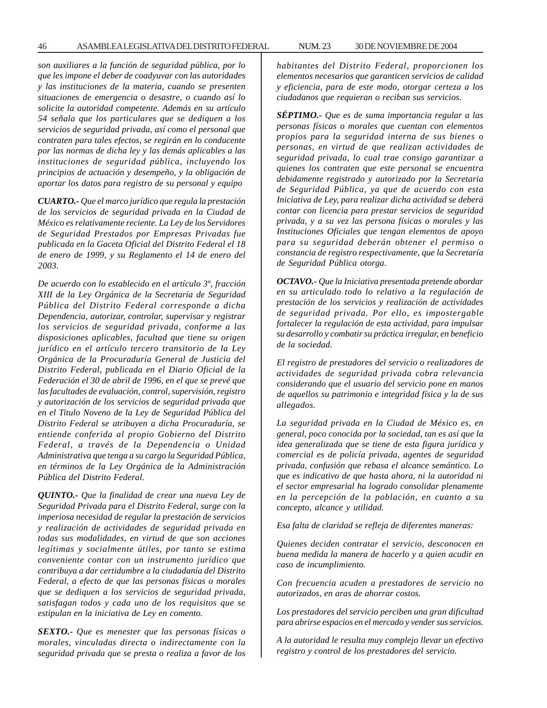*son auxiliares a la función de seguridad pública, por lo que les impone el deber de coadyuvar con las autoridades y las instituciones de la materia, cuando se presenten situaciones de emergencia o desastre, o cuando así lo solicite la autoridad competente. Además en su artículo 54 señala que los particulares que se dediquen a los servicios de seguridad privada, así como el personal que contraten para tales efectos, se regirán en lo conducente por las normas de dicha ley y las demás aplicables a las instituciones de seguridad pública, incluyendo los principios de actuación y desempeño, y la obligación de aportar los datos para registro de su personal y equipo*

*CUARTO.- Que el marco jurídico que regula la prestación de los servicios de seguridad privada en la Ciudad de México es relativamente reciente. La Ley de los Servidores de Seguridad Prestados por Empresas Privadas fue publicada en la Gaceta Oficial del Distrito Federal el 18 de enero de 1999, y su Reglamento el 14 de enero del 2003.*

*De acuerdo con lo establecido en el artículo 3º, fracción XIII de la Ley Orgánica de la Secretaría de Seguridad Pública del Distrito Federal corresponde a dicha Dependencia, autorizar, controlar, supervisar y registrar los servicios de seguridad privada, conforme a las disposiciones aplicables, facultad que tiene su origen jurídico en el artículo tercero transitorio de la Ley Orgánica de la Procuraduría General de Justicia del Distrito Federal, publicada en el Diario Oficial de la Federación el 30 de abril de 1996, en el que se prevé que las facultades de evaluación, control, supervisión, registro y autorización de los servicios de seguridad privada que en el Titulo Noveno de la Ley de Seguridad Pública del Distrito Federal se atribuyen a dicha Procuraduría, se entiende conferida al propio Gobierno del Distrito Federal, a través de la Dependencia o Unidad Administrativa que tenga a su cargo la Seguridad Pública, en términos de la Ley Orgánica de la Administración Pública del Distrito Federal.*

*QUINTO.- Que la finalidad de crear una nueva Ley de Seguridad Privada para el Distrito Federal, surge con la imperiosa necesidad de regular la prestación de servicios y realización de actividades de seguridad privada en todas sus modalidades, en virtud de que son acciones legítimas y socialmente útiles, por tanto se estima conveniente contar con un instrumento jurídico que contribuya a dar certidumbre a la ciudadanía del Distrito Federal, a efecto de que las personas físicas o morales que se dediquen a los servicios de seguridad privada, satisfagan todos y cada uno de los requisitos que se estipulan en la iniciativa de Ley en comento.*

*SEXTO.- Que es menester que las personas físicas o morales, vinculadas directa o indirectamente con la seguridad privada que se presta o realiza a favor de los*

*habitantes del Distrito Federal, proporcionen los elementos necesarios que garanticen servicios de calidad y eficiencia, para de este modo, otorgar certeza a los ciudadanos que requieran o reciban sus servicios.*

*SÉPTIMO.- Que es de suma importancia regular a las personas físicas o morales que cuentan con elementos propios para la seguridad interna de sus bienes o personas, en virtud de que realizan actividades de seguridad privada, lo cual trae consigo garantizar a quienes los contraten que este personal se encuentra debidamente registrado y autorizado por la Secretaria de Seguridad Pública, ya que de acuerdo con esta Iniciativa de Ley, para realizar dicha actividad se deberá contar con licencia para prestar servicios de seguridad privada, y a su vez las persona físicas o morales y las Instituciones Oficiales que tengan elementos de apoyo para su seguridad deberán obtener el permiso o constancia de registro respectivamente, que la Secretaría de Seguridad Pública otorga.*

*OCTAVO.- Que la Iniciativa presentada pretende abordar en su articulado todo lo relativo a la regulación de prestación de los servicios y realización de actividades de seguridad privada. Por ello, es impostergable fortalecer la regulación de esta actividad, para impulsar su desarrollo y combatir su práctica irregular, en beneficio de la sociedad.*

*El registro de prestadores del servicio o realizadores de actividades de seguridad privada cobra relevancia considerando que el usuario del servicio pone en manos de aquellos su patrimonio e integridad física y la de sus allegados.*

*La seguridad privada en la Ciudad de México es, en general, poco conocida por la sociedad, tan es así que la idea generalizada que se tiene de esta figura jurídica y comercial es de policía privada, agentes de seguridad privada, confusión que rebasa el alcance semántico. Lo que es indicativo de que hasta ahora, ni la autoridad ni el sector empresarial ha logrado consolidar plenamente en la percepción de la población, en cuanto a su concepto, alcance y utilidad.*

*Esa falta de claridad se refleja de diferentes maneras:*

*Quienes deciden contratar el servicio, desconocen en buena medida la manera de hacerlo y a quien acudir en caso de incumplimiento.*

*Con frecuencia acuden a prestadores de servicio no autorizados, en aras de ahorrar costos.*

*Los prestadores del servicio perciben una gran dificultad para abrirse espacios en el mercado y vender sus servicios.*

*A la autoridad le resulta muy complejo llevar un efectivo registro y control de los prestadores del servicio.*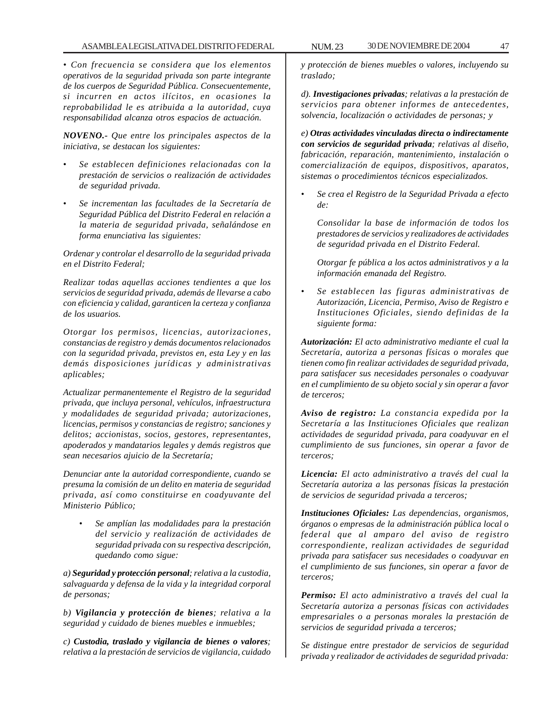*• Con frecuencia se considera que los elementos operativos de la seguridad privada son parte integrante de los cuerpos de Seguridad Pública. Consecuentemente, si incurren en actos ilícitos, en ocasiones la reprobabilidad le es atribuida a la autoridad, cuya responsabilidad alcanza otros espacios de actuación.*

*NOVENO.- Que entre los principales aspectos de la iniciativa, se destacan los siguientes:*

- *Se establecen definiciones relacionadas con la prestación de servicios o realización de actividades de seguridad privada.*
- *Se incrementan las facultades de la Secretaría de Seguridad Pública del Distrito Federal en relación a la materia de seguridad privada, señalándose en forma enunciativa las siguientes:*

*Ordenar y controlar el desarrollo de la seguridad privada en el Distrito Federal;*

*Realizar todas aquellas acciones tendientes a que los servicios de seguridad privada, además de llevarse a cabo con eficiencia y calidad, garanticen la certeza y confianza de los usuarios.*

*Otorgar los permisos, licencias, autorizaciones, constancias de registro y demás documentos relacionados con la seguridad privada, previstos en, esta Ley y en las demás disposiciones jurídicas y administrativas aplicables;*

*Actualizar permanentemente el Registro de la seguridad privada, que incluya personal, vehículos, infraestructura y modalidades de seguridad privada; autorizaciones, licencias, permisos y constancias de registro; sanciones y delitos; accionistas, socios, gestores, representantes, apoderados y mandatarios legales y demás registros que sean necesarios ajuicio de la Secretaría;*

*Denunciar ante la autoridad correspondiente, cuando se presuma la comisión de un delito en materia de seguridad privada, así como constituirse en coadyuvante del Ministerio Público;*

• *Se amplían las modalidades para la prestación del servicio y realización de actividades de seguridad privada con su respectiva descripción, quedando como sigue:*

*a) Seguridad y protección personal; relativa a la custodia, salvaguarda y defensa de la vida y la integridad corporal de personas;*

*b) Vigilancia y protección de bienes; relativa a la seguridad y cuidado de bienes muebles e inmuebles;*

*c) Custodia, traslado y vigilancia de bienes o valores; relativa a la prestación de servicios de vigilancia, cuidado* *y protección de bienes muebles o valores, incluyendo su traslado;*

*d). Investigaciones privadas; relativas a la prestación de servicios para obtener informes de antecedentes, solvencia, localización o actividades de personas; y*

*e) Otras actividades vinculadas directa o indirectamente con servicios de seguridad privada; relativas al diseño, fabricación, reparación, mantenimiento, instalación o comercialización de equipos, dispositivos, aparatos, sistemas o procedimientos técnicos especializados.*

• *Se crea el Registro de la Seguridad Privada a efecto de:*

*Consolidar la base de información de todos los prestadores de servicios y realizadores de actividades de seguridad privada en el Distrito Federal.*

*Otorgar fe pública a los actos administrativos y a la información emanada del Registro.*

• *Se establecen las figuras administrativas de Autorización, Licencia, Permiso, Aviso de Registro e Instituciones Oficiales, siendo definidas de la siguiente forma:*

*Autorización: El acto administrativo mediante el cual la Secretaría, autoriza a personas físicas o morales que tienen como fin realizar actividades de seguridad privada, para satisfacer sus necesidades personales o coadyuvar en el cumplimiento de su objeto social y sin operar a favor de terceros;*

*Aviso de registro: La constancia expedida por la Secretaría a las Instituciones Oficiales que realizan actividades de seguridad privada, para coadyuvar en el cumplimiento de sus funciones, sin operar a favor de terceros;*

*Licencia: El acto administrativo a través del cual la Secretaría autoriza a las personas físicas la prestación de servicios de seguridad privada a terceros;*

*Instituciones Oficiales: Las dependencias, organismos, órganos o empresas de la administración pública local o federal que al amparo del aviso de registro correspondiente, realizan actividades de seguridad privada para satisfacer sus necesidades o coadyuvar en el cumplimiento de sus funciones, sin operar a favor de terceros;*

*Permiso: El acto administrativo a través del cual la Secretaría autoriza a personas físicas con actividades empresariales o a personas morales la prestación de servicios de seguridad privada a terceros;*

*Se distingue entre prestador de servicios de seguridad privada y realizador de actividades de seguridad privada:*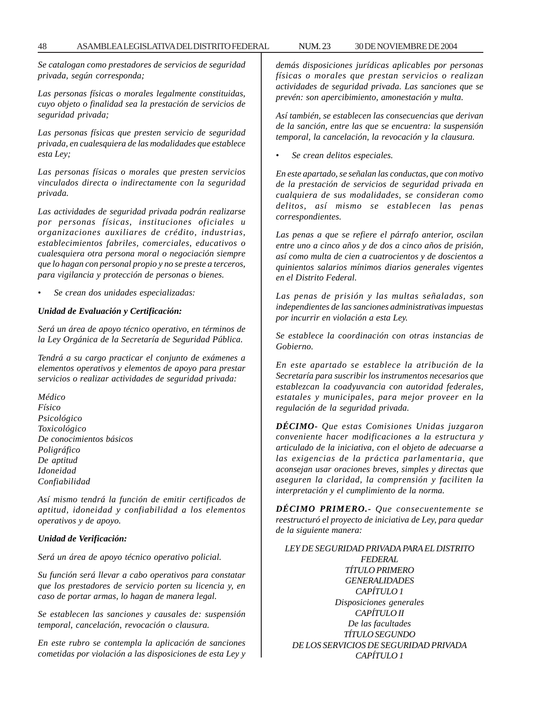*Se catalogan como prestadores de servicios de seguridad privada, según corresponda;*

*Las personas físicas o morales legalmente constituidas, cuyo objeto o finalidad sea la prestación de servicios de seguridad privada;*

*Las personas físicas que presten servicio de seguridad privada, en cualesquiera de las modalidades que establece esta Ley;*

*Las personas físicas o morales que presten servicios vinculados directa o indirectamente con la seguridad privada.*

*Las actividades de seguridad privada podrán realizarse por personas físicas, instituciones oficiales u organizaciones auxiliares de crédito, industrias, establecimientos fabriles, comerciales, educativos o cualesquiera otra persona moral o negociación siempre que lo hagan con personal propio y no se preste a terceros, para vigilancia y protección de personas o bienes.*

• *Se crean dos unidades especializadas:*

### *Unidad de Evaluación y Certificación:*

*Será un área de apoyo técnico operativo, en términos de la Ley Orgánica de la Secretaría de Seguridad Pública.*

*Tendrá a su cargo practicar el conjunto de exámenes a elementos operativos y elementos de apoyo para prestar servicios o realizar actividades de seguridad privada:*

*Médico Físico Psicológico Toxicológico De conocimientos básicos Poligráfico De aptitud Idoneidad Confiabilidad*

*Así mismo tendrá la función de emitir certificados de aptitud, idoneidad y confiabilidad a los elementos operativos y de apoyo.*

### *Unidad de Verificación:*

*Será un área de apoyo técnico operativo policial.*

*Su función será llevar a cabo operativos para constatar que los prestadores de servicio porten su licencia y, en caso de portar armas, lo hagan de manera legal.*

*Se establecen las sanciones y causales de: suspensión temporal, cancelación, revocación o clausura.*

*En este rubro se contempla la aplicación de sanciones cometidas por violación a las disposiciones de esta Ley y* *demás disposiciones jurídicas aplicables por personas físicas o morales que prestan servicios o realizan actividades de seguridad privada. Las sanciones que se prevén: son apercibimiento, amonestación y multa.*

*Así también, se establecen las consecuencias que derivan de la sanción, entre las que se encuentra: la suspensión temporal, la cancelación, la revocación y la clausura.*

• *Se crean delitos especiales.*

*En este apartado, se señalan las conductas, que con motivo de la prestación de servicios de seguridad privada en cualquiera de sus modalidades, se consideran como delitos, así mismo se establecen las penas correspondientes.*

*Las penas a que se refiere el párrafo anterior, oscilan entre uno a cinco años y de dos a cinco años de prisión, así como multa de cien a cuatrocientos y de doscientos a quinientos salarios mínimos diarios generales vigentes en el Distrito Federal.*

*Las penas de prisión y las multas señaladas, son independientes de las sanciones administrativas impuestas por incurrir en violación a esta Ley.*

*Se establece la coordinación con otras instancias de Gobierno.*

*En este apartado se establece la atribución de la Secretaría para suscribir los instrumentos necesarios que establezcan la coadyuvancia con autoridad federales, estatales y municipales, para mejor proveer en la regulación de la seguridad privada.*

*DÉCIMO- Que estas Comisiones Unidas juzgaron conveniente hacer modificaciones a la estructura y articulado de la iniciativa, con el objeto de adecuarse a las exigencias de la práctica parlamentaria, que aconsejan usar oraciones breves, simples y directas que aseguren la claridad, la comprensión y faciliten la interpretación y el cumplimiento de la norma.*

*DÉCIMO PRIMERO.- Que consecuentemente se reestructuró el proyecto de iniciativa de Ley, para quedar de la siguiente manera:*

*LEY DE SEGURIDAD PRIVADA PARA EL DISTRITO FEDERAL TÍTULO PRIMERO GENERALIDADES CAPÍTULO 1 Disposiciones generales CAPÍTULO II De las facultades TÍTULO SEGUNDO DE LOS SERVICIOS DE SEGURIDAD PRIVADA CAPÍTULO 1*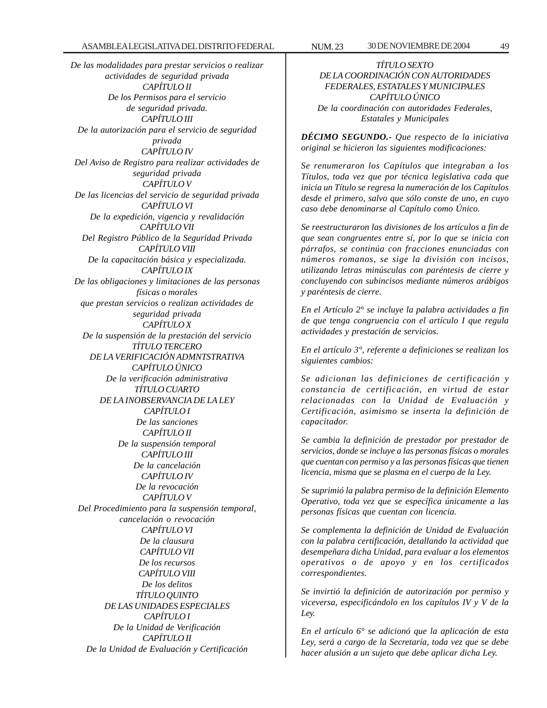*De las modalidades para prestar servicios o realizar actividades de seguridad privada CAPÍTULO II De los Permisos para el servicio de seguridad privada. CAPÍTULO III De la autorización para el servicio de seguridad privada CAPÍTULO IV Del Aviso de Registro para realizar actividades de seguridad privada CAPÍTULO V De las licencias del servicio de seguridad privada CAPÍTULO VI De la expedición, vigencia y revalidación CAPÍTULO VII Del Registro Público de la Seguridad Privada CAPÍTULO VIII De la capacitación básica y especializada. CAPÍTULO IX De las obligaciones y limitaciones de las personas físicas o morales que prestan servicios o realizan actividades de seguridad privada CAPÍTULO X De la suspensión de la prestación del servicio TÍTULO TERCERO DE LA VERIFICACIÓN ADMNTSTRATIVA CAPÍTULO ÚNICO De la verificación administrativa TÍTULO CUARTO DE LA INOBSERVANCIA DE LA LEY CAPÍTULO I De las sanciones CAPÍTULO II De la suspensión temporal CAPÍTULO III De la cancelación CAPÍTULO IV De la revocación CAPÍTULO V Del Procedimiento para la suspensión temporal, cancelación o revocación CAPÍTULO VI De la clausura CAPÍTULO VII De los recursos CAPÍTULO VIII De los delitos TÍTULO QUINTO DE LAS UNIDADES ESPECIALES CAPÍTULO I De la Unidad de Verificación CAPÍTULO II De la Unidad de Evaluación y Certificación*

*TÍTULO SEXTO DE LA COORDINACIÓN CON AUTORIDADES FEDERALES, ESTATALES Y MUNICIPALES CAPÍTULO ÚNICO De la coordinación con autoridades Federales, Estatales y Municipales*

*DÉCIMO SEGUNDO.- Que respecto de la iniciativa original se hicieron las siguientes modificaciones:*

*Se renumeraron los Capítulos que integraban a los Títulos, toda vez que por técnica legislativa cada que inicia un Título se regresa la numeración de los Capítulos desde el primero, salvo que sólo conste de uno, en cuyo caso debe denominarse al Capítulo como Único.*

*Se reestructuraron las divisiones de los artículos a fin de que sean congruentes entre sí, por lo que se inicia con párrafos, se continúa con fracciones enunciadas con números romanos, se sige la división con incisos, utilizando letras minúsculas con paréntesis de cierre y concluyendo con subincisos mediante números arábigos y paréntesis de cierre.*

*En el Artículo 2° se incluye la palabra actividades a fin de que tenga congruencia con el artículo I que regula actividades y prestación de servicios.*

*En el artículo 3°, referente a definiciones se realizan los siguientes cambios:*

*Se adicionan las definiciones de certificación y constancia de certificación, en virtud de estar relacionadas con la Unidad de Evaluación y Certificación, asimismo se inserta la definición de capacitador.*

*Se cambia la definición de prestador por prestador de servicios, donde se incluye a las personas físicas o morales que cuentan con permiso y a las personas físicas que tienen licencia, misma que se plasma en el cuerpo de la Ley.*

*Se suprimió la palabra permiso de la definición Elemento Operativo, toda vez que se específica únicamente a las personas físicas que cuentan con licencia.*

*Se complementa la definición de Unidad de Evaluación con la palabra certificación, detallando la actividad que desempeñara dicha Unidad, para evaluar a los elementos operativos o de apoyo y en los certificados correspondientes.*

*Se invirtió la definición de autorización por permiso y viceversa, especificándolo en los capítulos IV y V de la Ley.*

*En el artículo 6° se adicionó que la aplicación de esta Ley, será a cargo de la Secretaría, toda vez que se debe hacer alusión a un sujeto que debe aplicar dicha Ley.*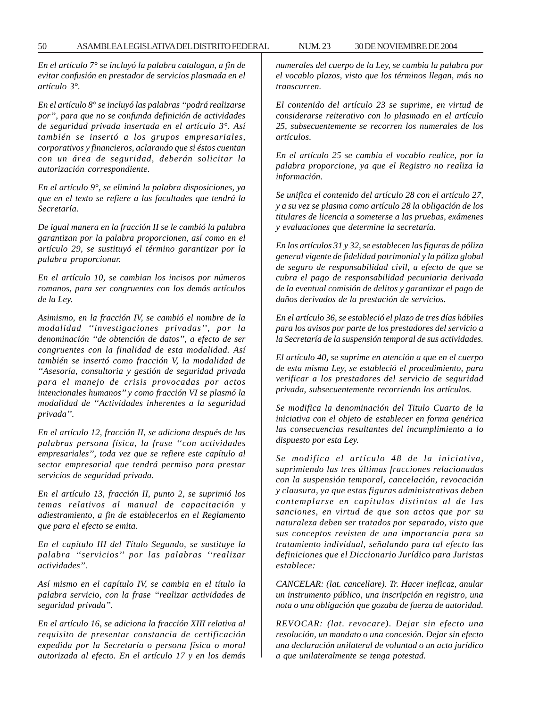*En el artículo 7° se incluyó la palabra catalogan, a fin de evitar confusión en prestador de servicios plasmada en el artículo 3°.*

*En el artículo 8° se incluyó las palabras ''podrá realizarse por'', para que no se confunda definición de actividades de seguridad privada insertada en el artículo 3°. Así también se insertó a los grupos empresariales, corporativos y financieros, aclarando que si éstos cuentan con un área de seguridad, deberán solicitar la autorización correspondiente.*

*En el artículo 9°, se eliminó la palabra disposiciones, ya que en el texto se refiere a las facultades que tendrá la Secretaría.*

*De igual manera en la fracción II se le cambió la palabra garantizan por la palabra proporcionen, así como en el artículo 29, se sustituyó el término garantizar por la palabra proporcionar.*

*En el artículo 10, se cambian los incisos por números romanos, para ser congruentes con los demás artículos de la Ley.*

*Asimismo, en la fracción IV, se cambió el nombre de la modalidad ''investigaciones privadas'', por la denominación ''de obtención de datos'', a efecto de ser congruentes con la finalidad de esta modalidad. Así también se insertó como fracción V, la modalidad de ''Asesoría, consultoria y gestión de seguridad privada para el manejo de crisis provocadas por actos intencionales humanos'' y como fracción VI se plasmó la modalidad de ''Actividades inherentes a la seguridad privada''.*

*En el artículo 12, fracción II, se adiciona después de las palabras persona física, la frase ''con actividades empresariales'', toda vez que se refiere este capítulo al sector empresarial que tendrá permiso para prestar servicios de seguridad privada.*

*En el artículo 13, fracción II, punto 2, se suprimió los temas relativos al manual de capacitación y adiestramiento, a fin de establecerlos en el Reglamento que para el efecto se emita.*

*En el capítulo III del Título Segundo, se sustituye la palabra ''servicios'' por las palabras ''realizar actividades''.*

*Así mismo en el capítulo IV, se cambia en el título la palabra servicio, con la frase ''realizar actividades de seguridad privada''.*

*En el artículo 16, se adiciona la fracción XIII relativa al requisito de presentar constancia de certificación expedida por la Secretaría o persona física o moral autorizada al efecto. En el artículo 17 y en los demás* *numerales del cuerpo de la Ley, se cambia la palabra por el vocablo plazos, visto que los términos llegan, más no transcurren.*

*El contenido del artículo 23 se suprime, en virtud de considerarse reiterativo con lo plasmado en el artículo 25, subsecuentemente se recorren los numerales de los artículos.*

*En el artículo 25 se cambia el vocablo realice, por la palabra proporcione, ya que el Registro no realiza la información.*

*Se unifica el contenido del artículo 28 con el artículo 27, y a su vez se plasma como artículo 28 la obligación de los titulares de licencia a someterse a las pruebas, exámenes y evaluaciones que determine la secretaría.*

*En los artículos 31 y 32, se establecen las figuras de póliza general vigente de fidelidad patrimonial y la póliza global de seguro de responsabilidad civil, a efecto de que se cubra el pago de responsabilidad pecuniaria derivada de la eventual comisión de delitos y garantizar el pago de daños derivados de la prestación de servicios.*

*En el artículo 36, se estableció el plazo de tres días hábiles para los avisos por parte de los prestadores del servicio a la Secretaría de la suspensión temporal de sus actividades.*

*El artículo 40, se suprime en atención a que en el cuerpo de esta misma Ley, se estableció el procedimiento, para verificar a los prestadores del servicio de seguridad privada, subsecuentemente recorriendo los artículos.*

*Se modifica la denominación del Titulo Cuarto de la iniciativa con el objeto de establecer en forma genérica las consecuencias resultantes del incumplimiento a lo dispuesto por esta Ley.*

*Se modifica el artículo 48 de la iniciativa, suprimiendo las tres últimas fracciones relacionadas con la suspensión temporal, cancelación, revocación y clausura, ya que estas figuras administrativas deben contemplarse en capítulos distintos al de las sanciones, en virtud de que son actos que por su naturaleza deben ser tratados por separado, visto que sus conceptos revisten de una importancia para su tratamiento individual, señalando para tal efecto las definiciones que el Diccionario Jurídico para Juristas establece:*

*CANCELAR: (lat. cancellare). Tr. Hacer ineficaz, anular un instrumento público, una inscripción en registro, una nota o una obligación que gozaba de fuerza de autoridad.*

*REVOCAR: (lat. revocare). Dejar sin efecto una resolución, un mandato o una concesión. Dejar sin efecto una declaración unilateral de voluntad o un acto jurídico a que unilateralmente se tenga potestad.*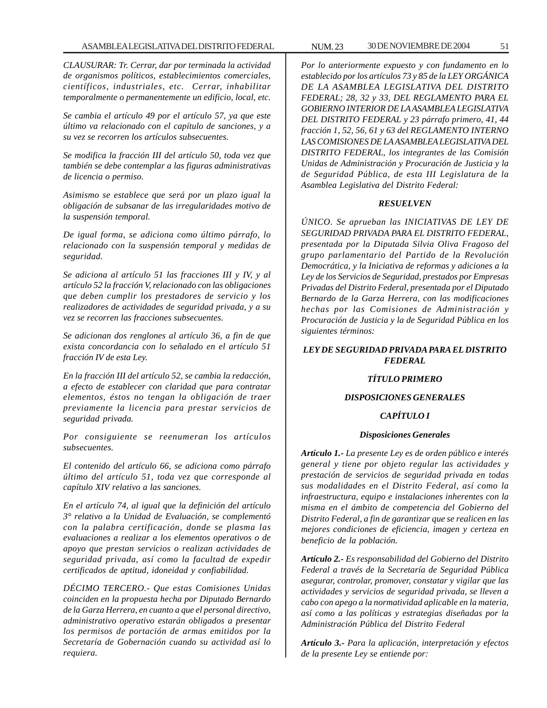*CLAUSURAR: Tr. Cerrar, dar por terminada la actividad de organismos políticos, establecimientos comerciales, científicos, industriales, etc. Cerrar, inhabilitar temporalmente o permanentemente un edificio, local, etc.*

*Se cambia el artículo 49 por el artículo 57, ya que este último va relacionado con el capítulo de sanciones, y a su vez se recorren los artículos subsecuentes.*

*Se modifica la fracción III del artículo 50, toda vez que también se debe contemplar a las figuras administrativas de licencia o permiso.*

*Asimismo se establece que será por un plazo igual la obligación de subsanar de las irregularidades motivo de la suspensión temporal.*

*De igual forma, se adiciona como último párrafo, lo relacionado con la suspensión temporal y medidas de seguridad.*

*Se adiciona al artículo 51 las fracciones III y IV, y al artículo 52 la fracción V, relacionado con las obligaciones que deben cumplir los prestadores de servicio y los realizadores de actividades de seguridad privada, y a su vez se recorren las fracciones subsecuentes.*

*Se adicionan dos renglones al artículo 36, a fin de que exista concordancia con lo señalado en el artículo 51 fracción IV de esta Ley.*

*En la fracción III del artículo 52, se cambia la redacción, a efecto de establecer con claridad que para contratar elementos, éstos no tengan la obligación de traer previamente la licencia para prestar servicios de seguridad privada.*

*Por consiguiente se reenumeran los artículos subsecuentes.*

*El contenido del artículo 66, se adiciona como párrafo último del artículo 51, toda vez que corresponde al capítulo XIV relativo a las sanciones.*

*En el artículo 74, al igual que la definición del artículo 3° relativo a la Unidad de Evaluación, se complementó con la palabra certificación, donde se plasma las evaluaciones a realizar a los elementos operativos o de apoyo que prestan servicios o realizan actividades de seguridad privada, así como la facultad de expedir certificados de aptitud, idoneidad y confiabilidad.*

*DÉCIMO TERCERO.- Que estas Comisiones Unidas coinciden en la propuesta hecha por Diputado Bernardo de la Garza Herrera, en cuanto a que el personal directivo, administrativo operativo estarán obligados a presentar los permisos de portación de armas emitidos por la Secretaría de Gobernación cuando su actividad así lo requiera.*

*Por lo anteriormente expuesto y con fundamento en lo establecido por los artículos 73 y 85 de la LEY ORGÁNICA DE LA ASAMBLEA LEGISLATIVA DEL DISTRITO FEDERAL; 28, 32 y 33, DEL REGLAMENTO PARA EL GOBIERNO INTERIOR DE LA ASAMBLEA LEGISLATIVA DEL DISTRITO FEDERAL y 23 párrafo primero, 41, 44 fracción 1, 52, 56, 61 y 63 del REGLAMENTO INTERNO LAS COMISIONES DE LA ASAMBLEA LEGISLATIVA DEL DISTRITO FEDERAL, los integrantes de las Comisión Unidas de Administración y Procuración de Justicia y la de Seguridad Pública, de esta III Legislatura de la Asamblea Legislativa del Distrito Federal:*

#### *RESUELVEN*

*ÚNICO. Se aprueban las INICIATIVAS DE LEY DE SEGURIDAD PRIVADA PARA EL DISTRITO FEDERAL, presentada por la Diputada Silvia Oliva Fragoso del grupo parlamentario del Partido de la Revolución Democrática, y la Iniciativa de reformas y adiciones a la Ley de los Servicios de Seguridad, prestados por Empresas Privadas del Distrito Federal, presentada por el Diputado Bernardo de la Garza Herrera, con las modificaciones hechas por las Comisiones de Administración y Procuración de Justicia y la de Seguridad Pública en los siguientes términos:*

## *LEY DE SEGURIDAD PRIVADA PARA EL DISTRITO FEDERAL*

### *TÍTULO PRIMERO*

### *DISPOSICIONES GENERALES*

### *CAPÍTULO I*

#### *Disposiciones Generales*

*Artículo 1.- La presente Ley es de orden público e interés general y tiene por objeto regular las actividades y prestación de servicios de seguridad privada en todas sus modalidades en el Distrito Federal, así como la infraestructura, equipo e instalaciones inherentes con la misma en el ámbito de competencia del Gobierno del Distrito Federal, a fin de garantizar que se realicen en las mejores condiciones de eficiencia, imagen y certeza en beneficio de la población.*

*Artículo 2.- Es responsabilidad del Gobierno del Distrito Federal a través de la Secretaría de Seguridad Pública asegurar, controlar, promover, constatar y vigilar que las actividades y servicios de seguridad privada, se lleven a cabo con apego a la normatividad aplicable en la materia, así como a las políticas y estrategias diseñadas por la Administración Pública del Distrito Federal*

*Artículo 3.- Para la aplicación, interpretación y efectos de la presente Ley se entiende por:*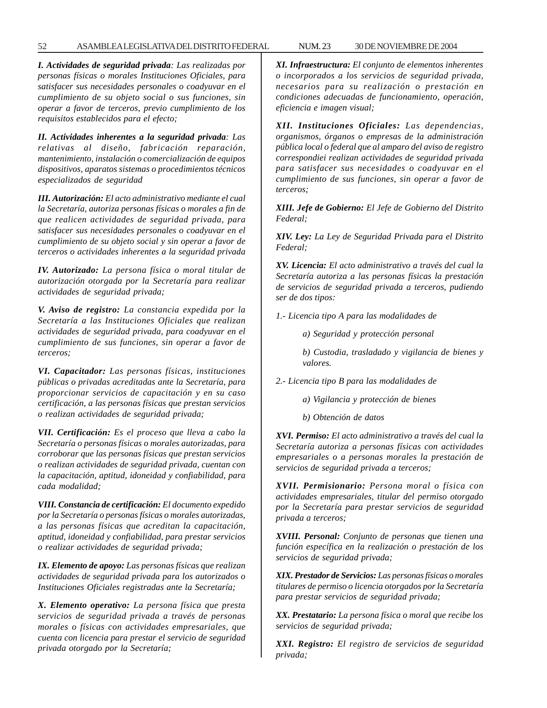#### 52 ASAMBLEA LEGISLATIVA DEL DISTRITO FEDERAL NUM. 23 30 DE NOVIEMBRE DE 2004

*I. Actividades de seguridad privada: Las realizadas por personas físicas o morales Instituciones Oficiales, para satisfacer sus necesidades personales o coadyuvar en el cumplimiento de su objeto social o sus funciones, sin operar a favor de terceros, previo cumplimiento de los requisitos establecidos para el efecto;*

*II. Actividades inherentes a la seguridad privada: Las relativas al diseño, fabricación reparación, mantenimiento, instalación o comercialización de equipos dispositivos, aparatos sistemas o procedimientos técnicos especializados de seguridad*

*III. Autorización: El acto administrativo mediante el cual la Secretaría, autoriza personas físicas o morales a fin de que realicen actividades de seguridad privada, para satisfacer sus necesidades personales o coadyuvar en el cumplimiento de su objeto social y sin operar a favor de terceros o actividades inherentes a la seguridad privada*

*IV. Autorizado: La persona física o moral titular de autorización otorgada por la Secretaría para realizar actividades de seguridad privada;*

*V. Aviso de registro: La constancia expedida por la Secretaría a las Instituciones Oficiales que realizan actividades de seguridad privada, para coadyuvar en el cumplimiento de sus funciones, sin operar a favor de terceros;*

*VI. Capacitador: Las personas físicas, instituciones públicas o privadas acreditadas ante la Secretaría, para proporcionar servicios de capacitación y en su caso certificación, a las personas físicas que prestan servicios o realizan actividades de seguridad privada;*

*VII. Certificación: Es el proceso que lleva a cabo la Secretaría o personas físicas o morales autorizadas, para corroborar que las personas físicas que prestan servicios o realizan actividades de seguridad privada, cuentan con la capacitación, aptitud, idoneidad y confiabilidad, para cada modalidad;*

*VIII. Constancia de certificación: El documento expedido por la Secretaría o personas físicas o morales autorizadas, a las personas físicas que acreditan la capacitación, aptitud, idoneidad y confiabilidad, para prestar servicios o realizar actividades de seguridad privada;*

*IX. Elemento de apoyo: Las personas físicas que realizan actividades de seguridad privada para los autorizados o Instituciones Oficiales registradas ante la Secretaría;*

*X. Elemento operativo: La persona física que presta servicios de seguridad privada a través de personas morales o físicas con actividades empresariales, que cuenta con licencia para prestar el servicio de seguridad privada otorgado por la Secretaría;*

*XI. Infraestructura: El conjunto de elementos inherentes o incorporados a los servicios de seguridad privada, necesarios para su realización o prestación en condiciones adecuadas de funcionamiento, operación, eficiencia e imagen visual;*

*XII. Instituciones Oficiales: Las dependencias, organismos, órganos o empresas de la administración pública local o federal que al amparo del aviso de registro correspondiei realizan actividades de seguridad privada para satisfacer sus necesidades o coadyuvar en el cumplimiento de sus funciones, sin operar a favor de terceros;*

*XIII. Jefe de Gobierno: El Jefe de Gobierno del Distrito Federal;*

*XIV. Ley: La Ley de Seguridad Privada para el Distrito Federal;*

*XV. Licencia: El acto administrativo a través del cual la Secretaría autoriza a las personas físicas la prestación de servicios de seguridad privada a terceros, pudiendo ser de dos tipos:*

*1.- Licencia tipo A para las modalidades de*

*a) Seguridad y protección personal*

*b) Custodia, trasladado y vigilancia de bienes y valores.*

*2.- Licencia tipo B para las modalidades de*

*a) Vigilancia y protección de bienes*

*b) Obtención de datos*

*XVI. Permiso: El acto administrativo a través del cual la Secretaría autoriza a personas físicas con actividades empresariales o a personas morales la prestación de servicios de seguridad privada a terceros;*

*XVII. Permisionario: Persona moral o física con actividades empresariales, titular del permiso otorgado por la Secretaría para prestar servicios de seguridad privada a terceros;*

*XVIII. Personal: Conjunto de personas que tienen una función específica en la realización o prestación de los servicios de seguridad privada;*

*XIX. Prestador de Servicios: Las personas físicas o morales titulares de permiso o licencia otorgados por la Secretaría para prestar servicios de seguridad privada;*

*XX. Prestatario: La persona física o moral que recibe los servicios de seguridad privada;*

*XXI. Registro: El registro de servicios de seguridad privada;*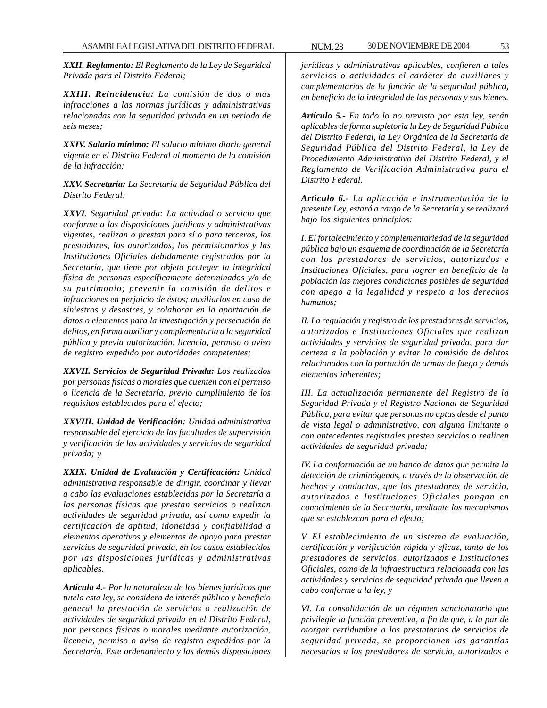*XXII. Reglamento: El Reglamento de la Ley de Seguridad Privada para el Distrito Federal;*

*XXIII. Reincidencia: La comisión de dos o más infracciones a las normas jurídicas y administrativas relacionadas con la seguridad privada en un periodo de seis meses;*

*XXIV. Salario mínimo: El salario mínimo diario general vigente en el Distrito Federal al momento de la comisión de la infracción;*

*XXV. Secretaría: La Secretaría de Seguridad Pública del Distrito Federal;*

*XXVI. Seguridad privada: La actividad o servicio que conforme a las disposiciones jurídicas y administrativas vigentes, realizan o prestan para sí o para terceros, los prestadores, los autorizados, los permisionarios y las Instituciones Oficiales debidamente registrados por la Secretaría, que tiene por objeto proteger la integridad física de personas específicamente determinados y/o de su patrimonio; prevenir la comisión de delitos e infracciones en perjuicio de éstos; auxiliarlos en caso de siniestros y desastres, y colaborar en la aportación de datos o elementos para la investigación y persecución de delitos, en forma auxiliar y complementaria a la seguridad pública y previa autorización, licencia, permiso o aviso de registro expedido por autoridades competentes;*

*XXVII. Servicios de Seguridad Privada: Los realizados por personas físicas o morales que cuenten con el permiso o licencia de la Secretaría, previo cumplimiento de los requisitos establecidos para el efecto;*

*XXVIII. Unidad de Verificación: Unidad administrativa responsable del ejercicio de las facultades de supervisión y verificación de las actividades y servicios de seguridad privada; y*

*XXIX. Unidad de Evaluación y Certificación: Unidad administrativa responsable de dirigir, coordinar y llevar a cabo las evaluaciones establecidas por la Secretaría a las personas físicas que prestan servicios o realizan actividades de seguridad privada, así como expedir la certificación de aptitud, idoneidad y confiabilidad a elementos operativos y elementos de apoyo para prestar servicios de seguridad privada, en los casos establecidos por las disposiciones jurídicas y administrativas aplicables.*

*Artículo 4.- Por la naturaleza de los bienes jurídicos que tutela esta ley, se considera de interés público y beneficio general la prestación de servicios o realización de actividades de seguridad privada en el Distrito Federal, por personas físicas o morales mediante autorización, licencia, permiso o aviso de registro expedidos por la Secretaría. Este ordenamiento y las demás disposiciones*

*jurídicas y administrativas aplicables, confieren a tales servicios o actividades el carácter de auxiliares y complementarias de la función de la seguridad pública, en beneficio de la integridad de las personas y sus bienes.*

*Artículo 5.- En todo lo no previsto por esta ley, serán aplicables de forma supletoria la Ley de Seguridad Pública del Distrito Federal, la Ley Orgánica de la Secretaría de Seguridad Pública del Distrito Federal, la Ley de Procedimiento Administrativo del Distrito Federal, y el Reglamento de Verificación Administrativa para el Distrito Federal.*

*Artículo 6.- La aplicación e instrumentación de la presente Ley, estará a cargo de la Secretaría y se realizará bajo los siguientes principios:*

*I. El fortalecimiento y complementariedad de la seguridad pública bajo un esquema de coordinación de la Secretaría con los prestadores de servicios, autorizados e Instituciones Oficiales, para lograr en beneficio de la población las mejores condiciones posibles de seguridad con apego a la legalidad y respeto a los derechos humanos;*

*II. La regulación y registro de los prestadores de servicios, autorizados e Instituciones Oficiales que realizan actividades y servicios de seguridad privada, para dar certeza a la población y evitar la comisión de delitos relacionados con la portación de armas de fuego y demás elementos inherentes;*

*III. La actualización permanente del Registro de la Seguridad Privada y el Registro Nacional de Seguridad Pública, para evitar que personas no aptas desde el punto de vista legal o administrativo, con alguna limitante o con antecedentes registrales presten servicios o realicen actividades de seguridad privada;*

*IV. La conformación de un banco de datos que permita la detección de criminógenos, a través de la observación de hechos y conductas, que los prestadores de servicio, autorizados e Instituciones Oficiales pongan en conocimiento de la Secretaría, mediante los mecanismos que se establezcan para el efecto;*

*V. El establecimiento de un sistema de evaluación, certificación y verificación rápida y eficaz, tanto de los prestadores de servicios, autorizados e Instituciones Oficiales, como de la infraestructura relacionada con las actividades y servicios de seguridad privada que lleven a cabo conforme a la ley, y*

*VI. La consolidación de un régimen sancionatorio que privilegie la función preventiva, a fin de que, a la par de otorgar certidumbre a los prestatarios de servicios de seguridad privada, se proporcionen las garantías necesarias a los prestadores de servicio, autorizados e*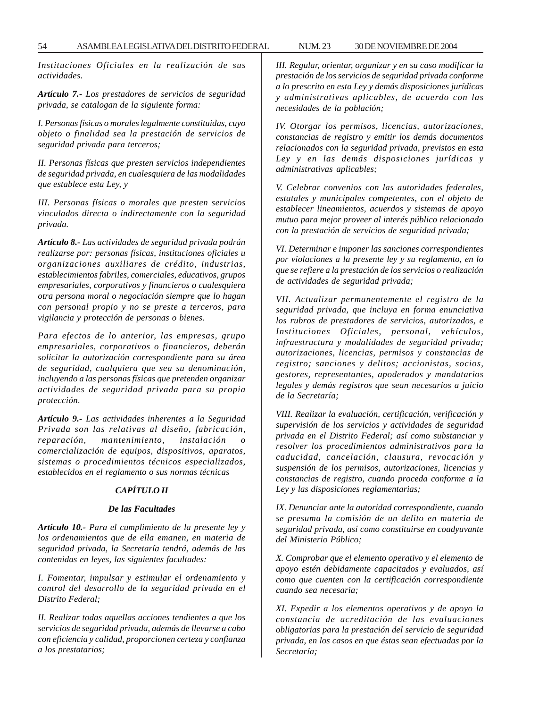*Instituciones Oficiales en la realización de sus actividades.*

*Artículo 7.- Los prestadores de servicios de seguridad privada, se catalogan de la siguiente forma:*

*I. Personas físicas o morales legalmente constituidas, cuyo objeto o finalidad sea la prestación de servicios de seguridad privada para terceros;*

*II. Personas físicas que presten servicios independientes de seguridad privada, en cualesquiera de las modalidades que establece esta Ley, y*

*III. Personas físicas o morales que presten servicios vinculados directa o indirectamente con la seguridad privada.*

*Artículo 8.- Las actividades de seguridad privada podrán realizarse por: personas físicas, instituciones oficiales u organizaciones auxiliares de crédito, industrias, establecimientos fabriles, comerciales, educativos, grupos empresariales, corporativos y financieros o cualesquiera otra persona moral o negociación siempre que lo hagan con personal propio y no se preste a terceros, para vigilancia y protección de personas o bienes.*

*Para efectos de lo anterior, las empresas, grupo empresariales, corporativos o financieros, deberán solicitar la autorización correspondiente para su área de seguridad, cualquiera que sea su denominación, incluyendo a las personas físicas que pretenden organizar actividades de seguridad privada para su propia protección.*

*Artículo 9.- Las actividades inherentes a la Seguridad Privada son las relativas al diseño, fabricación,*  $reparation$ , mantenimiento, instalación *comercialización de equipos, dispositivos, aparatos, sistemas o procedimientos técnicos especializados, establecidos en el reglamento o sus normas técnicas*

# *CAPÍTULO II*

### *De las Facultades*

*Artículo 10.- Para el cumplimiento de la presente ley y los ordenamientos que de ella emanen, en materia de seguridad privada, la Secretaría tendrá, además de las contenidas en leyes, las siguientes facultades:*

*I. Fomentar, impulsar y estimular el ordenamiento y control del desarrollo de la seguridad privada en el Distrito Federal;*

*II. Realizar todas aquellas acciones tendientes a que los servicios de seguridad privada, además de llevarse a cabo con eficiencia y calidad, proporcionen certeza y confianza a los prestatarios;*

*III. Regular, orientar, organizar y en su caso modificar la prestación de los servicios de seguridad privada conforme a lo prescrito en esta Ley y demás disposiciones jurídicas y administrativas aplicables, de acuerdo con las necesidades de la población;*

*IV. Otorgar los permisos, licencias, autorizaciones, constancias de registro y emitir los demás documentos relacionados con la seguridad privada, previstos en esta Ley y en las demás disposiciones jurídicas y administrativas aplicables;*

*V. Celebrar convenios con las autoridades federales, estatales y municipales competentes, con el objeto de establecer lineamientos, acuerdos y sistemas de apoyo mutuo para mejor proveer al interés público relacionado con la prestación de servicios de seguridad privada;*

*VI. Determinar e imponer las sanciones correspondientes por violaciones a la presente ley y su reglamento, en lo que se refiere a la prestación de los servicios o realización de actividades de seguridad privada;*

*VII. Actualizar permanentemente el registro de la seguridad privada, que incluya en forma enunciativa los rubros de prestadores de servicios, autorizados, e Instituciones Oficiales, personal, vehículos, infraestructura y modalidades de seguridad privada; autorizaciones, licencias, permisos y constancias de registro; sanciones y delitos; accionistas, socios, gestores, representantes, apoderados y mandatarios legales y demás registros que sean necesarios a juicio de la Secretaría;*

*VIII. Realizar la evaluación, certificación, verificación y supervisión de los servicios y actividades de seguridad privada en el Distrito Federal; así como substanciar y resolver los procedimientos administrativos para la caducidad, cancelación, clausura, revocación y suspensión de los permisos, autorizaciones, licencias y constancias de registro, cuando proceda conforme a la Ley y las disposiciones reglamentarias;*

*IX. Denunciar ante la autoridad correspondiente, cuando se presuma la comisión de un delito en materia de seguridad privada, así como constituirse en coadyuvante del Ministerio Público;*

*X. Comprobar que el elemento operativo y el elemento de apoyo estén debidamente capacitados y evaluados, así como que cuenten con la certificación correspondiente cuando sea necesaria;*

*XI. Expedir a los elementos operativos y de apoyo la constancia de acreditación de las evaluaciones obligatorias para la prestación del servicio de seguridad privada, en los casos en que éstas sean efectuadas por la Secretaría;*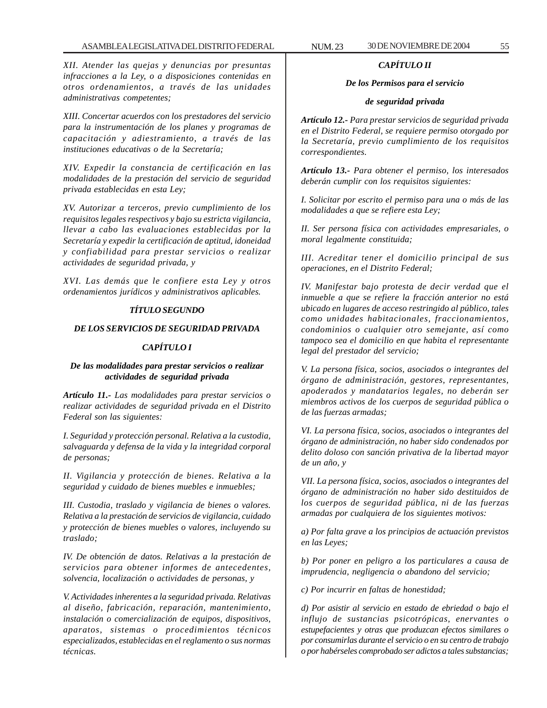*XII. Atender las quejas y denuncias por presuntas infracciones a la Ley, o a disposiciones contenidas en otros ordenamientos, a través de las unidades administrativas competentes;*

*XIII. Concertar acuerdos con los prestadores del servicio para la instrumentación de los planes y programas de capacitación y adiestramiento, a través de las instituciones educativas o de la Secretaría;*

*XIV. Expedir la constancia de certificación en las modalidades de la prestación del servicio de seguridad privada establecidas en esta Ley;*

*XV. Autorizar a terceros, previo cumplimiento de los requisitos legales respectivos y bajo su estricta vigilancia, llevar a cabo las evaluaciones establecidas por la Secretaría y expedir la certificación de aptitud, idoneidad y confiabilidad para prestar servicios o realizar actividades de seguridad privada, y*

*XVI. Las demás que le confiere esta Ley y otros ordenamientos jurídicos y administrativos aplicables.*

# *TÍTULO SEGUNDO*

### *DE LOS SERVICIOS DE SEGURIDAD PRIVADA*

#### *CAPÍTULO I*

## *De las modalidades para prestar servicios o realizar actividades de seguridad privada*

*Artículo 11.- Las modalidades para prestar servicios o realizar actividades de seguridad privada en el Distrito Federal son las siguientes:*

*I. Seguridad y protección personal. Relativa a la custodia, salvaguarda y defensa de la vida y la integridad corporal de personas;*

*II. Vigilancia y protección de bienes. Relativa a la seguridad y cuidado de bienes muebles e inmuebles;*

*III. Custodia, traslado y vigilancia de bienes o valores. Relativa a la prestación de servicios de vigilancia, cuidado y protección de bienes muebles o valores, incluyendo su traslado;*

*IV. De obtención de datos. Relativas a la prestación de servicios para obtener informes de antecedentes, solvencia, localización o actividades de personas, y*

*V. Actividades inherentes a la seguridad privada. Relativas al diseño, fabricación, reparación, mantenimiento, instalación o comercialización de equipos, dispositivos, aparatos, sistemas o procedimientos técnicos especializados, establecidas en el reglamento o sus normas técnicas.*

# *CAPÍTULO II*

## *De los Permisos para el servicio*

#### *de seguridad privada*

*Artículo 12.- Para prestar servicios de seguridad privada en el Distrito Federal, se requiere permiso otorgado por la Secretaría, previo cumplimiento de los requisitos correspondientes.*

*Artículo 13.- Para obtener el permiso, los interesados deberán cumplir con los requisitos siguientes:*

*I. Solicitar por escrito el permiso para una o más de las modalidades a que se refiere esta Ley;*

*II. Ser persona física con actividades empresariales, o moral legalmente constituida;*

*III. Acreditar tener el domicilio principal de sus operaciones, en el Distrito Federal;*

*IV. Manifestar bajo protesta de decir verdad que el inmueble a que se refiere la fracción anterior no está ubicado en lugares de acceso restringido al público, tales como unidades habitacionales, fraccionamientos, condominios o cualquier otro semejante, así como tampoco sea el domicilio en que habita el representante legal del prestador del servicio;*

*V. La persona física, socios, asociados o integrantes del órgano de administración, gestores, representantes, apoderados y mandatarios legales, no deberán ser miembros activos de los cuerpos de seguridad pública o de las fuerzas armadas;*

*VI. La persona física, socios, asociados o integrantes del órgano de administración, no haber sido condenados por delito doloso con sanción privativa de la libertad mayor de un año, y*

*VII. La persona física, socios, asociados o integrantes del órgano de administración no haber sido destituidos de los cuerpos de seguridad pública, ni de las fuerzas armadas por cualquiera de los siguientes motivos:*

*a) Por falta grave a los principios de actuación previstos en las Leyes;*

*b) Por poner en peligro a los particulares a causa de imprudencia, negligencia o abandono del servicio;*

*c) Por incurrir en faltas de honestidad;*

*d) Por asistir al servicio en estado de ebriedad o bajo el influjo de sustancias psicotrópicas, enervantes o estupefacientes y otras que produzcan efectos similares o por consumirlas durante el servicio o en su centro de trabajo o por habérseles comprobado ser adictos a tales substancias;*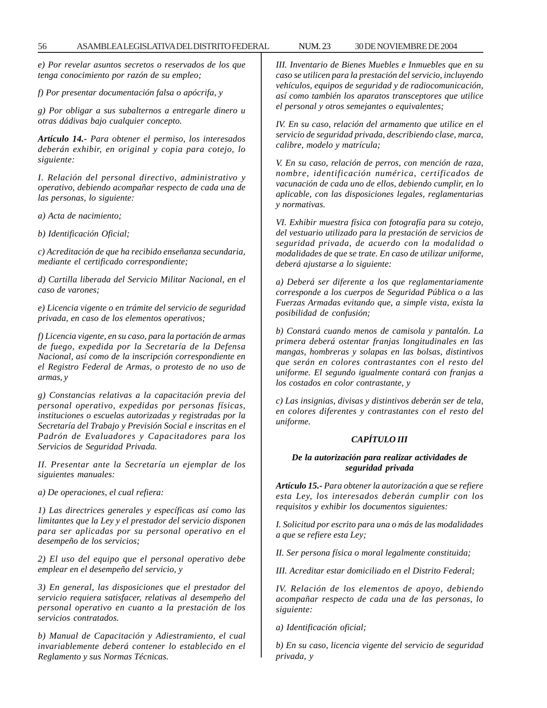*e) Por revelar asuntos secretos o reservados de los que tenga conocimiento por razón de su empleo;*

*f) Por presentar documentación falsa o apócrifa, y*

*g) Por obligar a sus subalternos a entregarle dinero u otras dádivas bajo cualquier concepto.*

*Artículo 14.- Para obtener el permiso, los interesados deberán exhibir, en original y copia para cotejo, lo siguiente:*

*I. Relación del personal directivo, administrativo y operativo, debiendo acompañar respecto de cada una de las personas, lo siguiente:*

*a) Acta de nacimiento;*

*b) Identificación Oficial;*

*c) Acreditación de que ha recibido enseñanza secundaria, mediante el certificado correspondiente;*

*d) Cartilla liberada del Servicio Militar Nacional, en el caso de varones;*

*e) Licencia vigente o en trámite del servicio de seguridad privada, en caso de los elementos operativos;*

*f) Licencia vigente, en su caso, para la portación de armas de fuego, expedida por la Secretaría de la Defensa Nacional, así como de la inscripción correspondiente en el Registro Federal de Armas, o protesto de no uso de armas, y*

*g) Constancias relativas a la capacitación previa del personal operativo, expedidas por personas físicas, instituciones o escuelas autorizadas y registradas por la Secretaría del Trabajo y Previsión Social e inscritas en el Padrón de Evaluadores y Capacitadores para los Servicios de Seguridad Privada.*

*II. Presentar ante la Secretaría un ejemplar de los siguientes manuales:*

*a) De operaciones, el cual refiera:*

*1) Las directrices generales y específicas así como las limitantes que la Ley y el prestador del servicio disponen para ser aplicadas por su personal operativo en el desempeño de los servicios;*

*2) El uso del equipo que el personal operativo debe emplear en el desempeño del servicio, y*

*3) En general, las disposiciones que el prestador del servicio requiera satisfacer, relativas al desempeño del personal operativo en cuanto a la prestación de los servicios contratados.*

*b) Manual de Capacitación y Adiestramiento, el cual invariablemente deberá contener lo establecido en el Reglamento y sus Normas Técnicas.*

*III. Inventario de Bienes Muebles e Inmuebles que en su caso se utilicen para la prestación del servicio, incluyendo vehículos, equipos de seguridad y de radiocomunicación, así como también los aparatos transceptores que utilice el personal y otros semejantes o equivalentes;*

*IV. En su caso, relación del armamento que utilice en el servicio de seguridad privada, describiendo clase, marca, calibre, modelo y matrícula;*

*V. En su caso, relación de perros, con mención de raza, nombre, identificación numérica, certificados de vacunación de cada uno de ellos, debiendo cumplir, en lo aplicable, con las disposiciones legales, reglamentarias y normativas.*

*VI. Exhibir muestra física con fotografía para su cotejo, del vestuario utilizado para la prestación de servicios de seguridad privada, de acuerdo con la modalidad o modalidades de que se trate. En caso de utilizar uniforme, deberá ajustarse a lo siguiente:*

*a) Deberá ser diferente a los que reglamentariamente corresponde a los cuerpos de Seguridad Pública o a las Fuerzas Armadas evitando que, a simple vista, exista la posibilidad de confusión;*

*b) Constará cuando menos de camisola y pantalón. La primera deberá ostentar franjas longitudinales en las mangas, hombreras y solapas en las bolsas, distintivos que serán en colores contrastantes con el resto del uniforme. El segundo igualmente contará con franjas a los costados en color contrastante, y*

*c) Las insignias, divisas y distintivos deberán ser de tela, en colores diferentes y contrastantes con el resto del uniforme.*

### *CAPÍTULO III*

### *De la autorización para realizar actividades de seguridad privada*

*Artículo 15.- Para obtener la autorización a que se refiere esta Ley, los interesados deberán cumplir con los requisitos y exhibir los documentos siguientes:*

*I. Solicitud por escrito para una o más de las modalidades a que se refiere esta Ley;*

*II. Ser persona física o moral legalmente constituida;*

*III. Acreditar estar domiciliado en el Distrito Federal;*

*IV. Relación de los elementos de apoyo, debiendo acompañar respecto de cada una de las personas, lo siguiente:*

*a) Identificación oficial;*

*b) En su caso, licencia vigente del servicio de seguridad privada, y*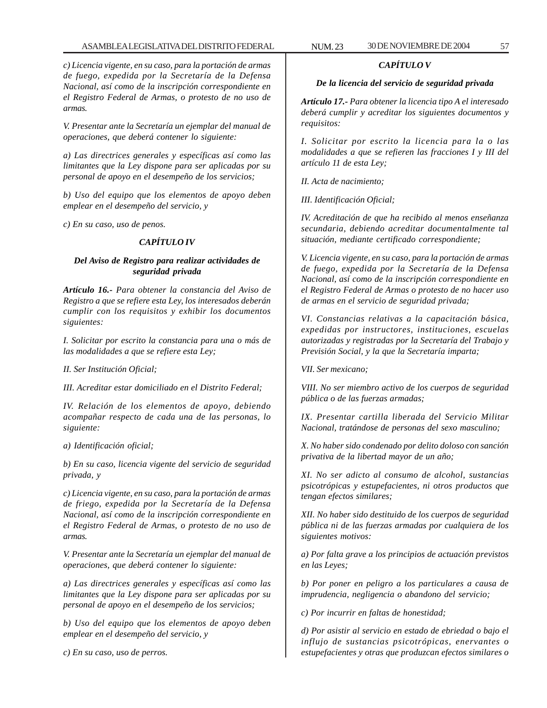*c) Licencia vigente, en su caso, para la portación de armas de fuego, expedida por la Secretaría de la Defensa Nacional, así como de la inscripción correspondiente en el Registro Federal de Armas, o protesto de no uso de armas.*

*V. Presentar ante la Secretaría un ejemplar del manual de operaciones, que deberá contener lo siguiente:*

*a) Las directrices generales y específicas así como las limitantes que la Ley dispone para ser aplicadas por su personal de apoyo en el desempeño de los servicios;*

*b) Uso del equipo que los elementos de apoyo deben emplear en el desempeño del servicio, y*

*c) En su caso, uso de penos.*

### *CAPÍTULO IV*

## *Del Aviso de Registro para realizar actividades de seguridad privada*

*Artículo 16.- Para obtener la constancia del Aviso de Registro a que se refiere esta Ley, los interesados deberán cumplir con los requisitos y exhibir los documentos siguientes:*

*I. Solicitar por escrito la constancia para una o más de las modalidades a que se refiere esta Ley;*

*II. Ser Institución Oficial;*

*III. Acreditar estar domiciliado en el Distrito Federal;*

*IV. Relación de los elementos de apoyo, debiendo acompañar respecto de cada una de las personas, lo siguiente:*

*a) Identificación oficial;*

*b) En su caso, licencia vigente del servicio de seguridad privada, y*

*c) Licencia vigente, en su caso, para la portación de armas de friego, expedida por la Secretaría de la Defensa Nacional, así como de la inscripción correspondiente en el Registro Federal de Armas, o protesto de no uso de armas.*

*V. Presentar ante la Secretaría un ejemplar del manual de operaciones, que deberá contener lo siguiente:*

*a) Las directrices generales y específicas así como las limitantes que la Ley dispone para ser aplicadas por su personal de apoyo en el desempeño de los servicios;*

*b) Uso del equipo que los elementos de apoyo deben emplear en el desempeño del servicio, y*

*c) En su caso, uso de perros.*

## *CAPÍTULO V*

#### *De la licencia del servicio de seguridad privada*

*Artículo 17.- Para obtener la licencia tipo A el interesado deberá cumplir y acreditar los siguientes documentos y requisitos:*

*I. Solicitar por escrito la licencia para la o las modalidades a que se refieren las fracciones I y III del artículo 11 de esta Ley;*

*II. Acta de nacimiento;*

*III. Identificación Oficial;*

*IV. Acreditación de que ha recibido al menos enseñanza secundaria, debiendo acreditar documentalmente tal situación, mediante certificado correspondiente;*

*V. Licencia vigente, en su caso, para la portación de armas de fuego, expedida por la Secretaría de la Defensa Nacional, así como de la inscripción correspondiente en el Registro Federal de Armas o protesto de no hacer uso de armas en el servicio de seguridad privada;*

*VI. Constancias relativas a la capacitación básica, expedidas por instructores, instituciones, escuelas autorizadas y registradas por la Secretaría del Trabajo y Previsión Social, y la que la Secretaría imparta;*

*VII. Ser mexicano;*

*VIII. No ser miembro activo de los cuerpos de seguridad pública o de las fuerzas armadas;*

*IX. Presentar cartilla liberada del Servicio Militar Nacional, tratándose de personas del sexo masculino;*

*X. No haber sido condenado por delito doloso con sanción privativa de la libertad mayor de un año;*

*XI. No ser adicto al consumo de alcohol, sustancias psicotrópicas y estupefacientes, ni otros productos que tengan efectos similares;*

*XII. No haber sido destituido de los cuerpos de seguridad pública ni de las fuerzas armadas por cualquiera de los siguientes motivos:*

*a) Por falta grave a los principios de actuación previstos en las Leyes;*

*b) Por poner en peligro a los particulares a causa de imprudencia, negligencia o abandono del servicio;*

*c) Por incurrir en faltas de honestidad;*

*d) Por asistir al servicio en estado de ebriedad o bajo el influjo de sustancias psicotrópicas, enervantes o estupefacientes y otras que produzcan efectos similares o*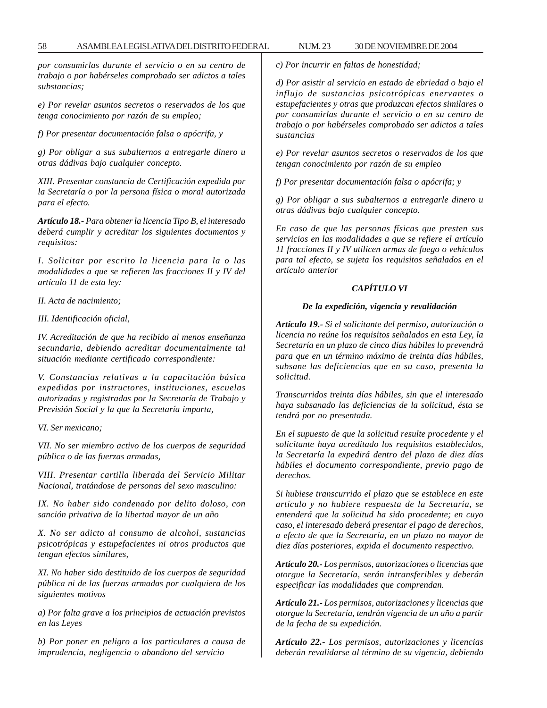*por consumirlas durante el servicio o en su centro de trabajo o por habérseles comprobado ser adictos a tales substancias;*

*e) Por revelar asuntos secretos o reservados de los que tenga conocimiento por razón de su empleo;*

*f) Por presentar documentación falsa o apócrifa, y*

*g) Por obligar a sus subalternos a entregarle dinero u otras dádivas bajo cualquier concepto.*

*XIII. Presentar constancia de Certificación expedida por la Secretaría o por la persona física o moral autorizada para el efecto.*

*Artículo 18.- Para obtener la licencia Tipo B, el interesado deberá cumplir y acreditar los siguientes documentos y requisitos:*

*I. Solicitar por escrito la licencia para la o las modalidades a que se refieren las fracciones II y IV del artículo 11 de esta ley:*

*II. Acta de nacimiento;*

*III. Identificación oficial,*

*IV. Acreditación de que ha recibido al menos enseñanza secundaria, debiendo acreditar documentalmente tal situación mediante certificado correspondiente:*

*V. Constancias relativas a la capacitación básica expedidas por instructores, instituciones, escuelas autorizadas y registradas por la Secretaría de Trabajo y Previsión Social y la que la Secretaría imparta,*

*VI. Ser mexicano;*

*VII. No ser miembro activo de los cuerpos de seguridad pública o de las fuerzas armadas,*

*VIII. Presentar cartilla liberada del Servicio Militar Nacional, tratándose de personas del sexo masculino:*

*IX. No haber sido condenado por delito doloso, con sanción privativa de la libertad mayor de un año*

*X. No ser adicto al consumo de alcohol, sustancias psicotrópicas y estupefacientes ni otros productos que tengan efectos similares,*

*XI. No haber sido destituido de los cuerpos de seguridad pública ni de las fuerzas armadas por cualquiera de los siguientes motivos*

*a) Por falta grave a los principios de actuación previstos en las Leyes*

*b) Por poner en peligro a los particulares a causa de imprudencia, negligencia o abandono del servicio*

*c) Por incurrir en faltas de honestidad;*

*d) Por asistir al servicio en estado de ebriedad o bajo el influjo de sustancias psicotrópicas enervantes o estupefacientes y otras que produzcan efectos similares o por consumirlas durante el servicio o en su centro de trabajo o por habérseles comprobado ser adictos a tales sustancias*

*e) Por revelar asuntos secretos o reservados de los que tengan conocimiento por razón de su empleo*

*f) Por presentar documentación falsa o apócrifa; y*

*g) Por obligar a sus subalternos a entregarle dinero u otras dádivas bajo cualquier concepto.*

*En caso de que las personas físicas que presten sus servicios en las modalidades a que se refiere el artículo 11 fracciones II y IV utilicen armas de fuego o vehículos para tal efecto, se sujeta los requisitos señalados en el artículo anterior*

## *CAPÍTULO VI*

#### *De la expedición, vigencia y revalidación*

*Artículo 19.- Si el solicitante del permiso, autorización o licencia no reúne los requisitos señalados en esta Ley, la Secretaría en un plazo de cinco días hábiles lo prevendrá para que en un término máximo de treinta días hábiles, subsane las deficiencias que en su caso, presenta la solicitud.*

*Transcurridos treinta días hábiles, sin que el interesado haya subsanado las deficiencias de la solicitud, ésta se tendrá por no presentada.*

*En el supuesto de que la solicitud resulte procedente y el solicitante haya acreditado los requisitos establecidos, la Secretaría la expedirá dentro del plazo de diez días hábiles el documento correspondiente, previo pago de derechos.*

*Si hubiese transcurrido el plazo que se establece en este artículo y no hubiere respuesta de la Secretaría, se entenderá que la solicitud ha sido procedente; en cuyo caso, el interesado deberá presentar el pago de derechos, a efecto de que la Secretaría, en un plazo no mayor de diez días posteriores, expida el documento respectivo.*

*Artículo 20.- Los permisos, autorizaciones o licencias que otorgue la Secretaría, serán intransferibles y deberán especificar las modalidades que comprendan.*

*Artículo 21.- Los permisos, autorizaciones y licencias que otorgue la Secretaría, tendrán vigencia de un año a partir de la fecha de su expedición.*

*Artículo 22.- Los permisos, autorizaciones y licencias deberán revalidarse al término de su vigencia, debiendo*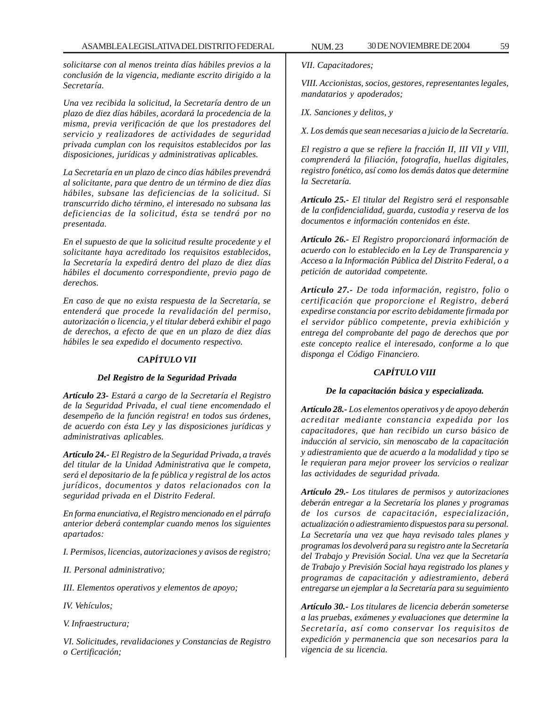*solicitarse con al menos treinta días hábiles previos a la conclusión de la vigencia, mediante escrito dirigido a la Secretaría.*

*Una vez recibida la solicitud, la Secretaría dentro de un plazo de diez días hábiles, acordará la procedencia de la misma, previa verificación de que los prestadores del servicio y realizadores de actividades de seguridad privada cumplan con los requisitos establecidos por las disposiciones, jurídicas y administrativas aplicables.*

*La Secretaría en un plazo de cinco días hábiles prevendrá al solicitante, para que dentro de un término de diez días hábiles, subsane las deficiencias de la solicitud. Si transcurrido dicho término, el interesado no subsana las deficiencias de la solicitud, ésta se tendrá por no presentada.*

*En el supuesto de que la solicitud resulte procedente y el solicitante haya acreditado los requisitos establecidos, la Secretaría la expedirá dentro del plazo de diez días hábiles el documento correspondiente, previo pago de derechos.*

*En caso de que no exista respuesta de la Secretaría, se entenderá que procede la revalidación del permiso, autorización o licencia, y el titular deberá exhibir el pago de derechos, a efecto de que en un plazo de diez días hábiles le sea expedido el documento respectivo.*

### *CAPÍTULO VII*

### *Del Registro de la Seguridad Privada*

*Artículo 23- Estará a cargo de la Secretaría el Registro de la Seguridad Privada, el cual tiene encomendado el desempeño de la función registra! en todos sus órdenes, de acuerdo con ésta Ley y las disposiciones jurídicas y administrativas aplicables.*

*Artículo 24.- El Registro de la Seguridad Privada, a través del titular de la Unidad Administrativa que le competa, será el depositario de la fe pública y registral de los actos jurídicos, documentos y datos relacionados con la seguridad privada en el Distrito Federal.*

*En forma enunciativa, el Registro mencionado en el párrafo anterior deberá contemplar cuando menos los siguientes apartados:*

*I. Permisos, licencias, autorizaciones y avisos de registro;*

*II. Personal administrativo;*

*III. Elementos operativos y elementos de apoyo;*

*IV. Vehículos;*

*V. Infraestructura;*

*VI. Solicitudes, revalidaciones y Constancias de Registro o Certificación;*

*VII. Capacitadores;*

*VIII. Accionistas, socios, gestores, representantes legales, mandatarios y apoderados;*

*IX. Sanciones y delitos, y*

*X. Los demás que sean necesarias a juicio de la Secretaría.*

*El registro a que se refiere la fracción II, III VII y VIIl, comprenderá la filiación, fotografía, huellas digitales, registro fonético, así como los demás datos que determine la Secretaría.*

*Artículo 25.- El titular del Registro será el responsable de la confidencialidad, guarda, custodia y reserva de los documentos e información contenidos en éste.*

*Artículo 26.- El Registro proporcionará información de acuerdo con lo establecido en la Ley de Transparencia y Acceso a la Información Pública del Distrito Federal, o a petición de autoridad competente.*

*Artículo 27.- De toda información, registro, folio o certificación que proporcione el Registro, deberá expedirse constancia por escrito debidamente firmada por el servidor público competente, previa exhibición y entrega del comprobante del pago de derechos que por este concepto realice el interesado, conforme a lo que disponga el Código Financiero.*

### *CAPÍTULO VIII*

### *De la capacitación básica y especializada.*

*Artículo 28.- Los elementos operativos y de apoyo deberán acreditar mediante constancia expedida por los capacitadores, que han recibido un curso básico de inducción al servicio, sin menoscabo de la capacitación y adiestramiento que de acuerdo a la modalidad y tipo se le requieran para mejor proveer los servicios o realizar las actividades de seguridad privada.*

*Artículo 29.- Los titulares de permisos y autorizaciones deberán entregar a la Secretaría los planes y programas de los cursos de capacitación, especialización, actualización o adiestramiento dispuestos para su personal. La Secretaría una vez que haya revisado tales planes y programas los devolverá para su registro ante la Secretaría del Trabajo y Previsión Social. Una vez que la Secretaría de Trabajo y Previsión Social haya registrado los planes y programas de capacitación y adiestramiento, deberá entregarse un ejemplar a la Secretaría para su seguimiento*

*Artículo 30.- Los titulares de licencia deberán someterse a las pruebas, exámenes y evaluaciones que determine la Secretaría, así como conservar los requisitos de expedición y permanencia que son necesarios para la vigencia de su licencia.*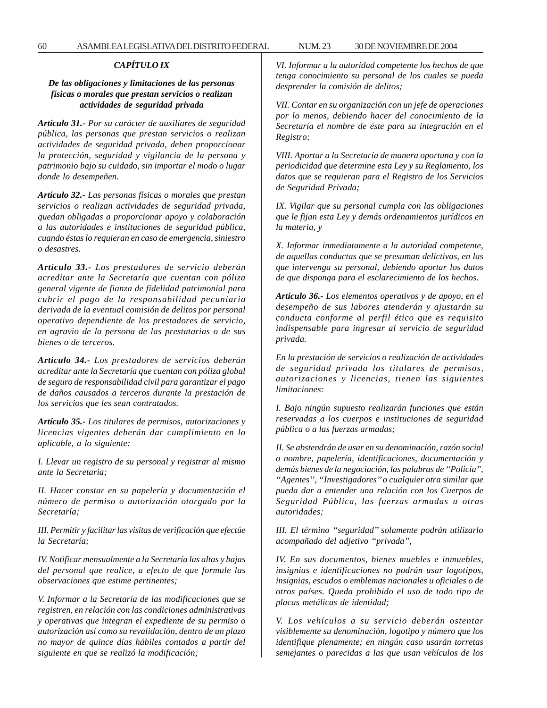### *CAPÍTULO IX*

# *De las obligaciones y limitaciones de las personas físicas o morales que prestan servicios o realizan actividades de seguridad privada*

*Artículo 31.- Por su carácter de auxiliares de seguridad pública, las personas que prestan servicios o realizan actividades de seguridad privada, deben proporcionar la protección, seguridad y vigilancia de la persona y patrimonio bajo su cuidado, sin importar el modo o lugar donde lo desempeñen.*

*Artículo 32.- Las personas físicas o morales que prestan servicios o realizan actividades de seguridad privada, quedan obligadas a proporcionar apoyo y colaboración a las autoridades e instituciones de seguridad pública, cuando éstas lo requieran en caso de emergencia, siniestro o desastres.*

*Artículo 33.- Los prestadores de servicio deberán acreditar ante la Secretaría que cuentan con póliza general vigente de fianza de fidelidad patrimonial para cubrir el pago de la responsabilidad pecuniaria derivada de la eventual comisión de delitos por personal operativo dependiente de los prestadores de servicio, en agravio de la persona de las prestatarias o de sus bienes o de terceros.*

*Artículo 34.- Los prestadores de servicios deberán acreditar ante la Secretaría que cuentan con póliza global de seguro de responsabilidad civil para garantizar el pago de daños causados a terceros durante la prestación de los servicios que les sean contratados.*

*Artículo 35.- Los titulares de permisos, autorizaciones y licencias vigentes deberán dar cumplimiento en lo aplicable, a lo siguiente:*

*I. Llevar un registro de su personal y registrar al mismo ante la Secretaria;*

*II. Hacer constar en su papelería y documentación el número de permiso o autorización otorgado por la Secretaría;*

*III. Permitir y facilitar las visitas de verificación que efectúe la Secretaría;*

*IV. Notificar mensualmente a la Secretaría las altas y bajas del personal que realice, a efecto de que formule las observaciones que estime pertinentes;*

*V. Informar a la Secretaría de las modificaciones que se registren, en relación con las condiciones administrativas y operativas que integran el expediente de su permiso o autorización así como su revalidación, dentro de un plazo no mayor de quince días hábiles contados a partir del siguiente en que se realizó la modificación;*

*VI. Informar a la autoridad competente los hechos de que tenga conocimiento su personal de los cuales se pueda desprender la comisión de delitos;*

*VII. Contar en su organización con un jefe de operaciones por lo menos, debiendo hacer del conocimiento de la Secretaría el nombre de éste para su integración en el Registro;*

*VIII. Aportar a la Secretaría de manera oportuna y con la periodicidad que determine esta Ley y su Reglamento, los datos que se requieran para el Registro de los Servicios de Seguridad Privada;*

*IX. Vigilar que su personal cumpla con las obligaciones que le fijan esta Ley y demás ordenamientos jurídicos en la materia, y*

*X. Informar inmediatamente a la autoridad competente, de aquellas conductas que se presuman delictivas, en las que intervenga su personal, debiendo aportar los datos de que disponga para el esclarecimiento de los hechos.*

*Artículo 36.- Los elementos operativos y de apoyo, en el desempeño de sus labores atenderán y ajustarán su conducta conforme al perfil ético que es requisito indispensable para ingresar al servicio de seguridad privada.*

*En la prestación de servicios o realización de actividades de seguridad privada los titulares de permisos, autorizaciones y licencias, tienen las siguientes limitaciones:*

*I. Bajo ningún supuesto realizarán funciones que están reservadas a los cuerpos e instituciones de seguridad pública o a las fuerzas armadas;*

*II. Se abstendrán de usar en su denominación, razón social o nombre, papelería, identificaciones, documentación y demás bienes de la negociación, las palabras de ''Policía'', ''Agentes'', ''Investigadores'' o cualquier otra similar que pueda dar a entender una relación con los Cuerpos de Seguridad Pública, las fuerzas armadas u otras autoridades;*

*III. El término ''seguridad'' solamente podrán utilizarlo acompañado del adjetivo ''privada'',*

*IV. En sus documentos, bienes muebles e inmuebles, insignias e identificaciones no podrán usar logotipos, insignias, escudos o emblemas nacionales u oficiales o de otros países. Queda prohibido el uso de todo tipo de placas metálicas de identidad;*

*V. Los vehículos a su servicio deberán ostentar visiblemente su denominación, logotipo y número que los identifique plenamente; en ningún caso usarán torretas semejantes o parecidas a las que usan vehículos de los*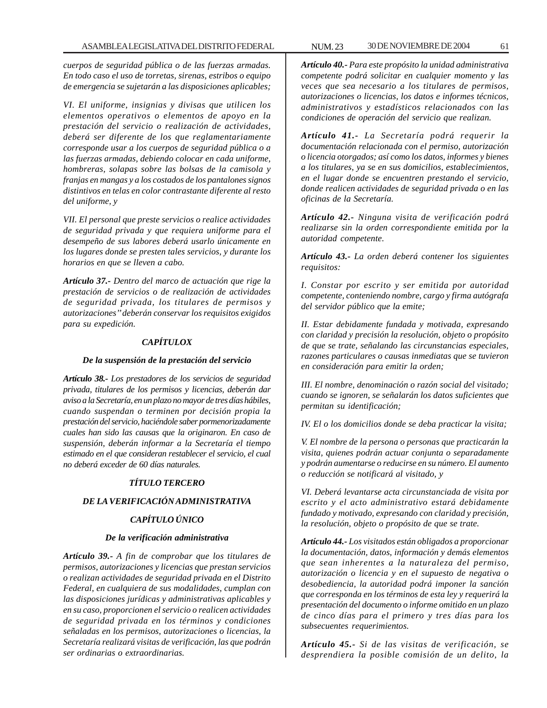*cuerpos de seguridad pública o de las fuerzas armadas. En todo caso el uso de torretas, sirenas, estribos o equipo de emergencia se sujetarán a las disposiciones aplicables;*

*VI. El uniforme, insignias y divisas que utilicen los elementos operativos o elementos de apoyo en la prestación del servicio o realización de actividades, deberá ser diferente de los que reglamentariamente corresponde usar a los cuerpos de seguridad pública o a las fuerzas armadas, debiendo colocar en cada uniforme, hombreras, solapas sobre las bolsas de la camisola y franjas en mangas y a los costados de los pantalones signos distintivos en telas en color contrastante diferente al resto del uniforme, y*

*VII. El personal que preste servicios o realice actividades de seguridad privada y que requiera uniforme para el desempeño de sus labores deberá usarlo únicamente en los lugares donde se presten tales servicios, y durante los horarios en que se lleven a cabo.*

*Artículo 37.- Dentro del marco de actuación que rige la prestación de servicios o de realización de actividades de seguridad privada, los titulares de permisos y autorizaciones'' deberán conservar los requisitos exigidos para su expedición.*

# *CAPÍTULOX*

### *De la suspensión de la prestación del servicio*

*Artículo 38.- Los prestadores de los servicios de seguridad privada, titulares de los permisos y licencias, deberán dar aviso a la Secretaría, en un plazo no mayor de tres días hábiles, cuando suspendan o terminen por decisión propia la prestación del servicio, haciéndole saber pormenorizadamente cuales han sido las causas que la originaron. En caso de suspensión, deberán informar a la Secretaría el tiempo estimado en el que consideran restablecer el servicio, el cual no deberá exceder de 60 días naturales.*

# *TÍTULO TERCERO*

# *DE LA VERIFICACIÓN ADMINISTRATIVA*

# *CAPÍTULO ÚNICO*

### *De la verificación administrativa*

*Artículo 39.- A fin de comprobar que los titulares de permisos, autorizaciones y licencias que prestan servicios o realizan actividades de seguridad privada en el Distrito Federal, en cualquiera de sus modalidades, cumplan con las disposiciones jurídicas y administrativas aplicables y en su caso, proporcionen el servicio o realicen actividades de seguridad privada en los términos y condiciones señaladas en los permisos, autorizaciones o licencias, la Secretaría realizará visitas de verificación, las que podrán ser ordinarias o extraordinarias.*

*Artículo 40.- Para este propósito la unidad administrativa competente podrá solicitar en cualquier momento y las veces que sea necesario a los titulares de permisos, autorizaciones o licencias, los datos e informes técnicos, administrativos y estadísticos relacionados con las condiciones de operación del servicio que realizan.*

*Artículo 41.- La Secretaría podrá requerir la documentación relacionada con el permiso, autorización o licencia otorgados; así como los datos, informes y bienes a los titulares, ya se en sus domicilios, establecimientos, en el lugar donde se encuentren prestando el servicio, donde realicen actividades de seguridad privada o en las oficinas de la Secretaría.*

*Artículo 42.- Ninguna visita de verificación podrá realizarse sin la orden correspondiente emitida por la autoridad competente.*

*Artículo 43.- La orden deberá contener los siguientes requisitos:*

*I. Constar por escrito y ser emitida por autoridad competente, conteniendo nombre, cargo y firma autógrafa del servidor público que la emite;*

*II. Estar debidamente fundada y motivada, expresando con claridad y precisión la resolución, objeto o propósito de que se trate, señalando las circunstancias especiales, razones particulares o causas inmediatas que se tuvieron en consideración para emitir la orden;*

*III. El nombre, denominación o razón social del visitado; cuando se ignoren, se señalarán los datos suficientes que permitan su identificación;*

*IV. El o los domicilios donde se deba practicar la visita;*

*V. El nombre de la persona o personas que practicarán la visita, quienes podrán actuar conjunta o separadamente y podrán aumentarse o reducirse en su número. El aumento o reducción se notificará al visitado, y*

*VI. Deberá levantarse acta circunstanciada de visita por escrito y el acto administrativo estará debidamente fundado y motivado, expresando con claridad y precisión, la resolución, objeto o propósito de que se trate.*

*Artículo 44.- Los visitados están obligados a proporcionar la documentación, datos, información y demás elementos que sean inherentes a la naturaleza del permiso, autorización o licencia y en el supuesto de negativa o desobediencia, la autoridad podrá imponer la sanción que corresponda en los términos de esta ley y requerirá la presentación del documento o informe omitido en un plazo de cinco días para el primero y tres días para los subsecuentes requerimientos.*

*Artículo 45.- Si de las visitas de verificación, se desprendiera la posible comisión de un delito, la*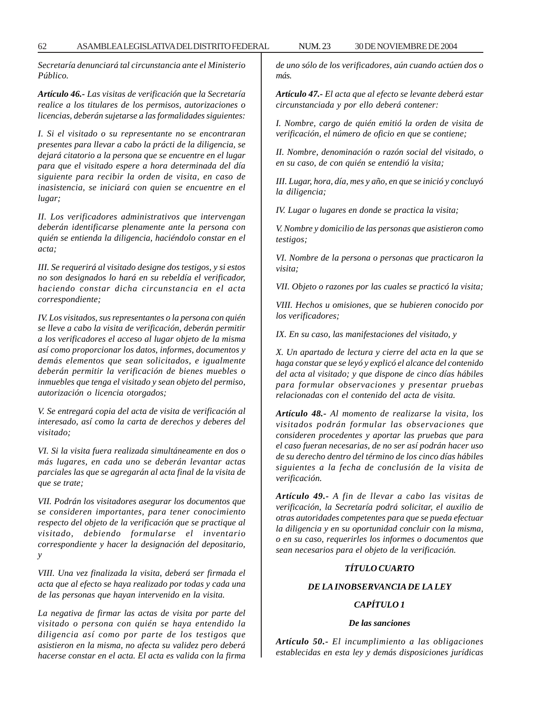*Secretaría denunciará tal circunstancia ante el Ministerio Público.*

*Artículo 46.- Las visitas de verificación que la Secretaría realice a los titulares de los permisos, autorizaciones o licencias, deberán sujetarse a las formalidades siguientes:*

*I. Si el visitado o su representante no se encontraran presentes para llevar a cabo la prácti de la diligencia, se dejará citatorio a la persona que se encuentre en el lugar para que el visitado espere a hora determinada del día siguiente para recibir la orden de visita, en caso de inasistencia, se iniciará con quien se encuentre en el lugar;*

*II. Los verificadores administrativos que intervengan deberán identificarse plenamente ante la persona con quién se entienda la diligencia, haciéndolo constar en el acta;*

*III. Se requerirá al visitado designe dos testigos, y si estos no son designados lo hará en su rebeldía el verificador, haciendo constar dicha circunstancia en el acta correspondiente;*

*IV. Los visitados, sus representantes o la persona con quién se lleve a cabo la visita de verificación, deberán permitir a los verificadores el acceso al lugar objeto de la misma así como proporcionar los datos, informes, documentos y demás elementos que sean solicitados, e igualmente deberán permitir la verificación de bienes muebles o inmuebles que tenga el visitado y sean objeto del permiso, autorización o licencia otorgados;*

*V. Se entregará copia del acta de visita de verificación al interesado, así como la carta de derechos y deberes del visitado;*

*VI. Si la visita fuera realizada simultáneamente en dos o más lugares, en cada uno se deberán levantar actas parciales las que se agregarán al acta final de la visita de que se trate;*

*VII. Podrán los visitadores asegurar los documentos que se consideren importantes, para tener conocimiento respecto del objeto de la verificación que se practique al visitado, debiendo formularse el inventario correspondiente y hacer la designación del depositario, y*

*VIII. Una vez finalizada la visita, deberá ser firmada el acta que al efecto se haya realizado por todas y cada una de las personas que hayan intervenido en la visita.*

*La negativa de firmar las actas de visita por parte del visitado o persona con quién se haya entendido la diligencia así como por parte de los testigos que asistieron en la misma, no afecta su validez pero deberá hacerse constar en el acta. El acta es valida con la firma* *de uno sólo de los verificadores, aún cuando actúen dos o más.*

*Artículo 47.- El acta que al efecto se levante deberá estar circunstanciada y por ello deberá contener:*

*I. Nombre, cargo de quién emitió la orden de visita de verificación, el número de oficio en que se contiene;*

*II. Nombre, denominación o razón social del visitado, o en su caso, de con quién se entendió la visita;*

*III. Lugar, hora, día, mes y año, en que se inició y concluyó la diligencia;*

*IV. Lugar o lugares en donde se practica la visita;*

*V. Nombre y domicilio de las personas que asistieron como testigos;*

*VI. Nombre de la persona o personas que practicaron la visita;*

*VII. Objeto o razones por las cuales se practicó la visita;*

*VIII. Hechos u omisiones, que se hubieren conocido por los verificadores;*

*IX. En su caso, las manifestaciones del visitado, y*

*X. Un apartado de lectura y cierre del acta en la que se haga constar que se leyó y explicó el alcance del contenido del acta al visitado; y que dispone de cinco días hábiles para formular observaciones y presentar pruebas relacionadas con el contenido del acta de visita.*

*Artículo 48.- Al momento de realizarse la visita, los visitados podrán formular las observaciones que consideren procedentes y aportar las pruebas que para el caso fueran necesarias, de no ser así podrán hacer uso de su derecho dentro del término de los cinco días hábiles siguientes a la fecha de conclusión de la visita de verificación.*

*Artículo 49.- A fin de llevar a cabo las visitas de verificación, la Secretaría podrá solicitar, el auxilio de otras autoridades competentes para que se pueda efectuar la diligencia y en su oportunidad concluir con la misma, o en su caso, requerirles los informes o documentos que sean necesarios para el objeto de la verificación.*

#### *TÍTULO CUARTO*

## *DE LA INOBSERVANCIA DE LA LEY*

# *CAPÍTULO 1*

#### *De las sanciones*

*Artículo 50.- El incumplimiento a las obligaciones establecidas en esta ley y demás disposiciones jurídicas*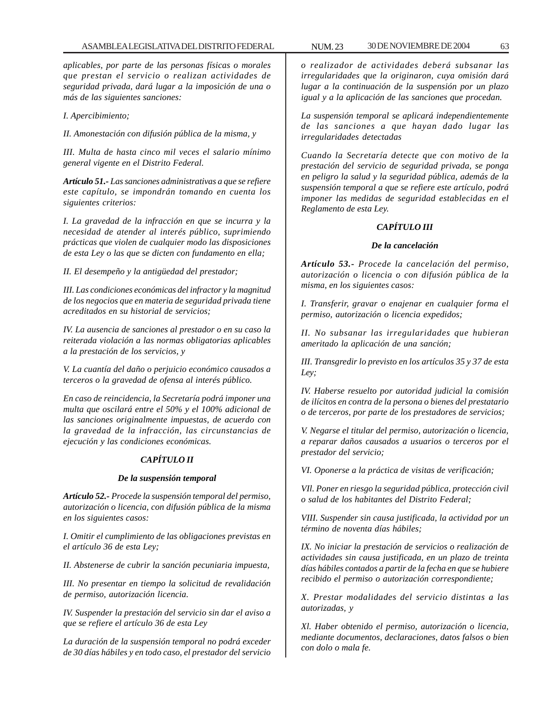*aplicables, por parte de las personas físicas o morales que prestan el servicio o realizan actividades de seguridad privada, dará lugar a la imposición de una o más de las siguientes sanciones:*

*I. Apercibimiento;*

*II. Amonestación con difusión pública de la misma, y*

*III. Multa de hasta cinco mil veces el salario mínimo general vigente en el Distrito Federal.*

*Artículo 51.- Las sanciones administrativas a que se refiere este capítulo, se impondrán tomando en cuenta los siguientes criterios:*

*I. La gravedad de la infracción en que se incurra y la necesidad de atender al interés público, suprimiendo prácticas que violen de cualquier modo las disposiciones de esta Ley o las que se dicten con fundamento en ella;*

*II. El desempeño y la antigüedad del prestador;*

*III. Las condiciones económicas del infractor y la magnitud de los negocios que en materia de seguridad privada tiene acreditados en su historial de servicios;*

*IV. La ausencia de sanciones al prestador o en su caso la reiterada violación a las normas obligatorias aplicables a la prestación de los servicios, y*

*V. La cuantía del daño o perjuicio económico causados a terceros o la gravedad de ofensa al interés público.*

*En caso de reincidencia, la Secretaría podrá imponer una multa que oscilará entre el 50% y el 100% adicional de las sanciones originalmente impuestas, de acuerdo con la gravedad de la infracción, las circunstancias de ejecución y las condiciones económicas.*

# *CAPÍTULO II*

### *De la suspensión temporal*

*Artículo 52.- Procede la suspensión temporal del permiso, autorización o licencia, con difusión pública de la misma en los siguientes casos:*

*I. Omitir el cumplimiento de las obligaciones previstas en el artículo 36 de esta Ley;*

*II. Abstenerse de cubrir la sanción pecuniaria impuesta,*

*III. No presentar en tiempo la solicitud de revalidación de permiso, autorización licencia.*

*IV. Suspender la prestación del servicio sin dar el aviso a que se refiere el artículo 36 de esta Ley*

*La duración de la suspensión temporal no podrá exceder de 30 días hábiles y en todo caso, el prestador del servicio*

*o realizador de actividades deberá subsanar las irregularidades que la originaron, cuya omisión dará lugar a la continuación de la suspensión por un plazo igual y a la aplicación de las sanciones que procedan.*

*La suspensión temporal se aplicará independientemente de las sanciones a que hayan dado lugar las irregularidades detectadas*

*Cuando la Secretaría detecte que con motivo de la prestación del servicio de seguridad privada, se ponga en peligro la salud y la seguridad pública, además de la suspensión temporal a que se refiere este artículo, podrá imponer las medidas de seguridad establecidas en el Reglamento de esta Ley.*

## *CAPÍTULO III*

### *De la cancelación*

*Artículo 53.- Procede la cancelación del permiso, autorización o licencia o con difusión pública de la misma, en los siguientes casos:*

*I. Transferir, gravar o enajenar en cualquier forma el permiso, autorización o licencia expedidos;*

*II. No subsanar las irregularidades que hubieran ameritado la aplicación de una sanción;*

*III. Transgredir lo previsto en los artículos 35 y 37 de esta Ley;*

*IV. Haberse resuelto por autoridad judicial la comisión de ilícitos en contra de la persona o bienes del prestatario o de terceros, por parte de los prestadores de servicios;*

*V. Negarse el titular del permiso, autorización o licencia, a reparar daños causados a usuarios o terceros por el prestador del servicio;*

*VI. Oponerse a la práctica de visitas de verificación;*

*VIl. Poner en riesgo la seguridad pública, protección civil o salud de los habitantes del Distrito Federal;*

*VIII. Suspender sin causa justificada, la actividad por un término de noventa días hábiles;*

*IX. No iniciar la prestación de servicios o realización de actividades sin causa justificada, en un plazo de treinta días hábiles contados a partir de la fecha en que se hubiere recibido el permiso o autorización correspondiente;*

*X. Prestar modalidades del servicio distintas a las autorizadas, y*

*Xl. Haber obtenido el permiso, autorización o licencia, mediante documentos, declaraciones, datos falsos o bien con dolo o mala fe.*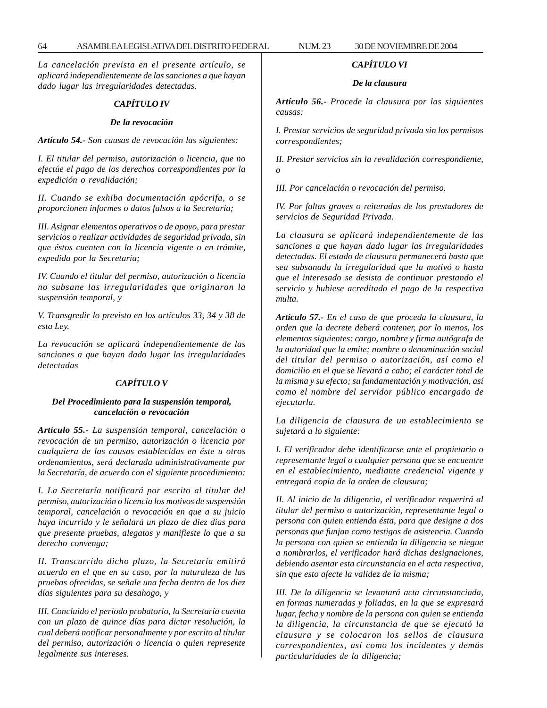*La cancelación prevista en el presente artículo, se aplicará independientemente de las sanciones a que hayan dado lugar las irregularidades detectadas.*

# *CAPÍTULO IV*

#### *De la revocación*

*Artículo 54.- Son causas de revocación las siguientes:*

*I. El titular del permiso, autorización o licencia, que no efectúe el pago de los derechos correspondientes por la expedición o revalidación;*

*II. Cuando se exhiba documentación apócrifa, o se proporcionen informes o datos falsos a la Secretaría;*

*III. Asignar elementos operativos o de apoyo, para prestar servicios o realizar actividades de seguridad privada, sin que éstos cuenten con la licencia vigente o en trámite, expedida por la Secretaría;*

*IV. Cuando el titular del permiso, autorización o licencia no subsane las irregularidades que originaron la suspensión temporal, y*

*V. Transgredir lo previsto en los artículos 33, 34 y 38 de esta Ley.*

*La revocación se aplicará independientemente de las sanciones a que hayan dado lugar las irregularidades detectadas*

### *CAPÍTULO V*

### *Del Procedimiento para la suspensión temporal, cancelación o revocación*

*Artículo 55.- La suspensión temporal, cancelación o revocación de un permiso, autorización o licencia por cualquiera de las causas establecidas en éste u otros ordenamientos, será declarada administrativamente por la Secretaría, de acuerdo con el siguiente procedimiento:*

*I. La Secretaría notificará por escrito al titular del permiso, autorización o licencia los motivos de suspensión temporal, cancelación o revocación en que a su juicio haya incurrido y le señalará un plazo de diez días para que presente pruebas, alegatos y manifieste lo que a su derecho convenga;*

*II. Transcurrido dicho plazo, la Secretaría emitirá acuerdo en el que en su caso, por la naturaleza de las pruebas ofrecidas, se señale una fecha dentro de los diez días siguientes para su desahogo, y*

*III. Concluido el periodo probatorio, la Secretaría cuenta con un plazo de quince días para dictar resolución, la cual deberá notificar personalmente y por escrito al titular del permiso, autorización o licencia o quien represente legalmente sus intereses.*

#### *CAPÍTULO VI*

### *De la clausura*

*Artículo 56.- Procede la clausura por las siguientes causas:*

*I. Prestar servicios de seguridad privada sin los permisos correspondientes;*

*II. Prestar servicios sin la revalidación correspondiente, o*

*III. Por cancelación o revocación del permiso.*

*IV. Por faltas graves o reiteradas de los prestadores de servicios de Seguridad Privada.*

*La clausura se aplicará independientemente de las sanciones a que hayan dado lugar las irregularidades detectadas. El estado de clausura permanecerá hasta que sea subsanada la irregularidad que la motivó o hasta que el interesado se desista de continuar prestando el servicio y hubiese acreditado el pago de la respectiva multa.*

*Artículo 57.- En el caso de que proceda la clausura, la orden que la decrete deberá contener, por lo menos, los elementos siguientes: cargo, nombre y firma autógrafa de la autoridad que la emite; nombre o denominación social del titular del permiso o autorización, así como el domicilio en el que se llevará a cabo; el carácter total de la misma y su efecto; su fundamentación y motivación, así como el nombre del servidor público encargado de ejecutarla.*

*La diligencia de clausura de un establecimiento se sujetará a lo siguiente:*

*I. El verificador debe identificarse ante el propietario o representante legal o cualquier persona que se encuentre en el establecimiento, mediante credencial vigente y entregará copia de la orden de clausura;*

*II. Al inicio de la diligencia, el verificador requerirá al titular del permiso o autorización, representante legal o persona con quien entienda ésta, para que designe a dos personas que funjan como testigos de asistencia. Cuando la persona con quien se entienda la diligencia se niegue a nombrarlos, el verificador hará dichas designaciones, debiendo asentar esta circunstancia en el acta respectiva, sin que esto afecte la validez de la misma;*

*III. De la diligencia se levantará acta circunstanciada, en formas numeradas y foliadas, en la que se expresará lugar, fecha y nombre de la persona con quien se entienda la diligencia, la circunstancia de que se ejecutó la clausura y se colocaron los sellos de clausura correspondientes, así como los incidentes y demás particularidades de la diligencia;*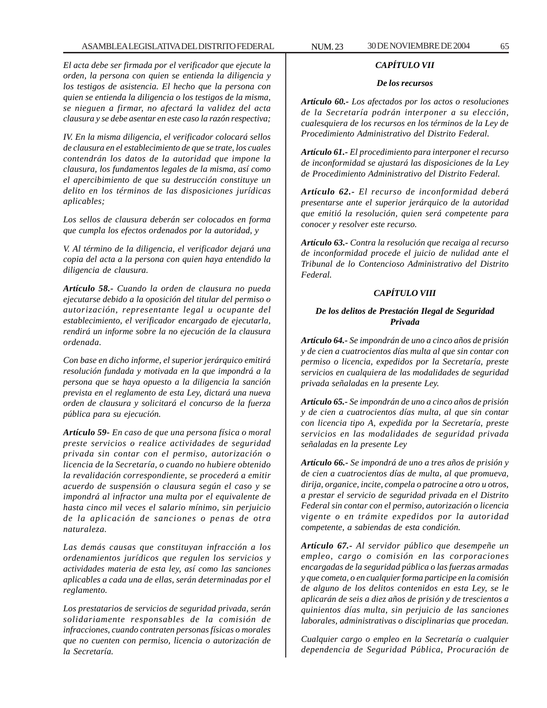## ASAMBLEA LEGISLATIVA DEL DISTRITO FEDERAL NUM. 23 30 DE NOVIEMBRE DE 2004 65

*El acta debe ser firmada por el verificador que ejecute la orden, la persona con quien se entienda la diligencia y los testigos de asistencia. El hecho que la persona con quien se entienda la diligencia o los testigos de la misma, se nieguen a firmar, no afectará la validez del acta clausura y se debe asentar en este caso la razón respectiva;*

*IV. En la misma diligencia, el verificador colocará sellos de clausura en el establecimiento de que se trate, los cuales contendrán los datos de la autoridad que impone la clausura, los fundamentos legales de la misma, así como el apercibimiento de que su destrucción constituye un delito en los términos de las disposiciones jurídicas aplicables;*

*Los sellos de clausura deberán ser colocados en forma que cumpla los efectos ordenados por la autoridad, y*

*V. Al término de la diligencia, el verificador dejará una copia del acta a la persona con quien haya entendido la diligencia de clausura.*

*Artículo 58.- Cuando la orden de clausura no pueda ejecutarse debido a la oposición del titular del permiso o autorización, representante legal u ocupante del establecimiento, el verificador encargado de ejecutarla, rendirá un informe sobre la no ejecución de la clausura ordenada.*

*Con base en dicho informe, el superior jerárquico emitirá resolución fundada y motivada en la que impondrá a la persona que se haya opuesto a la diligencia la sanción prevista en el reglamento de esta Ley, dictará una nueva orden de clausura y solicitará el concurso de la fuerza pública para su ejecución.*

*Artículo 59- En caso de que una persona física o moral preste servicios o realice actividades de seguridad privada sin contar con el permiso, autorización o licencia de la Secretaría, o cuando no hubiere obtenido la revalidación correspondiente, se procederá a emitir acuerdo de suspensión o clausura según el caso y se impondrá al infractor una multa por el equivalente de hasta cinco mil veces el salario mínimo, sin perjuicio de la aplicación de sanciones o penas de otra naturaleza.*

*Las demás causas que constituyan infracción a los ordenamientos jurídicos que regulen los servicios y actividades materia de esta ley, así como las sanciones aplicables a cada una de ellas, serán determinadas por el reglamento.*

*Los prestatarios de servicios de seguridad privada, serán solidariamente responsables de la comisión de infracciones, cuando contraten personas físicas o morales que no cuenten con permiso, licencia o autorización de la Secretaría.*

# *CAPÍTULO VII*

#### *De los recursos*

*Artículo 60.- Los afectados por los actos o resoluciones de la Secretaría podrán interponer a su elección, cualesquiera de los recursos en los términos de la Ley de Procedimiento Administrativo del Distrito Federal.*

*Artículo 61.- El procedimiento para interponer el recurso de inconformidad se ajustará las disposiciones de la Ley de Procedimiento Administrativo del Distrito Federal.*

*Artículo 62.- El recurso de inconformidad deberá presentarse ante el superior jerárquico de la autoridad que emitió la resolución, quien será competente para conocer y resolver este recurso.*

*Artículo 63.- Contra la resolución que recaiga al recurso de inconformidad procede el juicio de nulidad ante el Tribunal de lo Contencioso Administrativo del Distrito Federal.*

## *CAPÍTULO VIII*

## *De los delitos de Prestación Ilegal de Seguridad Privada*

*Artículo 64.- Se impondrán de uno a cinco años de prisión y de cien a cuatrocientos días multa al que sin contar con permiso o licencia, expedidos por la Secretaría, preste servicios en cualquiera de las modalidades de seguridad privada señaladas en la presente Ley.*

*Artículo 65.- Se impondrán de uno a cinco años de prisión y de cien a cuatrocientos días multa, al que sin contar con licencia tipo A, expedida por la Secretaría, preste servicios en las modalidades de seguridad privada señaladas en la presente Ley*

*Artículo 66.- Se impondrá de uno a tres años de prisión y de cien a cuatrocientos días de multa, al que promueva, dirija, organice, incite, compela o patrocine a otro u otros, a prestar el servicio de seguridad privada en el Distrito Federal sin contar con el permiso, autorización o licencia vigente o en trámite expedidos por la autoridad competente, a sabiendas de esta condición.*

*Artículo 67.- Al servidor público que desempeñe un empleo, cargo o comisión en las corporaciones encargadas de la seguridad pública o las fuerzas armadas y que cometa, o en cualquier forma participe en la comisión de alguno de los delitos contenidos en esta Ley, se le aplicarán de seis a diez años de prisión y de trescientos a quinientos días multa, sin perjuicio de las sanciones laborales, administrativas o disciplinarias que procedan.*

*Cualquier cargo o empleo en la Secretaría o cualquier dependencia de Seguridad Pública, Procuración de*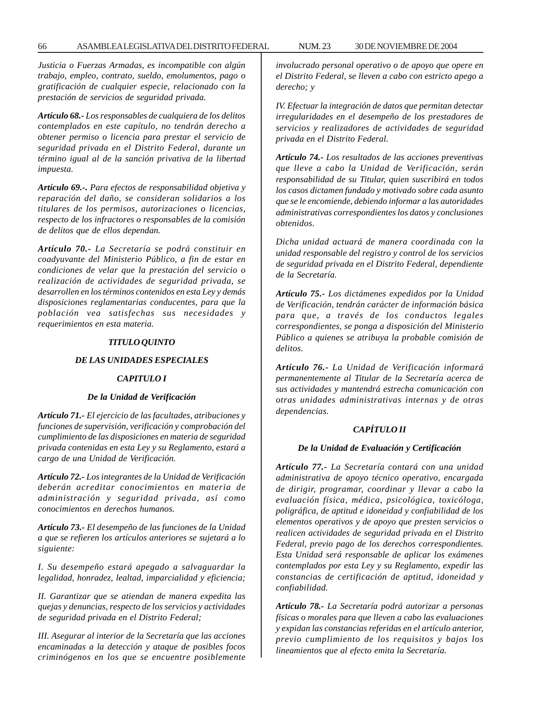*Justicia o Fuerzas Armadas, es incompatible con algún trabajo, empleo, contrato, sueldo, emolumentos, pago o gratificación de cualquier especie, relacionado con la prestación de servicios de seguridad privada.*

*Artículo 68.- Los responsables de cualquiera de los delitos contemplados en este capítulo, no tendrán derecho a obtener permiso o licencia para prestar el servicio de seguridad privada en el Distrito Federal, durante un término igual al de la sanción privativa de la libertad impuesta.*

*Artículo 69.-. Para efectos de responsabilidad objetiva y reparación del daño, se consideran solidarios a los titulares de los permisos, autorizaciones o licencias, respecto de los infractores o responsables de la comisión de delitos que de ellos dependan.*

*Artículo 70.- La Secretaría se podrá constituir en coadyuvante del Ministerio Público, a fin de estar en condiciones de velar que la prestación del servicio o realización de actividades de seguridad privada, se desarrollen en los términos contenidos en esta Ley y demás disposiciones reglamentarias conducentes, para que la población vea satisfechas sus necesidades y requerimientos en esta materia.*

#### *TITULO QUINTO*

#### *DE LAS UNIDADES ESPECIALES*

### *CAPITULO I*

#### *De la Unidad de Verificación*

*Artículo 71.- El ejercicio de las facultades, atribuciones y funciones de supervisión, verificación y comprobación del cumplimiento de las disposiciones en materia de seguridad privada contenidas en esta Ley y su Reglamento, estará a cargo de una Unidad de Verificación.*

*Artículo 72.- Los integrantes de la Unidad de Verificación deberán acreditar conocimientos en materia de administración y seguridad privada, así como conocimientos en derechos humanos.*

*Artículo 73.- El desempeño de las funciones de la Unidad a que se refieren los artículos anteriores se sujetará a lo siguiente:*

*I. Su desempeño estará apegado a salvaguardar la legalidad, honradez, lealtad, imparcialidad y eficiencia;*

*II. Garantizar que se atiendan de manera expedita las quejas y denuncias, respecto de los servicios y actividades de seguridad privada en el Distrito Federal;*

*III. Asegurar al interior de la Secretaría que las acciones encaminadas a la detección y ataque de posibles focos criminógenos en los que se encuentre posiblemente*

*involucrado personal operativo o de apoyo que opere en el Distrito Federal, se lleven a cabo con estricto apego a derecho; y*

*IV. Efectuar la integración de datos que permitan detectar irregularidades en el desempeño de los prestadores de servicios y realizadores de actividades de seguridad privada en el Distrito Federal.*

*Artículo 74.- Los resultados de las acciones preventivas que lleve a cabo la Unidad de Verificación, serán responsabilidad de su Titular, quien suscribirá en todos los casos dictamen fundado y motivado sobre cada asunto que se le encomiende, debiendo informar a las autoridades administrativas correspondientes los datos y conclusiones obtenidos.*

*Dicha unidad actuará de manera coordinada con la unidad responsable del registro y control de los servicios de seguridad privada en el Distrito Federal, dependiente de la Secretaría.*

*Artículo 75.- Los dictámenes expedidos por la Unidad de Verificación, tendrán carácter de información básica para que, a través de los conductos legales correspondientes, se ponga a disposición del Ministerio Público a quienes se atribuya la probable comisión de delitos.*

*Artículo 76.- La Unidad de Verificación informará permanentemente al Titular de la Secretaría acerca de sus actividades y mantendrá estrecha comunicación con otras unidades administrativas internas y de otras dependencias.*

#### *CAPÍTULO II*

#### *De la Unidad de Evaluación y Certificación*

*Artículo 77.- La Secretaría contará con una unidad administrativa de apoyo técnico operativo, encargada de dirigir, programar, coordinar y llevar a cabo la evaluación física, médica, psicológica, toxicóloga, poligráfica, de aptitud e idoneidad y confiabilidad de los elementos operativos y de apoyo que presten servicios o realicen actividades de seguridad privada en el Distrito Federal, previo pago de los derechos correspondientes. Esta Unidad será responsable de aplicar los exámenes contemplados por esta Ley y su Reglamento, expedir las constancias de certificación de aptitud, idoneidad y confiabilidad.*

*Artículo 78.- La Secretaría podrá autorizar a personas físicas o morales para que lleven a cabo las evaluaciones y expidan las constancias referidas en el artículo anterior, previo cumplimiento de los requisitos y bajos los lineamientos que al efecto emita la Secretaría.*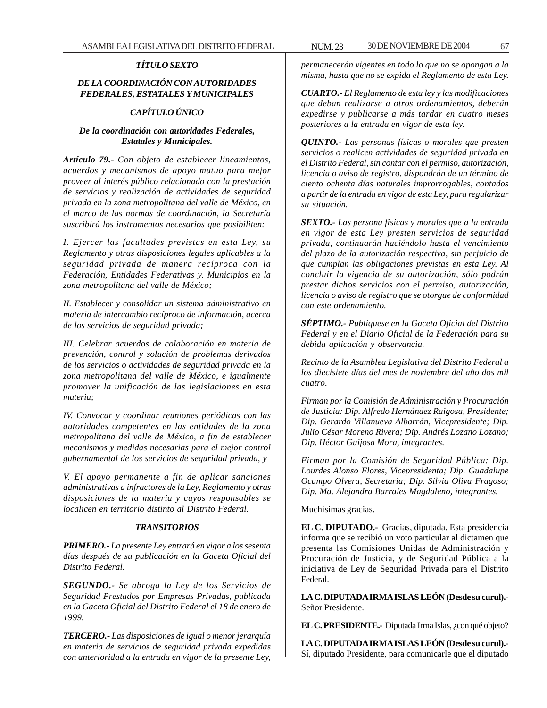## *TÍTULO SEXTO*

# *DE LA COORDINACIÓN CON AUTORIDADES FEDERALES, ESTATALES Y MUNICIPALES*

# *CAPÍTULO ÚNICO*

## *De la coordinación con autoridades Federales, Estatales y Municipales.*

*Artículo 79.- Con objeto de establecer lineamientos, acuerdos y mecanismos de apoyo mutuo para mejor proveer al interés público relacionado con la prestación de servicios y realización de actividades de seguridad privada en la zona metropolitana del valle de México, en el marco de las normas de coordinación, la Secretaría suscribirá los instrumentos necesarios que posibiliten:*

*I. Ejercer las facultades previstas en esta Ley, su Reglamento y otras disposiciones legales aplicables a la seguridad privada de manera recíproca con la Federación, Entidades Federativas y. Municipios en la zona metropolitana del valle de México;*

*II. Establecer y consolidar un sistema administrativo en materia de intercambio recíproco de información, acerca de los servicios de seguridad privada;*

*III. Celebrar acuerdos de colaboración en materia de prevención, control y solución de problemas derivados de los servicios o actividades de seguridad privada en la zona metropolitana del valle de México, e igualmente promover la unificación de las legislaciones en esta materia;*

*IV. Convocar y coordinar reuniones periódicas con las autoridades competentes en las entidades de la zona metropolitana del valle de México, a fin de establecer mecanismos y medidas necesarias para el mejor control gubernamental de los servicios de seguridad privada, y*

*V. El apoyo permanente a fin de aplicar sanciones administrativas a infractores de la Ley, Reglamento y otras disposiciones de la materia y cuyos responsables se localicen en territorio distinto al Distrito Federal.*

### *TRANSITORIOS*

*PRIMERO.- La presente Ley entrará en vigor a los sesenta días después de su publicación en la Gaceta Oficial del Distrito Federal.*

*SEGUNDO.- Se abroga la Ley de los Servicios de Seguridad Prestados por Empresas Privadas, publicada en la Gaceta Oficial del Distrito Federal el 18 de enero de 1999.*

*TERCERO.- Las disposiciones de igual o menor jerarquía en materia de servicios de seguridad privada expedidas con anterioridad a la entrada en vigor de la presente Ley,*

*permanecerán vigentes en todo lo que no se opongan a la misma, hasta que no se expida el Reglamento de esta Ley.*

*CUARTO.- El Reglamento de esta ley y las modificaciones que deban realizarse a otros ordenamientos, deberán expedirse y publicarse a más tardar en cuatro meses posteriores a la entrada en vigor de esta ley.*

*QUINTO.- Las personas físicas o morales que presten servicios o realicen actividades de seguridad privada en el Distrito Federal, sin contar con el permiso, autorización, licencia o aviso de registro, dispondrán de un término de ciento ochenta días naturales improrrogables, contados a partir de la entrada en vigor de esta Ley, para regularizar su situación.*

*SEXTO.- Las persona físicas y morales que a la entrada en vigor de esta Ley presten servicios de seguridad privada, continuarán haciéndolo hasta el vencimiento del plazo de la autorización respectiva, sin perjuicio de que cumplan las obligaciones previstas en esta Ley. Al concluir la vigencia de su autorización, sólo podrán prestar dichos servicios con el permiso, autorización, licencia o aviso de registro que se otorgue de conformidad con este ordenamiento.*

*SÉPTIMO.- Publíquese en la Gaceta Oficial del Distrito Federal y en el Diario Oficial de la Federación para su debida aplicación y observancia.*

*Recinto de la Asamblea Legislativa del Distrito Federal a los diecisiete días del mes de noviembre del año dos mil cuatro.*

*Firman por la Comisión de Administración y Procuración de Justicia: Dip. Alfredo Hernández Raigosa, Presidente; Dip. Gerardo Villanueva Albarrán, Vicepresidente; Dip. Julio César Moreno Rivera; Dip. Andrés Lozano Lozano; Dip. Héctor Guijosa Mora, integrantes.*

*Firman por la Comisión de Seguridad Pública: Dip. Lourdes Alonso Flores, Vicepresidenta; Dip. Guadalupe Ocampo Olvera, Secretaria; Dip. Silvia Oliva Fragoso; Dip. Ma. Alejandra Barrales Magdaleno, integrantes.*

Muchísimas gracias.

**EL C. DIPUTADO.-** Gracias, diputada. Esta presidencia informa que se recibió un voto particular al dictamen que presenta las Comisiones Unidas de Administración y Procuración de Justicia, y de Seguridad Pública a la iniciativa de Ley de Seguridad Privada para el Distrito Federal.

**LA C. DIPUTADA IRMA ISLAS LEÓN (Desde su curul).-** Señor Presidente.

**EL C. PRESIDENTE.-** Diputada Irma Islas, ¿con qué objeto?

**LA C. DIPUTADA IRMA ISLAS LEÓN (Desde su curul).-** Sí, diputado Presidente, para comunicarle que el diputado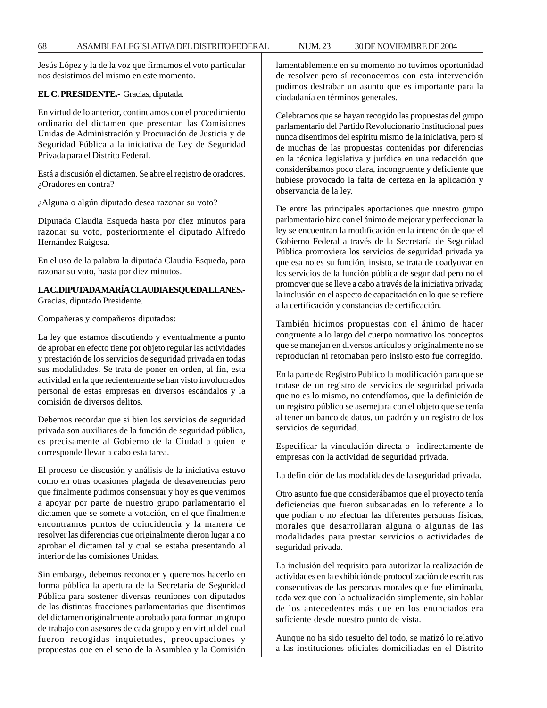Jesús López y la de la voz que firmamos el voto particular nos desistimos del mismo en este momento.

#### **EL C. PRESIDENTE.-** Gracias, diputada.

En virtud de lo anterior, continuamos con el procedimiento ordinario del dictamen que presentan las Comisiones Unidas de Administración y Procuración de Justicia y de Seguridad Pública a la iniciativa de Ley de Seguridad Privada para el Distrito Federal.

Está a discusión el dictamen. Se abre el registro de oradores. ¿Oradores en contra?

¿Alguna o algún diputado desea razonar su voto?

Diputada Claudia Esqueda hasta por diez minutos para razonar su voto, posteriormente el diputado Alfredo Hernández Raigosa.

En el uso de la palabra la diputada Claudia Esqueda, para razonar su voto, hasta por diez minutos.

## **LA C. DIPUTADA MARÍA CLAUDIA ESQUEDA LLANES.-** Gracias, diputado Presidente.

Compañeras y compañeros diputados:

La ley que estamos discutiendo y eventualmente a punto de aprobar en efecto tiene por objeto regular las actividades y prestación de los servicios de seguridad privada en todas sus modalidades. Se trata de poner en orden, al fin, esta actividad en la que recientemente se han visto involucrados personal de estas empresas en diversos escándalos y la comisión de diversos delitos.

Debemos recordar que si bien los servicios de seguridad privada son auxiliares de la función de seguridad pública, es precisamente al Gobierno de la Ciudad a quien le corresponde llevar a cabo esta tarea.

El proceso de discusión y análisis de la iniciativa estuvo como en otras ocasiones plagada de desavenencias pero que finalmente pudimos consensuar y hoy es que venimos a apoyar por parte de nuestro grupo parlamentario el dictamen que se somete a votación, en el que finalmente encontramos puntos de coincidencia y la manera de resolver las diferencias que originalmente dieron lugar a no aprobar el dictamen tal y cual se estaba presentando al interior de las comisiones Unidas.

Sin embargo, debemos reconocer y queremos hacerlo en forma pública la apertura de la Secretaría de Seguridad Pública para sostener diversas reuniones con diputados de las distintas fracciones parlamentarias que disentimos del dictamen originalmente aprobado para formar un grupo de trabajo con asesores de cada grupo y en virtud del cual fueron recogidas inquietudes, preocupaciones y propuestas que en el seno de la Asamblea y la Comisión lamentablemente en su momento no tuvimos oportunidad de resolver pero sí reconocemos con esta intervención pudimos destrabar un asunto que es importante para la ciudadanía en términos generales.

Celebramos que se hayan recogido las propuestas del grupo parlamentario del Partido Revolucionario Institucional pues nunca disentimos del espíritu mismo de la iniciativa, pero sí de muchas de las propuestas contenidas por diferencias en la técnica legislativa y jurídica en una redacción que considerábamos poco clara, incongruente y deficiente que hubiese provocado la falta de certeza en la aplicación y observancia de la ley.

De entre las principales aportaciones que nuestro grupo parlamentario hizo con el ánimo de mejorar y perfeccionar la ley se encuentran la modificación en la intención de que el Gobierno Federal a través de la Secretaría de Seguridad Pública promoviera los servicios de seguridad privada ya que esa no es su función, insisto, se trata de coadyuvar en los servicios de la función pública de seguridad pero no el promover que se lleve a cabo a través de la iniciativa privada; la inclusión en el aspecto de capacitación en lo que se refiere a la certificación y constancias de certificación.

También hicimos propuestas con el ánimo de hacer congruente a lo largo del cuerpo normativo los conceptos que se manejan en diversos artículos y originalmente no se reproducían ni retomaban pero insisto esto fue corregido.

En la parte de Registro Público la modificación para que se tratase de un registro de servicios de seguridad privada que no es lo mismo, no entendíamos, que la definición de un registro público se asemejara con el objeto que se tenía al tener un banco de datos, un padrón y un registro de los servicios de seguridad.

Especificar la vinculación directa o indirectamente de empresas con la actividad de seguridad privada.

La definición de las modalidades de la seguridad privada.

Otro asunto fue que considerábamos que el proyecto tenía deficiencias que fueron subsanadas en lo referente a lo que podían o no efectuar las diferentes personas físicas, morales que desarrollaran alguna o algunas de las modalidades para prestar servicios o actividades de seguridad privada.

La inclusión del requisito para autorizar la realización de actividades en la exhibición de protocolización de escrituras consecutivas de las personas morales que fue eliminada, toda vez que con la actualización simplemente, sin hablar de los antecedentes más que en los enunciados era suficiente desde nuestro punto de vista.

Aunque no ha sido resuelto del todo, se matizó lo relativo a las instituciones oficiales domiciliadas en el Distrito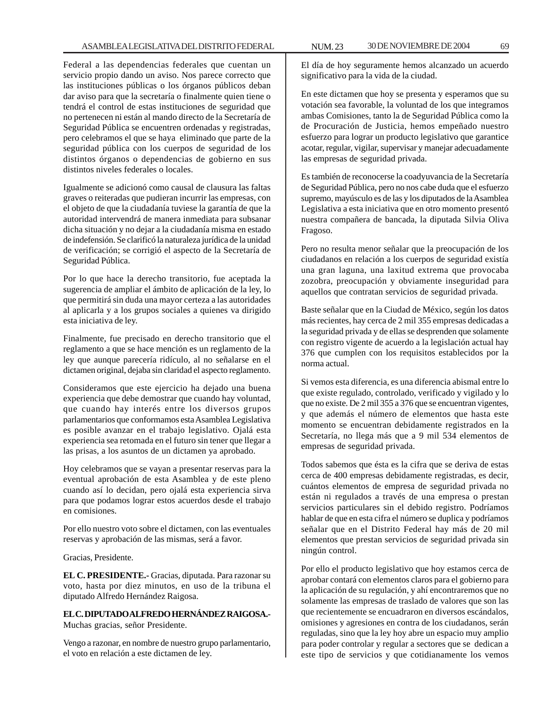Federal a las dependencias federales que cuentan un servicio propio dando un aviso. Nos parece correcto que las instituciones públicas o los órganos públicos deban dar aviso para que la secretaría o finalmente quien tiene o tendrá el control de estas instituciones de seguridad que no pertenecen ni están al mando directo de la Secretaría de Seguridad Pública se encuentren ordenadas y registradas, pero celebramos el que se haya eliminado que parte de la seguridad pública con los cuerpos de seguridad de los distintos órganos o dependencias de gobierno en sus distintos niveles federales o locales.

Igualmente se adicionó como causal de clausura las faltas graves o reiteradas que pudieran incurrir las empresas, con el objeto de que la ciudadanía tuviese la garantía de que la autoridad intervendrá de manera inmediata para subsanar dicha situación y no dejar a la ciudadanía misma en estado de indefensión. Se clarificó la naturaleza jurídica de la unidad de verificación; se corrigió el aspecto de la Secretaría de Seguridad Pública.

Por lo que hace la derecho transitorio, fue aceptada la sugerencia de ampliar el ámbito de aplicación de la ley, lo que permitirá sin duda una mayor certeza a las autoridades al aplicarla y a los grupos sociales a quienes va dirigido esta iniciativa de ley.

Finalmente, fue precisado en derecho transitorio que el reglamento a que se hace mención es un reglamento de la ley que aunque parecería ridículo, al no señalarse en el dictamen original, dejaba sin claridad el aspecto reglamento.

Consideramos que este ejercicio ha dejado una buena experiencia que debe demostrar que cuando hay voluntad, que cuando hay interés entre los diversos grupos parlamentarios que conformamos esta Asamblea Legislativa es posible avanzar en el trabajo legislativo. Ojalá esta experiencia sea retomada en el futuro sin tener que llegar a las prisas, a los asuntos de un dictamen ya aprobado.

Hoy celebramos que se vayan a presentar reservas para la eventual aprobación de esta Asamblea y de este pleno cuando así lo decidan, pero ojalá esta experiencia sirva para que podamos lograr estos acuerdos desde el trabajo en comisiones.

Por ello nuestro voto sobre el dictamen, con las eventuales reservas y aprobación de las mismas, será a favor.

Gracias, Presidente.

**EL C. PRESIDENTE.-** Gracias, diputada. Para razonar su voto, hasta por diez minutos, en uso de la tribuna el diputado Alfredo Hernández Raigosa.

## **EL C. DIPUTADO ALFREDO HERNÁNDEZ RAIGOSA.-** Muchas gracias, señor Presidente.

Vengo a razonar, en nombre de nuestro grupo parlamentario, el voto en relación a este dictamen de ley.

El día de hoy seguramente hemos alcanzado un acuerdo significativo para la vida de la ciudad.

En este dictamen que hoy se presenta y esperamos que su votación sea favorable, la voluntad de los que integramos ambas Comisiones, tanto la de Seguridad Pública como la de Procuración de Justicia, hemos empeñado nuestro esfuerzo para lograr un producto legislativo que garantice acotar, regular, vigilar, supervisar y manejar adecuadamente las empresas de seguridad privada.

Es también de reconocerse la coadyuvancia de la Secretaría de Seguridad Pública, pero no nos cabe duda que el esfuerzo supremo, mayúsculo es de las y los diputados de la Asamblea Legislativa a esta iniciativa que en otro momento presentó nuestra compañera de bancada, la diputada Silvia Oliva Fragoso.

Pero no resulta menor señalar que la preocupación de los ciudadanos en relación a los cuerpos de seguridad existía una gran laguna, una laxitud extrema que provocaba zozobra, preocupación y obviamente inseguridad para aquellos que contratan servicios de seguridad privada.

Baste señalar que en la Ciudad de México, según los datos más recientes, hay cerca de 2 mil 355 empresas dedicadas a la seguridad privada y de ellas se desprenden que solamente con registro vigente de acuerdo a la legislación actual hay 376 que cumplen con los requisitos establecidos por la norma actual.

Si vemos esta diferencia, es una diferencia abismal entre lo que existe regulado, controlado, verificado y vigilado y lo que no existe. De 2 mil 355 a 376 que se encuentran vigentes, y que además el número de elementos que hasta este momento se encuentran debidamente registrados en la Secretaría, no llega más que a 9 mil 534 elementos de empresas de seguridad privada.

Todos sabemos que ésta es la cifra que se deriva de estas cerca de 400 empresas debidamente registradas, es decir, cuántos elementos de empresa de seguridad privada no están ni regulados a través de una empresa o prestan servicios particulares sin el debido registro. Podríamos hablar de que en esta cifra el número se duplica y podríamos señalar que en el Distrito Federal hay más de 20 mil elementos que prestan servicios de seguridad privada sin ningún control.

Por ello el producto legislativo que hoy estamos cerca de aprobar contará con elementos claros para el gobierno para la aplicación de su regulación, y ahí encontraremos que no solamente las empresas de traslado de valores que son las que recientemente se encuadraron en diversos escándalos, omisiones y agresiones en contra de los ciudadanos, serán reguladas, sino que la ley hoy abre un espacio muy amplio para poder controlar y regular a sectores que se dedican a este tipo de servicios y que cotidianamente los vemos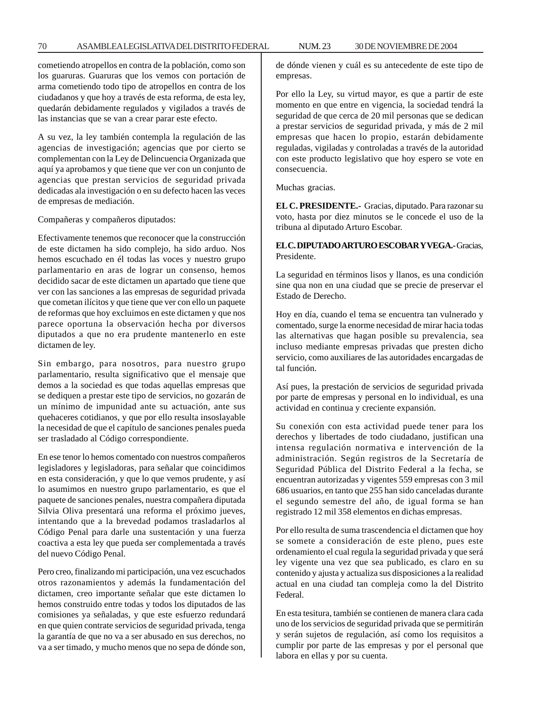cometiendo atropellos en contra de la población, como son los guaruras. Guaruras que los vemos con portación de arma cometiendo todo tipo de atropellos en contra de los ciudadanos y que hoy a través de esta reforma, de esta ley, quedarán debidamente regulados y vigilados a través de las instancias que se van a crear parar este efecto.

A su vez, la ley también contempla la regulación de las agencias de investigación; agencias que por cierto se complementan con la Ley de Delincuencia Organizada que aquí ya aprobamos y que tiene que ver con un conjunto de agencias que prestan servicios de seguridad privada dedicadas ala investigación o en su defecto hacen las veces de empresas de mediación.

Compañeras y compañeros diputados:

Efectivamente tenemos que reconocer que la construcción de este dictamen ha sido complejo, ha sido arduo. Nos hemos escuchado en él todas las voces y nuestro grupo parlamentario en aras de lograr un consenso, hemos decidido sacar de este dictamen un apartado que tiene que ver con las sanciones a las empresas de seguridad privada que cometan ilícitos y que tiene que ver con ello un paquete de reformas que hoy excluimos en este dictamen y que nos parece oportuna la observación hecha por diversos diputados a que no era prudente mantenerlo en este dictamen de ley.

Sin embargo, para nosotros, para nuestro grupo parlamentario, resulta significativo que el mensaje que demos a la sociedad es que todas aquellas empresas que se dediquen a prestar este tipo de servicios, no gozarán de un mínimo de impunidad ante su actuación, ante sus quehaceres cotidianos, y que por ello resulta insoslayable la necesidad de que el capítulo de sanciones penales pueda ser trasladado al Código correspondiente.

En ese tenor lo hemos comentado con nuestros compañeros legisladores y legisladoras, para señalar que coincidimos en esta consideración, y que lo que vemos prudente, y así lo asumimos en nuestro grupo parlamentario, es que el paquete de sanciones penales, nuestra compañera diputada Silvia Oliva presentará una reforma el próximo jueves, intentando que a la brevedad podamos trasladarlos al Código Penal para darle una sustentación y una fuerza coactiva a esta ley que pueda ser complementada a través del nuevo Código Penal.

Pero creo, finalizando mi participación, una vez escuchados otros razonamientos y además la fundamentación del dictamen, creo importante señalar que este dictamen lo hemos construido entre todas y todos los diputados de las comisiones ya señaladas, y que este esfuerzo redundará en que quien contrate servicios de seguridad privada, tenga la garantía de que no va a ser abusado en sus derechos, no va a ser timado, y mucho menos que no sepa de dónde son, de dónde vienen y cuál es su antecedente de este tipo de empresas.

Por ello la Ley, su virtud mayor, es que a partir de este momento en que entre en vigencia, la sociedad tendrá la seguridad de que cerca de 20 mil personas que se dedican a prestar servicios de seguridad privada, y más de 2 mil empresas que hacen lo propio, estarán debidamente reguladas, vigiladas y controladas a través de la autoridad con este producto legislativo que hoy espero se vote en consecuencia.

Muchas gracias.

**EL C. PRESIDENTE.-** Gracias, diputado. Para razonar su voto, hasta por diez minutos se le concede el uso de la tribuna al diputado Arturo Escobar.

# **EL C. DIPUTADO ARTURO ESCOBAR Y VEGA.-** Gracias, Presidente.

La seguridad en términos lisos y llanos, es una condición sine qua non en una ciudad que se precie de preservar el Estado de Derecho.

Hoy en día, cuando el tema se encuentra tan vulnerado y comentado, surge la enorme necesidad de mirar hacia todas las alternativas que hagan posible su prevalencia, sea incluso mediante empresas privadas que presten dicho servicio, como auxiliares de las autoridades encargadas de tal función.

Así pues, la prestación de servicios de seguridad privada por parte de empresas y personal en lo individual, es una actividad en continua y creciente expansión.

Su conexión con esta actividad puede tener para los derechos y libertades de todo ciudadano, justifican una intensa regulación normativa e intervención de la administración. Según registros de la Secretaría de Seguridad Pública del Distrito Federal a la fecha, se encuentran autorizadas y vigentes 559 empresas con 3 mil 686 usuarios, en tanto que 255 han sido canceladas durante el segundo semestre del año, de igual forma se han registrado 12 mil 358 elementos en dichas empresas.

Por ello resulta de suma trascendencia el dictamen que hoy se somete a consideración de este pleno, pues este ordenamiento el cual regula la seguridad privada y que será ley vigente una vez que sea publicado, es claro en su contenido y ajusta y actualiza sus disposiciones a la realidad actual en una ciudad tan compleja como la del Distrito Federal.

En esta tesitura, también se contienen de manera clara cada uno de los servicios de seguridad privada que se permitirán y serán sujetos de regulación, así como los requisitos a cumplir por parte de las empresas y por el personal que labora en ellas y por su cuenta.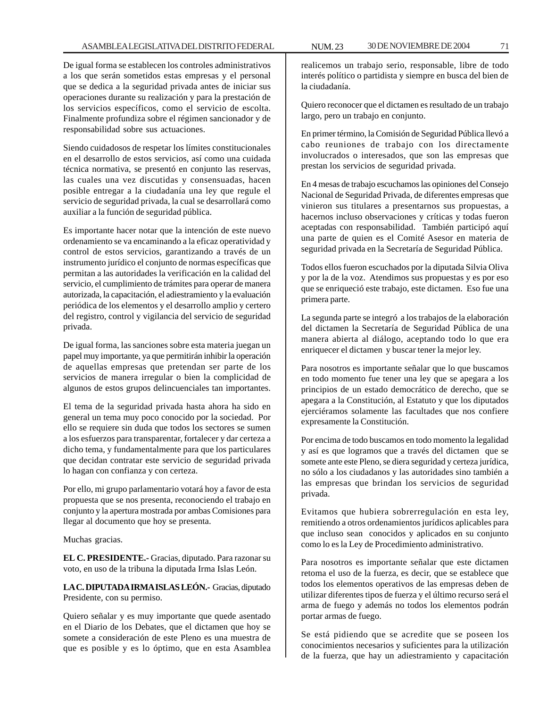De igual forma se establecen los controles administrativos a los que serán sometidos estas empresas y el personal que se dedica a la seguridad privada antes de iniciar sus operaciones durante su realización y para la prestación de los servicios específicos, como el servicio de escolta. Finalmente profundiza sobre el régimen sancionador y de responsabilidad sobre sus actuaciones.

Siendo cuidadosos de respetar los límites constitucionales en el desarrollo de estos servicios, así como una cuidada técnica normativa, se presentó en conjunto las reservas, las cuales una vez discutidas y consensuadas, hacen posible entregar a la ciudadanía una ley que regule el servicio de seguridad privada, la cual se desarrollará como auxiliar a la función de seguridad pública.

Es importante hacer notar que la intención de este nuevo ordenamiento se va encaminando a la eficaz operatividad y control de estos servicios, garantizando a través de un instrumento jurídico el conjunto de normas específicas que permitan a las autoridades la verificación en la calidad del servicio, el cumplimiento de trámites para operar de manera autorizada, la capacitación, el adiestramiento y la evaluación periódica de los elementos y el desarrollo amplio y certero del registro, control y vigilancia del servicio de seguridad privada.

De igual forma, las sanciones sobre esta materia juegan un papel muy importante, ya que permitirán inhibir la operación de aquellas empresas que pretendan ser parte de los servicios de manera irregular o bien la complicidad de algunos de estos grupos delincuenciales tan importantes.

El tema de la seguridad privada hasta ahora ha sido en general un tema muy poco conocido por la sociedad. Por ello se requiere sin duda que todos los sectores se sumen a los esfuerzos para transparentar, fortalecer y dar certeza a dicho tema, y fundamentalmente para que los particulares que decidan contratar este servicio de seguridad privada lo hagan con confianza y con certeza.

Por ello, mi grupo parlamentario votará hoy a favor de esta propuesta que se nos presenta, reconociendo el trabajo en conjunto y la apertura mostrada por ambas Comisiones para llegar al documento que hoy se presenta.

Muchas gracias.

**EL C. PRESIDENTE.-** Gracias, diputado. Para razonar su voto, en uso de la tribuna la diputada Irma Islas León.

**LA C. DIPUTADA IRMA ISLAS LEÓN.-** Gracias, diputado Presidente, con su permiso.

Quiero señalar y es muy importante que quede asentado en el Diario de los Debates, que el dictamen que hoy se somete a consideración de este Pleno es una muestra de que es posible y es lo óptimo, que en esta Asamblea

realicemos un trabajo serio, responsable, libre de todo interés político o partidista y siempre en busca del bien de la ciudadanía.

Quiero reconocer que el dictamen es resultado de un trabajo largo, pero un trabajo en conjunto.

En primer término, la Comisión de Seguridad Pública llevó a cabo reuniones de trabajo con los directamente involucrados o interesados, que son las empresas que prestan los servicios de seguridad privada.

En 4 mesas de trabajo escuchamos las opiniones del Consejo Nacional de Seguridad Privada, de diferentes empresas que vinieron sus titulares a presentarnos sus propuestas, a hacernos incluso observaciones y críticas y todas fueron aceptadas con responsabilidad. También participó aquí una parte de quien es el Comité Asesor en materia de seguridad privada en la Secretaría de Seguridad Pública.

Todos ellos fueron escuchados por la diputada Silvia Oliva y por la de la voz. Atendimos sus propuestas y es por eso que se enriqueció este trabajo, este dictamen. Eso fue una primera parte.

La segunda parte se integró a los trabajos de la elaboración del dictamen la Secretaría de Seguridad Pública de una manera abierta al diálogo, aceptando todo lo que era enriquecer el dictamen y buscar tener la mejor ley.

Para nosotros es importante señalar que lo que buscamos en todo momento fue tener una ley que se apegara a los principios de un estado democrático de derecho, que se apegara a la Constitución, al Estatuto y que los diputados ejerciéramos solamente las facultades que nos confiere expresamente la Constitución.

Por encima de todo buscamos en todo momento la legalidad y así es que logramos que a través del dictamen que se somete ante este Pleno, se diera seguridad y certeza jurídica, no sólo a los ciudadanos y las autoridades sino también a las empresas que brindan los servicios de seguridad privada.

Evitamos que hubiera sobrerregulación en esta ley, remitiendo a otros ordenamientos jurídicos aplicables para que incluso sean conocidos y aplicados en su conjunto como lo es la Ley de Procedimiento administrativo.

Para nosotros es importante señalar que este dictamen retoma el uso de la fuerza, es decir, que se establece que todos los elementos operativos de las empresas deben de utilizar diferentes tipos de fuerza y el último recurso será el arma de fuego y además no todos los elementos podrán portar armas de fuego.

Se está pidiendo que se acredite que se poseen los conocimientos necesarios y suficientes para la utilización de la fuerza, que hay un adiestramiento y capacitación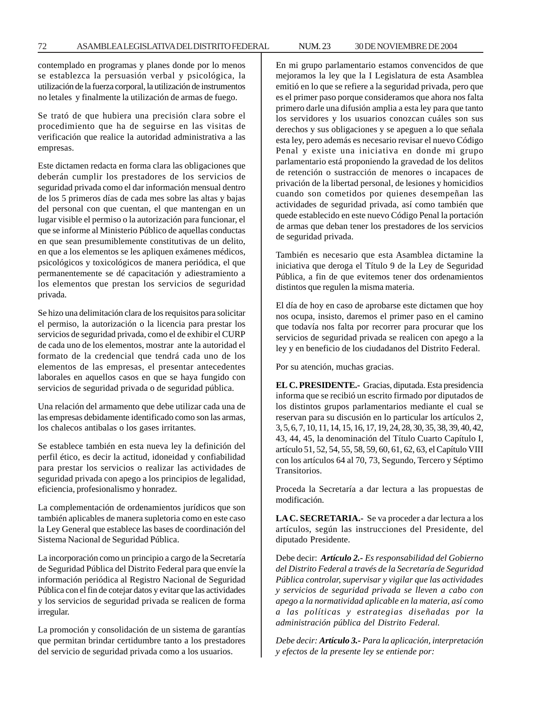contemplado en programas y planes donde por lo menos se establezca la persuasión verbal y psicológica, la utilización de la fuerza corporal, la utilización de instrumentos no letales y finalmente la utilización de armas de fuego.

Se trató de que hubiera una precisión clara sobre el procedimiento que ha de seguirse en las visitas de verificación que realice la autoridad administrativa a las empresas.

Este dictamen redacta en forma clara las obligaciones que deberán cumplir los prestadores de los servicios de seguridad privada como el dar información mensual dentro de los 5 primeros días de cada mes sobre las altas y bajas del personal con que cuentan, el que mantengan en un lugar visible el permiso o la autorización para funcionar, el que se informe al Ministerio Público de aquellas conductas en que sean presumiblemente constitutivas de un delito, en que a los elementos se les apliquen exámenes médicos, psicológicos y toxicológicos de manera periódica, el que permanentemente se dé capacitación y adiestramiento a los elementos que prestan los servicios de seguridad privada.

Se hizo una delimitación clara de los requisitos para solicitar el permiso, la autorización o la licencia para prestar los servicios de seguridad privada, como el de exhibir el CURP de cada uno de los elementos, mostrar ante la autoridad el formato de la credencial que tendrá cada uno de los elementos de las empresas, el presentar antecedentes laborales en aquellos casos en que se haya fungido con servicios de seguridad privada o de seguridad pública.

Una relación del armamento que debe utilizar cada una de las empresas debidamente identificado como son las armas, los chalecos antibalas o los gases irritantes.

Se establece también en esta nueva ley la definición del perfil ético, es decir la actitud, idoneidad y confiabilidad para prestar los servicios o realizar las actividades de seguridad privada con apego a los principios de legalidad, eficiencia, profesionalismo y honradez.

La complementación de ordenamientos jurídicos que son también aplicables de manera supletoria como en este caso la Ley General que establece las bases de coordinación del Sistema Nacional de Seguridad Pública.

La incorporación como un principio a cargo de la Secretaría de Seguridad Pública del Distrito Federal para que envíe la información periódica al Registro Nacional de Seguridad Pública con el fin de cotejar datos y evitar que las actividades y los servicios de seguridad privada se realicen de forma irregular.

La promoción y consolidación de un sistema de garantías que permitan brindar certidumbre tanto a los prestadores del servicio de seguridad privada como a los usuarios.

En mi grupo parlamentario estamos convencidos de que mejoramos la ley que la I Legislatura de esta Asamblea emitió en lo que se refiere a la seguridad privada, pero que es el primer paso porque consideramos que ahora nos falta primero darle una difusión amplia a esta ley para que tanto los servidores y los usuarios conozcan cuáles son sus derechos y sus obligaciones y se apeguen a lo que señala esta ley, pero además es necesario revisar el nuevo Código Penal y existe una iniciativa en donde mi grupo parlamentario está proponiendo la gravedad de los delitos de retención o sustracción de menores o incapaces de privación de la libertad personal, de lesiones y homicidios cuando son cometidos por quienes desempeñan las actividades de seguridad privada, así como también que quede establecido en este nuevo Código Penal la portación de armas que deban tener los prestadores de los servicios de seguridad privada.

También es necesario que esta Asamblea dictamine la iniciativa que deroga el Título 9 de la Ley de Seguridad Pública, a fin de que evitemos tener dos ordenamientos distintos que regulen la misma materia.

El día de hoy en caso de aprobarse este dictamen que hoy nos ocupa, insisto, daremos el primer paso en el camino que todavía nos falta por recorrer para procurar que los servicios de seguridad privada se realicen con apego a la ley y en beneficio de los ciudadanos del Distrito Federal.

Por su atención, muchas gracias.

**EL C. PRESIDENTE.-** Gracias, diputada. Esta presidencia informa que se recibió un escrito firmado por diputados de los distintos grupos parlamentarios mediante el cual se reservan para su discusión en lo particular los artículos 2, 3, 5, 6, 7, 10, 11, 14, 15, 16, 17, 19, 24, 28, 30, 35, 38, 39, 40, 42, 43, 44, 45, la denominación del Título Cuarto Capítulo I, artículo 51, 52, 54, 55, 58, 59, 60, 61, 62, 63, el Capítulo VIII con los artículos 64 al 70, 73, Segundo, Tercero y Séptimo Transitorios.

Proceda la Secretaría a dar lectura a las propuestas de modificación.

**LA C. SECRETARIA.-** Se va proceder a dar lectura a los artículos, según las instrucciones del Presidente, del diputado Presidente.

Debe decir: *Artículo 2.- Es responsabilidad del Gobierno del Distrito Federal a través de la Secretaría de Seguridad Pública controlar, supervisar y vigilar que las actividades y servicios de seguridad privada se lleven a cabo con apego a la normatividad aplicable en la materia, así como a las políticas y estrategias diseñadas por la administración pública del Distrito Federal.*

*Debe decir: Artículo 3.- Para la aplicación, interpretación y efectos de la presente ley se entiende por:*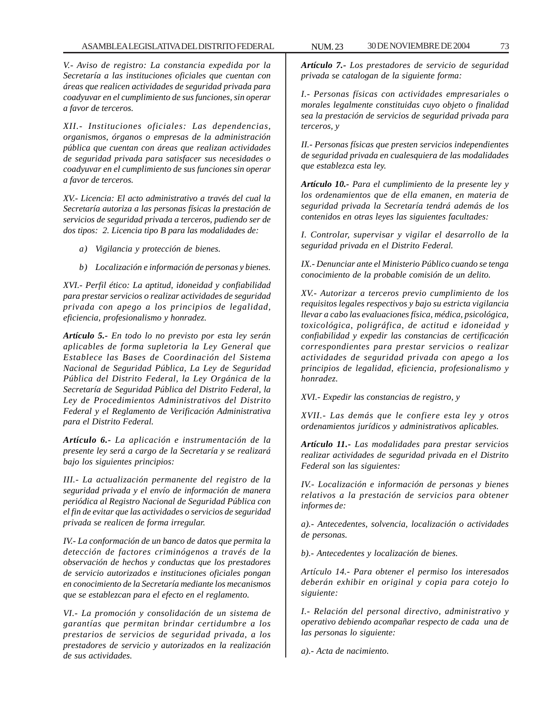*V.- Aviso de registro: La constancia expedida por la Secretaría a las instituciones oficiales que cuentan con áreas que realicen actividades de seguridad privada para coadyuvar en el cumplimiento de sus funciones, sin operar a favor de terceros.*

*XII.- Instituciones oficiales: Las dependencias, organismos, órganos o empresas de la administración pública que cuentan con áreas que realizan actividades de seguridad privada para satisfacer sus necesidades o coadyuvar en el cumplimiento de sus funciones sin operar a favor de terceros.*

*XV.- Licencia: El acto administrativo a través del cual la Secretaría autoriza a las personas físicas la prestación de servicios de seguridad privada a terceros, pudiendo ser de dos tipos: 2. Licencia tipo B para las modalidades de:*

- *a) Vigilancia y protección de bienes.*
- *b) Localización e información de personas y bienes.*

*XVI.- Perfil ético: La aptitud, idoneidad y confiabilidad para prestar servicios o realizar actividades de seguridad privada con apego a los principios de legalidad, eficiencia, profesionalismo y honradez.*

*Artículo 5.- En todo lo no previsto por esta ley serán aplicables de forma supletoria la Ley General que Establece las Bases de Coordinación del Sistema Nacional de Seguridad Pública, La Ley de Seguridad Pública del Distrito Federal, la Ley Orgánica de la Secretaría de Seguridad Pública del Distrito Federal, la Ley de Procedimientos Administrativos del Distrito Federal y el Reglamento de Verificación Administrativa para el Distrito Federal.*

*Artículo 6.- La aplicación e instrumentación de la presente ley será a cargo de la Secretaría y se realizará bajo los siguientes principios:*

*III.- La actualización permanente del registro de la seguridad privada y el envío de información de manera periódica al Registro Nacional de Seguridad Pública con el fin de evitar que las actividades o servicios de seguridad privada se realicen de forma irregular.*

*IV.- La conformación de un banco de datos que permita la detección de factores criminógenos a través de la observación de hechos y conductas que los prestadores de servicio autorizados e instituciones oficiales pongan en conocimiento de la Secretaría mediante los mecanismos que se establezcan para el efecto en el reglamento.*

*VI.- La promoción y consolidación de un sistema de garantías que permitan brindar certidumbre a los prestarios de servicios de seguridad privada, a los prestadores de servicio y autorizados en la realización de sus actividades.*

*Artículo 7.- Los prestadores de servicio de seguridad privada se catalogan de la siguiente forma:*

*I.- Personas físicas con actividades empresariales o morales legalmente constituidas cuyo objeto o finalidad sea la prestación de servicios de seguridad privada para terceros, y*

*II.- Personas físicas que presten servicios independientes de seguridad privada en cualesquiera de las modalidades que establezca esta ley.*

*Artículo 10.- Para el cumplimiento de la presente ley y los ordenamientos que de ella emanen, en materia de seguridad privada la Secretaría tendrá además de los contenidos en otras leyes las siguientes facultades:*

*I. Controlar, supervisar y vigilar el desarrollo de la seguridad privada en el Distrito Federal.*

*IX.- Denunciar ante el Ministerio Público cuando se tenga conocimiento de la probable comisión de un delito.*

*XV.- Autorizar a terceros previo cumplimiento de los requisitos legales respectivos y bajo su estricta vigilancia llevar a cabo las evaluaciones física, médica, psicológica, toxicológica, poligráfica, de actitud e idoneidad y confiabilidad y expedir las constancias de certificación correspondientes para prestar servicios o realizar actividades de seguridad privada con apego a los principios de legalidad, eficiencia, profesionalismo y honradez.*

*XVI.- Expedir las constancias de registro, y*

*XVII.- Las demás que le confiere esta ley y otros ordenamientos jurídicos y administrativos aplicables.*

*Artículo 11.- Las modalidades para prestar servicios realizar actividades de seguridad privada en el Distrito Federal son las siguientes:*

*IV.- Localización e información de personas y bienes relativos a la prestación de servicios para obtener informes de:*

*a).- Antecedentes, solvencia, localización o actividades de personas.*

*b).- Antecedentes y localización de bienes.*

*Artículo 14.- Para obtener el permiso los interesados deberán exhibir en original y copia para cotejo lo siguiente:*

*I.- Relación del personal directivo, administrativo y operativo debiendo acompañar respecto de cada una de las personas lo siguiente:*

*a).- Acta de nacimiento.*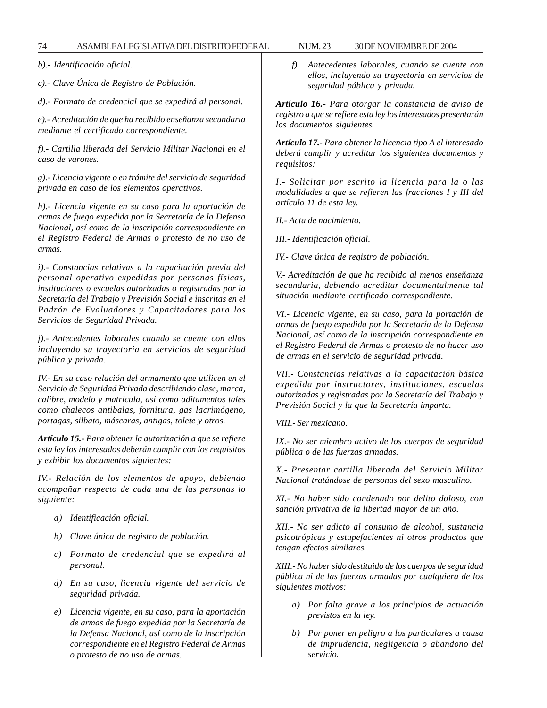*b).- Identificación oficial.*

*c).- Clave Única de Registro de Población.*

*d).- Formato de credencial que se expedirá al personal.*

*e).- Acreditación de que ha recibido enseñanza secundaria mediante el certificado correspondiente.*

*f).- Cartilla liberada del Servicio Militar Nacional en el caso de varones.*

*g).- Licencia vigente o en trámite del servicio de seguridad privada en caso de los elementos operativos.*

*h).- Licencia vigente en su caso para la aportación de armas de fuego expedida por la Secretaría de la Defensa Nacional, así como de la inscripción correspondiente en el Registro Federal de Armas o protesto de no uso de armas.*

*i).- Constancias relativas a la capacitación previa del personal operativo expedidas por personas físicas, instituciones o escuelas autorizadas o registradas por la Secretaría del Trabajo y Previsión Social e inscritas en el Padrón de Evaluadores y Capacitadores para los Servicios de Seguridad Privada.*

*j).- Antecedentes laborales cuando se cuente con ellos incluyendo su trayectoria en servicios de seguridad pública y privada.*

*IV.- En su caso relación del armamento que utilicen en el Servicio de Seguridad Privada describiendo clase, marca, calibre, modelo y matrícula, así como aditamentos tales como chalecos antibalas, fornitura, gas lacrimógeno, portagas, silbato, máscaras, antigas, tolete y otros.*

*Artículo 15.- Para obtener la autorización a que se refiere esta ley los interesados deberán cumplir con los requisitos y exhibir los documentos siguientes:*

*IV.- Relación de los elementos de apoyo, debiendo acompañar respecto de cada una de las personas lo siguiente:*

- *a) Identificación oficial.*
- *b) Clave única de registro de población.*
- *c) Formato de credencial que se expedirá al personal.*
- *d) En su caso, licencia vigente del servicio de seguridad privada.*
- *e) Licencia vigente, en su caso, para la aportación de armas de fuego expedida por la Secretaría de la Defensa Nacional, así como de la inscripción correspondiente en el Registro Federal de Armas o protesto de no uso de armas.*

*f) Antecedentes laborales, cuando se cuente con ellos, incluyendo su trayectoria en servicios de seguridad pública y privada.*

*Artículo 16.- Para otorgar la constancia de aviso de registro a que se refiere esta ley los interesados presentarán los documentos siguientes.*

*Artículo 17.- Para obtener la licencia tipo A el interesado deberá cumplir y acreditar los siguientes documentos y requisitos:*

*I.- Solicitar por escrito la licencia para la o las modalidades a que se refieren las fracciones I y III del artículo 11 de esta ley.*

*II.- Acta de nacimiento.*

*III.- Identificación oficial.*

*IV.- Clave única de registro de población.*

*V.- Acreditación de que ha recibido al menos enseñanza secundaria, debiendo acreditar documentalmente tal situación mediante certificado correspondiente.*

*VI.- Licencia vigente, en su caso, para la portación de armas de fuego expedida por la Secretaría de la Defensa Nacional, así como de la inscripción correspondiente en el Registro Federal de Armas o protesto de no hacer uso de armas en el servicio de seguridad privada.*

*VII.- Constancias relativas a la capacitación básica expedida por instructores, instituciones, escuelas autorizadas y registradas por la Secretaría del Trabajo y Previsión Social y la que la Secretaría imparta.*

*VIII.- Ser mexicano.*

*IX.- No ser miembro activo de los cuerpos de seguridad pública o de las fuerzas armadas.*

*X.- Presentar cartilla liberada del Servicio Militar Nacional tratándose de personas del sexo masculino.*

*XI.- No haber sido condenado por delito doloso, con sanción privativa de la libertad mayor de un año.*

*XII.- No ser adicto al consumo de alcohol, sustancia psicotrópicas y estupefacientes ni otros productos que tengan efectos similares.*

*XIII.- No haber sido destituido de los cuerpos de seguridad pública ni de las fuerzas armadas por cualquiera de los siguientes motivos:*

- *a) Por falta grave a los principios de actuación previstos en la ley.*
- *b) Por poner en peligro a los particulares a causa de imprudencia, negligencia o abandono del servicio.*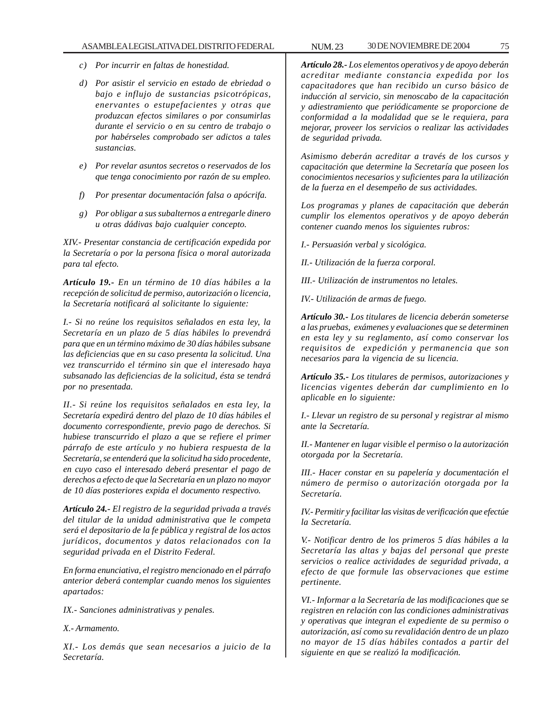- *c) Por incurrir en faltas de honestidad.*
- *d) Por asistir el servicio en estado de ebriedad o bajo e influjo de sustancias psicotrópicas, enervantes o estupefacientes y otras que produzcan efectos similares o por consumirlas durante el servicio o en su centro de trabajo o por habérseles comprobado ser adictos a tales sustancias.*
- *e) Por revelar asuntos secretos o reservados de los que tenga conocimiento por razón de su empleo.*
- *f) Por presentar documentación falsa o apócrifa.*
- *g) Por obligar a sus subalternos a entregarle dinero u otras dádivas bajo cualquier concepto.*

*XIV.- Presentar constancia de certificación expedida por la Secretaría o por la persona física o moral autorizada para tal efecto.*

*Artículo 19.- En un término de 10 días hábiles a la recepción de solicitud de permiso, autorización o licencia, la Secretaría notificará al solicitante lo siguiente:*

*I.- Si no reúne los requisitos señalados en esta ley, la Secretaría en un plazo de 5 días hábiles lo prevendrá para que en un término máximo de 30 días hábiles subsane las deficiencias que en su caso presenta la solicitud. Una vez transcurrido el término sin que el interesado haya subsanado las deficiencias de la solicitud, ésta se tendrá por no presentada.*

*II.- Si reúne los requisitos señalados en esta ley, la Secretaría expedirá dentro del plazo de 10 días hábiles el documento correspondiente, previo pago de derechos. Si hubiese transcurrido el plazo a que se refiere el primer párrafo de este artículo y no hubiera respuesta de la Secretaría, se entenderá que la solicitud ha sido procedente, en cuyo caso el interesado deberá presentar el pago de derechos a efecto de que la Secretaría en un plazo no mayor de 10 días posteriores expida el documento respectivo.*

*Artículo 24.- El registro de la seguridad privada a través del titular de la unidad administrativa que le competa será el depositario de la fe pública y registral de los actos jurídicos, documentos y datos relacionados con la seguridad privada en el Distrito Federal.*

*En forma enunciativa, el registro mencionado en el párrafo anterior deberá contemplar cuando menos los siguientes apartados:*

*IX.- Sanciones administrativas y penales.*

*X.- Armamento.*

*XI.- Los demás que sean necesarios a juicio de la Secretaría.*

*Artículo 28.- Los elementos operativos y de apoyo deberán acreditar mediante constancia expedida por los capacitadores que han recibido un curso básico de inducción al servicio, sin menoscabo de la capacitación y adiestramiento que periódicamente se proporcione de conformidad a la modalidad que se le requiera, para mejorar, proveer los servicios o realizar las actividades de seguridad privada.*

*Asimismo deberán acreditar a través de los cursos y capacitación que determine la Secretaría que poseen los conocimientos necesarios y suficientes para la utilización de la fuerza en el desempeño de sus actividades.*

*Los programas y planes de capacitación que deberán cumplir los elementos operativos y de apoyo deberán contener cuando menos los siguientes rubros:*

*I.- Persuasión verbal y sicológica.*

*II.- Utilización de la fuerza corporal.*

*III.- Utilización de instrumentos no letales.*

*IV.- Utilización de armas de fuego.*

*Artículo 30.- Los titulares de licencia deberán someterse a las pruebas, exámenes y evaluaciones que se determinen en esta ley y su reglamento, así como conservar los requisitos de expedición y permanencia que son necesarios para la vigencia de su licencia.*

*Artículo 35.- Los titulares de permisos, autorizaciones y licencias vigentes deberán dar cumplimiento en lo aplicable en lo siguiente:*

*I.- Llevar un registro de su personal y registrar al mismo ante la Secretaría.*

*II.- Mantener en lugar visible el permiso o la autorización otorgada por la Secretaría.*

*III.- Hacer constar en su papelería y documentación el número de permiso o autorización otorgada por la Secretaría.*

*IV.- Permitir y facilitar las visitas de verificación que efectúe la Secretaría.*

*V.- Notificar dentro de los primeros 5 días hábiles a la Secretaría las altas y bajas del personal que preste servicios o realice actividades de seguridad privada, a efecto de que formule las observaciones que estime pertinente.*

*VI.- Informar a la Secretaría de las modificaciones que se registren en relación con las condiciones administrativas y operativas que integran el expediente de su permiso o autorización, así como su revalidación dentro de un plazo no mayor de 15 días hábiles contados a partir del siguiente en que se realizó la modificación.*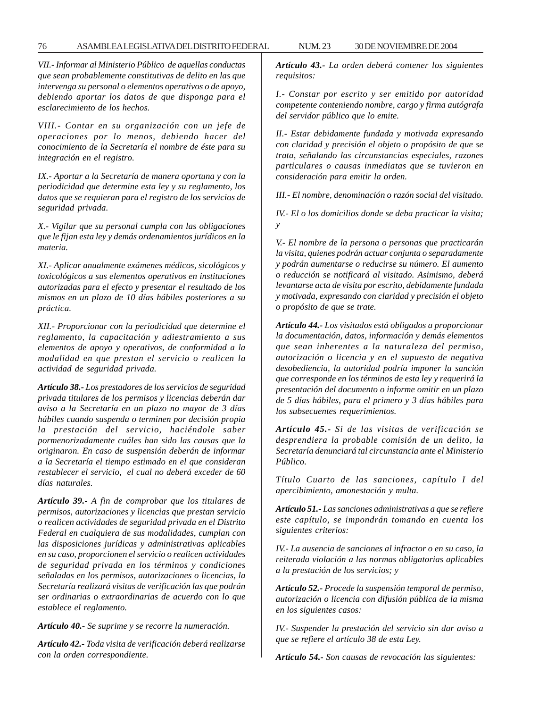*VII.- Informar al Ministerio Público de aquellas conductas que sean probablemente constitutivas de delito en las que intervenga su personal o elementos operativos o de apoyo, debiendo aportar los datos de que disponga para el esclarecimiento de los hechos.*

*VIII.- Contar en su organización con un jefe de operaciones por lo menos, debiendo hacer del conocimiento de la Secretaría el nombre de éste para su integración en el registro.*

*IX.- Aportar a la Secretaría de manera oportuna y con la periodicidad que determine esta ley y su reglamento, los datos que se requieran para el registro de los servicios de seguridad privada.*

*X.- Vigilar que su personal cumpla con las obligaciones que le fijan esta ley y demás ordenamientos jurídicos en la materia.*

*XI.- Aplicar anualmente exámenes médicos, sicológicos y toxicológicos a sus elementos operativos en instituciones autorizadas para el efecto y presentar el resultado de los mismos en un plazo de 10 días hábiles posteriores a su práctica.*

*XII.- Proporcionar con la periodicidad que determine el reglamento, la capacitación y adiestramiento a sus elementos de apoyo y operativos, de conformidad a la modalidad en que prestan el servicio o realicen la actividad de seguridad privada.*

*Artículo 38.- Los prestadores de los servicios de seguridad privada titulares de los permisos y licencias deberán dar aviso a la Secretaría en un plazo no mayor de 3 días hábiles cuando suspenda o terminen por decisión propia la prestación del servicio, haciéndole saber pormenorizadamente cuáles han sido las causas que la originaron. En caso de suspensión deberán de informar a la Secretaría el tiempo estimado en el que consideran restablecer el servicio, el cual no deberá exceder de 60 días naturales.*

*Artículo 39.- A fin de comprobar que los titulares de permisos, autorizaciones y licencias que prestan servicio o realicen actividades de seguridad privada en el Distrito Federal en cualquiera de sus modalidades, cumplan con las disposiciones jurídicas y administrativas aplicables en su caso, proporcionen el servicio o realicen actividades de seguridad privada en los términos y condiciones señaladas en los permisos, autorizaciones o licencias, la Secretaría realizará visitas de verificación las que podrán ser ordinarias o extraordinarias de acuerdo con lo que establece el reglamento.*

*Artículo 40.- Se suprime y se recorre la numeración.*

*Artículo 42.- Toda visita de verificación deberá realizarse con la orden correspondiente.*

*Artículo 43.- La orden deberá contener los siguientes requisitos:*

*I.- Constar por escrito y ser emitido por autoridad competente conteniendo nombre, cargo y firma autógrafa del servidor público que lo emite.*

*II.- Estar debidamente fundada y motivada expresando con claridad y precisión el objeto o propósito de que se trata, señalando las circunstancias especiales, razones particulares o causas inmediatas que se tuvieron en consideración para emitir la orden.*

*III.- El nombre, denominación o razón social del visitado.*

*IV.- El o los domicilios donde se deba practicar la visita; y*

*V.- El nombre de la persona o personas que practicarán la visita, quienes podrán actuar conjunta o separadamente y podrán aumentarse o reducirse su número. El aumento o reducción se notificará al visitado. Asimismo, deberá levantarse acta de visita por escrito, debidamente fundada y motivada, expresando con claridad y precisión el objeto o propósito de que se trate.*

*Artículo 44.- Los visitados está obligados a proporcionar la documentación, datos, información y demás elementos que sean inherentes a la naturaleza del permiso, autorización o licencia y en el supuesto de negativa desobediencia, la autoridad podría imponer la sanción que corresponde en los términos de esta ley y requerirá la presentación del documento o informe omitir en un plazo de 5 días hábiles, para el primero y 3 días hábiles para los subsecuentes requerimientos.*

*Artículo 45.- Si de las visitas de verificación se desprendiera la probable comisión de un delito, la Secretaría denunciará tal circunstancia ante el Ministerio Público.*

*Título Cuarto de las sanciones, capítulo I del apercibimiento, amonestación y multa.*

*Artículo 51.- Las sanciones administrativas a que se refiere este capítulo, se impondrán tomando en cuenta los siguientes criterios:*

*IV.- La ausencia de sanciones al infractor o en su caso, la reiterada violación a las normas obligatorias aplicables a la prestación de los servicios; y*

*Artículo 52.- Procede la suspensión temporal de permiso, autorización o licencia con difusión pública de la misma en los siguientes casos:*

*IV.- Suspender la prestación del servicio sin dar aviso a que se refiere el artículo 38 de esta Ley.*

*Artículo 54.- Son causas de revocación las siguientes:*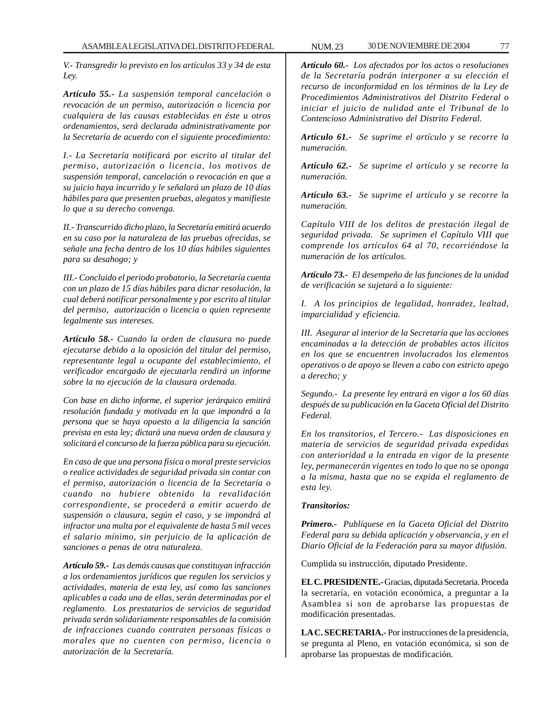*V.- Transgredir lo previsto en los artículos 33 y 34 de esta Ley.*

*Artículo 55.- La suspensión temporal cancelación o revocación de un permiso, autorización o licencia por cualquiera de las causas establecidas en éste u otros ordenamientos, será declarada administrativamente por la Secretaría de acuerdo con el siguiente procedimiento:*

*I.- La Secretaría notificará por escrito al titular del permiso, autorización o licencia, los motivos de suspensión temporal, cancelación o revocación en que a su juicio haya incurrido y le señalará un plazo de 10 días hábiles para que presenten pruebas, alegatos y manifieste lo que a su derecho convenga.*

*II.- Transcurrido dicho plazo, la Secretaría emitirá acuerdo en su caso por la naturaleza de las pruebas ofrecidas, se señale una fecha dentro de los 10 días hábiles siguientes para su desahogo; y*

*III.- Concluido el periodo probatorio, la Secretaría cuenta con un plazo de 15 días hábiles para dictar resolución, la cual deberá notificar personalmente y por escrito al titular del permiso, autorización o licencia o quien represente legalmente sus intereses.*

*Artículo 58.- Cuando la orden de clausura no puede ejecutarse debido a la oposición del titular del permiso, representante legal u ocupante del establecimiento, el verificador encargado de ejecutarla rendirá un informe sobre la no ejecución de la clausura ordenada.*

*Con base en dicho informe, el superior jerárquico emitirá resolución fundada y motivada en la que impondrá a la persona que se haya opuesto a la diligencia la sanción prevista en esta ley; dictará una nueva orden de clausura y solicitará el concurso de la fuerza pública para su ejecución.*

*En caso de que una persona física o moral preste servicios o realice actividades de seguridad privada sin contar con el permiso, autorización o licencia de la Secretaría o cuando no hubiere obtenido la revalidación correspondiente, se procederá a emitir acuerdo de suspensión o clausura, según el caso, y se impondrá al infractor una multa por el equivalente de hasta 5 mil veces el salario mínimo, sin perjuicio de la aplicación de sanciones o penas de otra naturaleza.*

*Artículo 59.- Las demás causas que constituyan infracción a los ordenamientos jurídicos que regulen los servicios y actividades, materia de esta ley, así como las sanciones aplicables a cada una de ellas, serán determinadas por el reglamento. Los prestatarios de servicios de seguridad privada serán solidariamente responsables de la comisión de infracciones cuando contraten personas físicas o morales que no cuenten con permiso, licencia o autorización de la Secretaría.*

*Artículo 60.- Los afectados por los actos o resoluciones de la Secretaría podrán interponer a su elección el recurso de inconformidad en los términos de la Ley de Procedimientos Administrativos del Distrito Federal o iniciar el juicio de nulidad ante el Tribunal de lo Contencioso Administrativo del Distrito Federal.*

*Artículo 61.- Se suprime el artículo y se recorre la numeración.*

*Artículo 62.- Se suprime el artículo y se recorre la numeración.*

*Artículo 63.- Se suprime el artículo y se recorre la numeración.*

*Capítulo VIII de los delitos de prestación ilegal de seguridad privada. Se suprimen el Capítulo VIII que comprende los artículos 64 al 70, recorriéndose la numeración de los artículos.*

*Artículo 73.- El desempeño de las funciones de la unidad de verificación se sujetará a lo siguiente:*

*I. A los principios de legalidad, honradez, lealtad, imparcialidad y eficiencia.*

*III. Asegurar al interior de la Secretaría que las acciones encaminadas a la detección de probables actos ilícitos en los que se encuentren involucrados los elementos operativos o de apoyo se lleven a cabo con estricto apego a derecho; y*

*Segundo.- La presente ley entrará en vigor a los 60 días después de su publicación en la Gaceta Oficial del Distrito Federal.*

*En los transitorios, el Tercero.- Las disposiciones en materia de servicios de seguridad privada expedidas con anterioridad a la entrada en vigor de la presente ley, permanecerán vigentes en todo lo que no se oponga a la misma, hasta que no se expida el reglamento de esta ley.*

## *Transitorios:*

*Primero.- Publíquese en la Gaceta Oficial del Distrito Federal para su debida aplicación y observancia, y en el Diario Oficial de la Federación para su mayor difusión.*

Cumplida su instrucción, diputado Presidente.

**EL C. PRESIDENTE.-** Gracias, diputada Secretaria. Proceda la secretaría, en votación económica, a preguntar a la Asamblea si son de aprobarse las propuestas de modificación presentadas.

**LA C. SECRETARIA.-** Por instrucciones de la presidencia, se pregunta al Pleno, en votación económica, si son de aprobarse las propuestas de modificación.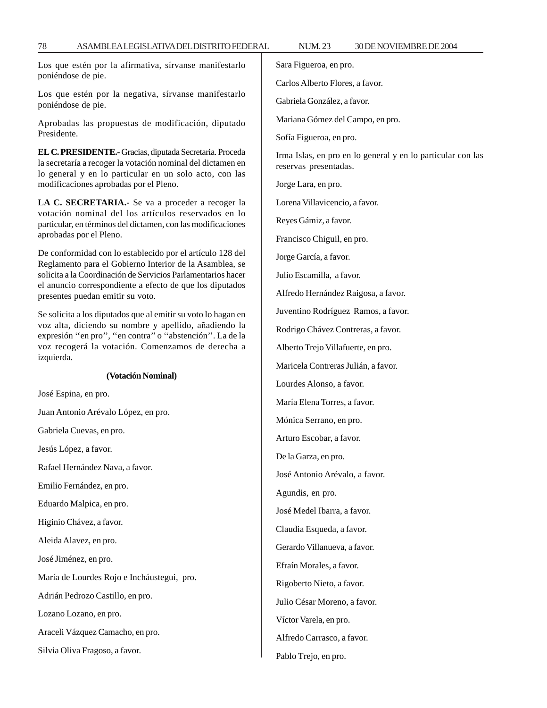Los que estén por la afirmativa, sírvanse manifestarlo poniéndose de pie.

Los que estén por la negativa, sírvanse manifestarlo poniéndose de pie.

Aprobadas las propuestas de modificación, diputado Presidente.

**EL C. PRESIDENTE.-** Gracias, diputada Secretaria. Proceda la secretaría a recoger la votación nominal del dictamen en lo general y en lo particular en un solo acto, con las modificaciones aprobadas por el Pleno.

**LA C. SECRETARIA.-** Se va a proceder a recoger la votación nominal del los artículos reservados en lo particular, en términos del dictamen, con las modificaciones aprobadas por el Pleno.

De conformidad con lo establecido por el artículo 128 del Reglamento para el Gobierno Interior de la Asamblea, se solicita a la Coordinación de Servicios Parlamentarios hacer el anuncio correspondiente a efecto de que los diputados presentes puedan emitir su voto.

Se solicita a los diputados que al emitir su voto lo hagan en voz alta, diciendo su nombre y apellido, añadiendo la expresión ''en pro'', ''en contra'' o ''abstención''. La de la voz recogerá la votación. Comenzamos de derecha a izquierda.

### **(Votación Nominal)**

José Espina, en pro.

Juan Antonio Arévalo López, en pro.

Gabriela Cuevas, en pro.

Jesús López, a favor.

Rafael Hernández Nava, a favor.

Emilio Fernández, en pro.

Eduardo Malpica, en pro.

Higinio Chávez, a favor.

Aleida Alavez, en pro.

José Jiménez, en pro.

María de Lourdes Rojo e Incháustegui, pro.

Adrián Pedrozo Castillo, en pro.

Lozano Lozano, en pro.

Araceli Vázquez Camacho, en pro.

Silvia Oliva Fragoso, a favor.

Sara Figueroa, en pro.

Carlos Alberto Flores, a favor.

Gabriela González, a favor.

Mariana Gómez del Campo, en pro.

Sofía Figueroa, en pro.

Irma Islas, en pro en lo general y en lo particular con las reservas presentadas.

Jorge Lara, en pro.

Lorena Villavicencio, a favor.

Reyes Gámiz, a favor.

Francisco Chiguil, en pro.

Jorge García, a favor.

Julio Escamilla, a favor.

Alfredo Hernández Raigosa, a favor.

Juventino Rodríguez Ramos, a favor.

Rodrigo Chávez Contreras, a favor.

Alberto Trejo Villafuerte, en pro.

Maricela Contreras Julián, a favor.

Lourdes Alonso, a favor.

María Elena Torres, a favor.

Mónica Serrano, en pro.

Arturo Escobar, a favor.

De la Garza, en pro.

José Antonio Arévalo, a favor.

Agundis, en pro.

José Medel Ibarra, a favor.

Claudia Esqueda, a favor.

Gerardo Villanueva, a favor.

Efraín Morales, a favor.

Rigoberto Nieto, a favor.

Julio César Moreno, a favor.

Víctor Varela, en pro.

Alfredo Carrasco, a favor.

Pablo Trejo, en pro.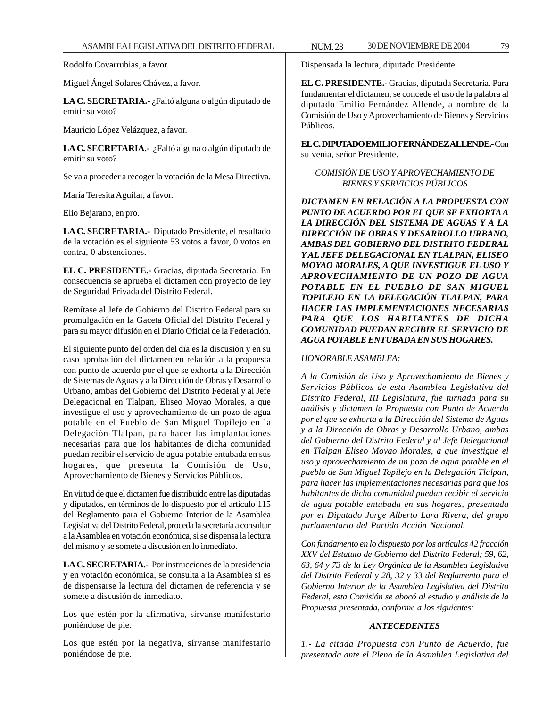Rodolfo Covarrubias, a favor.

Miguel Ángel Solares Chávez, a favor.

**LA C. SECRETARIA.-** ¿Faltó alguna o algún diputado de emitir su voto?

Mauricio López Velázquez, a favor.

**LA C. SECRETARIA.-** ¿Faltó alguna o algún diputado de emitir su voto?

Se va a proceder a recoger la votación de la Mesa Directiva.

María Teresita Aguilar, a favor.

Elio Bejarano, en pro.

**LA C. SECRETARIA.-** Diputado Presidente, el resultado de la votación es el siguiente 53 votos a favor, 0 votos en contra, 0 abstenciones.

**EL C. PRESIDENTE.-** Gracias, diputada Secretaria. En consecuencia se aprueba el dictamen con proyecto de ley de Seguridad Privada del Distrito Federal.

Remítase al Jefe de Gobierno del Distrito Federal para su promulgación en la Gaceta Oficial del Distrito Federal y para su mayor difusión en el Diario Oficial de la Federación.

El siguiente punto del orden del día es la discusión y en su caso aprobación del dictamen en relación a la propuesta con punto de acuerdo por el que se exhorta a la Dirección de Sistemas de Aguas y a la Dirección de Obras y Desarrollo Urbano, ambas del Gobierno del Distrito Federal y al Jefe Delegacional en Tlalpan, Eliseo Moyao Morales, a que investigue el uso y aprovechamiento de un pozo de agua potable en el Pueblo de San Miguel Topilejo en la Delegación Tlalpan, para hacer las implantaciones necesarias para que los habitantes de dicha comunidad puedan recibir el servicio de agua potable entubada en sus hogares, que presenta la Comisión de Uso, Aprovechamiento de Bienes y Servicios Públicos.

En virtud de que el dictamen fue distribuido entre las diputadas y diputados, en términos de lo dispuesto por el artículo 115 del Reglamento para el Gobierno Interior de la Asamblea Legislativa del Distrito Federal, proceda la secretaría a consultar a la Asamblea en votación económica, si se dispensa la lectura del mismo y se somete a discusión en lo inmediato.

**LA C. SECRETARIA.-** Por instrucciones de la presidencia y en votación económica, se consulta a la Asamblea si es de dispensarse la lectura del dictamen de referencia y se somete a discusión de inmediato.

Los que estén por la afirmativa, sírvanse manifestarlo poniéndose de pie.

Los que estén por la negativa, sírvanse manifestarlo poniéndose de pie.

Dispensada la lectura, diputado Presidente.

**EL C. PRESIDENTE.-** Gracias, diputada Secretaria. Para fundamentar el dictamen, se concede el uso de la palabra al diputado Emilio Fernández Allende, a nombre de la Comisión de Uso y Aprovechamiento de Bienes y Servicios Públicos.

**EL C. DIPUTADO EMILIO FERNÁNDEZ ALLENDE.-** Con su venia, señor Presidente.

## *COMISIÓN DE USO Y APROVECHAMIENTO DE BIENES Y SERVICIOS PÚBLICOS*

*DICTAMEN EN RELACIÓN A LA PROPUESTA CON PUNTO DE ACUERDO POR EL QUE SE EXHORTA A LA DIRECCIÓN DEL SISTEMA DE AGUAS Y A LA DIRECCIÓN DE OBRAS Y DESARROLLO URBANO, AMBAS DEL GOBIERNO DEL DISTRITO FEDERAL Y AL JEFE DELEGACIONAL EN TLALPAN, ELISEO MOYAO MORALES, A QUE INVESTIGUE EL USO Y APROVECHAMIENTO DE UN POZO DE AGUA POTABLE EN EL PUEBLO DE SAN MIGUEL TOPILEJO EN LA DELEGACIÓN TLALPAN, PARA HACER LAS IMPLEMENTACIONES NECESARIAS PARA QUE LOS HABITANTES DE DICHA COMUNIDAD PUEDAN RECIBIR EL SERVICIO DE AGUA POTABLE ENTUBADA EN SUS HOGARES.*

### *HONORABLE ASAMBLEA:*

*A la Comisión de Uso y Aprovechamiento de Bienes y Servicios Públicos de esta Asamblea Legislativa del Distrito Federal, III Legislatura, fue turnada para su análisis y dictamen la Propuesta con Punto de Acuerdo por el que se exhorta a la Dirección del Sistema de Aguas y a la Dirección de Obras y Desarrollo Urbano, ambas del Gobierno del Distrito Federal y al Jefe Delegacional en Tlalpan Eliseo Moyao Morales, a que investigue el uso y aprovechamiento de un pozo de agua potable en el pueblo de San Miguel Topílejo en la Delegación Tlalpan, para hacer las implementaciones necesarias para que los habitantes de dicha comunidad puedan recibir el servicio de agua potable entubada en sus hogares, presentada por el Diputado Jorge Alberto Lara Rivera, del grupo parlamentario del Partido Acción Nacional.*

*Con fundamento en lo dispuesto por los artículos 42 fracción XXV del Estatuto de Gobierno del Distrito Federal; 59, 62, 63, 64 y 73 de la Ley Orgánica de la Asamblea Legislativa del Distrito Federal y 28, 32 y 33 del Reglamento para el Gobierno Interior de la Asamblea Legislativa del Distrito Federal, esta Comisión se abocó al estudio y análisis de la Propuesta presentada, conforme a los siguientes:*

## *ANTECEDENTES*

*1.- La citada Propuesta con Punto de Acuerdo, fue presentada ante el Pleno de la Asamblea Legislativa del*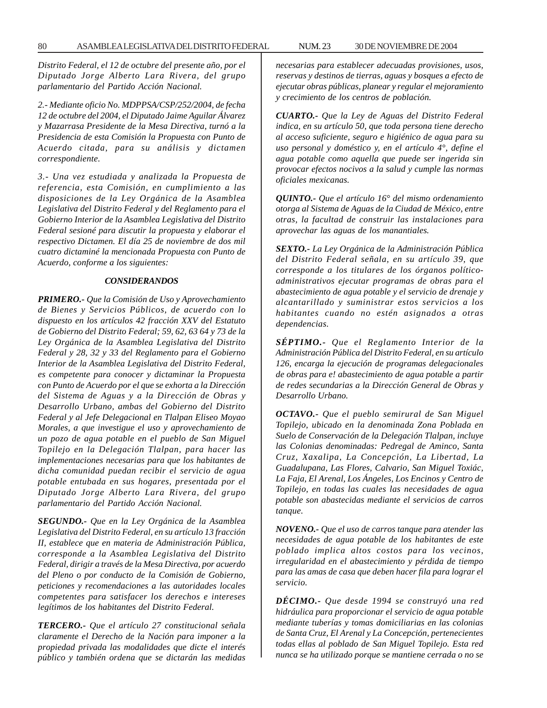*Distrito Federal, el 12 de octubre del presente año, por el Diputado Jorge Alberto Lara Rivera, del grupo parlamentario del Partido Acción Nacional.*

*2.- Mediante oficio No. MDPPSA/CSP/252/2004, de fecha 12 de octubre del 2004, el Diputado Jaime Aguilar Álvarez y Mazarrasa Presidente de la Mesa Directiva, turnó a la Presidencia de esta Comisión la Propuesta con Punto de Acuerdo citada, para su análisis y dictamen correspondiente.*

*3.- Una vez estudiada y analizada la Propuesta de referencia, esta Comisión, en cumplimiento a las disposiciones de la Ley Orgánica de la Asamblea Legislativa del Distrito Federal y del Reglamento para el Gobierno Interior de la Asamblea Legislativa del Distrito Federal sesioné para discutir la propuesta y elaborar el respectivo Dictamen. El día 25 de noviembre de dos mil cuatro dictaminé la mencionada Propuesta con Punto de Acuerdo, conforme a los siguientes:*

#### *CONSIDERANDOS*

*PRIMERO.- Que la Comisión de Uso y Aprovechamiento de Bienes y Servicios Públicos, de acuerdo con lo dispuesto en los artículos 42 fracción XXV del Estatuto de Gobierno del Distrito Federal; 59, 62, 63 64 y 73 de la Ley Orgánica de la Asamblea Legislativa del Distrito Federal y 28, 32 y 33 del Reglamento para el Gobierno Interior de la Asamblea Legislativa del Distrito Federal, es competente para conocer y dictaminar la Propuesta con Punto de Acuerdo por el que se exhorta a la Dirección del Sistema de Aguas y a la Dirección de Obras y Desarrollo Urbano, ambas del Gobierno del Distrito Federal y al Jefe Delegacional en Tlalpan Eliseo Moyao Morales, a que investigue el uso y aprovechamiento de un pozo de agua potable en el pueblo de San Miguel Topilejo en la Delegación Tlalpan, para hacer las implementaciones necesarias para que los habitantes de dicha comunidad puedan recibir el servicio de agua potable entubada en sus hogares, presentada por el Diputado Jorge Alberto Lara Rivera, del grupo parlamentario del Partido Acción Nacional.*

*SEGUNDO.- Que en la Ley Orgánica de la Asamblea Legislativa del Distrito Federal, en su artículo 13 fracción II, establece que en materia de Administración Pública, corresponde a la Asamblea Legislativa del Distrito Federal, dirigir a través de la Mesa Directiva, por acuerdo del Pleno o por conducto de la Comisión de Gobierno, peticiones y recomendaciones a las autoridades locales competentes para satisfacer los derechos e intereses legítimos de los habitantes del Distrito Federal.*

*TERCERO.- Que el artículo 27 constitucional señala claramente el Derecho de la Nación para imponer a la propiedad privada las modalidades que dicte el interés público y también ordena que se dictarán las medidas*

*necesarias para establecer adecuadas provisiones, usos, reservas y destinos de tierras, aguas y bosques a efecto de ejecutar obras públicas, planear y regular el mejoramiento y crecimiento de los centros de población.*

*CUARTO.- Que la Ley de Aguas del Distrito Federal indica, en su artículo 50, que toda persona tiene derecho al acceso suficiente, seguro e higiénico de agua para su uso personal y doméstico y, en el artículo 4°, define el agua potable como aquella que puede ser ingerida sin provocar efectos nocivos a la salud y cumple las normas oficiales mexicanas.*

*QUINTO.- Que el artículo 16° del mismo ordenamiento otorga al Sistema de Aguas de la Ciudad de México, entre otras, la facultad de construir las instalaciones para aprovechar las aguas de los manantiales.*

*SEXTO.- La Ley Orgánica de la Administración Pública del Distrito Federal señala, en su artículo 39, que corresponde a los titulares de los órganos políticoadministrativos ejecutar programas de obras para el abastecimiento de agua potable y el servicio de drenaje y alcantarillado y suministrar estos servicios a los habitantes cuando no estén asignados a otras dependencias.*

*SÉPTIMO.- Que el Reglamento Interior de la Administración Pública del Distrito Federal, en su artículo 126, encarga la ejecución de programas delegacionales de obras para e! abastecimiento de agua potable a partir de redes secundarias a la Dirección General de Obras y Desarrollo Urbano.*

*OCTAVO.- Que el pueblo semirural de San Miguel Topilejo, ubicado en la denominada Zona Poblada en Suelo de Conservación de la Delegación Tlalpan, incluye las Colonias denominadas: Pedregal de Aminco, Santa Cruz, Xaxalipa, La Concepción, La Libertad, La Guadalupana, Las Flores, Calvario, San Miguel Toxiác, La Faja, El Arenal, Los Ángeles, Los Encinos y Centro de Topilejo, en todas las cuales las necesidades de agua potable son abastecidas mediante el servicios de carros tanque.*

*NOVENO.- Que el uso de carros tanque para atender las necesidades de agua potable de los habitantes de este poblado implica altos costos para los vecinos, irregularidad en el abastecimiento y pérdida de tiempo para las amas de casa que deben hacer fila para lograr el servicio.*

*DÉCIMO.- Que desde 1994 se construyó una red hidráulica para proporcionar el servicio de agua potable mediante tuberías y tomas domiciliarias en las colonias de Santa Cruz, El Arenal y La Concepción, pertenecientes todas ellas al poblado de San Miguel Topilejo. Esta red nunca se ha utilizado porque se mantiene cerrada o no se*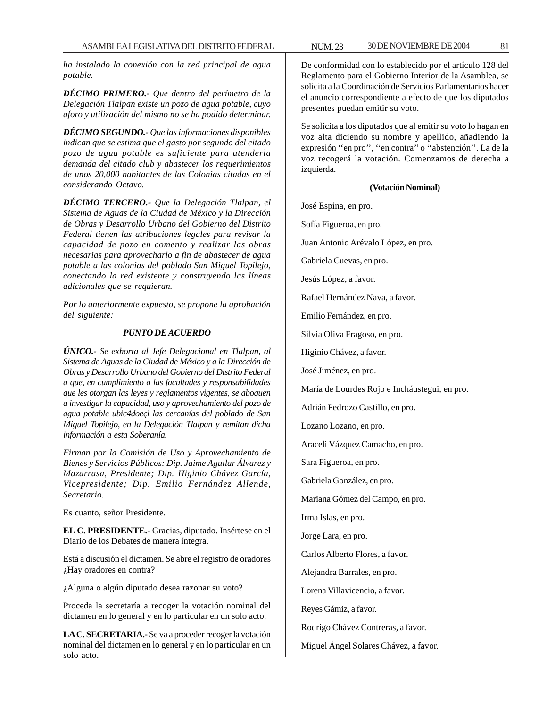*ha instalado la conexión con la red principal de agua potable.*

*DÉCIMO PRIMERO.- Que dentro del perímetro de la Delegación Tlalpan existe un pozo de agua potable, cuyo aforo y utilización del mismo no se ha podido determinar.*

*DÉCIMO SEGUNDO.- Que las informaciones disponibles indican que se estima que el gasto por segundo del citado pozo de agua potable es suficiente para atenderla demanda del citado club y abastecer los requerimientos de unos 20,000 habitantes de las Colonias citadas en el considerando Octavo.*

*DÉCIMO TERCERO.- Que la Delegación Tlalpan, el Sistema de Aguas de la Ciudad de México y la Dirección de Obras y Desarrollo Urbano del Gobierno del Distrito Federal tienen las atribuciones legales para revisar la capacidad de pozo en comento y realizar las obras necesarias para aprovecharlo a fin de abastecer de agua potable a las colonias del poblado San Miguel Topilejo, conectando la red existente y construyendo las líneas adicionales que se requieran.*

*Por lo anteriormente expuesto, se propone la aprobación del siguiente:*

### *PUNTO DE ACUERDO*

*ÚNICO.- Se exhorta al Jefe Delegacional en Tlalpan, al Sistema de Aguas de la Ciudad de México y a la Dirección de Obras y Desarrollo Urbano del Gobierno del Distrito Federal a que, en cumplimiento a las facultades y responsabilidades que les otorgan las leyes y reglamentos vigentes, se aboquen a investigar la capacidad, uso y aprovechamiento del pozo de agua potable ubic4doeçl las cercanías del poblado de San Miguel Topilejo, en la Delegación Tlalpan y remitan dicha información a esta Soberanía.*

*Firman por la Comisión de Uso y Aprovechamiento de Bienes y Servicios Públicos: Dip. Jaime Aguilar Álvarez y Mazarrasa, Presidente; Dip. Higinio Chávez García, Vicepresidente; Dip. Emilio Fernández Allende, Secretario.*

Es cuanto, señor Presidente.

**EL C. PRESIDENTE.-** Gracias, diputado. Insértese en el Diario de los Debates de manera íntegra.

Está a discusión el dictamen. Se abre el registro de oradores ¿Hay oradores en contra?

¿Alguna o algún diputado desea razonar su voto?

Proceda la secretaría a recoger la votación nominal del dictamen en lo general y en lo particular en un solo acto.

**LA C. SECRETARIA.-** Se va a proceder recoger la votación nominal del dictamen en lo general y en lo particular en un solo acto.

De conformidad con lo establecido por el artículo 128 del Reglamento para el Gobierno Interior de la Asamblea, se solicita a la Coordinación de Servicios Parlamentarios hacer el anuncio correspondiente a efecto de que los diputados presentes puedan emitir su voto.

Se solicita a los diputados que al emitir su voto lo hagan en voz alta diciendo su nombre y apellido, añadiendo la expresión ''en pro'', ''en contra'' o ''abstención''. La de la voz recogerá la votación. Comenzamos de derecha a izquierda.

## **(Votación Nominal)**

José Espina, en pro.

Sofía Figueroa, en pro.

Juan Antonio Arévalo López, en pro.

Gabriela Cuevas, en pro.

Jesús López, a favor.

Rafael Hernández Nava, a favor.

Emilio Fernández, en pro.

Silvia Oliva Fragoso, en pro.

Higinio Chávez, a favor.

José Jiménez, en pro.

María de Lourdes Rojo e Incháustegui, en pro.

Adrián Pedrozo Castillo, en pro.

Lozano Lozano, en pro.

Araceli Vázquez Camacho, en pro.

Sara Figueroa, en pro.

Gabriela González, en pro.

Mariana Gómez del Campo, en pro.

Irma Islas, en pro.

Jorge Lara, en pro.

Carlos Alberto Flores, a favor.

Alejandra Barrales, en pro.

Lorena Villavicencio, a favor.

Reyes Gámiz, a favor.

Rodrigo Chávez Contreras, a favor.

Miguel Ángel Solares Chávez, a favor.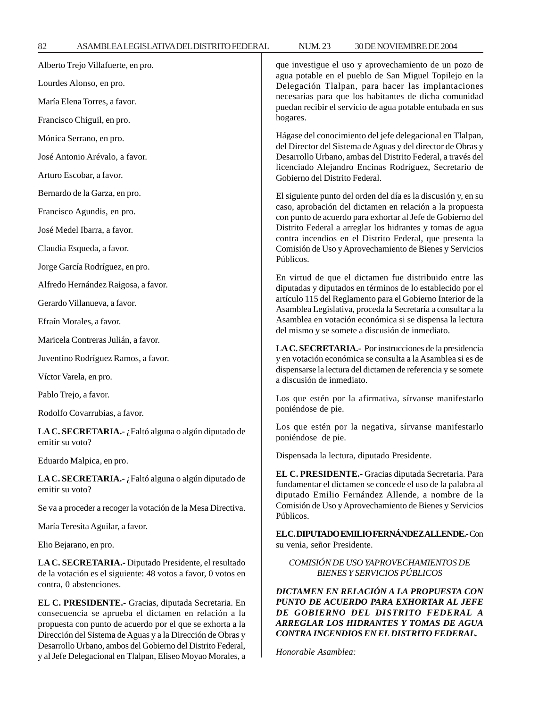y al Jefe Delegacional en Tlalpan, Eliseo Moyao Morales, a

| Alberto Trejo Villafuerte, en pro.                                                                                                                                                                                                                                                                                                                                 | que investigue el uso y aprovechamiento de un pozo de<br>agua potable en el pueblo de San Miguel Topilejo en la<br>Delegación Tlalpan, para hacer las implantaciones<br>necesarias para que los habitantes de dicha comunidad<br>puedan recibir el servicio de agua potable entubada en sus<br>hogares.                                                                     |
|--------------------------------------------------------------------------------------------------------------------------------------------------------------------------------------------------------------------------------------------------------------------------------------------------------------------------------------------------------------------|-----------------------------------------------------------------------------------------------------------------------------------------------------------------------------------------------------------------------------------------------------------------------------------------------------------------------------------------------------------------------------|
| Lourdes Alonso, en pro.                                                                                                                                                                                                                                                                                                                                            |                                                                                                                                                                                                                                                                                                                                                                             |
| María Elena Torres, a favor.                                                                                                                                                                                                                                                                                                                                       |                                                                                                                                                                                                                                                                                                                                                                             |
| Francisco Chiguil, en pro.                                                                                                                                                                                                                                                                                                                                         |                                                                                                                                                                                                                                                                                                                                                                             |
| Mónica Serrano, en pro.                                                                                                                                                                                                                                                                                                                                            | Hágase del conocimiento del jefe delegacional en Tlalpan,<br>del Director del Sistema de Aguas y del director de Obras y<br>Desarrollo Urbano, ambas del Distrito Federal, a través del<br>licenciado Alejandro Encinas Rodríguez, Secretario de<br>Gobierno del Distrito Federal.                                                                                          |
| José Antonio Arévalo, a favor.                                                                                                                                                                                                                                                                                                                                     |                                                                                                                                                                                                                                                                                                                                                                             |
| Arturo Escobar, a favor.                                                                                                                                                                                                                                                                                                                                           |                                                                                                                                                                                                                                                                                                                                                                             |
| Bernardo de la Garza, en pro.                                                                                                                                                                                                                                                                                                                                      | El siguiente punto del orden del día es la discusión y, en su<br>caso, aprobación del dictamen en relación a la propuesta<br>con punto de acuerdo para exhortar al Jefe de Gobierno del<br>Distrito Federal a arreglar los hidrantes y tomas de agua<br>contra incendios en el Distrito Federal, que presenta la<br>Comisión de Uso y Aprovechamiento de Bienes y Servicios |
| Francisco Agundis, en pro.                                                                                                                                                                                                                                                                                                                                         |                                                                                                                                                                                                                                                                                                                                                                             |
| José Medel Ibarra, a favor.                                                                                                                                                                                                                                                                                                                                        |                                                                                                                                                                                                                                                                                                                                                                             |
| Claudia Esqueda, a favor.                                                                                                                                                                                                                                                                                                                                          |                                                                                                                                                                                                                                                                                                                                                                             |
| Jorge García Rodríguez, en pro.                                                                                                                                                                                                                                                                                                                                    | Públicos.                                                                                                                                                                                                                                                                                                                                                                   |
| Alfredo Hernández Raigosa, a favor.                                                                                                                                                                                                                                                                                                                                | En virtud de que el dictamen fue distribuido entre las<br>diputadas y diputados en términos de lo establecido por el<br>artículo 115 del Reglamento para el Gobierno Interior de la<br>Asamblea Legislativa, proceda la Secretaría a consultar a la<br>Asamblea en votación económica si se dispensa la lectura<br>del mismo y se somete a discusión de inmediato.          |
| Gerardo Villanueva, a favor.                                                                                                                                                                                                                                                                                                                                       |                                                                                                                                                                                                                                                                                                                                                                             |
| Efraín Morales, a favor.                                                                                                                                                                                                                                                                                                                                           |                                                                                                                                                                                                                                                                                                                                                                             |
| Maricela Contreras Julián, a favor.                                                                                                                                                                                                                                                                                                                                | LA C. SECRETARIA.- Por instrucciones de la presidencia<br>y en votación económica se consulta a la Asamblea si es de<br>dispensarse la lectura del dictamen de referencia y se somete<br>a discusión de inmediato.                                                                                                                                                          |
| Juventino Rodríguez Ramos, a favor.                                                                                                                                                                                                                                                                                                                                |                                                                                                                                                                                                                                                                                                                                                                             |
| Víctor Varela, en pro.                                                                                                                                                                                                                                                                                                                                             |                                                                                                                                                                                                                                                                                                                                                                             |
| Pablo Trejo, a favor.                                                                                                                                                                                                                                                                                                                                              | Los que estén por la afirmativa, sírvanse manifestarlo<br>poniéndose de pie.                                                                                                                                                                                                                                                                                                |
| Rodolfo Covarrubias, a favor.                                                                                                                                                                                                                                                                                                                                      |                                                                                                                                                                                                                                                                                                                                                                             |
| LA C. SECRETARIA.- ¿Faltó alguna o algún diputado de<br>emitir su voto?                                                                                                                                                                                                                                                                                            | Los que estén por la negativa, sírvanse manifestarlo<br>poniéndose de pie.                                                                                                                                                                                                                                                                                                  |
| Eduardo Malpica, en pro.                                                                                                                                                                                                                                                                                                                                           | Dispensada la lectura, diputado Presidente.                                                                                                                                                                                                                                                                                                                                 |
| LA C. SECRETARIA.- ¿Faltó alguna o algún diputado de<br>emitir su voto?                                                                                                                                                                                                                                                                                            | EL C. PRESIDENTE.- Gracias diputada Secretaria. Para<br>fundamentar el dictamen se concede el uso de la palabra al<br>diputado Emilio Fernández Allende, a nombre de la<br>Comisión de Uso y Aprovechamiento de Bienes y Servicios<br>Públicos.                                                                                                                             |
| Se va a proceder a recoger la votación de la Mesa Directiva.                                                                                                                                                                                                                                                                                                       |                                                                                                                                                                                                                                                                                                                                                                             |
| María Teresita Aguilar, a favor.                                                                                                                                                                                                                                                                                                                                   | EL C. DIPUTADO EMILIO FERNÁNDEZ ALLENDE. Con<br>su venia, señor Presidente.                                                                                                                                                                                                                                                                                                 |
| Elio Bejarano, en pro.                                                                                                                                                                                                                                                                                                                                             |                                                                                                                                                                                                                                                                                                                                                                             |
| LA C. SECRETARIA.- Diputado Presidente, el resultado<br>de la votación es el siguiente: 48 votos a favor, 0 votos en<br>contra, 0 abstenciones.                                                                                                                                                                                                                    | COMISIÓN DE USO YAPROVECHAMIENTOS DE<br><b>BIENES Y SERVICIOS PÚBLICOS</b>                                                                                                                                                                                                                                                                                                  |
| EL C. PRESIDENTE.- Gracias, diputada Secretaria. En<br>consecuencia se aprueba el dictamen en relación a la<br>propuesta con punto de acuerdo por el que se exhorta a la<br>Dirección del Sistema de Aguas y a la Dirección de Obras y<br>Desarrollo Urbano, ambos del Gobierno del Distrito Federal,<br>val Jefe Delegacional en Tlalpan, Eliseo Movao Morales, a | DICTAMEN EN RELACIÓN A LA PROPUESTA CON<br>PUNTO DE ACUERDO PARA EXHORTAR AL JEFE<br>DE GOBIERNO DEL DISTRITO FEDERAL A<br>ARREGLAR LOS HIDRANTES Y TOMAS DE AGUA<br>CONTRA INCENDIOS EN EL DISTRITO FEDERAL.<br>Honorable Asamblea:                                                                                                                                        |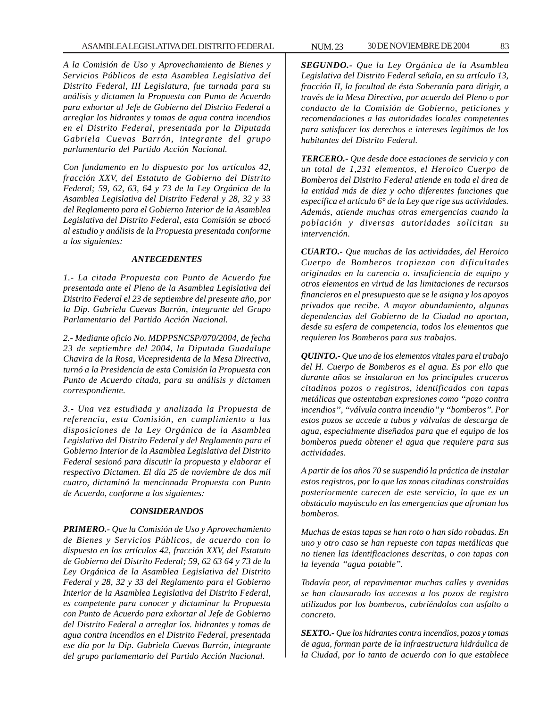*A la Comisión de Uso y Aprovechamiento de Bienes y Servicios Públicos de esta Asamblea Legislativa del Distrito Federal, III Legislatura, fue turnada para su análisis y dictamen la Propuesta con Punto de Acuerdo para exhortar al Jefe de Gobierno del Distrito Federal a arreglar los hidrantes y tomas de agua contra incendios en el Distrito Federal, presentada por la Diputada Gabriela Cuevas Barrón, integrante del grupo parlamentario del Partido Acción Nacional.*

*Con fundamento en lo dispuesto por los artículos 42, fracción XXV, del Estatuto de Gobierno del Distrito Federal; 59, 62, 63, 64 y 73 de la Ley Orgánica de la Asamblea Legislativa del Distrito Federal y 28, 32 y 33 del Reglamento para el Gobierno Interior de la Asamblea Legislativa del Distrito Federal, esta Comisión se abocó al estudio y análisis de la Propuesta presentada conforme a los siguientes:*

### *ANTECEDENTES*

*1.- La citada Propuesta con Punto de Acuerdo fue presentada ante el Pleno de la Asamblea Legislativa del Distrito Federal el 23 de septiembre del presente año, por la Dip. Gabriela Cuevas Barrón, integrante del Grupo Parlamentario del Partido Acción Nacional.*

*2.- Mediante oficio No. MDPPSNCSP/070/2004, de fecha 23 de septiembre del 2004, la Diputada Guadalupe Chavira de la Rosa, Vicepresidenta de la Mesa Directiva, turnó a la Presidencia de esta Comisión la Propuesta con Punto de Acuerdo citada, para su análisis y dictamen correspondiente.*

*3.- Una vez estudiada y analizada la Propuesta de referencia, esta Comisión, en cumplimiento a las disposiciones de la Ley Orgánica de la Asamblea Legislativa del Distrito Federal y del Reglamento para el Gobierno Interior de la Asamblea Legislativa del Distrito Federal sesionó para discutir la propuesta y elaborar el respectivo Dictamen. El día 25 de noviembre de dos mil cuatro, dictaminó la mencionada Propuesta con Punto de Acuerdo, conforme a los siguientes:*

#### *CONSIDERANDOS*

*PRIMERO.- Que la Comisión de Uso y Aprovechamiento de Bienes y Servicios Públicos, de acuerdo con lo dispuesto en los artículos 42, fracción XXV, del Estatuto de Gobierno del Distrito Federal; 59, 62 63 64 y 73 de la Ley Orgánica de la Asamblea Legislativa del Distrito Federal y 28, 32 y 33 del Reglamento para el Gobierno Interior de la Asamblea Legislativa del Distrito Federal, es competente para conocer y dictaminar la Propuesta con Punto de Acuerdo para exhortar al Jefe de Gobierno del Distrito Federal a arreglar los. hidrantes y tomas de agua contra incendios en el Distrito Federal, presentada ese día por la Dip. Gabriela Cuevas Barrón, integrante del grupo parlamentario del Partido Acción Nacional.*

*SEGUNDO.- Que la Ley Orgánica de la Asamblea Legislativa del Distrito Federal señala, en su artículo 13, fracción II, la facultad de ésta Soberanía para dirigir, a través de la Mesa Directiva, por acuerdo del Pleno o por conducto de la Comisión de Gobierno, peticiones y recomendaciones a las autoridades locales competentes para satisfacer los derechos e intereses legítimos de los habitantes del Distrito Federal.*

*TERCERO.- Que desde doce estaciones de servicio y con un total de 1,231 elementos, el Heroico Cuerpo de Bomberos del Distrito Federal atiende en toda el área de la entidad más de diez y ocho diferentes funciones que específica el artículo 6° de la Ley que rige sus actividades. Además, atiende muchas otras emergencias cuando la población y diversas autoridades solicitan su intervención.*

*CUARTO.- Que muchas de las actividades, del Heroico Cuerpo de Bomberos tropiezan con dificultades originadas en la carencia o. insuficiencia de equipo y otros elementos en virtud de las limitaciones de recursos financieros en el presupuesto que se le asigna y los apoyos privados que recibe. A mayor abundamiento, algunas dependencias del Gobierno de la Ciudad no aportan, desde su esfera de competencia, todos los elementos que requieren los Bomberos para sus trabajos.*

*QUINTO.- Que uno de los elementos vitales para el trabajo del H. Cuerpo de Bomberos es el agua. Es por ello que durante años se instalaron en los principales cruceros citadinos pozos o registros, identificados con tapas metálicas que ostentaban expresiones como ''pozo contra incendios'', ''válvula contra incendio'' y ''bomberos''. Por estos pozos se accede a tubos y válvulas de descarga de agua, especialmente diseñados para que el equipo de los bomberos pueda obtener el agua que requiere para sus actividades.*

*A partir de los años 70 se suspendió la práctica de instalar estos registros, por lo que las zonas citadinas construidas posteriormente carecen de este servicio, lo que es un obstáculo mayúsculo en las emergencias que afrontan los bomberos.*

*Muchas de estas tapas se han roto o han sido robadas. En uno y otro caso se han repueste con tapas metálicas que no tienen las identificaciones descritas, o con tapas con la leyenda ''agua potable''.*

*Todavía peor, al repavimentar muchas calles y avenidas se han clausurado los accesos a los pozos de registro utilizados por los bomberos, cubriéndolos con asfalto o concreto.*

*SEXTO.- Que los hidrantes contra incendios, pozos y tomas de agua, forman parte de la infraestructura hidráulica de la Ciudad, por lo tanto de acuerdo con lo que establece*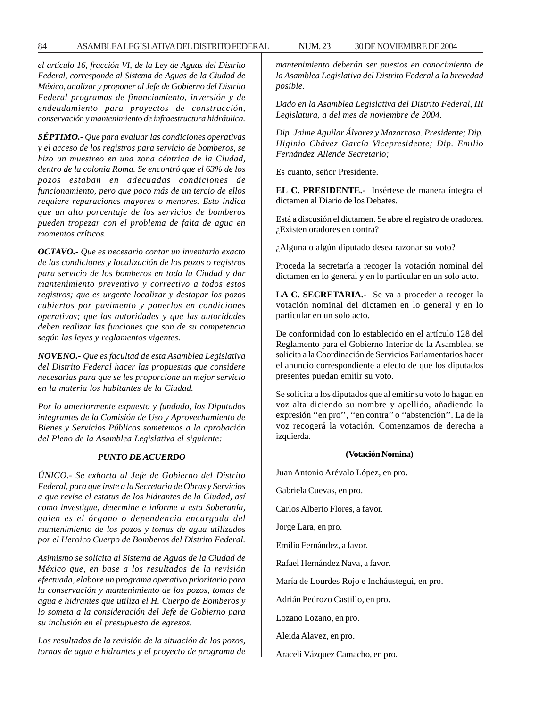*el artículo 16, fracción VI, de la Ley de Aguas del Distrito Federal, corresponde al Sistema de Aguas de la Ciudad de México, analizar y proponer al Jefe de Gobierno del Distrito Federal programas de financiamiento, inversión y de endeudamiento para proyectos de construcción, conservación y mantenimiento de infraestructura hidráulica.*

*SÉPTIMO.- Que para evaluar las condiciones operativas y el acceso de los registros para servicio de bomberos, se hizo un muestreo en una zona céntrica de la Ciudad, dentro de la colonia Roma. Se encontró que el 63% de los pozos estaban en adecuadas condiciones de funcionamiento, pero que poco más de un tercio de ellos requiere reparaciones mayores o menores. Esto indica que un alto porcentaje de los servicios de bomberos pueden tropezar con el problema de falta de agua en momentos críticos.*

*OCTAVO.- Que es necesario contar un inventario exacto de las condiciones y localización de los pozos o registros para servicio de los bomberos en toda la Ciudad y dar mantenimiento preventivo y correctivo a todos estos registros; que es urgente localizar y destapar los pozos cubiertos por pavimento y ponerlos en condiciones operativas; que las autoridades y que las autoridades deben realizar las funciones que son de su competencia según las leyes y reglamentos vigentes.*

*NOVENO.- Que es facultad de esta Asamblea Legislativa del Distrito Federal hacer las propuestas que considere necesarias para que se les proporcione un mejor servicio en la materia los habitantes de la Ciudad.*

*Por lo anteriormente expuesto y fundado, los Diputados integrantes de la Comisión de Uso y Aprovechamiento de Bienes y Servicios Públicos sometemos a la aprobación del Pleno de la Asamblea Legislativa el siguiente:*

## *PUNTO DE ACUERDO*

*ÚNICO.- Se exhorta al Jefe de Gobierno del Distrito Federal, para que inste a la Secretaria de Obras y Servicios a que revise el estatus de los hidrantes de la Ciudad, así como investigue, determine e informe a esta Soberanía, quien es el órgano o dependencia encargada del mantenimiento de los pozos y tomas de agua utilizados por el Heroico Cuerpo de Bomberos del Distrito Federal.*

*Asimismo se solicita al Sistema de Aguas de la Ciudad de México que, en base a los resultados de la revisión efectuada, elabore un programa operativo prioritario para la conservación y mantenimiento de los pozos, tomas de agua e hidrantes que utiliza el H. Cuerpo de Bomberos y lo someta a la consideración del Jefe de Gobierno para su inclusión en el presupuesto de egresos.*

*Los resultados de la revisión de la situación de los pozos, tornas de agua e hidrantes y el proyecto de programa de* *mantenimiento deberán ser puestos en conocimiento de la Asamblea Legislativa del Distrito Federal a la brevedad posible.*

*Dado en la Asamblea Legislativa del Distrito Federal, III Legislatura, a del mes de noviembre de 2004.*

*Dip. Jaime Aguilar Álvarez y Mazarrasa. Presidente; Dip. Higinio Chávez García Vicepresidente; Dip. Emilio Fernández Allende Secretario;*

Es cuanto, señor Presidente.

**EL C. PRESIDENTE.-** Insértese de manera íntegra el dictamen al Diario de los Debates.

Está a discusión el dictamen. Se abre el registro de oradores. ¿Existen oradores en contra?

¿Alguna o algún diputado desea razonar su voto?

Proceda la secretaría a recoger la votación nominal del dictamen en lo general y en lo particular en un solo acto.

**LA C. SECRETARIA.-** Se va a proceder a recoger la votación nominal del dictamen en lo general y en lo particular en un solo acto.

De conformidad con lo establecido en el artículo 128 del Reglamento para el Gobierno Interior de la Asamblea, se solicita a la Coordinación de Servicios Parlamentarios hacer el anuncio correspondiente a efecto de que los diputados presentes puedan emitir su voto.

Se solicita a los diputados que al emitir su voto lo hagan en voz alta diciendo su nombre y apellido, añadiendo la expresión ''en pro'', ''en contra'' o ''abstención''. La de la voz recogerá la votación. Comenzamos de derecha a izquierda.

#### **(Votación Nomina)**

Juan Antonio Arévalo López, en pro.

Gabriela Cuevas, en pro.

Carlos Alberto Flores, a favor.

Jorge Lara, en pro.

Emilio Fernández, a favor.

Rafael Hernández Nava, a favor.

María de Lourdes Rojo e Incháustegui, en pro.

Adrián Pedrozo Castillo, en pro.

Lozano Lozano, en pro.

Aleida Alavez, en pro.

Araceli Vázquez Camacho, en pro.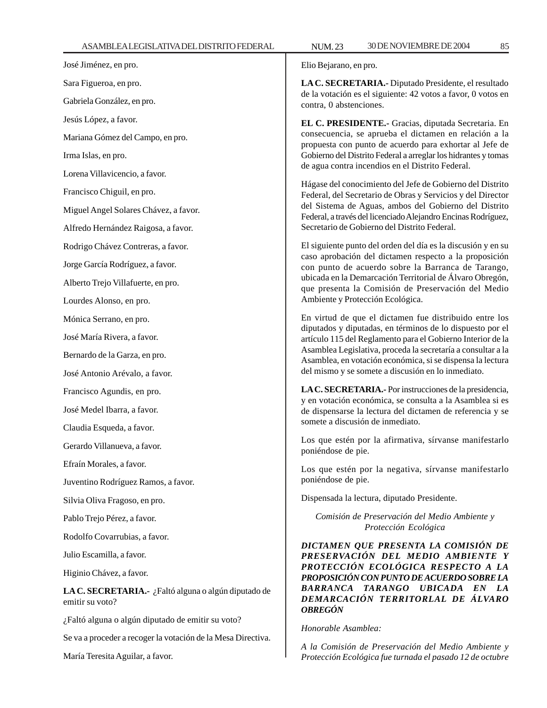José Jiménez, en pro. Sara Figueroa, en pro. Gabriela González, en pro. Jesús López, a favor. Mariana Gómez del Campo, en pro. Irma Islas, en pro. Lorena Villavicencio, a favor. Francisco Chiguil, en pro. Miguel Angel Solares Chávez, a favor. Alfredo Hernández Raigosa, a favor. Rodrigo Chávez Contreras, a favor. Jorge García Rodríguez, a favor. Alberto Trejo Villafuerte, en pro. Lourdes Alonso, en pro. Mónica Serrano, en pro. José María Rivera, a favor. Bernardo de la Garza, en pro. José Antonio Arévalo, a favor. Francisco Agundis, en pro. José Medel Ibarra, a favor. Claudia Esqueda, a favor. Gerardo Villanueva, a favor. Efraín Morales, a favor. Juventino Rodríguez Ramos, a favor. Silvia Oliva Fragoso, en pro.

Pablo Trejo Pérez, a favor.

Rodolfo Covarrubias, a favor.

Julio Escamilla, a favor.

Higinio Chávez, a favor.

**LA C. SECRETARIA.-** ¿Faltó alguna o algún diputado de emitir su voto?

¿Faltó alguna o algún diputado de emitir su voto?

Se va a proceder a recoger la votación de la Mesa Directiva.

María Teresita Aguilar, a favor.

Elio Bejarano, en pro.

**LA C. SECRETARIA.-** Diputado Presidente, el resultado de la votación es el siguiente: 42 votos a favor, 0 votos en contra, 0 abstenciones.

**EL C. PRESIDENTE.-** Gracias, diputada Secretaria. En consecuencia, se aprueba el dictamen en relación a la propuesta con punto de acuerdo para exhortar al Jefe de Gobierno del Distrito Federal a arreglar los hidrantes y tomas de agua contra incendios en el Distrito Federal.

Hágase del conocimiento del Jefe de Gobierno del Distrito Federal, del Secretario de Obras y Servicios y del Director del Sistema de Aguas, ambos del Gobierno del Distrito Federal, a través del licenciado Alejandro Encinas Rodríguez, Secretario de Gobierno del Distrito Federal.

El siguiente punto del orden del día es la discusión y en su caso aprobación del dictamen respecto a la proposición con punto de acuerdo sobre la Barranca de Tarango, ubicada en la Demarcación Territorial de Álvaro Obregón, que presenta la Comisión de Preservación del Medio Ambiente y Protección Ecológica.

En virtud de que el dictamen fue distribuido entre los diputados y diputadas, en términos de lo dispuesto por el artículo 115 del Reglamento para el Gobierno Interior de la Asamblea Legislativa, proceda la secretaría a consultar a la Asamblea, en votación económica, si se dispensa la lectura del mismo y se somete a discusión en lo inmediato.

**LA C. SECRETARIA.-** Por instrucciones de la presidencia, y en votación económica, se consulta a la Asamblea si es de dispensarse la lectura del dictamen de referencia y se somete a discusión de inmediato.

Los que estén por la afirmativa, sírvanse manifestarlo poniéndose de pie.

Los que estén por la negativa, sírvanse manifestarlo poniéndose de pie.

Dispensada la lectura, diputado Presidente.

*Comisión de Preservación del Medio Ambiente y Protección Ecológica*

*DICTAMEN QUE PRESENTA LA COMISIÓN DE PRESERVACIÓN DEL MEDIO AMBIENTE Y PROTECCIÓN ECOLÓGICA RESPECTO A LA PROPOSICIÓN CON PUNTO DE ACUERDO SOBRE LA BARRANCA TARANGO UBICADA EN LA DEMARCACIÓN TERRITORLAL DE ÁLVARO OBREGÓN*

#### *Honorable Asamblea:*

*A la Comisión de Preservación del Medio Ambiente y Protección Ecológica fue turnada el pasado 12 de octubre*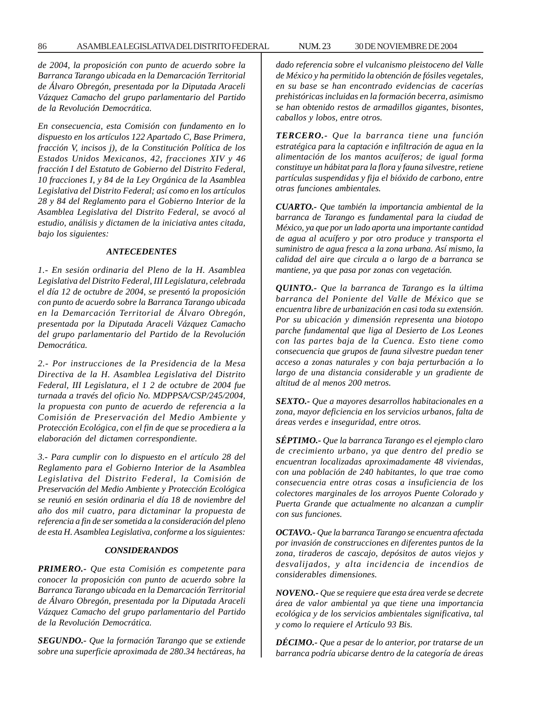*de 2004, la proposición con punto de acuerdo sobre la Barranca Tarango ubicada en la Demarcación Territorial de Álvaro Obregón, presentada por la Diputada Araceli Vázquez Camacho del grupo parlamentario del Partido de la Revolución Democrática.*

*En consecuencia, esta Comisión con fundamento en lo dispuesto en los artículos 122 Apartado C, Base Primera, fracción V, incisos j), de la Constitución Política de los Estados Unidos Mexicanos, 42, fracciones XIV y 46 fracción I del Estatuto de Gobierno del Distrito Federal, 10 fracciones I, y 84 de la Ley Orgánica de la Asamblea Legislativa del Distrito Federal; así como en los artículos 28 y 84 del Reglamento para el Gobierno Interior de la Asamblea Legislativa del Distrito Federal, se avocó al estudio, análisis y dictamen de la iniciativa antes citada, bajo los siguientes:*

#### *ANTECEDENTES*

*1.- En sesión ordinaria del Pleno de la H. Asamblea Legislativa del Distrito Federal, III Legislatura, celebrada el día 12 de octubre de 2004, se presentó la proposición con punto de acuerdo sobre la Barranca Tarango ubicada en la Demarcación Territorial de Álvaro Obregón, presentada por la Diputada Araceli Vázquez Camacho del grupo parlamentario del Partido de la Revolución Democrática.*

*2.- Por instrucciones de la Presidencia de la Mesa Directiva de la H. Asamblea Legislativa del Distrito Federal, III Legislatura, el 1 2 de octubre de 2004 fue turnada a través del oficio No. MDPPSA/CSP/245/2004, la propuesta con punto de acuerdo de referencia a la Comisión de Preservación del Medio Ambiente y Protección Ecológica, con el fin de que se procediera a la elaboración del dictamen correspondiente.*

*3.- Para cumplir con lo dispuesto en el artículo 28 del Reglamento para el Gobierno Interior de la Asamblea Legislativa del Distrito Federal, la Comisión de Preservación del Medio Ambiente y Protección Ecológica se reunió en sesión ordinaria el día 18 de noviembre del año dos mil cuatro, para dictaminar la propuesta de referencia a fin de ser sometida a la consideración del pleno de esta H. Asamblea Legislativa, conforme a los siguientes:*

### *CONSIDERANDOS*

*PRIMERO.- Que esta Comisión es competente para conocer la proposición con punto de acuerdo sobre la Barranca Tarango ubicada en la Demarcación Territorial de Álvaro Obregón, presentada por la Diputada Araceli Vázquez Camacho del grupo parlamentario del Partido de la Revolución Democrática.*

*SEGUNDO.- Que la formación Tarango que se extiende sobre una superficie aproximada de 280.34 hectáreas, ha* *dado referencia sobre el vulcanismo pleistoceno del Valle de México y ha permitido la obtención de fósiles vegetales, en su base se han encontrado evidencias de cacerías prehistóricas incluidas en la formación becerra, asimismo se han obtenido restos de armadillos gigantes, bisontes, caballos y lobos, entre otros.*

*TERCERO.- Que la barranca tiene una función estratégica para la captación e infiltración de agua en la alimentación de los mantos acuíferos; de igual forma constituye un hábitat para la flora y fauna silvestre, retiene partículas suspendidas y fija el bióxido de carbono, entre otras funciones ambientales.*

*CUARTO.- Que también la importancia ambiental de la barranca de Tarango es fundamental para la ciudad de México, ya que por un lado aporta una importante cantidad de agua al acuífero y por otro produce y transporta el suministro de agua fresca a la zona urbana. Así mismo, la calidad del aire que circula a o largo de a barranca se mantiene, ya que pasa por zonas con vegetación.*

*QUINTO.- Que la barranca de Tarango es la última barranca del Poniente del Valle de México que se encuentra libre de urbanización en casi toda su extensión. Por su ubicación y dimensión representa una biotopo parche fundamental que liga al Desierto de Los Leones con las partes baja de la Cuenca. Esto tiene como consecuencia que grupos de fauna silvestre puedan tener acceso a zonas naturales y con baja perturbación a lo largo de una distancia considerable y un gradiente de altitud de al menos 200 metros.*

*SEXTO.- Que a mayores desarrollos habitacionales en a zona, mayor deficiencia en los servicios urbanos, falta de áreas verdes e inseguridad, entre otros.*

*SÉPTIMO.- Que la barranca Tarango es el ejemplo claro de crecimiento urbano, ya que dentro del predio se encuentran localizadas aproximadamente 48 viviendas, con una población de 240 habitantes, lo que trae como consecuencia entre otras cosas a insuficiencia de los colectores marginales de los arroyos Puente Colorado y Puerta Grande que actualmente no alcanzan a cumplir con sus funciones.*

*OCTAVO.- Que la barranca Tarango se encuentra afectada por invasión de construcciones en diferentes puntos de la zona, tiraderos de cascajo, depósitos de autos viejos y desvalijados, y alta incidencia de incendios de considerables dimensiones.*

*NOVENO.- Que se requiere que esta área verde se decrete área de valor ambiental ya que tiene una importancia ecológica y de los servicios ambientales significativa, tal y como lo requiere el Artículo 93 Bis.*

*DÉCIMO.- Que a pesar de lo anterior, por tratarse de un barranca podría ubicarse dentro de la categoría de áreas*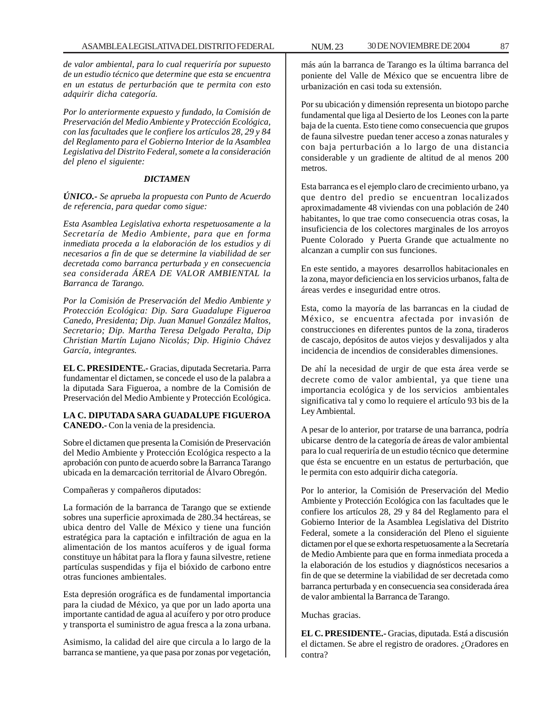*de valor ambiental, para lo cual requeriría por supuesto de un estudio técnico que determine que esta se encuentra en un estatus de perturbación que te permita con esto adquirir dicha categoría.*

*Por lo anteriormente expuesto y fundado, la Comisión de Preservación del Medio Ambiente y Protección Ecológica, con las facultades que le confiere los artículos 28, 29 y 84 del Reglamento para el Gobierno Interior de la Asamblea Legislativa del Distrito Federal, somete a la consideración del pleno el siguiente:*

### *DICTAMEN*

*ÚNICO.- Se aprueba la propuesta con Punto de Acuerdo de referencia, para quedar como sigue:*

*Esta Asamblea Legislativa exhorta respetuosamente a la Secretaría de Medio Ambiente, para que en forma inmediata proceda a la elaboración de los estudios y di necesarios a fin de que se determine la viabilidad de ser decretada como barranca perturbada y en consecuencia sea considerada ÁREA DE VALOR AMBIENTAL la Barranca de Tarango.*

*Por la Comisión de Preservación del Medio Ambiente y Protección Ecológica: Dip. Sara Guadalupe Figueroa Canedo, Presidenta; Dip. Juan Manuel González Maltos, Secretario; Dip. Martha Teresa Delgado Peralta, Dip Christian Martín Lujano Nicolás; Dip. Higinio Chávez García, integrantes.*

**EL C. PRESIDENTE.-** Gracias, diputada Secretaria. Parra fundamentar el dictamen, se concede el uso de la palabra a la diputada Sara Figueroa, a nombre de la Comisión de Preservación del Medio Ambiente y Protección Ecológica.

**LA C. DIPUTADA SARA GUADALUPE FIGUEROA CANEDO.-** Con la venia de la presidencia.

Sobre el dictamen que presenta la Comisión de Preservación del Medio Ambiente y Protección Ecológica respecto a la aprobación con punto de acuerdo sobre la Barranca Tarango ubicada en la demarcación territorial de Álvaro Obregón.

Compañeras y compañeros diputados:

La formación de la barranca de Tarango que se extiende sobres una superficie aproximada de 280.34 hectáreas, se ubica dentro del Valle de México y tiene una función estratégica para la captación e infiltración de agua en la alimentación de los mantos acuíferos y de igual forma constituye un hábitat para la flora y fauna silvestre, retiene partículas suspendidas y fija el bióxido de carbono entre otras funciones ambientales.

Esta depresión orográfica es de fundamental importancia para la ciudad de México, ya que por un lado aporta una importante cantidad de agua al acuífero y por otro produce y transporta el suministro de agua fresca a la zona urbana.

Asimismo, la calidad del aire que circula a lo largo de la barranca se mantiene, ya que pasa por zonas por vegetación,

más aún la barranca de Tarango es la última barranca del poniente del Valle de México que se encuentra libre de urbanización en casi toda su extensión.

Por su ubicación y dimensión representa un biotopo parche fundamental que liga al Desierto de los Leones con la parte baja de la cuenta. Esto tiene como consecuencia que grupos de fauna silvestre puedan tener acceso a zonas naturales y con baja perturbación a lo largo de una distancia considerable y un gradiente de altitud de al menos 200 metros.

Esta barranca es el ejemplo claro de crecimiento urbano, ya que dentro del predio se encuentran localizados aproximadamente 48 viviendas con una población de 240 habitantes, lo que trae como consecuencia otras cosas, la insuficiencia de los colectores marginales de los arroyos Puente Colorado y Puerta Grande que actualmente no alcanzan a cumplir con sus funciones.

En este sentido, a mayores desarrollos habitacionales en la zona, mayor deficiencia en los servicios urbanos, falta de áreas verdes e inseguridad entre otros.

Esta, como la mayoría de las barrancas en la ciudad de México, se encuentra afectada por invasión de construcciones en diferentes puntos de la zona, tiraderos de cascajo, depósitos de autos viejos y desvalijados y alta incidencia de incendios de considerables dimensiones.

De ahí la necesidad de urgir de que esta área verde se decrete como de valor ambiental, ya que tiene una importancia ecológica y de los servicios ambientales significativa tal y como lo requiere el artículo 93 bis de la Ley Ambiental.

A pesar de lo anterior, por tratarse de una barranca, podría ubicarse dentro de la categoría de áreas de valor ambiental para lo cual requeriría de un estudio técnico que determine que ésta se encuentre en un estatus de perturbación, que le permita con esto adquirir dicha categoría.

Por lo anterior, la Comisión de Preservación del Medio Ambiente y Protección Ecológica con las facultades que le confiere los artículos 28, 29 y 84 del Reglamento para el Gobierno Interior de la Asamblea Legislativa del Distrito Federal, somete a la consideración del Pleno el siguiente dictamen por el que se exhorta respetuosamente a la Secretaría de Medio Ambiente para que en forma inmediata proceda a la elaboración de los estudios y diagnósticos necesarios a fin de que se determine la viabilidad de ser decretada como barranca perturbada y en consecuencia sea considerada área de valor ambiental la Barranca de Tarango.

Muchas gracias.

**EL C. PRESIDENTE.-** Gracias, diputada. Está a discusión el dictamen. Se abre el registro de oradores. ¿Oradores en contra?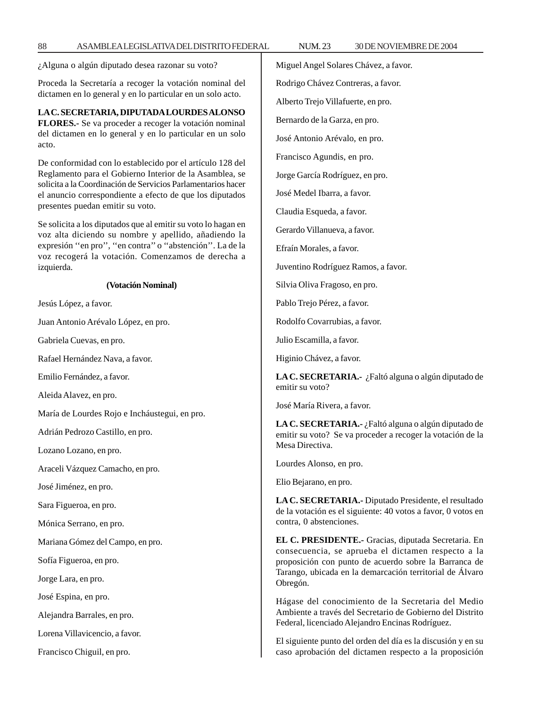¿Alguna o algún diputado desea razonar su voto?

Proceda la Secretaría a recoger la votación nominal del dictamen en lo general y en lo particular en un solo acto.

**LA C. SECRETARIA, DIPUTADA LOURDES ALONSO FLORES.-** Se va proceder a recoger la votación nominal del dictamen en lo general y en lo particular en un solo acto.

De conformidad con lo establecido por el artículo 128 del Reglamento para el Gobierno Interior de la Asamblea, se solicita a la Coordinación de Servicios Parlamentarios hacer el anuncio correspondiente a efecto de que los diputados presentes puedan emitir su voto.

Se solicita a los diputados que al emitir su voto lo hagan en voz alta diciendo su nombre y apellido, añadiendo la expresión ''en pro'', ''en contra'' o ''abstención''. La de la voz recogerá la votación. Comenzamos de derecha a izquierda.

#### **(Votación Nominal)**

Jesús López, a favor.

Juan Antonio Arévalo López, en pro.

Gabriela Cuevas, en pro.

Rafael Hernández Nava, a favor.

Emilio Fernández, a favor.

Aleida Alavez, en pro.

María de Lourdes Rojo e Incháustegui, en pro.

Adrián Pedrozo Castillo, en pro.

Lozano Lozano, en pro.

Araceli Vázquez Camacho, en pro.

José Jiménez, en pro.

Sara Figueroa, en pro.

Mónica Serrano, en pro.

Mariana Gómez del Campo, en pro.

Sofía Figueroa, en pro.

Jorge Lara, en pro.

José Espina, en pro.

Alejandra Barrales, en pro.

Lorena Villavicencio, a favor.

Francisco Chiguil, en pro.

Miguel Angel Solares Chávez, a favor. Rodrigo Chávez Contreras, a favor. Alberto Trejo Villafuerte, en pro. Bernardo de la Garza, en pro. José Antonio Arévalo, en pro. Francisco Agundis, en pro. Jorge García Rodríguez, en pro. José Medel Ibarra, a favor. Claudia Esqueda, a favor. Gerardo Villanueva, a favor. Efraín Morales, a favor. Juventino Rodríguez Ramos, a favor. Silvia Oliva Fragoso, en pro. Pablo Trejo Pérez, a favor. Rodolfo Covarrubias, a favor. Julio Escamilla, a favor. Higinio Chávez, a favor. **LA C. SECRETARIA.-** ¿Faltó alguna o algún diputado de emitir su voto? José María Rivera, a favor. **LA C. SECRETARIA.-** ¿Faltó alguna o algún diputado de emitir su voto? Se va proceder a recoger la votación de la Mesa Directiva. Lourdes Alonso, en pro. Elio Bejarano, en pro.

**LA C. SECRETARIA.-** Diputado Presidente, el resultado de la votación es el siguiente: 40 votos a favor, 0 votos en contra, 0 abstenciones.

**EL C. PRESIDENTE.-** Gracias, diputada Secretaria. En consecuencia, se aprueba el dictamen respecto a la proposición con punto de acuerdo sobre la Barranca de Tarango, ubicada en la demarcación territorial de Álvaro Obregón.

Hágase del conocimiento de la Secretaria del Medio Ambiente a través del Secretario de Gobierno del Distrito Federal, licenciado Alejandro Encinas Rodríguez.

El siguiente punto del orden del día es la discusión y en su caso aprobación del dictamen respecto a la proposición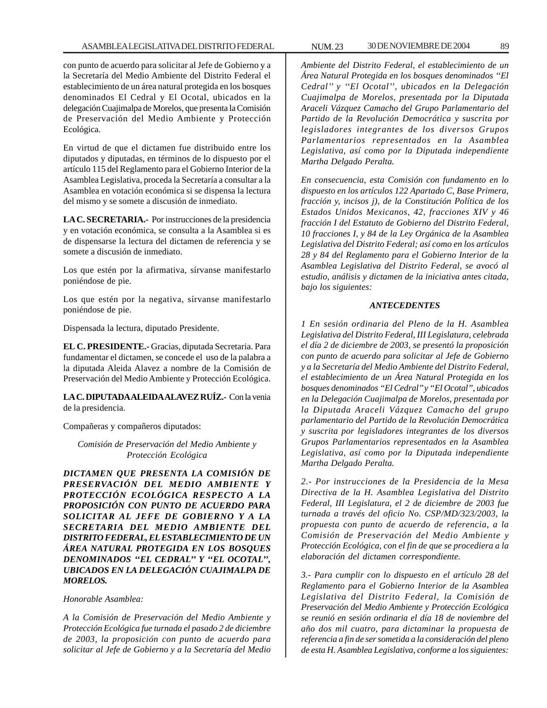con punto de acuerdo para solicitar al Jefe de Gobierno y a la Secretaría del Medio Ambiente del Distrito Federal el establecimiento de un área natural protegida en los bosques denominados El Cedral y El Ocotal, ubicados en la delegación Cuajimalpa de Morelos, que presenta la Comisión de Preservación del Medio Ambiente y Protección Ecológica.

En virtud de que el dictamen fue distribuido entre los diputados y diputadas, en términos de lo dispuesto por el artículo 115 del Reglamento para el Gobierno Interior de la Asamblea Legislativa, proceda la Secretaría a consultar a la Asamblea en votación económica si se dispensa la lectura del mismo y se somete a discusión de inmediato.

**LA C. SECRETARIA.-** Por instrucciones de la presidencia y en votación económica, se consulta a la Asamblea si es de dispensarse la lectura del dictamen de referencia y se somete a discusión de inmediato.

Los que estén por la afirmativa, sírvanse manifestarlo poniéndose de pie.

Los que estén por la negativa, sírvanse manifestarlo poniéndose de pie.

Dispensada la lectura, diputado Presidente.

**EL C. PRESIDENTE.-** Gracias, diputada Secretaria. Para fundamentar el dictamen, se concede el uso de la palabra a la diputada Aleida Alavez a nombre de la Comisión de Preservación del Medio Ambiente y Protección Ecológica.

**LA C. DIPUTADA ALEIDA ALAVEZ RUÍZ.-** Con la venia de la presidencia.

Compañeras y compañeros diputados:

*Comisión de Preservación del Medio Ambiente y Protección Ecológica*

*DICTAMEN QUE PRESENTA LA COMISIÓN DE PRESERVACIÓN DEL MEDIO AMBIENTE Y PROTECCIÓN ECOLÓGICA RESPECTO A LA PROPOSICIÓN CON PUNTO DE ACUERDO PARA SOLICITAR AL JEFE DE GOBIERNO Y A LA SECRETARIA DEL MEDIO AMBIENTE DEL DISTRITO FEDERAL, EL ESTABLECIMIENTO DE UN ÁREA NATURAL PROTEGIDA EN LOS BOSQUES DENOMINADOS ''EL CEDRAL'' Y ''EL OCOTAL'', UBICADOS EN LA DELEGACIÓN CUAJIMALPA DE MORELOS.*

*Honorable Asamblea:*

*A la Comisión de Preservación del Medio Ambiente y Protección Ecológica fue turnada el pasado 2 de diciembre de 2003, la proposición con punto de acuerdo para solicitar al Jefe de Gobierno y a la Secretaría del Medio*

*Ambiente del Distrito Federal, el establecimiento de un Área Natural Protegida en los bosques denominados ''El Cedral'' y ''El Ocotal'', ubicados en la Delegación Cuajimalpa de Morelos, presentada por la Diputada Araceli Vázquez Camacho del Grupo Parlamentario del Partido de la Revolución Democrática y suscrita por legisladores integrantes de los diversos Grupos Parlamentarios representados en la Asamblea Legislativa, así como por la Diputada independiente Martha Delgado Peralta.*

*En consecuencia, esta Comisión con fundamento en lo dispuesto en los artículos 122 Apartado C, Base Primera, fracción y, incisos j), de la Constitución Política de los Estados Unidos Mexicanos, 42, fracciones XIV y 46 fracción I del Estatuto de Gobierno del Distrito Federal, 10 fracciones I, y 84 de la Ley Orgánica de la Asamblea Legislativa del Distrito Federal; así como en los artículos 28 y 84 del Reglamento para el Gobierno Interior de la Asamblea Legislativa del Distrito Federal, se avocó al estudio, análisis y dictamen de la iniciativa antes citada, bajo los siguientes:*

## *ANTECEDENTES*

*1 En sesión ordinaria del Pleno de la H. Asamblea Legislativa del Distrito Federal, III Legislatura, celebrada el día 2 de diciembre de 2003, se presentó la proposición con punto de acuerdo para solicitar al Jefe de Gobierno y a la Secretaría del Medio Ambiente del Distrito Federal, el establecimiento de un Área Natural Protegida en los bosques denominados ''El Cedral'' y ''El Ocotal'', ubicados en la Delegación Cuajimalpa de Morelos, presentada por la Diputada Araceli Vázquez Camacho del grupo parlamentario del Partido de la Revolución Democrática y suscrita por legisladores integrantes de los diversos Grupos Parlamentarios representados en la Asamblea Legislativa, así como por la Diputada independiente Martha Delgado Peralta.*

*2.- Por instrucciones de la Presidencia de la Mesa Directiva de la H. Asamblea Legislativa del Distrito Federal, III Legislatura, el 2 de diciembre de 2003 fue turnada a través del oficio No. CSP/MD/323/2003, la propuesta con punto de acuerdo de referencia, a la Comisión de Preservación del Medio Ambiente y Protección Ecológica, con el fin de que se procediera a la elaboración del dictamen correspondiente.*

*3.- Para cumplir con lo dispuesto en el artículo 28 del Reglamento para el Gobierno Interior de la Asamblea Legislativa del Distrito Federal, la Comisión de Preservación del Medio Ambiente y Protección Ecológica se reunió en sesión ordinaria el día 18 de noviembre del año dos mil cuatro, para dictaminar la propuesta de referencia a fin de ser sometida a la consideración del pleno de esta H. Asamblea Legislativa, conforme a los siguientes:*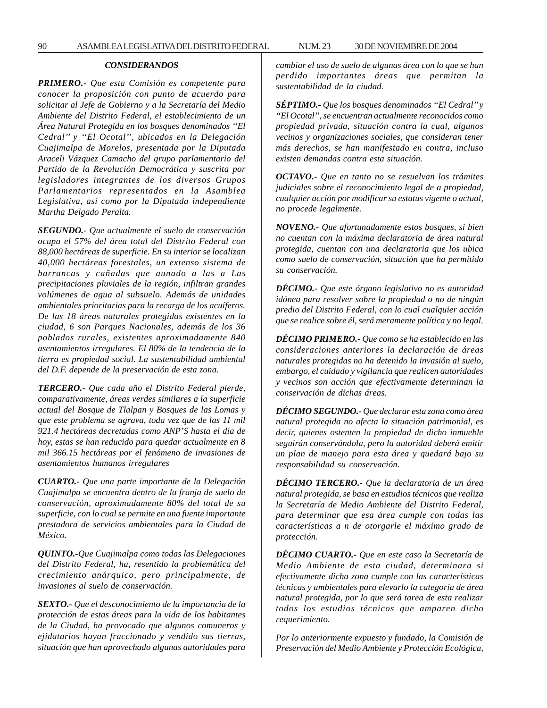## *CONSIDERANDOS*

*PRIMERO.- Que esta Comisión es competente para conocer la proposición con punto de acuerdo para solicitar al Jefe de Gobierno y a la Secretaría del Medio Ambiente del Distrito Federal, el establecimiento de un Área Natural Protegida en los bosques denominados ''El Cedral'' y ''El Ocotal'', ubicados en la Delegación Cuajimalpa de Morelos, presentada por la Diputada Araceli Vázquez Camacho del grupo parlamentario del Partido de la Revolución Democrática y suscrita por legisladores integrantes de los diversos Grupos Parlamentarios representados en la Asamblea Legislativa, así como por la Diputada independiente Martha Delgado Peralta.*

*SEGUNDO.- Que actualmente el suelo de conservación ocupa el 57% del área total del Distrito Federal con 88,000 hectáreas de superficie. En su interior se localizan 40,000 hectáreas forestales, un extenso sistema de barrancas y cañadas que aunado a las a Las precipitaciones pluviales de la región, infiltran grandes volúmenes de agua al subsuelo. Además de unidades ambientales prioritarias para la recarga de los acuíferos. De las 18 áreas naturales protegidas existentes en la ciudad, 6 son Parques Nacionales, además de los 36 poblados rurales, existentes aproximadamente 840 asentamientos irregulares. El 80% de la tendencia de la tierra es propiedad social. La sustentabilidad ambiental del D.F. depende de la preservación de esta zona.*

*TERCERO.- Que cada año el Distrito Federal pierde, comparativamente, áreas verdes similares a la superficie actual del Bosque de Tlalpan y Bosques de las Lomas y que este problema se agrava, toda vez que de las 11 mil 921.4 hectáreas decretadas como ANP'S hasta el día de hoy, estas se han reducido para quedar actualmente en 8 mil 366.15 hectáreas por el fenómeno de invasiones de asentamientos humanos irregulares*

*CUARTO.- Que una parte importante de la Delegación Cuajimalpa se encuentra dentro de la franja de suelo de conservación, aproximadamente 80% del total de su superficie, con lo cual se permite en una fuente importante prestadora de servicios ambientales para la Ciudad de México.*

*QUINTO.-Que Cuajimalpa como todas las Delegaciones del Distrito Federal, ha, resentido la problemática del crecimiento anárquico, pero principalmente, de invasiones al suelo de conservación.*

*SEXTO.- Que el desconocimiento de la importancia de la protección de estas áreas para la vida de los habitantes de la Ciudad, ha provocado que algunos comuneros y ejidatarios hayan fraccionado y vendido sus tierras, situación que han aprovechado algunas autoridades para* *cambiar el uso de suelo de algunas área con lo que se han perdido importantes áreas que permitan la sustentabilidad de la ciudad.*

*SÉPTIMO.- Que los bosques denominados ''El Cedral'' y ''El Ocotal'', se encuentran actualmente reconocidos como propiedad privada, situación contra la cual, algunos vecinos y organizaciones sociales, que consideran tener más derechos, se han manifestado en contra, incluso existen demandas contra esta situación.*

*OCTAVO.- Que en tanto no se resuelvan los trámites judiciales sobre el reconocimiento legal de a propiedad, cualquier acción por modificar su estatus vigente o actual, no procede legalmente.*

*NOVENO.- Que afortunadamente estos bosques, si bien no cuentan con la máxima declaratoria de área natural protegida, cuentan con una declaratoria que los ubica como suelo de conservación, situación que ha permitido su conservación.*

*DÉCIMO.- Que este órgano legislativo no es autoridad idónea para resolver sobre la propiedad o no de ningún predio del Distrito Federal, con lo cual cualquier acción que se realice sobre él, será meramente política y no legal.*

*DÉCIMO PRIMERO.- Que como se ha establecido en las consideraciones anteriores la declaración de áreas naturales protegidas no ha detenido la invasión al suelo, embargo, el cuidado y vigilancia que realicen autoridades y vecinos son acción que efectivamente determinan la conservación de dichas áreas.*

*DÉCIMO SEGUNDO.- Que declarar esta zona como área natural protegida no afecta la situación patrimonial, es decir, quienes ostenten la propiedad de dicho inmueble seguirán conservándola, pero la autoridad deberá emitir un plan de manejo para esta área y quedará bajo su responsabilidad su conservación.*

*DÉCIMO TERCERO.- Que la declaratoria de un área natural protegida, se basa en estudios técnicos que realiza la Secretaría de Medio Ambiente del Distrito Federal, para determinar que esa área cumple con todas las características a n de otorgarle el máximo grado de protección.*

*DÉCIMO CUARTO.- Que en este caso la Secretaría de Medio Ambiente de esta ciudad, determinara si efectivamente dicha zona cumple con las características técnicas y ambientales para elevarlo la categoría de área natural protegida, por lo que será tarea de esta realizar todos los estudios técnicos que amparen dicho requerimiento.*

*Por lo anteriormente expuesto y fundado, la Comisión de Preservación del Medio Ambiente y Protección Ecológica,*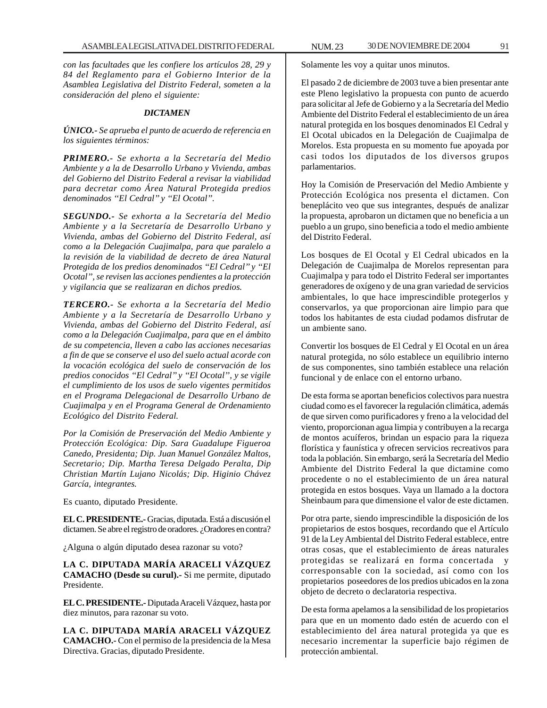*con las facultades que les confiere los artículos 28, 29 y 84 del Reglamento para el Gobierno Interior de la Asamblea Legislativa del Distrito Federal, someten a la consideración del pleno el siguiente:*

## *DICTAMEN*

*ÚNICO.- Se aprueba el punto de acuerdo de referencia en los siguientes términos:*

*PRIMERO.- Se exhorta a la Secretaría del Medio Ambiente y a la de Desarrollo Urbano y Vivienda, ambas del Gobierno del Distrito Federal a revisar la viabilidad para decretar como Área Natural Protegida predios denominados ''El Cedral'' y ''El Ocotal''.*

*SEGUNDO.- Se exhorta a la Secretaría del Medio Ambiente y a la Secretaría de Desarrollo Urbano y Vivienda, ambas del Gobierno del Distrito Federal, así como a la Delegación Cuajimalpa, para que paralelo a la revisión de la viabilidad de decreto de área Natural Protegida de los predios denominados ''El Cedral'' y ''El Ocotal'', se revisen las acciones pendientes a la protección y vigilancia que se realizaran en dichos predios.*

*TERCERO.- Se exhorta a la Secretaría del Medio Ambiente y a la Secretaría de Desarrollo Urbano y Vivienda, ambas del Gobierno del Distrito Federal, así como a la Delegación Cuajimalpa, para que en el ámbito de su competencia, lleven a cabo las acciones necesarias a fin de que se conserve el uso del suelo actual acorde con la vocación ecológica del suelo de conservación de los predios conocidos ''El Cedral'' y ''El Ocotal'', y se vigile el cumplimiento de los usos de suelo vigentes permitidos en el Programa Delegacional de Desarrollo Urbano de Cuajimalpa y en el Programa General de Ordenamiento Ecológico del Distrito Federal.*

*Por la Comisión de Preservación del Medio Ambiente y Protección Ecológica: Dip. Sara Guadalupe Figueroa Canedo, Presidenta; Dip. Juan Manuel González Maltos, Secretario; Dip. Martha Teresa Delgado Peralta, Dip Christian Martín Lujano Nicolás; Dip. Higinio Chávez García, integrantes.*

Es cuanto, diputado Presidente.

**EL C. PRESIDENTE.-** Gracias, diputada. Está a discusión el dictamen. Se abre el registro de oradores. ¿Oradores en contra?

¿Alguna o algún diputado desea razonar su voto?

**LA C. DIPUTADA MARÍA ARACELI VÁZQUEZ CAMACHO (Desde su curul).-** Si me permite, diputado Presidente.

**EL C. PRESIDENTE.-** Diputada Araceli Vázquez, hasta por diez minutos, para razonar su voto.

**LA C. DIPUTADA MARÍA ARACELI VÁZQUEZ CAMACHO.-** Con el permiso de la presidencia de la Mesa Directiva. Gracias, diputado Presidente.

Solamente les voy a quitar unos minutos.

El pasado 2 de diciembre de 2003 tuve a bien presentar ante este Pleno legislativo la propuesta con punto de acuerdo para solicitar al Jefe de Gobierno y a la Secretaría del Medio Ambiente del Distrito Federal el establecimiento de un área natural protegida en los bosques denominados El Cedral y El Ocotal ubicados en la Delegación de Cuajimalpa de Morelos. Esta propuesta en su momento fue apoyada por casi todos los diputados de los diversos grupos parlamentarios.

Hoy la Comisión de Preservación del Medio Ambiente y Protección Ecológica nos presenta el dictamen. Con beneplácito veo que sus integrantes, después de analizar la propuesta, aprobaron un dictamen que no beneficia a un pueblo a un grupo, sino beneficia a todo el medio ambiente del Distrito Federal.

Los bosques de El Ocotal y El Cedral ubicados en la Delegación de Cuajimalpa de Morelos representan para Cuajimalpa y para todo el Distrito Federal ser importantes generadores de oxígeno y de una gran variedad de servicios ambientales, lo que hace imprescindible protegerlos y conservarlos, ya que proporcionan aire limpio para que todos los habitantes de esta ciudad podamos disfrutar de un ambiente sano.

Convertir los bosques de El Cedral y El Ocotal en un área natural protegida, no sólo establece un equilibrio interno de sus componentes, sino también establece una relación funcional y de enlace con el entorno urbano.

De esta forma se aportan beneficios colectivos para nuestra ciudad como es el favorecer la regulación climática, además de que sirven como purificadores y freno a la velocidad del viento, proporcionan agua limpia y contribuyen a la recarga de montos acuíferos, brindan un espacio para la riqueza florística y faunística y ofrecen servicios recreativos para toda la población. Sin embargo, será la Secretaría del Medio Ambiente del Distrito Federal la que dictamine como procedente o no el establecimiento de un área natural protegida en estos bosques. Vaya un llamado a la doctora Sheinbaum para que dimensione el valor de este dictamen.

Por otra parte, siendo imprescindible la disposición de los propietarios de estos bosques, recordando que el Artículo 91 de la Ley Ambiental del Distrito Federal establece, entre otras cosas, que el establecimiento de áreas naturales protegidas se realizará en forma concertada y corresponsable con la sociedad, así como con los propietarios poseedores de los predios ubicados en la zona objeto de decreto o declaratoria respectiva.

De esta forma apelamos a la sensibilidad de los propietarios para que en un momento dado estén de acuerdo con el establecimiento del área natural protegida ya que es necesario incrementar la superficie bajo régimen de protección ambiental.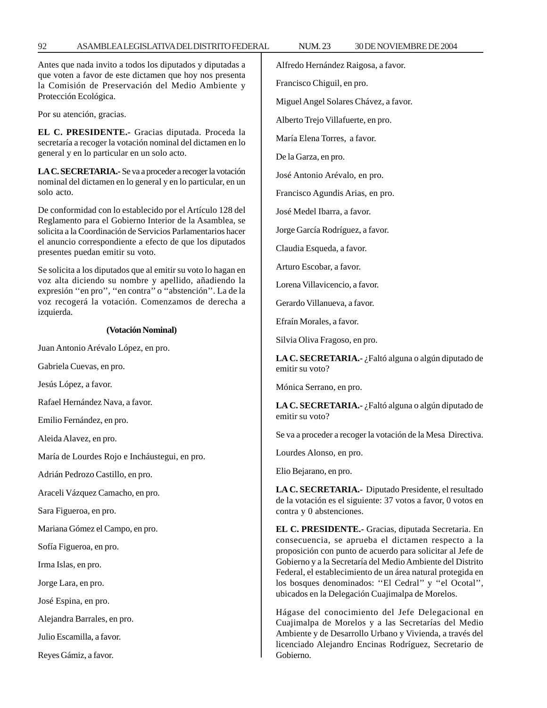Antes que nada invito a todos los diputados y diputadas a que voten a favor de este dictamen que hoy nos presenta la Comisión de Preservación del Medio Ambiente y Protección Ecológica.

Por su atención, gracias.

**EL C. PRESIDENTE.-** Gracias diputada. Proceda la secretaría a recoger la votación nominal del dictamen en lo general y en lo particular en un solo acto.

**LA C. SECRETARIA.-** Se va a proceder a recoger la votación nominal del dictamen en lo general y en lo particular, en un solo acto.

De conformidad con lo establecido por el Artículo 128 del Reglamento para el Gobierno Interior de la Asamblea, se solicita a la Coordinación de Servicios Parlamentarios hacer el anuncio correspondiente a efecto de que los diputados presentes puedan emitir su voto.

Se solicita a los diputados que al emitir su voto lo hagan en voz alta diciendo su nombre y apellido, añadiendo la expresión ''en pro'', ''en contra'' o ''abstención''. La de la voz recogerá la votación. Comenzamos de derecha a izquierda.

#### **(Votación Nominal)**

Juan Antonio Arévalo López, en pro.

Gabriela Cuevas, en pro.

Jesús López, a favor.

Rafael Hernández Nava, a favor.

Emilio Fernández, en pro.

Aleida Alavez, en pro.

María de Lourdes Rojo e Incháustegui, en pro.

Adrián Pedrozo Castillo, en pro.

Araceli Vázquez Camacho, en pro.

Sara Figueroa, en pro.

Mariana Gómez el Campo, en pro.

Sofía Figueroa, en pro.

Irma Islas, en pro.

Jorge Lara, en pro.

José Espina, en pro.

Alejandra Barrales, en pro.

Julio Escamilla, a favor.

Reyes Gámiz, a favor.

Alfredo Hernández Raigosa, a favor.

Francisco Chiguil, en pro.

Miguel Angel Solares Chávez, a favor.

Alberto Trejo Villafuerte, en pro.

María Elena Torres, a favor.

De la Garza, en pro.

José Antonio Arévalo, en pro.

Francisco Agundis Arias, en pro.

José Medel Ibarra, a favor.

Jorge García Rodríguez, a favor.

Claudia Esqueda, a favor.

Arturo Escobar, a favor.

Lorena Villavicencio, a favor.

Gerardo Villanueva, a favor.

Efraín Morales, a favor.

Silvia Oliva Fragoso, en pro.

**LA C. SECRETARIA.-** ¿Faltó alguna o algún diputado de emitir su voto?

Mónica Serrano, en pro.

**LA C. SECRETARIA.-** ¿Faltó alguna o algún diputado de emitir su voto?

Se va a proceder a recoger la votación de la Mesa Directiva.

Lourdes Alonso, en pro.

Elio Bejarano, en pro.

**LA C. SECRETARIA.-** Diputado Presidente, el resultado de la votación es el siguiente: 37 votos a favor, 0 votos en contra y 0 abstenciones.

**EL C. PRESIDENTE.-** Gracias, diputada Secretaria. En consecuencia, se aprueba el dictamen respecto a la proposición con punto de acuerdo para solicitar al Jefe de Gobierno y a la Secretaría del Medio Ambiente del Distrito Federal, el establecimiento de un área natural protegida en los bosques denominados: ''El Cedral'' y ''el Ocotal'', ubicados en la Delegación Cuajimalpa de Morelos.

Hágase del conocimiento del Jefe Delegacional en Cuajimalpa de Morelos y a las Secretarías del Medio Ambiente y de Desarrollo Urbano y Vivienda, a través del licenciado Alejandro Encinas Rodríguez, Secretario de Gobierno.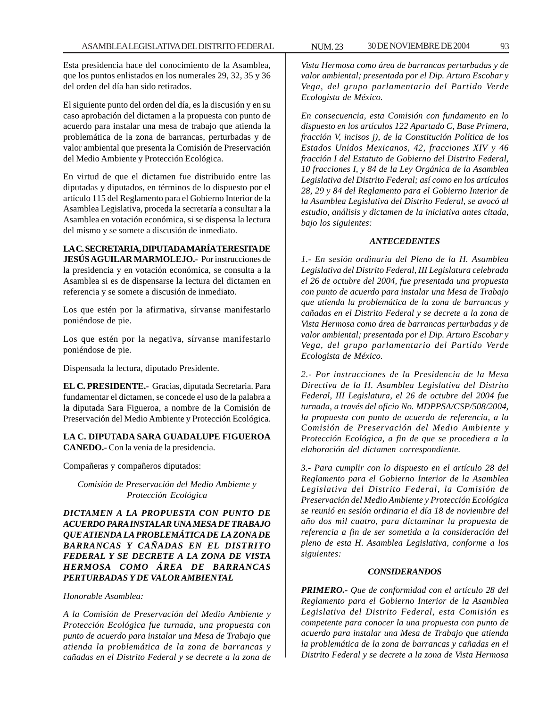Esta presidencia hace del conocimiento de la Asamblea, que los puntos enlistados en los numerales 29, 32, 35 y 36 del orden del día han sido retirados.

El siguiente punto del orden del día, es la discusión y en su caso aprobación del dictamen a la propuesta con punto de acuerdo para instalar una mesa de trabajo que atienda la problemática de la zona de barrancas, perturbadas y de valor ambiental que presenta la Comisión de Preservación del Medio Ambiente y Protección Ecológica.

En virtud de que el dictamen fue distribuido entre las diputadas y diputados, en términos de lo dispuesto por el artículo 115 del Reglamento para el Gobierno Interior de la Asamblea Legislativa, proceda la secretaría a consultar a la Asamblea en votación económica, si se dispensa la lectura del mismo y se somete a discusión de inmediato.

# **LA C. SECRETARIA, DIPUTADA MARÍA TERESITA DE**

**JESÚS AGUILAR MARMOLEJO.-** Por instrucciones de la presidencia y en votación económica, se consulta a la Asamblea si es de dispensarse la lectura del dictamen en referencia y se somete a discusión de inmediato.

Los que estén por la afirmativa, sírvanse manifestarlo poniéndose de pie.

Los que estén por la negativa, sírvanse manifestarlo poniéndose de pie.

Dispensada la lectura, diputado Presidente.

**EL C. PRESIDENTE.-** Gracias, diputada Secretaria. Para fundamentar el dictamen, se concede el uso de la palabra a la diputada Sara Figueroa, a nombre de la Comisión de Preservación del Medio Ambiente y Protección Ecológica.

**LA C. DIPUTADA SARA GUADALUPE FIGUEROA CANEDO.-** Con la venia de la presidencia.

Compañeras y compañeros diputados:

*Comisión de Preservación del Medio Ambiente y Protección Ecológica*

*DICTAMEN A LA PROPUESTA CON PUNTO DE ACUERDO PARA INSTALAR UNA MESA DE TRABAJO QUE ATIENDA LA PROBLEMÁTICA DE LA ZONA DE BARRANCAS Y CAÑADAS EN EL DISTRITO FEDERAL Y SE DECRETE A LA ZONA DE VISTA HERMOSA COMO ÁREA DE BARRANCAS PERTURBADAS Y DE VALOR AMBIENTAL*

*Honorable Asamblea:*

*A la Comisión de Preservación del Medio Ambiente y Protección Ecológica fue turnada, una propuesta con punto de acuerdo para instalar una Mesa de Trabajo que atienda la problemática de la zona de barrancas y cañadas en el Distrito Federal y se decrete a la zona de*

*Vista Hermosa como área de barrancas perturbadas y de valor ambiental; presentada por el Dip. Arturo Escobar y Vega, del grupo parlamentario del Partido Verde Ecologista de México.*

*En consecuencia, esta Comisión con fundamento en lo dispuesto en los artículos 122 Apartado C, Base Primera, fracción V, incisos j), de la Constitución Política de los Estados Unidos Mexicanos, 42, fracciones XIV y 46 fracción I del Estatuto de Gobierno del Distrito Federal, 10 fracciones I, y 84 de la Ley Orgánica de la Asamblea Legislativa del Distrito Federal; así como en los artículos 28, 29 y 84 del Reglamento para el Gobierno Interior de la Asamblea Legislativa del Distrito Federal, se avocó al estudio, análisis y dictamen de la iniciativa antes citada, bajo los siguientes:*

## *ANTECEDENTES*

*1.- En sesión ordinaria del Pleno de la H. Asamblea Legislativa del Distrito Federal, III Legislatura celebrada el 26 de octubre del 2004, fue presentada una propuesta con punto de acuerdo para instalar una Mesa de Trabajo que atienda la problemática de la zona de barrancas y cañadas en el Distrito Federal y se decrete a la zona de Vista Hermosa como área de barrancas perturbadas y de valor ambiental; presentada por el Dip. Arturo Escobar y Vega, del grupo parlamentario del Partido Verde Ecologista de México.*

*2.- Por instrucciones de la Presidencia de la Mesa Directiva de la H. Asamblea Legislativa del Distrito Federal, III Legislatura, el 26 de octubre del 2004 fue turnada, a través del oficio No. MDPPSA/CSP/508/2004, la propuesta con punto de acuerdo de referencia, a la Comisión de Preservación del Medio Ambiente y Protección Ecológica, a fin de que se procediera a la elaboración del dictamen correspondiente.*

*3.- Para cumplir con lo dispuesto en el artículo 28 del Reglamento para el Gobierno Interior de la Asamblea Legislativa del Distrito Federal, la Comisión de Preservación del Medio Ambiente y Protección Ecológica se reunió en sesión ordinaria el día 18 de noviembre del año dos mil cuatro, para dictaminar la propuesta de referencia a fin de ser sometida a la consideración del pleno de esta H. Asamblea Legislativa, conforme a los siguientes:*

## *CONSIDERANDOS*

*PRIMERO.- Que de conformidad con el artículo 28 del Reglamento para el Gobierno Interior de la Asamblea Legislativa del Distrito Federal, esta Comisión es competente para conocer la una propuesta con punto de acuerdo para instalar una Mesa de Trabajo que atienda la problemática de la zona de barrancas y cañadas en el Distrito Federal y se decrete a la zona de Vista Hermosa*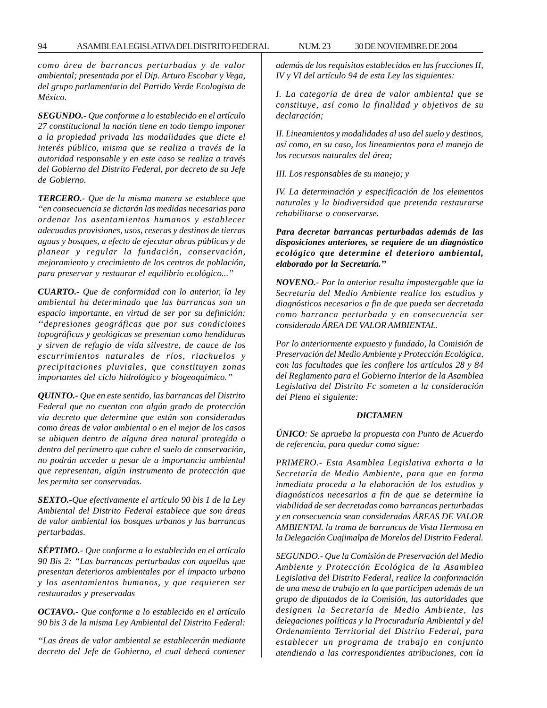*como área de barrancas perturbadas y de valor ambiental; presentada por el Dip. Arturo Escobar y Vega, del grupo parlamentario del Partido Verde Ecologista de México.*

*SEGUNDO.- Que conforme a lo establecido en el artículo 27 constitucional la nación tiene en todo tiempo imponer a la propiedad privada las modalidades que dicte el interés público, misma que se realiza a través de la autoridad responsable y en este caso se realiza a través del Gobierno del Distrito Federal, por decreto de su Jefe de Gobierno.*

*TERCERO.- Que de la misma manera se establece que ''en consecuencia se dictarán las medidas necesarias para ordenar los asentamientos humanos y establecer adecuadas provisiones, usos, reseras y destinos de tierras aguas y bosques, a efecto de ejecutar obras públicas y de planear y regular la fundación, conservación, mejoramiento y crecimiento de los centros de población, para preservar y restaurar el equilibrio ecológico...''*

*CUARTO.- Que de conformidad con lo anterior, la ley ambiental ha determinado que las barrancas son un espacio importante, en virtud de ser por su definición: ''depresiones geográficas que por sus condiciones topográficas y geológicas se presentan como hendiduras y sirven de refugio de vida silvestre, de cauce de los escurrimientos naturales de ríos, riachuelos y precipitaciones pluviales, que constituyen zonas importantes del ciclo hidrológico y biogeoquímico.''*

*QUINTO.- Que en este sentido, las barrancas del Distrito Federal que no cuentan con algún grado de protección vía decreto que determine que están son consideradas como áreas de valor ambiental o en el mejor de los casos se ubiquen dentro de alguna área natural protegida o dentro del perímetro que cubre el suelo de conservación, no podrán acceder a pesar de a importancia ambiental que representan, algún instrumento de protección que les permita ser conservadas.*

*SEXTO.-Que efectivamente el artículo 90 bis 1 de la Ley Ambiental del Distrito Federal establece que son áreas de valor ambiental los bosques urbanos y las barrancas perturbadas.*

*SÉPTIMO.- Que conforme a lo establecido en el artículo 90 Bis 2: ''Las barrancas perturbadas con aquellas que presentan deterioros ambientales por el impacto urbano y los asentamientos humanos, y que requieren ser restauradas y preservadas*

*OCTAVO.- Que conforme a lo establecido en el artículo 90 bis 3 de la misma Ley Ambiental del Distrito Federal:*

*''Las áreas de valor ambiental se establecerán mediante decreto del Jefe de Gobierno, el cual deberá contener* *además de los requisitos establecidos en las fracciones II, IV y VI del artículo 94 de esta Ley las siguientes:*

*I. La categoría de área de valor ambiental que se constituye, así como la finalidad y objetivos de su declaración;*

*II. Lineamientos y modalidades al uso del suelo y destinos, así como, en su caso, los lineamientos para el manejo de los recursos naturales del área;*

*III. Los responsables de su manejo; y*

*IV. La determinación y especificación de los elementos naturales y la biodiversidad que pretenda restaurarse rehabilitarse o conservarse.*

*Para decretar barrancas perturbadas además de las disposiciones anteriores, se requiere de un diagnóstico ecológico que determine el deterioro ambiental, elaborado por la Secretaría.''*

*NOVENO.- Por lo anterior resulta impostergable que la Secretaría del Medio Ambiente realice los estudios y diagnósticos necesarios a fin de que pueda ser decretada como barranca perturbada y en consecuencia ser considerada ÁREA DE VALOR AMBIENTAL.*

*Por lo anteriormente expuesto y fundado, la Comisión de Preservación del Medio Ambiente y Protección Ecológica, con las facultades que les confiere los artículos 28 y 84 del Reglamento para el Gobierno Interior de la Asamblea Legislativa del Distrito Fc someten a la consideración del Pleno el siguiente:*

#### *DICTAMEN*

*ÚNICO: Se aprueba la propuesta con Punto de Acuerdo de referencia, para quedar como sigue:*

*PRIMERO.- Esta Asamblea Legislativa exhorta a la Secretaría de Medio Ambiente, para que en forma inmediata proceda a la elaboración de los estudios y diagnósticos necesarios a fin de que se determine la viabilidad de ser decretadas como barrancas perturbadas y en consecuencia sean consideradas ÁREAS DE VALOR AMBIENTAL la trama de barrancas de Vista Hermosa en la Delegación Cuajimalpa de Morelos del Distrito Federal.*

*SEGUNDO.- Que la Comisión de Preservación del Medio Ambiente y Protección Ecológica de la Asamblea Legislativa del Distrito Federal, realice la conformación de una mesa de trabajo en la que participen además de un grupo de diputados de la Comisión, las autoridades que designen la Secretaría de Medio Ambiente, las delegaciones políticas y la Procuraduría Ambiental y del Ordenamiento Territorial del Distrito Federal, para establecer un programa de trabajo en conjunto atendiendo a las correspondientes atribuciones, con la*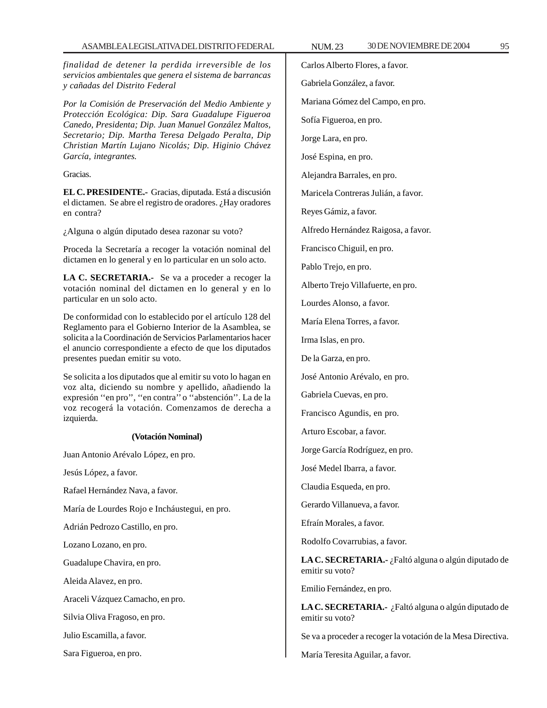*finalidad de detener la perdida irreversible de los servicios ambientales que genera el sistema de barrancas y cañadas del Distrito Federal*

*Por la Comisión de Preservación del Medio Ambiente y Protección Ecológica: Dip. Sara Guadalupe Figueroa Canedo, Presidenta; Dip. Juan Manuel González Maltos, Secretario; Dip. Martha Teresa Delgado Peralta, Dip Christian Martín Lujano Nicolás; Dip. Higinio Chávez García, integrantes.*

Gracias.

**EL C. PRESIDENTE.-** Gracias, diputada. Está a discusión el dictamen. Se abre el registro de oradores. ¿Hay oradores en contra?

¿Alguna o algún diputado desea razonar su voto?

Proceda la Secretaría a recoger la votación nominal del dictamen en lo general y en lo particular en un solo acto.

**LA C. SECRETARIA.-** Se va a proceder a recoger la votación nominal del dictamen en lo general y en lo particular en un solo acto.

De conformidad con lo establecido por el artículo 128 del Reglamento para el Gobierno Interior de la Asamblea, se solicita a la Coordinación de Servicios Parlamentarios hacer el anuncio correspondiente a efecto de que los diputados presentes puedan emitir su voto.

Se solicita a los diputados que al emitir su voto lo hagan en voz alta, diciendo su nombre y apellido, añadiendo la expresión ''en pro'', ''en contra'' o ''abstención''. La de la voz recogerá la votación. Comenzamos de derecha a izquierda.

### **(Votación Nominal)**

Juan Antonio Arévalo López, en pro.

Jesús López, a favor.

Rafael Hernández Nava, a favor.

María de Lourdes Rojo e Incháustegui, en pro.

Adrián Pedrozo Castillo, en pro.

Lozano Lozano, en pro.

Guadalupe Chavira, en pro.

Aleida Alavez, en pro.

Araceli Vázquez Camacho, en pro.

Silvia Oliva Fragoso, en pro.

Julio Escamilla, a favor.

Sara Figueroa, en pro.

Carlos Alberto Flores, a favor.

Gabriela González, a favor.

Mariana Gómez del Campo, en pro.

Sofía Figueroa, en pro.

Jorge Lara, en pro.

José Espina, en pro.

Alejandra Barrales, en pro.

Maricela Contreras Julián, a favor.

Reyes Gámiz, a favor.

Alfredo Hernández Raigosa, a favor.

Francisco Chiguil, en pro.

Pablo Trejo, en pro.

Alberto Trejo Villafuerte, en pro.

Lourdes Alonso, a favor.

María Elena Torres, a favor.

Irma Islas, en pro.

De la Garza, en pro.

José Antonio Arévalo, en pro.

Gabriela Cuevas, en pro.

Francisco Agundis, en pro.

Arturo Escobar, a favor.

Jorge García Rodríguez, en pro.

José Medel Ibarra, a favor.

Claudia Esqueda, en pro.

Gerardo Villanueva, a favor.

Efraín Morales, a favor.

Rodolfo Covarrubias, a favor.

**LA C. SECRETARIA.-** ¿Faltó alguna o algún diputado de emitir su voto?

Emilio Fernández, en pro.

**LA C. SECRETARIA.-** ¿Faltó alguna o algún diputado de emitir su voto?

Se va a proceder a recoger la votación de la Mesa Directiva.

María Teresita Aguilar, a favor.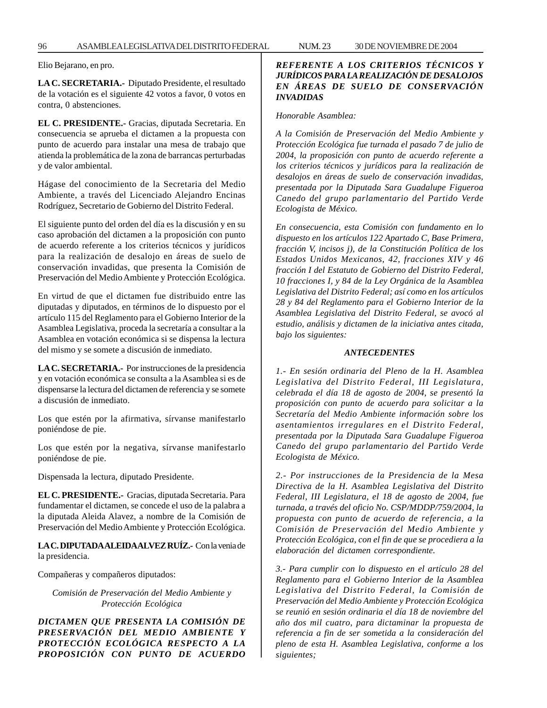Elio Bejarano, en pro.

**LA C. SECRETARIA.-** Diputado Presidente, el resultado de la votación es el siguiente 42 votos a favor, 0 votos en contra, 0 abstenciones.

**EL C. PRESIDENTE.-** Gracias, diputada Secretaria. En consecuencia se aprueba el dictamen a la propuesta con punto de acuerdo para instalar una mesa de trabajo que atienda la problemática de la zona de barrancas perturbadas y de valor ambiental.

Hágase del conocimiento de la Secretaria del Medio Ambiente, a través del Licenciado Alejandro Encinas Rodríguez, Secretario de Gobierno del Distrito Federal.

El siguiente punto del orden del día es la discusión y en su caso aprobación del dictamen a la proposición con punto de acuerdo referente a los criterios técnicos y jurídicos para la realización de desalojo en áreas de suelo de conservación invadidas, que presenta la Comisión de Preservación del Medio Ambiente y Protección Ecológica.

En virtud de que el dictamen fue distribuido entre las diputadas y diputados, en términos de lo dispuesto por el artículo 115 del Reglamento para el Gobierno Interior de la Asamblea Legislativa, proceda la secretaría a consultar a la Asamblea en votación económica si se dispensa la lectura del mismo y se somete a discusión de inmediato.

**LA C. SECRETARIA.-** Por instrucciones de la presidencia y en votación económica se consulta a la Asamblea si es de dispensarse la lectura del dictamen de referencia y se somete a discusión de inmediato.

Los que estén por la afirmativa, sírvanse manifestarlo poniéndose de pie.

Los que estén por la negativa, sírvanse manifestarlo poniéndose de pie.

Dispensada la lectura, diputado Presidente.

**EL C. PRESIDENTE.-** Gracias, diputada Secretaria. Para fundamentar el dictamen, se concede el uso de la palabra a la diputada Aleida Alavez, a nombre de la Comisión de Preservación del Medio Ambiente y Protección Ecológica.

**LA C. DIPUTADA ALEIDA ALVEZ RUÍZ.-** Con la venia de la presidencia.

Compañeras y compañeros diputados:

*Comisión de Preservación del Medio Ambiente y Protección Ecológica*

*DICTAMEN QUE PRESENTA LA COMISIÓN DE PRESERVACIÓN DEL MEDIO AMBIENTE Y PROTECCIÓN ECOLÓGICA RESPECTO A LA PROPOSICIÓN CON PUNTO DE ACUERDO*

## *REFERENTE A LOS CRITERIOS TÉCNICOS Y JURÍDICOS PARA LA REALIZACIÓN DE DESALOJOS EN ÁREAS DE SUELO DE CONSERVACIÓN INVADIDAS*

### *Honorable Asamblea:*

*A la Comisión de Preservación del Medio Ambiente y Protección Ecológica fue turnada el pasado 7 de julio de 2004, la proposición con punto de acuerdo referente a los criterios técnicos y jurídicos para la realización de desalojos en áreas de suelo de conservación invadidas, presentada por la Diputada Sara Guadalupe Figueroa Canedo del grupo parlamentario del Partido Verde Ecologista de México.*

*En consecuencia, esta Comisión con fundamento en lo dispuesto en los artículos 122 Apartado C, Base Primera, fracción V, incisos j), de la Constitución Política de los Estados Unidos Mexicanos, 42, fracciones XIV y 46 fracción I del Estatuto de Gobierno del Distrito Federal, 10 fracciones I, y 84 de la Ley Orgánica de la Asamblea Legislativa del Distrito Federal; así como en los artículos 28 y 84 del Reglamento para el Gobierno Interior de la Asamblea Legislativa del Distrito Federal, se avocó al estudio, análisis y dictamen de la iniciativa antes citada, bajo los siguientes:*

### *ANTECEDENTES*

*1.- En sesión ordinaria del Pleno de la H. Asamblea Legislativa del Distrito Federal, III Legislatura, celebrada el día 18 de agosto de 2004, se presentó la proposición con punto de acuerdo para solicitar a la Secretaría del Medio Ambiente información sobre los asentamientos irregulares en el Distrito Federal, presentada por la Diputada Sara Guadalupe Figueroa Canedo del grupo parlamentario del Partido Verde Ecologista de México.*

*2.- Por instrucciones de la Presidencia de la Mesa Directiva de la H. Asamblea Legislativa del Distrito Federal, III Legislatura, el 18 de agosto de 2004, fue turnada, a través del oficio No. CSP/MDDP/759/2004, la propuesta con punto de acuerdo de referencia, a la Comisión de Preservación del Medio Ambiente y Protección Ecológica, con el fin de que se procediera a la elaboración del dictamen correspondiente.*

*3.- Para cumplir con lo dispuesto en el artículo 28 del Reglamento para el Gobierno Interior de la Asamblea Legislativa del Distrito Federal, la Comisión de Preservación del Medio Ambiente y Protección Ecológica se reunió en sesión ordinaria el día 18 de noviembre del año dos mil cuatro, para dictaminar la propuesta de referencia a fin de ser sometida a la consideración del pleno de esta H. Asamblea Legislativa, conforme a los siguientes;*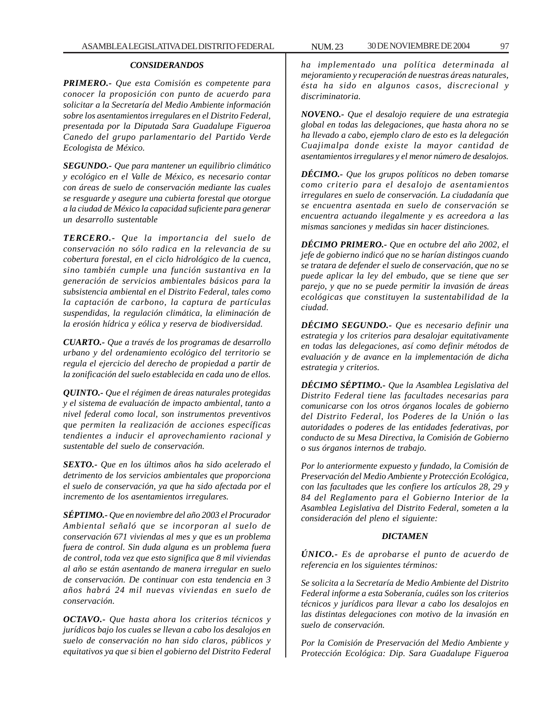## *CONSIDERANDOS*

*PRIMERO.- Que esta Comisión es competente para conocer la proposición con punto de acuerdo para solicitar a la Secretaría del Medio Ambiente información sobre los asentamientos irregulares en el Distrito Federal, presentada por la Diputada Sara Guadalupe Figueroa Canedo del grupo parlamentario del Partido Verde Ecologista de México.*

*SEGUNDO.- Que para mantener un equilibrio climático y ecológico en el Valle de México, es necesario contar con áreas de suelo de conservación mediante las cuales se resguarde y asegure una cubierta forestal que otorgue a la ciudad de México la capacidad suficiente para generar un desarrollo sustentable*

*TERCERO.- Que la importancia del suelo de conservación no sólo radica en la relevancia de su cobertura forestal, en el ciclo hidrológico de la cuenca, sino también cumple una función sustantiva en la generación de servicios ambientales básicos para la subsistencia ambiental en el Distrito Federal, tales como la captación de carbono, la captura de partículas suspendidas, la regulación climática, la eliminación de la erosión hídrica y eólica y reserva de biodiversidad.*

*CUARTO.- Que a través de los programas de desarrollo urbano y del ordenamiento ecológico del territorio se regula el ejercicio del derecho de propiedad a partir de la zonificación del suelo establecida en cada uno de ellos.*

*QUINTO.- Que el régimen de áreas naturales protegidas y el sistema de evaluación de impacto ambiental, tanto a nivel federal como local, son instrumentos preventivos que permiten la realización de acciones específicas tendientes a inducir el aprovechamiento racional y sustentable del suelo de conservación.*

*SEXTO.- Que en los últimos años ha sido acelerado el detrimento de los servicios ambientales que proporciona el suelo de conservación, ya que ha sido afectada por el incremento de los asentamientos irregulares.*

*SÉPTIMO.- Que en noviembre del año 2003 el Procurador Ambiental señaló que se incorporan al suelo de conservación 671 viviendas al mes y que es un problema fuera de control. Sin duda alguna es un problema fuera de control, toda vez que esto significa que 8 mil viviendas al año se están asentando de manera irregular en suelo de conservación. De continuar con esta tendencia en 3 años habrá 24 mil nuevas viviendas en suelo de conservación.*

*OCTAVO.- Que hasta ahora los criterios técnicos y jurídicos bajo los cuales se llevan a cabo los desalojos en suelo de conservación no han sido claros, públicos y equitativos ya que si bien el gobierno del Distrito Federal* *ha implementado una política determinada al mejoramiento y recuperación de nuestras áreas naturales, ésta ha sido en algunos casos, discrecional y discriminatoria.*

*NOVENO.- Que el desalojo requiere de una estrategia global en todas las delegaciones, que hasta ahora no se ha llevado a cabo, ejemplo claro de esto es la delegación Cuajimalpa donde existe la mayor cantidad de asentamientos irregulares y el menor número de desalojos.*

*DÉCIMO.- Que los grupos políticos no deben tomarse como criterio para el desalojo de asentamientos irregulares en suelo de conservación. La ciudadanía que se encuentra asentada en suelo de conservación se encuentra actuando ilegalmente y es acreedora a las mismas sanciones y medidas sin hacer distinciones.*

*DÉCIMO PRIMERO.- Que en octubre del año 2002, el jefe de gobierno indicó que no se harían distingos cuando se tratara de defender el suelo de conservación, que no se puede aplicar la ley del embudo, que se tiene que ser parejo, y que no se puede permitir la invasión de áreas ecológicas que constituyen la sustentabilidad de la ciudad.*

*DÉCIMO SEGUNDO.- Que es necesario definir una estrategia y los criterios para desalojar equitativamente en todas las delegaciones, así como definir métodos de evaluación y de avance en la implementación de dicha estrategia y criterios.*

*DÉCIMO SÉPTIMO.- Que la Asamblea Legislativa del Distrito Federal tiene las facultades necesarias para comunicarse con los otros órganos locales de gobierno del Distrito Federal, los Poderes de la Unión o las autoridades o poderes de las entidades federativas, por conducto de su Mesa Directiva, la Comisión de Gobierno o sus órganos internos de trabajo.*

*Por lo anteriormente expuesto y fundado, la Comisión de Preservación del Medio Ambiente y Protección Ecológica, con las facultades que les confiere los artículos 28, 29 y 84 del Reglamento para el Gobierno Interior de la Asamblea Legislativa del Distrito Federal, someten a la consideración del pleno el siguiente:*

## *DICTAMEN*

*ÚNICO.- Es de aprobarse el punto de acuerdo de referencia en los siguientes términos:*

*Se solicita a la Secretaría de Medio Ambiente del Distrito Federal informe a esta Soberanía, cuáles son los criterios técnicos y jurídicos para llevar a cabo los desalojos en las distintas delegaciones con motivo de la invasión en suelo de conservación.*

*Por la Comisión de Preservación del Medio Ambiente y Protección Ecológica: Dip. Sara Guadalupe Figueroa*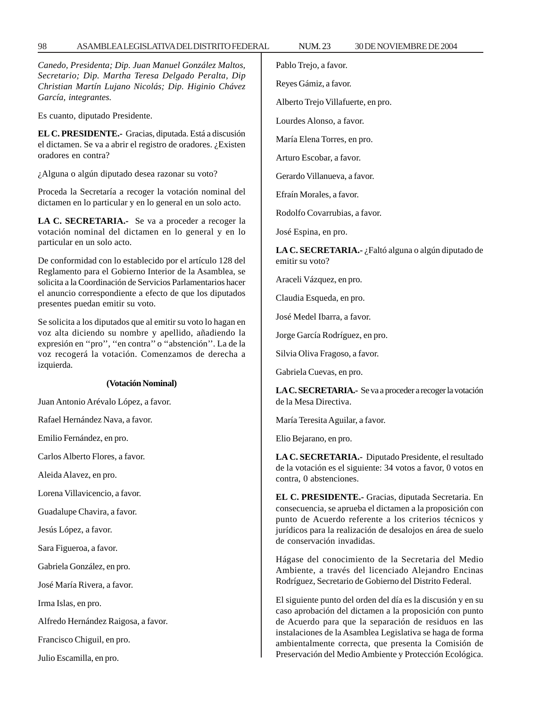| Canedo, Presidenta; Dip. Juan Manuel González Maltos,                                                                                          | Pablo Trejo, a favor.                                                                                              |
|------------------------------------------------------------------------------------------------------------------------------------------------|--------------------------------------------------------------------------------------------------------------------|
| Secretario; Dip. Martha Teresa Delgado Peralta, Dip<br>Christian Martín Lujano Nicolás; Dip. Higinio Chávez                                    | Reyes Gámiz, a favor.                                                                                              |
| García, integrantes.                                                                                                                           | Alberto Trejo Villafuerte, en pro.                                                                                 |
| Es cuanto, diputado Presidente.                                                                                                                | Lourdes Alonso, a favor.                                                                                           |
| EL C. PRESIDENTE. - Gracias, diputada. Está a discusión<br>el dictamen. Se va a abrir el registro de oradores. ¿Existen<br>oradores en contra? | María Elena Torres, en pro.                                                                                        |
|                                                                                                                                                | Arturo Escobar, a favor.                                                                                           |
| ¿Alguna o algún diputado desea razonar su voto?                                                                                                | Gerardo Villanueva, a favor.                                                                                       |
| Proceda la Secretaría a recoger la votación nominal del<br>dictamen en lo particular y en lo general en un solo acto.                          | Efraín Morales, a favor.                                                                                           |
| LA C. SECRETARIA.- Se va a proceder a recoger la                                                                                               | Rodolfo Covarrubias, a favor.                                                                                      |
| votación nominal del dictamen en lo general y en lo                                                                                            | José Espina, en pro.                                                                                               |
| particular en un solo acto.<br>De conformidad con lo establecido por el artículo 128 del                                                       | LA C. SECRETARIA.- ¿Faltó alguna o algún diputado de<br>emitir su voto?                                            |
| Reglamento para el Gobierno Interior de la Asamblea, se<br>solicita a la Coordinación de Servicios Parlamentarios hacer                        | Araceli Vázquez, en pro.                                                                                           |
| el anuncio correspondiente a efecto de que los diputados<br>presentes puedan emitir su voto.                                                   | Claudia Esqueda, en pro.                                                                                           |
| Se solicita a los diputados que al emitir su voto lo hagan en<br>voz alta diciendo su nombre y apellido, añadiendo la                          | José Medel Ibarra, a favor.                                                                                        |
|                                                                                                                                                | Jorge García Rodríguez, en pro.                                                                                    |
| expresión en "pro", "en contra" o "abstención". La de la<br>voz recogerá la votación. Comenzamos de derecha a                                  | Silvia Oliva Fragoso, a favor.                                                                                     |
| izquierda.                                                                                                                                     | Gabriela Cuevas, en pro.                                                                                           |
| (Votación Nominal)                                                                                                                             | LA C. SECRETARIA.- Se va a proceder a recoger la votación                                                          |
| Juan Antonio Arévalo López, a favor.                                                                                                           | de la Mesa Directiva.                                                                                              |
| Rafael Hernández Nava, a favor.                                                                                                                | María Teresita Aguilar, a favor.                                                                                   |
| Emilio Fernández, en pro.                                                                                                                      | Elio Bejarano, en pro.                                                                                             |
| Carlos Alberto Flores, a favor.                                                                                                                | LA C. SECRETARIA.- Diputado Presidente, el resultado                                                               |
| Aleida Alavez, en pro.                                                                                                                         | de la votación es el siguiente: 34 votos a favor, 0 votos en<br>contra, 0 abstenciones.                            |
| Lorena Villavicencio, a favor.                                                                                                                 | EL C. PRESIDENTE.- Gracias, diputada Secretaria. En                                                                |
| Guadalupe Chavira, a favor.                                                                                                                    | consecuencia, se aprueba el dictamen a la proposición con<br>punto de Acuerdo referente a los criterios técnicos y |
| Jesús López, a favor.                                                                                                                          | jurídicos para la realización de desalojos en área de suelo                                                        |
| Sara Figueroa, a favor.                                                                                                                        | de conservación invadidas.                                                                                         |
| Gabriela González, en pro.                                                                                                                     | Hágase del conocimiento de la Secretaria del Medio<br>Ambiente, a través del licenciado Alejandro Encinas          |
| José María Rivera, a favor.                                                                                                                    | Rodríguez, Secretario de Gobierno del Distrito Federal.                                                            |

El siguiente punto del orden del día es la discusión y en su caso aprobación del dictamen a la proposición con punto de Acuerdo para que la separación de residuos en las instalaciones de la Asamblea Legislativa se haga de forma ambientalmente correcta, que presenta la Comisión de Preservación del Medio Ambiente y Protección Ecológica.

Francisco Chiguil, en pro. Julio Escamilla, en pro.

Alfredo Hernández Raigosa, a favor.

Irma Islas, en pro.

98 ASAMBLEA LEGISLATIVA DEL DISTRITO FEDERAL NUM. 23 30 DE NOVIEMBRE DE 2004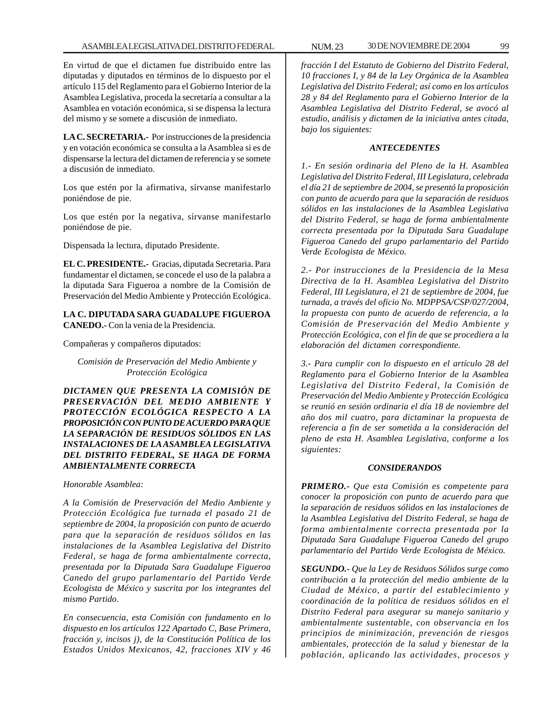En virtud de que el dictamen fue distribuido entre las diputadas y diputados en términos de lo dispuesto por el artículo 115 del Reglamento para el Gobierno Interior de la Asamblea Legislativa, proceda la secretaría a consultar a la Asamblea en votación económica, si se dispensa la lectura del mismo y se somete a discusión de inmediato.

**LA C. SECRETARIA.-** Por instrucciones de la presidencia y en votación económica se consulta a la Asamblea si es de dispensarse la lectura del dictamen de referencia y se somete a discusión de inmediato.

Los que estén por la afirmativa, sírvanse manifestarlo poniéndose de pie.

Los que estén por la negativa, sírvanse manifestarlo poniéndose de pie.

Dispensada la lectura, diputado Presidente.

**EL C. PRESIDENTE.-** Gracias, diputada Secretaria. Para fundamentar el dictamen, se concede el uso de la palabra a la diputada Sara Figueroa a nombre de la Comisión de Preservación del Medio Ambiente y Protección Ecológica.

**LA C. DIPUTADA SARA GUADALUPE FIGUEROA CANEDO.-** Con la venia de la Presidencia.

Compañeras y compañeros diputados:

*Comisión de Preservación del Medio Ambiente y Protección Ecológica*

*DICTAMEN QUE PRESENTA LA COMISIÓN DE PRESERVACIÓN DEL MEDIO AMBIENTE Y PROTECCIÓN ECOLÓGICA RESPECTO A LA PROPOSICIÓN CON PUNTO DE ACUERDO PARA QUE LA SEPARACIÓN DE RESIDUOS SÓLIDOS EN LAS INSTALACIONES DE LA ASAMBLEA LEGISLATIVA DEL DISTRITO FEDERAL, SE HAGA DE FORMA AMBIENTALMENTE CORRECTA*

*Honorable Asamblea:*

*A la Comisión de Preservación del Medio Ambiente y Protección Ecológica fue turnada el pasado 21 de septiembre de 2004, la proposición con punto de acuerdo para que la separación de residuos sólidos en las instalaciones de la Asamblea Legislativa del Distrito Federal, se haga de forma ambientalmente correcta, presentada por la Diputada Sara Guadalupe Figueroa Canedo del grupo parlamentario del Partido Verde Ecologista de México y suscrita por los integrantes del mismo Partido.*

*En consecuencia, esta Comisión con fundamento en lo dispuesto en los artículos 122 Apartado C, Base Primera, fracción y, incisos j), de la Constitución Política de los Estados Unidos Mexicanos, 42, fracciones XIV y 46* *fracción I del Estatuto de Gobierno del Distrito Federal, 10 fracciones I, y 84 de la Ley Orgánica de la Asamblea Legislativa del Distrito Federal; así como en los artículos 28 y 84 del Reglamento para el Gobierno Interior de la Asamblea Legislativa del Distrito Federal, se avocó al estudio, análisis y dictamen de la iniciativa antes citada, bajo los siguientes:*

## *ANTECEDENTES*

*1.- En sesión ordinaria del Pleno de la H. Asamblea Legislativa del Distrito Federal, III Legislatura, celebrada el día 21 de septiembre de 2004, se presentó la proposición con punto de acuerdo para que la separación de residuos sólidos en las instalaciones de la Asamblea Legislativa del Distrito Federal, se haga de forma ambientalmente correcta presentada por la Diputada Sara Guadalupe Figueroa Canedo del grupo parlamentario del Partido Verde Ecologista de México.*

*2.- Por instrucciones de la Presidencia de la Mesa Directiva de la H. Asamblea Legislativa del Distrito Federal, III Legislatura, el 21 de septiembre de 2004, fue turnada, a través del oficio No. MDPPSA/CSP/027/2004, la propuesta con punto de acuerdo de referencia, a la Comisión de Preservación del Medio Ambiente y Protección Ecológica, con el fin de que se procediera a la elaboración del dictamen correspondiente.*

*3.- Para cumplir con lo dispuesto en el artículo 28 del Reglamento para el Gobierno Interior de la Asamblea Legislativa del Distrito Federal, la Comisión de Preservación del Medio Ambiente y Protección Ecológica se reunió en sesión ordinaria el día 18 de noviembre del año dos mil cuatro, para dictaminar la propuesta de referencia a fin de ser sometida a la consideración del pleno de esta H. Asamblea Legislativa, conforme a los siguientes:*

## *CONSIDERANDOS*

*PRIMERO.- Que esta Comisión es competente para conocer la proposición con punto de acuerdo para que la separación de residuos sólidos en las instalaciones de la Asamblea Legislativa del Distrito Federal, se haga de forma ambientalmente correcta presentada por la Diputada Sara Guadalupe Figueroa Canedo del grupo parlamentario del Partido Verde Ecologista de México.*

*SEGUNDO.- Que la Ley de Residuos Sólidos surge como contribución a la protección del medio ambiente de la Ciudad de México, a partir del establecimiento y coordinación de la política de residuos sólidos en el Distrito Federal para asegurar su manejo sanitario y ambientalmente sustentable, con observancia en los principios de minimización, prevención de riesgos ambientales, protección de la salud y bienestar de la población, aplicando las actividades, procesos y*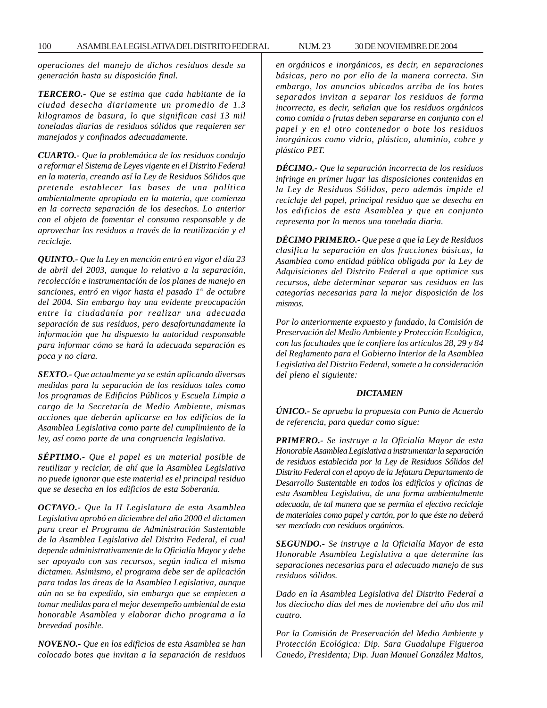*operaciones del manejo de dichos residuos desde su generación hasta su disposición final.*

*TERCERO.- Que se estima que cada habitante de la ciudad desecha diariamente un promedio de 1.3 kilogramos de basura, lo que significan casi 13 mil toneladas diarias de residuos sólidos que requieren ser manejados y confinados adecuadamente.*

*CUARTO.- Que la problemática de los residuos condujo a reformar el Sistema de Leyes vigente en el Distrito Federal en la materia, creando así la Ley de Residuos Sólidos que pretende establecer las bases de una política ambientalmente apropiada en la materia, que comienza en la correcta separación de los desechos. Lo anterior con el objeto de fomentar el consumo responsable y de aprovechar los residuos a través de la reutilización y el reciclaje.*

*QUINTO.- Que la Ley en mención entró en vigor el día 23 de abril del 2003, aunque lo relativo a la separación, recolección e instrumentación de los planes de manejo en sanciones, entró en vigor hasta el pasado 1° de octubre del 2004. Sin embargo hay una evidente preocupación entre la ciudadanía por realizar una adecuada separación de sus residuos, pero desafortunadamente la información que ha dispuesto la autoridad responsable para informar cómo se hará la adecuada separación es poca y no clara.*

*SEXTO.- Que actualmente ya se están aplicando diversas medidas para la separación de los residuos tales como los programas de Edificios Públicos y Escuela Limpia a cargo de la Secretaría de Medio Ambiente, mismas acciones que deberán aplicarse en los edificios de la Asamblea Legislativa como parte del cumplimiento de la ley, así como parte de una congruencia legislativa.*

*SÉPTIMO.- Que el papel es un material posible de reutilizar y reciclar, de ahí que la Asamblea Legislativa no puede ignorar que este material es el principal residuo que se desecha en los edificios de esta Soberanía.*

*OCTAVO.- Que la II Legislatura de esta Asamblea Legislativa aprobó en diciembre del año 2000 el dictamen para crear el Programa de Administración Sustentable de la Asamblea Legislativa del Distrito Federal, el cual depende administrativamente de la Oficialía Mayor y debe ser apoyado con sus recursos, según indica el mismo dictamen. Asimismo, el programa debe ser de aplicación para todas las áreas de la Asamblea Legislativa, aunque aún no se ha expedido, sin embargo que se empiecen a tomar medidas para el mejor desempeño ambiental de esta honorable Asamblea y elaborar dicho programa a la brevedad posible.*

*NOVENO.- Que en los edificios de esta Asamblea se han colocado botes que invitan a la separación de residuos* *en orgánicos e inorgánicos, es decir, en separaciones básicas, pero no por ello de la manera correcta. Sin embargo, los anuncios ubicados arriba de los botes separados invitan a separar los residuos de forma incorrecta, es decir, señalan que los residuos orgánicos como comida o frutas deben separarse en conjunto con el papel y en el otro contenedor o bote los residuos inorgánicos como vidrio, plástico, aluminio, cobre y plástico PET.*

*DÉCIMO.- Que la separación incorrecta de los residuos infringe en primer lugar las disposiciones contenidas en la Ley de Residuos Sólidos, pero además impide el reciclaje del papel, principal residuo que se desecha en los edificios de esta Asamblea y que en conjunto representa por lo menos una tonelada diaria.*

*DÉCIMO PRIMERO.- Que pese a que la Ley de Residuos clasifica la separación en dos fracciones básicas, la Asamblea como entidad pública obligada por la Ley de Adquisiciones del Distrito Federal a que optimice sus recursos, debe determinar separar sus residuos en las categorías necesarias para la mejor disposición de los mismos.*

*Por lo anteriormente expuesto y fundado, la Comisión de Preservación del Medio Ambiente y Protección Ecológica, con las facultades que le confiere los artículos 28, 29 y 84 del Reglamento para el Gobierno Interior de la Asamblea Legislativa del Distrito Federal, somete a la consideración del pleno el siguiente:*

#### *DICTAMEN*

*ÚNICO.- Se aprueba la propuesta con Punto de Acuerdo de referencia, para quedar como sigue:*

*PRIMERO.- Se instruye a la Oficialía Mayor de esta Honorable Asamblea Legislativa a instrumentar la separación de residuos establecida por la Ley de Residuos Sólidos del Distrito Federal con el apoyo de la Jefatura Departamento de Desarrollo Sustentable en todos los edificios y oficinas de esta Asamblea Legislativa, de una forma ambientalmente adecuada, de tal manera que se permita el efectivo reciclaje de materiales como papel y cartón, por lo que éste no deberá ser mezclado con residuos orgánicos.*

*SEGUNDO.- Se instruye a la Oficialía Mayor de esta Honorable Asamblea Legislativa a que determine las separaciones necesarias para el adecuado manejo de sus residuos sólidos.*

*Dado en la Asamblea Legislativa del Distrito Federal a los dieciocho días del mes de noviembre del año dos mil cuatro.*

*Por la Comisión de Preservación del Medio Ambiente y Protección Ecológica: Dip. Sara Guadalupe Figueroa Canedo, Presidenta; Dip. Juan Manuel González Maltos,*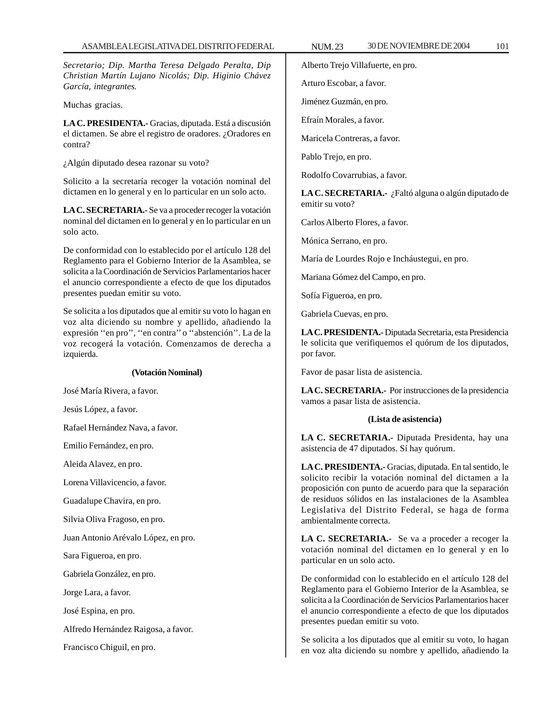*Secretario; Dip. Martha Teresa Delgado Peralta, Dip Christian Martín Lujano Nicolás; Dip. Higinio Chávez García, integrantes.*

Muchas gracias.

**LA C. PRESIDENTA.-** Gracias, diputada. Está a discusión el dictamen. Se abre el registro de oradores. ¿Oradores en contra?

¿Algún diputado desea razonar su voto?

Solicito a la secretaría recoger la votación nominal del dictamen en lo general y en lo particular en un solo acto.

**LA C. SECRETARIA.-** Se va a proceder recoger la votación nominal del dictamen en lo general y en lo particular en un solo acto.

De conformidad con lo establecido por el artículo 128 del Reglamento para el Gobierno Interior de la Asamblea, se solicita a la Coordinación de Servicios Parlamentarios hacer el anuncio correspondiente a efecto de que los diputados presentes puedan emitir su voto.

Se solicita a los diputados que al emitir su voto lo hagan en voz alta diciendo su nombre y apellido, añadiendo la expresión ''en pro'', ''en contra'' o ''abstención''. La de la voz recogerá la votación. Comenzamos de derecha a izquierda.

#### **(Votación Nominal)**

José María Rivera, a favor.

Jesús López, a favor.

Rafael Hernández Nava, a favor.

Emilio Fernández, en pro.

Aleida Alavez, en pro.

Lorena Villavicencio, a favor.

Guadalupe Chavira, en pro.

Silvia Oliva Fragoso, en pro.

Juan Antonio Arévalo López, en pro.

Sara Figueroa, en pro.

Gabriela González, en pro.

Jorge Lara, a favor.

José Espina, en pro.

Alfredo Hernández Raigosa, a favor.

Francisco Chiguil, en pro.

Alberto Trejo Villafuerte, en pro.

Arturo Escobar, a favor.

Jiménez Guzmán, en pro.

Efraín Morales, a favor.

Maricela Contreras, a favor.

Pablo Trejo, en pro.

Rodolfo Covarrubias, a favor.

**LA C. SECRETARIA.-** ¿Faltó alguna o algún diputado de emitir su voto?

Carlos Alberto Flores, a favor.

Mónica Serrano, en pro.

María de Lourdes Rojo e Incháustegui, en pro.

Mariana Gómez del Campo, en pro.

Sofía Figueroa, en pro.

Gabriela Cuevas, en pro.

**LA C. PRESIDENTA.-** Diputada Secretaria, esta Presidencia le solicita que verifiquemos el quórum de los diputados, por favor.

Favor de pasar lista de asistencia.

**LA C. SECRETARIA.-** Por instrucciones de la presidencia vamos a pasar lista de asistencia.

#### **(Lista de asistencia)**

**LA C. SECRETARIA.-** Diputada Presidenta, hay una asistencia de 47 diputados. Sí hay quórum.

**LA C. PRESIDENTA.-** Gracias, diputada. En tal sentido, le solicito recibir la votación nominal del dictamen a la proposición con punto de acuerdo para que la separación de residuos sólidos en las instalaciones de la Asamblea Legislativa del Distrito Federal, se haga de forma ambientalmente correcta.

**LA C. SECRETARIA.-** Se va a proceder a recoger la votación nominal del dictamen en lo general y en lo particular en un solo acto.

De conformidad con lo establecido en el artículo 128 del Reglamento para el Gobierno Interior de la Asamblea, se solicita a la Coordinación de Servicios Parlamentarios hacer el anuncio correspondiente a efecto de que los diputados presentes puedan emitir su voto.

Se solicita a los diputados que al emitir su voto, lo hagan en voz alta diciendo su nombre y apellido, añadiendo la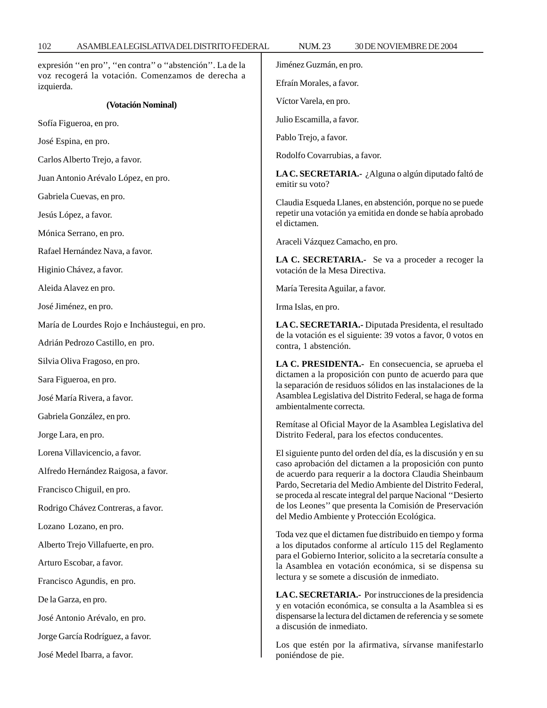expresión ''en pro'', ''en contra'' o ''abstención''. La de la voz recogerá la votación. Comenzamos de derecha a izquierda.

#### **(Votación Nominal)**

Sofía Figueroa, en pro.

José Espina, en pro.

Carlos Alberto Trejo, a favor.

Juan Antonio Arévalo López, en pro.

Gabriela Cuevas, en pro.

Jesús López, a favor.

Mónica Serrano, en pro.

Rafael Hernández Nava, a favor.

Higinio Chávez, a favor.

Aleida Alavez en pro.

José Jiménez, en pro.

María de Lourdes Rojo e Incháustegui, en pro.

Adrián Pedrozo Castillo, en pro.

Silvia Oliva Fragoso, en pro.

Sara Figueroa, en pro.

José María Rivera, a favor.

Gabriela González, en pro.

Jorge Lara, en pro.

Lorena Villavicencio, a favor.

Alfredo Hernández Raigosa, a favor.

Francisco Chiguil, en pro.

Rodrigo Chávez Contreras, a favor.

Lozano Lozano, en pro.

Alberto Trejo Villafuerte, en pro.

Arturo Escobar, a favor.

Francisco Agundis, en pro.

De la Garza, en pro.

José Antonio Arévalo, en pro.

Jorge García Rodríguez, a favor.

José Medel Ibarra, a favor.

Jiménez Guzmán, en pro.

Efraín Morales, a favor.

Víctor Varela, en pro.

Julio Escamilla, a favor.

Pablo Trejo, a favor.

Rodolfo Covarrubias, a favor.

**LA C. SECRETARIA.-** ¿Alguna o algún diputado faltó de emitir su voto?

Claudia Esqueda Llanes, en abstención, porque no se puede repetir una votación ya emitida en donde se había aprobado el dictamen.

Araceli Vázquez Camacho, en pro.

**LA C. SECRETARIA.-** Se va a proceder a recoger la votación de la Mesa Directiva.

María Teresita Aguilar, a favor.

Irma Islas, en pro.

**LA C. SECRETARIA.-** Diputada Presidenta, el resultado de la votación es el siguiente: 39 votos a favor, 0 votos en contra, 1 abstención.

**LA C. PRESIDENTA.-** En consecuencia, se aprueba el dictamen a la proposición con punto de acuerdo para que la separación de residuos sólidos en las instalaciones de la Asamblea Legislativa del Distrito Federal, se haga de forma ambientalmente correcta.

Remítase al Oficial Mayor de la Asamblea Legislativa del Distrito Federal, para los efectos conducentes.

El siguiente punto del orden del día, es la discusión y en su caso aprobación del dictamen a la proposición con punto de acuerdo para requerir a la doctora Claudia Sheinbaum Pardo, Secretaria del Medio Ambiente del Distrito Federal, se proceda al rescate integral del parque Nacional ''Desierto de los Leones'' que presenta la Comisión de Preservación del Medio Ambiente y Protección Ecológica.

Toda vez que el dictamen fue distribuido en tiempo y forma a los diputados conforme al artículo 115 del Reglamento para el Gobierno Interior, solicito a la secretaría consulte a la Asamblea en votación económica, si se dispensa su lectura y se somete a discusión de inmediato.

**LA C. SECRETARIA.-** Por instrucciones de la presidencia y en votación económica, se consulta a la Asamblea si es dispensarse la lectura del dictamen de referencia y se somete a discusión de inmediato.

Los que estén por la afirmativa, sírvanse manifestarlo poniéndose de pie.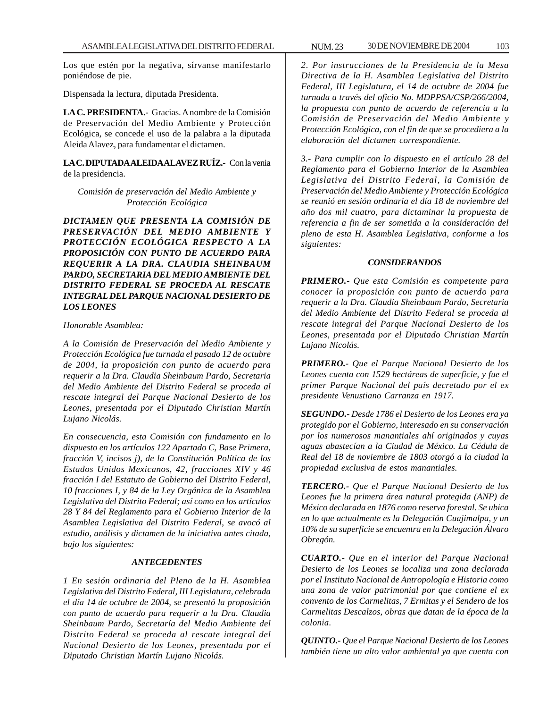Los que estén por la negativa, sírvanse manifestarlo poniéndose de pie.

Dispensada la lectura, diputada Presidenta.

**LA C. PRESIDENTA.-** Gracias. A nombre de la Comisión de Preservación del Medio Ambiente y Protección Ecológica, se concede el uso de la palabra a la diputada Aleida Alavez, para fundamentar el dictamen.

**LA C. DIPUTADA ALEIDA ALAVEZ RUÍZ.-** Con la venia de la presidencia.

*Comisión de preservación del Medio Ambiente y Protección Ecológica*

*DICTAMEN QUE PRESENTA LA COMISIÓN DE PRESERVACIÓN DEL MEDIO AMBIENTE Y PROTECCIÓN ECOLÓGICA RESPECTO A LA PROPOSICIÓN CON PUNTO DE ACUERDO PARA REQUERIR A LA DRA. CLAUDIA SHEINBAUM PARDO, SECRETARIA DEL MEDIO AMBIENTE DEL DISTRITO FEDERAL SE PROCEDA AL RESCATE INTEGRAL DEL PARQUE NACIONAL DESIERTO DE LOS LEONES*

## *Honorable Asamblea:*

*A la Comisión de Preservación del Medio Ambiente y Protección Ecológica fue turnada el pasado 12 de octubre de 2004, la proposición con punto de acuerdo para requerir a la Dra. Claudia Sheinbaum Pardo, Secretaria del Medio Ambiente del Distrito Federal se proceda al rescate integral del Parque Nacional Desierto de los Leones, presentada por el Diputado Christian Martín Lujano Nicolás.*

*En consecuencia, esta Comisión con fundamento en lo dispuesto en los artículos 122 Apartado C, Base Primera, fracción V, incisos j), de la Constitución Política de los Estados Unidos Mexicanos, 42, fracciones XIV y 46 fracción I del Estatuto de Gobierno del Distrito Federal, 10 fracciones I, y 84 de la Ley Orgánica de la Asamblea Legislativa del Distrito Federal; así como en los artículos 28 Y 84 del Reglamento para el Gobierno Interior de la Asamblea Legislativa del Distrito Federal, se avocó al estudio, análisis y dictamen de la iniciativa antes citada, bajo los siguientes:*

## *ANTECEDENTES*

*1 En sesión ordinaria del Pleno de la H. Asamblea Legislativa del Distrito Federal, III Legislatura, celebrada el día 14 de octubre de 2004, se presentó la proposición con punto de acuerdo para requerir a la Dra. Claudia Sheinbaum Pardo, Secretaría del Medio Ambiente del Distrito Federal se proceda al rescate integral del Nacional Desierto de los Leones, presentada por el Diputado Christian Martín Lujano Nicolás.*

*2. Por instrucciones de la Presidencia de la Mesa Directiva de la H. Asamblea Legislativa del Distrito Federal, III Legislatura, el 14 de octubre de 2004 fue turnada a través del oficio No. MDPPSA/CSP/266/2004, la propuesta con punto de acuerdo de referencia a la Comisión de Preservación del Medio Ambiente y Protección Ecológica, con el fin de que se procediera a la elaboración del dictamen correspondiente.*

*3.- Para cumplir con lo dispuesto en el artículo 28 del Reglamento para el Gobierno Interior de la Asamblea Legislativa del Distrito Federal, la Comisión de Preservación del Medio Ambiente y Protección Ecológica se reunió en sesión ordinaria el día 18 de noviembre del año dos mil cuatro, para dictaminar la propuesta de referencia a fin de ser sometida a la consideración del pleno de esta H. Asamblea Legislativa, conforme a los siguientes:*

### *CONSIDERANDOS*

*PRIMERO.- Que esta Comisión es competente para conocer la proposición con punto de acuerdo para requerir a la Dra. Claudia Sheinbaum Pardo, Secretaria del Medio Ambiente del Distrito Federal se proceda al rescate integral del Parque Nacional Desierto de los Leones, presentada por el Diputado Christian Martín Lujano Nicolás.*

*PRIMERO.- Que el Parque Nacional Desierto de los Leones cuenta con 1529 hectáreas de superficie, y fue el primer Parque Nacional del país decretado por el ex presidente Venustiano Carranza en 1917.*

*SEGUNDO.- Desde 1786 el Desierto de los Leones era ya protegido por el Gobierno, interesado en su conservación por los numerosos manantiales ahí originados y cuyas aguas abastecían a la Ciudad de México. La Cédula de Real del 18 de noviembre de 1803 otorgó a la ciudad la propiedad exclusiva de estos manantiales.*

*TERCERO.- Que el Parque Nacional Desierto de los Leones fue la primera área natural protegida (ANP) de México declarada en 1876 como reserva forestal. Se ubica en lo que actualmente es la Delegación Cuajimalpa, y un 10% de su superficie se encuentra en la Delegación Álvaro Obregón.*

*CUARTO.- Que en el interior del Parque Nacional Desierto de los Leones se localiza una zona declarada por el Instituto Nacional de Antropología e Historia como una zona de valor patrimonial por que contiene el ex convento de los Carmelitas, 7 Ermitas y el Sendero de los Carmelitas Descalzos, obras que datan de la época de la colonia.*

*QUINTO.- Que el Parque Nacional Desierto de los Leones también tiene un alto valor ambiental ya que cuenta con*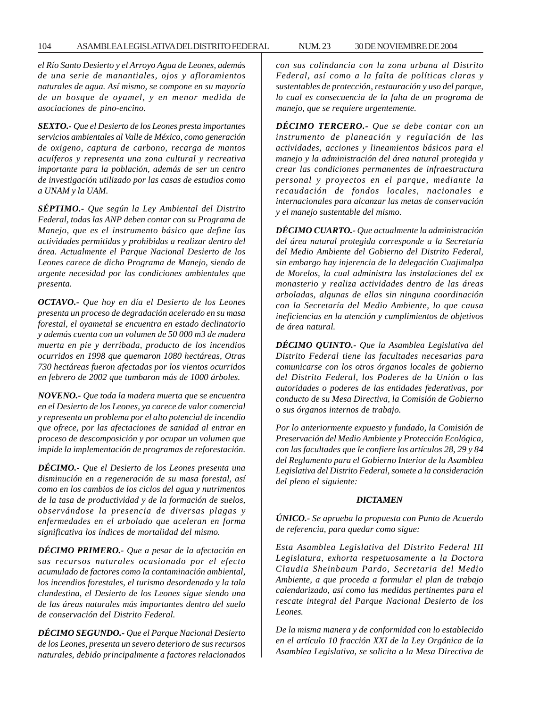*el Río Santo Desierto y el Arroyo Agua de Leones, además de una serie de manantiales, ojos y afloramientos naturales de agua. Así mismo, se compone en su mayoría de un bosque de oyamel, y en menor medida de asociaciones de pino-encino.*

*SEXTO.- Que el Desierto de los Leones presta importantes servicios ambientales al Valle de México, como generación de oxigeno, captura de carbono, recarga de mantos acuíferos y representa una zona cultural y recreativa importante para la población, además de ser un centro de investigación utilizado por las casas de estudios como a UNAM y la UAM.*

*SÉPTIMO.- Que según la Ley Ambiental del Distrito Federal, todas las ANP deben contar con su Programa de Manejo, que es el instrumento básico que define las actividades permitidas y prohibidas a realizar dentro del área. Actualmente el Parque Nacional Desierto de los Leones carece de dicho Programa de Manejo, siendo de urgente necesidad por las condiciones ambientales que presenta.*

*OCTAVO.- Que hoy en día el Desierto de los Leones presenta un proceso de degradación acelerado en su masa forestal, el oyametal se encuentra en estado declinatorio y además cuenta con un volumen de 50 000 m3 de madera muerta en pie y derribada, producto de los incendios ocurridos en 1998 que quemaron 1080 hectáreas, Otras 730 hectáreas fueron afectadas por los vientos ocurridos en febrero de 2002 que tumbaron más de 1000 árboles.*

*NOVENO.- Que toda la madera muerta que se encuentra en el Desierto de los Leones, ya carece de valor comercial y representa un problema por el alto potencial de incendio que ofrece, por las afectaciones de sanidad al entrar en proceso de descomposición y por ocupar un volumen que impide la implementación de programas de reforestación.*

*DÉCIMO.- Que el Desierto de los Leones presenta una disminución en a regeneración de su masa forestal, así como en los cambios de los ciclos del agua y nutrimentos de la tasa de productividad y de la formación de suelos, observándose la presencia de diversas plagas y enfermedades en el arbolado que aceleran en forma significativa los índices de mortalidad del mismo.*

*DÉCIMO PRIMERO.- Que a pesar de la afectación en sus recursos naturales ocasionado por el efecto acumulado de factores como la contaminación ambiental, los incendios forestales, el turismo desordenado y la tala clandestina, el Desierto de los Leones sigue siendo una de las áreas naturales más importantes dentro del suelo de conservación del Distrito Federal.*

*DÉCIMO SEGUNDO.- Que el Parque Nacional Desierto de los Leones, presenta un severo deterioro de sus recursos naturales, debido principalmente a factores relacionados*

*con sus colindancia con la zona urbana al Distrito Federal, así como a la falta de políticas claras y sustentables de protección, restauración y uso del parque, lo cual es consecuencia de la falta de un programa de manejo, que se requiere urgentemente.*

*DÉCIMO TERCERO.- Que se debe contar con un instrumento de planeación y regulación de las actividades, acciones y lineamientos básicos para el manejo y la administración del área natural protegida y crear las condiciones permanentes de infraestructura personal y proyectos en el parque, mediante la recaudación de fondos locales, nacionales e internacionales para alcanzar las metas de conservación y el manejo sustentable del mismo.*

*DÉCIMO CUARTO.- Que actualmente la administración del área natural protegida corresponde a la Secretaría del Medio Ambiente del Gobierno del Distrito Federal, sin embargo hay injerencia de la delegación Cuajimalpa de Morelos, la cual administra las instalaciones del ex monasterio y realiza actividades dentro de las áreas arboladas, algunas de ellas sin ninguna coordinación con la Secretaría del Medio Ambiente, lo que causa ineficiencias en la atención y cumplimientos de objetivos de área natural.*

*DÉCIMO QUINTO.- Que la Asamblea Legislativa del Distrito Federal tiene las facultades necesarias para comunicarse con los otros órganos locales de gobierno del Distrito Federal, los Poderes de la Unión o las autoridades o poderes de las entidades federativas, por conducto de su Mesa Directiva, la Comisión de Gobierno o sus órganos internos de trabajo.*

*Por lo anteriormente expuesto y fundado, la Comisión de Preservación del Medio Ambiente y Protección Ecológica, con las facultades que le confiere los artículos 28, 29 y 84 del Reglamento para el Gobierno Interior de la Asamblea Legislativa del Distrito Federal, somete a la consideración del pleno el siguiente:*

## *DICTAMEN*

*ÚNICO.- Se aprueba la propuesta con Punto de Acuerdo de referencia, para quedar como sigue:*

*Esta Asamblea Legislativa del Distrito Federal III Legislatura, exhorta respetuosamente a la Doctora Claudia Sheinbaum Pardo, Secretaria del Medio Ambiente, a que proceda a formular el plan de trabajo calendarizado, así como las medidas pertinentes para el rescate integral del Parque Nacional Desierto de los Leones.*

*De la misma manera y de conformidad con lo establecido en el artículo 10 fracción XXI de la Ley Orgánica de la Asamblea Legislativa, se solicita a la Mesa Directiva de*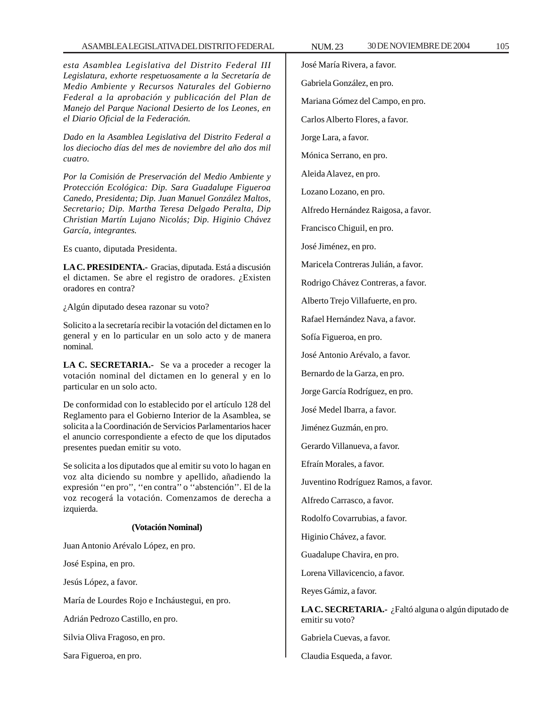*esta Asamblea Legislativa del Distrito Federal III Legislatura, exhorte respetuosamente a la Secretaría de Medio Ambiente y Recursos Naturales del Gobierno Federal a la aprobación y publicación del Plan de Manejo del Parque Nacional Desierto de los Leones, en el Diario Oficial de la Federación.*

*Dado en la Asamblea Legislativa del Distrito Federal a los dieciocho días del mes de noviembre del año dos mil cuatro.*

*Por la Comisión de Preservación del Medio Ambiente y Protección Ecológica: Dip. Sara Guadalupe Figueroa Canedo, Presidenta; Dip. Juan Manuel González Maltos, Secretario; Dip. Martha Teresa Delgado Peralta, Dip Christian Martín Lujano Nicolás; Dip. Higinio Chávez García, integrantes.*

Es cuanto, diputada Presidenta.

**LA C. PRESIDENTA.-** Gracias, diputada. Está a discusión el dictamen. Se abre el registro de oradores. ¿Existen oradores en contra?

¿Algún diputado desea razonar su voto?

Solicito a la secretaría recibir la votación del dictamen en lo general y en lo particular en un solo acto y de manera nominal.

**LA C. SECRETARIA.-** Se va a proceder a recoger la votación nominal del dictamen en lo general y en lo particular en un solo acto.

De conformidad con lo establecido por el artículo 128 del Reglamento para el Gobierno Interior de la Asamblea, se solicita a la Coordinación de Servicios Parlamentarios hacer el anuncio correspondiente a efecto de que los diputados presentes puedan emitir su voto.

Se solicita a los diputados que al emitir su voto lo hagan en voz alta diciendo su nombre y apellido, añadiendo la expresión ''en pro'', ''en contra'' o ''abstención''. El de la voz recogerá la votación. Comenzamos de derecha a izquierda.

#### **(Votación Nominal)**

Juan Antonio Arévalo López, en pro.

José Espina, en pro.

Jesús López, a favor.

María de Lourdes Rojo e Incháustegui, en pro.

Adrián Pedrozo Castillo, en pro.

Silvia Oliva Fragoso, en pro.

Sara Figueroa, en pro.

José María Rivera, a favor. Gabriela González, en pro. Mariana Gómez del Campo, en pro. Carlos Alberto Flores, a favor. Jorge Lara, a favor. Mónica Serrano, en pro. Aleida Alavez, en pro. Lozano Lozano, en pro. Alfredo Hernández Raigosa, a favor. Francisco Chiguil, en pro. José Jiménez, en pro. Maricela Contreras Julián, a favor. Rodrigo Chávez Contreras, a favor. Alberto Trejo Villafuerte, en pro. Rafael Hernández Nava, a favor. Sofía Figueroa, en pro. José Antonio Arévalo, a favor. Bernardo de la Garza, en pro. Jorge García Rodríguez, en pro. José Medel Ibarra, a favor. Jiménez Guzmán, en pro. Gerardo Villanueva, a favor. Efraín Morales, a favor. Juventino Rodríguez Ramos, a favor. Alfredo Carrasco, a favor. Rodolfo Covarrubias, a favor. Higinio Chávez, a favor. Guadalupe Chavira, en pro. Lorena Villavicencio, a favor. Reyes Gámiz, a favor. **LA C. SECRETARIA.-** ¿Faltó alguna o algún diputado de emitir su voto? Gabriela Cuevas, a favor.

Claudia Esqueda, a favor.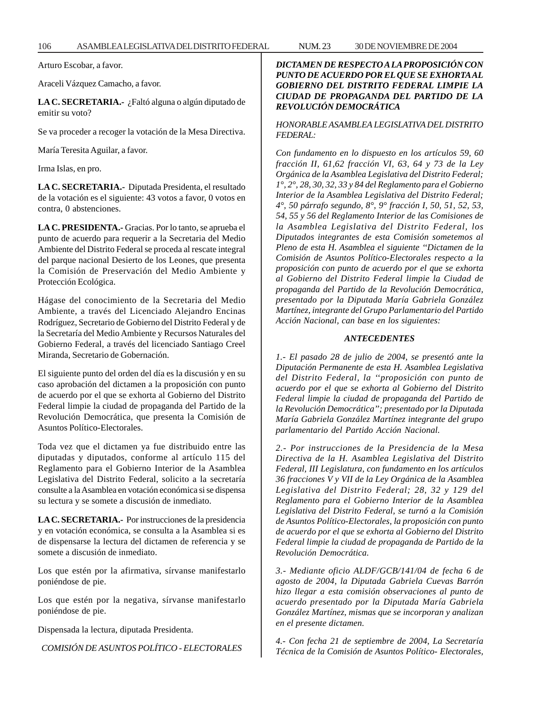Arturo Escobar, a favor.

Araceli Vázquez Camacho, a favor.

**LA C. SECRETARIA.-** ¿Faltó alguna o algún diputado de emitir su voto?

Se va proceder a recoger la votación de la Mesa Directiva.

María Teresita Aguilar, a favor.

Irma Islas, en pro.

**LA C. SECRETARIA.-** Diputada Presidenta, el resultado de la votación es el siguiente: 43 votos a favor, 0 votos en contra, 0 abstenciones.

**LA C. PRESIDENTA.-** Gracias. Por lo tanto, se aprueba el punto de acuerdo para requerir a la Secretaria del Medio Ambiente del Distrito Federal se proceda al rescate integral del parque nacional Desierto de los Leones, que presenta la Comisión de Preservación del Medio Ambiente y Protección Ecológica.

Hágase del conocimiento de la Secretaria del Medio Ambiente, a través del Licenciado Alejandro Encinas Rodríguez, Secretario de Gobierno del Distrito Federal y de la Secretaría del Medio Ambiente y Recursos Naturales del Gobierno Federal, a través del licenciado Santiago Creel Miranda, Secretario de Gobernación.

El siguiente punto del orden del día es la discusión y en su caso aprobación del dictamen a la proposición con punto de acuerdo por el que se exhorta al Gobierno del Distrito Federal limpie la ciudad de propaganda del Partido de la Revolución Democrática, que presenta la Comisión de Asuntos Político-Electorales.

Toda vez que el dictamen ya fue distribuido entre las diputadas y diputados, conforme al artículo 115 del Reglamento para el Gobierno Interior de la Asamblea Legislativa del Distrito Federal, solicito a la secretaría consulte a la Asamblea en votación económica si se dispensa su lectura y se somete a discusión de inmediato.

**LA C. SECRETARIA.-** Por instrucciones de la presidencia y en votación económica, se consulta a la Asamblea si es de dispensarse la lectura del dictamen de referencia y se somete a discusión de inmediato.

Los que estén por la afirmativa, sírvanse manifestarlo poniéndose de pie.

Los que estén por la negativa, sírvanse manifestarlo poniéndose de pie.

Dispensada la lectura, diputada Presidenta.

*COMISIÓN DE ASUNTOS POLÍTICO - ELECTORALES*

*DICTAMEN DE RESPECTO A LA PROPOSICIÓN CON PUNTO DE ACUERDO POR EL QUE SE EXHORTA AL GOBIERNO DEL DISTRITO FEDERAL LIMPIE LA CIUDAD DE PROPAGANDA DEL PARTIDO DE LA REVOLUCIÓN DEMOCRÁTICA*

## *HONORABLE ASAMBLEA LEGISLATIVA DEL DISTRITO FEDERAL:*

*Con fundamento en lo dispuesto en los artículos 59, 60 fracción II, 61,62 fracción VI, 63, 64 y 73 de la Ley Orgánica de la Asamblea Legislativa del Distrito Federal; 1°, 2°, 28, 30, 32, 33 y 84 del Reglamento para el Gobierno Interior de la Asamblea Legislativa del Distrito Federal; 4°, 50 párrafo segundo, 8°, 9° fracción I, 50, 51, 52, 53, 54, 55 y 56 del Reglamento Interior de las Comisiones de la Asamblea Legislativa del Distrito Federal, los Diputados integrantes de esta Comisión sometemos al Pleno de esta H. Asamblea el siguiente ''Dictamen de la Comisión de Asuntos Político-Electorales respecto a la proposición con punto de acuerdo por el que se exhorta al Gobierno del Distrito Federal limpie la Ciudad de propaganda del Partido de la Revolución Democrática, presentado por la Diputada María Gabriela González Martínez, integrante del Grupo Parlamentario del Partido Acción Nacional, can base en los siguientes:*

## *ANTECEDENTES*

*1.- El pasado 28 de julio de 2004, se presentó ante la Diputación Permanente de esta H. Asamblea Legislativa del Distrito Federal, la ''proposición con punto de acuerdo por el que se exhorta al Gobierno del Distrito Federal limpie la ciudad de propaganda del Partido de la Revolución Democrática''; presentado por la Diputada María Gabriela González Martínez integrante del grupo parlamentario del Partido Acción Nacional.*

*2.- Por instrucciones de la Presidencia de la Mesa Directiva de la H. Asamblea Legislativa del Distrito Federal, III Legislatura, con fundamento en los artículos 36 fracciones V y VII de la Ley Orgánica de la Asamblea Legislativa del Distrito Federal; 28, 32 y 129 del Reglamento para el Gobierno Interior de la Asamblea Legislativa del Distrito Federal, se turnó a la Comisión de Asuntos Político-Electorales, la proposición con punto de acuerdo por el que se exhorta al Gobierno del Distrito Federal limpie la ciudad de propaganda de Partido de la Revolución Democrática.*

*3.- Mediante oficio ALDF/GCB/141/04 de fecha 6 de agosto de 2004, la Diputada Gabriela Cuevas Barrón hizo llegar a esta comisión observaciones al punto de acuerdo presentado por la Diputada María Gabriela González Martínez, mismas que se incorporan y analizan en el presente dictamen.*

*4.- Con fecha 21 de septiembre de 2004, La Secretaría Técnica de la Comisión de Asuntos Político- Electorales,*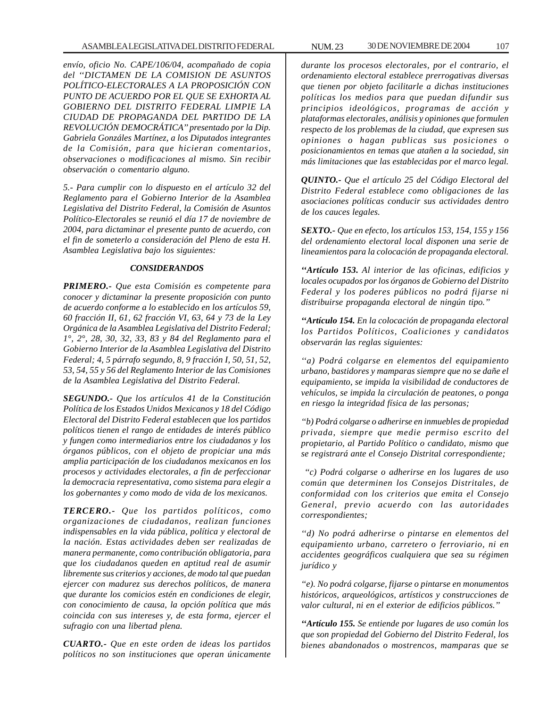*envío, oficio No. CAPE/106/04, acompañado de copia del ''DICTAMEN DE LA COMISION DE ASUNTOS POLÍTICO-ELECTORALES A LA PROPOSICIÓN CON PUNTO DE ACUERDO POR EL QUE SE EXHORTA AL GOBIERNO DEL DISTRITO FEDERAL LIMPIE LA CIUDAD DE PROPAGANDA DEL PARTIDO DE LA REVOLUCIÓN DEMOCRÁTICA'' presentado por la Dip. Gabriela Gonzáles Martínez, a los Diputados integrantes de la Comisión, para que hicieran comentarios, observaciones o modificaciones al mismo. Sin recibir observación o comentario alguno.*

*5.- Para cumplir con lo dispuesto en el artículo 32 del Reglamento para el Gobierno Interior de la Asamblea Legislativa del Distrito Federal, la Comisión de Asuntos Político-Electorales se reunió el día 17 de noviembre de 2004, para dictaminar el presente punto de acuerdo, con el fin de someterlo a consideración del Pleno de esta H. Asamblea Legislativa bajo los siguientes:*

## *CONSIDERANDOS*

*PRIMERO.- Que esta Comisión es competente para conocer y dictaminar la presente proposición con punto de acuerdo conforme a lo establecido en los artículos 59, 60 fracción II, 61, 62 fracción VI, 63, 64 y 73 de la Ley Orgánica de la Asamblea Legislativa del Distrito Federal; 1°, 2°, 28, 30, 32, 33, 83 y 84 del Reglamento para el Gobierno Interior de la Asamblea Legislativa del Distrito Federal; 4, 5 párrafo segundo, 8, 9 fracción I, 50, 51, 52, 53, 54, 55 y 56 del Reglamento Interior de las Comisiones de la Asamblea Legislativa del Distrito Federal.*

*SEGUNDO.- Que los artículos 41 de la Constitución Política de los Estados Unidos Mexicanos y 18 del Código Electoral del Distrito Federal establecen que los partidos políticos tienen el rango de entidades de interés público y fungen como intermediarios entre los ciudadanos y los órganos públicos, con el objeto de propiciar una más amplia participación de los ciudadanos mexicanos en los procesos y actividades electorales, a fin de perfeccionar la democracia representativa, como sistema para elegir a los gobernantes y como modo de vida de los mexicanos.*

*TERCERO.- Que los partidos políticos, como organizaciones de ciudadanos, realizan funciones indispensables en la vida pública, política y electoral de la nación. Estas actividades deben ser realizadas de manera permanente, como contribución obligatoria, para que los ciudadanos queden en aptitud real de asumir libremente sus criterios y acciones, de modo tal que puedan ejercer con madurez sus derechos políticos, de manera que durante los comicios estén en condiciones de elegir, con conocimiento de causa, la opción política que más coincida con sus intereses y, de esta forma, ejercer el sufragio con una libertad plena.*

*CUARTO.- Que en este orden de ideas los partidos políticos no son instituciones que operan únicamente*

*durante los procesos electorales, por el contrario, el ordenamiento electoral establece prerrogativas diversas que tienen por objeto facilitarle a dichas instituciones políticas los medios para que puedan difundir sus principios ideológicos, programas de acción y plataformas electorales, análisis y opiniones que formulen respecto de los problemas de la ciudad, que expresen sus opiniones o hagan publicas sus posiciones o posicionamientos en temas que atañen a la sociedad, sin más limitaciones que las establecidas por el marco legal.*

*QUINTO.- Que el artículo 25 del Código Electoral del Distrito Federal establece como obligaciones de las asociaciones políticas conducir sus actividades dentro de los cauces legales.*

*SEXTO.- Que en efecto, los artículos 153, 154, 155 y 156 del ordenamiento electoral local disponen una serie de lineamientos para la colocación de propaganda electoral.*

*''Artículo 153. Al interior de las oficinas, edificios y locales ocupados por los órganos de Gobierno del Distrito Federal y los poderes públicos no podrá fijarse ni distribuirse propaganda electoral de ningún tipo.''*

*''Artículo 154. En la colocación de propaganda electoral los Partidos Políticos, Coaliciones y candidatos observarán las reglas siguientes:*

*''a) Podrá colgarse en elementos del equipamiento urbano, bastidores y mamparas siempre que no se dañe el equipamiento, se impida la visibilidad de conductores de vehículos, se impida la circulación de peatones, o ponga en riesgo la integridad física de las personas;*

*''b) Podrá colgarse o adherirse en inmuebles de propiedad privada, siempre que medie permiso escrito del propietario, al Partido Político o candidato, mismo que se registrará ante el Consejo Distrital correspondiente;*

 *''c) Podrá colgarse o adherirse en los lugares de uso común que determinen los Consejos Distritales, de conformidad con los criterios que emita el Consejo General, previo acuerdo con las autoridades correspondientes;*

*''d) No podrá adherirse o pintarse en elementos del equipamiento urbano, carretero o ferroviario, ni en accidentes geográficos cualquiera que sea su régimen jurídico y*

*''e). No podrá colgarse, fijarse o pintarse en monumentos históricos, arqueológicos, artísticos y construcciones de valor cultural, ni en el exterior de edificios públicos.''*

*''Artículo 155. Se entiende por lugares de uso común los que son propiedad del Gobierno del Distrito Federal, los bienes abandonados o mostrencos, mamparas que se*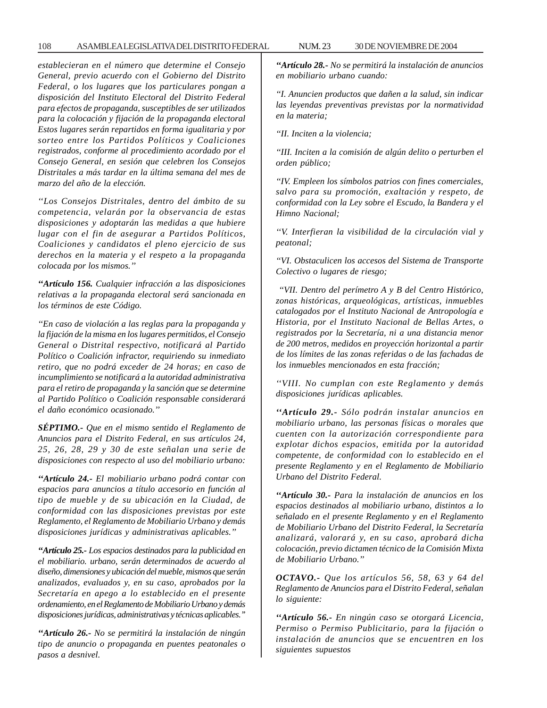*establecieran en el número que determine el Consejo General, previo acuerdo con el Gobierno del Distrito Federal, o los lugares que los particulares pongan a disposición del Instituto Electoral del Distrito Federal para efectos de propaganda, susceptibles de ser utilizados para la colocación y fijación de la propaganda electoral Estos lugares serán repartidos en forma igualitaria y por sorteo entre los Partidos Políticos y Coaliciones registrados, conforme al procedimiento acordado por el Consejo General, en sesión que celebren los Consejos Distritales a más tardar en la última semana del mes de marzo del año de la elección.*

*''Los Consejos Distritales, dentro del ámbito de su competencia, velarán por la observancia de estas disposiciones y adoptarán las medidas a que hubiere lugar con el fin de asegurar a Partidos Políticos, Coaliciones y candidatos el pleno ejercicio de sus derechos en la materia y el respeto a la propaganda colocada por los mismos.''*

*''Artículo 156. Cualquier infracción a las disposiciones relativas a la propaganda electoral será sancionada en los términos de este Código.*

*''En caso de violación a las reglas para la propaganda y la fijación de la misma en los lugares permitidos, el Consejo General o Distrital respectivo, notificará al Partido Político o Coalición infractor, requiriendo su inmediato retiro, que no podrá exceder de 24 horas; en caso de incumplimiento se notificará a la autoridad administrativa para el retiro de propaganda y la sanción que se determine al Partido Político o Coalición responsable considerará el daño económico ocasionado.''*

*SÉPTIMO.- Que en el mismo sentido el Reglamento de Anuncios para el Distrito Federal, en sus artículos 24, 25, 26, 28, 29 y 30 de este señalan una serie de disposiciones con respecto al uso del mobiliario urbano:*

*''Artículo 24.- El mobiliario urbano podrá contar con espacios para anuncios a título accesorio en función al tipo de mueble y de su ubicación en la Ciudad, de conformidad con las disposiciones previstas por este Reglamento, el Reglamento de Mobiliario Urbano y demás disposiciones jurídicas y administrativas aplicables.''*

*''Artículo 25.- Los espacios destinados para la publicidad en el mobiliario. urbano, serán determinados de acuerdo al diseño, dimensiones y ubicación del mueble, mismos que serán analizados, evaluados y, en su caso, aprobados por la Secretaría en apego a lo establecido en el presente ordenamiento, en el Reglamento de Mobiliario Urbano y demás disposiciones jurídicas, administrativas y técnicas aplicables.''*

*''Artículo 26.- No se permitirá la instalación de ningún tipo de anuncio o propaganda en puentes peatonales o pasos a desnivel.*

*''Artículo 28.- No se permitirá la instalación de anuncios en mobiliario urbano cuando:*

*''I. Anuncien productos que dañen a la salud, sin indicar las leyendas preventivas previstas por la normatividad en la materia;*

*''II. Inciten a la violencia;*

*''III. Inciten a la comisión de algún delito o perturben el orden público;*

*''IV. Empleen los símbolos patrios con fines comerciales, salvo para su promoción, exaltación y respeto, de conformidad con la Ley sobre el Escudo, la Bandera y el Himno Nacional;*

*''V. Interfieran la visibilidad de la circulación vial y peatonal;*

*''VI. Obstaculicen los accesos del Sistema de Transporte Colectivo o lugares de riesgo;*

 *''VII. Dentro del perímetro A y B del Centro Histórico, zonas históricas, arqueológicas, artísticas, inmuebles catalogados por el Instituto Nacional de Antropología e Historia, por el Instituto Nacional de Bellas Artes, o registrados por la Secretaría, ni a una distancia menor de 200 metros, medidos en proyección horizontal a partir de los límites de las zonas referidas o de las fachadas de los inmuebles mencionados en esta fracción;*

*''VIII. No cumplan con este Reglamento y demás disposiciones jurídicas aplicables.*

*''Artículo 29.- Sólo podrán instalar anuncios en mobiliario urbano, las personas físicas o morales que cuenten con la autorización correspondiente para explotar dichos espacios, emitida por la autoridad competente, de conformidad con lo establecido en el presente Reglamento y en el Reglamento de Mobiliario Urbano del Distrito Federal.*

*''Artículo 30.- Para la instalación de anuncios en los espacios destinados al mobiliario urbano, distintos a lo señalado en el presente Reglamento y en el Reglamento de Mobiliario Urbano del Distrito Federal, la Secretaría analizará, valorará y, en su caso, aprobará dicha colocación, previo dictamen técnico de la Comisión Mixta de Mobiliario Urbano.''*

*OCTAVO.- Que los artículos 56, 58, 63 y 64 del Reglamento de Anuncios para el Distrito Federal, señalan lo siguiente:*

*''Artículo 56.- En ningún caso se otorgará Licencia, Permiso o Permiso Publicitario, para la fijación o instalación de anuncios que se encuentren en los siguientes supuestos*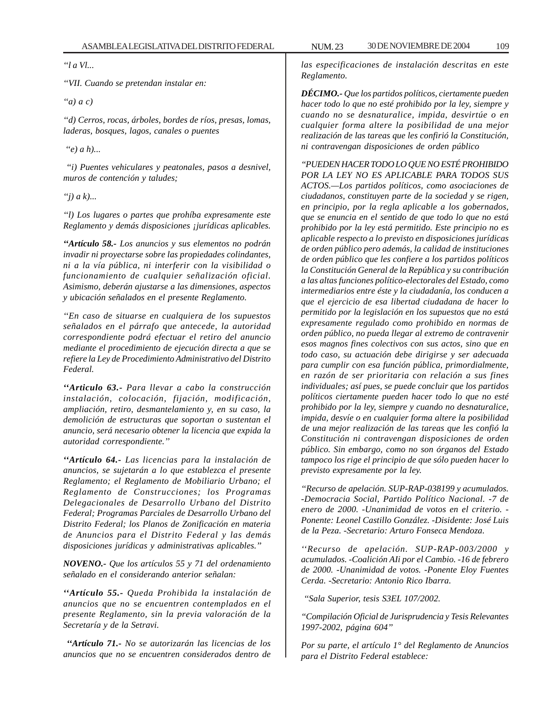*''l a Vl...*

*''VII. Cuando se pretendan instalar en:*

*''a) a c)*

*''d) Cerros, rocas, árboles, bordes de ríos, presas, lomas, laderas, bosques, lagos, canales o puentes*

 *''e) a h)...*

 *''i) Puentes vehiculares y peatonales, pasos a desnivel, muros de contención y taludes;*

*''j) a k)...*

*''l) Los lugares o partes que prohíba expresamente este Reglamento y demás disposiciones ¡jurídicas aplicables.*

*''Artículo 58.- Los anuncios y sus elementos no podrán invadir ni proyectarse sobre las propiedades colindantes, ni a la vía pública, ni interferir con la visibilidad o funcionamiento de cualquier señalización oficial. Asimismo, deberán ajustarse a las dimensiones, aspectos y ubicación señalados en el presente Reglamento.*

*''En caso de situarse en cualquiera de los supuestos señalados en el párrafo que antecede, la autoridad correspondiente podrá efectuar el retiro del anuncio mediante el procedimiento de ejecución directa a que se refiere la Ley de Procedimiento Administrativo del Distrito Federal.*

*''Articulo 63.- Para llevar a cabo la construcción instalación, colocación, fijación, modificación, ampliación, retiro, desmantelamiento y, en su caso, la demolición de estructuras que soportan o sustentan el anuncio, será necesario obtener la licencia que expida la autoridad correspondiente.''*

*''Artículo 64.- Las licencias para la instalación de anuncios, se sujetarán a lo que establezca el presente Reglamento; el Reglamento de Mobiliario Urbano; el Reglamento de Construcciones; los Programas Delegacionales de Desarrollo Urbano del Distrito Federal; Programas Parciales de Desarrollo Urbano del Distrito Federal; los Planos de Zonificación en materia de Anuncios para el Distrito Federal y las demás disposiciones jurídicas y administrativas aplicables.''*

*NOVENO.- Que los artículos 55 y 71 del ordenamiento señalado en el considerando anterior señalan:*

*''Artículo 55.- Queda Prohibida la instalación de anuncios que no se encuentren contemplados en el presente Reglamento, sin la previa valoración de la Secretaría y de la Setravi.*

 *''Artículo 71.- No se autorizarán las licencias de los anuncios que no se encuentren considerados dentro de*

*las especificaciones de instalación descritas en este Reglamento.*

*DÉCIMO.- Que los partidos políticos, ciertamente pueden hacer todo lo que no esté prohibido por la ley, siempre y cuando no se desnaturalice, impida, desvirtúe o en cualquier forma altere la posibilidad de una mejor realización de las tareas que les confirió la Constitución, ni contravengan disposiciones de orden público*

*''PUEDEN HACER TODO LO QUE NO ESTÉ PROHIBIDO POR LA LEY NO ES APLICABLE PARA TODOS SUS ACTOS.—Los partidos políticos, como asociaciones de ciudadanos, constituyen parte de la sociedad y se rigen, en principio, por la regla aplicable a los gobernados, que se enuncia en el sentido de que todo lo que no está prohibido por la ley está permitido. Este principio no es aplicable respecto a lo previsto en disposiciones jurídicas de orden público pero además, la calidad de instituciones de orden público que les confiere a los partidos políticos la Constitución General de la República y su contribución a las altas funciones político-electorales del Estado, como intermediarios entre éste y la ciudadanía, los conducen a que el ejercicio de esa libertad ciudadana de hacer lo permitido por la legislación en los supuestos que no está expresamente regulado como prohibido en normas de orden público, no pueda llegar al extremo de contravenir esos magnos fines colectivos con sus actos, sino que en todo caso, su actuación debe dirigirse y ser adecuada para cumplir con esa función pública, primordialmente, en razón de ser prioritaria con relación a sus fines individuales; así pues, se puede concluir que los partidos políticos ciertamente pueden hacer todo lo que no esté prohibido por la ley, siempre y cuando no desnaturalice, impida, desvíe o en cualquier forma altere la posibilidad de una mejor realización de las tareas que les confió la Constitución ni contravengan disposiciones de orden público. Sin embargo, como no son órganos del Estado tampoco los rige el principio de que sólo pueden hacer lo previsto expresamente por la ley.*

*''Recurso de apelación. SUP-RAP-038199 y acumulados. -Democracia Social, Partido Político Nacional. -7 de enero de 2000. -Unanimidad de votos en el criterio. - Ponente: Leonel Castillo González. -Disidente: José Luis de la Peza. -Secretario: Arturo Fonseca Mendoza.*

*''Recurso de apelación. SUP-RAP-003/2000 y acumulados. -Coalición AIi por el Cambio. -16 de febrero de 2000. -Unanimidad de votos. -Ponente Eloy Fuentes Cerda. -Secretario: Antonio Rico Ibarra.*

 *''Sala Superior, tesis S3EL 107/2002.*

*''Compilación Oficial de Jurisprudencia y Tesis Relevantes 1997-2002, página 604''*

*Por su parte, el artículo 1° del Reglamento de Anuncios para el Distrito Federal establece:*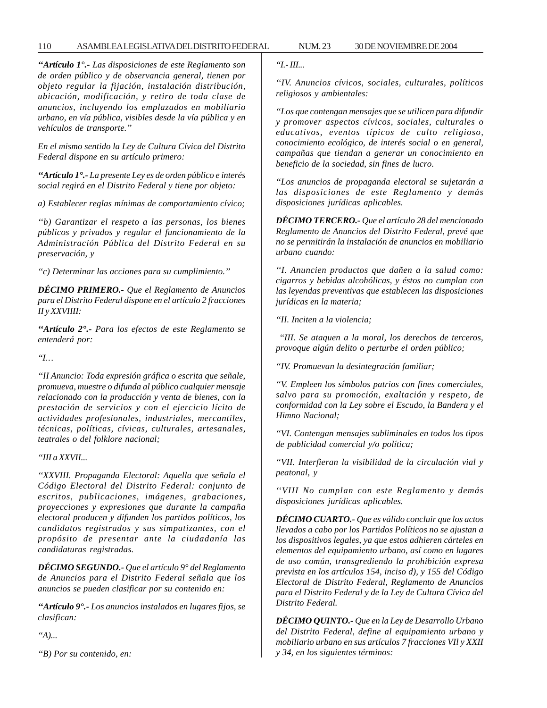### 110 ASAMBLEA LEGISLATIVA DEL DISTRITO FEDERAL NUM. 23 30 DE NOVIEMBRE DE 2004

*''Artículo 1°.- Las disposiciones de este Reglamento son de orden público y de observancia general, tienen por objeto regular la fijación, instalación distribución, ubicación, modificación, y retiro de toda clase de anuncios, incluyendo los emplazados en mobiliario urbano, en vía pública, visibles desde la vía pública y en vehículos de transporte.''*

*En el mismo sentido la Ley de Cultura Cívica del Distrito Federal dispone en su artículo primero:*

*''Artículo 1°.- La presente Ley es de orden público e interés social regirá en el Distrito Federal y tiene por objeto:*

*a) Establecer reglas mínimas de comportamiento cívico;*

*''b) Garantizar el respeto a las personas, los bienes públicos y privados y regular el funcionamiento de la Administración Pública del Distrito Federal en su preservación, y*

*''c) Determinar las acciones para su cumplimiento.''*

*DÉCIMO PRIMERO.- Que el Reglamento de Anuncios para el Distrito Federal dispone en el artículo 2 fracciones II y XXVIIII:*

*''Artículo 2°.- Para los efectos de este Reglamento se entenderá por:*

*''I…*

*''II Anuncio: Toda expresión gráfica o escrita que señale, promueva, muestre o difunda al público cualquier mensaje relacionado con la producción y venta de bienes, con la prestación de servicios y con el ejercicio lícito de actividades profesionales, industriales, mercantiles, técnicas, políticas, cívicas, culturales, artesanales, teatrales o del folklore nacional;*

### *''III a XXVII...*

*''XXVIII. Propaganda Electoral: Aquella que señala el Código Electoral del Distrito Federal: conjunto de escritos, publicaciones, imágenes, grabaciones, proyecciones y expresiones que durante la campaña electoral producen y difunden los partidos políticos, los candidatos registrados y sus simpatizantes, con el propósito de presentar ante la ciudadanía las candidaturas registradas.*

*DÉCIMO SEGUNDO.- Que el artículo 9° del Reglamento de Anuncios para el Distrito Federal señala que los anuncios se pueden clasificar por su contenido en:*

*''Artículo 9°.- Los anuncios instalados en lugares fijos, se clasifican:*

*''A)...*

*''B) Por su contenido, en:*

*''I.- III...*

*''IV. Anuncios cívicos, sociales, culturales, políticos religiosos y ambientales:*

*''Los que contengan mensajes que se utilicen para difundir y promover aspectos cívicos, sociales, culturales o educativos, eventos típicos de culto religioso, conocimiento ecológico, de interés social o en general, campañas que tiendan a generar un conocimiento en beneficio de la sociedad, sin fines de lucro.*

*''Los anuncios de propaganda electoral se sujetarán a las disposiciones de este Reglamento y demás disposiciones jurídicas aplicables.*

*DÉCIMO TERCERO.- Que el artículo 28 del mencionado Reglamento de Anuncios del Distrito Federal, prevé que no se permitirán la instalación de anuncios en mobiliario urbano cuando:*

*''I. Anuncien productos que dañen a la salud como: cigarros y bebidas alcohólicas, y éstos no cumplan con las leyendas preventivas que establecen las disposiciones jurídicas en la materia;*

*''II. Inciten a la violencia;*

 *''III. Se ataquen a la moral, los derechos de terceros, provoque algún delito o perturbe el orden público;*

*''IV. Promuevan la desintegración familiar;*

*''V. Empleen los símbolos patrios con fines comerciales, salvo para su promoción, exaltación y respeto, de conformidad con la Ley sobre el Escudo, la Bandera y el Himno Nacional;*

*''VI. Contengan mensajes subliminales en todos los tipos de publicidad comercial y/o política;*

*''VII. Interfieran la visibilidad de la circulación vial y peatonal, y*

*''VIII No cumplan con este Reglamento y demás disposiciones jurídicas aplicables.*

*DÉCIMO CUARTO.- Que es válido concluir que los actos llevados a cabo por los Partidos Políticos no se ajustan a los dispositivos legales, ya que estos adhieren cárteles en elementos del equipamiento urbano, así como en lugares de uso común, transgrediendo la prohibición expresa prevista en los artículos 154, inciso d), y 155 del Código Electoral de Distrito Federal, Reglamento de Anuncios para el Distrito Federal y de la Ley de Cultura Cívica del Distrito Federal.*

*DÉCIMO QUINTO.- Que en la Ley de Desarrollo Urbano del Distrito Federal, define al equipamiento urbano y mobiliario urbano en sus artículos 7 fracciones VIl y XXII y 34, en los siguientes términos:*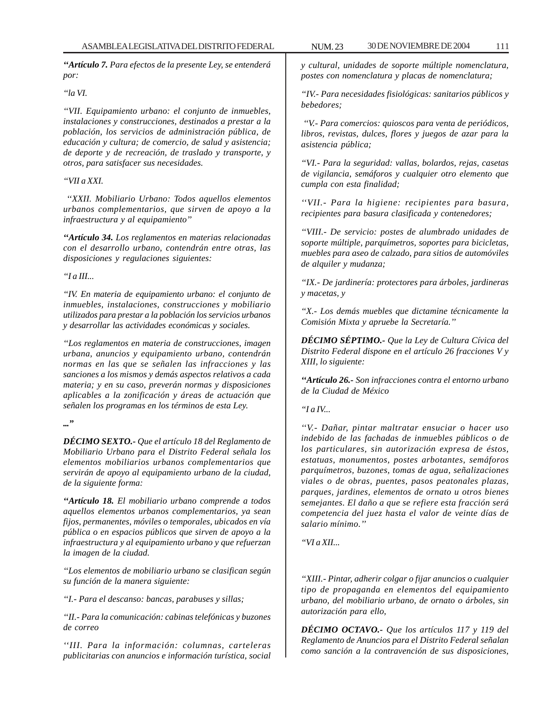*''Artículo 7. Para efectos de la presente Ley, se entenderá por:*

*''la VI.*

*''VII. Equipamiento urbano: el conjunto de inmuebles, instalaciones y construcciones, destinados a prestar a la población, los servicios de administración pública, de educación y cultura; de comercio, de salud y asistencia; de deporte y de recreación, de traslado y transporte, y otros, para satisfacer sus necesidades.*

# *''VII a XXI.*

 *''XXII. Mobiliario Urbano: Todos aquellos elementos urbanos complementarios, que sirven de apoyo a la infraestructura y al equipamiento''*

*''Artículo 34. Los reglamentos en materias relacionadas con el desarrollo urbano, contendrán entre otras, las disposiciones y regulaciones siguientes:*

# *''I a III...*

*''IV. En materia de equipamiento urbano: el conjunto de inmuebles, instalaciones, construcciones y mobiliario utilizados para prestar a la población los servicios urbanos y desarrollar las actividades económicas y sociales.*

*''Los reglamentos en materia de construcciones, imagen urbana, anuncios y equipamiento urbano, contendrán normas en las que se señalen las infracciones y las sanciones a los mismos y demás aspectos relativos a cada materia; y en su caso, preverán normas y disposiciones aplicables a la zonificación y áreas de actuación que señalen los programas en los términos de esta Ley.*

*...''*

*DÉCIMO SEXTO.- Que el artículo 18 del Reglamento de Mobiliario Urbano para el Distrito Federal señala los elementos mobiliarios urbanos complementarios que servirán de apoyo al equipamiento urbano de la ciudad, de la siguiente forma:*

*''Artículo 18. El mobiliario urbano comprende a todos aquellos elementos urbanos complementarios, ya sean fijos, permanentes, móviles o temporales, ubicados en vía pública o en espacios públicos que sirven de apoyo a la infraestructura y al equipamiento urbano y que refuerzan la imagen de la ciudad.*

*''Los elementos de mobiliario urbano se clasifican según su función de la manera siguiente:*

*''I.- Para el descanso: bancas, parabuses y sillas;*

*''II.- Para la comunicación: cabinas telefónicas y buzones de correo*

*''III. Para la información: columnas, carteleras publicitarias con anuncios e información turística, social* *y cultural, unidades de soporte múltiple nomenclatura, postes con nomenclatura y placas de nomenclatura;*

*''IV.- Para necesidades fisiológicas: sanitarios públicos y bebedores;*

 *''V.- Para comercios: quioscos para venta de periódicos, libros, revistas, dulces, flores y juegos de azar para la asistencia pública;*

*''VI.- Para la seguridad: vallas, bolardos, rejas, casetas de vigilancia, semáforos y cualquier otro elemento que cumpla con esta finalidad;*

*''VII.- Para la higiene: recipientes para basura, recipientes para basura clasificada y contenedores;*

*''VIII.- De servicio: postes de alumbrado unidades de soporte múltiple, parquímetros, soportes para bicicletas, muebles para aseo de calzado, para sitios de automóviles de alquiler y mudanza;*

*''IX.- De jardinería: protectores para árboles, jardineras y macetas, y*

*''X.- Los demás muebles que dictamine técnicamente la Comisión Mixta y apruebe la Secretaría.''*

*DÉCIMO SÉPTIMO.- Que la Ley de Cultura Cívica del Distrito Federal dispone en el artículo 26 fracciones V y XIII, lo siguiente:*

*''Artículo 26.- Son infracciones contra el entorno urbano de la Ciudad de México*

*''I a IV...*

*''V.- Dañar, pintar maltratar ensuciar o hacer uso indebido de las fachadas de inmuebles públicos o de los particulares, sin autorización expresa de éstos, estatuas, monumentos, postes arbotantes, semáforos parquímetros, buzones, tomas de agua, señalizaciones viales o de obras, puentes, pasos peatonales plazas, parques, jardines, elementos de ornato u otros bienes semejantes. El daño a que se refiere esta fracción será competencia del juez hasta el valor de veinte días de salario mínimo.''*

*''VI a XII...*

*''XIII.- Pintar, adherir colgar o fijar anuncios o cualquier tipo de propaganda en elementos del equipamiento urbano, del mobiliario urbano, de ornato o árboles, sin autorización para ello,*

*DÉCIMO OCTAVO.- Que los artículos 117 y 119 del Reglamento de Anuncios para el Distrito Federal señalan como sanción a la contravención de sus disposiciones,*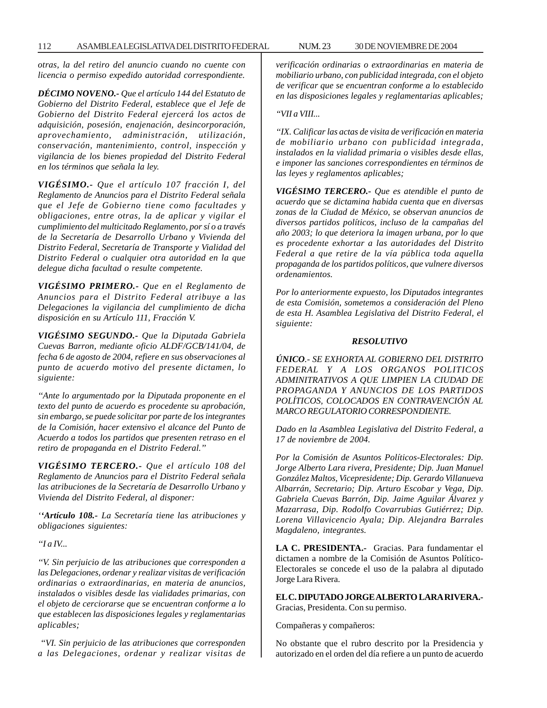112 ASAMBLEA LEGISLATIVA DEL DISTRITO FEDERAL NUM. 23 30 DE NOVIEMBRE DE 2004

*otras, la del retiro del anuncio cuando no cuente con licencia o permiso expedido autoridad correspondiente.*

*DÉCIMO NOVENO.- Que el artículo 144 del Estatuto de Gobierno del Distrito Federal, establece que el Jefe de Gobierno del Distrito Federal ejercerá los actos de adquisición, posesión, enajenación, desincorporación, aprovechamiento, administración, utilización, conservación, mantenimiento, control, inspección y vigilancia de los bienes propiedad del Distrito Federal en los términos que señala la ley.*

*VIGÉSIMO.- Que el artículo 107 fracción I, del Reglamento de Anuncios para el Distrito Federal señala que el Jefe de Gobierno tiene como facultades y obligaciones, entre otras, la de aplicar y vigilar el cumplimiento del multicitado Reglamento, por sí o a través de la Secretaría de Desarrollo Urbano y Vivienda del Distrito Federal, Secretaría de Transporte y Vialidad del Distrito Federal o cualquier otra autoridad en la que delegue dicha facultad o resulte competente.*

*VIGÉSIMO PRIMERO.- Que en el Reglamento de Anuncios para el Distrito Federal atribuye a las Delegaciones la vigilancia del cumplimiento de dicha disposición en su Artículo 111, Fracción V.*

*VIGÉSIMO SEGUNDO.- Que la Diputada Gabriela Cuevas Barron, mediante oficio ALDF/GCB/141/04, de fecha 6 de agosto de 2004, refiere en sus observaciones al punto de acuerdo motivo del presente dictamen, lo siguiente:*

*''Ante lo argumentado por la Diputada proponente en el texto del punto de acuerdo es procedente su aprobación, sin embargo, se puede solicitar por parte de los integrantes de la Comisión, hacer extensivo el alcance del Punto de Acuerdo a todos los partidos que presenten retraso en el retiro de propaganda en el Distrito Federal.''*

*VIGÉSIMO TERCERO.- Que el artículo 108 del Reglamento de Anuncios para el Distrito Federal señala las atribuciones de la Secretaría de Desarrollo Urbano y Vivienda del Distrito Federal, al disponer:*

*''Artículo 108.- La Secretaría tiene las atribuciones y obligaciones siguientes:*

*''I a IV...*

*''V. Sin perjuicio de las atribuciones que corresponden a las Delegaciones, ordenar y realizar visitas de verificación ordinarias o extraordinarias, en materia de anuncios, instalados o visibles desde las vialidades primarias, con el objeto de cerciorarse que se encuentran conforme a lo que establecen las disposiciones legales y reglamentarias aplicables;*

 *''VI. Sin perjuicio de las atribuciones que corresponden a las Delegaciones, ordenar y realizar visitas de* *verificación ordinarias o extraordinarias en materia de mobiliario urbano, con publicidad integrada, con el objeto de verificar que se encuentran conforme a lo establecido en las disposiciones legales y reglamentarias aplicables;*

# *''VII a VIII...*

*''IX. Calificar las actas de visita de verificación en materia de mobiliario urbano con publicidad integrada, instalados en la vialidad primaria o visibles desde ellas, e imponer las sanciones correspondientes en términos de las leyes y reglamentos aplicables;*

*VIGÉSIMO TERCERO.- Que es atendible el punto de acuerdo que se dictamina habida cuenta que en diversas zonas de la Ciudad de México, se observan anuncios de diversos partidos políticos, incluso de la campañas del año 2003; lo que deteriora la imagen urbana, por lo que es procedente exhortar a las autoridades del Distrito Federal a que retire de la vía pública toda aquella propaganda de los partidos políticos, que vulnere diversos ordenamientos.*

*Por lo anteriormente expuesto, los Diputados integrantes de esta Comisión, sometemos a consideración del Pleno de esta H. Asamblea Legislativa del Distrito Federal, el siguiente:*

#### *RESOLUTIVO*

*ÚNICO.- SE EXHORTA AL GOBIERNO DEL DISTRITO FEDERAL Y A LOS ORGANOS POLITICOS ADMINITRATIVOS A QUE LIMPIEN LA CIUDAD DE PROPAGANDA Y ANUNCIOS DE LOS PARTIDOS POLÍTICOS, COLOCADOS EN CONTRAVENCIÓN AL MARCO REGULATORIO CORRESPONDIENTE.*

*Dado en la Asamblea Legislativa del Distrito Federal, a 17 de noviembre de 2004.*

*Por la Comisión de Asuntos Políticos-Electorales: Dip. Jorge Alberto Lara rivera, Presidente; Dip. Juan Manuel González Maltos, Vicepresidente; Dip. Gerardo Villanueva Albarrán, Secretario; Dip. Arturo Escobar y Vega, Dip. Gabriela Cuevas Barrón, Dip. Jaime Aguilar Álvarez y Mazarrasa, Dip. Rodolfo Covarrubias Gutiérrez; Dip. Lorena Villavicencio Ayala; Dip. Alejandra Barrales Magdaleno, integrantes.*

**LA C. PRESIDENTA.-** Gracias. Para fundamentar el dictamen a nombre de la Comisión de Asuntos Político-Electorales se concede el uso de la palabra al diputado Jorge Lara Rivera.

**EL C. DIPUTADO JORGE ALBERTO LARA RIVERA.-** Gracias, Presidenta. Con su permiso.

Compañeras y compañeros:

No obstante que el rubro descrito por la Presidencia y autorizado en el orden del día refiere a un punto de acuerdo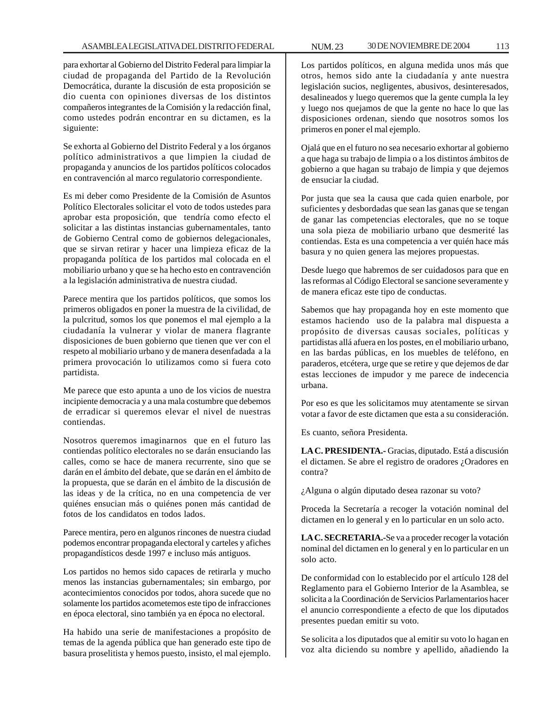para exhortar al Gobierno del Distrito Federal para limpiar la ciudad de propaganda del Partido de la Revolución Democrática, durante la discusión de esta proposición se dio cuenta con opiniones diversas de los distintos compañeros integrantes de la Comisión y la redacción final, como ustedes podrán encontrar en su dictamen, es la siguiente:

Se exhorta al Gobierno del Distrito Federal y a los órganos político administrativos a que limpien la ciudad de propaganda y anuncios de los partidos políticos colocados en contravención al marco regulatorio correspondiente.

Es mi deber como Presidente de la Comisión de Asuntos Político Electorales solicitar el voto de todos ustedes para aprobar esta proposición, que tendría como efecto el solicitar a las distintas instancias gubernamentales, tanto de Gobierno Central como de gobiernos delegacionales, que se sirvan retirar y hacer una limpieza eficaz de la propaganda política de los partidos mal colocada en el mobiliario urbano y que se ha hecho esto en contravención a la legislación administrativa de nuestra ciudad.

Parece mentira que los partidos políticos, que somos los primeros obligados en poner la muestra de la civilidad, de la pulcritud, somos los que ponemos el mal ejemplo a la ciudadanía la vulnerar y violar de manera flagrante disposiciones de buen gobierno que tienen que ver con el respeto al mobiliario urbano y de manera desenfadada a la primera provocación lo utilizamos como si fuera coto partidista.

Me parece que esto apunta a uno de los vicios de nuestra incipiente democracia y a una mala costumbre que debemos de erradicar si queremos elevar el nivel de nuestras contiendas.

Nosotros queremos imaginarnos que en el futuro las contiendas político electorales no se darán ensuciando las calles, como se hace de manera recurrente, sino que se darán en el ámbito del debate, que se darán en el ámbito de la propuesta, que se darán en el ámbito de la discusión de las ideas y de la crítica, no en una competencia de ver quiénes ensucian más o quiénes ponen más cantidad de fotos de los candidatos en todos lados.

Parece mentira, pero en algunos rincones de nuestra ciudad podemos encontrar propaganda electoral y carteles y afiches propagandísticos desde 1997 e incluso más antiguos.

Los partidos no hemos sido capaces de retirarla y mucho menos las instancias gubernamentales; sin embargo, por acontecimientos conocidos por todos, ahora sucede que no solamente los partidos acometemos este tipo de infracciones en época electoral, sino también ya en época no electoral.

Ha habido una serie de manifestaciones a propósito de temas de la agenda pública que han generado este tipo de basura proselitista y hemos puesto, insisto, el mal ejemplo.

Los partidos políticos, en alguna medida unos más que otros, hemos sido ante la ciudadanía y ante nuestra legislación sucios, negligentes, abusivos, desinteresados, desalineados y luego queremos que la gente cumpla la ley y luego nos quejamos de que la gente no hace lo que las disposiciones ordenan, siendo que nosotros somos los primeros en poner el mal ejemplo.

Ojalá que en el futuro no sea necesario exhortar al gobierno a que haga su trabajo de limpia o a los distintos ámbitos de gobierno a que hagan su trabajo de limpia y que dejemos de ensuciar la ciudad.

Por justa que sea la causa que cada quien enarbole, por suficientes y desbordadas que sean las ganas que se tengan de ganar las competencias electorales, que no se toque una sola pieza de mobiliario urbano que desmerité las contiendas. Esta es una competencia a ver quién hace más basura y no quien genera las mejores propuestas.

Desde luego que habremos de ser cuidadosos para que en las reformas al Código Electoral se sancione severamente y de manera eficaz este tipo de conductas.

Sabemos que hay propaganda hoy en este momento que estamos haciendo uso de la palabra mal dispuesta a propósito de diversas causas sociales, políticas y partidistas allá afuera en los postes, en el mobiliario urbano, en las bardas públicas, en los muebles de teléfono, en paraderos, etcétera, urge que se retire y que dejemos de dar estas lecciones de impudor y me parece de indecencia urbana.

Por eso es que les solicitamos muy atentamente se sirvan votar a favor de este dictamen que esta a su consideración.

Es cuanto, señora Presidenta.

**LA C. PRESIDENTA.-** Gracias, diputado. Está a discusión el dictamen. Se abre el registro de oradores ¿Oradores en contra?

¿Alguna o algún diputado desea razonar su voto?

Proceda la Secretaría a recoger la votación nominal del dictamen en lo general y en lo particular en un solo acto.

**LA C. SECRETARIA.-**Se va a proceder recoger la votación nominal del dictamen en lo general y en lo particular en un solo acto.

De conformidad con lo establecido por el artículo 128 del Reglamento para el Gobierno Interior de la Asamblea, se solicita a la Coordinación de Servicios Parlamentarios hacer el anuncio correspondiente a efecto de que los diputados presentes puedan emitir su voto.

Se solicita a los diputados que al emitir su voto lo hagan en voz alta diciendo su nombre y apellido, añadiendo la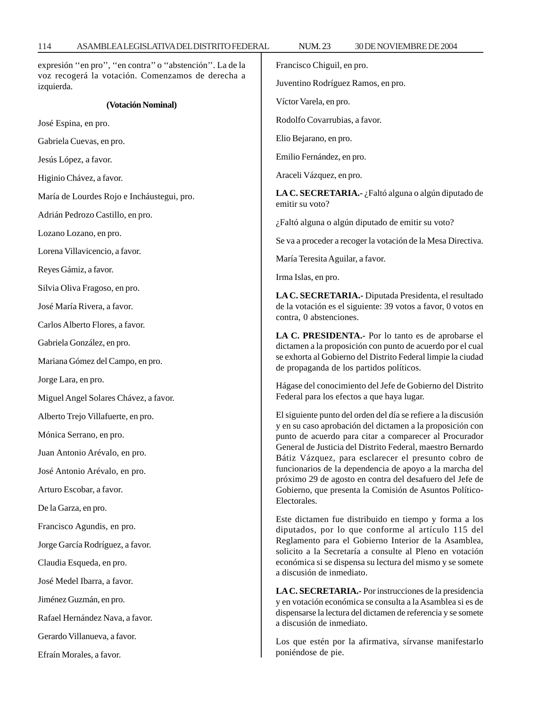| expresión "en pro", "en contra" o "abstención". La de la<br>voz recogerá la votación. Comenzamos de derecha a | Francisco Chiguil, en pro.                                                                                                                                                                                                                                                                                                                                                                                                                                                                                                                      |
|---------------------------------------------------------------------------------------------------------------|-------------------------------------------------------------------------------------------------------------------------------------------------------------------------------------------------------------------------------------------------------------------------------------------------------------------------------------------------------------------------------------------------------------------------------------------------------------------------------------------------------------------------------------------------|
| izquierda.                                                                                                    | Juventino Rodríguez Ramos, en pro.                                                                                                                                                                                                                                                                                                                                                                                                                                                                                                              |
| (Votación Nominal)                                                                                            | Víctor Varela, en pro.                                                                                                                                                                                                                                                                                                                                                                                                                                                                                                                          |
| José Espina, en pro.                                                                                          | Rodolfo Covarrubias, a favor.                                                                                                                                                                                                                                                                                                                                                                                                                                                                                                                   |
| Gabriela Cuevas, en pro.                                                                                      | Elio Bejarano, en pro.                                                                                                                                                                                                                                                                                                                                                                                                                                                                                                                          |
| Jesús López, a favor.                                                                                         | Emilio Fernández, en pro.                                                                                                                                                                                                                                                                                                                                                                                                                                                                                                                       |
| Higinio Chávez, a favor.                                                                                      | Araceli Vázquez, en pro.                                                                                                                                                                                                                                                                                                                                                                                                                                                                                                                        |
| María de Lourdes Rojo e Incháustegui, pro.                                                                    | LA C. SECRETARIA.- ¿Faltó alguna o algún diputado de<br>emitir su voto?                                                                                                                                                                                                                                                                                                                                                                                                                                                                         |
| Adrián Pedrozo Castillo, en pro.                                                                              | ¿Faltó alguna o algún diputado de emitir su voto?                                                                                                                                                                                                                                                                                                                                                                                                                                                                                               |
| Lozano Lozano, en pro.                                                                                        | Se va a proceder a recoger la votación de la Mesa Directiva.                                                                                                                                                                                                                                                                                                                                                                                                                                                                                    |
| Lorena Villavicencio, a favor.                                                                                | María Teresita Aguilar, a favor.                                                                                                                                                                                                                                                                                                                                                                                                                                                                                                                |
| Reyes Gámiz, a favor.                                                                                         | Irma Islas, en pro.                                                                                                                                                                                                                                                                                                                                                                                                                                                                                                                             |
| Silvia Oliva Fragoso, en pro.                                                                                 | LA C. SECRETARIA.- Diputada Presidenta, el resultado<br>de la votación es el siguiente: 39 votos a favor, 0 votos en                                                                                                                                                                                                                                                                                                                                                                                                                            |
| José María Rivera, a favor.                                                                                   |                                                                                                                                                                                                                                                                                                                                                                                                                                                                                                                                                 |
| Carlos Alberto Flores, a favor.                                                                               | contra, 0 abstenciones.                                                                                                                                                                                                                                                                                                                                                                                                                                                                                                                         |
| Gabriela González, en pro.                                                                                    | LA C. PRESIDENTA.- Por lo tanto es de aprobarse el<br>dictamen a la proposición con punto de acuerdo por el cual<br>se exhorta al Gobierno del Distrito Federal limpie la ciudad<br>de propaganda de los partidos políticos.                                                                                                                                                                                                                                                                                                                    |
| Mariana Gómez del Campo, en pro.                                                                              |                                                                                                                                                                                                                                                                                                                                                                                                                                                                                                                                                 |
| Jorge Lara, en pro.                                                                                           | Hágase del conocimiento del Jefe de Gobierno del Distrito                                                                                                                                                                                                                                                                                                                                                                                                                                                                                       |
| Miguel Angel Solares Chávez, a favor.                                                                         | Federal para los efectos a que haya lugar.                                                                                                                                                                                                                                                                                                                                                                                                                                                                                                      |
| Alberto Trejo Villafuerte, en pro.                                                                            | El siguiente punto del orden del día se refiere a la discusión<br>y en su caso aprobación del dictamen a la proposición con<br>punto de acuerdo para citar a comparecer al Procurador<br>General de Justicia del Distrito Federal, maestro Bernardo<br>Bátiz Vázquez, para esclarecer el presunto cobro de<br>funcionarios de la dependencia de apoyo a la marcha del<br>próximo 29 de agosto en contra del desafuero del Jefe de<br>Gobierno, que presenta la Comisión de Asuntos Político-                                                    |
| Mónica Serrano, en pro.                                                                                       |                                                                                                                                                                                                                                                                                                                                                                                                                                                                                                                                                 |
| Juan Antonio Arévalo, en pro.                                                                                 |                                                                                                                                                                                                                                                                                                                                                                                                                                                                                                                                                 |
| José Antonio Arévalo, en pro.                                                                                 |                                                                                                                                                                                                                                                                                                                                                                                                                                                                                                                                                 |
| Arturo Escobar, a favor.                                                                                      |                                                                                                                                                                                                                                                                                                                                                                                                                                                                                                                                                 |
| De la Garza, en pro.                                                                                          | Electorales.                                                                                                                                                                                                                                                                                                                                                                                                                                                                                                                                    |
| Francisco Agundis, en pro.                                                                                    | Este dictamen fue distribuido en tiempo y forma a los<br>diputados, por lo que conforme al artículo 115 del<br>Reglamento para el Gobierno Interior de la Asamblea,<br>solicito a la Secretaría a consulte al Pleno en votación<br>económica si se dispensa su lectura del mismo y se somete<br>a discusión de inmediato.<br>LA C. SECRETARIA.- Por instrucciones de la presidencia<br>y en votación económica se consulta a la Asamblea si es de<br>dispensarse la lectura del dictamen de referencia y se somete<br>a discusión de inmediato. |
| Jorge García Rodríguez, a favor.                                                                              |                                                                                                                                                                                                                                                                                                                                                                                                                                                                                                                                                 |
| Claudia Esqueda, en pro.                                                                                      |                                                                                                                                                                                                                                                                                                                                                                                                                                                                                                                                                 |
| José Medel Ibarra, a favor.                                                                                   |                                                                                                                                                                                                                                                                                                                                                                                                                                                                                                                                                 |
| Jiménez Guzmán, en pro.                                                                                       |                                                                                                                                                                                                                                                                                                                                                                                                                                                                                                                                                 |
| Rafael Hernández Nava, a favor.                                                                               |                                                                                                                                                                                                                                                                                                                                                                                                                                                                                                                                                 |
| Gerardo Villanueva, a favor.                                                                                  | Los que estén por la afirmativa, sírvanse manifestarlo<br>poniéndose de pie.                                                                                                                                                                                                                                                                                                                                                                                                                                                                    |
| Efraín Morales, a favor.                                                                                      |                                                                                                                                                                                                                                                                                                                                                                                                                                                                                                                                                 |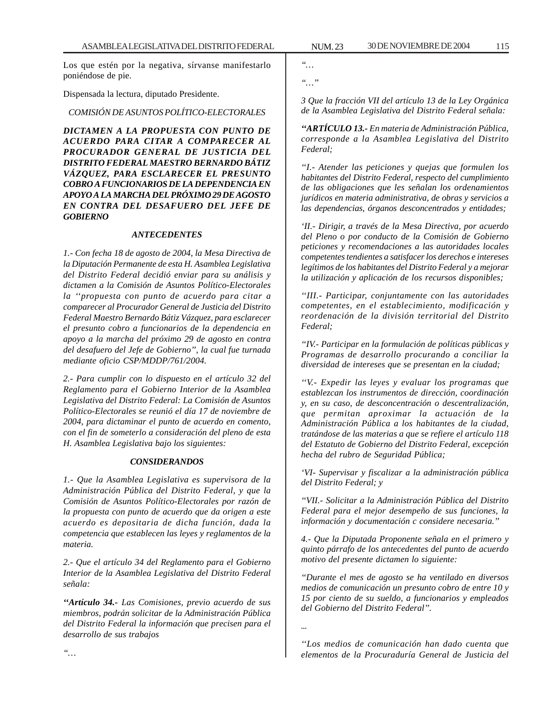ASAMBLEA LEGISLATIVA DEL DISTRITO FEDERAL NUM. 23 30 DE NOVIEMBRE DE 2004 115

Los que estén por la negativa, sírvanse manifestarlo poniéndose de pie.

Dispensada la lectura, diputado Presidente.

*COMISIÓN DE ASUNTOS POLÍTICO-ELECTORALES*

*DICTAMEN A LA PROPUESTA CON PUNTO DE ACUERDO PARA CITAR A COMPARECER AL PROCURADOR GENERAL DE JUSTICIA DEL DISTRITO FEDERAL MAESTRO BERNARDO BÁTIZ VÁZQUEZ, PARA ESCLARECER EL PRESUNTO COBRO A FUNCIONARIOS DE LA DEPENDENCIA EN APOYO A LA MARCHA DEL PRÓXIMO 29 DE AGOSTO EN CONTRA DEL DESAFUERO DEL JEFE DE GOBIERNO*

# *ANTECEDENTES*

*1.- Con fecha 18 de agosto de 2004, la Mesa Directiva de la Diputación Permanente de esta H. Asamblea Legislativa del Distrito Federal decidió enviar para su análisis y dictamen a la Comisión de Asuntos Político-Electorales la ''propuesta con punto de acuerdo para citar a comparecer al Procurador General de Justicia del Distrito Federal Maestro Bernardo Bátiz Vázquez, para esclarecer el presunto cobro a funcionarios de la dependencia en apoyo a la marcha del próximo 29 de agosto en contra del desafuero del Jefe de Gobierno'', la cual fue turnada mediante oficio CSP/MDDP/761/2004.*

*2.- Para cumplir con lo dispuesto en el artículo 32 del Reglamento para el Gobierno Interior de la Asamblea Legislativa del Distrito Federal: La Comisión de Asuntos Político-Electorales se reunió el día 17 de noviembre de 2004, para dictaminar el punto de acuerdo en comento, con el fin de someterlo a consideración del pleno de esta H. Asamblea Legislativa bajo los siguientes:*

# *CONSIDERANDOS*

*1.- Que la Asamblea Legislativa es supervisora de la Administración Pública del Distrito Federal, y que la Comisión de Asuntos Político-Electorales por razón de la propuesta con punto de acuerdo que da origen a este acuerdo es depositaria de dicha función, dada la competencia que establecen las leyes y reglamentos de la materia.*

*2.- Que el artículo 34 del Reglamento para el Gobierno Interior de la Asamblea Legislativa del Distrito Federal señala:*

*''Artículo 34.- Las Comisiones, previo acuerdo de sus miembros, podrán solicitar de la Administración Pública del Distrito Federal la información que precisen para el desarrollo de sus trabajos*

*''… ''…''*

*3 Que la fracción VII del artículo 13 de la Ley Orgánica de la Asamblea Legislativa del Distrito Federal señala:*

*''ARTÍCULO 13.- En materia de Administración Pública, corresponde a la Asamblea Legislativa del Distrito Federal;*

*''I.- Atender las peticiones y quejas que formulen los habitantes del Distrito Federal, respecto del cumplimiento de las obligaciones que les señalan los ordenamientos jurídicos en materia administrativa, de obras y servicios a las dependencias, órganos desconcentrados y entidades;*

*'II.- Dirigir, a través de la Mesa Directiva, por acuerdo del Pleno o por conducto de la Comisión de Gobierno peticiones y recomendaciones a las autoridades locales competentes tendientes a satisfacer los derechos e intereses legítimos de los habitantes del Distrito Federal y a mejorar la utilización y aplicación de los recursos disponibles;*

*''III.- Participar, conjuntamente con las autoridades competentes, en el establecimiento, modificación y reordenación de la división territorial del Distrito Federal;*

*''IV.- Participar en la formulación de políticas públicas y Programas de desarrollo procurando a conciliar la diversidad de intereses que se presentan en la ciudad;*

*''V.- Expedir las leyes y evaluar los programas que establezcan los instrumentos de dirección, coordinación y, en su caso, de desconcentración o descentralización, que permitan aproximar la actuación de la Administración Pública a los habitantes de la ciudad, tratándose de las materias a que se refiere el artículo 118 del Estatuto de Gobierno del Distrito Federal, excepción hecha del rubro de Seguridad Pública;*

*'VI- Supervisar y fiscalizar a la administración pública del Distrito Federal; y*

*''VII.- Solicitar a la Administración Pública del Distrito Federal para el mejor desempeño de sus funciones, la información y documentación c considere necesaria.''*

*4.- Que la Diputada Proponente señala en el primero y quinto párrafo de los antecedentes del punto de acuerdo motivo del presente dictamen lo siguiente:*

*''Durante el mes de agosto se ha ventilado en diversos medios de comunicación un presunto cobro de entre 10 y 15 por ciento de su sueldo, a funcionarios y empleados del Gobierno del Distrito Federal''.*

*''Los medios de comunicación han dado cuenta que elementos de la Procuraduría General de Justicia del*

*...*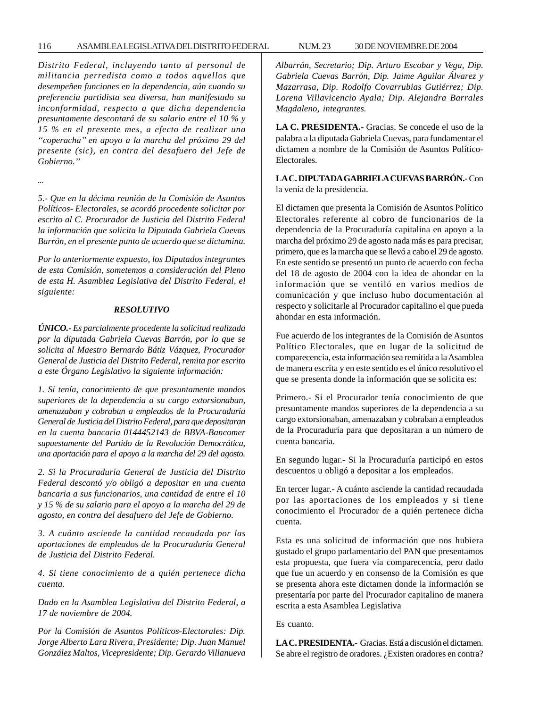### 116 ASAMBLEA LEGISLATIVA DEL DISTRITO FEDERAL NUM. 23 30 DE NOVIEMBRE DE 2004

*Distrito Federal, incluyendo tanto al personal de militancia perredista como a todos aquellos que desempeñen funciones en la dependencia, aún cuando su preferencia partidista sea diversa, han manifestado su inconformidad, respecto a que dicha dependencia presuntamente descontará de su salario entre el 10 % y 15 % en el presente mes, a efecto de realizar una ''coperacha'' en apoyo a la marcha del próximo 29 del presente (sic), en contra del desafuero del Jefe de Gobierno.''*

*...*

*5.- Que en la décima reunión de la Comisión de Asuntos Políticos- Electorales, se acordó procedente solicitar por escrito al C. Procurador de Justicia del Distrito Federal la información que solicita la Diputada Gabriela Cuevas Barrón, en el presente punto de acuerdo que se dictamina.*

*Por lo anteriormente expuesto, los Diputados integrantes de esta Comisión, sometemos a consideración del Pleno de esta H. Asamblea Legislativa del Distrito Federal, el siguiente:*

### *RESOLUTIVO*

*ÚNICO.- Es parcialmente procedente la solicitud realizada por la diputada Gabriela Cuevas Barrón, por lo que se solicita al Maestro Bernardo Bátiz Vázquez, Procurador General de Justicia del Distrito Federal, remita por escrito a este Órgano Legislativo la siguiente información:*

*1. Si tenía, conocimiento de que presuntamente mandos superiores de la dependencia a su cargo extorsionaban, amenazaban y cobraban a empleados de la Procuraduría General de Justicia del Distrito Federal, para que depositaran en la cuenta bancaria 0144452143 de BBVA-Bancomer supuestamente del Partido de la Revolución Democrática, una aportación para el apoyo a la marcha del 29 del agosto.*

*2. Si la Procuraduría General de Justicia del Distrito Federal descontó y/o obligó a depositar en una cuenta bancaria a sus funcionarios, una cantidad de entre el 10 y 15 % de su salario para el apoyo a la marcha del 29 de agosto, en contra del desafuero del Jefe de Gobierno.*

*3. A cuánto asciende la cantidad recaudada por las aportaciones de empleados de la Procuraduría General de Justicia del Distrito Federal.*

*4. Si tiene conocimiento de a quién pertenece dicha cuenta.*

*Dado en la Asamblea Legislativa del Distrito Federal, a 17 de noviembre de 2004.*

*Por la Comisión de Asuntos Políticos-Electorales: Dip. Jorge Alberto Lara Rivera, Presidente; Dip. Juan Manuel González Maltos, Vicepresidente; Dip. Gerardo Villanueva* *Albarrán, Secretario; Dip. Arturo Escobar y Vega, Dip. Gabriela Cuevas Barrón, Dip. Jaime Aguilar Álvarez y Mazarrasa, Dip. Rodolfo Covarrubias Gutiérrez; Dip. Lorena Villavicencio Ayala; Dip. Alejandra Barrales Magdaleno, integrantes.*

**LA C. PRESIDENTA.-** Gracias. Se concede el uso de la palabra a la diputada Gabriela Cuevas, para fundamentar el dictamen a nombre de la Comisión de Asuntos Político-Electorales.

**LA C. DIPUTADA GABRIELA CUEVAS BARRÓN.-** Con la venia de la presidencia.

El dictamen que presenta la Comisión de Asuntos Político Electorales referente al cobro de funcionarios de la dependencia de la Procuraduría capitalina en apoyo a la marcha del próximo 29 de agosto nada más es para precisar, primero, que es la marcha que se llevó a cabo el 29 de agosto. En este sentido se presentó un punto de acuerdo con fecha del 18 de agosto de 2004 con la idea de ahondar en la información que se ventiló en varios medios de comunicación y que incluso hubo documentación al respecto y solicitarle al Procurador capitalino el que pueda ahondar en esta información.

Fue acuerdo de los integrantes de la Comisión de Asuntos Político Electorales, que en lugar de la solicitud de comparecencia, esta información sea remitida a la Asamblea de manera escrita y en este sentido es el único resolutivo el que se presenta donde la información que se solicita es:

Primero.- Si el Procurador tenía conocimiento de que presuntamente mandos superiores de la dependencia a su cargo extorsionaban, amenazaban y cobraban a empleados de la Procuraduría para que depositaran a un número de cuenta bancaria.

En segundo lugar.- Si la Procuraduría participó en estos descuentos u obligó a depositar a los empleados.

En tercer lugar.- A cuánto asciende la cantidad recaudada por las aportaciones de los empleados y si tiene conocimiento el Procurador de a quién pertenece dicha cuenta.

Esta es una solicitud de información que nos hubiera gustado el grupo parlamentario del PAN que presentamos esta propuesta, que fuera vía comparecencia, pero dado que fue un acuerdo y en consenso de la Comisión es que se presenta ahora este dictamen donde la información se presentaría por parte del Procurador capitalino de manera escrita a esta Asamblea Legislativa

Es cuanto.

**LA C. PRESIDENTA.-** Gracias. Está a discusión el dictamen. Se abre el registro de oradores. ¿Existen oradores en contra?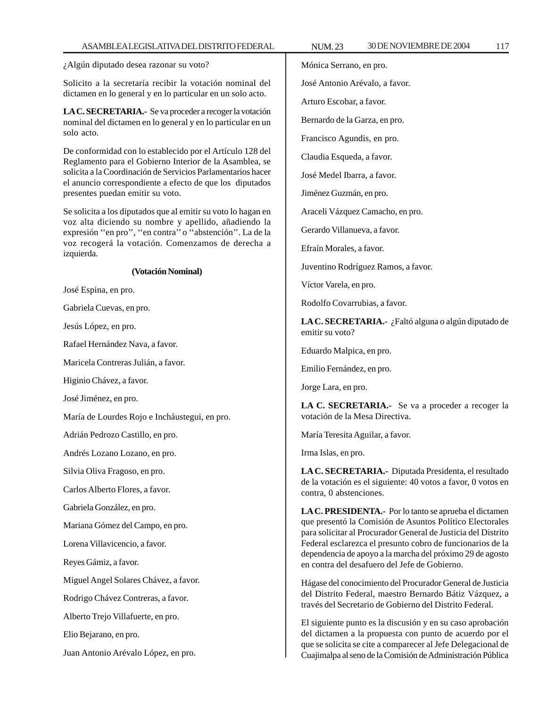¿Algún diputado desea razonar su voto?

Solicito a la secretaría recibir la votación nominal del dictamen en lo general y en lo particular en un solo acto.

**LA C. SECRETARIA.-** Se va proceder a recoger la votación nominal del dictamen en lo general y en lo particular en un solo acto.

De conformidad con lo establecido por el Artículo 128 del Reglamento para el Gobierno Interior de la Asamblea, se solicita a la Coordinación de Servicios Parlamentarios hacer el anuncio correspondiente a efecto de que los diputados presentes puedan emitir su voto.

Se solicita a los diputados que al emitir su voto lo hagan en voz alta diciendo su nombre y apellido, añadiendo la expresión ''en pro'', ''en contra'' o ''abstención''. La de la voz recogerá la votación. Comenzamos de derecha a izquierda.

#### **(Votación Nominal)**

José Espina, en pro.

Gabriela Cuevas, en pro.

Jesús López, en pro.

Rafael Hernández Nava, a favor.

Maricela Contreras Julián, a favor.

Higinio Chávez, a favor.

José Jiménez, en pro.

María de Lourdes Rojo e Incháustegui, en pro.

Adrián Pedrozo Castillo, en pro.

Andrés Lozano Lozano, en pro.

Silvia Oliva Fragoso, en pro.

Carlos Alberto Flores, a favor.

Gabriela González, en pro.

Mariana Gómez del Campo, en pro.

Lorena Villavicencio, a favor.

Reyes Gámiz, a favor.

Miguel Angel Solares Chávez, a favor.

Rodrigo Chávez Contreras, a favor.

Alberto Trejo Villafuerte, en pro.

Elio Bejarano, en pro.

Juan Antonio Arévalo López, en pro.

Mónica Serrano, en pro.

José Antonio Arévalo, a favor.

Arturo Escobar, a favor.

Bernardo de la Garza, en pro.

Francisco Agundis, en pro.

Claudia Esqueda, a favor.

José Medel Ibarra, a favor.

Jiménez Guzmán, en pro.

Araceli Vázquez Camacho, en pro.

Gerardo Villanueva, a favor.

Efraín Morales, a favor.

Juventino Rodríguez Ramos, a favor.

Víctor Varela, en pro.

Rodolfo Covarrubias, a favor.

**LA C. SECRETARIA.-** ¿Faltó alguna o algún diputado de emitir su voto?

Eduardo Malpica, en pro.

Emilio Fernández, en pro.

Jorge Lara, en pro.

**LA C. SECRETARIA.-** Se va a proceder a recoger la votación de la Mesa Directiva.

María Teresita Aguilar, a favor.

Irma Islas, en pro.

**LA C. SECRETARIA.-** Diputada Presidenta, el resultado de la votación es el siguiente: 40 votos a favor, 0 votos en contra, 0 abstenciones.

**LA C. PRESIDENTA.-** Por lo tanto se aprueba el dictamen que presentó la Comisión de Asuntos Político Electorales para solicitar al Procurador General de Justicia del Distrito Federal esclarezca el presunto cobro de funcionarios de la dependencia de apoyo a la marcha del próximo 29 de agosto en contra del desafuero del Jefe de Gobierno.

Hágase del conocimiento del Procurador General de Justicia del Distrito Federal, maestro Bernardo Bátiz Vázquez, a través del Secretario de Gobierno del Distrito Federal.

El siguiente punto es la discusión y en su caso aprobación del dictamen a la propuesta con punto de acuerdo por el que se solicita se cite a comparecer al Jefe Delegacional de Cuajimalpa al seno de la Comisión de Administración Pública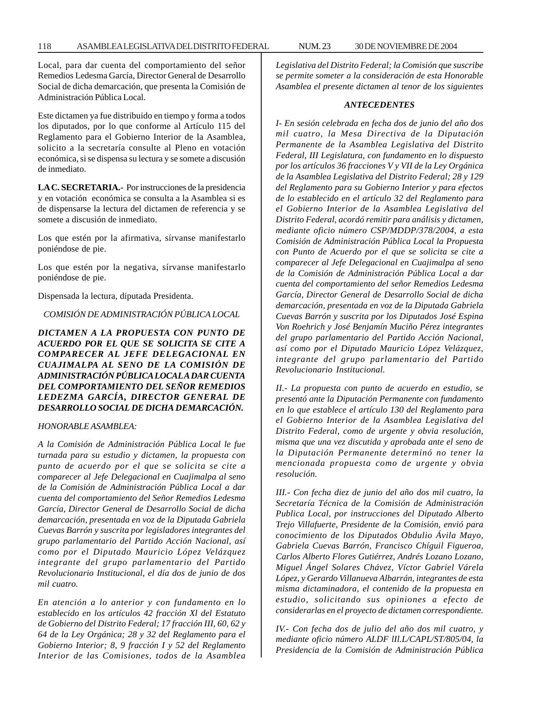#### 118 ASAMBLEA LEGISLATIVA DEL DISTRITO FEDERAL NUM. 23 30 DE NOVIEMBRE DE 2004

Local, para dar cuenta del comportamiento del señor Remedios Ledesma García, Director General de Desarrollo Social de dicha demarcación, que presenta la Comisión de Administración Pública Local.

Este dictamen ya fue distribuido en tiempo y forma a todos los diputados, por lo que conforme al Artículo 115 del Reglamento para el Gobierno Interior de la Asamblea, solicito a la secretaría consulte al Pleno en votación económica, si se dispensa su lectura y se somete a discusión de inmediato.

**LA C. SECRETARIA.-** Por instrucciones de la presidencia y en votación económica se consulta a la Asamblea si es de dispensarse la lectura del dictamen de referencia y se somete a discusión de inmediato.

Los que estén por la afirmativa, sírvanse manifestarlo poniéndose de pie.

Los que estén por la negativa, sírvanse manifestarlo poniéndose de pie.

Dispensada la lectura, diputada Presidenta.

*COMISIÓN DE ADMINISTRACIÓN PÚBLICA LOCAL*

*DICTAMEN A LA PROPUESTA CON PUNTO DE ACUERDO POR EL QUE SE SOLICITA SE CITE A COMPARECER AL JEFE DELEGACIONAL EN CUAJIMALPA AL SENO DE LA COMISIÓN DE ADMINISTRACIÓN PÚBLICA LOCAL A DAR CUENTA DEL COMPORTAMIENTO DEL SEÑOR REMEDIOS LEDEZMA GARCÍA, DIRECTOR GENERAL DE DESARROLLO SOCIAL DE DICHA DEMARCACIÓN.*

#### *HONORABLE ASAMBLEA:*

*A la Comisión de Administración Pública Local le fue turnada para su estudio y dictamen, la propuesta con punto de acuerdo por el que se solicita se cite a comparecer al Jefe Delegacional en Cuajimalpa al seno de la Comisión de Administración Pública Local a dar cuenta del comportamiento del Señor Remedios Ledesma García, Director General de Desarrollo Social de dicha demarcación, presentada en voz de la Diputada Gabriela Cuevas Barrón y suscrita por legisladores integrantes del grupo parlamentario del Partido Acción Nacional, así como por el Diputado Mauricio López Velázquez integrante del grupo parlamentario del Partido Revolucionario Institucional, el día dos de junio de dos mil cuatro.*

*En atención a lo anterior y con fundamento en lo establecido en los artículos 42 fracción Xl del Estatuto de Gobierno del Distrito Federal; 17 fracción III, 60, 62 y 64 de la Ley Orgánica; 28 y 32 del Reglamento para el Gobierno Interior; 8, 9 fracción I y 52 del Reglamento Interior de las Comisiones, todos de la Asamblea*

*Legislativa del Distrito Federal; la Comisión que suscribe se permite someter a la consideración de esta Honorable Asamblea el presente dictamen al tenor de los siguientes*

#### *ANTECEDENTES*

*I- En sesión celebrada en fecha dos de junio del año dos mil cuatro, la Mesa Directiva de la Diputación Permanente de la Asamblea Legislativa del Distrito Federal, III Legislatura, con fundamento en lo dispuesto por los artículos 36 fracciones V y VII de la Ley Orgánica de la Asamblea Legislativa del Distrito Federal; 28 y 129 del Reglamento para su Gobierno Interior y para efectos de lo establecido en el artículo 32 del Reglamento para el Gobierno Interior de la Asamblea Legislativa del Distrito Federal, acordó remitir para análisis y dictamen, mediante oficio número CSP/MDDP/378/2004, a esta Comisión de Administración Pública Local la Propuesta con Punto de Acuerdo por el que se solicita se cite a comparecer al Jefe Delegacional en Cuajimalpa al seno de la Comisión de Administración Pública Local a dar cuenta del comportamiento del señor Remedios Ledesma García, Director General de Desarrollo Social de dicha demarcación, presentada en voz de la Diputada Gabriela Cuevas Barrón y suscrita por los Diputados José Espina Von Roehrich y José Benjamín Muciño Pérez integrantes del grupo parlamentario del Partido Acción Nacional, así como por el Diputado Mauricio López Velázquez, integrante del grupo parlamentario del Partido Revolucionario Institucional.*

*II.- La propuesta con punto de acuerdo en estudio, se presentó ante la Diputación Permanente con fundamento en lo que establece el artículo 130 del Reglamento para el Gobierno Interior de la Asamblea Legislativa del Distrito Federal, como de urgente y obvia resolución, misma que una vez discutida y aprobada ante el seno de la Diputación Permanente determinó no tener la mencionada propuesta como de urgente y obvia resolución.*

*III.- Con fecha diez de junio del año dos mil cuatro, la Secretaría Técnica de la Comisión de Administración Publica Local, por instrucciones del Diputado Alberto Trejo Villafuerte, Presidente de la Comisión, envió para conocimiento de los Diputados Obdulio Ávila Mayo, Gabriela Cuevas Barrón, Francisco Chíguil Figueroa, Carlos Alberto Flores Gutiérrez, Andrés Lozano Lozano, Miguel Ángel Solares Chávez, Víctor Gabriel Várela López, y Gerardo Villanueva Albarrán, integrantes de esta misma dictaminadora, el contenido de la propuesta en estudio, solicitando sus opiniones a efecto de considerarlas en el proyecto de dictamen correspondiente.*

*IV.- Con fecha dos de julio del año dos mil cuatro, y mediante oficio número ALDF lIl.L/CAPL/ST/805/04, la Presidencia de la Comisión de Administración Pública*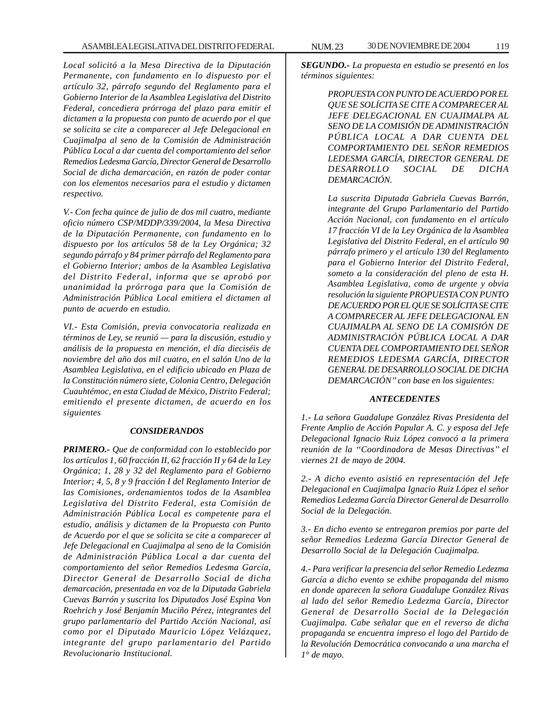*Local solicitó a la Mesa Directiva de la Diputación Permanente, con fundamento en lo dispuesto por el artículo 32, párrafo segundo del Reglamento para el Gobierno Interior de la Asamblea Legislativa del Distrito Federal, concediera prórroga del plazo para emitir el dictamen a la propuesta con punto de acuerdo por el que se solicita se cite a comparecer al Jefe Delegacional en Cuajimalpa al seno de la Comisión de Administración Pública Local a dar cuenta del comportamiento del señor Remedios Ledesma García, Director General de Desarrollo Social de dicha demarcación, en razón de poder contar con los elementos necesarios para el estudio y dictamen respectivo.*

*V.- Con fecha quince de julio de dos mil cuatro, mediante oficio número CSP/MDDP/339/2004, la Mesa Directiva de la Diputación Permanente, con fundamento en lo dispuesto por los artículos 58 de la Ley Orgánica; 32 segundo párrafo y 84 primer párrafo del Reglamento para el Gobierno Interior; ambos de la Asamblea Legislativa del Distrito Federal, informa que se aprobó por unanimidad la prórroga para que la Comisión de Administración Pública Local emitiera el dictamen al punto de acuerdo en estudio.*

*VI.- Esta Comisión, previa convocatoria realizada en términos de Ley, se reunió — para la discusión, estudio y análisis de la propuesta en mención, el día dieciséis de noviembre del año dos mil cuatro, en el salón Uno de la Asamblea Legislativa, en el edificio ubicado en Plaza de la Constitución número siete, Colonia Centro, Delegación Cuauhtémoc, en esta Ciudad de México, Distrito Federal; emitiendo el presente dictamen, de acuerdo en los siguientes*

### *CONSIDERANDOS*

*PRIMERO.- Que de conformidad con lo establecido por los artículos 1, 60 fracción II, 62 fracción II y 64 de la Ley Orgánica; 1, 28 y 32 del Reglamento para el Gobierno Interior; 4, 5, 8 y 9 fracción I del Reglamento Interior de las Comisiones, ordenamientos todos de la Asamblea Legislativa del Distrito Federal, esta Comisión de Administración Pública Local es competente para el estudio, análisis y dictamen de la Propuesta con Punto de Acuerdo por el que se solicita se cite a comparecer al Jefe Delegacional en Cuajimalpa al seno de la Comisión de Administración Pública Local a dar cuenta del comportamiento del señor Remedios Ledesma García, Director General de Desarrollo Social de dicha demarcación, presentada en voz de la Diputada Gabriela Cuevas Barrón y suscrita los Diputados José Espina Von Roehrich y José Benjamín Muciño Pérez, integrantes del grupo parlamentario del Partido Acción Nacional, así como por el Diputado Mauricio López Velázquez, integrante del grupo parlamentario del Partido Revolucionario Institucional.*

*SEGUNDO.- La propuesta en estudio se presentó en los términos siguientes:*

> *PROPUESTA CON PUNTO DE ACUERDO POR EL QUE SE SOLÍCITA SE CITE A COMPARECER AL JEFE DELEGACIONAL EN CUAJIMALPA AL SENO DE LA COMISIÓN DE ADMINISTRACIÓN PÚBLICA LOCAL A DAR CUENTA DEL COMPORTAMIENTO DEL SEÑOR REMEDIOS LEDESMA GARCÍA, DIRECTOR GENERAL DE DESARROLLO SOCIAL DE DICHA DEMARCACIÓN.*

> *La suscrita Diputada Gabriela Cuevas Barrón, integrante del Grupo Parlamentario del Partido Acción Nacional, con fundamento en el artículo 17 fracción VI de la Ley Orgánica de la Asamblea Legislativa del Distrito Federal, en el artículo 90 párrafo primero y el artículo 130 del Reglamento para el Gobierno Interior del Distrito Federal, someto a la consideración del pleno de esta H. Asamblea Legislativa, como de urgente y obvia resolución la siguiente PROPUESTA CON PUNTO DE ACUERDO POR EL QUE SE SOLÍCITA SE CITE A COMPARECER AL JEFE DELEGACIONAL EN CUAJIMALPA AL SENO DE LA COMISIÓN DE ADMINISTRACIÓN PÚBLICA LOCAL A DAR CUENTA DEL COMPORTAMIENTO DEL SEÑOR REMEDIOS LEDESMA GARCÍA, DIRECTOR GENERAL DE DESARROLLO SOCIAL DE DICHA DEMARCACIÓN'' con base en los siguientes:*

### *ANTECEDENTES*

*1.- La señora Guadalupe González Rivas Presidenta del Frente Amplio de Acción Popular A. C. y esposa del Jefe Delegacional Ignacio Ruiz López convocó a la primera reunión de la ''Coordinadora de Mesas Directivas'' el viernes 21 de mayo de 2004.*

*2.- A dicho evento asistió en representación del Jefe Delegacional en Cuajimalpa Ignacio Ruiz López el señor Remedios Ledezma García Director General de Desarrollo Social de la Delegación.*

*3.- En dicho evento se entregaron premios por parte del señor Remedios Ledezma García Director General de Desarrollo Social de la Delegación Cuajimalpa.*

*4.- Para verificar la presencia del señor Remedio Ledezma García a dicho evento se exhibe propaganda del mismo en donde aparecen la señora Guadalupe González Rivas al lado del señor Remedio Ledezma García, Director General de Desarrollo Social de la Delegación Cuajimalpa. Cabe señalar que en el reverso de dicha propaganda se encuentra impreso el logo del Partido de la Revolución Democrática convocando a una marcha el 1° de mayo.*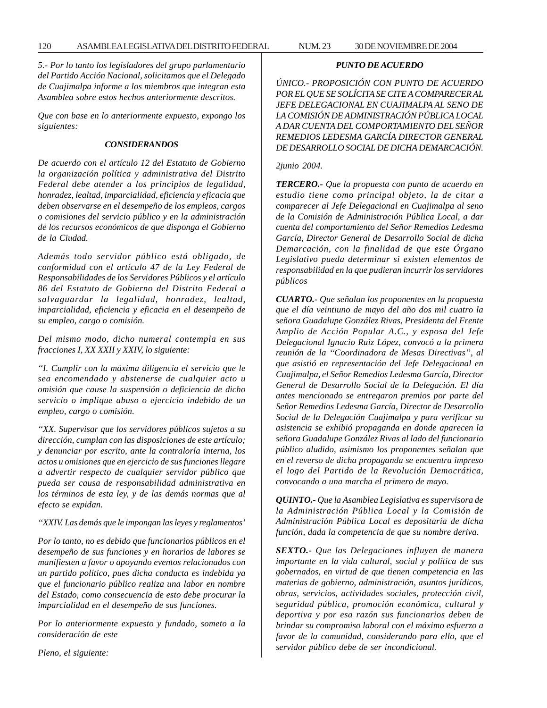*5.- Por lo tanto los legisladores del grupo parlamentario del Partido Acción Nacional, solicitamos que el Delegado de Cuajimalpa informe a los miembros que integran esta Asamblea sobre estos hechos anteriormente descritos.*

*Que con base en lo anteriormente expuesto, expongo los siguientes:*

### *CONSIDERANDOS*

*De acuerdo con el artículo 12 del Estatuto de Gobierno la organización política y administrativa del Distrito Federal debe atender a los principios de legalidad, honradez, lealtad, imparcialidad, eficiencia y eficacia que deben observarse en el desempeño de los empleos, cargos o comisiones del servicio público y en la administración de los recursos económicos de que disponga el Gobierno de la Ciudad.*

*Además todo servidor público está obligado, de conformidad con el artículo 47 de la Ley Federal de Responsabilidades de los Servidores Públicos y el artículo 86 del Estatuto de Gobierno del Distrito Federal a salvaguardar la legalidad, honradez, lealtad, imparcialidad, eficiencia y eficacia en el desempeño de su empleo, cargo o comisión.*

*Del mismo modo, dicho numeral contempla en sus fracciones I, XX XXII y XXIV, lo siguiente:*

*''I. Cumplir con la máxima diligencia el servicio que le sea encomendado y abstenerse de cualquier acto u omisión que cause la suspensión o deficiencia de dicho servicio o implique abuso o ejercicio indebido de un empleo, cargo o comisión.*

*''XX. Supervisar que los servidores públicos sujetos a su dirección, cumplan con las disposiciones de este artículo; y denunciar por escrito, ante la contraloría interna, los actos u omisiones que en ejercicio de sus funciones llegare a advertir respecto de cualquier servidor público que pueda ser causa de responsabilidad administrativa en los términos de esta ley, y de las demás normas que al efecto se expidan.*

*''XXIV. Las demás que le impongan las leyes y reglamentos'*

*Por lo tanto, no es debido que funcionarios públicos en el desempeño de sus funciones y en horarios de labores se manifiesten a favor o apoyando eventos relacionados con un partido político, pues dicha conducta es indebida ya que el funcionario público realiza una labor en nombre del Estado, como consecuencia de esto debe procurar la imparcialidad en el desempeño de sus funciones.*

*Por lo anteriormente expuesto y fundado, someto a la consideración de este*

*Pleno, el siguiente:*

# *PUNTO DE ACUERDO*

*ÚNICO.- PROPOSICIÓN CON PUNTO DE ACUERDO POR EL QUE SE SOLÍCITA SE CITE A COMPARECER AL JEFE DELEGACIONAL EN CUAJIMALPA AL SENO DE LA COMISIÓN DE ADMINISTRACIÓN PÚBLICA LOCAL A DAR CUENTA DEL COMPORTAMIENTO DEL SEÑOR REMEDIOS LEDESMA GARCÍA DIRECTOR GENERAL DE DESARROLLO SOCIAL DE DICHA DEMARCACIÓN.*

#### *2junio 2004.*

*TERCERO.- Que la propuesta con punto de acuerdo en estudio tiene como principal objeto, la de citar a comparecer al Jefe Delegacional en Cuajimalpa al seno de la Comisión de Administración Pública Local, a dar cuenta del comportamiento del Señor Remedios Ledesma García, Director General de Desarrollo Social de dicha Demarcación, con la finalidad de que este Órgano Legislativo pueda determinar si existen elementos de responsabilidad en la que pudieran incurrir los servidores públicos*

*CUARTO.- Que señalan los proponentes en la propuesta que el día veintiuno de mayo del año dos mil cuatro la señora Guadalupe González Rivas, Presidenta del Frente Amplio de Acción Popular A.C., y esposa del Jefe Delegacional Ignacio Ruiz López, convocó a la primera reunión de la ''Coordinadora de Mesas Directivas'', al que asistió en representación del Jefe Delegacional en Cuajimalpa, el Señor Remedios Ledesma García, Director General de Desarrollo Social de la Delegación. El día antes mencionado se entregaron premios por parte del Señor Remedios Ledesma García, Director de Desarrollo Social de la Delegación Cuajimalpa y para verificar su asistencia se exhibió propaganda en donde aparecen la señora Guadalupe González Rivas al lado del funcionario público aludido, asimismo los proponentes señalan que en el reverso de dicha propaganda se encuentra impreso el logo del Partido de la Revolución Democrática, convocando a una marcha el primero de mayo.*

*QUINTO.- Que la Asamblea Legislativa es supervisora de la Administración Pública Local y la Comisión de Administración Pública Local es depositaría de dicha función, dada la competencia de que su nombre deriva.*

*SEXTO.- Que las Delegaciones influyen de manera importante en la vida cultural, social y política de sus gobernados, en virtud de que tienen competencia en las materias de gobierno, administración, asuntos jurídicos, obras, servicios, actividades sociales, protección civil, seguridad pública, promoción económica, cultural y deportiva y por esa razón sus funcionarios deben de brindar su compromiso laboral con el máximo esfuerzo a favor de la comunidad, considerando para ello, que el servidor público debe de ser incondicional.*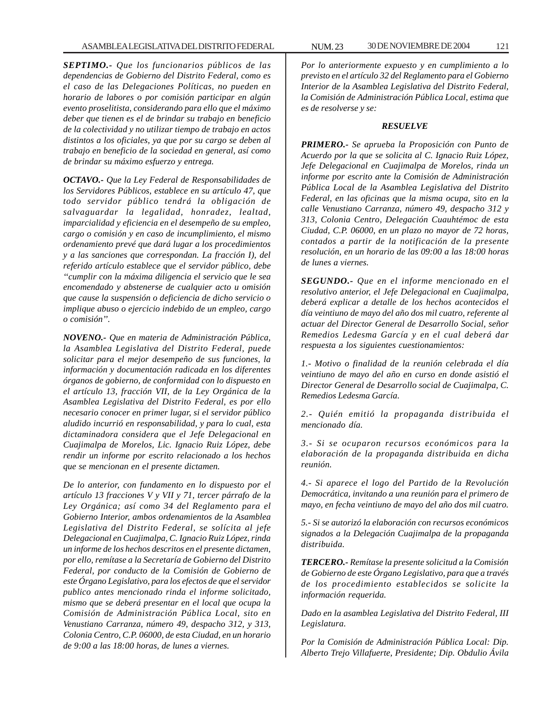*SEPTIMO.- Que los funcionarios públicos de las dependencias de Gobierno del Distrito Federal, como es el caso de las Delegaciones Políticas, no pueden en horario de labores o por comisión participar en algún evento proselitista, considerando para ello que el máximo deber que tienen es el de brindar su trabajo en beneficio de la colectividad y no utilizar tiempo de trabajo en actos distintos a los oficiales, ya que por su cargo se deben al trabajo en beneficio de la sociedad en general, así como de brindar su máximo esfuerzo y entrega.*

*OCTAVO.- Que la Ley Federal de Responsabilidades de los Servidores Públicos, establece en su artículo 47, que todo servidor público tendrá la obligación de salvaguardar la legalidad, honradez, lealtad, imparcialidad y eficiencia en el desempeño de su empleo, cargo o comisión y en caso de incumplimiento, el mismo ordenamiento prevé que dará lugar a los procedimientos y a las sanciones que correspondan. La fracción I), del referido artículo establece que el servidor público, debe ''cumplir con la máxima diligencia el servicio que le sea encomendado y abstenerse de cualquier acto u omisión que cause la suspensión o deficiencia de dicho servicio o implique abuso o ejercicio indebido de un empleo, cargo o comisión''.*

*NOVENO.- Que en materia de Administración Pública, la Asamblea Legislativa del Distrito Federal, puede solicitar para el mejor desempeño de sus funciones, la información y documentación radicada en los diferentes órganos de gobierno, de conformidad con lo dispuesto en el artículo 13, fracción VII, de la Ley Orgánica de la Asamblea Legislativa del Distrito Federal, es por ello necesario conocer en primer lugar, si el servidor público aludido incurrió en responsabilidad, y para lo cual, esta dictaminadora considera que el Jefe Delegacional en Cuajimalpa de Morelos, Lic. Ignacio Ruiz López, debe rendir un informe por escrito relacionado a los hechos que se mencionan en el presente dictamen.*

*De lo anterior, con fundamento en lo dispuesto por el artículo 13 fracciones V y VII y 71, tercer párrafo de la Ley Orgánica; así como 34 del Reglamento para el Gobierno Interior, ambos ordenamientos de la Asamblea Legislativa del Distrito Federal, se solícita al jefe Delegacional en Cuajimalpa, C. Ignacio Ruiz López, rinda un informe de los hechos descritos en el presente dictamen, por ello, remítase a la Secretaría de Gobierno del Distrito Federal, por conducto de la Comisión de Gobierno de este Órgano Legislativo, para los efectos de que el servidor publico antes mencionado rinda el informe solicitado, mismo que se deberá presentar en el local que ocupa la Comisión de Administración Pública Local, sito en Venustiano Carranza, número 49, despacho 312, y 313, Colonia Centro, C.P. 06000, de esta Ciudad, en un horario de 9:00 a las 18:00 horas, de lunes a viernes.*

*Por lo anteriormente expuesto y en cumplimiento a lo previsto en el artículo 32 del Reglamento para el Gobierno Interior de la Asamblea Legislativa del Distrito Federal, la Comisión de Administración Pública Local, estima que es de resolverse y se:*

#### *RESUELVE*

*PRIMERO.- Se aprueba la Proposición con Punto de Acuerdo por la que se solicita al C. Ignacio Ruiz López, Jefe Delegacional en Cuajimalpa de Morelos, rinda un informe por escrito ante la Comisión de Administración Pública Local de la Asamblea Legislativa del Distrito Federal, en las oficinas que la misma ocupa, sito en la calle Venustiano Carranza, número 49, despacho 312 y 313, Colonia Centro, Delegación Cuauhtémoc de esta Ciudad, C.P. 06000, en un plazo no mayor de 72 horas, contados a partir de la notificación de la presente resolución, en un horario de las 09:00 a las 18:00 horas de lunes a viernes.*

*SEGUNDO.- Que en el informe mencionado en el resolutivo anterior, el Jefe Delegacional en Cuajimalpa, deberá explicar a detalle de los hechos acontecidos el día veintiuno de mayo del año dos mil cuatro, referente al actuar del Director General de Desarrollo Social, señor Remedios Ledesma García y en el cual deberá dar respuesta a los siguientes cuestionamientos:*

*1.- Motivo o finalidad de la reunión celebrada el día veintiuno de mayo del año en curso en donde asistió el Director General de Desarrollo social de Cuajimalpa, C. Remedios Ledesma García.*

*2.- Quién emitió la propaganda distribuida el mencionado día.*

*3.- Si se ocuparon recursos económicos para la elaboración de la propaganda distribuida en dicha reunión.*

*4.- Si aparece el logo del Partido de la Revolución Democrática, invitando a una reunión para el primero de mayo, en fecha veintiuno de mayo del año dos mil cuatro.*

*5.- Si se autorizó la elaboración con recursos económicos signados a la Delegación Cuajimalpa de la propaganda distribuida.*

*TERCERO.- Remítase la presente solicitud a la Comisión de Gobierno de este Órgano Legislativo, para que a través de los procedimiento establecidos se solicite la información requerida.*

*Dado en la asamblea Legislativa del Distrito Federal, III Legislatura.*

*Por la Comisión de Administración Pública Local: Dip. Alberto Trejo Villafuerte, Presidente; Dip. Obdulio Ávila*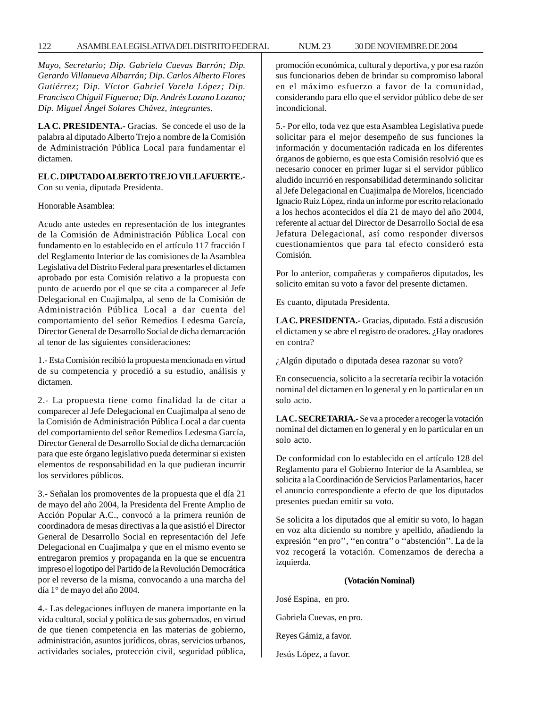# 122 ASAMBLEA LEGISLATIVA DEL DISTRITO FEDERAL NUM. 23 30 DE NOVIEMBRE DE 2004

*Mayo, Secretario; Dip. Gabriela Cuevas Barrón; Dip. Gerardo Villanueva Albarrán; Dip. Carlos Alberto Flores Gutiérrez; Dip. Víctor Gabriel Varela López; Dip. Francisco Chiguil Figueroa; Dip. Andrés Lozano Lozano; Dip. Miguel Ángel Solares Chávez, integrantes.*

**LA C. PRESIDENTA.-** Gracias. Se concede el uso de la palabra al diputado Alberto Trejo a nombre de la Comisión de Administración Pública Local para fundamentar el dictamen.

# **EL C. DIPUTADO ALBERTO TREJO VILLAFUERTE.-**

Con su venia, diputada Presidenta.

Honorable Asamblea:

Acudo ante ustedes en representación de los integrantes de la Comisión de Administración Pública Local con fundamento en lo establecido en el artículo 117 fracción I del Reglamento Interior de las comisiones de la Asamblea Legislativa del Distrito Federal para presentarles el dictamen aprobado por esta Comisión relativo a la propuesta con punto de acuerdo por el que se cita a comparecer al Jefe Delegacional en Cuajimalpa, al seno de la Comisión de Administración Pública Local a dar cuenta del comportamiento del señor Remedios Ledesma García, Director General de Desarrollo Social de dicha demarcación al tenor de las siguientes consideraciones:

1.- Esta Comisión recibió la propuesta mencionada en virtud de su competencia y procedió a su estudio, análisis y dictamen.

2.- La propuesta tiene como finalidad la de citar a comparecer al Jefe Delegacional en Cuajimalpa al seno de la Comisión de Administración Pública Local a dar cuenta del comportamiento del señor Remedios Ledesma García, Director General de Desarrollo Social de dicha demarcación para que este órgano legislativo pueda determinar si existen elementos de responsabilidad en la que pudieran incurrir los servidores públicos.

3.- Señalan los promoventes de la propuesta que el día 21 de mayo del año 2004, la Presidenta del Frente Amplio de Acción Popular A.C., convocó a la primera reunión de coordinadora de mesas directivas a la que asistió el Director General de Desarrollo Social en representación del Jefe Delegacional en Cuajimalpa y que en el mismo evento se entregaron premios y propaganda en la que se encuentra impreso el logotipo del Partido de la Revolución Democrática por el reverso de la misma, convocando a una marcha del día 1° de mayo del año 2004.

4.- Las delegaciones influyen de manera importante en la vida cultural, social y política de sus gobernados, en virtud de que tienen competencia en las materias de gobierno, administración, asuntos jurídicos, obras, servicios urbanos, actividades sociales, protección civil, seguridad pública, promoción económica, cultural y deportiva, y por esa razón sus funcionarios deben de brindar su compromiso laboral en el máximo esfuerzo a favor de la comunidad, considerando para ello que el servidor público debe de ser incondicional.

5.- Por ello, toda vez que esta Asamblea Legislativa puede solicitar para el mejor desempeño de sus funciones la información y documentación radicada en los diferentes órganos de gobierno, es que esta Comisión resolvió que es necesario conocer en primer lugar si el servidor público aludido incurrió en responsabilidad determinando solicitar al Jefe Delegacional en Cuajimalpa de Morelos, licenciado Ignacio Ruiz López, rinda un informe por escrito relacionado a los hechos acontecidos el día 21 de mayo del año 2004, referente al actuar del Director de Desarrollo Social de esa Jefatura Delegacional, así como responder diversos cuestionamientos que para tal efecto consideró esta Comisión.

Por lo anterior, compañeras y compañeros diputados, les solicito emitan su voto a favor del presente dictamen.

Es cuanto, diputada Presidenta.

**LA C. PRESIDENTA.-** Gracias, diputado. Está a discusión el dictamen y se abre el registro de oradores. ¿Hay oradores en contra?

¿Algún diputado o diputada desea razonar su voto?

En consecuencia, solicito a la secretaría recibir la votación nominal del dictamen en lo general y en lo particular en un solo acto.

**LA C. SECRETARIA.-** Se va a proceder a recoger la votación nominal del dictamen en lo general y en lo particular en un solo acto.

De conformidad con lo establecido en el artículo 128 del Reglamento para el Gobierno Interior de la Asamblea, se solicita a la Coordinación de Servicios Parlamentarios, hacer el anuncio correspondiente a efecto de que los diputados presentes puedan emitir su voto.

Se solicita a los diputados que al emitir su voto, lo hagan en voz alta diciendo su nombre y apellido, añadiendo la expresión ''en pro'', ''en contra'' o ''abstención''. La de la voz recogerá la votación. Comenzamos de derecha a izquierda.

### **(Votación Nominal)**

José Espina, en pro.

- Gabriela Cuevas, en pro.
- Reyes Gámiz, a favor.
- Jesús López, a favor.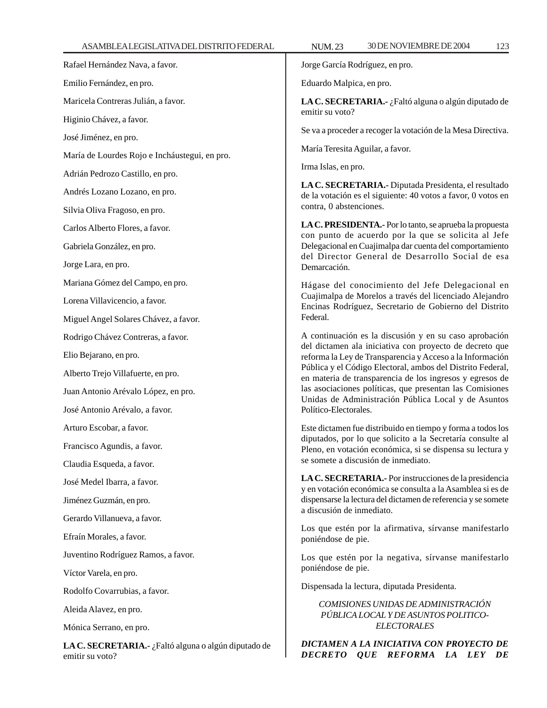Jorge García Rodríguez, en pro.

Eduardo Malpica, en pro.

**LA C. SECRETARIA.-** ¿Faltó alguna o algún diputado de emitir su voto?

Se va a proceder a recoger la votación de la Mesa Directiva.

María Teresita Aguilar, a favor.

Irma Islas, en pro.

**LA C. SECRETARIA.-** Diputada Presidenta, el resultado de la votación es el siguiente: 40 votos a favor, 0 votos en contra, 0 abstenciones.

**LA C. PRESIDENTA.-** Por lo tanto, se aprueba la propuesta con punto de acuerdo por la que se solicita al Jefe Delegacional en Cuajimalpa dar cuenta del comportamiento del Director General de Desarrollo Social de esa Demarcación.

Hágase del conocimiento del Jefe Delegacional en Cuajimalpa de Morelos a través del licenciado Alejandro Encinas Rodríguez, Secretario de Gobierno del Distrito Federal.

A continuación es la discusión y en su caso aprobación del dictamen ala iniciativa con proyecto de decreto que reforma la Ley de Transparencia y Acceso a la Información Pública y el Código Electoral, ambos del Distrito Federal, en materia de transparencia de los ingresos y egresos de las asociaciones políticas, que presentan las Comisiones Unidas de Administración Pública Local y de Asuntos Político-Electorales.

Este dictamen fue distribuido en tiempo y forma a todos los diputados, por lo que solicito a la Secretaría consulte al Pleno, en votación económica, si se dispensa su lectura y se somete a discusión de inmediato.

**LA C. SECRETARIA.-** Por instrucciones de la presidencia y en votación económica se consulta a la Asamblea si es de dispensarse la lectura del dictamen de referencia y se somete a discusión de inmediato.

Los que estén por la afirmativa, sírvanse manifestarlo poniéndose de pie.

Los que estén por la negativa, sírvanse manifestarlo poniéndose de pie.

Dispensada la lectura, diputada Presidenta.

*COMISIONES UNIDAS DE ADMINISTRACIÓN PÚBLICA LOCAL Y DE ASUNTOS POLITICO-ELECTORALES*

*DICTAMEN A LA INICIATIVA CON PROYECTO DE DECRETO QUE REFORMA LA LEY DE*

Rafael Hernández Nava, a favor. Emilio Fernández, en pro. Maricela Contreras Julián, a favor. Higinio Chávez, a favor. José Jiménez, en pro. María de Lourdes Rojo e Incháustegui, en pro. Adrián Pedrozo Castillo, en pro. Andrés Lozano Lozano, en pro. Silvia Oliva Fragoso, en pro. Carlos Alberto Flores, a favor. Gabriela González, en pro. Jorge Lara, en pro. Mariana Gómez del Campo, en pro. Lorena Villavicencio, a favor. Miguel Angel Solares Chávez, a favor. Rodrigo Chávez Contreras, a favor. Elio Bejarano, en pro. Alberto Trejo Villafuerte, en pro. Juan Antonio Arévalo López, en pro. José Antonio Arévalo, a favor. Arturo Escobar, a favor. Francisco Agundis, a favor. Claudia Esqueda, a favor. José Medel Ibarra, a favor. Jiménez Guzmán, en pro. Gerardo Villanueva, a favor. Efraín Morales, a favor. Juventino Rodríguez Ramos, a favor. Víctor Varela, en pro. Rodolfo Covarrubias, a favor. Aleida Alavez, en pro.

Mónica Serrano, en pro.

**LA C. SECRETARIA.-** ¿Faltó alguna o algún diputado de emitir su voto?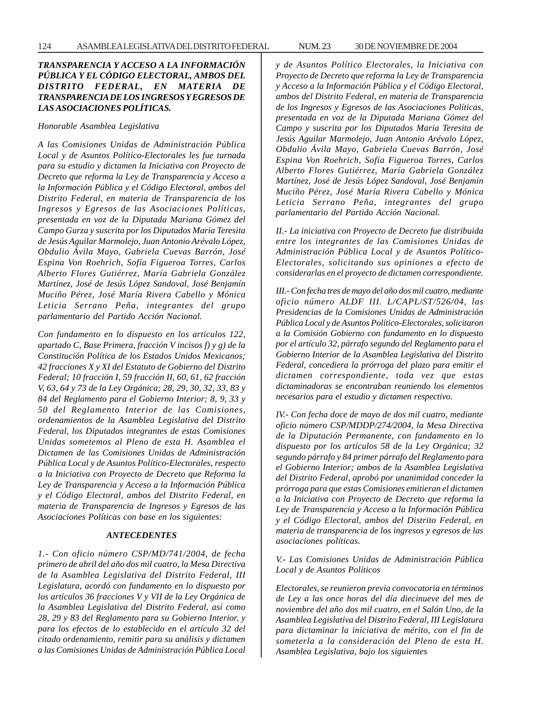# *TRANSPARENCIA Y ACCESO A LA INFORMACIÓN PÚBLICA Y EL CÓDIGO ELECTORAL, AMBOS DEL DISTRITO FEDERAL, EN MATERIA DE TRANSPARENCIA DE LOS INGRESOS Y EGRESOS DE LAS ASOCIACIONES POLÍTICAS.*

*Honorable Asamblea Legislativa*

*A las Comisiones Unidas de Administración Pública Local y de Asuntos Político-Electorales les fue turnada para su estudio y dictamen la Iniciativa con Proyecto de Decreto que reforma la Ley de Transparencia y Acceso a la Información Pública y el Código Electoral, ambos del Distrito Federal, en materia de Transparencia de los Ingresos y Egresos de las Asociaciones Políticas, presentada en voz de la Diputada Mariana Gómez del Campo Gurza y suscrita por los Diputados Maria Teresita de Jesús Aguilar Marmolejo, Juan Antonio Arévalo López, Obdulio Ávila Mayo, Gabriela Cuevas Barrón, José Espina Von Roehrich, Sofía Figueroa Torres, Carlos Alberto Flores Gutiérrez, María Gabriela González Martínez, José de Jesús López Sandoval, José Benjamín Muciño Pérez, José María Rivera Cabello y Mónica Leticia Serrano Peña, integrantes del grupo parlamentario del Partido Acción Nacional.*

*Con fundamento en lo dispuesto en los artículos 122, apartado C, Base Primera, fracción V incisos f) y g) de la Constitución Política de los Estados Unidos Mexicanos; 42 fracciones X y XI del Estatuto de Gobierno del Distrito Federal; 10 fracción I, 59 fracción II, 60, 61, 62 fracción V, 63, 64 y 73 de la Ley Orgánica; 28, 29, 30, 32, 33, 83 y 84 del Reglamento para el Gobierno Interior; 8, 9, 33 y 50 del Reglamento Interior de las Comisiones, ordenamientos de la Asamblea Legislativa del Distrito Federal, los Diputados integrantes de estas Comisiones Unidas sometemos al Pleno de esta H. Asamblea el Dictamen de las Comisiones Unidas de Administración Pública Local y de Asuntos Político-Electorales, respecto a la Iniciativa con Proyecto de Decreto que Reforma la Ley de Transparencia y Acceso a la Información Pública y el Código Electoral, ambos del Distrito Federal, en materia de Transparencia de Ingresos y Egresos de las Asociaciones Políticas con base en los siguientes:*

#### *ANTECEDENTES*

*1.- Con oficio número CSP/MD/741/2004, de fecha primero de abril del año dos mil cuatro, la Mesa Directiva de la Asamblea Legislativa del Distrito Federal, III Legislatura, acordó con fundamento en lo dispuesto por los artículos 36 fracciones V y VII de la Ley Orgánica de la Asamblea Legislativa del Distrito Federal, así como 28, 29 y 83 del Reglamento para su Gobierno Interior, y para los efectos de lo establecido en el artículo 32 del citado ordenamiento, remitir para su análisis y dictamen a las Comisiones Unidas de Administración Pública Local* *y de Asuntos Político Electorales, la Iniciativa con Proyecto de Decreto que reforma la Ley de Transparencia y Acceso a la Información Pública y el Código Electoral, ambos del Distrito Federal, en materia de Transparencia de los Ingresos y Egresos de las Asociaciones Políticas, presentada en voz de la Diputada Mariana Gómez del Campo y suscrita por los Diputados Maria Teresita de Jesús Aguilar Marmolejo, Juan Antonio Arévalo López, Obdulio Ávila Mayo, Gabriela Cuevas Barrón, José Espina Von Roehrich, Sofía Figueroa Torres, Carlos Alberto Flores Gutiérrez, María Gabriela González Martínez, José de Jesús López Sandoval, José Benjamín Muciño Pérez, José María Rivera Cabello y Mónica Leticia Serrano Peña, integrantes del grupo parlamentario del Partido Acción Nacional.*

*II.- La iniciativa con Proyecto de Decreto fue distribuida entre los integrantes de las Comisiones Unidas de Administración Pública Local y de Asuntos Político-Electorales, solicitando sus opiniones a efecto de considerarlas en el proyecto de dictamen correspondiente.*

*III.- Con fecha tres de mayo del año dos mil cuatro, mediante oficio número ALDF III. L/CAPL/ST/526/04, las Presidencias de la Comisiones Unidas de Administración Pública Local y de Asuntos Político-Electorales, solicitaron a la Comisión Gobierno con fundamento en lo dispuesto por el artículo 32, párrafo segundo del Reglamento para el Gobierno Interior de la Asamblea Legislativa del Distrito Federal, concediera la prórroga del plazo para emitir el dictamen correspondiente, toda vez que estas dictaminadoras se encontraban reuniendo los elementos necesarios para el estudio y dictamen respectivo.*

*IV.- Con fecha doce de mayo de dos mil cuatro, mediante oficio número CSP/MDDP/274/2004, la Mesa Directiva de la Diputación Permanente, con fundamento en lo dispuesto por los artículos 58 de la Ley Orgánica; 32 segundo párrafo y 84 primer párrafo del Reglamento para el Gobierno Interior; ambos de la Asamblea Legislativa del Distrito Federal, aprobó por unanimidad conceder la prórroga para que estas Comisiones emitieran el dictamen a la Iniciativa con Proyecto de Decreto que reforma la Ley de Transparencia y Acceso a la Información Pública y el Código Electoral, ambos del Distrito Federal, en materia de transparencia de los ingresos y egresos de las asociaciones políticas.*

*V.- Las Comisiones Unidas de Administración Pública Local y de Asuntos Políticos*

*Electorales, se reunieron previa convocatoria en términos de Ley a las once horas del día diecinueve del mes de noviembre del año dos mil cuatro, en el Salón Uno, de la Asamblea Legislativa del Distrito Federal, III Legislatura para dictaminar la iniciativa de mérito, con el fin de someterla a la consideración del Pleno de esta H. Asamblea Legislativa, bajo los siguientes*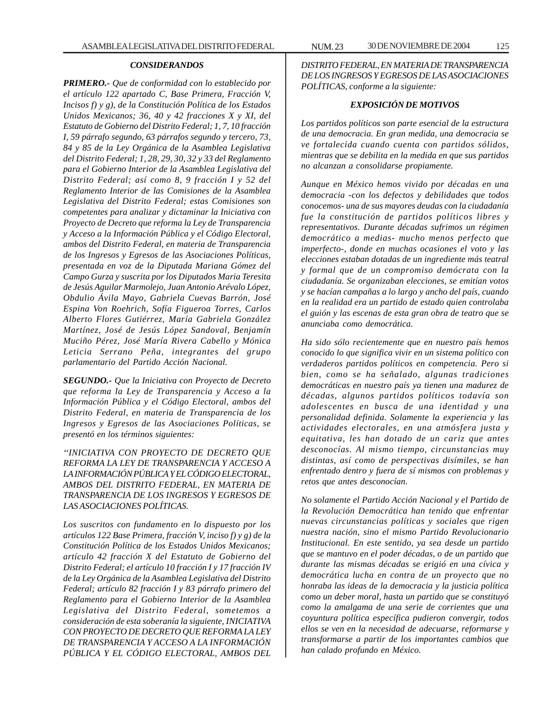#### *CONSIDERANDOS*

*PRIMERO.- Que de conformidad con lo establecido por el artículo 122 apartado C, Base Primera, Fracción V, Incisos f) y g), de la Constitución Política de los Estados Unidos Mexicanos; 36, 40 y 42 fracciones X y XI, del Estatuto de Gobierno del Distrito Federal; 1, 7, 10 fracción I, 59 párrafo segundo, 63 párrafos segundo y tercero, 73, 84 y 85 de la Ley Orgánica de la Asamblea Legislativa del Distrito Federal; 1, 28, 29, 30, 32 y 33 del Reglamento para el Gobierno Interior de la Asamblea Legislativa del Distrito Federal; así como 8, 9 fracción I y 52 del Reglamento Interior de las Comisiones de la Asamblea Legislativa del Distrito Federal; estas Comisiones son competentes para analizar y dictaminar la Iniciativa con Proyecto de Decreto que reforma la Ley de Transparencia y Acceso a la Información Pública y el Código Electoral, ambos del Distrito Federal, en materia de Transparencia de los Ingresos y Egresos de las Asociaciones Políticas, presentada en voz de la Diputada Mariana Gómez del Campo Gurza y suscrita por los Diputados Maria Teresita de Jesús Aguilar Marmolejo, Juan Antonio Arévalo López, Obdulio Ávila Mayo, Gabriela Cuevas Barrón, José Espina Von Roehrich, Sofía Figueroa Torres, Carlos Alberto Flores Gutiérrez, María Gabriela González Martínez, José de Jesús López Sandoval, Benjamín Muciño Pérez, José María Rivera Cabello y Mónica Leticia Serrano Peña, integrantes del grupo parlamentario del Partido Acción Nacional.*

*SEGUNDO.- Que la Iniciativa con Proyecto de Decreto que reforma la Ley de Transparencia y Acceso a la Información Pública y el Código Electoral, ambos del Distrito Federal, en materia de Transparencia de los Ingresos y Egresos de las Asociaciones Políticas, se presentó en los términos siguientes:*

*''INICIATIVA CON PROYECTO DE DECRETO QUE REFORMA LA LEY DE TRANSPARENCIA Y ACCESO A LA INFORMACIÓN PÚBLICA Y EL CÓDIGO ELECTORAL, AMBOS DEL DISTRITO FEDERAL, EN MATERIA DE TRANSPARENCIA DE LOS INGRESOS Y EGRESOS DE LAS ASOCIACIONES POLÍTICAS.*

*Los suscritos con fundamento en lo dispuesto por los artículos 122 Base Primera, fracción V, inciso f) y g) de la Constitución Política de los Estados Unidos Mexicanos; artículo 42 fracción X del Estatuto de Gobierno del Distrito Federal; el artículo 10 fracción I y 17 fracción IV de la Ley Orgánica de la Asamblea Legislativa del Distrito Federal; artículo 82 fracción I y 83 párrafo primero del Reglamento para el Gobierno Interior de la Asamblea Legislativa del Distrito Federal, sometemos a consideración de esta soberanía la siguiente, INICIATIVA CON PROYECTO DE DECRETO QUE REFORMA LA LEY DE TRANSPARENCIA Y ACCESO A LA INFORMACIÓN PÚBLICA Y EL CÓDIGO ELECTORAL, AMBOS DEL*

*DISTRITO FEDERAL, EN MATERIA DE TRANSPARENCIA DE LOS INGRESOS Y EGRESOS DE LAS ASOCIACIONES POLÍTICAS, conforme a la siguiente:*

### *EXPOSICIÓN DE MOTIVOS*

*Los partidos políticos son parte esencial de la estructura de una democracia. En gran medida, una democracia se ve fortalecida cuando cuenta con partidos sólidos, mientras que se debilita en la medida en que sus partidos no alcanzan a consolidarse propiamente.*

*Aunque en México hemos vivido por décadas en una democracia -con los defectos y debilidades que todos conocemos- una de sus mayores deudas con la ciudadanía fue la constitución de partidos políticos libres y representativos. Durante décadas sufrimos un régimen democrático a medias- mucho menos perfecto que imperfecto-, donde en muchas ocasiones el voto y las elecciones estaban dotadas de un ingrediente más teatral y formal que de un compromiso demócrata con la ciudadanía. Se organizaban elecciones, se emitían votos y se hacían campañas a lo largo y ancho del país, cuando en la realidad era un partido de estado quien controlaba el guión y las escenas de esta gran obra de teatro que se anunciaba como democrática.*

*Ha sido sólo recientemente que en nuestro país hemos conocido lo que significa vivir en un sistema político con verdaderos partidos políticos en competencia. Pero si bien, como se ha señalado, algunas tradiciones democráticas en nuestro país ya tienen una madurez de décadas, algunos partidos políticos todavía son adolescentes en busca de una identidad y una personalidad definida. Solamente la experiencia y las actividades electorales, en una atmósfera justa y equitativa, les han dotado de un cariz que antes desconocías. Al mismo tiempo, circunstancias muy distintas, así como de perspectivas disímiles, se han enfrentado dentro y fuera de sí mismos con problemas y retos que antes desconocían.*

*No solamente el Partido Acción Nacional y el Partido de la Revolución Democrática han tenido que enfrentar nuevas circunstancias políticas y sociales que rigen nuestra nación, sino el mismo Partido Revolucionario Institucional. En este sentido, ya sea desde un partido que se mantuvo en el poder décadas, o de un partido que durante las mismas décadas se erigió en una cívica y democrática lucha en contra de un proyecto que no honraba las ideas de la democracia y la justicia política como un deber moral, hasta un partido que se constituyó como la amalgama de una serie de corrientes que una coyuntura política específica pudieron convergir, todos ellos se ven en la necesidad de adecuarse, reformarse y transformarse a partir de los importantes cambios que han calado profundo en México.*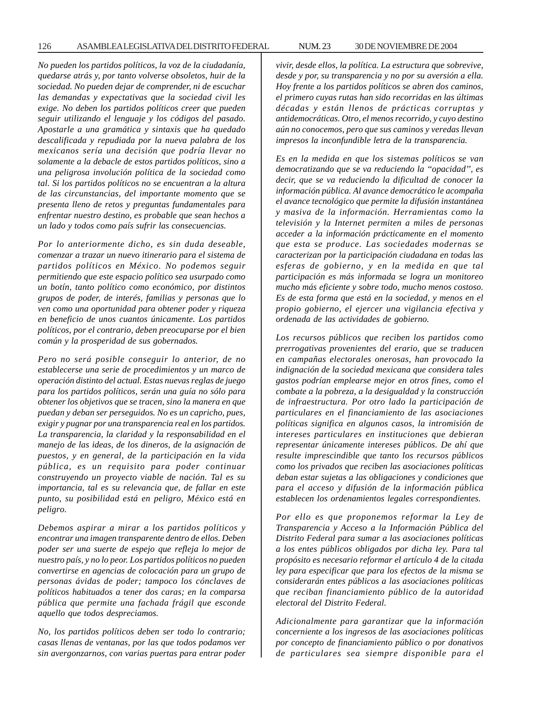*No pueden los partidos políticos, la voz de la ciudadanía, quedarse atrás y, por tanto volverse obsoletos, huir de la sociedad. No pueden dejar de comprender, ni de escuchar las demandas y expectativas que la sociedad civil les exige. No deben los partidos políticos creer que pueden seguir utilizando el lenguaje y los códigos del pasado. Apostarle a una gramática y sintaxis que ha quedado descalificada y repudiada por la nueva palabra de los mexicanos sería una decisión que podría llevar no solamente a la debacle de estos partidos políticos, sino a una peligrosa involución política de la sociedad como tal. Si los partidos políticos no se encuentran a la altura de las circunstancias, del importante momento que se presenta lleno de retos y preguntas fundamentales para enfrentar nuestro destino, es probable que sean hechos a un lado y todos como país sufrir las consecuencias.*

*Por lo anteriormente dicho, es sin duda deseable, comenzar a trazar un nuevo itinerario para el sistema de partidos políticos en México. No podemos seguir permitiendo que este espacio político sea usurpado como un botín, tanto político como económico, por distintos grupos de poder, de interés, familias y personas que lo ven como una oportunidad para obtener poder y riqueza en beneficio de unos cuantos únicamente. Los partidos políticos, por el contrario, deben preocuparse por el bien común y la prosperidad de sus gobernados.*

*Pero no será posible conseguir lo anterior, de no establecerse una serie de procedimientos y un marco de operación distinto del actual. Estas nuevas reglas de juego para los partidos políticos, serán una guía no sólo para obtener los objetivos que se tracen, sino la manera en que puedan y deban ser perseguidos. No es un capricho, pues, exigir y pugnar por una transparencia real en los partidos. La transparencia, la claridad y la responsabilidad en el manejo de las ideas, de los dineros, de la asignación de puestos, y en general, de la participación en la vida pública, es un requisito para poder continuar construyendo un proyecto viable de nación. Tal es su importancia, tal es su relevancia que, de fallar en este punto, su posibilidad está en peligro, México está en peligro.*

*Debemos aspirar a mirar a los partidos políticos y encontrar una imagen transparente dentro de ellos. Deben poder ser una suerte de espejo que refleja lo mejor de nuestro país, y no lo peor. Los partidos políticos no pueden convertirse en agencias de colocación para un grupo de personas ávidas de poder; tampoco los cónclaves de políticos habituados a tener dos caras; en la comparsa pública que permite una fachada frágil que esconde aquello que todos despreciamos.*

*No, los partidos políticos deben ser todo lo contrario; casas llenas de ventanas, por las que todos podamos ver sin avergonzarnos, con varias puertas para entrar poder* *vivir, desde ellos, la política. La estructura que sobrevive, desde y por, su transparencia y no por su aversión a ella. Hoy frente a los partidos políticos se abren dos caminos, el primero cuyas rutas han sido recorridas en las últimas décadas y están llenos de prácticas corruptas y antidemocráticas. Otro, el menos recorrido, y cuyo destino aún no conocemos, pero que sus caminos y veredas llevan impresos la inconfundible letra de la transparencia.*

*Es en la medida en que los sistemas políticos se van democratizando que se va reduciendo la ''opacidad'', es decir, que se va reduciendo la dificultad de conocer la información pública. Al avance democrático le acompaña el avance tecnológico que permite la difusión instantánea y masiva de la información. Herramientas como la televisión y la Internet permiten a miles de personas acceder a la información prácticamente en el momento que esta se produce. Las sociedades modernas se caracterizan por la participación ciudadana en todas las esferas de gobierno, y en la medida en que tal participación es más informada se logra un monitoreo mucho más eficiente y sobre todo, mucho menos costoso. Es de esta forma que está en la sociedad, y menos en el propio gobierno, el ejercer una vigilancia efectiva y ordenada de las actividades de gobierno.*

*Los recursos públicos que reciben los partidos como prerrogativas provenientes del erario, que se traducen en campañas electorales onerosas, han provocado la indignación de la sociedad mexicana que considera tales gastos podrían emplearse mejor en otros fines, como el combate a la pobreza, a la desigualdad y la construcción de infraestructura. Por otro lado la participación de particulares en el financiamiento de las asociaciones políticas significa en algunos casos, la intromisión de intereses particulares en instituciones que debieran representar únicamente intereses públicos. De ahí que resulte imprescindible que tanto los recursos públicos como los privados que reciben las asociaciones políticas deban estar sujetas a las obligaciones y condiciones que para el acceso y difusión de la información pública establecen los ordenamientos legales correspondientes.*

*Por ello es que proponemos reformar la Ley de Transparencia y Acceso a la Información Pública del Distrito Federal para sumar a las asociaciones políticas a los entes públicos obligados por dicha ley. Para tal propósito es necesario reformar el artículo 4 de la citada ley para especificar que para los efectos de la misma se considerarán entes públicos a las asociaciones políticas que reciban financiamiento público de la autoridad electoral del Distrito Federal.*

*Adicionalmente para garantizar que la información concerniente a los ingresos de las asociaciones políticas por concepto de financiamiento público o por donativos de particulares sea siempre disponible para el*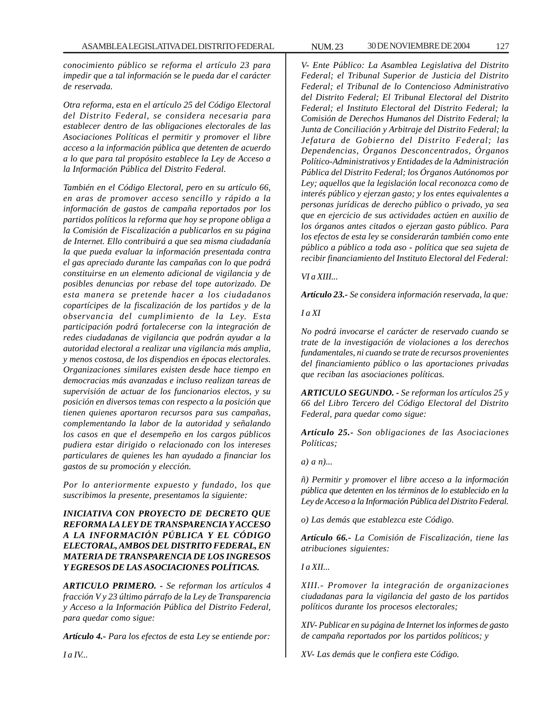*conocimiento público se reforma el artículo 23 para impedir que a tal información se le pueda dar el carácter de reservada.*

*Otra reforma, esta en el artículo 25 del Código Electoral del Distrito Federal, se considera necesaria para establecer dentro de las obligaciones electorales de las Asociaciones Políticas el permitir y promover el libre acceso a la información pública que detenten de acuerdo a lo que para tal propósito establece la Ley de Acceso a la Información Pública del Distrito Federal.*

*También en el Código Electoral, pero en su artículo 66, en aras de promover acceso sencillo y rápido a la información de gastos de campaña reportados por los partidos políticos la reforma que hoy se propone obliga a la Comisión de Fiscalización a publicarlos en su página de Internet. Ello contribuirá a que sea misma ciudadanía la que pueda evaluar la información presentada contra el gas apreciado durante las campañas con lo que podrá constituirse en un elemento adicional de vigilancia y de posibles denuncias por rebase del tope autorizado. De esta manera se pretende hacer a los ciudadanos copartícipes de la fiscalización de los partidos y de la observancia del cumplimiento de la Ley. Esta participación podrá fortalecerse con la integración de redes ciudadanas de vigilancia que podrán ayudar a la autoridad electoral a realizar una vigilancia más amplia, y menos costosa, de los dispendios en épocas electorales. Organizaciones similares existen desde hace tiempo en democracias más avanzadas e incluso realizan tareas de supervisión de actuar de los funcionarios electos, y su posición en diversos temas con respecto a la posición que tienen quienes aportaron recursos para sus campañas, complementando la labor de la autoridad y señalando los casos en que el desempeño en los cargos públicos pudiera estar dirigido o relacionado con los intereses particulares de quienes les han ayudado a financiar los gastos de su promoción y elección.*

*Por lo anteriormente expuesto y fundado, los que suscribimos la presente, presentamos la siguiente:*

*INICIATIVA CON PROYECTO DE DECRETO QUE REFORMA LA LEY DE TRANSPARENCIA Y ACCESO A LA INFORMACIÓN PÚBLICA Y EL CÓDIGO ELECTORAL, AMBOS DEL DISTRITO FEDERAL, EN MATERIA DE TRANSPARENCIA DE LOS INGRESOS Y EGRESOS DE LAS ASOCIACIONES POLÍTICAS.*

*ARTICULO PRIMERO. - Se reforman los artículos 4 fracción V y 23 último párrafo de la Ley de Transparencia y Acceso a la Información Pública del Distrito Federal, para quedar como sigue:*

*Artículo 4.- Para los efectos de esta Ley se entiende por:*

*V- Ente Público: La Asamblea Legislativa del Distrito Federal; el Tribunal Superior de Justicia del Distrito Federal; el Tribunal de lo Contencioso Administrativo del Distrito Federal; El Tribunal Electoral del Distrito Federal; el Instituto Electoral del Distrito Federal; la Comisión de Derechos Humanos del Distrito Federal; la Junta de Conciliación y Arbitraje del Distrito Federal; la Jefatura de Gobierno del Distrito Federal; las Dependencias, Órganos Desconcentrados, Órganos Político-Administrativos y Entidades de la Administración Pública del Distrito Federal; los Órganos Autónomos por Ley; aquellos que la legislación local reconozca como de interés público y ejerzan gasto; y los entes equivalentes a personas jurídicas de derecho público o privado, ya sea que en ejercicio de sus actividades actúen en auxilio de los órganos antes citados o ejerzan gasto público. Para los efectos de esta ley se considerarán también como ente público a público a toda aso - política que sea sujeta de recibir financiamiento del Instituto Electoral del Federal:*

*VI a XIII...*

*Artículo 23.- Se considera información reservada, la que:*

*I a XI*

*No podrá invocarse el carácter de reservado cuando se trate de la investigación de violaciones a los derechos fundamentales, ni cuando se trate de recursos provenientes del financiamiento público o las aportaciones privadas que reciban las asociaciones políticas.*

*ARTICULO SEGUNDO. - Se reforman los artículos 25 y 66 del Libro Tercero del Código Electoral del Distrito Federal, para quedar como sigue:*

*Artículo 25.- Son obligaciones de las Asociaciones Políticas;*

*a) a n)...*

*ñ) Permitir y promover el libre acceso a la información pública que detenten en los términos de lo establecido en la Ley de Acceso a la Información Pública del Distrito Federal.*

*o) Las demás que establezca este Código.*

*Artículo 66.- La Comisión de Fiscalización, tiene las atribuciones siguientes:*

*I a XII...*

*XIII.- Promover la integración de organizaciones ciudadanas para la vigilancia del gasto de los partidos políticos durante los procesos electorales;*

*XIV- Publicar en su página de Internet los informes de gasto de campaña reportados por los partidos políticos; y*

*XV- Las demás que le confiera este Código.*

*I a IV...*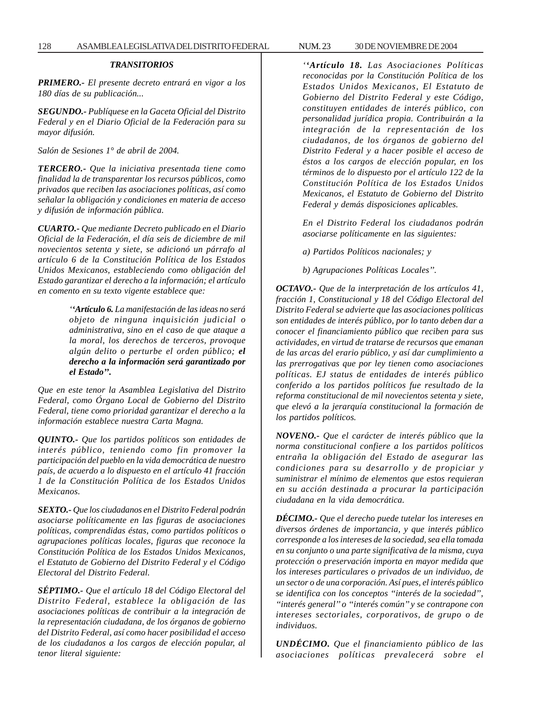# *TRANSITORIOS*

*PRIMERO.- El presente decreto entrará en vigor a los 180 días de su publicación...*

*SEGUNDO.- Publíquese en la Gaceta Oficial del Distrito Federal y en el Diario Oficial de la Federación para su mayor difusión.*

*Salón de Sesiones 1° de abril de 2004.*

*TERCERO.- Que la iniciativa presentada tiene como finalidad la de transparentar los recursos públicos, como privados que reciben las asociaciones políticas, así como señalar la obligación y condiciones en materia de acceso y difusión de información pública.*

*CUARTO.- Que mediante Decreto publicado en el Diario Oficial de la Federación, el día seis de diciembre de mil novecientos setenta y siete, se adicionó un párrafo al artículo 6 de la Constitución Política de los Estados Unidos Mexicanos, estableciendo como obligación del Estado garantizar el derecho a la información; el artículo en comento en su texto vigente establece que:*

> *''Artículo 6. La manifestación de las ideas no será objeto de ninguna inquisición judicial o administrativa, sino en el caso de que ataque a la moral, los derechos de terceros, provoque algún delito o perturbe el orden público; el derecho a la información será garantizado por el Estado''.*

*Que en este tenor la Asamblea Legislativa del Distrito Federal, como Órgano Local de Gobierno del Distrito Federal, tiene como prioridad garantizar el derecho a la información establece nuestra Carta Magna.*

*QUINTO.- Que los partidos políticos son entidades de interés público, teniendo como fin promover la participación del pueblo en la vida democrática de nuestro país, de acuerdo a lo dispuesto en el artículo 41 fracción 1 de la Constitución Política de los Estados Unidos Mexicanos.*

*SEXTO.- Que los ciudadanos en el Distrito Federal podrán asociarse políticamente en las figuras de asociaciones políticas, comprendidas éstas, como partidos políticos o agrupaciones políticas locales, figuras que reconoce la Constitución Política de los Estados Unidos Mexicanos, el Estatuto de Gobierno del Distrito Federal y el Código Electoral del Distrito Federal.*

*SÉPTIMO.- Que el artículo 18 del Código Electoral del Distrito Federal, establece la obligación de las asociaciones políticas de contribuir a la integración de la representación ciudadana, de los órganos de gobierno del Distrito Federal, así como hacer posibilidad el acceso de los ciudadanos a los cargos de elección popular, al tenor literal siguiente:*

*reconocidas por la Constitución Política de los Estados Unidos Mexicanos, El Estatuto de Gobierno del Distrito Federal y este Código, constituyen entidades de interés público, con personalidad jurídica propia. Contribuirán a la integración de la representación de los ciudadanos, de los órganos de gobierno del Distrito Federal y a hacer posible el acceso de éstos a los cargos de elección popular, en los términos de lo dispuesto por el artículo 122 de la Constitución Política de los Estados Unidos Mexicanos, el Estatuto de Gobierno del Distrito Federal y demás disposiciones aplicables.*

*En el Distrito Federal los ciudadanos podrán asociarse políticamente en las siguientes:*

*a) Partidos Políticos nacionales; y*

*b) Agrupaciones Políticas Locales''.*

*OCTAVO.- Que de la interpretación de los artículos 41, fracción 1, Constitucional y 18 del Código Electoral del Distrito Federal se advierte que las asociaciones políticas son entidades de interés público, por lo tanto deben dar a conocer el financiamiento público que reciben para sus actividades, en virtud de tratarse de recursos que emanan de las arcas del erario público, y así dar cumplimiento a las prerrogativas que por ley tienen como asociaciones políticas. EJ status de entidades de interés público conferido a los partidos políticos fue resultado de la reforma constitucional de mil novecientos setenta y siete, que elevó a la jerarquía constitucional la formación de los partidos políticos.*

*NOVENO.- Que el carácter de interés público que la norma constitucional confiere a los partidos políticos entraña la obligación del Estado de asegurar las condiciones para su desarrollo y de propiciar y suministrar el mínimo de elementos que estos requieran en su acción destinada a procurar la participación ciudadana en la vida democrática.*

*DÉCIMO.- Que el derecho puede tutelar los intereses en diversos órdenes de importancia, y que interés público corresponde a los intereses de la sociedad, sea ella tomada en su conjunto o una parte significativa de la misma, cuya protección o preservación importa en mayor medida que los intereses particulares o privados de un individuo, de un sector o de una corporación. Así pues, el interés público se identifica con los conceptos ''interés de la sociedad'', ''interés general'' o ''interés común'' y se contrapone con intereses sectoriales, corporativos, de grupo o de individuos.*

*UNDÉCIMO. Que el financiamiento público de las asociaciones políticas prevalecerá sobre el*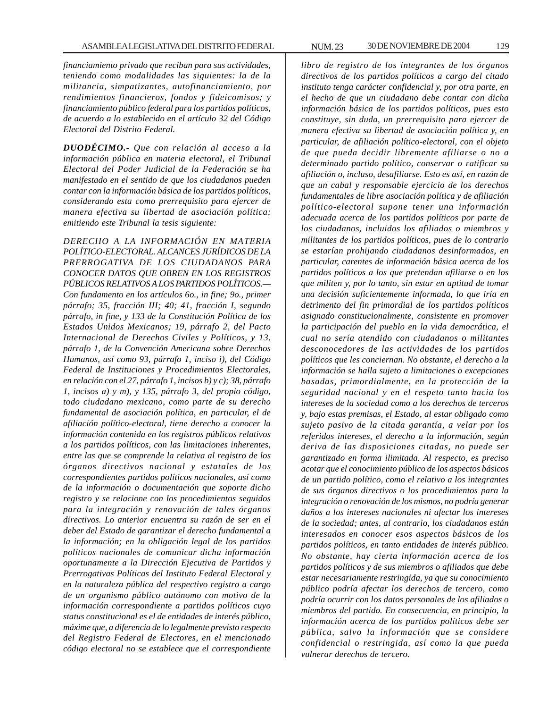*financiamiento privado que reciban para sus actividades, teniendo como modalidades las siguientes: la de la militancia, simpatizantes, autofinanciamiento, por rendimientos financieros, fondos y fideicomisos; y financiamiento público federal para los partidos políticos, de acuerdo a lo establecido en el artículo 32 del Código Electoral del Distrito Federal.*

*DUODÉCIMO.- Que con relación al acceso a la información pública en materia electoral, el Tribunal Electoral del Poder Judicial de la Federación se ha manifestado en el sentido de que los ciudadanos pueden contar con la información básica de los partidos políticos, considerando esta como prerrequisito para ejercer de manera efectiva su libertad de asociación política; emitiendo este Tribunal la tesis siguiente:*

*DERECHO A LA INFORMACIÓN EN MATERIA POLÍTICO-ELECTORAL. ALCANCES JURÍDICOS DE LA PRERROGATIVA DE LOS CIUDADANOS PARA CONOCER DATOS QUE OBREN EN LOS REGISTROS PÚBLICOS RELATIVOS A LOS PARTIDOS POLÍTICOS.— Con fundamento en los artículos 6o., in fine; 9o., primer párrafo; 35, fracción III; 40; 41, fracción I, segundo párrafo, in fine, y 133 de la Constitución Política de los Estados Unidos Mexicanos; 19, párrafo 2, del Pacto Internacional de Derechos Civiles y Políticos, y 13, párrafo 1, de la Convención Americana sobre Derechos Humanos, así como 93, párrafo 1, inciso i), del Código Federal de Instituciones y Procedimientos Electorales, en relación con el 27, párrafo 1, incisos b) y c); 38, párrafo 1, incisos a) y m), y 135, párrafo 3, del propio código, todo ciudadano mexicano, como parte de su derecho fundamental de asociación política, en particular, el de afiliación político-electoral, tiene derecho a conocer la información contenida en los registros públicos relativos a los partidos políticos, con las limitaciones inherentes, entre las que se comprende la relativa al registro de los órganos directivos nacional y estatales de los correspondientes partidos políticos nacionales, así como de la información o documentación que soporte dicho registro y se relacione con los procedimientos seguidos para la integración y renovación de tales órganos directivos. Lo anterior encuentra su razón de ser en el deber del Estado de garantizar el derecho fundamental a la información; en la obligación legal de los partidos políticos nacionales de comunicar dicha información oportunamente a la Dirección Ejecutiva de Partidos y Prerrogativas Políticas del Instituto Federal Electoral y en la naturaleza pública del respectivo registro a cargo de un organismo público autónomo con motivo de la información correspondiente a partidos políticos cuyo status constitucional es el de entidades de interés público, máxime que, a diferencia de lo legalmente previsto respecto del Registro Federal de Electores, en el mencionado código electoral no se establece que el correspondiente*

*libro de registro de los integrantes de los órganos directivos de los partidos políticos a cargo del citado instituto tenga carácter confidencial y, por otra parte, en el hecho de que un ciudadano debe contar con dicha información básica de los partidos políticos, pues esto constituye, sin duda, un prerrequisito para ejercer de manera efectiva su libertad de asociación política y, en particular, de afiliación político-electoral, con el objeto de que pueda decidir libremente afiliarse o no a determinado partido político, conservar o ratificar su afiliación o, incluso, desafiliarse. Esto es así, en razón de que un cabal y responsable ejercicio de los derechos fundamentales de libre asociación política y de afiliación político-electoral supone tener una información adecuada acerca de los partidos políticos por parte de los ciudadanos, incluidos los afiliados o miembros y militantes de los partidos políticos, pues de lo contrario se estarían prohijando ciudadanos desinformados, en particular, carentes de información básica acerca de los partidos políticos a los que pretendan afiliarse o en los que militen y, por lo tanto, sin estar en aptitud de tomar una decisión suficientemente informada, lo que iría en detrimento del fin primordial de los partidos políticos asignado constitucionalmente, consistente en promover la participación del pueblo en la vida democrática, el cual no sería atendido con ciudadanos o militantes desconocedores de las actividades de los partidos políticos que les conciernan. No obstante, el derecho a la información se halla sujeto a limitaciones o excepciones basadas, primordialmente, en la protección de la seguridad nacional y en el respeto tanto hacia los intereses de la sociedad como a los derechos de terceros y, bajo estas premisas, el Estado, al estar obligado como sujeto pasivo de la citada garantía, a velar por los referidos intereses, el derecho a la información, según deriva de las disposiciones citadas, no puede ser garantizado en forma ilimitada. Al respecto, es preciso acotar que el conocimiento público de los aspectos básicos de un partido político, como el relativo a los integrantes de sus órganos directivos o los procedimientos para la integración o renovación de los mismos, no podría generar daños a los intereses nacionales ni afectar los intereses de la sociedad; antes, al contrario, los ciudadanos están interesados en conocer esos aspectos básicos de los partidos políticos, en tanto entidades de interés público. No obstante, hay cierta información acerca de los partidos políticos y de sus miembros o afiliados que debe estar necesariamente restringida, ya que su conocimiento público podría afectar los derechos de tercero, como podría ocurrir con los datos personales de los afiliados o miembros del partido. En consecuencia, en principio, la información acerca de los partidos políticos debe ser pública, salvo la información que se considere confidencial o restringida, así como la que pueda vulnerar derechos de tercero.*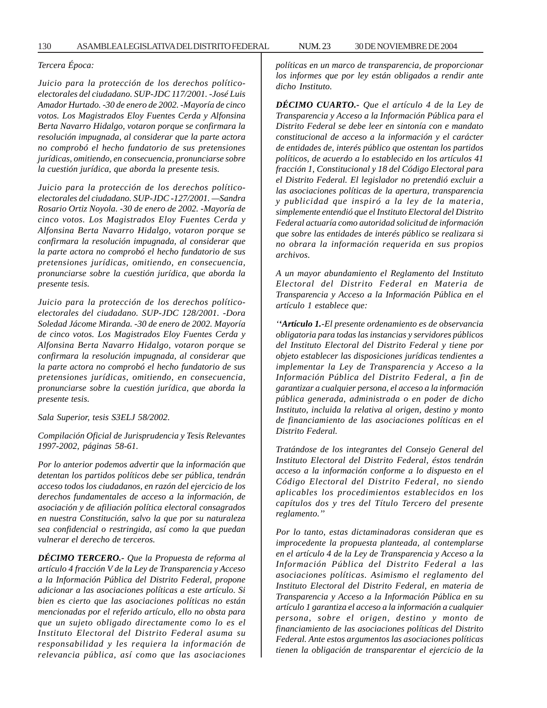### *Tercera Época:*

*Juicio para la protección de los derechos políticoelectorales del ciudadano. SUP-JDC 117/2001. -José Luis Amador Hurtado. -30 de enero de 2002. -Mayoría de cinco votos. Los Magistrados Eloy Fuentes Cerda y Alfonsina Berta Navarro Hidalgo, votaron porque se confirmara la resolución impugnada, al considerar que la parte actora no comprobó el hecho fundatorio de sus pretensiones jurídicas, omitiendo, en consecuencia, pronunciarse sobre la cuestión jurídica, que aborda la presente tesis.*

*Juicio para la protección de los derechos políticoelectorales del ciudadano. SUP-JDC -127/2001. —Sandra Rosario Ortiz Noyola. -30 de enero de 2002. -Mayoría de cinco votos. Los Magistrados Eloy Fuentes Cerda y Alfonsina Berta Navarro Hidalgo, votaron porque se confirmara la resolución impugnada, al considerar que la parte actora no comprobó el hecho fundatorio de sus pretensiones jurídicas, omitiendo, en consecuencia, pronunciarse sobre la cuestión jurídica, que aborda la presente tesis.*

*Juicio para la protección de los derechos políticoelectorales del ciudadano. SUP-JDC 128/2001. -Dora Soledad Jácome Miranda. -30 de enero de 2002. Mayoría de cinco votos. Los Magistrados Eloy Fuentes Cerda y Alfonsina Berta Navarro Hidalgo, votaron porque se confirmara la resolución impugnada, al considerar que la parte actora no comprobó el hecho fundatorio de sus pretensiones jurídicas, omitiendo, en consecuencia, pronunciarse sobre la cuestión jurídica, que aborda la presente tesis.*

*Sala Superior, tesis S3ELJ 58/2002.*

*Compilación Oficial de Jurisprudencia y Tesis Relevantes 1997-2002, páginas 58-61.*

*Por lo anterior podemos advertir que la información que detentan los partidos políticos debe ser pública, tendrán acceso todos los ciudadanos, en razón del ejercicio de los derechos fundamentales de acceso a la información, de asociación y de afiliación política electoral consagrados en nuestra Constitución, salvo la que por su naturaleza sea confidencial o restringida, así como la que puedan vulnerar el derecho de terceros.*

*DÉCIMO TERCERO.- Que la Propuesta de reforma al artículo 4 fracción V de la Ley de Transparencia y Acceso a la Información Pública del Distrito Federal, propone adicionar a las asociaciones políticas a este artículo. Si bien es cierto que las asociaciones políticas no están mencionadas por el referido artículo, ello no obsta para que un sujeto obligado directamente como lo es el Instituto Electoral del Distrito Federal asuma su responsabilidad y les requiera la información de relevancia pública, así como que las asociaciones*

*políticas en un marco de transparencia, de proporcionar los informes que por ley están obligados a rendir ante dicho Instituto.*

*DÉCIMO CUARTO.- Que el artículo 4 de la Ley de Transparencia y Acceso a la Información Pública para el Distrito Federal se debe leer en sintonía con e mandato constitucional de acceso a la información y el carácter de entidades de, interés público que ostentan los partidos políticos, de acuerdo a lo establecido en los artículos 41 fracción 1, Constitucional y 18 del Código Electoral para el Distrito Federal. El legislador no pretendió excluir a las asociaciones políticas de la apertura, transparencia y publicidad que inspiró a la ley de la materia, simplemente entendió que el Instituto Electoral del Distrito Federal actuaría como autoridad solicitud de información que sobre las entidades de interés público se realizara si no obrara la información requerida en sus propios archivos.*

*A un mayor abundamiento el Reglamento del Instituto Electoral del Distrito Federal en Materia de Transparencia y Acceso a la Información Pública en el artículo 1 establece que:*

*''Artículo 1.-El presente ordenamiento es de observancia obligatoria para todas las instancias y servidores públicos del Instituto Electoral del Distrito Federal y tiene por objeto establecer las disposiciones jurídicas tendientes a implementar la Ley de Transparencia y Acceso a la Información Pública del Distrito Federal, a fin de garantizar a cualquier persona, el acceso a la información pública generada, administrada o en poder de dicho Instituto, incluida la relativa al origen, destino y monto de financiamiento de las asociaciones políticas en el Distrito Federal.*

*Tratándose de los integrantes del Consejo General del Instituto Electoral del Distrito Federal, éstos tendrán acceso a la información conforme a lo dispuesto en el Código Electoral del Distrito Federal, no siendo aplicables los procedimientos establecidos en los capítulos dos y tres del Título Tercero del presente reglamento.''*

*Por lo tanto, estas dictaminadoras consideran que es improcedente la propuesta planteada, al contemplarse en el artículo 4 de la Ley de Transparencia y Acceso a la Información Pública del Distrito Federal a las asociaciones políticas. Asimismo el reglamento del Instituto Electoral del Distrito Federal, en materia de Transparencia y Acceso a la Información Pública en su artículo 1 garantiza el acceso a la información a cualquier persona, sobre el origen, destino y monto de financiamiento de las asociaciones políticas del Distrito Federal. Ante estos argumentos las asociaciones políticas tienen la obligación de transparentar el ejercicio de la*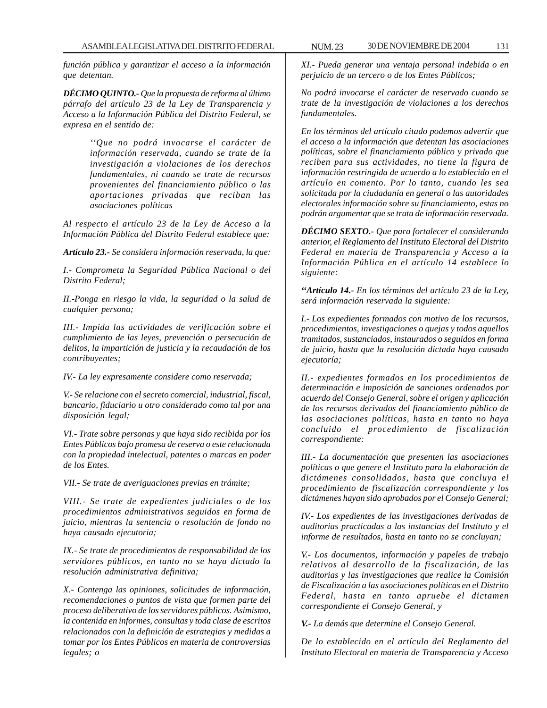*función pública y garantizar el acceso a la información que detentan.*

*DÉCIMO QUINTO.- Que la propuesta de reforma al último párrafo del artículo 23 de la Ley de Transparencia y Acceso a la Información Pública del Distrito Federal, se expresa en el sentido de:*

> *''Que no podrá invocarse el carácter de información reservada, cuando se trate de la investigación a violaciones de los derechos fundamentales, ni cuando se trate de recursos provenientes del financiamiento público o las aportaciones privadas que reciban las asociaciones políticas*

*Al respecto el artículo 23 de la Ley de Acceso a la Información Pública del Distrito Federal establece que:*

*Artículo 23.- Se considera información reservada, la que:*

*I.- Comprometa la Seguridad Pública Nacional o del Distrito Federal;*

*II.-Ponga en riesgo la vida, la seguridad o la salud de cualquier persona;*

*III.- Impida las actividades de verificación sobre el cumplimiento de las leyes, prevención o persecución de delitos, la impartición de justicia y la recaudación de los contribuyentes;*

*IV.- La ley expresamente considere como reservada;*

*V.- Se relacione con el secreto comercial, industrial, fiscal, bancario, fiduciario u otro considerado como tal por una disposición legal;*

*VI.- Trate sobre personas y que haya sido recibida por los Entes Públicos bajo promesa de reserva o este relacionada con la propiedad intelectual, patentes o marcas en poder de los Entes.*

*VII.- Se trate de averiguaciones previas en trámite;*

*VIII.- Se trate de expedientes judiciales o de los procedimientos administrativos seguidos en forma de juicio, mientras la sentencia o resolución de fondo no haya causado ejecutoria;*

*IX.- Se trate de procedimientos de responsabilidad de los servidores públicos, en tanto no se haya dictado la resolución administrativa definitiva;*

*X.- Contenga las opiniones, solicitudes de información, recomendaciones o puntos de vista que formen parte del proceso deliberativo de los servidores públicos. Asimismo, la contenida en informes, consultas y toda clase de escritos relacionados con la definición de estrategias y medidas a tomar por los Entes Públicos en materia de controversias legales; o*

*XI.- Pueda generar una ventaja personal indebida o en perjuicio de un tercero o de los Entes Públicos;*

*No podrá invocarse el carácter de reservado cuando se trate de la investigación de violaciones a los derechos fundamentales.*

*En los términos del artículo citado podemos advertir que el acceso a la información que detentan las asociaciones políticas, sobre el financiamiento público y privado que reciben para sus actividades, no tiene la figura de información restringida de acuerdo a lo establecido en el artículo en comento. Por lo tanto, cuando les sea solicitada por la ciudadanía en general o las autoridades electorales información sobre su financiamiento, estas no podrán argumentar que se trata de información reservada.*

*DÉCIMO SEXTO.- Que para fortalecer el considerando anterior, el Reglamento del Instituto Electoral del Distrito Federal en materia de Transparencia y Acceso a la Información Pública en el artículo 14 establece lo siguiente:*

*''Artículo 14.- En los términos del artículo 23 de la Ley, será información reservada la siguiente:*

*I.- Los expedientes formados con motivo de los recursos, procedimientos, investigaciones o quejas y todos aquellos tramitados, sustanciados, instaurados o seguidos en forma de juicio, hasta que la resolución dictada haya causado ejecutoría;*

*II.- expedientes formados en los procedimientos de determinación e imposición de sanciones ordenados por acuerdo del Consejo General, sobre el origen y aplicación de los recursos derivados del financiamiento público de las asociaciones políticas, hasta en tanto no haya concluido el procedimiento de fiscalización correspondiente:*

*III.- La documentación que presenten las asociaciones políticas o que genere el Instituto para la elaboración de dictámenes consolidados, hasta que concluya el procedimiento de fiscalización correspondiente y los dictámenes hayan sido aprobados por el Consejo General;*

*IV.- Los expedientes de las investigaciones derivadas de auditorias practicadas a las instancias del Instituto y el informe de resultados, hasta en tanto no se concluyan;*

*V.- Los documentos, información y papeles de trabajo relativos al desarrollo de la fiscalización, de las auditorias y las investigaciones que realice la Comisión de Fiscalización a las asociaciones políticas en el Distrito Federal, hasta en tanto apruebe el dictamen correspondiente el Consejo General, y*

*V.- La demás que determine el Consejo General.*

*De lo establecido en el artículo del Reglamento del Instituto Electoral en materia de Transparencia y Acceso*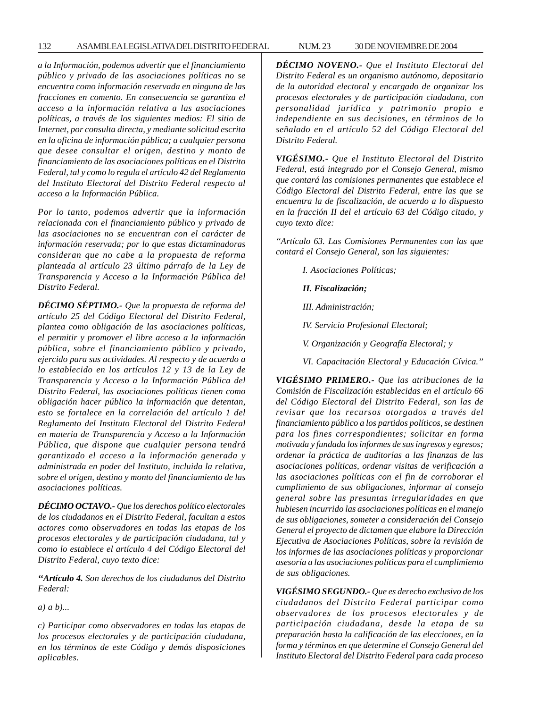*a la Información, podemos advertir que el financiamiento público y privado de las asociaciones políticas no se encuentra como información reservada en ninguna de las fracciones en comento. En consecuencia se garantiza el acceso a la información relativa a las asociaciones políticas, a través de los siguientes medios: El sitio de Internet, por consulta directa, y mediante solicitud escrita en la oficina de información pública; a cualquier persona que desee consultar el origen, destino y monto de financiamiento de las asociaciones políticas en el Distrito Federal, tal y como lo regula el artículo 42 del Reglamento del Instituto Electoral del Distrito Federal respecto al acceso a la Información Pública.*

*Por lo tanto, podemos advertir que la información relacionada con el financiamiento público y privado de las asociaciones no se encuentran con el carácter de información reservada; por lo que estas dictaminadoras consideran que no cabe a la propuesta de reforma planteada al artículo 23 último párrafo de la Ley de Transparencia y Acceso a la Información Pública del Distrito Federal.*

*DÉCIMO SÉPTIMO.- Que la propuesta de reforma del artículo 25 del Código Electoral del Distrito Federal, plantea como obligación de las asociaciones políticas, el permitir y promover el libre acceso a la información pública, sobre el financiamiento público y privado, ejercido para sus actividades. Al respecto y de acuerdo a lo establecido en los artículos 12 y 13 de la Ley de Transparencia y Acceso a la Información Pública del Distrito Federal, las asociaciones políticas tienen como obligación hacer público la información que detentan, esto se fortalece en la correlación del artículo 1 del Reglamento del Instituto Electoral del Distrito Federal en materia de Transparencia y Acceso a la Información Pública, que dispone que cualquier persona tendrá garantizado el acceso a la información generada y administrada en poder del Instituto, incluida la relativa, sobre el origen, destino y monto del financiamiento de las asociaciones políticas.*

*DÉCIMO OCTAVO.- Que los derechos político electorales de los ciudadanos en el Distrito Federal, facultan a estos actores como observadores en todas las etapas de los procesos electorales y de participación ciudadana, tal y como lo establece el artículo 4 del Código Electoral del Distrito Federal, cuyo texto dice:*

*''Artículo 4. Son derechos de los ciudadanos del Distrito Federal:*

*a) a b)...*

*c) Participar como observadores en todas las etapas de los procesos electorales y de participación ciudadana, en los términos de este Código y demás disposiciones aplicables.*

*DÉCIMO NOVENO.- Que el Instituto Electoral del Distrito Federal es un organismo autónomo, depositario de la autoridad electoral y encargado de organizar los procesos electorales y de participación ciudadana, con personalidad jurídica y patrimonio propio e independiente en sus decisiones, en términos de lo señalado en el artículo 52 del Código Electoral del Distrito Federal.*

*VIGÉSIMO.- Que el Instituto Electoral del Distrito Federal, está integrado por el Consejo General, mismo que contará las comisiones permanentes que establece el Código Electoral del Distrito Federal, entre las que se encuentra la de fiscalización, de acuerdo a lo dispuesto en la fracción II del el artículo 63 del Código citado, y cuyo texto dice:*

*''Artículo 63. Las Comisiones Permanentes con las que contará el Consejo General, son las siguientes:*

*I. Asociaciones Políticas;*

*II. Fiscalización;*

*III. Administración;*

*IV. Servicio Profesional Electoral;*

*V. Organización y Geografía Electoral; y*

*VI. Capacitación Electoral y Educación Cívica.''*

*VIGÉSIMO PRIMERO.- Que las atribuciones de la Comisión de Fiscalización establecidas en el artículo 66 del Código Electoral del Distrito Federal, son las de revisar que los recursos otorgados a través del financiamiento público a los partidos políticos, se destinen para los fines correspondientes; solicitar en forma motivada y fundada los informes de sus ingresos y egresos; ordenar la práctica de auditorías a las finanzas de las asociaciones políticas, ordenar visitas de verificación a las asociaciones políticas con el fin de corroborar el cumplimiento de sus obligaciones, informar al consejo general sobre las presuntas irregularidades en que hubiesen incurrido las asociaciones políticas en el manejo de sus obligaciones, someter a consideración del Consejo General el proyecto de dictamen que elabore la Dirección Ejecutiva de Asociaciones Políticas, sobre la revisión de los informes de las asociaciones políticas y proporcionar asesoría a las asociaciones políticas para el cumplimiento de sus obligaciones.*

*VIGÉSIMO SEGUNDO.- Que es derecho exclusivo de los ciudadanos del Distrito Federal participar como observadores de los procesos electorales y de participación ciudadana, desde la etapa de su preparación hasta la calificación de las elecciones, en la forma y términos en que determine el Consejo General del Instituto Electoral del Distrito Federal para cada proceso*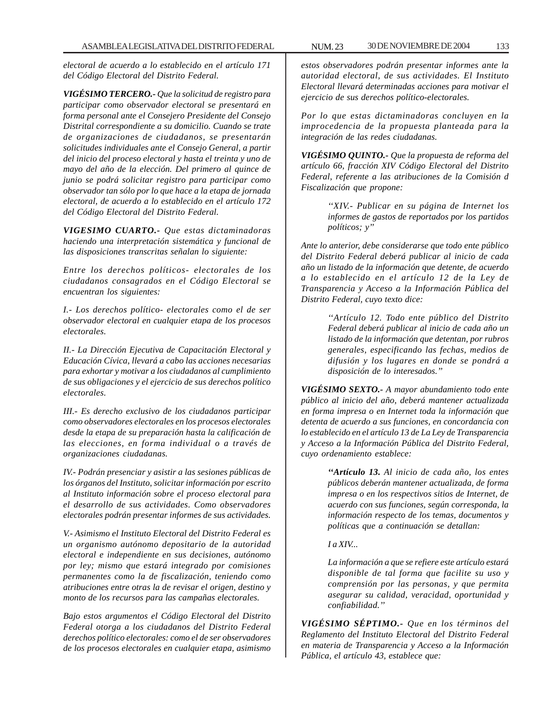*electoral de acuerdo a lo establecido en el artículo 171 del Código Electoral del Distrito Federal.*

*VIGÉSIMO TERCERO.- Que la solicitud de registro para participar como observador electoral se presentará en forma personal ante el Consejero Presidente del Consejo Distrital correspondiente a su domicilio. Cuando se trate de organizaciones de ciudadanos, se presentarán solicitudes individuales ante el Consejo General, a partir del inicio del proceso electoral y hasta el treinta y uno de mayo del año de la elección. Del primero al quince de junio se podrá solicitar registro para participar como observador tan sólo por lo que hace a la etapa de jornada electoral, de acuerdo a lo establecido en el artículo 172 del Código Electoral del Distrito Federal.*

*VIGESIMO CUARTO.- Que estas dictaminadoras haciendo una interpretación sistemática y funcional de las disposiciones transcritas señalan lo siguiente:*

*Entre los derechos políticos- electorales de los ciudadanos consagrados en el Código Electoral se encuentran los siguientes:*

*I.- Los derechos político- electorales como el de ser observador electoral en cualquier etapa de los procesos electorales.*

*II.- La Dirección Ejecutiva de Capacitación Electoral y Educación Cívica, llevará a cabo las acciones necesarias para exhortar y motivar a los ciudadanos al cumplimiento de sus obligaciones y el ejercicio de sus derechos político electorales.*

*III.- Es derecho exclusivo de los ciudadanos participar como observadores electorales en los procesos electorales desde la etapa de su preparación hasta la calificación de las elecciones, en forma individual o a través de organizaciones ciudadanas.*

*IV.- Podrán presenciar y asistir a las sesiones públicas de los órganos del Instituto, solicitar información por escrito al Instituto información sobre el proceso electoral para el desarrollo de sus actividades. Como observadores electorales podrán presentar informes de sus actividades.*

*V.- Asimismo el Instituto Electoral del Distrito Federal es un organismo autónomo depositario de la autoridad electoral e independiente en sus decisiones, autónomo por ley; mismo que estará integrado por comisiones permanentes como la de fiscalización, teniendo como atribuciones entre otras la de revisar el origen, destino y monto de los recursos para las campañas electorales.*

*Bajo estos argumentos el Código Electoral del Distrito Federal otorga a los ciudadanos del Distrito Federal derechos político electorales: como el de ser observadores de los procesos electorales en cualquier etapa, asimismo*

*estos observadores podrán presentar informes ante la autoridad electoral, de sus actividades. El Instituto Electoral llevará determinadas acciones para motivar el ejercicio de sus derechos político-electorales.*

*Por lo que estas dictaminadoras concluyen en la improcedencia de la propuesta planteada para la integración de las redes ciudadanas.*

*VIGÉSIMO QUINTO.- Que la propuesta de reforma del artículo 66, fracción XIV Código Electoral del Distrito Federal, referente a las atribuciones de la Comisión d Fiscalización que propone:*

> *''XIV.- Publicar en su página de Internet los informes de gastos de reportados por los partidos políticos; y''*

*Ante lo anterior, debe considerarse que todo ente público del Distrito Federal deberá publicar al inicio de cada año un listado de la información que detente, de acuerdo a lo establecido en el artículo 12 de la Ley de Transparencia y Acceso a la Información Pública del Distrito Federal, cuyo texto dice:*

> *''Artículo 12. Todo ente público del Distrito Federal deberá publicar al inicio de cada año un listado de la información que detentan, por rubros generales, especificando las fechas, medios de difusión y los lugares en donde se pondrá a disposición de lo interesados.''*

*VIGÉSIMO SEXTO.- A mayor abundamiento todo ente público al inicio del año, deberá mantener actualizada en forma impresa o en Internet toda la información que detenta de acuerdo a sus funciones, en concordancia con lo establecido en el artículo 13 de La Ley de Transparencia y Acceso a la Información Pública del Distrito Federal, cuyo ordenamiento establece:*

> *''Artículo 13. Al inicio de cada año, los entes públicos deberán mantener actualizada, de forma impresa o en los respectivos sitios de Internet, de acuerdo con sus funciones, según corresponda, la información respecto de los temas, documentos y políticas que a continuación se detallan:*

*I a XIV...*

*La información a que se refiere este artículo estará disponible de tal forma que facilite su uso y comprensión por las personas, y que permita asegurar su calidad, veracidad, oportunidad y confiabilidad.''*

*VIGÉSIMO SÉPTIMO.- Que en los términos del Reglamento del Instituto Electoral del Distrito Federal en materia de Transparencia y Acceso a la Información Pública, el artículo 43, establece que:*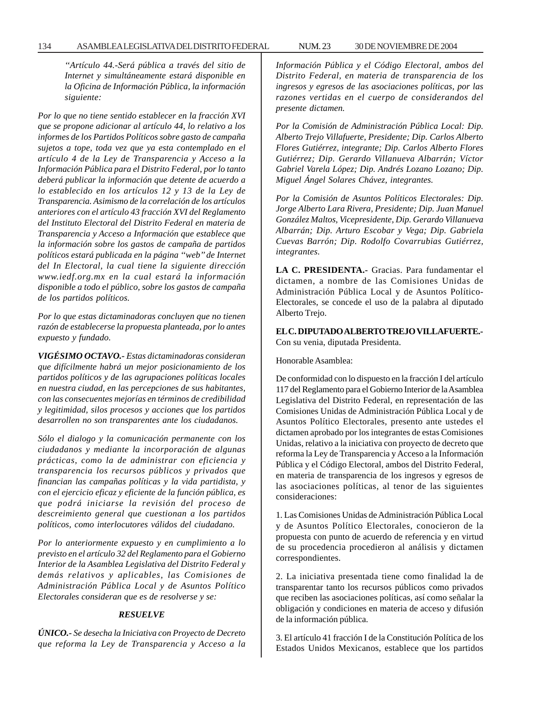*''Artículo 44.-Será pública a través del sitio de Internet y simultáneamente estará disponible en la Oficina de Información Pública, la información siguiente:*

*Por lo que no tiene sentido establecer en la fracción XVI que se propone adicionar al artículo 44, lo relativo a los informes de los Partidos Políticos sobre gasto de campaña sujetos a tope, toda vez que ya esta contemplado en el artículo 4 de la Ley de Transparencia y Acceso a la Información Pública para el Distrito Federal, por lo tanto deberá publicar la información que detente de acuerdo a lo establecido en los artículos 12 y 13 de la Ley de Transparencia. Asimismo de la correlación de los artículos anteriores con el artículo 43 fracción XVI del Reglamento del Instituto Electoral del Distrito Federal en materia de Transparencia y Acceso a Información que establece que la información sobre los gastos de campaña de partidos políticos estará publicada en la página ''web'' de Internet del In Electoral, la cual tiene la siguiente dirección www.iedf.org.mx en la cual estará la información disponible a todo el público, sobre los gastos de campaña de los partidos políticos.*

*Por lo que estas dictaminadoras concluyen que no tienen razón de establecerse la propuesta planteada, por lo antes expuesto y fundado.*

*VIGÉSIMO OCTAVO.- Estas dictaminadoras consideran que difícilmente habrá un mejor posicionamiento de los partidos políticos y de las agrupaciones políticas locales en nuestra ciudad, en las percepciones de sus habitantes, con las consecuentes mejorías en términos de credibilidad y legitimidad, silos procesos y acciones que los partidos desarrollen no son transparentes ante los ciudadanos.*

*Sólo el dialogo y la comunicación permanente con los ciudadanos y mediante la incorporación de algunas prácticas, como la de administrar con eficiencia y transparencia los recursos públicos y privados que financian las campañas políticas y la vida partidista, y con el ejercicio eficaz y eficiente de la función pública, es que podrá iniciarse la revisión del proceso de descreimiento general que cuestionan a los partidos políticos, como interlocutores válidos del ciudadano.*

*Por lo anteriormente expuesto y en cumplimiento a lo previsto en el artículo 32 del Reglamento para el Gobierno Interior de la Asamblea Legislativa del Distrito Federal y demás relativos y aplicables, las Comisiones de Administración Pública Local y de Asuntos Político Electorales consideran que es de resolverse y se:*

# *RESUELVE*

*ÚNICO.- Se desecha la Iniciativa con Proyecto de Decreto que reforma la Ley de Transparencia y Acceso a la* *Información Pública y el Código Electoral, ambos del Distrito Federal, en materia de transparencia de los ingresos y egresos de las asociaciones políticas, por las razones vertidas en el cuerpo de considerandos del presente dictamen.*

*Por la Comisión de Administración Pública Local: Dip. Alberto Trejo Villafuerte, Presidente; Dip. Carlos Alberto Flores Gutiérrez, integrante; Dip. Carlos Alberto Flores Gutiérrez; Dip. Gerardo Villanueva Albarrán; Víctor Gabriel Varela López; Dip. Andrés Lozano Lozano; Dip. Miguel Ángel Solares Chávez, integrantes.*

*Por la Comisión de Asuntos Políticos Electorales: Dip. Jorge Alberto Lara Rivera, Presidente; Dip. Juan Manuel González Maltos, Vicepresidente, Dip. Gerardo Villanueva Albarrán; Dip. Arturo Escobar y Vega; Dip. Gabriela Cuevas Barrón; Dip. Rodolfo Covarrubias Gutiérrez, integrantes.*

**LA C. PRESIDENTA.-** Gracias. Para fundamentar el dictamen, a nombre de las Comisiones Unidas de Administración Pública Local y de Asuntos Político-Electorales, se concede el uso de la palabra al diputado Alberto Trejo.

**EL C. DIPUTADO ALBERTO TREJO VILLAFUERTE.-** Con su venia, diputada Presidenta.

Honorable Asamblea:

De conformidad con lo dispuesto en la fracción I del artículo 117 del Reglamento para el Gobierno Interior de la Asamblea Legislativa del Distrito Federal, en representación de las Comisiones Unidas de Administración Pública Local y de Asuntos Político Electorales, presento ante ustedes el dictamen aprobado por los integrantes de estas Comisiones Unidas, relativo a la iniciativa con proyecto de decreto que reforma la Ley de Transparencia y Acceso a la Información Pública y el Código Electoral, ambos del Distrito Federal, en materia de transparencia de los ingresos y egresos de las asociaciones políticas, al tenor de las siguientes consideraciones:

1. Las Comisiones Unidas de Administración Pública Local y de Asuntos Político Electorales, conocieron de la propuesta con punto de acuerdo de referencia y en virtud de su procedencia procedieron al análisis y dictamen correspondientes.

2. La iniciativa presentada tiene como finalidad la de transparentar tanto los recursos públicos como privados que reciben las asociaciones políticas, así como señalar la obligación y condiciones en materia de acceso y difusión de la información pública.

3. El artículo 41 fracción I de la Constitución Política de los Estados Unidos Mexicanos, establece que los partidos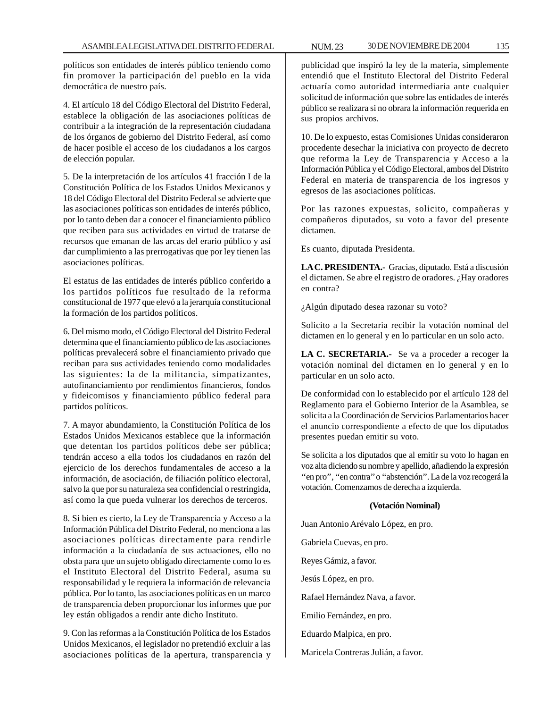políticos son entidades de interés público teniendo como fin promover la participación del pueblo en la vida democrática de nuestro país.

4. El artículo 18 del Código Electoral del Distrito Federal, establece la obligación de las asociaciones políticas de contribuir a la integración de la representación ciudadana de los órganos de gobierno del Distrito Federal, así como de hacer posible el acceso de los ciudadanos a los cargos de elección popular.

5. De la interpretación de los artículos 41 fracción I de la Constitución Política de los Estados Unidos Mexicanos y 18 del Código Electoral del Distrito Federal se advierte que las asociaciones políticas son entidades de interés público, por lo tanto deben dar a conocer el financiamiento público que reciben para sus actividades en virtud de tratarse de recursos que emanan de las arcas del erario público y así dar cumplimiento a las prerrogativas que por ley tienen las asociaciones políticas.

El estatus de las entidades de interés público conferido a los partidos políticos fue resultado de la reforma constitucional de 1977 que elevó a la jerarquía constitucional la formación de los partidos políticos.

6. Del mismo modo, el Código Electoral del Distrito Federal determina que el financiamiento público de las asociaciones políticas prevalecerá sobre el financiamiento privado que reciban para sus actividades teniendo como modalidades las siguientes: la de la militancia, simpatizantes, autofinanciamiento por rendimientos financieros, fondos y fideicomisos y financiamiento público federal para partidos políticos.

7. A mayor abundamiento, la Constitución Política de los Estados Unidos Mexicanos establece que la información que detentan los partidos políticos debe ser pública; tendrán acceso a ella todos los ciudadanos en razón del ejercicio de los derechos fundamentales de acceso a la información, de asociación, de filiación político electoral, salvo la que por su naturaleza sea confidencial o restringida, así como la que pueda vulnerar los derechos de terceros.

8. Si bien es cierto, la Ley de Transparencia y Acceso a la Información Pública del Distrito Federal, no menciona a las asociaciones políticas directamente para rendirle información a la ciudadanía de sus actuaciones, ello no obsta para que un sujeto obligado directamente como lo es el Instituto Electoral del Distrito Federal, asuma su responsabilidad y le requiera la información de relevancia pública. Por lo tanto, las asociaciones políticas en un marco de transparencia deben proporcionar los informes que por ley están obligados a rendir ante dicho Instituto.

9. Con las reformas a la Constitución Política de los Estados Unidos Mexicanos, el legislador no pretendió excluir a las asociaciones políticas de la apertura, transparencia y publicidad que inspiró la ley de la materia, simplemente entendió que el Instituto Electoral del Distrito Federal actuaría como autoridad intermediaria ante cualquier solicitud de información que sobre las entidades de interés público se realizara si no obrara la información requerida en sus propios archivos.

10. De lo expuesto, estas Comisiones Unidas consideraron procedente desechar la iniciativa con proyecto de decreto que reforma la Ley de Transparencia y Acceso a la Información Pública y el Código Electoral, ambos del Distrito Federal en materia de transparencia de los ingresos y egresos de las asociaciones políticas.

Por las razones expuestas, solicito, compañeras y compañeros diputados, su voto a favor del presente dictamen.

Es cuanto, diputada Presidenta.

**LA C. PRESIDENTA.-** Gracias, diputado. Está a discusión el dictamen. Se abre el registro de oradores. ¿Hay oradores en contra?

¿Algún diputado desea razonar su voto?

Solicito a la Secretaria recibir la votación nominal del dictamen en lo general y en lo particular en un solo acto.

**LA C. SECRETARIA.-** Se va a proceder a recoger la votación nominal del dictamen en lo general y en lo particular en un solo acto.

De conformidad con lo establecido por el artículo 128 del Reglamento para el Gobierno Interior de la Asamblea, se solicita a la Coordinación de Servicios Parlamentarios hacer el anuncio correspondiente a efecto de que los diputados presentes puedan emitir su voto.

Se solicita a los diputados que al emitir su voto lo hagan en voz alta diciendo su nombre y apellido, añadiendo la expresión ''en pro'', ''en contra'' o ''abstención''. La de la voz recogerá la votación. Comenzamos de derecha a izquierda.

# **(Votación Nominal)**

Juan Antonio Arévalo López, en pro.

Gabriela Cuevas, en pro.

Reyes Gámiz, a favor.

Jesús López, en pro.

Rafael Hernández Nava, a favor.

Emilio Fernández, en pro.

Eduardo Malpica, en pro.

Maricela Contreras Julián, a favor.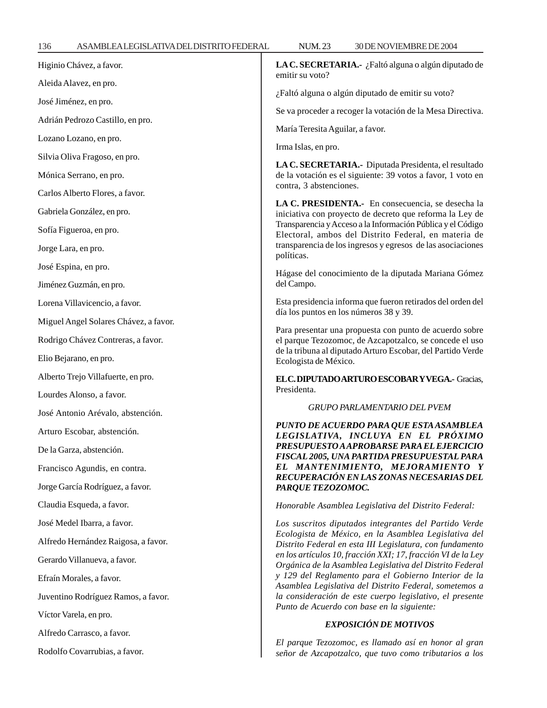| 136<br>ASAMBLEALEGISLATIVADELDISTRITOFEDERAL | 30 DE NOVIEMBRE DE 2004<br><b>NUM.23</b>                                                                                                                                                                                                                                                                                                                                                                                                                                                                                          |
|----------------------------------------------|-----------------------------------------------------------------------------------------------------------------------------------------------------------------------------------------------------------------------------------------------------------------------------------------------------------------------------------------------------------------------------------------------------------------------------------------------------------------------------------------------------------------------------------|
| Higinio Chávez, a favor.                     | LA C. SECRETARIA.- ¿Faltó alguna o algún diputado de<br>emitir su voto?                                                                                                                                                                                                                                                                                                                                                                                                                                                           |
| Aleida Alavez, en pro.                       | ¿Faltó alguna o algún diputado de emitir su voto?                                                                                                                                                                                                                                                                                                                                                                                                                                                                                 |
| José Jiménez, en pro.                        | Se va proceder a recoger la votación de la Mesa Directiva.                                                                                                                                                                                                                                                                                                                                                                                                                                                                        |
| Adrián Pedrozo Castillo, en pro.             |                                                                                                                                                                                                                                                                                                                                                                                                                                                                                                                                   |
| Lozano Lozano, en pro.                       | María Teresita Aguilar, a favor.<br>Irma Islas, en pro.                                                                                                                                                                                                                                                                                                                                                                                                                                                                           |
| Silvia Oliva Fragoso, en pro.                |                                                                                                                                                                                                                                                                                                                                                                                                                                                                                                                                   |
| Mónica Serrano, en pro.                      | LA C. SECRETARIA.- Diputada Presidenta, el resultado<br>de la votación es el siguiente: 39 votos a favor, 1 voto en<br>contra, 3 abstenciones.<br>LA C. PRESIDENTA.- En consecuencia, se desecha la<br>iniciativa con proyecto de decreto que reforma la Ley de<br>Transparencia y Acceso a la Información Pública y el Código<br>Electoral, ambos del Distrito Federal, en materia de<br>transparencia de los ingresos y egresos de las asociaciones<br>políticas.                                                               |
| Carlos Alberto Flores, a favor.              |                                                                                                                                                                                                                                                                                                                                                                                                                                                                                                                                   |
| Gabriela González, en pro.                   |                                                                                                                                                                                                                                                                                                                                                                                                                                                                                                                                   |
| Sofía Figueroa, en pro.                      |                                                                                                                                                                                                                                                                                                                                                                                                                                                                                                                                   |
| Jorge Lara, en pro.                          |                                                                                                                                                                                                                                                                                                                                                                                                                                                                                                                                   |
| José Espina, en pro.                         | Hágase del conocimiento de la diputada Mariana Gómez<br>del Campo.                                                                                                                                                                                                                                                                                                                                                                                                                                                                |
| Jiménez Guzmán, en pro.                      |                                                                                                                                                                                                                                                                                                                                                                                                                                                                                                                                   |
| Lorena Villavicencio, a favor.               | Esta presidencia informa que fueron retirados del orden del<br>día los puntos en los números 38 y 39.<br>Para presentar una propuesta con punto de acuerdo sobre<br>el parque Tezozomoc, de Azcapotzalco, se concede el uso<br>de la tribuna al diputado Arturo Escobar, del Partido Verde<br>Ecologista de México.                                                                                                                                                                                                               |
| Miguel Angel Solares Chávez, a favor.        |                                                                                                                                                                                                                                                                                                                                                                                                                                                                                                                                   |
| Rodrigo Chávez Contreras, a favor.           |                                                                                                                                                                                                                                                                                                                                                                                                                                                                                                                                   |
| Elio Bejarano, en pro.                       |                                                                                                                                                                                                                                                                                                                                                                                                                                                                                                                                   |
| Alberto Trejo Villafuerte, en pro.           | ELC.DIPUTADOARTUROESCOBARYVEGA.- Gracias,                                                                                                                                                                                                                                                                                                                                                                                                                                                                                         |
| Lourdes Alonso, a favor.                     | Presidenta.                                                                                                                                                                                                                                                                                                                                                                                                                                                                                                                       |
| José Antonio Arévalo, abstención.            | <b>GRUPO PARLAMENTARIO DEL PVEM</b>                                                                                                                                                                                                                                                                                                                                                                                                                                                                                               |
| Arturo Escobar, abstención.                  | PUNTO DE ACUERDO PARA QUE ESTA ASAMBLEA<br>LEGISLATIVA, INCLUYA EN EL PRÓXIMO<br>PRESUPUESTO A APROBARSE PARA EL EJERCICIO<br>FISCAL 2005, UNA PARTIDA PRESUPUESTAL PARA<br>EL MANTENIMIENTO, MEJORAMIENTO Y<br>RECUPERACIÓN EN LAS ZONAS NECESARIAS DEL<br>PARQUE TEZOZOMOC.                                                                                                                                                                                                                                                     |
| De la Garza, abstención.                     |                                                                                                                                                                                                                                                                                                                                                                                                                                                                                                                                   |
| Francisco Agundis, en contra.                |                                                                                                                                                                                                                                                                                                                                                                                                                                                                                                                                   |
| Jorge García Rodríguez, a favor.             |                                                                                                                                                                                                                                                                                                                                                                                                                                                                                                                                   |
| Claudia Esqueda, a favor.                    | Honorable Asamblea Legislativa del Distrito Federal:                                                                                                                                                                                                                                                                                                                                                                                                                                                                              |
| José Medel Ibarra, a favor.                  | Los suscritos diputados integrantes del Partido Verde<br>Ecologista de México, en la Asamblea Legislativa del<br>Distrito Federal en esta III Legislatura, con fundamento<br>en los artículos 10, fracción XXI; 17, fracción VI de la Ley<br>Orgánica de la Asamblea Legislativa del Distrito Federal<br>y 129 del Reglamento para el Gobierno Interior de la<br>Asamblea Legislativa del Distrito Federal, sometemos a<br>la consideración de este cuerpo legislativo, el presente<br>Punto de Acuerdo con base en la siguiente: |
| Alfredo Hernández Raigosa, a favor.          |                                                                                                                                                                                                                                                                                                                                                                                                                                                                                                                                   |
| Gerardo Villanueva, a favor.                 |                                                                                                                                                                                                                                                                                                                                                                                                                                                                                                                                   |
| Efraín Morales, a favor.                     |                                                                                                                                                                                                                                                                                                                                                                                                                                                                                                                                   |
| Juventino Rodríguez Ramos, a favor.          |                                                                                                                                                                                                                                                                                                                                                                                                                                                                                                                                   |
| Víctor Varela, en pro.                       |                                                                                                                                                                                                                                                                                                                                                                                                                                                                                                                                   |
| Alfredo Carrasco, a favor.                   | EXPOSICIÓN DE MOTIVOS                                                                                                                                                                                                                                                                                                                                                                                                                                                                                                             |
| Rodolfo Covarrubias, a favor.                | El parque Tezozomoc, es llamado así en honor al gran<br>señor de Azcapotzalco, que tuvo como tributarios a los                                                                                                                                                                                                                                                                                                                                                                                                                    |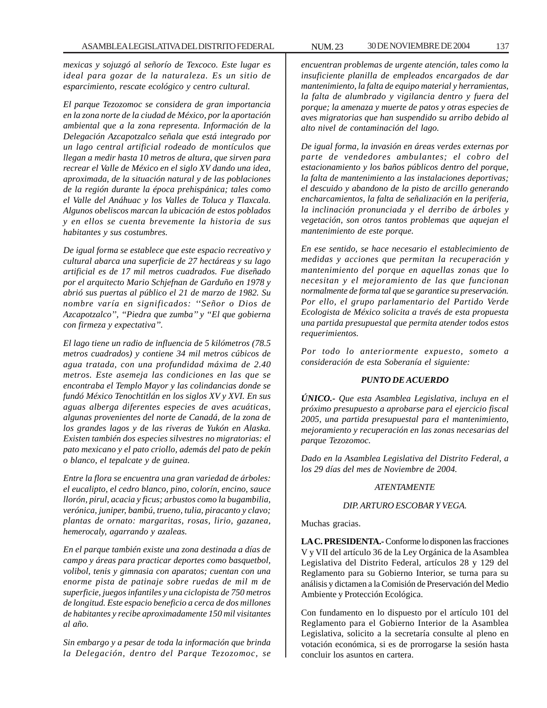*mexicas y sojuzgó al señorío de Texcoco. Este lugar es ideal para gozar de la naturaleza. Es un sitio de esparcimiento, rescate ecológico y centro cultural.*

*El parque Tezozomoc se considera de gran importancia en la zona norte de la ciudad de México, por la aportación ambiental que a la zona representa. Información de la Delegación Azcapotzalco señala que está integrado por un lago central artificial rodeado de montículos que llegan a medir hasta 10 metros de altura, que sirven para recrear el Valle de México en el siglo XV dando una idea, aproximada, de la situación natural y de las poblaciones de la región durante la época prehispánica; tales como el Valle del Anáhuac y los Valles de Toluca y Tlaxcala. Algunos obeliscos marcan la ubicación de estos poblados y en ellos se cuenta brevemente la historia de sus habitantes y sus costumbres.*

*De igual forma se establece que este espacio recreativo y cultural abarca una superficie de 27 hectáreas y su lago artificial es de 17 mil metros cuadrados. Fue diseñado por el arquitecto Mario Schjefnan de Garduño en 1978 y abrió sus puertas al público el 21 de marzo de 1982. Su nombre varía en significados: ''Señor o Dios de Azcapotzalco'', ''Piedra que zumba'' y ''El que gobierna con firmeza y expectativa''.*

*El lago tiene un radio de influencia de 5 kilómetros (78.5 metros cuadrados) y contiene 34 mil metros cúbicos de agua tratada, con una profundidad máxima de 2.40 metros. Este asemeja las condiciones en las que se encontraba el Templo Mayor y las colindancias donde se fundó México Tenochtitlán en los siglos XV y XVI. En sus aguas alberga diferentes especies de aves acuáticas, algunas provenientes del norte de Canadá, de la zona de los grandes lagos y de las riveras de Yukón en Alaska. Existen también dos especies silvestres no migratorias: el pato mexicano y el pato criollo, además del pato de pekín o blanco, el tepalcate y de guinea.*

*Entre la flora se encuentra una gran variedad de árboles: el eucalipto, el cedro blanco, pino, colorín, encino, sauce llorón, pirul, acacia y ficus; arbustos como la bugambilia, verónica, juniper, bambú, trueno, tulia, piracanto y clavo; plantas de ornato: margaritas, rosas, lirio, gazanea, hemerocaly, agarrando y azaleas.*

*En el parque también existe una zona destinada a días de campo y áreas para practicar deportes como basquetbol, volibol, tenis y gimnasia con aparatos; cuentan con una enorme pista de patinaje sobre ruedas de mil m de superficie, juegos infantiles y una ciclopista de 750 metros de longitud. Este espacio beneficio a cerca de dos millones de habitantes y recibe aproximadamente 150 mil visitantes al año.*

*Sin embargo y a pesar de toda la información que brinda la Delegación, dentro del Parque Tezozomoc, se*

*encuentran problemas de urgente atención, tales como la insuficiente planilla de empleados encargados de dar mantenimiento, la falta de equipo material y herramientas, la falta de alumbrado y vigilancia dentro y fuera del porque; la amenaza y muerte de patos y otras especies de aves migratorias que han suspendido su arribo debido al alto nivel de contaminación del lago.*

*De igual forma, la invasión en áreas verdes externas por parte de vendedores ambulantes; el cobro del estacionamiento y los baños públicos dentro del porque, la falta de mantenimiento a las instalaciones deportivas; el descuido y abandono de la pisto de arcillo generando encharcamientos, la falta de señalización en la periferia, la inclinación pronunciada y el derribo de árboles y vegetación, son otros tantos problemas que aquejan el mantenimiento de este porque.*

*En ese sentido, se hace necesario el establecimiento de medidas y acciones que permitan la recuperación y mantenimiento del porque en aquellas zonas que lo necesitan y el mejoramiento de las que funcionan normalmente de forma tal que se garantice su preservación. Por ello, el grupo parlamentario del Partido Verde Ecologista de México solicita a través de esta propuesta una partida presupuestal que permita atender todos estos requerimientos.*

*Por todo lo anteriormente expuesto, someto a consideración de esta Soberanía el siguiente:*

#### *PUNTO DE ACUERDO*

*ÚNICO.- Que esta Asamblea Legislativa, incluya en el próximo presupuesto a aprobarse para el ejercicio fiscal 2005, una partida presupuestal para el mantenimiento, mejoramiento y recuperación en las zonas necesarias del parque Tezozomoc.*

*Dado en la Asamblea Legislativa del Distrito Federal, a los 29 días del mes de Noviembre de 2004.*

#### *ATENTAMENTE*

#### *DIP. ARTURO ESCOBAR Y VEGA.*

Muchas gracias.

**LA C. PRESIDENTA.-** Conforme lo disponen las fracciones V y VII del artículo 36 de la Ley Orgánica de la Asamblea Legislativa del Distrito Federal, artículos 28 y 129 del Reglamento para su Gobierno Interior, se turna para su análisis y dictamen a la Comisión de Preservación del Medio Ambiente y Protección Ecológica.

Con fundamento en lo dispuesto por el artículo 101 del Reglamento para el Gobierno Interior de la Asamblea Legislativa, solicito a la secretaría consulte al pleno en votación económica, si es de prorrogarse la sesión hasta concluir los asuntos en cartera.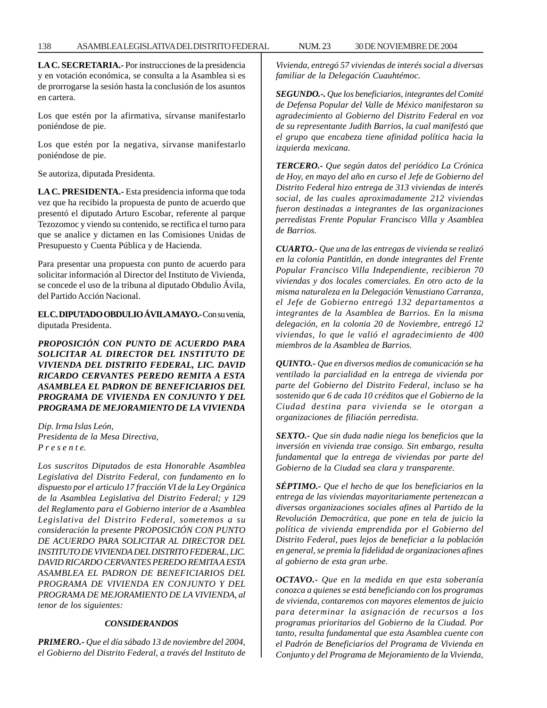**LA C. SECRETARIA.-** Por instrucciones de la presidencia y en votación económica, se consulta a la Asamblea si es de prorrogarse la sesión hasta la conclusión de los asuntos en cartera.

Los que estén por la afirmativa, sírvanse manifestarlo poniéndose de pie.

Los que estén por la negativa, sírvanse manifestarlo poniéndose de pie.

Se autoriza, diputada Presidenta.

**LA C. PRESIDENTA.-** Esta presidencia informa que toda vez que ha recibido la propuesta de punto de acuerdo que presentó el diputado Arturo Escobar, referente al parque Tezozomoc y viendo su contenido, se rectifica el turno para que se analice y dictamen en las Comisiones Unidas de Presupuesto y Cuenta Pública y de Hacienda.

Para presentar una propuesta con punto de acuerdo para solicitar información al Director del Instituto de Vivienda, se concede el uso de la tribuna al diputado Obdulio Ávila, del Partido Acción Nacional.

**EL C. DIPUTADO OBDULIO ÁVILA MAYO.-** Con su venia, diputada Presidenta.

*PROPOSICIÓN CON PUNTO DE ACUERDO PARA SOLICITAR AL DIRECTOR DEL INSTITUTO DE VIVIENDA DEL DISTRITO FEDERAL, LIC. DAVID RICARDO CERVANTES PEREDO REMITA A ESTA ASAMBLEA EL PADRON DE BENEFICIARIOS DEL PROGRAMA DE VIVIENDA EN CONJUNTO Y DEL PROGRAMA DE MEJORAMIENTO DE LA VIVIENDA*

*Dip. Irma Islas León, Presidenta de la Mesa Directiva, P r e s e n t e.*

*Los suscritos Diputados de esta Honorable Asamblea Legislativa del Distrito Federal, con fundamento en lo dispuesto por el articulo 17 fracción VI de la Ley Orgánica de la Asamblea Legislativa del Distrito Federal; y 129 del Reglamento para el Gobierno interior de a Asamblea Legislativa del Distrito Federal, sometemos a su consideración la presente PROPOSICIÓN CON PUNTO DE ACUERDO PARA SOLICITAR AL DIRECTOR DEL INSTITUTO DE VIVIENDA DEL DISTRITO FEDERAL, LIC. DAVID RICARDO CERVANTES PEREDO REMITA A ESTA ASAMBLEA EL PADRON DE BENEFICIARIOS DEL PROGRAMA DE VIVIENDA EN CONJUNTO Y DEL PROGRAMA DE MEJORAMIENTO DE LA VIVIENDA, al tenor de los siguientes:*

# *CONSIDERANDOS*

*PRIMERO.- Que el día sábado 13 de noviembre del 2004, el Gobierno del Distrito Federal, a través del Instituto de* *Vivienda, entregó 57 viviendas de interés social a diversas familiar de la Delegación Cuauhtémoc.*

*SEGUNDO.-. Que los beneficiarios, integrantes del Comité de Defensa Popular del Valle de México manifestaron su agradecimiento al Gobierno del Distrito Federal en voz de su representante Judith Barrios, la cual manifestó que el grupo que encabeza tiene afinidad política hacia la izquierda mexicana.*

*TERCERO.- Que según datos del periódico La Crónica de Hoy, en mayo del año en curso el Jefe de Gobierno del Distrito Federal hizo entrega de 313 viviendas de interés social, de las cuales aproximadamente 212 viviendas fueron destinadas a integrantes de las organizaciones perredistas Frente Popular Francisco Villa y Asamblea de Barrios.*

*CUARTO.- Que una de las entregas de vivienda se realizó en la colonia Pantitlán, en donde integrantes del Frente Popular Francisco Villa Independiente, recibieron 70 viviendas y dos locales comerciales. En otro acto de la misma naturaleza en la Delegación Venustiano Carranza, el Jefe de Gobierno entregó 132 departamentos a integrantes de la Asamblea de Barrios. En la misma delegación, en la colonia 20 de Noviembre, entregó 12 viviendas, lo que le valió el agradecimiento de 400 miembros de la Asamblea de Barrios.*

*QUINTO.- Que en diversos medios de comunicación se ha ventilado la parcialidad en la entrega de vivienda por parte del Gobierno del Distrito Federal, incluso se ha sostenido que 6 de cada 10 créditos que el Gobierno de la Ciudad destina para vivienda se le otorgan a organizaciones de filiación perredista.*

*SEXTO.- Que sin duda nadie niega los beneficios que la inversión en vivienda trae consigo. Sin embargo, resulta fundamental que la entrega de viviendas por parte del Gobierno de la Ciudad sea clara y transparente.*

*SÉPTIMO.- Que el hecho de que los beneficiarios en la entrega de las viviendas mayoritariamente pertenezcan a diversas organizaciones sociales afines al Partido de la Revolución Democrática, que pone en tela de juicio la política de vivienda emprendida por el Gobierno del Distrito Federal, pues lejos de beneficiar a la población en general, se premia la fidelidad de organizaciones afines al gobierno de esta gran urbe.*

*OCTAVO.- Que en la medida en que esta soberanía conozca a quienes se está beneficiando con los programas de vivienda, contaremos con mayores elementos de juicio para determinar la asignación de recursos a los programas prioritarios del Gobierno de la Ciudad. Por tanto, resulta fundamental que esta Asamblea cuente con el Padrón de Beneficiarios del Programa de Vivienda en Conjunto y del Programa de Mejoramiento de la Vivienda,*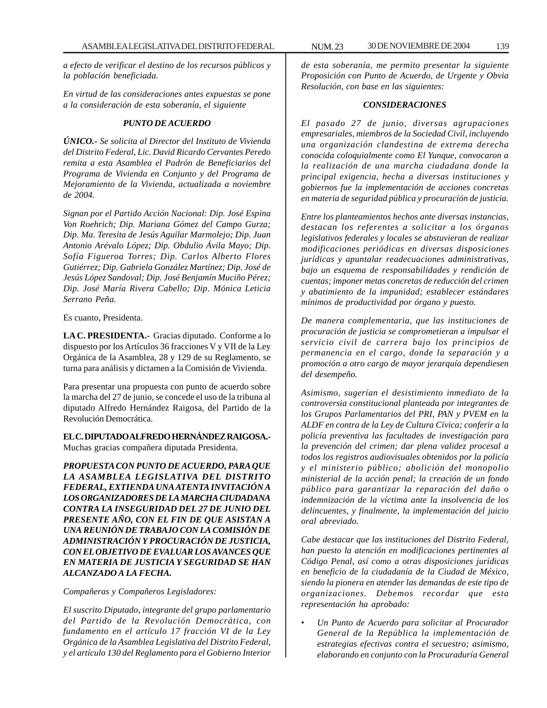*a efecto de verificar el destino de los recursos públicos y la población beneficiada.*

*En virtud de las consideraciones antes expuestas se pone a la consideración de esta soberanía, el siguiente*

# *PUNTO DE ACUERDO*

*ÚNICO.- Se solicita al Director del Instituto de Vivienda del Distrito Federal, Lic. David Ricardo Cervantes Peredo remita a esta Asamblea el Padrón de Beneficiarios del Programa de Vivienda en Conjunto y del Programa de Mejoramiento de la Vivienda, actualizada a noviembre de 2004.*

*Signan por el Partido Acción Nacional: Dip. José Espina Von Roehrich; Dip. Mariana Gómez del Campo Gurza; Dip. Ma. Teresita de Jesús Aguilar Marmolejo; Dip. Juan Antonio Arévalo López; Dip. Obdulio Ávila Mayo; Dip. Sofía Figueroa Torres; Dip. Carlos Alberto Flores Gutiérrez; Dip. Gabriela González Martínez; Dip. José de Jesús López Sandoval; Dip. José Benjamín Muciño Pérez; Dip. José María Rivera Cabello; Dip. Mónica Leticia Serrano Peña.*

Es cuanto, Presidenta.

**LA C. PRESIDENTA.-** Gracias diputado. Conforme a lo dispuesto por los Artículos 36 fracciones V y VII de la Ley Orgánica de la Asamblea, 28 y 129 de su Reglamento, se turna para análisis y dictamen a la Comisión de Vivienda.

Para presentar una propuesta con punto de acuerdo sobre la marcha del 27 de junio, se concede el uso de la tribuna al diputado Alfredo Hernández Raigosa, del Partido de la Revolución Democrática.

**EL C. DIPUTADO ALFREDO HERNÁNDEZ RAIGOSA.-** Muchas gracias compañera diputada Presidenta.

*PROPUESTA CON PUNTO DE ACUERDO, PARA QUE LA ASAMBLEA LEGISLATIVA DEL DISTRITO FEDERAL, EXTIENDA UNA ATENTA INVITACIÓN A LOS ORGANIZADORES DE LA MARCHA CIUDADANA CONTRA LA INSEGURIDAD DEL 27 DE JUNIO DEL PRESENTE AÑO, CON EL FIN DE QUE ASISTAN A UNA REUNIÓN DE TRABAJO CON LA COMISIÓN DE ADMINISTRACIÓN Y PROCURACIÓN DE JUSTICIA, CON EL OBJETIVO DE EVALUAR LOS AVANCES QUE EN MATERIA DE JUSTICIA Y SEGURIDAD SE HAN ALCANZADO A LA FECHA.*

*Compañeras y Compañeros Legisladores:*

*El suscrito Diputado, integrante del grupo parlamentario del Partido de la Revolución Democrática, con fundamento en el artículo 17 fracción VI de la Ley Orgánica de la Asamblea Legislativa del Distrito Federal, y el artículo 130 del Reglamento para el Gobierno Interior*

*de esta soberanía, me permito presentar la siguiente Proposición con Punto de Acuerdo, de Urgente y Obvia Resolución, con base en las siguientes:*

# *CONSIDERACIONES*

*El pasado 27 de junio, diversas agrupaciones empresariales, miembros de la Sociedad Civil, incluyendo una organización clandestina de extrema derecha conocida coloquialmente como El Yunque, convocaron a la realización de una marcha ciudadana donde la principal exigencia, hecha a diversas instituciones y gobiernos fue la implementación de acciones concretas en materia de seguridad pública y procuración de justicia.*

*Entre los planteamientos hechos ante diversas instancias, destacan los referentes a solicitar a los órganos legislativos federales y locales se abstuvieran de realizar modificaciones periódicas en diversas disposiciones jurídicas y apuntalar readecuaciones administrativas, bajo un esquema de responsabilidades y rendición de cuentas; imponer metas concretas de reducción del crimen y abatimiento de la impunidad; establecer estándares mínimos de productividad por órgano y puesto.*

*De manera complementaria, que las instituciones de procuración de justicia se comprometieran a impulsar el servicio civil de carrera bajo los principios de permanencia en el cargo, donde la separación y a promoción a otro cargo de mayor jerarquía dependiesen del desempeño.*

*Asimismo, sugerían el desistimiento inmediato de la controversia constitucional planteada por integrantes de los Grupos Parlamentarios del PRI, PAN y PVEM en la ALDF en contra de la Ley de Cultura Cívica; conferir a la policía preventiva las facultades de investigación para la prevención del crimen; dar plena validez procesal a todos los registros audiovisuales obtenidos por la policía y el ministerio público; abolición del monopolio ministerial de la acción penal; la creación de un fondo público para garantizar la reparación del daño o indemnización de la víctima ante la insolvencia de los delincuentes, y finalmente, la implementación del juicio oral abreviado.*

*Cabe destacar que las instituciones del Distrito Federal, han puesto la atención en modificaciones pertinentes al Código Penal, así como a otras disposiciones jurídicas en beneficio de la ciudadanía de la Ciudad de México, siendo la pionera en atender las demandas de este tipo de organizaciones. Debemos recordar que esta representación ha aprobado:*

• *Un Punto de Acuerdo para solicitar al Procurador General de la República la implementación de estrategias efectivas contra el secuestro; asimismo, elaborando en conjunto con la Procuraduría General*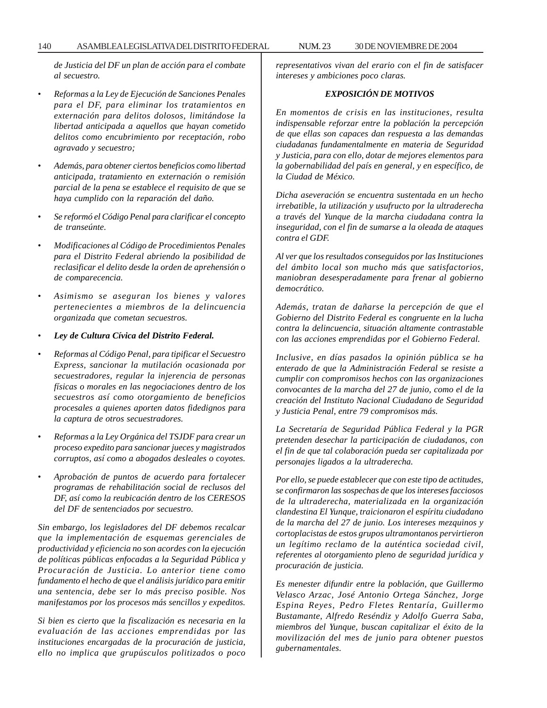*de Justicia del DF un plan de acción para el combate al secuestro.*

- *Reformas a la Ley de Ejecución de Sanciones Penales para el DF, para eliminar los tratamientos en externación para delitos dolosos, limitándose la libertad anticipada a aquellos que hayan cometido delitos como encubrimiento por receptación, robo agravado y secuestro;*
- *Además, para obtener ciertos beneficios como libertad anticipada, tratamiento en externación o remisión parcial de la pena se establece el requisito de que se haya cumplido con la reparación del daño.*
- *Se reformó el Código Penal para clarificar el concepto de transeúnte.*
- *Modificaciones al Código de Procedimientos Penales para el Distrito Federal abriendo la posibilidad de reclasificar el delito desde la orden de aprehensión o de comparecencia.*
- *Asimismo se aseguran los bienes y valores pertenecientes a miembros de la delincuencia organizada que cometan secuestros.*
- *Ley de Cultura Cívica del Distrito Federal.*
- *Reformas al Código Penal, para tipificar el Secuestro Express, sancionar la mutilación ocasionada por secuestradores, regular la injerencia de personas físicas o morales en las negociaciones dentro de los secuestros así como otorgamiento de beneficios procesales a quienes aporten datos fidedignos para la captura de otros secuestradores.*
- *Reformas a la Ley Orgánica del TSJDF para crear un proceso expedito para sancionar jueces y magistrados corruptos, así como a abogados desleales o coyotes.*
- *Aprobación de puntos de acuerdo para fortalecer programas de rehabilitación social de reclusos del DF, así como la reubicación dentro de los CERESOS del DF de sentenciados por secuestro.*

*Sin embargo, los legisladores del DF debemos recalcar que la implementación de esquemas gerenciales de productividad y eficiencia no son acordes con la ejecución de políticas públicas enfocadas a la Seguridad Pública y Procuración de Justicia. Lo anterior tiene como fundamento el hecho de que el análisis jurídico para emitir una sentencia, debe ser lo más preciso posible. Nos manifestamos por los procesos más sencillos y expeditos.*

*Si bien es cierto que la fiscalización es necesaria en la evaluación de las acciones emprendidas por las instituciones encargadas de la procuración de justicia, ello no implica que grupúsculos politizados o poco*

*representativos vivan del erario con el fin de satisfacer intereses y ambiciones poco claras.*

# *EXPOSICIÓN DE MOTIVOS*

*En momentos de crisis en las instituciones, resulta indispensable reforzar entre la población la percepción de que ellas son capaces dan respuesta a las demandas ciudadanas fundamentalmente en materia de Seguridad y Justicia, para con ello, dotar de mejores elementos para la gobernabilidad del país en general, y en específico, de la Ciudad de México.*

*Dicha aseveración se encuentra sustentada en un hecho irrebatible, la utilización y usufructo por la ultraderecha a través del Yunque de la marcha ciudadana contra la inseguridad, con el fin de sumarse a la oleada de ataques contra el GDF.*

*Al ver que los resultados conseguidos por las Instituciones del ámbito local son mucho más que satisfactorios, maniobran desesperadamente para frenar al gobierno democrático.*

*Además, tratan de dañarse la percepción de que el Gobierno del Distrito Federal es congruente en la lucha contra la delincuencia, situación altamente contrastable con las acciones emprendidas por el Gobierno Federal.*

*Inclusive, en días pasados la opinión pública se ha enterado de que la Administración Federal se resiste a cumplir con compromisos hechos con las organizaciones convocantes de la marcha del 27 de junio, como el de la creación del Instituto Nacional Ciudadano de Seguridad y Justicia Penal, entre 79 compromisos más.*

*La Secretaría de Seguridad Pública Federal y la PGR pretenden desechar la participación de ciudadanos, con el fin de que tal colaboración pueda ser capitalizada por personajes ligados a la ultraderecha.*

*Por ello, se puede establecer que con este tipo de actitudes, se confirmaron las sospechas de que los intereses facciosos de la ultraderecha, materializada en la organización clandestina El Yunque, traicionaron el espíritu ciudadano de la marcha del 27 de junio. Los intereses mezquinos y cortoplacistas de estos grupos ultramontanos pervirtieron un legítimo reclamo de la auténtica sociedad civil, referentes al otorgamiento pleno de seguridad jurídica y procuración de justicia.*

*Es menester difundir entre la población, que Guillermo Velasco Arzac, José Antonio Ortega Sánchez, Jorge Espina Reyes, Pedro Fletes Rentaría, Guillermo Bustamante, Alfredo Reséndiz y Adolfo Guerra Saba, miembros del Yunque, buscan capitalizar el éxito de la movilización del mes de junio para obtener puestos gubernamentales.*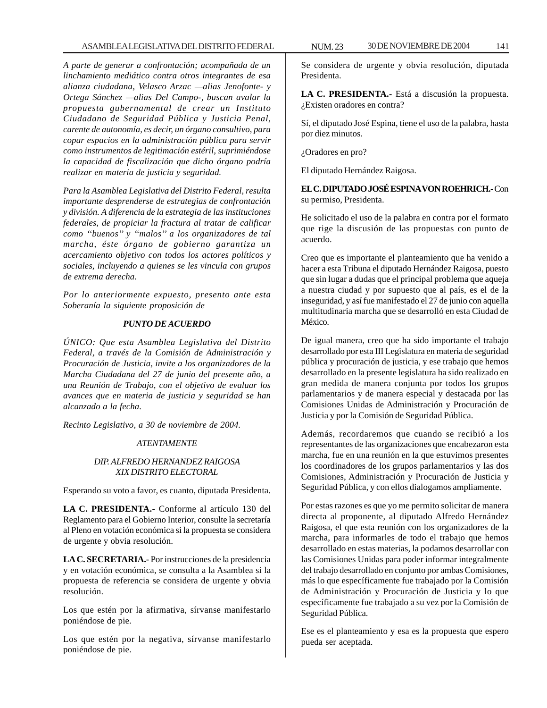*A parte de generar a confrontación; acompañada de un linchamiento mediático contra otros integrantes de esa alianza ciudadana, Velasco Arzac —alias Jenofonte- y Ortega Sánchez —alias Del Campo-, buscan avalar la propuesta gubernamental de crear un Instituto Ciudadano de Seguridad Pública y Justicia Penal, carente de autonomía, es decir, un órgano consultivo, para copar espacios en la administración pública para servir como instrumentos de legitimación estéril, suprimiéndose la capacidad de fiscalización que dicho órgano podría realizar en materia de justicia y seguridad.*

*Para la Asamblea Legislativa del Distrito Federal, resulta importante desprenderse de estrategias de confrontación y división. A diferencia de la estrategia de las instituciones federales, de propiciar la fractura al tratar de calificar como ''buenos'' y ''malos'' a los organizadores de tal marcha, éste órgano de gobierno garantiza un acercamiento objetivo con todos los actores políticos y sociales, incluyendo a quienes se les vincula con grupos de extrema derecha.*

*Por lo anteriormente expuesto, presento ante esta Soberanía la siguiente proposición de*

### *PUNTO DE ACUERDO*

*ÚNICO: Que esta Asamblea Legislativa del Distrito Federal, a través de la Comisión de Administración y Procuración de Justicia, invite a los organizadores de la Marcha Ciudadana del 27 de junio del presente año, a una Reunión de Trabajo, con el objetivo de evaluar los avances que en materia de justicia y seguridad se han alcanzado a la fecha.*

*Recinto Legislativo, a 30 de noviembre de 2004.*

# *ATENTAMENTE*

# *DIP. ALFREDO HERNANDEZ RAIGOSA XIX DISTRITO ELECTORAL*

Esperando su voto a favor, es cuanto, diputada Presidenta.

**LA C. PRESIDENTA.-** Conforme al artículo 130 del Reglamento para el Gobierno Interior, consulte la secretaría al Pleno en votación económica si la propuesta se considera de urgente y obvia resolución.

**LA C. SECRETARIA.-** Por instrucciones de la presidencia y en votación económica, se consulta a la Asamblea si la propuesta de referencia se considera de urgente y obvia resolución.

Los que estén por la afirmativa, sírvanse manifestarlo poniéndose de pie.

Los que estén por la negativa, sírvanse manifestarlo poniéndose de pie.

Se considera de urgente y obvia resolución, diputada Presidenta.

**LA C. PRESIDENTA.-** Está a discusión la propuesta. ¿Existen oradores en contra?

Sí, el diputado José Espina, tiene el uso de la palabra, hasta por diez minutos.

¿Oradores en pro?

El diputado Hernández Raigosa.

**EL C. DIPUTADO JOSÉ ESPINA VON ROEHRICH.-** Con su permiso, Presidenta.

He solicitado el uso de la palabra en contra por el formato que rige la discusión de las propuestas con punto de acuerdo.

Creo que es importante el planteamiento que ha venido a hacer a esta Tribuna el diputado Hernández Raigosa, puesto que sin lugar a dudas que el principal problema que aqueja a nuestra ciudad y por supuesto que al país, es el de la inseguridad, y así fue manifestado el 27 de junio con aquella multitudinaria marcha que se desarrolló en esta Ciudad de México.

De igual manera, creo que ha sido importante el trabajo desarrollado por esta III Legislatura en materia de seguridad pública y procuración de justicia, y ese trabajo que hemos desarrollado en la presente legislatura ha sido realizado en gran medida de manera conjunta por todos los grupos parlamentarios y de manera especial y destacada por las Comisiones Unidas de Administración y Procuración de Justicia y por la Comisión de Seguridad Pública.

Además, recordaremos que cuando se recibió a los representantes de las organizaciones que encabezaron esta marcha, fue en una reunión en la que estuvimos presentes los coordinadores de los grupos parlamentarios y las dos Comisiones, Administración y Procuración de Justicia y Seguridad Pública, y con ellos dialogamos ampliamente.

Por estas razones es que yo me permito solicitar de manera directa al proponente, al diputado Alfredo Hernández Raigosa, el que esta reunión con los organizadores de la marcha, para informarles de todo el trabajo que hemos desarrollado en estas materias, la podamos desarrollar con las Comisiones Unidas para poder informar integralmente del trabajo desarrollado en conjunto por ambas Comisiones, más lo que específicamente fue trabajado por la Comisión de Administración y Procuración de Justicia y lo que específicamente fue trabajado a su vez por la Comisión de Seguridad Pública.

Ese es el planteamiento y esa es la propuesta que espero pueda ser aceptada.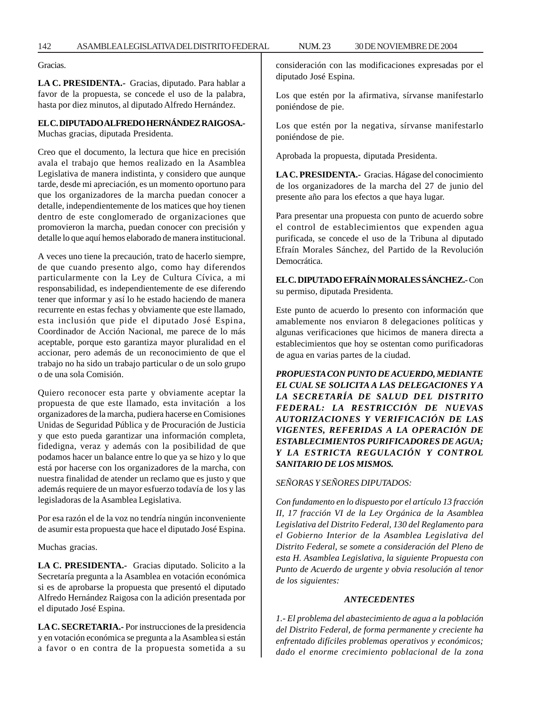142 ASAMBLEA LEGISLATIVA DEL DISTRITO FEDERAL NUM. 23 30 DE NOVIEMBRE DE 2004

Gracias.

**LA C. PRESIDENTA.-** Gracias, diputado. Para hablar a favor de la propuesta, se concede el uso de la palabra, hasta por diez minutos, al diputado Alfredo Hernández.

# **EL C. DIPUTADO ALFREDO HERNÁNDEZ RAIGOSA.-**

Muchas gracias, diputada Presidenta.

Creo que el documento, la lectura que hice en precisión avala el trabajo que hemos realizado en la Asamblea Legislativa de manera indistinta, y considero que aunque tarde, desde mi apreciación, es un momento oportuno para que los organizadores de la marcha puedan conocer a detalle, independientemente de los matices que hoy tienen dentro de este conglomerado de organizaciones que promovieron la marcha, puedan conocer con precisión y detalle lo que aquí hemos elaborado de manera institucional.

A veces uno tiene la precaución, trato de hacerlo siempre, de que cuando presento algo, como hay diferendos particularmente con la Ley de Cultura Cívica, a mi responsabilidad, es independientemente de ese diferendo tener que informar y así lo he estado haciendo de manera recurrente en estas fechas y obviamente que este llamado, esta inclusión que pide el diputado José Espina, Coordinador de Acción Nacional, me parece de lo más aceptable, porque esto garantiza mayor pluralidad en el accionar, pero además de un reconocimiento de que el trabajo no ha sido un trabajo particular o de un solo grupo o de una sola Comisión.

Quiero reconocer esta parte y obviamente aceptar la propuesta de que este llamado, esta invitación a los organizadores de la marcha, pudiera hacerse en Comisiones Unidas de Seguridad Pública y de Procuración de Justicia y que esto pueda garantizar una información completa, fidedigna, veraz y además con la posibilidad de que podamos hacer un balance entre lo que ya se hizo y lo que está por hacerse con los organizadores de la marcha, con nuestra finalidad de atender un reclamo que es justo y que además requiere de un mayor esfuerzo todavía de los y las legisladoras de la Asamblea Legislativa.

Por esa razón el de la voz no tendría ningún inconveniente de asumir esta propuesta que hace el diputado José Espina.

Muchas gracias.

**LA C. PRESIDENTA.-** Gracias diputado. Solicito a la Secretaría pregunta a la Asamblea en votación económica si es de aprobarse la propuesta que presentó el diputado Alfredo Hernández Raigosa con la adición presentada por el diputado José Espina.

**LA C. SECRETARIA.-** Por instrucciones de la presidencia y en votación económica se pregunta a la Asamblea si están a favor o en contra de la propuesta sometida a su consideración con las modificaciones expresadas por el diputado José Espina.

Los que estén por la afirmativa, sírvanse manifestarlo poniéndose de pie.

Los que estén por la negativa, sírvanse manifestarlo poniéndose de pie.

Aprobada la propuesta, diputada Presidenta.

**LA C. PRESIDENTA.-** Gracias. Hágase del conocimiento de los organizadores de la marcha del 27 de junio del presente año para los efectos a que haya lugar.

Para presentar una propuesta con punto de acuerdo sobre el control de establecimientos que expenden agua purificada, se concede el uso de la Tribuna al diputado Efraín Morales Sánchez, del Partido de la Revolución Democrática.

# **EL C. DIPUTADO EFRAÍN MORALES SÁNCHEZ.-** Con su permiso, diputada Presidenta.

Este punto de acuerdo lo presento con información que amablemente nos enviaron 8 delegaciones políticas y algunas verificaciones que hicimos de manera directa a establecimientos que hoy se ostentan como purificadoras de agua en varias partes de la ciudad.

*PROPUESTA CON PUNTO DE ACUERDO, MEDIANTE EL CUAL SE SOLICITA A LAS DELEGACIONES Y A LA SECRETARÍA DE SALUD DEL DISTRITO FEDERAL: LA RESTRICCIÓN DE NUEVAS AUTORIZACIONES Y VERIFICACIÓN DE LAS VIGENTES, REFERIDAS A LA OPERACIÓN DE ESTABLECIMIENTOS PURIFICADORES DE AGUA; Y LA ESTRICTA REGULACIÓN Y CONTROL SANITARIO DE LOS MISMOS.*

### *SEÑORAS Y SEÑORES DIPUTADOS:*

*Con fundamento en lo dispuesto por el artículo 13 fracción II, 17 fracción VI de la Ley Orgánica de la Asamblea Legislativa del Distrito Federal, 130 del Reglamento para el Gobierno Interior de la Asamblea Legislativa del Distrito Federal, se somete a consideración del Pleno de esta H. Asamblea Legislativa, la siguiente Propuesta con Punto de Acuerdo de urgente y obvia resolución al tenor de los siguientes:*

# *ANTECEDENTES*

*1.- El problema del abastecimiento de agua a la población del Distrito Federal, de forma permanente y creciente ha enfrentado difíciles problemas operativos y económicos; dado el enorme crecimiento poblacional de la zona*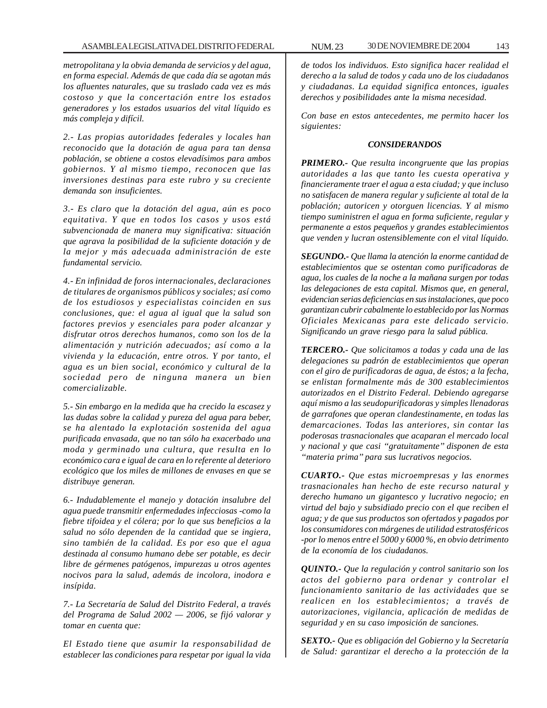*metropolitana y la obvia demanda de servicios y del agua, en forma especial. Además de que cada día se agotan más los afluentes naturales, que su traslado cada vez es más costoso y que la concertación entre los estados generadores y los estados usuarios del vital líquido es más compleja y difícil.*

*2.- Las propias autoridades federales y locales han reconocido que la dotación de agua para tan densa población, se obtiene a costos elevadísimos para ambos gobiernos. Y al mismo tiempo, reconocen que las inversiones destinas para este rubro y su creciente demanda son insuficientes.*

*3.- Es claro que la dotación del agua, aún es poco equitativa. Y que en todos los casos y usos está subvencionada de manera muy significativa: situación que agrava la posibilidad de la suficiente dotación y de la mejor y más adecuada administración de este fundamental servicio.*

*4.- En infinidad de foros internacionales, declaraciones de titulares de organismos públicos y sociales; así como de los estudiosos y especialistas coinciden en sus conclusiones, que: el agua al igual que la salud son factores previos y esenciales para poder alcanzar y disfrutar otros derechos humanos, como son los de la alimentación y nutrición adecuados; así como a la vivienda y la educación, entre otros. Y por tanto, el agua es un bien social, económico y cultural de la sociedad pero de ninguna manera un bien comercializable.*

*5.- Sin embargo en la medida que ha crecido la escasez y las dudas sobre la calidad y pureza del agua para beber, se ha alentado la explotación sostenida del agua purificada envasada, que no tan sólo ha exacerbado una moda y germinado una cultura, que resulta en lo económico cara e igual de cara en lo referente al deterioro ecológico que los miles de millones de envases en que se distribuye generan.*

*6.- Indudablemente el manejo y dotación insalubre del agua puede transmitir enfermedades infecciosas -como la fiebre tifoidea y el cólera; por lo que sus beneficios a la salud no sólo dependen de la cantidad que se ingiera, sino también de la calidad. Es por eso que el agua destinada al consumo humano debe ser potable, es decir libre de gérmenes patógenos, impurezas u otros agentes nocivos para la salud, además de incolora, inodora e insípida.*

*7.- La Secretaría de Salud del Distrito Federal, a través del Programa de Salud 2002 — 2006, se fijó valorar y tomar en cuenta que:*

*El Estado tiene que asumir la responsabilidad de establecer las condiciones para respetar por igual la vida* *de todos los individuos. Esto significa hacer realidad el derecho a la salud de todos y cada uno de los ciudadanos y ciudadanas. La equidad significa entonces, iguales derechos y posibilidades ante la misma necesidad.*

*Con base en estos antecedentes, me permito hacer los siguientes:*

### *CONSIDERANDOS*

*PRIMERO.- Que resulta incongruente que las propias autoridades a las que tanto les cuesta operativa y financieramente traer el agua a esta ciudad; y que incluso no satisfacen de manera regular y suficiente al total de la población; autoricen y otorguen licencias. Y al mismo tiempo suministren el agua en forma suficiente, regular y permanente a estos pequeños y grandes establecimientos que venden y lucran ostensiblemente con el vital líquido.*

*SEGUNDO.- Que llama la atención la enorme cantidad de establecimientos que se ostentan como purificadoras de agua, los cuales de la noche a la mañana surgen por todas las delegaciones de esta capital. Mismos que, en general, evidencian serias deficiencias en sus instalaciones, que poco garantizan cubrir cabalmente lo establecido por las Normas Oficiales Mexicanas para este delicado servicio. Significando un grave riesgo para la salud pública.*

*TERCERO.- Que solicitamos a todas y cada una de las delegaciones su padrón de establecimientos que operan con el giro de purificadoras de agua, de éstos; a la fecha, se enlistan formalmente más de 300 establecimientos autorizados en el Distrito Federal. Debiendo agregarse aquí mismo a las seudopurificadoras y simples llenadoras de garrafones que operan clandestinamente, en todas las demarcaciones. Todas las anteriores, sin contar las poderosas trasnacionales que acaparan el mercado local y nacional y que casi ''gratuitamente'' disponen de esta ''materia prima'' para sus lucrativos negocios.*

*CUARTO.- Que estas microempresas y las enormes trasnacionales han hecho de este recurso natural y derecho humano un gigantesco y lucrativo negocio; en virtud del bajo y subsidiado precio con el que reciben el agua; y de que sus productos son ofertados y pagados por los consumidores con márgenes de utilidad estratosféricos -por lo menos entre el 5000 y 6000 %, en obvio detrimento de la economía de los ciudadanos.*

*QUINTO.- Que la regulación y control sanitario son los actos del gobierno para ordenar y controlar el funcionamiento sanitario de las actividades que se realicen en los establecimientos; a través de autorizaciones, vigilancia, aplicación de medidas de seguridad y en su caso imposición de sanciones.*

*SEXTO.- Que es obligación del Gobierno y la Secretaría de Salud: garantizar el derecho a la protección de la*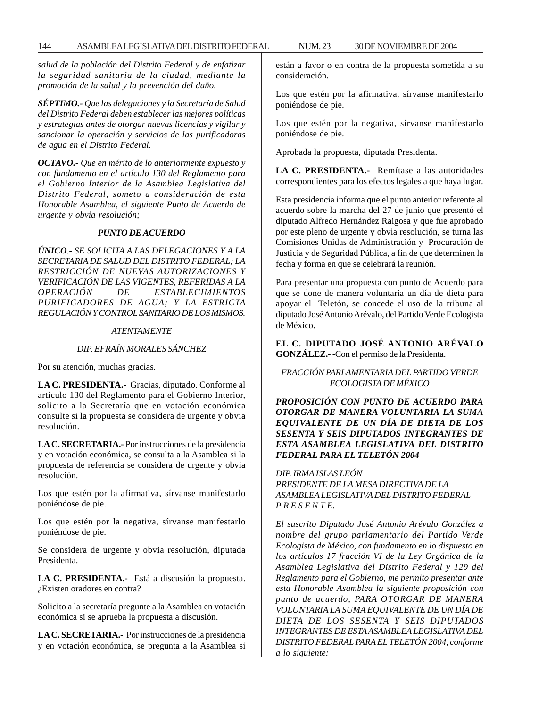*salud de la población del Distrito Federal y de enfatizar la seguridad sanitaria de la ciudad, mediante la promoción de la salud y la prevención del daño.*

*SÉPTIMO.- Que las delegaciones y la Secretaría de Salud del Distrito Federal deben establecer las mejores políticas y estrategias antes de otorgar nuevas licencias y vigilar y sancionar la operación y servicios de las purificadoras de agua en el Distrito Federal.*

*OCTAVO.- Que en mérito de lo anteriormente expuesto y con fundamento en el artículo 130 del Reglamento para el Gobierno Interior de la Asamblea Legislativa del Distrito Federal, someto a consideración de esta Honorable Asamblea, el siguiente Punto de Acuerdo de urgente y obvia resolución;*

#### *PUNTO DE ACUERDO*

*ÚNICO.- SE SOLICITA A LAS DELEGACIONES Y A LA SECRETARIA DE SALUD DEL DISTRITO FEDERAL; LA RESTRICCIÓN DE NUEVAS AUTORIZACIONES Y VERIFICACIÓN DE LAS VIGENTES, REFERIDAS A LA OPERACIÓN DE ESTABLECIMIENTOS PURIFICADORES DE AGUA; Y LA ESTRICTA REGULACIÓN Y CONTROL SANITARIO DE LOS MISMOS.*

### *ATENTAMENTE*

# *DIP. EFRAÍN MORALES SÁNCHEZ*

Por su atención, muchas gracias.

**LA C. PRESIDENTA.-** Gracias, diputado. Conforme al artículo 130 del Reglamento para el Gobierno Interior, solicito a la Secretaría que en votación económica consulte si la propuesta se considera de urgente y obvia resolución.

**LA C. SECRETARIA.-** Por instrucciones de la presidencia y en votación económica, se consulta a la Asamblea si la propuesta de referencia se considera de urgente y obvia resolución.

Los que estén por la afirmativa, sírvanse manifestarlo poniéndose de pie.

Los que estén por la negativa, sírvanse manifestarlo poniéndose de pie.

Se considera de urgente y obvia resolución, diputada Presidenta.

**LA C. PRESIDENTA.-** Está a discusión la propuesta. ¿Existen oradores en contra?

Solicito a la secretaría pregunte a la Asamblea en votación económica si se aprueba la propuesta a discusión.

**LA C. SECRETARIA.-** Por instrucciones de la presidencia y en votación económica, se pregunta a la Asamblea si están a favor o en contra de la propuesta sometida a su consideración.

Los que estén por la afirmativa, sírvanse manifestarlo poniéndose de pie.

Los que estén por la negativa, sírvanse manifestarlo poniéndose de pie.

Aprobada la propuesta, diputada Presidenta.

**LA C. PRESIDENTA.-** Remítase a las autoridades correspondientes para los efectos legales a que haya lugar.

Esta presidencia informa que el punto anterior referente al acuerdo sobre la marcha del 27 de junio que presentó el diputado Alfredo Hernández Raigosa y que fue aprobado por este pleno de urgente y obvia resolución, se turna las Comisiones Unidas de Administración y Procuración de Justicia y de Seguridad Pública, a fin de que determinen la fecha y forma en que se celebrará la reunión.

Para presentar una propuesta con punto de Acuerdo para que se done de manera voluntaria un día de dieta para apoyar el Teletón, se concede el uso de la tribuna al diputado José Antonio Arévalo, del Partido Verde Ecologista de México.

**EL C. DIPUTADO JOSÉ ANTONIO ARÉVALO GONZÁLEZ.- -**Con el permiso de la Presidenta.

# *FRACCIÓN PARLAMENTARIA DEL PARTIDO VERDE ECOLOGISTA DE MÉXICO*

*PROPOSICIÓN CON PUNTO DE ACUERDO PARA OTORGAR DE MANERA VOLUNTARIA LA SUMA EQUIVALENTE DE UN DÍA DE DIETA DE LOS SESENTA Y SEIS DIPUTADOS INTEGRANTES DE ESTA ASAMBLEA LEGISLATIVA DEL DISTRITO FEDERAL PARA EL TELETÓN 2004*

# *DIP. IRMA ISLAS LEÓN PRESIDENTE DE LA MESA DIRECTIVA DE LA ASAMBLEA LEGISLATIVA DEL DISTRITO FEDERAL P R E S E N T E.*

*El suscrito Diputado José Antonio Arévalo González a nombre del grupo parlamentario del Partido Verde Ecologista de México, con fundamento en lo dispuesto en los artículos 17 fracción VI de la Ley Orgánica de la Asamblea Legislativa del Distrito Federal y 129 del Reglamento para el Gobierno, me permito presentar ante esta Honorable Asamblea la siguiente proposición con punto de acuerdo, PARA OTORGAR DE MANERA VOLUNTARIA LA SUMA EQUIVALENTE DE UN DÍA DE DIETA DE LOS SESENTA Y SEIS DIPUTADOS INTEGRANTES DE ESTA ASAMBLEA LEGISLATIVA DEL DISTRITO FEDERAL PARA EL TELETÓN 2004, conforme a lo siguiente:*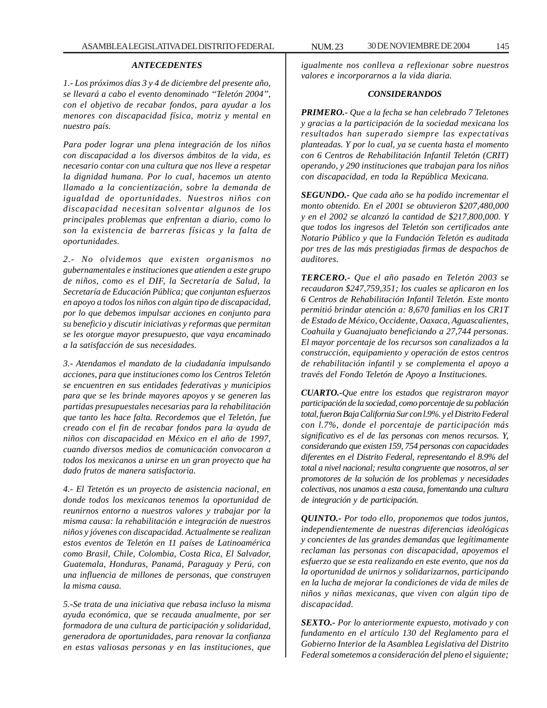#### *ANTECEDENTES*

*1.- Los próximos días 3 y 4 de diciembre del presente año, se llevará a cabo el evento denominado ''Teletón 2004'', con el objetivo de recabar fondos, para ayudar a los menores con discapacidad física, motriz y mental en nuestro país.*

*Para poder lograr una plena integración de los niños con discapacidad a los diversos ámbitos de la vida, es necesario contar con una cultura que nos lleve a respetar la dignidad humana. Por lo cual, hacemos un atento llamado a la concientización, sobre la demanda de igualdad de oportunidades. Nuestros niños con discapacidad necesitan solventar algunos de los principales problemas que enfrentan a diario, como lo son la existencia de barreras físicas y la falta de oportunidades.*

*2.- No olvidemos que existen organismos no gubernamentales e instituciones que atienden a este grupo de niños, como es el DIF, la Secretaría de Salud, la Secretaría de Educación Pública; que conjuntan esfuerzos en apoyo a todos los niños con algún tipo de discapacidad, por lo que debemos impulsar acciones en conjunto para su beneficio y discutir iniciativas y reformas que permitan se les otorgue mayor presupuesto, que vaya encaminado a la satisfacción de sus necesidades.*

*3.- Atendamos el mandato de la ciudadanía impulsando acciones, para que instituciones como los Centros Teletón se encuentren en sus entidades federativas y municipios para que se les brinde mayores apoyos y se generen las partidas presupuestales necesarias para la rehabilitación que tanto les hace falta. Recordemos que el Teletón, fue creado con el fin de recabar fondos para la ayuda de niños con discapacidad en México en el año de 1997, cuando diversos medios de comunicación convocaron a todos los mexicanos a unirse en un gran proyecto que ha dado frutos de manera satisfactoria.*

*4.- El Tetetón es un proyecto de asistencia nacional, en donde todos los mexicanos tenemos la oportunidad de reunirnos entorno a nuestros valores y trabajar por la misma causa: la rehabilitación e integración de nuestros niños y jóvenes con discapacidad. Actualmente se realizan estos eventos de Teletón en 11 países de Latinoamérica como Brasil, Chile, Colombia, Costa Rica, El Salvador, Guatemala, Honduras, Panamá, Paraguay y Perú, con una influencia de millones de personas, que construyen la misma causa.*

*5.-Se trata de una iniciativa que rebasa incluso la misma ayuda económica, que se recauda anualmente, por ser formadora de una cultura de participación y solidaridad, generadora de oportunidades, para renovar la confianza en estas valiosas personas y en las instituciones, que*

*igualmente nos conlleva a reflexionar sobre nuestros valores e incorporarnos a la vida diaria.*

#### *CONSIDERANDOS*

*PRIMERO.- Que a la fecha se han celebrado 7 Teletones y gracias a la participación de la sociedad mexicana los resultados han superado siempre las expectativas planteadas. Y por lo cual, ya se cuenta hasta el momento con 6 Centros de Rehabilitación Infantil Teletón (CRIT) operando, y 290 instituciones que trabajan para los niños con discapacidad, en toda la República Mexicana.*

*SEGUNDO.- Que cada año se ha podido incrementar el monto obtenido. En el 2001 se obtuvieron \$207,480,000 y en el 2002 se alcanzó la cantidad de \$217,800,000. Y que todos los ingresos del Teletón son certificados ante Notario Público y que la Fundación Teletón es auditada por tres de las más prestigiadas firmas de despachos de auditores.*

*TERCERO.- Que el año pasado en Teletón 2003 se recaudaron \$247,759,351; los cuales se aplicaron en los 6 Centros de Rehabilitación Infantil Teletón. Este monto permitió brindar atención a: 8,670 familias en los CR1T de Estado de México, Occidente, Oaxaca, Aguascalientes, Coahuila y Guanajuato beneficiando a 27,744 personas. El mayor porcentaje de los recursos son canalizados a la construcción, equipamiento y operación de estos centros de rehabilitación infantil y se complementa el apoyo a través del Fondo Teletón de Apoyo a Instituciones.*

*CUARTO.-Que entre los estados que registraron mayor participación de la sociedad, como porcentaje de su población total, fueron Baja California Sur con l.9%. y el Distrito Federal con l.7%, donde el porcentaje de participación más significativo es el de las personas con menos recursos. Y, considerando que existen 159, 754 personas con capacidades diferentes en el Distrito Federal, representando el 8.9% del total a nivel nacional; resulta congruente que nosotros, al ser promotores de la solución de los problemas y necesidades colectivas, nos unamos a esta causa, fomentando una cultura de integración y de participación.*

*QUINTO.- Por todo ello, proponemos que todos juntos, independientemente de nuestras diferencias ideológicas y concientes de las grandes demandas que legítimamente reclaman las personas con discapacidad, apoyemos el esfuerzo que se esta realizando en este evento, que nos da la oportunidad de unirnos y solidarizarnos, participando en la lucha de mejorar la condiciones de vida de miles de niños y niñas mexicanas, que viven con algún tipo de discapacidad.*

*SEXTO.- Por lo anteriormente expuesto, motivado y con fundamento en el artículo 130 del Reglamento para el Gobierno Interior de la Asamblea Legislativa del Distrito Federal sometemos a consideración del pleno el siguiente;*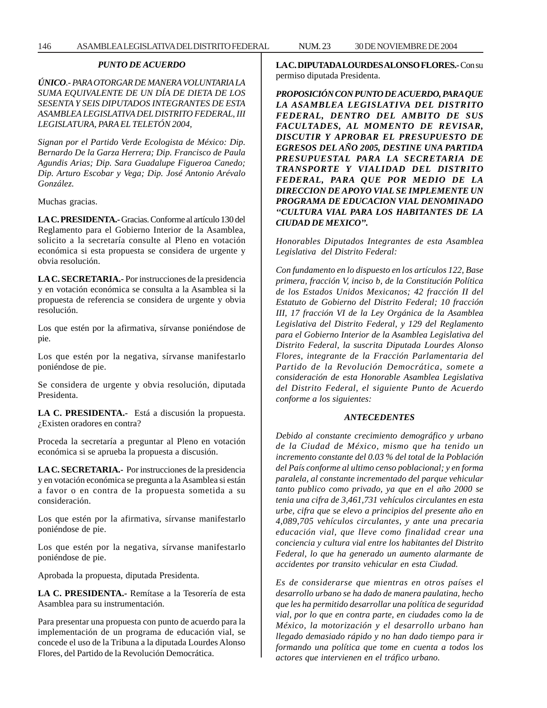## *PUNTO DE ACUERDO*

*ÚNICO.- PARA OTORGAR DE MANERA VOLUNTARIA LA SUMA EQUIVALENTE DE UN DÍA DE DIETA DE LOS SESENTA Y SEIS DIPUTADOS INTEGRANTES DE ESTA ASAMBLEA LEGISLATIVA DEL DISTRITO FEDERAL, III LEGISLATURA, PARA EL TELETÓN 2004,*

*Signan por el Partido Verde Ecologista de México: Dip. Bernardo De la Garza Herrera; Dip. Francisco de Paula Agundis Arias; Dip. Sara Guadalupe Figueroa Canedo; Dip. Arturo Escobar y Vega; Dip. José Antonio Arévalo González.*

Muchas gracias.

**LA C. PRESIDENTA.-** Gracias. Conforme al artículo 130 del Reglamento para el Gobierno Interior de la Asamblea, solicito a la secretaría consulte al Pleno en votación económica si esta propuesta se considera de urgente y obvia resolución.

**LA C. SECRETARIA.-** Por instrucciones de la presidencia y en votación económica se consulta a la Asamblea si la propuesta de referencia se considera de urgente y obvia resolución.

Los que estén por la afirmativa, sírvanse poniéndose de pie.

Los que estén por la negativa, sírvanse manifestarlo poniéndose de pie.

Se considera de urgente y obvia resolución, diputada Presidenta.

**LA C. PRESIDENTA.-** Está a discusión la propuesta. ¿Existen oradores en contra?

Proceda la secretaría a preguntar al Pleno en votación económica si se aprueba la propuesta a discusión.

**LA C. SECRETARIA.-** Por instrucciones de la presidencia y en votación económica se pregunta a la Asamblea si están a favor o en contra de la propuesta sometida a su consideración.

Los que estén por la afirmativa, sírvanse manifestarlo poniéndose de pie.

Los que estén por la negativa, sírvanse manifestarlo poniéndose de pie.

Aprobada la propuesta, diputada Presidenta.

**LA C. PRESIDENTA.-** Remítase a la Tesorería de esta Asamblea para su instrumentación.

Para presentar una propuesta con punto de acuerdo para la implementación de un programa de educación vial, se concede el uso de la Tribuna a la diputada Lourdes Alonso Flores, del Partido de la Revolución Democrática.

**LA C. DIPUTADA LOURDES ALONSO FLORES.-** Con su permiso diputada Presidenta.

*PROPOSICIÓN CON PUNTO DE ACUERDO, PARA QUE LA ASAMBLEA LEGISLATIVA DEL DISTRITO FEDERAL, DENTRO DEL AMBITO DE SUS FACULTADES, AL MOMENTO DE REVISAR, DISCUTIR Y APROBAR EL PRESUPUESTO DE EGRESOS DEL AÑO 2005, DESTINE UNA PARTIDA PRESUPUESTAL PARA LA SECRETARIA DE TRANSPORTE Y VIALIDAD DEL DISTRITO FEDERAL, PARA QUE POR MEDIO DE LA DIRECCION DE APOYO VIAL SE IMPLEMENTE UN PROGRAMA DE EDUCACION VIAL DENOMINADO ''CULTURA VIAL PARA LOS HABITANTES DE LA CIUDAD DE MEXICO''.*

*Honorables Diputados Integrantes de esta Asamblea Legislativa del Distrito Federal:*

*Con fundamento en lo dispuesto en los artículos 122, Base primera, fracción V, inciso b, de la Constitución Política de los Estados Unidos Mexicanos; 42 fracción II del Estatuto de Gobierno del Distrito Federal; 10 fracción III, 17 fracción VI de la Ley Orgánica de la Asamblea Legislativa del Distrito Federal, y 129 del Reglamento para el Gobierno Interior de la Asamblea Legislativa del Distrito Federal, la suscrita Diputada Lourdes Alonso Flores, integrante de la Fracción Parlamentaria del Partido de la Revolución Democrática, somete a consideración de esta Honorable Asamblea Legislativa del Distrito Federal, el siguiente Punto de Acuerdo conforme a los siguientes:*

#### *ANTECEDENTES*

*Debido al constante crecimiento demográfico y urbano de la Ciudad de México, mismo que ha tenido un incremento constante del 0.03 % del total de la Población del País conforme al ultimo censo poblacional; y en forma paralela, al constante incrementado del parque vehicular tanto publico como privado, ya que en el año 2000 se tenia una cifra de 3,461,731 vehículos circulantes en esta urbe, cifra que se elevo a principios del presente año en 4,089,705 vehículos circulantes, y ante una precaria educación vial, que lleve como finalidad crear una conciencia y cultura vial entre los habitantes del Distrito Federal, lo que ha generado un aumento alarmante de accidentes por transito vehicular en esta Ciudad.*

*Es de considerarse que mientras en otros países el desarrollo urbano se ha dado de manera paulatina, hecho que les ha permitido desarrollar una política de seguridad vial, por lo que en contra parte, en ciudades como la de México, la motorización y el desarrollo urbano han llegado demasiado rápido y no han dado tiempo para ir formando una política que tome en cuenta a todos los actores que intervienen en el tráfico urbano.*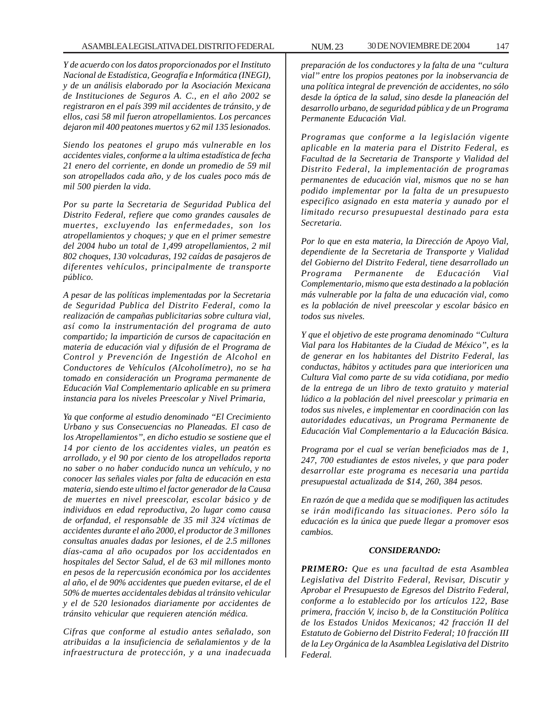*Y de acuerdo con los datos proporcionados por el Instituto Nacional de Estadística, Geografía e Informática (INEGI), y de un análisis elaborado por la Asociación Mexicana de Instituciones de Seguros A. C., en el año 2002 se registraron en el país 399 mil accidentes de tránsito, y de ellos, casi 58 mil fueron atropellamientos. Los percances dejaron mil 400 peatones muertos y 62 mil 135 lesionados.*

*Siendo los peatones el grupo más vulnerable en los accidentes viales, conforme a la ultima estadística de fecha 21 enero del corriente, en donde un promedio de 59 mil son atropellados cada año, y de los cuales poco más de mil 500 pierden la vida.*

*Por su parte la Secretaria de Seguridad Publica del Distrito Federal, refiere que como grandes causales de muertes, excluyendo las enfermedades, son los atropellamientos y choques; y que en el primer semestre del 2004 hubo un total de 1,499 atropellamientos, 2 mil 802 choques, 130 volcaduras, 192 caídas de pasajeros de diferentes vehículos, principalmente de transporte público.*

*A pesar de las políticas implementadas por la Secretaria de Seguridad Publica del Distrito Federal, como la realización de campañas publicitarias sobre cultura vial, así como la instrumentación del programa de auto compartido; la impartición de cursos de capacitación en materia de educación vial y difusión de el Programa de Control y Prevención de Ingestión de Alcohol en Conductores de Vehículos (Alcoholímetro), no se ha tomado en consideración un Programa permanente de Educación Vial Complementario aplicable en su primera instancia para los niveles Preescolar y Nivel Primaria,*

*Ya que conforme al estudio denominado ''El Crecimiento Urbano y sus Consecuencias no Planeadas. El caso de los Atropellamientos'', en dicho estudio se sostiene que el 14 por ciento de los accidentes viales, un peatón es arrollado, y el 90 por ciento de los atropellados reporta no saber o no haber conducido nunca un vehículo, y no conocer las señales viales por falta de educación en esta materia, siendo este ultimo el factor generador de la Causa de muertes en nivel preescolar, escolar básico y de individuos en edad reproductiva, 2o lugar como causa de orfandad, el responsable de 35 mil 324 víctimas de accidentes durante el año 2000, el productor de 3 millones consultas anuales dadas por lesiones, el de 2.5 millones días-cama al año ocupados por los accidentados en hospitales del Sector Salud, el de 63 mil millones monto en pesos de la repercusión económica por los accidentes al año, el de 90% accidentes que pueden evitarse, el de el 50% de muertes accidentales debidas al tránsito vehicular y el de 520 lesionados diariamente por accidentes de tránsito vehicular que requieren atención médica.*

*Cifras que conforme al estudio antes señalado, son atribuidas a la insuficiencia de señalamientos y de la infraestructura de protección, y a una inadecuada*

*preparación de los conductores y la falta de una ''cultura vial'' entre los propios peatones por la inobservancia de una política integral de prevención de accidentes, no sólo desde la óptica de la salud, sino desde la planeación del desarrollo urbano, de seguridad pública y de un Programa Permanente Educación Vial.*

*Programas que conforme a la legislación vigente aplicable en la materia para el Distrito Federal, es Facultad de la Secretaria de Transporte y Vialidad del Distrito Federal, la implementación de programas permanentes de educación vial, mismos que no se han podido implementar por la falta de un presupuesto especifico asignado en esta materia y aunado por el limitado recurso presupuestal destinado para esta Secretaria.*

*Por lo que en esta materia, la Dirección de Apoyo Vial, dependiente de la Secretaria de Transporte y Vialidad del Gobierno del Distrito Federal, tiene desarrollado un Programa Permanente de Educación Vial Complementario, mismo que esta destinado a la población más vulnerable por la falta de una educación vial, como es la población de nivel preescolar y escolar básico en todos sus niveles.*

*Y que el objetivo de este programa denominado ''Cultura Vial para los Habitantes de la Ciudad de México'', es la de generar en los habitantes del Distrito Federal, las conductas, hábitos y actitudes para que interioricen una Cultura Vial como parte de su vida cotidiana, por medio de la entrega de un libro de texto gratuito y material lúdico a la población del nivel preescolar y primaria en todos sus niveles, e implementar en coordinación con las autoridades educativas, un Programa Permanente de Educación Vial Complementario a la Educación Básica.*

*Programa por el cual se verían beneficiados mas de 1, 247, 700 estudiantes de estos niveles, y que para poder desarrollar este programa es necesaria una partida presupuestal actualizada de \$14, 260, 384 pesos.*

*En razón de que a medida que se modifiquen las actitudes se irán modificando las situaciones. Pero sólo la educación es la única que puede llegar a promover esos cambios.*

### *CONSIDERANDO:*

*PRIMERO: Que es una facultad de esta Asamblea Legislativa del Distrito Federal, Revisar, Discutir y Aprobar el Presupuesto de Egresos del Distrito Federal, conforme a lo establecido por los artículos 122, Base primera, fracción V, inciso b, de la Constitución Política de los Estados Unidos Mexicanos; 42 fracción II del Estatuto de Gobierno del Distrito Federal; 10 fracción III de la Ley Orgánica de la Asamblea Legislativa del Distrito Federal.*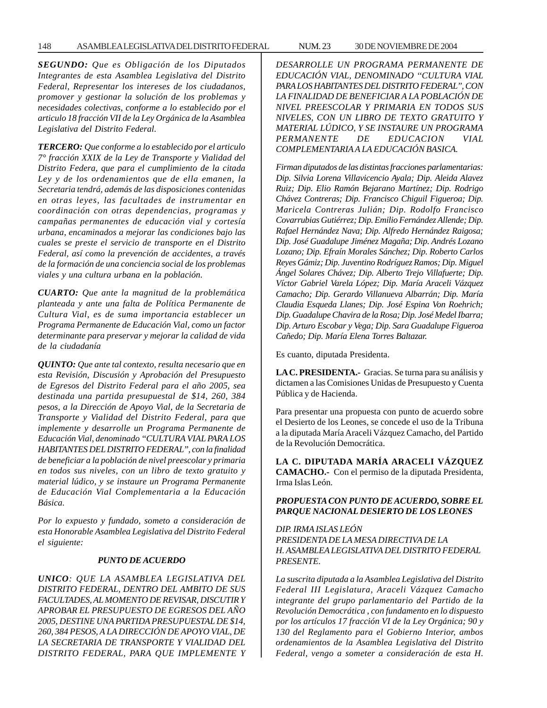*SEGUNDO: Que es Obligación de los Diputados Integrantes de esta Asamblea Legislativa del Distrito Federal, Representar los intereses de los ciudadanos, promover y gestionar la solución de los problemas y necesidades colectivas, conforme a lo establecido por el articulo 18 fracción VII de la Ley Orgánica de la Asamblea Legislativa del Distrito Federal.*

*TERCERO: Que conforme a lo establecido por el articulo 7° fracción XXIX de la Ley de Transporte y Vialidad del Distrito Federa, que para el cumplimiento de la citada Ley y de los ordenamientos que de ella emanen, la Secretaria tendrá, además de las disposiciones contenidas en otras leyes, las facultades de instrumentar en coordinación con otras dependencias, programas y campañas permanentes de educación vial y cortesía urbana, encaminados a mejorar las condiciones bajo las cuales se preste el servicio de transporte en el Distrito Federal, así como la prevención de accidentes, a través de la formación de una conciencia social de los problemas viales y una cultura urbana en la población.*

*CUARTO: Que ante la magnitud de la problemática planteada y ante una falta de Política Permanente de Cultura Vial, es de suma importancia establecer un Programa Permanente de Educación Vial, como un factor determinante para preservar y mejorar la calidad de vida de la ciudadanía*

*QUINTO: Que ante tal contexto, resulta necesario que en esta Revisión, Discusión y Aprobación del Presupuesto de Egresos del Distrito Federal para el año 2005, sea destinada una partida presupuestal de \$14, 260, 384 pesos, a la Dirección de Apoyo Vial, de la Secretaria de Transporte y Vialidad del Distrito Federal, para que implemente y desarrolle un Programa Permanente de Educación Vial, denominado ''CULTURA VIAL PARA LOS HABITANTES DEL DISTRITO FEDERAL'', con la finalidad de beneficiar a la población de nivel preescolar y primaria en todos sus niveles, con un libro de texto gratuito y material lúdico, y se instaure un Programa Permanente de Educación Vial Complementaria a la Educación Básica.*

*Por lo expuesto y fundado, someto a consideración de esta Honorable Asamblea Legislativa del Distrito Federal el siguiente:*

## *PUNTO DE ACUERDO*

*UNICO: QUE LA ASAMBLEA LEGISLATIVA DEL DISTRITO FEDERAL, DENTRO DEL AMBITO DE SUS FACULTADES, AL MOMENTO DE REVISAR, DISCUTIR Y APROBAR EL PRESUPUESTO DE EGRESOS DEL AÑO 2005, DESTINE UNA PARTIDA PRESUPUESTAL DE \$14, 260, 384 PESOS, A LA DIRECCIÓN DE APOYO VIAL, DE LA SECRETARIA DE TRANSPORTE Y VIALIDAD DEL DISTRITO FEDERAL, PARA QUE IMPLEMENTE Y* *DESARROLLE UN PROGRAMA PERMANENTE DE EDUCACIÓN VIAL, DENOMINADO ''CULTURA VIAL PARA LOS HABITANTES DEL DISTRITO FEDERAL'', CON LA FINALIDAD DE BENEFICIAR A LA POBLACIÓN DE NIVEL PREESCOLAR Y PRIMARIA EN TODOS SUS NIVELES, CON UN LIBRO DE TEXTO GRATUITO Y MATERIAL LÚDICO, Y SE INSTAURE UN PROGRAMA PERMANENTE DE EDUCACION VIAL COMPLEMENTARIA A LA EDUCACIÓN BASICA.*

*Firman diputados de las distintas fracciones parlamentarias: Dip. Silvia Lorena Villavicencio Ayala; Dip. Aleida Alavez Ruiz; Dip. Elio Ramón Bejarano Martínez; Dip. Rodrigo Chávez Contreras; Dip. Francisco Chiguil Figueroa; Dip. Maricela Contreras Julián; Dip. Rodolfo Francisco Covarrubias Gutiérrez; Dip. Emilio Fernández Allende; Dip. Rafael Hernández Nava; Dip. Alfredo Hernández Raigosa; Dip. José Guadalupe Jiménez Magaña; Dip. Andrés Lozano Lozano; Dip. Efraín Morales Sánchez; Dip. Roberto Carlos Reyes Gámiz; Dip. Juventino Rodríguez Ramos; Dip. Miguel Ángel Solares Chávez; Dip. Alberto Trejo Villafuerte; Dip. Víctor Gabriel Varela López; Dip. María Araceli Vázquez Camacho; Dip. Gerardo Villanueva Albarrán; Dip. María Claudia Esqueda Llanes; Dip. José Espina Von Roehrich; Dip. Guadalupe Chavira de la Rosa; Dip. José Medel Ibarra; Dip. Arturo Escobar y Vega; Dip. Sara Guadalupe Figueroa Cañedo; Dip. María Elena Torres Baltazar.*

Es cuanto, diputada Presidenta.

**LA C. PRESIDENTA.-** Gracias. Se turna para su análisis y dictamen a las Comisiones Unidas de Presupuesto y Cuenta Pública y de Hacienda.

Para presentar una propuesta con punto de acuerdo sobre el Desierto de los Leones, se concede el uso de la Tribuna a la diputada María Araceli Vázquez Camacho, del Partido de la Revolución Democrática.

**LA C. DIPUTADA MARÍA ARACELI VÁZQUEZ CAMACHO.-** Con el permiso de la diputada Presidenta, Irma Islas León.

## *PROPUESTA CON PUNTO DE ACUERDO, SOBRE EL PARQUE NACIONAL DESIERTO DE LOS LEONES*

*DIP. IRMA ISLAS LEÓN PRESIDENTA DE LA MESA DIRECTIVA DE LA H. ASAMBLEA LEGISLATIVA DEL DISTRITO FEDERAL PRESENTE.*

*La suscrita diputada a la Asamblea Legislativa del Distrito Federal III Legislatura, Araceli Vázquez Camacho integrante del grupo parlamentario del Partido de la Revolución Democrática , con fundamento en lo dispuesto por los artículos 17 fracción VI de la Ley Orgánica; 90 y 130 del Reglamento para el Gobierno Interior, ambos ordenamientos de la Asamblea Legislativa del Distrito Federal, vengo a someter a consideración de esta H.*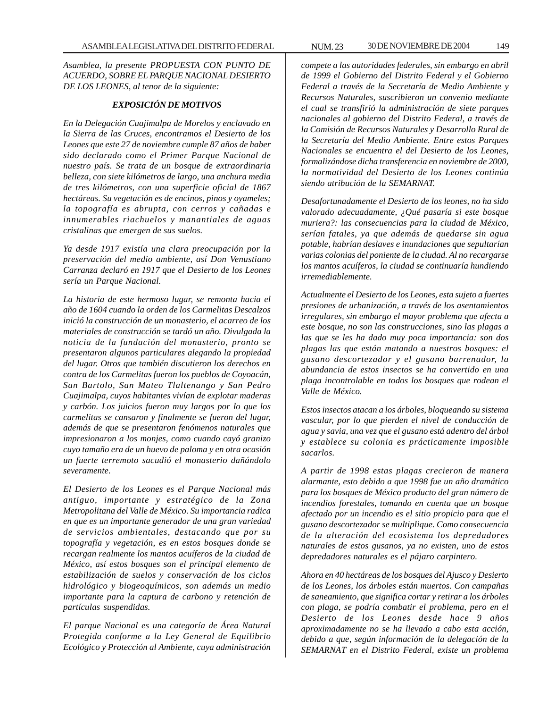*Asamblea, la presente PROPUESTA CON PUNTO DE ACUERDO, SOBRE EL PARQUE NACIONAL DESIERTO DE LOS LEONES, al tenor de la siguiente:*

### *EXPOSICIÓN DE MOTIVOS*

*En la Delegación Cuajimalpa de Morelos y enclavado en la Sierra de las Cruces, encontramos el Desierto de los Leones que este 27 de noviembre cumple 87 años de haber sido declarado como el Primer Parque Nacional de nuestro país. Se trata de un bosque de extraordinaria belleza, con siete kilómetros de largo, una anchura media de tres kilómetros, con una superficie oficial de 1867 hectáreas. Su vegetación es de encinos, pinos y oyameles; la topografía es abrupta, con cerros y cañadas e innumerables riachuelos y manantiales de aguas cristalinas que emergen de sus suelos.*

*Ya desde 1917 existía una clara preocupación por la preservación del medio ambiente, así Don Venustiano Carranza declaró en 1917 que el Desierto de los Leones sería un Parque Nacional.*

*La historia de este hermoso lugar, se remonta hacia el año de 1604 cuando la orden de los Carmelitas Descalzos inició la construcción de un monasterio, el acarreo de los materiales de construcción se tardó un año. Divulgada la noticia de la fundación del monasterio, pronto se presentaron algunos particulares alegando la propiedad del lugar. Otros que también discutieron los derechos en contra de los Carmelitas fueron los pueblos de Coyoacán, San Bartolo, San Mateo Tlaltenango y San Pedro Cuajimalpa, cuyos habitantes vivían de explotar maderas y carbón. Los juicios fueron muy largos por lo que los carmelitas se cansaron y finalmente se fueron del lugar, además de que se presentaron fenómenos naturales que impresionaron a los monjes, como cuando cayó granizo cuyo tamaño era de un huevo de paloma y en otra ocasión un fuerte terremoto sacudió el monasterio dañándolo severamente.*

*El Desierto de los Leones es el Parque Nacional más antiguo, importante y estratégico de la Zona Metropolitana del Valle de México. Su importancia radica en que es un importante generador de una gran variedad de servicios ambientales, destacando que por su topografía y vegetación, es en estos bosques donde se recargan realmente los mantos acuíferos de la ciudad de México, así estos bosques son el principal elemento de estabilización de suelos y conservación de los ciclos hidrológico y biogeoquímicos, son además un medio importante para la captura de carbono y retención de partículas suspendidas.*

*El parque Nacional es una categoría de Área Natural Protegida conforme a la Ley General de Equilibrio Ecológico y Protección al Ambiente, cuya administración*

*compete a las autoridades federales, sin embargo en abril de 1999 el Gobierno del Distrito Federal y el Gobierno Federal a través de la Secretaría de Medio Ambiente y Recursos Naturales, suscribieron un convenio mediante el cual se transfirió la administración de siete parques nacionales al gobierno del Distrito Federal, a través de la Comisión de Recursos Naturales y Desarrollo Rural de la Secretaría del Medio Ambiente. Entre estos Parques Nacionales se encuentra el del Desierto de los Leones, formalizándose dicha transferencia en noviembre de 2000, la normatividad del Desierto de los Leones continúa siendo atribución de la SEMARNAT.*

*Desafortunadamente el Desierto de los leones, no ha sido valorado adecuadamente, ¿Qué pasaría si este bosque muriera?: las consecuencias para la ciudad de México, serían fatales, ya que además de quedarse sin agua potable, habrían deslaves e inundaciones que sepultarían varias colonias del poniente de la ciudad. Al no recargarse los mantos acuíferos, la ciudad se continuaría hundiendo irremediablemente.*

*Actualmente el Desierto de los Leones, esta sujeto a fuertes presiones de urbanización, a través de los asentamientos irregulares, sin embargo el mayor problema que afecta a este bosque, no son las construcciones, sino las plagas a las que se les ha dado muy poca importancia: son dos plagas las que están matando a nuestros bosques: el gusano descortezador y el gusano barrenador, la abundancia de estos insectos se ha convertido en una plaga incontrolable en todos los bosques que rodean el Valle de México.*

*Estos insectos atacan a los árboles, bloqueando su sistema vascular, por lo que pierden el nivel de conducción de agua y savia, una vez que el gusano está adentro del árbol y establece su colonia es prácticamente imposible sacarlos.*

*A partir de 1998 estas plagas crecieron de manera alarmante, esto debido a que 1998 fue un año dramático para los bosques de México producto del gran número de incendios forestales, tomando en cuenta que un bosque afectado por un incendio es el sitio propicio para que el gusano descortezador se multiplique. Como consecuencia de la alteración del ecosistema los depredadores naturales de estos gusanos, ya no existen, uno de estos depredadores naturales es el pájaro carpintero.*

*Ahora en 40 hectáreas de los bosques del Ajusco y Desierto de los Leones, los árboles están muertos. Con campañas de saneamiento, que significa cortar y retirar a los árboles con plaga, se podría combatir el problema, pero en el Desierto de los Leones desde hace 9 años aproximadamente no se ha llevado a cabo esta acción, debido a que, según información de la delegación de la SEMARNAT en el Distrito Federal, existe un problema*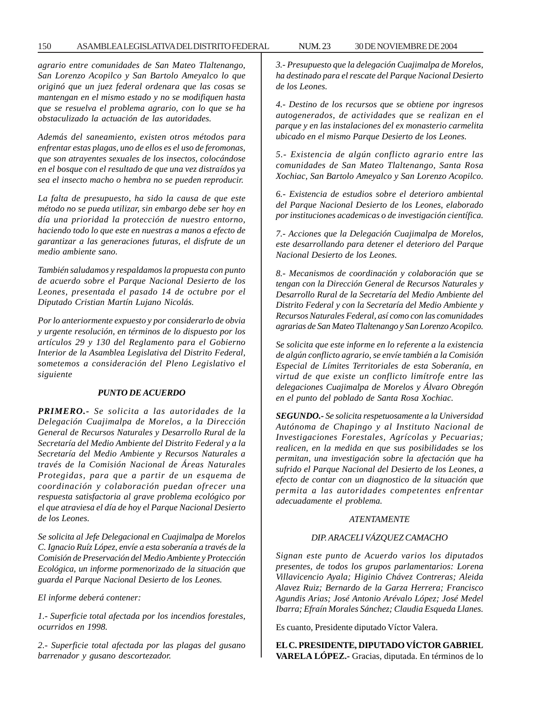#### 150 ASAMBLEA LEGISLATIVA DEL DISTRITO FEDERAL NUM. 23 30 DE NOVIEMBRE DE 2004

*agrario entre comunidades de San Mateo Tlaltenango, San Lorenzo Acopilco y San Bartolo Ameyalco lo que originó que un juez federal ordenara que las cosas se mantengan en el mismo estado y no se modifiquen hasta que se resuelva el problema agrario, con lo que se ha obstaculizado la actuación de las autoridades.*

*Además del saneamiento, existen otros métodos para enfrentar estas plagas, uno de ellos es el uso de feromonas, que son atrayentes sexuales de los insectos, colocándose en el bosque con el resultado de que una vez distraídos ya sea el insecto macho o hembra no se pueden reproducir.*

*La falta de presupuesto, ha sido la causa de que este método no se pueda utilizar, sin embargo debe ser hoy en día una prioridad la protección de nuestro entorno, haciendo todo lo que este en nuestras a manos a efecto de garantizar a las generaciones futuras, el disfrute de un medio ambiente sano.*

*También saludamos y respaldamos la propuesta con punto de acuerdo sobre el Parque Nacional Desierto de los Leones, presentada el pasado 14 de octubre por el Diputado Cristian Martín Lujano Nicolás.*

*Por lo anteriormente expuesto y por considerarlo de obvia y urgente resolución, en términos de lo dispuesto por los artículos 29 y 130 del Reglamento para el Gobierno Interior de la Asamblea Legislativa del Distrito Federal, sometemos a consideración del Pleno Legislativo el siguiente*

### *PUNTO DE ACUERDO*

*PRIMERO.- Se solicita a las autoridades de la Delegación Cuajimalpa de Morelos, a la Dirección General de Recursos Naturales y Desarrollo Rural de la Secretaría del Medio Ambiente del Distrito Federal y a la Secretaría del Medio Ambiente y Recursos Naturales a través de la Comisión Nacional de Áreas Naturales Protegidas, para que a partir de un esquema de coordinación y colaboración puedan ofrecer una respuesta satisfactoria al grave problema ecológico por el que atraviesa el día de hoy el Parque Nacional Desierto de los Leones.*

*Se solicita al Jefe Delegacional en Cuajimalpa de Morelos C. Ignacio Ruíz López, envíe a esta soberanía a través de la Comisión de Preservación del Medio Ambiente y Protección Ecológica, un informe pormenorizado de la situación que guarda el Parque Nacional Desierto de los Leones.*

*El informe deberá contener:*

*1.- Superficie total afectada por los incendios forestales, ocurridos en 1998.*

*2.- Superficie total afectada por las plagas del gusano barrenador y gusano descortezador.*

*3.- Presupuesto que la delegación Cuajimalpa de Morelos, ha destinado para el rescate del Parque Nacional Desierto de los Leones.*

*4.- Destino de los recursos que se obtiene por ingresos autogenerados, de actividades que se realizan en el parque y en las instalaciones del ex monasterio carmelita ubicado en el mismo Parque Desierto de los Leones.*

*5.- Existencia de algún conflicto agrario entre las comunidades de San Mateo Tlaltenango, Santa Rosa Xochiac, San Bartolo Ameyalco y San Lorenzo Acopilco.*

*6.- Existencia de estudios sobre el deterioro ambiental del Parque Nacional Desierto de los Leones, elaborado por instituciones academicas o de investigación científica.*

*7.- Acciones que la Delegación Cuajimalpa de Morelos, este desarrollando para detener el deterioro del Parque Nacional Desierto de los Leones.*

*8.- Mecanismos de coordinación y colaboración que se tengan con la Dirección General de Recursos Naturales y Desarrollo Rural de la Secretaría del Medio Ambiente del Distrito Federal y con la Secretaría del Medio Ambiente y Recursos Naturales Federal, así como con las comunidades agrarias de San Mateo Tlaltenango y San Lorenzo Acopilco.*

*Se solicita que este informe en lo referente a la existencia de algún conflicto agrario, se envíe también a la Comisión Especial de Límites Territoriales de esta Soberanía, en virtud de que existe un conflicto limítrofe entre las delegaciones Cuajimalpa de Morelos y Álvaro Obregón en el punto del poblado de Santa Rosa Xochiac.*

*SEGUNDO.- Se solicita respetuosamente a la Universidad Autónoma de Chapingo y al Instituto Nacional de Investigaciones Forestales, Agrícolas y Pecuarias; realicen, en la medida en que sus posibilidades se los permitan, una investigación sobre la afectación que ha sufrido el Parque Nacional del Desierto de los Leones, a efecto de contar con un diagnostico de la situación que permita a las autoridades competentes enfrentar adecuadamente el problema.*

#### *ATENTAMENTE*

## *DIP. ARACELI VÁZQUEZ CAMACHO*

*Signan este punto de Acuerdo varios los diputados presentes, de todos los grupos parlamentarios: Lorena Villavicencio Ayala; Higinio Chávez Contreras; Aleida Alavez Ruiz; Bernardo de la Garza Herrera; Francisco Agundis Arias; José Antonio Arévalo López; José Medel Ibarra; Efraín Morales Sánchez; Claudia Esqueda Llanes.*

Es cuanto, Presidente diputado Víctor Valera.

**EL C. PRESIDENTE, DIPUTADO VÍCTOR GABRIEL VARELA LÓPEZ.-** Gracias, diputada. En términos de lo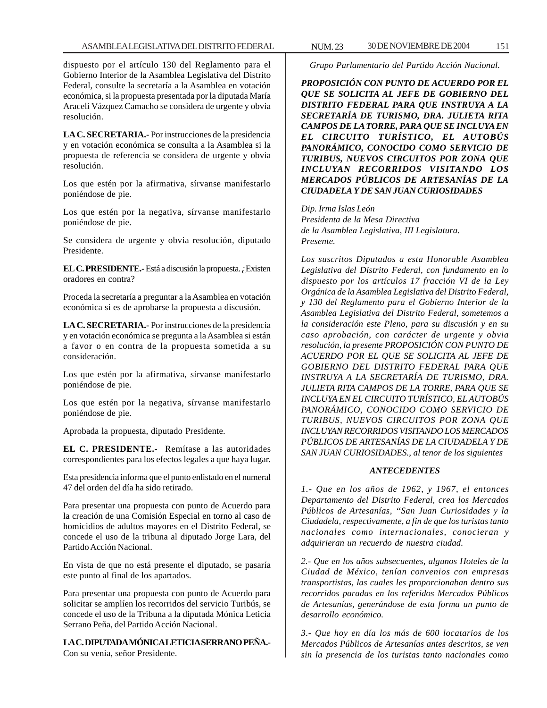dispuesto por el artículo 130 del Reglamento para el Gobierno Interior de la Asamblea Legislativa del Distrito Federal, consulte la secretaría a la Asamblea en votación económica, si la propuesta presentada por la diputada María Araceli Vázquez Camacho se considera de urgente y obvia resolución.

**LA C. SECRETARIA.-** Por instrucciones de la presidencia y en votación económica se consulta a la Asamblea si la propuesta de referencia se considera de urgente y obvia resolución.

Los que estén por la afirmativa, sírvanse manifestarlo poniéndose de pie.

Los que estén por la negativa, sírvanse manifestarlo poniéndose de pie.

Se considera de urgente y obvia resolución, diputado Presidente.

**EL C. PRESIDENTE.-** Está a discusión la propuesta. ¿Existen oradores en contra?

Proceda la secretaría a preguntar a la Asamblea en votación económica si es de aprobarse la propuesta a discusión.

**LA C. SECRETARIA.-** Por instrucciones de la presidencia y en votación económica se pregunta a la Asamblea si están a favor o en contra de la propuesta sometida a su consideración.

Los que estén por la afirmativa, sírvanse manifestarlo poniéndose de pie.

Los que estén por la negativa, sírvanse manifestarlo poniéndose de pie.

Aprobada la propuesta, diputado Presidente.

**EL C. PRESIDENTE.-** Remítase a las autoridades correspondientes para los efectos legales a que haya lugar.

Esta presidencia informa que el punto enlistado en el numeral 47 del orden del día ha sido retirado.

Para presentar una propuesta con punto de Acuerdo para la creación de una Comisión Especial en torno al caso de homicidios de adultos mayores en el Distrito Federal, se concede el uso de la tribuna al diputado Jorge Lara, del Partido Acción Nacional.

En vista de que no está presente el diputado, se pasaría este punto al final de los apartados.

Para presentar una propuesta con punto de Acuerdo para solicitar se amplíen los recorridos del servicio Turibús, se concede el uso de la Tribuna a la diputada Mónica Leticia Serrano Peña, del Partido Acción Nacional.

**LA C. DIPUTADA MÓNICA LETICIA SERRANO PEÑA.-** Con su venia, señor Presidente.

*Grupo Parlamentario del Partido Acción Nacional.*

*PROPOSICIÓN CON PUNTO DE ACUERDO POR EL QUE SE SOLICITA AL JEFE DE GOBIERNO DEL DISTRITO FEDERAL PARA QUE INSTRUYA A LA SECRETARÍA DE TURISMO, DRA. JULIETA RITA CAMPOS DE LA TORRE, PARA QUE SE INCLUYA EN EL CIRCUITO TURÍSTICO, EL AUTOBÚS PANORÁMICO, CONOCIDO COMO SERVICIO DE TURIBUS, NUEVOS CIRCUITOS POR ZONA QUE INCLUYAN RECORRIDOS VISITANDO LOS MERCADOS PÚBLICOS DE ARTESANÍAS DE LA CIUDADELA Y DE SAN JUAN CURIOSIDADES*

*Dip. Irma Islas León Presidenta de la Mesa Directiva de la Asamblea Legislativa, III Legislatura. Presente.*

*Los suscritos Diputados a esta Honorable Asamblea Legislativa del Distrito Federal, con fundamento en lo dispuesto por los artículos 17 fracción VI de la Ley Orgánica de la Asamblea Legislativa del Distrito Federal, y 130 del Reglamento para el Gobierno Interior de la Asamblea Legislativa del Distrito Federal, sometemos a la consideración este Pleno, para su discusión y en su caso aprobación, con carácter de urgente y obvia resolución, la presente PROPOSICIÓN CON PUNTO DE ACUERDO POR EL QUE SE SOLICITA AL JEFE DE GOBIERNO DEL DISTRITO FEDERAL PARA QUE INSTRUYA A LA SECRETARÍA DE TURISMO, DRA. JULIETA RITA CAMPOS DE LA TORRE, PARA QUE SE INCLUYA EN EL CIRCUITO TURÍSTICO, EL AUTOBÚS PANORÁMICO, CONOCIDO COMO SERVICIO DE TURIBUS, NUEVOS CIRCUITOS POR ZONA QUE INCLUYAN RECORRIDOS VISITANDO LOS MERCADOS PÚBLICOS DE ARTESANÍAS DE LA CIUDADELA Y DE SAN JUAN CURIOSIDADES., al tenor de los siguientes*

## *ANTECEDENTES*

*1.- Que en los años de 1962, y 1967, el entonces Departamento del Distrito Federal, crea los Mercados Públicos de Artesanías, ''San Juan Curiosidades y la Ciudadela, respectivamente, a fin de que los turistas tanto nacionales como internacionales, conocieran y adquirieran un recuerdo de nuestra ciudad.*

*2.- Que en los años subsecuentes, algunos Hoteles de la Ciudad de México, tenían convenios con empresas transportistas, las cuales les proporcionaban dentro sus recorridos paradas en los referidos Mercados Públicos de Artesanías, generándose de esta forma un punto de desarrollo económico.*

*3.- Que hoy en día los más de 600 locatarios de los Mercados Públicos de Artesanías antes descritos, se ven sin la presencia de los turistas tanto nacionales como*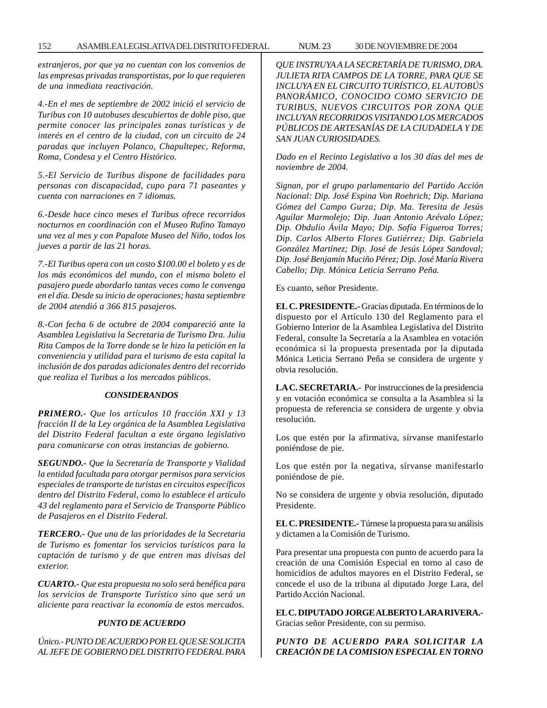*extranjeros, por que ya no cuentan con los convenios de las empresas privadas transportistas, por lo que requieren de una inmediata reactivación.*

*4.-En el mes de septiembre de 2002 inició el servicio de Turibus con 10 autobuses descubiertos de doble piso, que permite conocer las principales zonas turísticas y de interés en el centro de la ciudad, con un circuito de 24 paradas que incluyen Polanco, Chapultepec, Reforma, Roma, Condesa y el Centro Histórico.*

*5.-El Servicio de Turibus dispone de facilidades para personas con discapacidad, cupo para 71 paseantes y cuenta con narraciones en 7 idiomas.*

*6.-Desde hace cinco meses el Turibus ofrece recorridos nocturnos en coordinación con el Museo Rufino Tamayo una vez al mes y con Papalote Museo del Niño, todos los jueves a partir de las 21 horas.*

*7.-El Turibus opera con un costo \$100.00 el boleto y es de los más económicos del mundo, con el mismo boleto el pasajero puede abordarlo tantas veces como le convenga en el día. Desde su inicio de operaciones; hasta septiembre de 2004 atendió a 366 815 pasajeros.*

*8.-Con fecha 6 de octubre de 2004 compareció ante la Asamblea Legislativa la Secretaria de Turismo Dra. Julia Rita Campos de la Torre donde se le hizo la petición en la conveniencia y utilidad para el turismo de esta capital la inclusión de dos paradas adicionales dentro del recorrido que realiza el Turibus a los mercados públicos.*

### *CONSIDERANDOS*

*PRIMERO.- Que los artículos 10 fracción XXI y 13 fracción II de la Ley orgánica de la Asamblea Legislativa del Distrito Federal facultan a este órgano legislativo para comunicarse con otras instancias de gobierno.*

*SEGUNDO.- Que la Secretaría de Transporte y Vialidad la entidad facultada para otorgar permisos para servicios especiales de transporte de turistas en circuitos específicos dentro del Distrito Federal, como lo establece el artículo 43 del reglamento para el Servicio de Transporte Público de Pasajeros en el Distrito Federal.*

*TERCERO.- Que una de las prioridades de la Secretaria de Turismo es fomentar los servicios turísticos para la captación de turismo y de que entren mas divisas del exterior.*

*CUARTO.- Que esta propuesta no solo será benéfica para los servicios de Transporte Turístico sino que será un aliciente para reactivar la economía de estos mercados.*

#### *PUNTO DE ACUERDO*

*Único.- PUNTO DE ACUERDO POR EL QUE SE SOLICITA AL JEFE DE GOBIERNO DEL DISTRITO FEDERAL PARA* *QUE INSTRUYA A LA SECRETARÍA DE TURISMO, DRA. JULIETA RITA CAMPOS DE LA TORRE, PARA QUE SE INCLUYA EN EL CIRCUITO TURÍSTICO, EL AUTOBÚS PANORÁMICO, CONOCIDO COMO SERVICIO DE TURIBUS, NUEVOS CIRCUITOS POR ZONA QUE INCLUYAN RECORRIDOS VISITANDO LOS MERCADOS PÚBLICOS DE ARTESANÍAS DE LA CIUDADELA Y DE SAN JUAN CURIOSIDADES.*

*Dado en el Recinto Legislativo a los 30 días del mes de noviembre de 2004.*

*Signan, por el grupo parlamentario del Partido Acción Nacional: Dip. José Espina Von Roehrich; Dip. Mariana Gómez del Campo Gurza; Dip. Ma. Teresita de Jesús Aguilar Marmolejo; Dip. Juan Antonio Arévalo López; Dip. Obdulio Ávila Mayo; Dip. Sofía Figueroa Torres; Dip. Carlos Alberto Flores Gutiérrez; Dip. Gabriela González Martínez; Dip. José de Jesús López Sandoval; Dip. José Benjamín Muciño Pérez; Dip. José María Rivera Cabello; Dip. Mónica Leticia Serrano Peña.*

Es cuanto, señor Presidente.

**EL C. PRESIDENTE.-** Gracias diputada. En términos de lo dispuesto por el Artículo 130 del Reglamento para el Gobierno Interior de la Asamblea Legislativa del Distrito Federal, consulte la Secretaría a la Asamblea en votación económica si la propuesta presentada por la diputada Mónica Leticia Serrano Peña se considera de urgente y obvia resolución.

**LA C. SECRETARIA.-** Por instrucciones de la presidencia y en votación económica se consulta a la Asamblea si la propuesta de referencia se considera de urgente y obvia resolución.

Los que estén por la afirmativa, sírvanse manifestarlo poniéndose de pie.

Los que estén por la negativa, sírvanse manifestarlo poniéndose de pie.

No se considera de urgente y obvia resolución, diputado Presidente.

**EL C. PRESIDENTE.-** Túrnese la propuesta para su análisis y dictamen a la Comisión de Turismo.

Para presentar una propuesta con punto de acuerdo para la creación de una Comisión Especial en torno al caso de homicidios de adultos mayores en el Distrito Federal, se concede el uso de la tribuna al diputado Jorge Lara, del Partido Acción Nacional.

**EL C. DIPUTADO JORGE ALBERTO LARA RIVERA.-** Gracias señor Presidente, con su permiso.

## *PUNTO DE ACUERDO PARA SOLICITAR LA CREACIÓN DE LA COMISION ESPECIAL EN TORNO*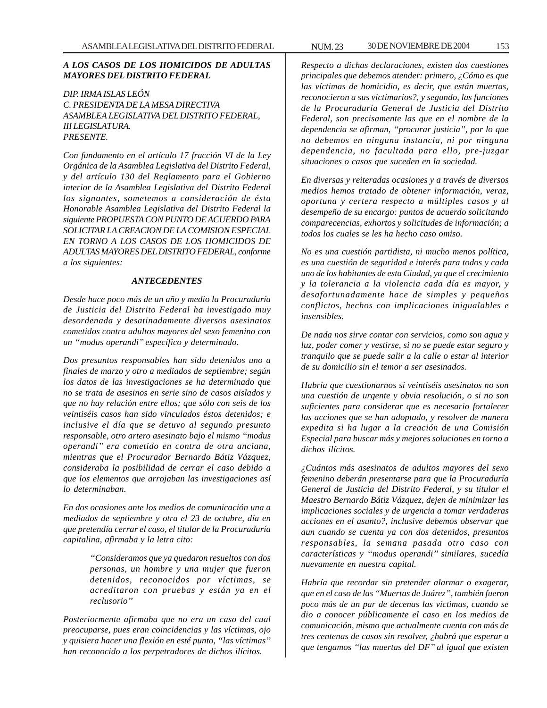## *A LOS CASOS DE LOS HOMICIDOS DE ADULTAS MAYORES DEL DISTRITO FEDERAL*

*DIP. IRMA ISLAS LEÓN C. PRESIDENTA DE LA MESA DIRECTIVA ASAMBLEA LEGISLATIVA DEL DISTRITO FEDERAL, III LEGISLATURA. PRESENTE.*

*Con fundamento en el artículo 17 fracción VI de la Ley Orgánica de la Asamblea Legislativa del Distrito Federal, y del artículo 130 del Reglamento para el Gobierno interior de la Asamblea Legislativa del Distrito Federal los signantes, sometemos a consideración de ésta Honorable Asamblea Legislativa del Distrito Federal la siguiente PROPUESTA CON PUNTO DE ACUERDO PARA SOLICITAR LA CREACION DE LA COMISION ESPECIAL EN TORNO A LOS CASOS DE LOS HOMICIDOS DE ADULTAS MAYORES DEL DISTRITO FEDERAL, conforme a los siguientes:*

#### *ANTECEDENTES*

*Desde hace poco más de un año y medio la Procuraduría de Justicia del Distrito Federal ha investigado muy desordenada y desatinadamente diversos asesinatos cometidos contra adultos mayores del sexo femenino con un ''modus operandi'' específico y determinado.*

*Dos presuntos responsables han sido detenidos uno a finales de marzo y otro a mediados de septiembre; según los datos de las investigaciones se ha determinado que no se trata de asesinos en serie sino de casos aislados y que no hay relación entre ellos; que sólo con seis de los veintiséis casos han sido vinculados éstos detenidos; e inclusive el día que se detuvo al segundo presunto responsable, otro artero asesinato bajo el mismo ''modus operandi'' era cometido en contra de otra anciana, mientras que el Procurador Bernardo Bátiz Vázquez, consideraba la posibilidad de cerrar el caso debido a que los elementos que arrojaban las investigaciones así lo determinaban.*

*En dos ocasiones ante los medios de comunicación una a mediados de septiembre y otra el 23 de octubre, día en que pretendía cerrar el caso, el titular de la Procuraduría capitalina, afirmaba y la letra cito:*

> *''Consideramos que ya quedaron resueltos con dos personas, un hombre y una mujer que fueron detenidos, reconocidos por víctimas, se acreditaron con pruebas y están ya en el reclusorio''*

*Posteriormente afirmaba que no era un caso del cual preocuparse, pues eran coincidencias y las víctimas, ojo y quisiera hacer una flexión en esté punto, ''las víctimas'' han reconocido a los perpetradores de dichos ilícitos.*

*Respecto a dichas declaraciones, existen dos cuestiones principales que debemos atender: primero, ¿Cómo es que las víctimas de homicidio, es decir, que están muertas, reconocieron a sus victimarios?, y segundo, las funciones de la Procuraduría General de Justicia del Distrito Federal, son precisamente las que en el nombre de la dependencia se afirman, ''procurar justicia'', por lo que no debemos en ninguna instancia, ni por ninguna dependencia, no facultada para ello, pre-juzgar situaciones o casos que suceden en la sociedad.*

*En diversas y reiteradas ocasiones y a través de diversos medios hemos tratado de obtener información, veraz, oportuna y certera respecto a múltiples casos y al desempeño de su encargo: puntos de acuerdo solicitando comparecencias, exhortos y solicitudes de información; a todos los cuales se les ha hecho caso omiso.*

*No es una cuestión partidista, ni mucho menos política, es una cuestión de seguridad e interés para todos y cada uno de los habitantes de esta Ciudad, ya que el crecimiento y la tolerancia a la violencia cada día es mayor, y desafortunadamente hace de simples y pequeños conflictos, hechos con implicaciones inigualables e insensibles.*

*De nada nos sirve contar con servicios, como son agua y luz, poder comer y vestirse, si no se puede estar seguro y tranquilo que se puede salir a la calle o estar al interior de su domicilio sin el temor a ser asesinados.*

*Habría que cuestionarnos si veintiséis asesinatos no son una cuestión de urgente y obvia resolución, o si no son suficientes para considerar que es necesario fortalecer las acciones que se han adoptado, y resolver de manera expedita si ha lugar a la creación de una Comisión Especial para buscar más y mejores soluciones en torno a dichos ilícitos.*

*¿Cuántos más asesinatos de adultos mayores del sexo femenino deberán presentarse para que la Procuraduría General de Justicia del Distrito Federal, y su titular el Maestro Bernardo Bátiz Vázquez, dejen de minimizar las implicaciones sociales y de urgencia a tomar verdaderas acciones en el asunto?, inclusive debemos observar que aun cuando se cuenta ya con dos detenidos, presuntos responsables, la semana pasada otro caso con características y ''modus operandi'' similares, sucedía nuevamente en nuestra capital.*

*Habría que recordar sin pretender alarmar o exagerar, que en el caso de las ''Muertas de Juárez'', también fueron poco más de un par de decenas las víctimas, cuando se dio a conocer públicamente el caso en los medios de comunicación, mismo que actualmente cuenta con más de tres centenas de casos sin resolver, ¿habrá que esperar a que tengamos ''las muertas del DF'' al igual que existen*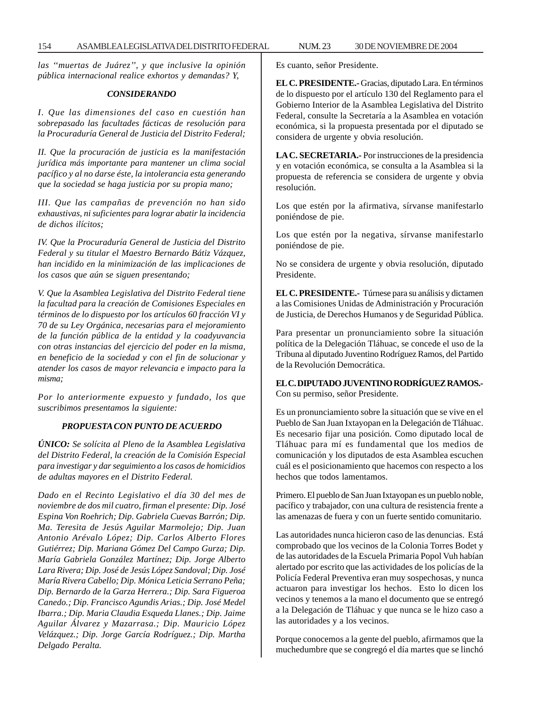*las ''muertas de Juárez'', y que inclusive la opinión pública internacional realice exhortos y demandas? Y,*

## *CONSIDERANDO*

*I. Que las dimensiones del caso en cuestión han sobrepasado las facultades fácticas de resolución para la Procuraduría General de Justicia del Distrito Federal;*

*II. Que la procuración de justicia es la manifestación jurídica más importante para mantener un clima social pacífico y al no darse éste, la intolerancia esta generando que la sociedad se haga justicia por su propia mano;*

*III. Que las campañas de prevención no han sido exhaustivas, ni suficientes para lograr abatir la incidencia de dichos ilícitos;*

*IV. Que la Procuraduría General de Justicia del Distrito Federal y su titular el Maestro Bernardo Bátiz Vázquez, han incidido en la minimización de las implicaciones de los casos que aún se siguen presentando;*

*V. Que la Asamblea Legislativa del Distrito Federal tiene la facultad para la creación de Comisiones Especiales en términos de lo dispuesto por los artículos 60 fracción VI y 70 de su Ley Orgánica, necesarias para el mejoramiento de la función pública de la entidad y la coadyuvancia con otras instancias del ejercicio del poder en la misma, en beneficio de la sociedad y con el fin de solucionar y atender los casos de mayor relevancia e impacto para la misma;*

*Por lo anteriormente expuesto y fundado, los que suscribimos presentamos la siguiente:*

### *PROPUESTA CON PUNTO DE ACUERDO*

*ÚNICO: Se solícita al Pleno de la Asamblea Legislativa del Distrito Federal, la creación de la Comisión Especial para investigar y dar seguimiento a los casos de homicidios de adultas mayores en el Distrito Federal.*

*Dado en el Recinto Legislativo el día 30 del mes de noviembre de dos mil cuatro, firman el presente: Dip. José Espina Von Roehrich; Dip. Gabriela Cuevas Barrón; Dip. Ma. Teresita de Jesús Aguilar Marmolejo; Dip. Juan Antonio Arévalo López; Dip. Carlos Alberto Flores Gutiérrez; Dip. Mariana Gómez Del Campo Gurza; Dip. María Gabriela González Martínez; Dip. Jorge Alberto Lara Rivera; Dip. José de Jesús López Sandoval; Dip. José María Rivera Cabello; Dip. Mónica Leticia Serrano Peña; Dip. Bernardo de la Garza Herrera.; Dip. Sara Figueroa Canedo.; Dip. Francisco Agundis Arias.; Dip. José Medel Ibarra.; Dip. Maria Claudia Esqueda Llanes.; Dip. Jaime Aguilar Álvarez y Mazarrasa.; Dip. Mauricio López Velázquez.; Dip. Jorge García Rodríguez.; Dip. Martha Delgado Peralta.*

Es cuanto, señor Presidente.

**EL C. PRESIDENTE.-** Gracias, diputado Lara. En términos de lo dispuesto por el artículo 130 del Reglamento para el Gobierno Interior de la Asamblea Legislativa del Distrito Federal, consulte la Secretaría a la Asamblea en votación económica, si la propuesta presentada por el diputado se considera de urgente y obvia resolución.

**LA C. SECRETARIA.-** Por instrucciones de la presidencia y en votación económica, se consulta a la Asamblea si la propuesta de referencia se considera de urgente y obvia resolución.

Los que estén por la afirmativa, sírvanse manifestarlo poniéndose de pie.

Los que estén por la negativa, sírvanse manifestarlo poniéndose de pie.

No se considera de urgente y obvia resolución, diputado Presidente.

**EL C. PRESIDENTE.-** Túrnese para su análisis y dictamen a las Comisiones Unidas de Administración y Procuración de Justicia, de Derechos Humanos y de Seguridad Pública.

Para presentar un pronunciamiento sobre la situación política de la Delegación Tláhuac, se concede el uso de la Tribuna al diputado Juventino Rodríguez Ramos, del Partido de la Revolución Democrática.

## **EL C. DIPUTADO JUVENTINO RODRÍGUEZ RAMOS.-** Con su permiso, señor Presidente.

Es un pronunciamiento sobre la situación que se vive en el Pueblo de San Juan Ixtayopan en la Delegación de Tláhuac. Es necesario fijar una posición. Como diputado local de Tláhuac para mí es fundamental que los medios de comunicación y los diputados de esta Asamblea escuchen cuál es el posicionamiento que hacemos con respecto a los hechos que todos lamentamos.

Primero. El pueblo de San Juan Ixtayopan es un pueblo noble, pacífico y trabajador, con una cultura de resistencia frente a las amenazas de fuera y con un fuerte sentido comunitario.

Las autoridades nunca hicieron caso de las denuncias. Está comprobado que los vecinos de la Colonia Torres Bodet y de las autoridades de la Escuela Primaria Popol Vuh habían alertado por escrito que las actividades de los policías de la Policía Federal Preventiva eran muy sospechosas, y nunca actuaron para investigar los hechos. Esto lo dicen los vecinos y tenemos a la mano el documento que se entregó a la Delegación de Tláhuac y que nunca se le hizo caso a las autoridades y a los vecinos.

Porque conocemos a la gente del pueblo, afirmamos que la muchedumbre que se congregó el día martes que se linchó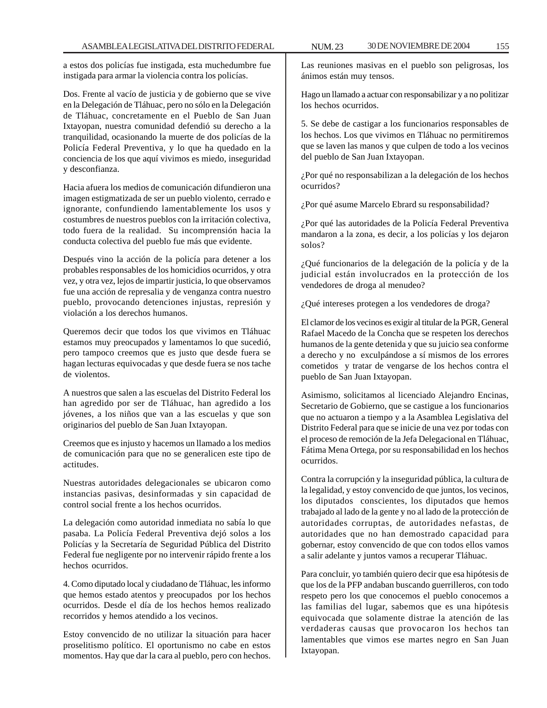a estos dos policías fue instigada, esta muchedumbre fue instigada para armar la violencia contra los policías.

Dos. Frente al vacío de justicia y de gobierno que se vive en la Delegación de Tláhuac, pero no sólo en la Delegación de Tláhuac, concretamente en el Pueblo de San Juan Ixtayopan, nuestra comunidad defendió su derecho a la tranquilidad, ocasionando la muerte de dos policías de la Policía Federal Preventiva, y lo que ha quedado en la conciencia de los que aquí vivimos es miedo, inseguridad y desconfianza.

Hacia afuera los medios de comunicación difundieron una imagen estigmatizada de ser un pueblo violento, cerrado e ignorante, confundiendo lamentablemente los usos y costumbres de nuestros pueblos con la irritación colectiva, todo fuera de la realidad. Su incomprensión hacia la conducta colectiva del pueblo fue más que evidente.

Después vino la acción de la policía para detener a los probables responsables de los homicidios ocurridos, y otra vez, y otra vez, lejos de impartir justicia, lo que observamos fue una acción de represalia y de venganza contra nuestro pueblo, provocando detenciones injustas, represión y violación a los derechos humanos.

Queremos decir que todos los que vivimos en Tláhuac estamos muy preocupados y lamentamos lo que sucedió, pero tampoco creemos que es justo que desde fuera se hagan lecturas equivocadas y que desde fuera se nos tache de violentos.

A nuestros que salen a las escuelas del Distrito Federal los han agredido por ser de Tláhuac, han agredido a los jóvenes, a los niños que van a las escuelas y que son originarios del pueblo de San Juan Ixtayopan.

Creemos que es injusto y hacemos un llamado a los medios de comunicación para que no se generalicen este tipo de actitudes.

Nuestras autoridades delegacionales se ubicaron como instancias pasivas, desinformadas y sin capacidad de control social frente a los hechos ocurridos.

La delegación como autoridad inmediata no sabía lo que pasaba. La Policía Federal Preventiva dejó solos a los Policías y la Secretaría de Seguridad Pública del Distrito Federal fue negligente por no intervenir rápido frente a los hechos ocurridos.

4. Como diputado local y ciudadano de Tláhuac, les informo que hemos estado atentos y preocupados por los hechos ocurridos. Desde el día de los hechos hemos realizado recorridos y hemos atendido a los vecinos.

Estoy convencido de no utilizar la situación para hacer proselitismo político. El oportunismo no cabe en estos momentos. Hay que dar la cara al pueblo, pero con hechos.

Las reuniones masivas en el pueblo son peligrosas, los ánimos están muy tensos.

Hago un llamado a actuar con responsabilizar y a no politizar los hechos ocurridos.

5. Se debe de castigar a los funcionarios responsables de los hechos. Los que vivimos en Tláhuac no permitiremos que se laven las manos y que culpen de todo a los vecinos del pueblo de San Juan Ixtayopan.

¿Por qué no responsabilizan a la delegación de los hechos ocurridos?

¿Por qué asume Marcelo Ebrard su responsabilidad?

¿Por qué las autoridades de la Policía Federal Preventiva mandaron a la zona, es decir, a los policías y los dejaron solos?

¿Qué funcionarios de la delegación de la policía y de la judicial están involucrados en la protección de los vendedores de droga al menudeo?

¿Qué intereses protegen a los vendedores de droga?

El clamor de los vecinos es exigir al titular de la PGR, General Rafael Macedo de la Concha que se respeten los derechos humanos de la gente detenida y que su juicio sea conforme a derecho y no exculpándose a sí mismos de los errores cometidos y tratar de vengarse de los hechos contra el pueblo de San Juan Ixtayopan.

Asimismo, solicitamos al licenciado Alejandro Encinas, Secretario de Gobierno, que se castigue a los funcionarios que no actuaron a tiempo y a la Asamblea Legislativa del Distrito Federal para que se inicie de una vez por todas con el proceso de remoción de la Jefa Delegacional en Tláhuac, Fátima Mena Ortega, por su responsabilidad en los hechos ocurridos.

Contra la corrupción y la inseguridad pública, la cultura de la legalidad, y estoy convencido de que juntos, los vecinos, los diputados conscientes, los diputados que hemos trabajado al lado de la gente y no al lado de la protección de autoridades corruptas, de autoridades nefastas, de autoridades que no han demostrado capacidad para gobernar, estoy convencido de que con todos ellos vamos a salir adelante y juntos vamos a recuperar Tláhuac.

Para concluir, yo también quiero decir que esa hipótesis de que los de la PFP andaban buscando guerrilleros, con todo respeto pero los que conocemos el pueblo conocemos a las familias del lugar, sabemos que es una hipótesis equivocada que solamente distrae la atención de las verdaderas causas que provocaron los hechos tan lamentables que vimos ese martes negro en San Juan Ixtayopan.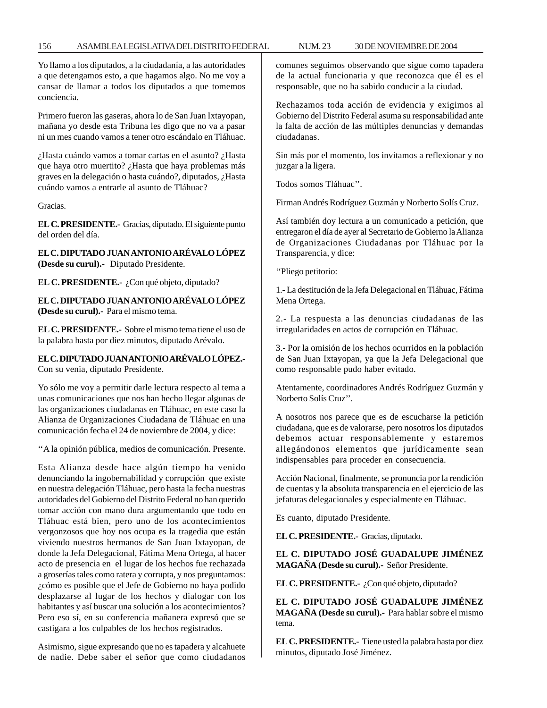Yo llamo a los diputados, a la ciudadanía, a las autoridades a que detengamos esto, a que hagamos algo. No me voy a cansar de llamar a todos los diputados a que tomemos conciencia.

Primero fueron las gaseras, ahora lo de San Juan Ixtayopan, mañana yo desde esta Tribuna les digo que no va a pasar ni un mes cuando vamos a tener otro escándalo en Tláhuac.

¿Hasta cuándo vamos a tomar cartas en el asunto? ¿Hasta que haya otro muertito? ¿Hasta que haya problemas más graves en la delegación o hasta cuándo?, diputados, ¿Hasta cuándo vamos a entrarle al asunto de Tláhuac?

Gracias.

**EL C. PRESIDENTE.-** Gracias, diputado. El siguiente punto del orden del día.

**EL C. DIPUTADO JUAN ANTONIO ARÉVALO LÓPEZ (Desde su curul).-** Diputado Presidente.

**EL C. PRESIDENTE.-** ¿Con qué objeto, diputado?

**EL C. DIPUTADO JUAN ANTONIO ARÉVALO LÓPEZ (Desde su curul).-** Para el mismo tema.

**EL C. PRESIDENTE.-** Sobre el mismo tema tiene el uso de la palabra hasta por diez minutos, diputado Arévalo.

**EL C. DIPUTADO JUAN ANTONIO ARÉVALO LÓPEZ.-** Con su venia, diputado Presidente.

Yo sólo me voy a permitir darle lectura respecto al tema a unas comunicaciones que nos han hecho llegar algunas de las organizaciones ciudadanas en Tláhuac, en este caso la Alianza de Organizaciones Ciudadana de Tláhuac en una comunicación fecha el 24 de noviembre de 2004, y dice:

''A la opinión pública, medios de comunicación. Presente.

Esta Alianza desde hace algún tiempo ha venido denunciando la ingobernabilidad y corrupción que existe en nuestra delegación Tláhuac, pero hasta la fecha nuestras autoridades del Gobierno del Distrito Federal no han querido tomar acción con mano dura argumentando que todo en Tláhuac está bien, pero uno de los acontecimientos vergonzosos que hoy nos ocupa es la tragedia que están viviendo nuestros hermanos de San Juan Ixtayopan, de donde la Jefa Delegacional, Fátima Mena Ortega, al hacer acto de presencia en el lugar de los hechos fue rechazada a groserías tales como ratera y corrupta, y nos preguntamos: ¿cómo es posible que el Jefe de Gobierno no haya podido desplazarse al lugar de los hechos y dialogar con los habitantes y así buscar una solución a los acontecimientos? Pero eso sí, en su conferencia mañanera expresó que se castigara a los culpables de los hechos registrados.

Asimismo, sigue expresando que no es tapadera y alcahuete de nadie. Debe saber el señor que como ciudadanos comunes seguimos observando que sigue como tapadera de la actual funcionaria y que reconozca que él es el responsable, que no ha sabido conducir a la ciudad.

Rechazamos toda acción de evidencia y exigimos al Gobierno del Distrito Federal asuma su responsabilidad ante la falta de acción de las múltiples denuncias y demandas ciudadanas.

Sin más por el momento, los invitamos a reflexionar y no juzgar a la ligera.

Todos somos Tláhuac''.

Firman Andrés Rodríguez Guzmán y Norberto Solís Cruz.

Así también doy lectura a un comunicado a petición, que entregaron el día de ayer al Secretario de Gobierno la Alianza de Organizaciones Ciudadanas por Tláhuac por la Transparencia, y dice:

''Pliego petitorio:

1.- La destitución de la Jefa Delegacional en Tláhuac, Fátima Mena Ortega.

2.- La respuesta a las denuncias ciudadanas de las irregularidades en actos de corrupción en Tláhuac.

3.- Por la omisión de los hechos ocurridos en la población de San Juan Ixtayopan, ya que la Jefa Delegacional que como responsable pudo haber evitado.

Atentamente, coordinadores Andrés Rodríguez Guzmán y Norberto Solís Cruz''.

A nosotros nos parece que es de escucharse la petición ciudadana, que es de valorarse, pero nosotros los diputados debemos actuar responsablemente y estaremos allegándonos elementos que jurídicamente sean indispensables para proceder en consecuencia.

Acción Nacional, finalmente, se pronuncia por la rendición de cuentas y la absoluta transparencia en el ejercicio de las jefaturas delegacionales y especialmente en Tláhuac.

Es cuanto, diputado Presidente.

**EL C. PRESIDENTE.-** Gracias, diputado.

**EL C. DIPUTADO JOSÉ GUADALUPE JIMÉNEZ MAGAÑA (Desde su curul).-** Señor Presidente.

**EL C. PRESIDENTE.-** ¿Con qué objeto, diputado?

**EL C. DIPUTADO JOSÉ GUADALUPE JIMÉNEZ MAGAÑA (Desde su curul).-** Para hablar sobre el mismo tema.

**EL C. PRESIDENTE.-** Tiene usted la palabra hasta por diez minutos, diputado José Jiménez.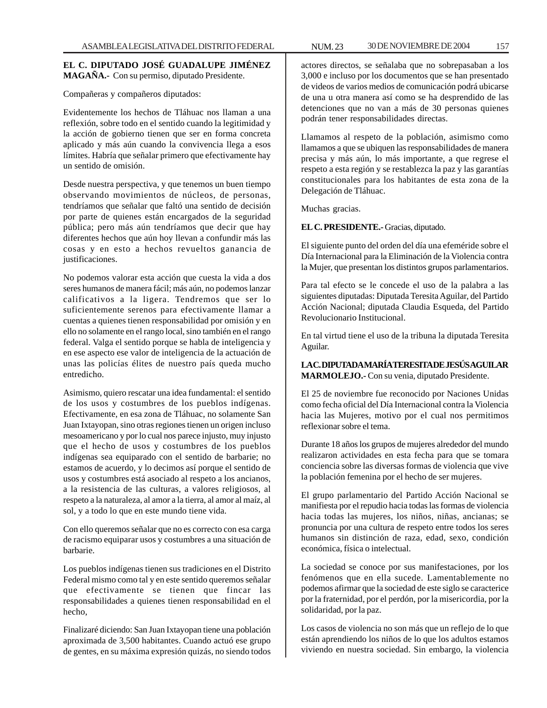## **EL C. DIPUTADO JOSÉ GUADALUPE JIMÉNEZ MAGAÑA.-** Con su permiso, diputado Presidente.

Compañeras y compañeros diputados:

Evidentemente los hechos de Tláhuac nos llaman a una reflexión, sobre todo en el sentido cuando la legitimidad y la acción de gobierno tienen que ser en forma concreta aplicado y más aún cuando la convivencia llega a esos límites. Habría que señalar primero que efectivamente hay un sentido de omisión.

Desde nuestra perspectiva, y que tenemos un buen tiempo observando movimientos de núcleos, de personas, tendríamos que señalar que faltó una sentido de decisión por parte de quienes están encargados de la seguridad pública; pero más aún tendríamos que decir que hay diferentes hechos que aún hoy llevan a confundir más las cosas y en esto a hechos revueltos ganancia de justificaciones.

No podemos valorar esta acción que cuesta la vida a dos seres humanos de manera fácil; más aún, no podemos lanzar calificativos a la ligera. Tendremos que ser lo suficientemente serenos para efectivamente llamar a cuentas a quienes tienen responsabilidad por omisión y en ello no solamente en el rango local, sino también en el rango federal. Valga el sentido porque se habla de inteligencia y en ese aspecto ese valor de inteligencia de la actuación de unas las policías élites de nuestro país queda mucho entredicho.

Asimismo, quiero rescatar una idea fundamental: el sentido de los usos y costumbres de los pueblos indígenas. Efectivamente, en esa zona de Tláhuac, no solamente San Juan Ixtayopan, sino otras regiones tienen un origen incluso mesoamericano y por lo cual nos parece injusto, muy injusto que el hecho de usos y costumbres de los pueblos indígenas sea equiparado con el sentido de barbarie; no estamos de acuerdo, y lo decimos así porque el sentido de usos y costumbres está asociado al respeto a los ancianos, a la resistencia de las culturas, a valores religiosos, al respeto a la naturaleza, al amor a la tierra, al amor al maíz, al sol, y a todo lo que en este mundo tiene vida.

Con ello queremos señalar que no es correcto con esa carga de racismo equiparar usos y costumbres a una situación de barbarie.

Los pueblos indígenas tienen sus tradiciones en el Distrito Federal mismo como tal y en este sentido queremos señalar que efectivamente se tienen que fincar las responsabilidades a quienes tienen responsabilidad en el hecho,

Finalizaré diciendo: San Juan Ixtayopan tiene una población aproximada de 3,500 habitantes. Cuando actuó ese grupo de gentes, en su máxima expresión quizás, no siendo todos

actores directos, se señalaba que no sobrepasaban a los 3,000 e incluso por los documentos que se han presentado de videos de varios medios de comunicación podrá ubicarse de una u otra manera así como se ha desprendido de las detenciones que no van a más de 30 personas quienes podrán tener responsabilidades directas.

Llamamos al respeto de la población, asimismo como llamamos a que se ubiquen las responsabilidades de manera precisa y más aún, lo más importante, a que regrese el respeto a esta región y se restablezca la paz y las garantías constitucionales para los habitantes de esta zona de la Delegación de Tláhuac.

Muchas gracias.

**EL C. PRESIDENTE.-** Gracias, diputado.

El siguiente punto del orden del día una efeméride sobre el Día Internacional para la Eliminación de la Violencia contra la Mujer, que presentan los distintos grupos parlamentarios.

Para tal efecto se le concede el uso de la palabra a las siguientes diputadas: Diputada Teresita Aguilar, del Partido Acción Nacional; diputada Claudia Esqueda, del Partido Revolucionario Institucional.

En tal virtud tiene el uso de la tribuna la diputada Teresita Aguilar.

**LA C. DIPUTADA MARÍA TERESITA DE JESÚS AGUILAR MARMOLEJO.-** Con su venia, diputado Presidente.

El 25 de noviembre fue reconocido por Naciones Unidas como fecha oficial del Día Internacional contra la Violencia hacia las Mujeres, motivo por el cual nos permitimos reflexionar sobre el tema.

Durante 18 años los grupos de mujeres alrededor del mundo realizaron actividades en esta fecha para que se tomara conciencia sobre las diversas formas de violencia que vive la población femenina por el hecho de ser mujeres.

El grupo parlamentario del Partido Acción Nacional se manifiesta por el repudio hacia todas las formas de violencia hacia todas las mujeres, los niños, niñas, ancianas; se pronuncia por una cultura de respeto entre todos los seres humanos sin distinción de raza, edad, sexo, condición económica, física o intelectual.

La sociedad se conoce por sus manifestaciones, por los fenómenos que en ella sucede. Lamentablemente no podemos afirmar que la sociedad de este siglo se caracterice por la fraternidad, por el perdón, por la misericordia, por la solidaridad, por la paz.

Los casos de violencia no son más que un reflejo de lo que están aprendiendo los niños de lo que los adultos estamos viviendo en nuestra sociedad. Sin embargo, la violencia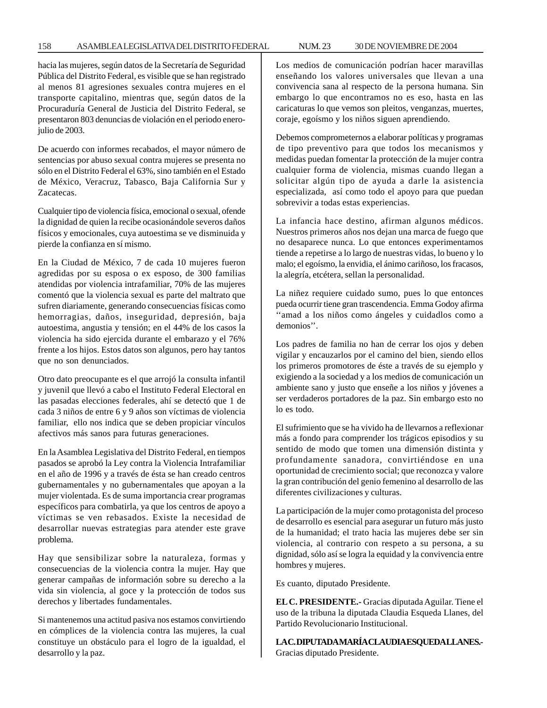## 158 ASAMBLEA LEGISLATIVA DEL DISTRITO FEDERAL NUM. 23 30 DE NOVIEMBRE DE 2004

hacia las mujeres, según datos de la Secretaría de Seguridad Pública del Distrito Federal, es visible que se han registrado al menos 81 agresiones sexuales contra mujeres en el transporte capitalino, mientras que, según datos de la Procuraduría General de Justicia del Distrito Federal, se presentaron 803 denuncias de violación en el periodo enerojulio de 2003.

De acuerdo con informes recabados, el mayor número de sentencias por abuso sexual contra mujeres se presenta no sólo en el Distrito Federal el 63%, sino también en el Estado de México, Veracruz, Tabasco, Baja California Sur y Zacatecas.

Cualquier tipo de violencia física, emocional o sexual, ofende la dignidad de quien la recibe ocasionándole severos daños físicos y emocionales, cuya autoestima se ve disminuida y pierde la confianza en sí mismo.

En la Ciudad de México, 7 de cada 10 mujeres fueron agredidas por su esposa o ex esposo, de 300 familias atendidas por violencia intrafamiliar, 70% de las mujeres comentó que la violencia sexual es parte del maltrato que sufren diariamente, generando consecuencias físicas como hemorragias, daños, inseguridad, depresión, baja autoestima, angustia y tensión; en el 44% de los casos la violencia ha sido ejercida durante el embarazo y el 76% frente a los hijos. Estos datos son algunos, pero hay tantos que no son denunciados.

Otro dato preocupante es el que arrojó la consulta infantil y juvenil que llevó a cabo el Instituto Federal Electoral en las pasadas elecciones federales, ahí se detectó que 1 de cada 3 niños de entre 6 y 9 años son víctimas de violencia familiar, ello nos indica que se deben propiciar vínculos afectivos más sanos para futuras generaciones.

En la Asamblea Legislativa del Distrito Federal, en tiempos pasados se aprobó la Ley contra la Violencia Intrafamiliar en el año de 1996 y a través de ésta se han creado centros gubernamentales y no gubernamentales que apoyan a la mujer violentada. Es de suma importancia crear programas específicos para combatirla, ya que los centros de apoyo a víctimas se ven rebasados. Existe la necesidad de desarrollar nuevas estrategias para atender este grave problema.

Hay que sensibilizar sobre la naturaleza, formas y consecuencias de la violencia contra la mujer. Hay que generar campañas de información sobre su derecho a la vida sin violencia, al goce y la protección de todos sus derechos y libertades fundamentales.

Si mantenemos una actitud pasiva nos estamos convirtiendo en cómplices de la violencia contra las mujeres, la cual constituye un obstáculo para el logro de la igualdad, el desarrollo y la paz.

Los medios de comunicación podrían hacer maravillas enseñando los valores universales que llevan a una convivencia sana al respecto de la persona humana. Sin embargo lo que encontramos no es eso, hasta en las caricaturas lo que vemos son pleitos, venganzas, muertes, coraje, egoísmo y los niños siguen aprendiendo.

Debemos comprometernos a elaborar políticas y programas de tipo preventivo para que todos los mecanismos y medidas puedan fomentar la protección de la mujer contra cualquier forma de violencia, mismas cuando llegan a solicitar algún tipo de ayuda a darle la asistencia especializada, así como todo el apoyo para que puedan sobrevivir a todas estas experiencias.

La infancia hace destino, afirman algunos médicos. Nuestros primeros años nos dejan una marca de fuego que no desaparece nunca. Lo que entonces experimentamos tiende a repetirse a lo largo de nuestras vidas, lo bueno y lo malo; el egoísmo, la envidia, el ánimo cariñoso, los fracasos, la alegría, etcétera, sellan la personalidad.

La niñez requiere cuidado sumo, pues lo que entonces pueda ocurrir tiene gran trascendencia. Emma Godoy afirma ''amad a los niños como ángeles y cuidadlos como a demonios''.

Los padres de familia no han de cerrar los ojos y deben vigilar y encauzarlos por el camino del bien, siendo ellos los primeros promotores de éste a través de su ejemplo y exigiendo a la sociedad y a los medios de comunicación un ambiente sano y justo que enseñe a los niños y jóvenes a ser verdaderos portadores de la paz. Sin embargo esto no lo es todo.

El sufrimiento que se ha vivido ha de llevarnos a reflexionar más a fondo para comprender los trágicos episodios y su sentido de modo que tomen una dimensión distinta y profundamente sanadora, convirtiéndose en una oportunidad de crecimiento social; que reconozca y valore la gran contribución del genio femenino al desarrollo de las diferentes civilizaciones y culturas.

La participación de la mujer como protagonista del proceso de desarrollo es esencial para asegurar un futuro más justo de la humanidad; el trato hacia las mujeres debe ser sin violencia, al contrario con respeto a su persona, a su dignidad, sólo así se logra la equidad y la convivencia entre hombres y mujeres.

Es cuanto, diputado Presidente.

**EL C. PRESIDENTE.-** Gracias diputada Aguilar. Tiene el uso de la tribuna la diputada Claudia Esqueda Llanes, del Partido Revolucionario Institucional.

**LA C. DIPUTADA MARÍA CLAUDIA ESQUEDA LLANES.-** Gracias diputado Presidente.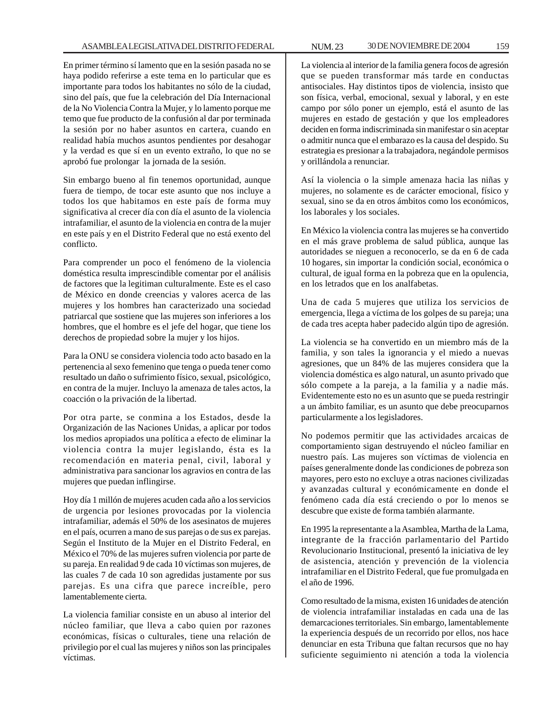En primer término sí lamento que en la sesión pasada no se haya podido referirse a este tema en lo particular que es importante para todos los habitantes no sólo de la ciudad, sino del país, que fue la celebración del Día Internacional de la No Violencia Contra la Mujer, y lo lamento porque me temo que fue producto de la confusión al dar por terminada la sesión por no haber asuntos en cartera, cuando en realidad había muchos asuntos pendientes por desahogar y la verdad es que sí en un evento extraño, lo que no se aprobó fue prolongar la jornada de la sesión.

Sin embargo bueno al fin tenemos oportunidad, aunque fuera de tiempo, de tocar este asunto que nos incluye a todos los que habitamos en este país de forma muy significativa al crecer día con día el asunto de la violencia intrafamiliar, el asunto de la violencia en contra de la mujer en este país y en el Distrito Federal que no está exento del conflicto.

Para comprender un poco el fenómeno de la violencia doméstica resulta imprescindible comentar por el análisis de factores que la legitiman culturalmente. Este es el caso de México en donde creencias y valores acerca de las mujeres y los hombres han caracterizado una sociedad patriarcal que sostiene que las mujeres son inferiores a los hombres, que el hombre es el jefe del hogar, que tiene los derechos de propiedad sobre la mujer y los hijos.

Para la ONU se considera violencia todo acto basado en la pertenencia al sexo femenino que tenga o pueda tener como resultado un daño o sufrimiento físico, sexual, psicológico, en contra de la mujer. Incluyo la amenaza de tales actos, la coacción o la privación de la libertad.

Por otra parte, se conmina a los Estados, desde la Organización de las Naciones Unidas, a aplicar por todos los medios apropiados una política a efecto de eliminar la violencia contra la mujer legislando, ésta es la recomendación en materia penal, civil, laboral y administrativa para sancionar los agravios en contra de las mujeres que puedan inflingirse.

Hoy día 1 millón de mujeres acuden cada año a los servicios de urgencia por lesiones provocadas por la violencia intrafamiliar, además el 50% de los asesinatos de mujeres en el país, ocurren a mano de sus parejas o de sus ex parejas. Según el Instituto de la Mujer en el Distrito Federal, en México el 70% de las mujeres sufren violencia por parte de su pareja. En realidad 9 de cada 10 víctimas son mujeres, de las cuales 7 de cada 10 son agredidas justamente por sus parejas. Es una cifra que parece increíble, pero lamentablemente cierta.

La violencia familiar consiste en un abuso al interior del núcleo familiar, que lleva a cabo quien por razones económicas, físicas o culturales, tiene una relación de privilegio por el cual las mujeres y niños son las principales víctimas.

La violencia al interior de la familia genera focos de agresión que se pueden transformar más tarde en conductas antisociales. Hay distintos tipos de violencia, insisto que son física, verbal, emocional, sexual y laboral, y en este campo por sólo poner un ejemplo, está el asunto de las mujeres en estado de gestación y que los empleadores deciden en forma indiscriminada sin manifestar o sin aceptar o admitir nunca que el embarazo es la causa del despido. Su estrategia es presionar a la trabajadora, negándole permisos y orillándola a renunciar.

Así la violencia o la simple amenaza hacia las niñas y mujeres, no solamente es de carácter emocional, físico y sexual, sino se da en otros ámbitos como los económicos, los laborales y los sociales.

En México la violencia contra las mujeres se ha convertido en el más grave problema de salud pública, aunque las autoridades se nieguen a reconocerlo, se da en 6 de cada 10 hogares, sin importar la condición social, económica o cultural, de igual forma en la pobreza que en la opulencia, en los letrados que en los analfabetas.

Una de cada 5 mujeres que utiliza los servicios de emergencia, llega a víctima de los golpes de su pareja; una de cada tres acepta haber padecido algún tipo de agresión.

La violencia se ha convertido en un miembro más de la familia, y son tales la ignorancia y el miedo a nuevas agresiones, que un 84% de las mujeres considera que la violencia doméstica es algo natural, un asunto privado que sólo compete a la pareja, a la familia y a nadie más. Evidentemente esto no es un asunto que se pueda restringir a un ámbito familiar, es un asunto que debe preocuparnos particularmente a los legisladores.

No podemos permitir que las actividades arcaicas de comportamiento sigan destruyendo el núcleo familiar en nuestro país. Las mujeres son víctimas de violencia en países generalmente donde las condiciones de pobreza son mayores, pero esto no excluye a otras naciones civilizadas y avanzadas cultural y económicamente en donde el fenómeno cada día está creciendo o por lo menos se descubre que existe de forma también alarmante.

En 1995 la representante a la Asamblea, Martha de la Lama, integrante de la fracción parlamentario del Partido Revolucionario Institucional, presentó la iniciativa de ley de asistencia, atención y prevención de la violencia intrafamiliar en el Distrito Federal, que fue promulgada en el año de 1996.

Como resultado de la misma, existen 16 unidades de atención de violencia intrafamiliar instaladas en cada una de las demarcaciones territoriales. Sin embargo, lamentablemente la experiencia después de un recorrido por ellos, nos hace denunciar en esta Tribuna que faltan recursos que no hay suficiente seguimiento ni atención a toda la violencia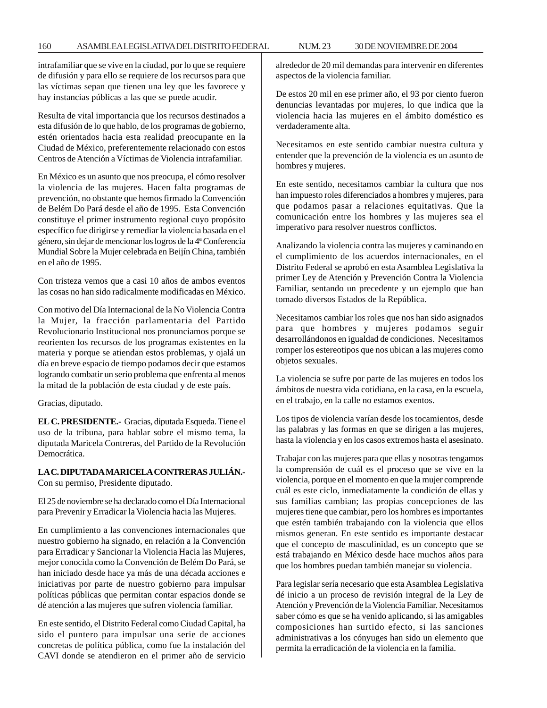intrafamiliar que se vive en la ciudad, por lo que se requiere de difusión y para ello se requiere de los recursos para que las víctimas sepan que tienen una ley que les favorece y hay instancias públicas a las que se puede acudir.

Resulta de vital importancia que los recursos destinados a esta difusión de lo que hablo, de los programas de gobierno, estén orientados hacia esta realidad preocupante en la Ciudad de México, preferentemente relacionado con estos Centros de Atención a Víctimas de Violencia intrafamiliar.

En México es un asunto que nos preocupa, el cómo resolver la violencia de las mujeres. Hacen falta programas de prevención, no obstante que hemos firmado la Convención de Belém Do Pará desde el año de 1995. Esta Convención constituye el primer instrumento regional cuyo propósito específico fue dirigirse y remediar la violencia basada en el género, sin dejar de mencionar los logros de la 4ª Conferencia Mundial Sobre la Mujer celebrada en Beijín China, también en el año de 1995.

Con tristeza vemos que a casi 10 años de ambos eventos las cosas no han sido radicalmente modificadas en México.

Con motivo del Día Internacional de la No Violencia Contra la Mujer, la fracción parlamentaria del Partido Revolucionario Institucional nos pronunciamos porque se reorienten los recursos de los programas existentes en la materia y porque se atiendan estos problemas, y ojalá un día en breve espacio de tiempo podamos decir que estamos logrando combatir un serio problema que enfrenta al menos la mitad de la población de esta ciudad y de este país.

Gracias, diputado.

**EL C. PRESIDENTE.-** Gracias, diputada Esqueda. Tiene el uso de la tribuna, para hablar sobre el mismo tema, la diputada Maricela Contreras, del Partido de la Revolución Democrática.

# **LA C. DIPUTADA MARICELA CONTRERAS JULIÁN.-**

Con su permiso, Presidente diputado.

El 25 de noviembre se ha declarado como el Día Internacional para Prevenir y Erradicar la Violencia hacia las Mujeres.

En cumplimiento a las convenciones internacionales que nuestro gobierno ha signado, en relación a la Convención para Erradicar y Sancionar la Violencia Hacia las Mujeres, mejor conocida como la Convención de Belém Do Pará, se han iniciado desde hace ya más de una década acciones e iniciativas por parte de nuestro gobierno para impulsar políticas públicas que permitan contar espacios donde se dé atención a las mujeres que sufren violencia familiar.

En este sentido, el Distrito Federal como Ciudad Capital, ha sido el puntero para impulsar una serie de acciones concretas de política pública, como fue la instalación del CAVI donde se atendieron en el primer año de servicio alrededor de 20 mil demandas para intervenir en diferentes aspectos de la violencia familiar.

De estos 20 mil en ese primer año, el 93 por ciento fueron denuncias levantadas por mujeres, lo que indica que la violencia hacia las mujeres en el ámbito doméstico es verdaderamente alta.

Necesitamos en este sentido cambiar nuestra cultura y entender que la prevención de la violencia es un asunto de hombres y mujeres.

En este sentido, necesitamos cambiar la cultura que nos han impuesto roles diferenciados a hombres y mujeres, para que podamos pasar a relaciones equitativas. Que la comunicación entre los hombres y las mujeres sea el imperativo para resolver nuestros conflictos.

Analizando la violencia contra las mujeres y caminando en el cumplimiento de los acuerdos internacionales, en el Distrito Federal se aprobó en esta Asamblea Legislativa la primer Ley de Atención y Prevención Contra la Violencia Familiar, sentando un precedente y un ejemplo que han tomado diversos Estados de la República.

Necesitamos cambiar los roles que nos han sido asignados para que hombres y mujeres podamos seguir desarrollándonos en igualdad de condiciones. Necesitamos romper los estereotipos que nos ubican a las mujeres como objetos sexuales.

La violencia se sufre por parte de las mujeres en todos los ámbitos de nuestra vida cotidiana, en la casa, en la escuela, en el trabajo, en la calle no estamos exentos.

Los tipos de violencia varían desde los tocamientos, desde las palabras y las formas en que se dirigen a las mujeres, hasta la violencia y en los casos extremos hasta el asesinato.

Trabajar con las mujeres para que ellas y nosotras tengamos la comprensión de cuál es el proceso que se vive en la violencia, porque en el momento en que la mujer comprende cuál es este ciclo, inmediatamente la condición de ellas y sus familias cambian; las propias concepciones de las mujeres tiene que cambiar, pero los hombres es importantes que estén también trabajando con la violencia que ellos mismos generan. En este sentido es importante destacar que el concepto de masculinidad, es un concepto que se está trabajando en México desde hace muchos años para que los hombres puedan también manejar su violencia.

Para legislar sería necesario que esta Asamblea Legislativa dé inicio a un proceso de revisión integral de la Ley de Atención y Prevención de la Violencia Familiar. Necesitamos saber cómo es que se ha venido aplicando, si las amigables composiciones han surtido efecto, si las sanciones administrativas a los cónyuges han sido un elemento que permita la erradicación de la violencia en la familia.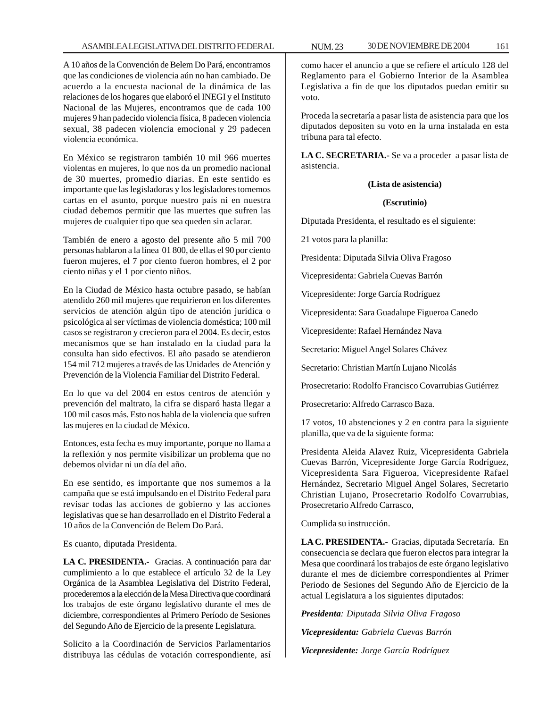A 10 años de la Convención de Belem Do Pará, encontramos que las condiciones de violencia aún no han cambiado. De acuerdo a la encuesta nacional de la dinámica de las relaciones de los hogares que elaboró el INEGI y el Instituto Nacional de las Mujeres, encontramos que de cada 100 mujeres 9 han padecido violencia física, 8 padecen violencia sexual, 38 padecen violencia emocional y 29 padecen violencia económica.

En México se registraron también 10 mil 966 muertes violentas en mujeres, lo que nos da un promedio nacional de 30 muertes, promedio diarias. En este sentido es importante que las legisladoras y los legisladores tomemos cartas en el asunto, porque nuestro país ni en nuestra ciudad debemos permitir que las muertes que sufren las mujeres de cualquier tipo que sea queden sin aclarar.

También de enero a agosto del presente año 5 mil 700 personas hablaron a la línea 01 800, de ellas el 90 por ciento fueron mujeres, el 7 por ciento fueron hombres, el 2 por ciento niñas y el 1 por ciento niños.

En la Ciudad de México hasta octubre pasado, se habían atendido 260 mil mujeres que requirieron en los diferentes servicios de atención algún tipo de atención jurídica o psicológica al ser víctimas de violencia doméstica; 100 mil casos se registraron y crecieron para el 2004. Es decir, estos mecanismos que se han instalado en la ciudad para la consulta han sido efectivos. El año pasado se atendieron 154 mil 712 mujeres a través de las Unidades de Atención y Prevención de la Violencia Familiar del Distrito Federal.

En lo que va del 2004 en estos centros de atención y prevención del maltrato, la cifra se disparó hasta llegar a 100 mil casos más. Esto nos habla de la violencia que sufren las mujeres en la ciudad de México.

Entonces, esta fecha es muy importante, porque no llama a la reflexión y nos permite visibilizar un problema que no debemos olvidar ni un día del año.

En ese sentido, es importante que nos sumemos a la campaña que se está impulsando en el Distrito Federal para revisar todas las acciones de gobierno y las acciones legislativas que se han desarrollado en el Distrito Federal a 10 años de la Convención de Belem Do Pará.

Es cuanto, diputada Presidenta.

**LA C. PRESIDENTA.-** Gracias. A continuación para dar cumplimiento a lo que establece el artículo 32 de la Ley Orgánica de la Asamblea Legislativa del Distrito Federal, procederemos a la elección de la Mesa Directiva que coordinará los trabajos de este órgano legislativo durante el mes de diciembre, correspondientes al Primero Período de Sesiones del Segundo Año de Ejercicio de la presente Legislatura.

Solicito a la Coordinación de Servicios Parlamentarios distribuya las cédulas de votación correspondiente, así

como hacer el anuncio a que se refiere el artículo 128 del Reglamento para el Gobierno Interior de la Asamblea Legislativa a fin de que los diputados puedan emitir su voto.

Proceda la secretaría a pasar lista de asistencia para que los diputados depositen su voto en la urna instalada en esta tribuna para tal efecto.

**LA C. SECRETARIA.-** Se va a proceder a pasar lista de asistencia.

## **(Lista de asistencia)**

## **(Escrutinio)**

Diputada Presidenta, el resultado es el siguiente:

21 votos para la planilla:

Presidenta: Diputada Silvia Oliva Fragoso

Vicepresidenta: Gabriela Cuevas Barrón

Vicepresidente: Jorge García Rodríguez

Vicepresidenta: Sara Guadalupe Figueroa Canedo

Vicepresidente: Rafael Hernández Nava

Secretario: Miguel Angel Solares Chávez

Secretario: Christian Martín Lujano Nicolás

Prosecretario: Rodolfo Francisco Covarrubias Gutiérrez

Prosecretario: Alfredo Carrasco Baza.

17 votos, 10 abstenciones y 2 en contra para la siguiente planilla, que va de la siguiente forma:

Presidenta Aleida Alavez Ruiz, Vicepresidenta Gabriela Cuevas Barrón, Vicepresidente Jorge García Rodríguez, Vicepresidenta Sara Figueroa, Vicepresidente Rafael Hernández, Secretario Miguel Angel Solares, Secretario Christian Lujano, Prosecretario Rodolfo Covarrubias, Prosecretario Alfredo Carrasco,

Cumplida su instrucción.

**LA C. PRESIDENTA.-** Gracias, diputada Secretaría. En consecuencia se declara que fueron electos para integrar la Mesa que coordinará los trabajos de este órgano legislativo durante el mes de diciembre correspondientes al Primer Periodo de Sesiones del Segundo Año de Ejercicio de la actual Legislatura a los siguientes diputados:

*Presidenta: Diputada Silvia Oliva Fragoso*

*Vicepresidenta: Gabriela Cuevas Barrón*

*Vicepresidente: Jorge García Rodríguez*